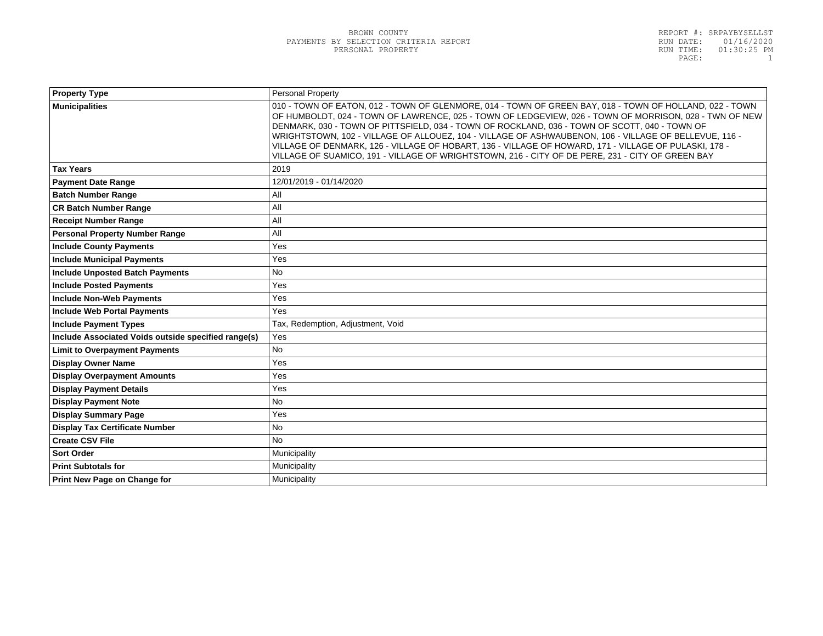| <b>Personal Property</b>                                                                                                                                                                                                                                                                                                                                                                                                                                                                                                                                                                                                                 |  |
|------------------------------------------------------------------------------------------------------------------------------------------------------------------------------------------------------------------------------------------------------------------------------------------------------------------------------------------------------------------------------------------------------------------------------------------------------------------------------------------------------------------------------------------------------------------------------------------------------------------------------------------|--|
| 010 - TOWN OF EATON, 012 - TOWN OF GLENMORE, 014 - TOWN OF GREEN BAY, 018 - TOWN OF HOLLAND, 022 - TOWN<br>OF HUMBOLDT, 024 - TOWN OF LAWRENCE, 025 - TOWN OF LEDGEVIEW, 026 - TOWN OF MORRISON, 028 - TWN OF NEW<br>DENMARK, 030 - TOWN OF PITTSFIELD, 034 - TOWN OF ROCKLAND, 036 - TOWN OF SCOTT, 040 - TOWN OF<br>WRIGHTSTOWN, 102 - VILLAGE OF ALLOUEZ, 104 - VILLAGE OF ASHWAUBENON, 106 - VILLAGE OF BELLEVUE, 116 -<br>VILLAGE OF DENMARK, 126 - VILLAGE OF HOBART, 136 - VILLAGE OF HOWARD, 171 - VILLAGE OF PULASKI, 178 -<br>VILLAGE OF SUAMICO, 191 - VILLAGE OF WRIGHTSTOWN, 216 - CITY OF DE PERE, 231 - CITY OF GREEN BAY |  |
| 2019                                                                                                                                                                                                                                                                                                                                                                                                                                                                                                                                                                                                                                     |  |
| 12/01/2019 - 01/14/2020                                                                                                                                                                                                                                                                                                                                                                                                                                                                                                                                                                                                                  |  |
| All                                                                                                                                                                                                                                                                                                                                                                                                                                                                                                                                                                                                                                      |  |
| All                                                                                                                                                                                                                                                                                                                                                                                                                                                                                                                                                                                                                                      |  |
| All                                                                                                                                                                                                                                                                                                                                                                                                                                                                                                                                                                                                                                      |  |
| All                                                                                                                                                                                                                                                                                                                                                                                                                                                                                                                                                                                                                                      |  |
| Yes                                                                                                                                                                                                                                                                                                                                                                                                                                                                                                                                                                                                                                      |  |
| Yes                                                                                                                                                                                                                                                                                                                                                                                                                                                                                                                                                                                                                                      |  |
| <b>No</b>                                                                                                                                                                                                                                                                                                                                                                                                                                                                                                                                                                                                                                |  |
| Yes                                                                                                                                                                                                                                                                                                                                                                                                                                                                                                                                                                                                                                      |  |
| Yes                                                                                                                                                                                                                                                                                                                                                                                                                                                                                                                                                                                                                                      |  |
| Yes                                                                                                                                                                                                                                                                                                                                                                                                                                                                                                                                                                                                                                      |  |
| Tax, Redemption, Adjustment, Void                                                                                                                                                                                                                                                                                                                                                                                                                                                                                                                                                                                                        |  |
| Yes                                                                                                                                                                                                                                                                                                                                                                                                                                                                                                                                                                                                                                      |  |
| <b>No</b>                                                                                                                                                                                                                                                                                                                                                                                                                                                                                                                                                                                                                                |  |
| Yes                                                                                                                                                                                                                                                                                                                                                                                                                                                                                                                                                                                                                                      |  |
| Yes                                                                                                                                                                                                                                                                                                                                                                                                                                                                                                                                                                                                                                      |  |
| Yes                                                                                                                                                                                                                                                                                                                                                                                                                                                                                                                                                                                                                                      |  |
| <b>No</b>                                                                                                                                                                                                                                                                                                                                                                                                                                                                                                                                                                                                                                |  |
| Yes                                                                                                                                                                                                                                                                                                                                                                                                                                                                                                                                                                                                                                      |  |
| <b>No</b>                                                                                                                                                                                                                                                                                                                                                                                                                                                                                                                                                                                                                                |  |
| <b>No</b>                                                                                                                                                                                                                                                                                                                                                                                                                                                                                                                                                                                                                                |  |
| Municipality                                                                                                                                                                                                                                                                                                                                                                                                                                                                                                                                                                                                                             |  |
| Municipality                                                                                                                                                                                                                                                                                                                                                                                                                                                                                                                                                                                                                             |  |
| Municipality                                                                                                                                                                                                                                                                                                                                                                                                                                                                                                                                                                                                                             |  |
|                                                                                                                                                                                                                                                                                                                                                                                                                                                                                                                                                                                                                                          |  |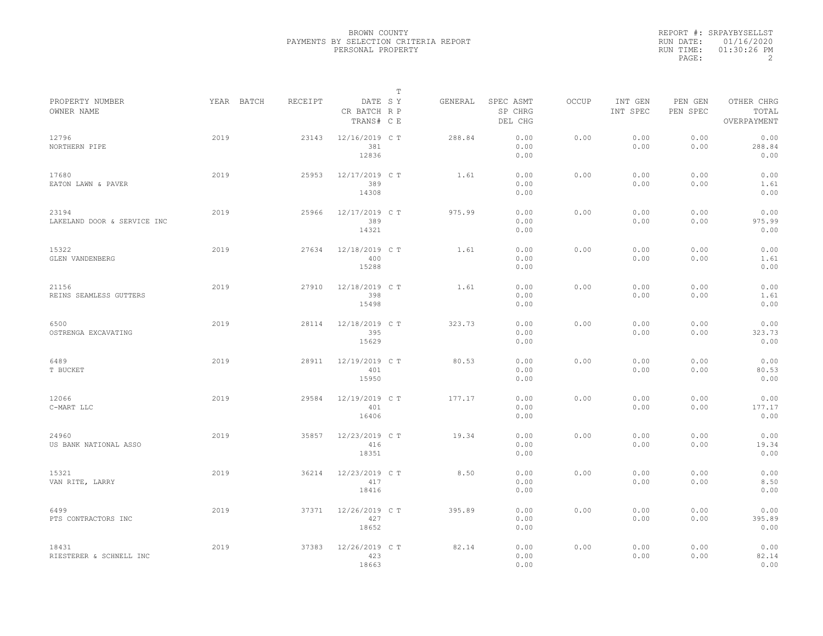| REPORT #: SRPAYBYSELLST |
|-------------------------|
| RUN DATE: 01/16/2020    |
| $01:30:26$ PM           |
|                         |
| RUN TIME:               |

| PROPERTY NUMBER                      | YEAR BATCH | RECEIPT | DATE SY                        | Т | GENERAL | SPEC ASMT            | OCCUP | INT GEN      | PEN GEN      | OTHER CHRG             |  |
|--------------------------------------|------------|---------|--------------------------------|---|---------|----------------------|-------|--------------|--------------|------------------------|--|
| OWNER NAME                           |            |         | CR BATCH R P<br>TRANS# C E     |   |         | SP CHRG<br>DEL CHG   |       | INT SPEC     | PEN SPEC     | TOTAL<br>OVERPAYMENT   |  |
| 12796<br>NORTHERN PIPE               | 2019       | 23143   | 12/16/2019 C T<br>381<br>12836 |   | 288.84  | 0.00<br>0.00<br>0.00 | 0.00  | 0.00<br>0.00 | 0.00<br>0.00 | 0.00<br>288.84<br>0.00 |  |
| 17680<br>EATON LAWN & PAVER          | 2019       | 25953   | 12/17/2019 C T<br>389<br>14308 |   | 1.61    | 0.00<br>0.00<br>0.00 | 0.00  | 0.00<br>0.00 | 0.00<br>0.00 | 0.00<br>1.61<br>0.00   |  |
| 23194<br>LAKELAND DOOR & SERVICE INC | 2019       | 25966   | 12/17/2019 C T<br>389<br>14321 |   | 975.99  | 0.00<br>0.00<br>0.00 | 0.00  | 0.00<br>0.00 | 0.00<br>0.00 | 0.00<br>975.99<br>0.00 |  |
| 15322<br>GLEN VANDENBERG             | 2019       | 27634   | 12/18/2019 C T<br>400<br>15288 |   | 1.61    | 0.00<br>0.00<br>0.00 | 0.00  | 0.00<br>0.00 | 0.00<br>0.00 | 0.00<br>1.61<br>0.00   |  |
| 21156<br>REINS SEAMLESS GUTTERS      | 2019       | 27910   | 12/18/2019 C T<br>398<br>15498 |   | 1.61    | 0.00<br>0.00<br>0.00 | 0.00  | 0.00<br>0.00 | 0.00<br>0.00 | 0.00<br>1.61<br>0.00   |  |
| 6500<br>OSTRENGA EXCAVATING          | 2019       | 28114   | 12/18/2019 C T<br>395<br>15629 |   | 323.73  | 0.00<br>0.00<br>0.00 | 0.00  | 0.00<br>0.00 | 0.00<br>0.00 | 0.00<br>323.73<br>0.00 |  |
| 6489<br>T BUCKET                     | 2019       | 28911   | 12/19/2019 C T<br>401<br>15950 |   | 80.53   | 0.00<br>0.00<br>0.00 | 0.00  | 0.00<br>0.00 | 0.00<br>0.00 | 0.00<br>80.53<br>0.00  |  |
| 12066<br>C-MART LLC                  | 2019       | 29584   | 12/19/2019 C T<br>401<br>16406 |   | 177.17  | 0.00<br>0.00<br>0.00 | 0.00  | 0.00<br>0.00 | 0.00<br>0.00 | 0.00<br>177.17<br>0.00 |  |
| 24960<br>US BANK NATIONAL ASSO       | 2019       | 35857   | 12/23/2019 C T<br>416<br>18351 |   | 19.34   | 0.00<br>0.00<br>0.00 | 0.00  | 0.00<br>0.00 | 0.00<br>0.00 | 0.00<br>19.34<br>0.00  |  |
| 15321<br>VAN RITE, LARRY             | 2019       | 36214   | 12/23/2019 C T<br>417<br>18416 |   | 8.50    | 0.00<br>0.00<br>0.00 | 0.00  | 0.00<br>0.00 | 0.00<br>0.00 | 0.00<br>8.50<br>0.00   |  |
| 6499<br>PTS CONTRACTORS INC          | 2019       | 37371   | 12/26/2019 C T<br>427<br>18652 |   | 395.89  | 0.00<br>0.00<br>0.00 | 0.00  | 0.00<br>0.00 | 0.00<br>0.00 | 0.00<br>395.89<br>0.00 |  |
| 18431<br>RIESTERER & SCHNELL INC     | 2019       | 37383   | 12/26/2019 C T<br>423<br>18663 |   | 82.14   | 0.00<br>0.00<br>0.00 | 0.00  | 0.00<br>0.00 | 0.00<br>0.00 | 0.00<br>82.14<br>0.00  |  |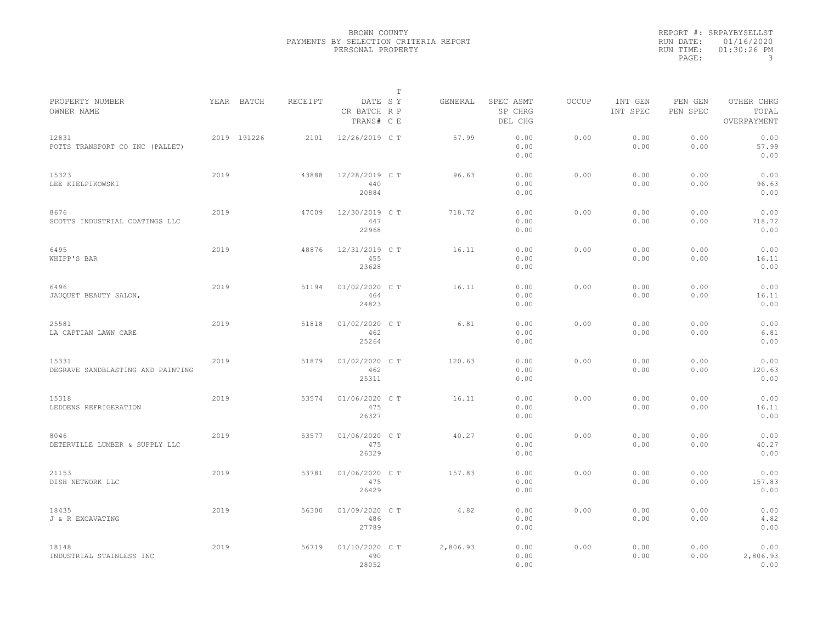|                                            |      |             |         |                                       | $\mathbb T$ |          |                                 |              |                     |                     |                                    |  |
|--------------------------------------------|------|-------------|---------|---------------------------------------|-------------|----------|---------------------------------|--------------|---------------------|---------------------|------------------------------------|--|
| PROPERTY NUMBER<br>OWNER NAME              |      | YEAR BATCH  | RECEIPT | DATE SY<br>CR BATCH R P<br>TRANS# C E |             | GENERAL  | SPEC ASMT<br>SP CHRG<br>DEL CHG | <b>OCCUP</b> | INT GEN<br>INT SPEC | PEN GEN<br>PEN SPEC | OTHER CHRG<br>TOTAL<br>OVERPAYMENT |  |
| 12831<br>POTTS TRANSPORT CO INC (PALLET)   |      | 2019 191226 | 2101    | 12/26/2019 C T                        |             | 57.99    | 0.00<br>0.00<br>0.00            | 0.00         | 0.00<br>0.00        | 0.00<br>0.00        | 0.00<br>57.99<br>0.00              |  |
| 15323<br>LEE KIELPIKOWSKI                  | 2019 |             | 43888   | 12/28/2019 C T<br>440<br>20884        |             | 96.63    | 0.00<br>0.00<br>0.00            | 0.00         | 0.00<br>0.00        | 0.00<br>0.00        | 0.00<br>96.63<br>0.00              |  |
| 8676<br>SCOTTS INDUSTRIAL COATINGS LLC     | 2019 |             | 47009   | 12/30/2019 C T<br>447<br>22968        |             | 718.72   | 0.00<br>0.00<br>0.00            | 0.00         | 0.00<br>0.00        | 0.00<br>0.00        | 0.00<br>718.72<br>0.00             |  |
| 6495<br>WHIPP'S BAR                        | 2019 |             | 48876   | 12/31/2019 C T<br>455<br>23628        |             | 16.11    | 0.00<br>0.00<br>0.00            | 0.00         | 0.00<br>0.00        | 0.00<br>0.00        | 0.00<br>16.11<br>0.00              |  |
| 6496<br>JAUQUET BEAUTY SALON,              | 2019 |             | 51194   | 01/02/2020 C T<br>464<br>24823        |             | 16.11    | 0.00<br>0.00<br>0.00            | 0.00         | 0.00<br>0.00        | 0.00<br>0.00        | 0.00<br>16.11<br>0.00              |  |
| 25581<br>LA CAPTIAN LAWN CARE              | 2019 |             | 51818   | 01/02/2020 C T<br>462<br>25264        |             | 6.81     | 0.00<br>0.00<br>0.00            | 0.00         | 0.00<br>0.00        | 0.00<br>0.00        | 0.00<br>6.81<br>0.00               |  |
| 15331<br>DEGRAVE SANDBLASTING AND PAINTING | 2019 |             | 51879   | 01/02/2020 C T<br>462<br>25311        |             | 120.63   | 0.00<br>0.00<br>0.00            | 0.00         | 0.00<br>0.00        | 0.00<br>0.00        | 0.00<br>120.63<br>0.00             |  |
| 15318<br>LEDDENS REFRIGERATION             | 2019 |             | 53574   | 01/06/2020 C T<br>475<br>26327        |             | 16.11    | 0.00<br>0.00<br>0.00            | 0.00         | 0.00<br>0.00        | 0.00<br>0.00        | 0.00<br>16.11<br>0.00              |  |
| 8046<br>DETERVILLE LUMBER & SUPPLY LLC     | 2019 |             | 53577   | 01/06/2020 C T<br>475<br>26329        |             | 40.27    | 0.00<br>0.00<br>0.00            | 0.00         | 0.00<br>0.00        | 0.00<br>0.00        | 0.00<br>40.27<br>0.00              |  |
| 21153<br>DISH NETWORK LLC                  | 2019 |             | 53781   | 01/06/2020 C T<br>475<br>26429        |             | 157.83   | 0.00<br>0.00<br>0.00            | 0.00         | 0.00<br>0.00        | 0.00<br>0.00        | 0.00<br>157.83<br>0.00             |  |
| 18435<br>J & R EXCAVATING                  | 2019 |             | 56300   | 01/09/2020 C T<br>486<br>27789        |             | 4.82     | 0.00<br>0.00<br>0.00            | 0.00         | 0.00<br>0.00        | 0.00<br>0.00        | 0.00<br>4.82<br>0.00               |  |
| 18148<br>INDUSTRIAL STAINLESS INC          | 2019 |             | 56719   | 01/10/2020 C T<br>490<br>28052        |             | 2,806.93 | 0.00<br>0.00<br>0.00            | 0.00         | 0.00<br>0.00        | 0.00<br>0.00        | 0.00<br>2,806.93<br>0.00           |  |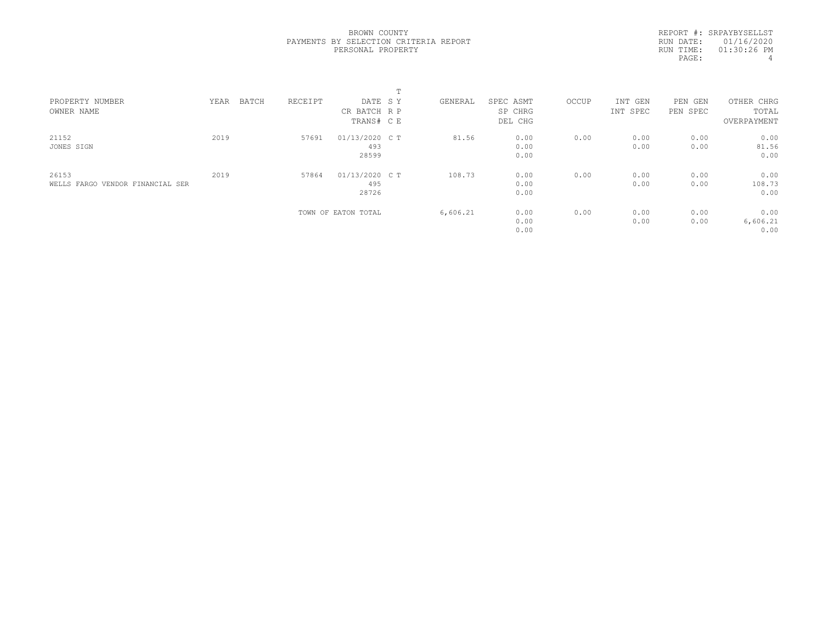REPORT #: SRPAYBYSELLST RUN DATE: 01/16/2020 RUN TIME: 01:30:26 PM PAGE: 4

| PROPERTY NUMBER                  | YEAR | BATCH | RECEIPT | DATE SY             | GENERAL  | SPEC ASMT | OCCUP | INT GEN  | PEN<br>GEN | OTHER CHRG  |  |
|----------------------------------|------|-------|---------|---------------------|----------|-----------|-------|----------|------------|-------------|--|
| OWNER NAME                       |      |       |         | CR BATCH R P        |          | SP CHRG   |       | INT SPEC | PEN SPEC   | TOTAL       |  |
|                                  |      |       |         | TRANS# C E          |          | DEL CHG   |       |          |            | OVERPAYMENT |  |
| 21152                            | 2019 |       | 57691   | 01/13/2020 C T      | 81.56    | 0.00      | 0.00  | 0.00     | 0.00       | 0.00        |  |
| JONES SIGN                       |      |       |         | 493                 |          | 0.00      |       | 0.00     | 0.00       | 81.56       |  |
|                                  |      |       |         | 28599               |          | 0.00      |       |          |            | 0.00        |  |
| 26153                            | 2019 |       | 57864   | 01/13/2020 C T      | 108.73   | 0.00      | 0.00  | 0.00     | 0.00       | 0.00        |  |
| WELLS FARGO VENDOR FINANCIAL SER |      |       |         | 495                 |          | 0.00      |       | 0.00     | 0.00       | 108.73      |  |
|                                  |      |       |         | 28726               |          | 0.00      |       |          |            | 0.00        |  |
|                                  |      |       |         | TOWN OF EATON TOTAL | 6,606.21 | 0.00      | 0.00  | 0.00     | 0.00       | 0.00        |  |
|                                  |      |       |         |                     |          | 0.00      |       | 0.00     | 0.00       | 6,606.21    |  |
|                                  |      |       |         |                     |          | 0.00      |       |          |            | 0.00        |  |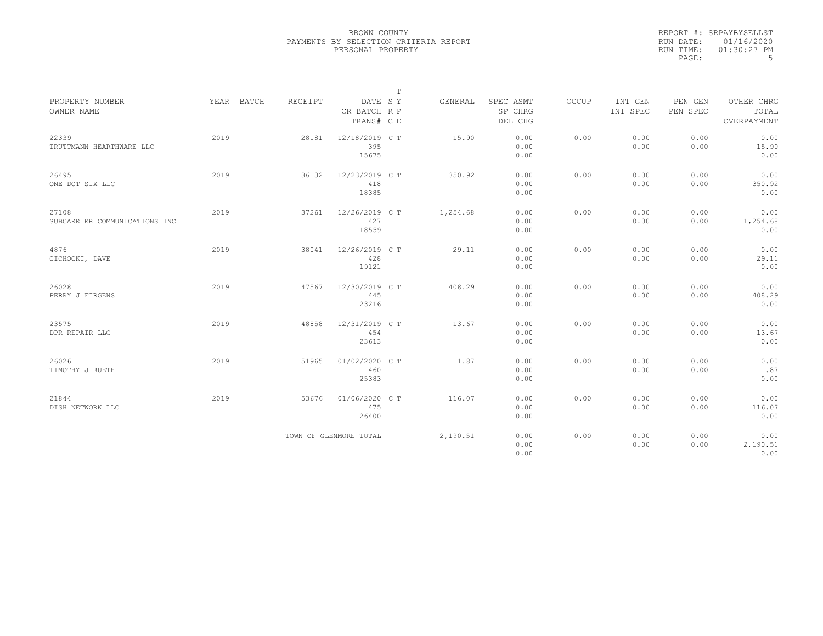|           | REPORT #: SRPAYBYSELLST |
|-----------|-------------------------|
|           | RUN DATE: 01/16/2020    |
| RUN TIME: | $01:30:27$ PM           |
| PAGE:     | .5                      |

|                                        |      |            |         |                                       | $\mathbb T$ |          |                                 |       |                     |                     |                                    |
|----------------------------------------|------|------------|---------|---------------------------------------|-------------|----------|---------------------------------|-------|---------------------|---------------------|------------------------------------|
| PROPERTY NUMBER<br>OWNER NAME          |      | YEAR BATCH | RECEIPT | DATE SY<br>CR BATCH R P<br>TRANS# C E |             | GENERAL  | SPEC ASMT<br>SP CHRG<br>DEL CHG | OCCUP | INT GEN<br>INT SPEC | PEN GEN<br>PEN SPEC | OTHER CHRG<br>TOTAL<br>OVERPAYMENT |
| 22339<br>TRUTTMANN HEARTHWARE LLC      | 2019 |            | 28181   | 12/18/2019 C T<br>395<br>15675        |             | 15.90    | 0.00<br>0.00<br>0.00            | 0.00  | 0.00<br>0.00        | 0.00<br>0.00        | 0.00<br>15.90<br>0.00              |
| 26495<br>ONE DOT SIX LLC               | 2019 |            | 36132   | 12/23/2019 C T<br>418<br>18385        |             | 350.92   | 0.00<br>0.00<br>0.00            | 0.00  | 0.00<br>0.00        | 0.00<br>0.00        | 0.00<br>350.92<br>0.00             |
| 27108<br>SUBCARRIER COMMUNICATIONS INC | 2019 |            | 37261   | 12/26/2019 C T<br>427<br>18559        |             | 1,254.68 | 0.00<br>0.00<br>0.00            | 0.00  | 0.00<br>0.00        | 0.00<br>0.00        | 0.00<br>1,254.68<br>0.00           |
| 4876<br>CICHOCKI, DAVE                 | 2019 |            | 38041   | 12/26/2019 C T<br>428<br>19121        |             | 29.11    | 0.00<br>0.00<br>0.00            | 0.00  | 0.00<br>0.00        | 0.00<br>0.00        | 0.00<br>29.11<br>0.00              |
| 26028<br>PERRY J FIRGENS               | 2019 |            | 47567   | 12/30/2019 C T<br>445<br>23216        |             | 408.29   | 0.00<br>0.00<br>0.00            | 0.00  | 0.00<br>0.00        | 0.00<br>0.00        | 0.00<br>408.29<br>0.00             |
| 23575<br>DPR REPAIR LLC                | 2019 |            | 48858   | 12/31/2019 C T<br>454<br>23613        |             | 13.67    | 0.00<br>0.00<br>0.00            | 0.00  | 0.00<br>0.00        | 0.00<br>0.00        | 0.00<br>13.67<br>0.00              |
| 26026<br>TIMOTHY J RUETH               | 2019 |            | 51965   | 01/02/2020 C T<br>460<br>25383        |             | 1.87     | 0.00<br>0.00<br>0.00            | 0.00  | 0.00<br>0.00        | 0.00<br>0.00        | 0.00<br>1.87<br>0.00               |
| 21844<br>DISH NETWORK LLC              | 2019 |            | 53676   | 01/06/2020 C T<br>475<br>26400        |             | 116.07   | 0.00<br>0.00<br>0.00            | 0.00  | 0.00<br>0.00        | 0.00<br>0.00        | 0.00<br>116.07<br>0.00             |
|                                        |      |            |         | TOWN OF GLENMORE TOTAL                |             | 2,190.51 | 0.00<br>0.00<br>0.00            | 0.00  | 0.00<br>0.00        | 0.00<br>0.00        | 0.00<br>2,190.51<br>0.00           |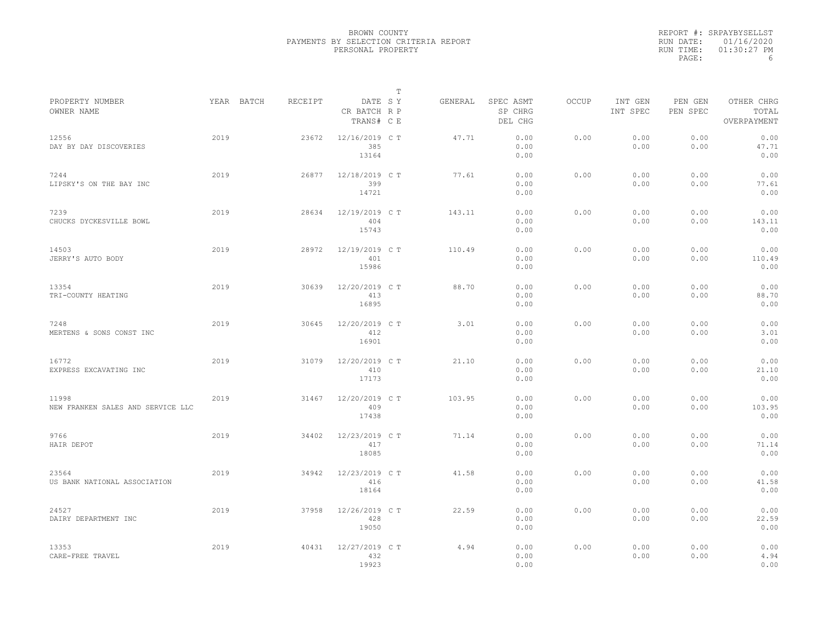|           | REPORT #: SRPAYBYSELLST |
|-----------|-------------------------|
|           | RUN DATE: 01/16/2020    |
| RUN TIME: | $01:30:27$ PM           |
| PAGE:     | 6                       |

|                                            |      |            |         |                                       | T |         |                                 |              |                     |                     |                                    |
|--------------------------------------------|------|------------|---------|---------------------------------------|---|---------|---------------------------------|--------------|---------------------|---------------------|------------------------------------|
| PROPERTY NUMBER<br>OWNER NAME              |      | YEAR BATCH | RECEIPT | DATE SY<br>CR BATCH R P<br>TRANS# C E |   | GENERAL | SPEC ASMT<br>SP CHRG<br>DEL CHG | <b>OCCUP</b> | INT GEN<br>INT SPEC | PEN GEN<br>PEN SPEC | OTHER CHRG<br>TOTAL<br>OVERPAYMENT |
| 12556<br>DAY BY DAY DISCOVERIES            | 2019 |            | 23672   | 12/16/2019 C T<br>385<br>13164        |   | 47.71   | 0.00<br>0.00<br>0.00            | 0.00         | 0.00<br>0.00        | 0.00<br>0.00        | 0.00<br>47.71<br>0.00              |
| 7244<br>LIPSKY'S ON THE BAY INC            | 2019 |            | 26877   | 12/18/2019 C T<br>399<br>14721        |   | 77.61   | 0.00<br>0.00<br>0.00            | 0.00         | 0.00<br>0.00        | 0.00<br>0.00        | 0.00<br>77.61<br>0.00              |
| 7239<br>CHUCKS DYCKESVILLE BOWL            | 2019 |            | 28634   | 12/19/2019 C T<br>404<br>15743        |   | 143.11  | 0.00<br>0.00<br>0.00            | 0.00         | 0.00<br>0.00        | 0.00<br>0.00        | 0.00<br>143.11<br>0.00             |
| 14503<br>JERRY'S AUTO BODY                 | 2019 |            | 28972   | 12/19/2019 C T<br>401<br>15986        |   | 110.49  | 0.00<br>0.00<br>0.00            | 0.00         | 0.00<br>0.00        | 0.00<br>0.00        | 0.00<br>110.49<br>0.00             |
| 13354<br>TRI-COUNTY HEATING                | 2019 |            | 30639   | 12/20/2019 C T<br>413<br>16895        |   | 88.70   | 0.00<br>0.00<br>0.00            | 0.00         | 0.00<br>0.00        | 0.00<br>0.00        | 0.00<br>88.70<br>0.00              |
| 7248<br>MERTENS & SONS CONST INC           | 2019 |            | 30645   | 12/20/2019 C T<br>412<br>16901        |   | 3.01    | 0.00<br>0.00<br>0.00            | 0.00         | 0.00<br>0.00        | 0.00<br>0.00        | 0.00<br>3.01<br>0.00               |
| 16772<br>EXPRESS EXCAVATING INC            | 2019 |            | 31079   | 12/20/2019 C T<br>410<br>17173        |   | 21.10   | 0.00<br>0.00<br>0.00            | 0.00         | 0.00<br>0.00        | 0.00<br>0.00        | 0.00<br>21.10<br>0.00              |
| 11998<br>NEW FRANKEN SALES AND SERVICE LLC | 2019 |            | 31467   | 12/20/2019 C T<br>409<br>17438        |   | 103.95  | 0.00<br>0.00<br>0.00            | 0.00         | 0.00<br>0.00        | 0.00<br>0.00        | 0.00<br>103.95<br>0.00             |
| 9766<br>HAIR DEPOT                         | 2019 |            | 34402   | 12/23/2019 C T<br>417<br>18085        |   | 71.14   | 0.00<br>0.00<br>0.00            | 0.00         | 0.00<br>0.00        | 0.00<br>0.00        | 0.00<br>71.14<br>0.00              |
| 23564<br>US BANK NATIONAL ASSOCIATION      | 2019 |            | 34942   | 12/23/2019 C T<br>416<br>18164        |   | 41.58   | 0.00<br>0.00<br>0.00            | 0.00         | 0.00<br>0.00        | 0.00<br>0.00        | 0.00<br>41.58<br>0.00              |
| 24527<br>DAIRY DEPARTMENT INC              | 2019 |            | 37958   | 12/26/2019 C T<br>428<br>19050        |   | 22.59   | 0.00<br>0.00<br>0.00            | 0.00         | 0.00<br>0.00        | 0.00<br>0.00        | 0.00<br>22.59<br>0.00              |
| 13353<br>CARE-FREE TRAVEL                  | 2019 |            | 40431   | 12/27/2019 C T<br>432<br>19923        |   | 4.94    | 0.00<br>0.00<br>0.00            | 0.00         | 0.00<br>0.00        | 0.00<br>0.00        | 0.00<br>4.94<br>0.00               |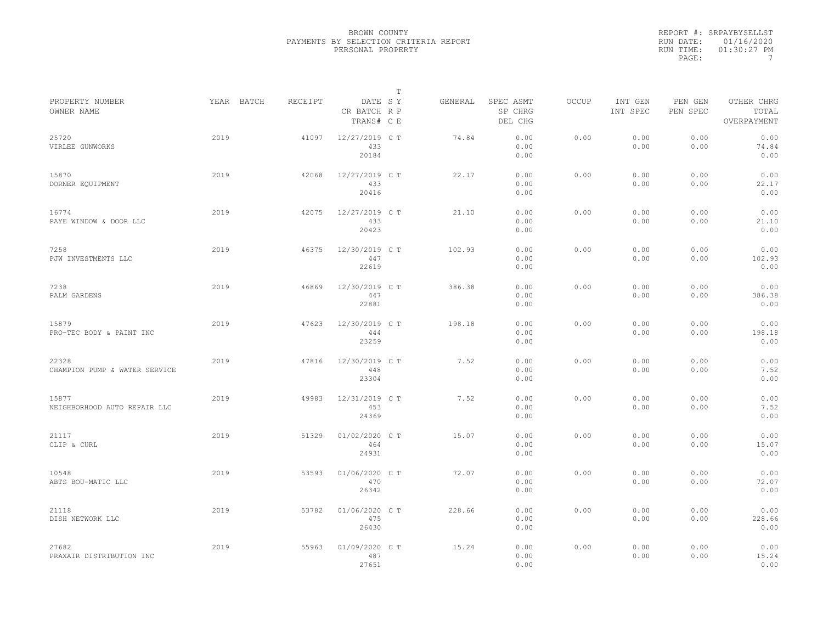|           | REPORT #: SRPAYBYSELLST |
|-----------|-------------------------|
|           | RUN DATE: 01/16/2020    |
| RUN TIME: | $01:30:27$ PM           |
| PAGE:     |                         |

| PROPERTY NUMBER                        |      | YEAR BATCH<br>RECEIPT |                                | т<br>DATE SY | GENERAL | SPEC ASMT            | OCCUP | INT GEN      | PEN GEN      | OTHER CHRG             |  |
|----------------------------------------|------|-----------------------|--------------------------------|--------------|---------|----------------------|-------|--------------|--------------|------------------------|--|
| OWNER NAME                             |      |                       | CR BATCH R P<br>TRANS# C E     |              |         | SP CHRG<br>DEL CHG   |       | INT SPEC     | PEN SPEC     | TOTAL<br>OVERPAYMENT   |  |
| 25720<br>VIRLEE GUNWORKS               | 2019 | 41097                 | 12/27/2019 C T<br>433<br>20184 |              | 74.84   | 0.00<br>0.00<br>0.00 | 0.00  | 0.00<br>0.00 | 0.00<br>0.00 | 0.00<br>74.84<br>0.00  |  |
| 15870<br>DORNER EQUIPMENT              | 2019 | 42068                 | 12/27/2019 C T<br>433<br>20416 |              | 22.17   | 0.00<br>0.00<br>0.00 | 0.00  | 0.00<br>0.00 | 0.00<br>0.00 | 0.00<br>22.17<br>0.00  |  |
| 16774<br>PAYE WINDOW & DOOR LLC        | 2019 | 42075                 | 12/27/2019 C T<br>433<br>20423 |              | 21.10   | 0.00<br>0.00<br>0.00 | 0.00  | 0.00<br>0.00 | 0.00<br>0.00 | 0.00<br>21.10<br>0.00  |  |
| 7258<br>PJW INVESTMENTS LLC            | 2019 | 46375                 | 12/30/2019 C T<br>447<br>22619 |              | 102.93  | 0.00<br>0.00<br>0.00 | 0.00  | 0.00<br>0.00 | 0.00<br>0.00 | 0.00<br>102.93<br>0.00 |  |
| 7238<br>PALM GARDENS                   | 2019 | 46869                 | 12/30/2019 C T<br>447<br>22881 |              | 386.38  | 0.00<br>0.00<br>0.00 | 0.00  | 0.00<br>0.00 | 0.00<br>0.00 | 0.00<br>386.38<br>0.00 |  |
| 15879<br>PRO-TEC BODY & PAINT INC      | 2019 | 47623                 | 12/30/2019 C T<br>444<br>23259 |              | 198.18  | 0.00<br>0.00<br>0.00 | 0.00  | 0.00<br>0.00 | 0.00<br>0.00 | 0.00<br>198.18<br>0.00 |  |
| 22328<br>CHAMPION PUMP & WATER SERVICE | 2019 | 47816                 | 12/30/2019 C T<br>448<br>23304 |              | 7.52    | 0.00<br>0.00<br>0.00 | 0.00  | 0.00<br>0.00 | 0.00<br>0.00 | 0.00<br>7.52<br>0.00   |  |
| 15877<br>NEIGHBORHOOD AUTO REPAIR LLC  | 2019 | 49983                 | 12/31/2019 C T<br>453<br>24369 |              | 7.52    | 0.00<br>0.00<br>0.00 | 0.00  | 0.00<br>0.00 | 0.00<br>0.00 | 0.00<br>7.52<br>0.00   |  |
| 21117<br>CLIP & CURL                   | 2019 | 51329                 | 01/02/2020 C T<br>464<br>24931 |              | 15.07   | 0.00<br>0.00<br>0.00 | 0.00  | 0.00<br>0.00 | 0.00<br>0.00 | 0.00<br>15.07<br>0.00  |  |
| 10548<br>ABTS BOU-MATIC LLC            | 2019 | 53593                 | 01/06/2020 C T<br>470<br>26342 |              | 72.07   | 0.00<br>0.00<br>0.00 | 0.00  | 0.00<br>0.00 | 0.00<br>0.00 | 0.00<br>72.07<br>0.00  |  |
| 21118<br>DISH NETWORK LLC              | 2019 | 53782                 | 01/06/2020 C T<br>475<br>26430 |              | 228.66  | 0.00<br>0.00<br>0.00 | 0.00  | 0.00<br>0.00 | 0.00<br>0.00 | 0.00<br>228.66<br>0.00 |  |
| 27682<br>PRAXAIR DISTRIBUTION INC      | 2019 | 55963                 | 01/09/2020 C T<br>487<br>27651 |              | 15.24   | 0.00<br>0.00<br>0.00 | 0.00  | 0.00<br>0.00 | 0.00<br>0.00 | 0.00<br>15.24<br>0.00  |  |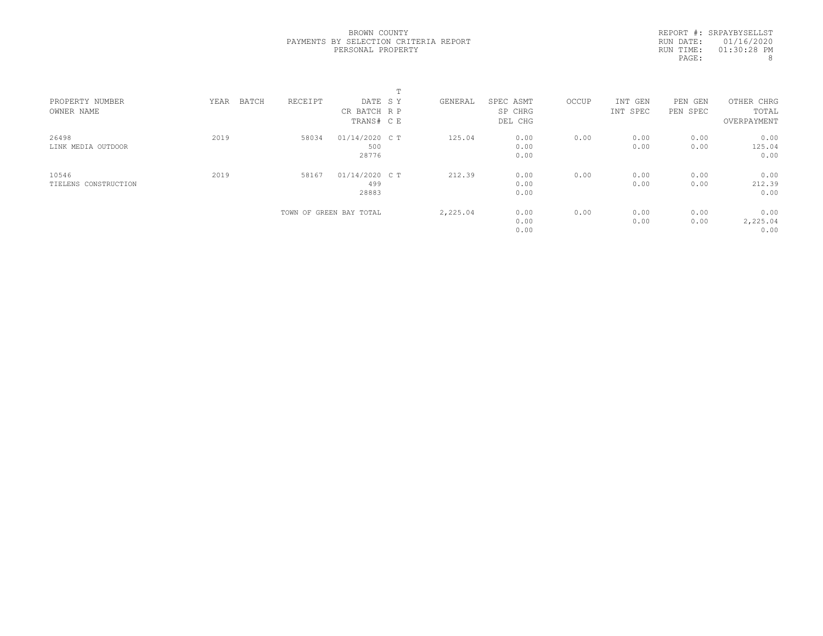REPORT #: SRPAYBYSELLST RUN DATE: 01/16/2020 RUN TIME: 01:30:28 PM PAGE: 8

| PROPERTY NUMBER<br>OWNER NAME | BATCH<br>YEAR | RECEIPT | DATE SY<br>CR BATCH R P<br>TRANS# C E | GENERAL  | SPEC ASMT<br>SP CHRG<br>DEL CHG | OCCUP | INT GEN<br>INT SPEC | PEN<br>GEN<br>PEN SPEC | OTHER CHRG<br>TOTAL<br>OVERPAYMENT |  |
|-------------------------------|---------------|---------|---------------------------------------|----------|---------------------------------|-------|---------------------|------------------------|------------------------------------|--|
| 26498<br>LINK MEDIA OUTDOOR   | 2019          | 58034   | 01/14/2020 C T<br>500<br>28776        | 125.04   | 0.00<br>0.00<br>0.00            | 0.00  | 0.00<br>0.00        | 0.00<br>0.00           | 0.00<br>125.04<br>0.00             |  |
| 10546<br>TIELENS CONSTRUCTION | 2019          | 58167   | 01/14/2020 C T<br>499<br>28883        | 212.39   | 0.00<br>0.00<br>0.00            | 0.00  | 0.00<br>0.00        | 0.00<br>0.00           | 0.00<br>212.39<br>0.00             |  |
|                               |               |         | TOWN OF GREEN BAY TOTAL               | 2,225.04 | 0.00<br>0.00<br>0.00            | 0.00  | 0.00<br>0.00        | 0.00<br>0.00           | 0.00<br>2,225.04<br>0.00           |  |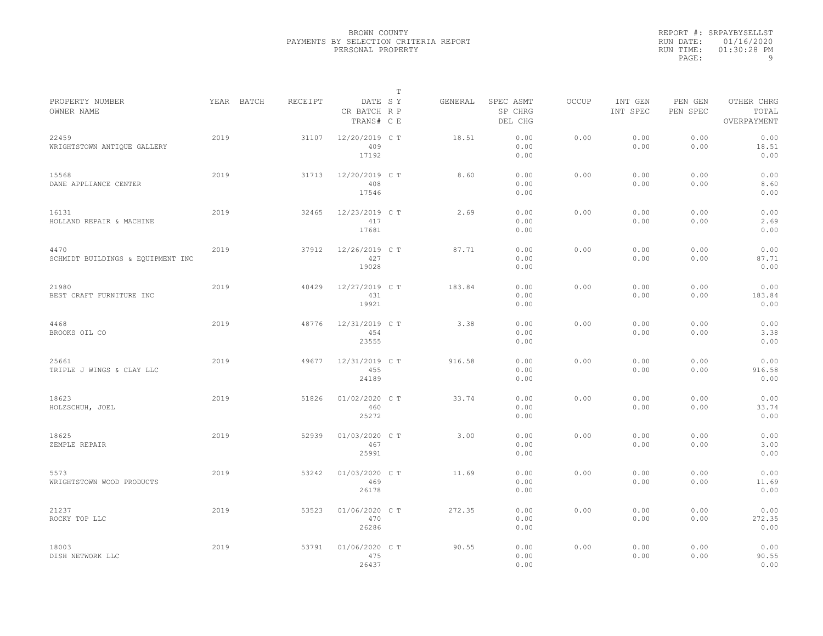|           | REPORT #: SRPAYBYSELLST |
|-----------|-------------------------|
|           | RUN DATE: 01/16/2020    |
| RUN TIME: | $01:30:28$ PM           |
| PAGE:     | q                       |

|                                           |            |         |                                       | T |         |                                 |              |                     |                     |                                    |
|-------------------------------------------|------------|---------|---------------------------------------|---|---------|---------------------------------|--------------|---------------------|---------------------|------------------------------------|
| PROPERTY NUMBER<br>OWNER NAME             | YEAR BATCH | RECEIPT | DATE SY<br>CR BATCH R P<br>TRANS# C E |   | GENERAL | SPEC ASMT<br>SP CHRG<br>DEL CHG | <b>OCCUP</b> | INT GEN<br>INT SPEC | PEN GEN<br>PEN SPEC | OTHER CHRG<br>TOTAL<br>OVERPAYMENT |
| 22459<br>WRIGHTSTOWN ANTIQUE GALLERY      | 2019       | 31107   | 12/20/2019 C T<br>409<br>17192        |   | 18.51   | 0.00<br>0.00<br>0.00            | 0.00         | 0.00<br>0.00        | 0.00<br>0.00        | 0.00<br>18.51<br>0.00              |
| 15568<br>DANE APPLIANCE CENTER            | 2019       | 31713   | 12/20/2019 C T<br>408<br>17546        |   | 8.60    | 0.00<br>0.00<br>0.00            | 0.00         | 0.00<br>0.00        | 0.00<br>0.00        | 0.00<br>8.60<br>0.00               |
| 16131<br>HOLLAND REPAIR & MACHINE         | 2019       | 32465   | 12/23/2019 C T<br>417<br>17681        |   | 2.69    | 0.00<br>0.00<br>0.00            | 0.00         | 0.00<br>0.00        | 0.00<br>0.00        | 0.00<br>2.69<br>0.00               |
| 4470<br>SCHMIDT BUILDINGS & EQUIPMENT INC | 2019       | 37912   | 12/26/2019 C T<br>427<br>19028        |   | 87.71   | 0.00<br>0.00<br>0.00            | 0.00         | 0.00<br>0.00        | 0.00<br>0.00        | 0.00<br>87.71<br>0.00              |
| 21980<br>BEST CRAFT FURNITURE INC         | 2019       | 40429   | 12/27/2019 C T<br>431<br>19921        |   | 183.84  | 0.00<br>0.00<br>0.00            | 0.00         | 0.00<br>0.00        | 0.00<br>0.00        | 0.00<br>183.84<br>0.00             |
| 4468<br>BROOKS OIL CO                     | 2019       | 48776   | 12/31/2019 C T<br>454<br>23555        |   | 3.38    | 0.00<br>0.00<br>0.00            | 0.00         | 0.00<br>0.00        | 0.00<br>0.00        | 0.00<br>3.38<br>0.00               |
| 25661<br>TRIPLE J WINGS & CLAY LLC        | 2019       | 49677   | 12/31/2019 C T<br>455<br>24189        |   | 916.58  | 0.00<br>0.00<br>0.00            | 0.00         | 0.00<br>0.00        | 0.00<br>0.00        | 0.00<br>916.58<br>0.00             |
| 18623<br>HOLZSCHUH, JOEL                  | 2019       | 51826   | 01/02/2020 CT<br>460<br>25272         |   | 33.74   | 0.00<br>0.00<br>0.00            | 0.00         | 0.00<br>0.00        | 0.00<br>0.00        | 0.00<br>33.74<br>0.00              |
| 18625<br>ZEMPLE REPAIR                    | 2019       | 52939   | 01/03/2020 C T<br>467<br>25991        |   | 3.00    | 0.00<br>0.00<br>0.00            | 0.00         | 0.00<br>0.00        | 0.00<br>0.00        | 0.00<br>3.00<br>0.00               |
| 5573<br>WRIGHTSTOWN WOOD PRODUCTS         | 2019       | 53242   | 01/03/2020 C T<br>469<br>26178        |   | 11.69   | 0.00<br>0.00<br>0.00            | 0.00         | 0.00<br>0.00        | 0.00<br>0.00        | 0.00<br>11.69<br>0.00              |
| 21237<br>ROCKY TOP LLC                    | 2019       | 53523   | 01/06/2020 C T<br>470<br>26286        |   | 272.35  | 0.00<br>0.00<br>0.00            | 0.00         | 0.00<br>0.00        | 0.00<br>0.00        | 0.00<br>272.35<br>0.00             |
| 18003<br>DISH NETWORK LLC                 | 2019       | 53791   | 01/06/2020 C T<br>475<br>26437        |   | 90.55   | 0.00<br>0.00<br>0.00            | 0.00         | 0.00<br>0.00        | 0.00<br>0.00        | 0.00<br>90.55<br>0.00              |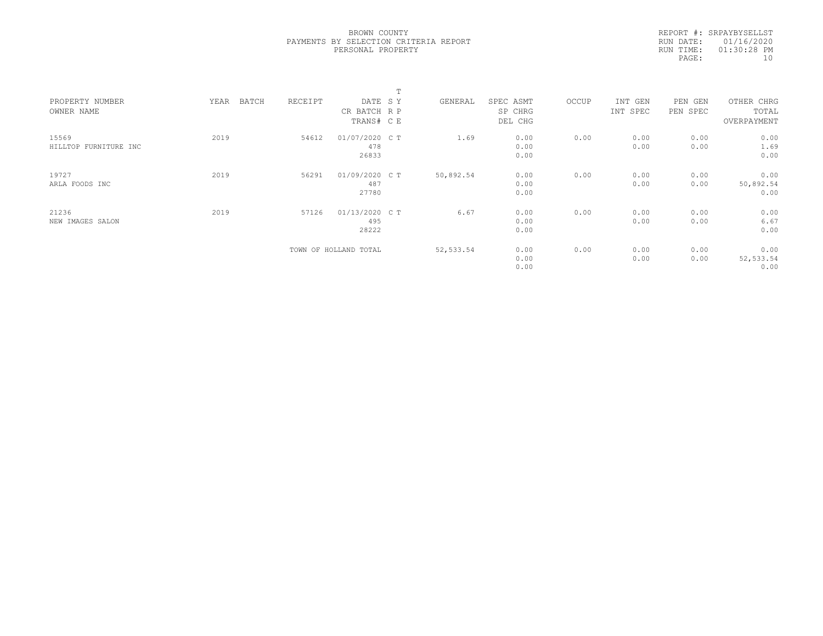|           | REPORT #: SRPAYBYSELLST |
|-----------|-------------------------|
|           | RUN DATE: 01/16/2020    |
| RUN TIME: | $01:30:28$ PM           |
| PAGE:     | 1 N                     |
|           |                         |

|                                |               |         |                                       | m |            |                                 |       |                     |                        |                                    |  |
|--------------------------------|---------------|---------|---------------------------------------|---|------------|---------------------------------|-------|---------------------|------------------------|------------------------------------|--|
| PROPERTY NUMBER<br>OWNER NAME  | BATCH<br>YEAR | RECEIPT | DATE SY<br>CR BATCH R P<br>TRANS# C E |   | GENERAL    | SPEC ASMT<br>SP CHRG<br>DEL CHG | OCCUP | INT GEN<br>INT SPEC | PEN<br>GEN<br>PEN SPEC | OTHER CHRG<br>TOTAL<br>OVERPAYMENT |  |
| 15569<br>HILLTOP FURNITURE INC | 2019          | 54612   | 01/07/2020 C T<br>478<br>26833        |   | 1.69       | 0.00<br>0.00<br>0.00            | 0.00  | 0.00<br>0.00        | 0.00<br>0.00           | 0.00<br>1.69<br>0.00               |  |
| 19727<br>ARLA FOODS INC        | 2019          | 56291   | 01/09/2020 CT<br>487<br>27780         |   | 50,892.54  | 0.00<br>0.00<br>0.00            | 0.00  | 0.00<br>0.00        | 0.00<br>0.00           | 0.00<br>50,892.54<br>0.00          |  |
| 21236<br>NEW IMAGES SALON      | 2019          | 57126   | 01/13/2020 C T<br>495<br>28222        |   | 6.67       | 0.00<br>0.00<br>0.00            | 0.00  | 0.00<br>0.00        | 0.00<br>0.00           | 0.00<br>6.67<br>0.00               |  |
|                                |               |         | TOWN OF HOLLAND TOTAL                 |   | 52, 533.54 | 0.00<br>0.00<br>0.00            | 0.00  | 0.00<br>0.00        | 0.00<br>0.00           | 0.00<br>52, 533.54<br>0.00         |  |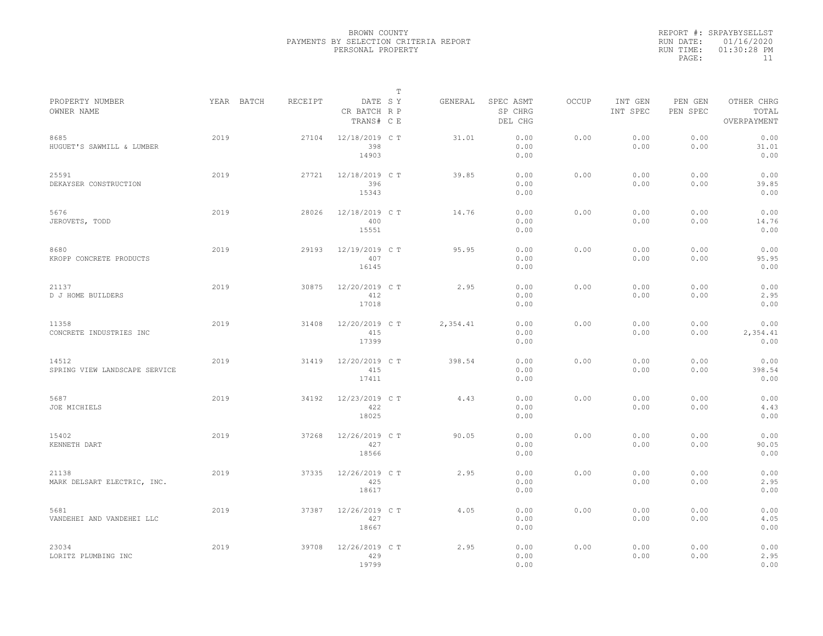|                                        |            |         |                                       | $\mathbb T$ |          |                                 |              |                     |                     |                                    |  |
|----------------------------------------|------------|---------|---------------------------------------|-------------|----------|---------------------------------|--------------|---------------------|---------------------|------------------------------------|--|
| PROPERTY NUMBER<br>OWNER NAME          | YEAR BATCH | RECEIPT | DATE SY<br>CR BATCH R P<br>TRANS# C E |             | GENERAL  | SPEC ASMT<br>SP CHRG<br>DEL CHG | <b>OCCUP</b> | INT GEN<br>INT SPEC | PEN GEN<br>PEN SPEC | OTHER CHRG<br>TOTAL<br>OVERPAYMENT |  |
| 8685<br>HUGUET'S SAWMILL & LUMBER      | 2019       | 27104   | 12/18/2019 C T<br>398<br>14903        |             | 31.01    | 0.00<br>0.00<br>0.00            | 0.00         | 0.00<br>0.00        | 0.00<br>0.00        | 0.00<br>31.01<br>0.00              |  |
| 25591<br>DEKAYSER CONSTRUCTION         | 2019       | 27721   | 12/18/2019 C T<br>396<br>15343        |             | 39.85    | 0.00<br>0.00<br>0.00            | 0.00         | 0.00<br>0.00        | 0.00<br>0.00        | 0.00<br>39.85<br>0.00              |  |
| 5676<br>JEROVETS, TODD                 | 2019       | 28026   | 12/18/2019 C T<br>400<br>15551        |             | 14.76    | 0.00<br>0.00<br>0.00            | 0.00         | 0.00<br>0.00        | 0.00<br>0.00        | 0.00<br>14.76<br>0.00              |  |
| 8680<br>KROPP CONCRETE PRODUCTS        | 2019       | 29193   | 12/19/2019 C T<br>407<br>16145        |             | 95.95    | 0.00<br>0.00<br>0.00            | 0.00         | 0.00<br>0.00        | 0.00<br>0.00        | 0.00<br>95.95<br>0.00              |  |
| 21137<br>D J HOME BUILDERS             | 2019       | 30875   | 12/20/2019 C T<br>412<br>17018        |             | 2.95     | 0.00<br>0.00<br>0.00            | 0.00         | 0.00<br>0.00        | 0.00<br>0.00        | 0.00<br>2.95<br>0.00               |  |
| 11358<br>CONCRETE INDUSTRIES INC       | 2019       | 31408   | 12/20/2019 C T<br>415<br>17399        |             | 2,354.41 | 0.00<br>0.00<br>0.00            | 0.00         | 0.00<br>0.00        | 0.00<br>0.00        | 0.00<br>2,354.41<br>0.00           |  |
| 14512<br>SPRING VIEW LANDSCAPE SERVICE | 2019       | 31419   | 12/20/2019 C T<br>415<br>17411        |             | 398.54   | 0.00<br>0.00<br>0.00            | 0.00         | 0.00<br>0.00        | 0.00<br>0.00        | 0.00<br>398.54<br>0.00             |  |
| 5687<br>JOE MICHIELS                   | 2019       | 34192   | 12/23/2019 C T<br>422<br>18025        |             | 4.43     | 0.00<br>0.00<br>0.00            | 0.00         | 0.00<br>0.00        | 0.00<br>0.00        | 0.00<br>4.43<br>0.00               |  |
| 15402<br>KENNETH DART                  | 2019       | 37268   | 12/26/2019 C T<br>427<br>18566        |             | 90.05    | 0.00<br>0.00<br>0.00            | 0.00         | 0.00<br>0.00        | 0.00<br>0.00        | 0.00<br>90.05<br>0.00              |  |
| 21138<br>MARK DELSART ELECTRIC, INC.   | 2019       | 37335   | 12/26/2019 C T<br>425<br>18617        |             | 2.95     | 0.00<br>0.00<br>0.00            | 0.00         | 0.00<br>0.00        | 0.00<br>0.00        | 0.00<br>2.95<br>0.00               |  |
| 5681<br>VANDEHEI AND VANDEHEI LLC      | 2019       | 37387   | 12/26/2019 C T<br>427<br>18667        |             | 4.05     | 0.00<br>0.00<br>0.00            | 0.00         | 0.00<br>0.00        | 0.00<br>0.00        | 0.00<br>4.05<br>0.00               |  |
| 23034<br>LORITZ PLUMBING INC           | 2019       | 39708   | 12/26/2019 C T<br>429<br>19799        |             | 2.95     | 0.00<br>0.00<br>0.00            | 0.00         | 0.00<br>0.00        | 0.00<br>0.00        | 0.00<br>2.95<br>0.00               |  |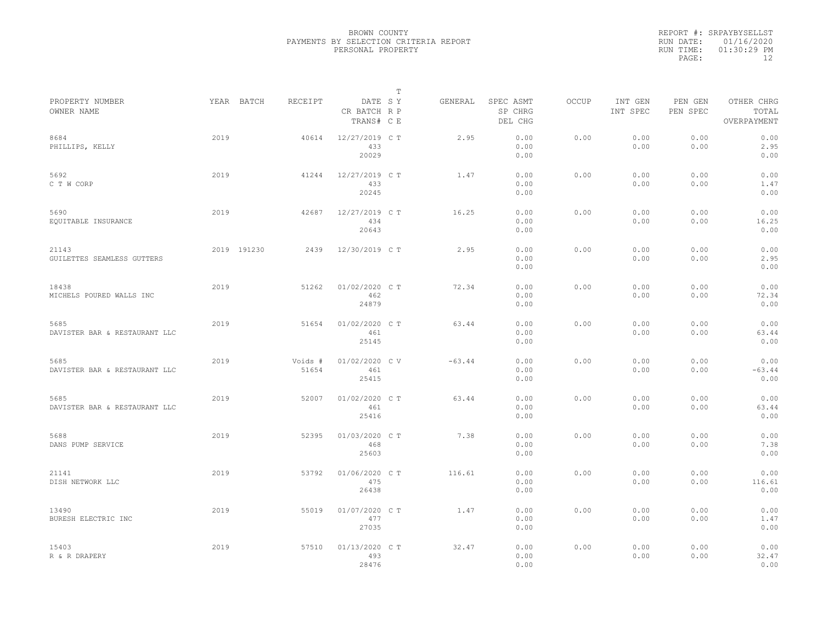|           | REPORT #: SRPAYBYSELLST |
|-----------|-------------------------|
|           | RUN DATE: 01/16/2020    |
| RUN TIME: | $01:30:29$ PM           |
| PAGE:     | 12                      |

| PROPERTY NUMBER                       |      | YEAR BATCH  | RECEIPT          | DATE SY                        | Т | GENERAL  | SPEC ASMT            | OCCUP | INT GEN      | PEN GEN      | OTHER CHRG               |  |
|---------------------------------------|------|-------------|------------------|--------------------------------|---|----------|----------------------|-------|--------------|--------------|--------------------------|--|
| OWNER NAME                            |      |             |                  | CR BATCH R P<br>TRANS# C E     |   |          | SP CHRG<br>DEL CHG   |       | INT SPEC     | PEN SPEC     | TOTAL<br>OVERPAYMENT     |  |
| 8684<br>PHILLIPS, KELLY               | 2019 |             | 40614            | 12/27/2019 C T<br>433<br>20029 |   | 2.95     | 0.00<br>0.00<br>0.00 | 0.00  | 0.00<br>0.00 | 0.00<br>0.00 | 0.00<br>2.95<br>0.00     |  |
| 5692<br>C T W CORP                    | 2019 |             | 41244            | 12/27/2019 C T<br>433<br>20245 |   | 1.47     | 0.00<br>0.00<br>0.00 | 0.00  | 0.00<br>0.00 | 0.00<br>0.00 | 0.00<br>1.47<br>0.00     |  |
| 5690<br>EQUITABLE INSURANCE           | 2019 |             | 42687            | 12/27/2019 C T<br>434<br>20643 |   | 16.25    | 0.00<br>0.00<br>0.00 | 0.00  | 0.00<br>0.00 | 0.00<br>0.00 | 0.00<br>16.25<br>0.00    |  |
| 21143<br>GUILETTES SEAMLESS GUTTERS   |      | 2019 191230 | 2439             | 12/30/2019 C T                 |   | 2.95     | 0.00<br>0.00<br>0.00 | 0.00  | 0.00<br>0.00 | 0.00<br>0.00 | 0.00<br>2.95<br>0.00     |  |
| 18438<br>MICHELS POURED WALLS INC     | 2019 |             | 51262            | 01/02/2020 C T<br>462<br>24879 |   | 72.34    | 0.00<br>0.00<br>0.00 | 0.00  | 0.00<br>0.00 | 0.00<br>0.00 | 0.00<br>72.34<br>0.00    |  |
| 5685<br>DAVISTER BAR & RESTAURANT LLC | 2019 |             | 51654            | 01/02/2020 C T<br>461<br>25145 |   | 63.44    | 0.00<br>0.00<br>0.00 | 0.00  | 0.00<br>0.00 | 0.00<br>0.00 | 0.00<br>63.44<br>0.00    |  |
| 5685<br>DAVISTER BAR & RESTAURANT LLC | 2019 |             | Voids #<br>51654 | 01/02/2020 CV<br>461<br>25415  |   | $-63.44$ | 0.00<br>0.00<br>0.00 | 0.00  | 0.00<br>0.00 | 0.00<br>0.00 | 0.00<br>$-63.44$<br>0.00 |  |
| 5685<br>DAVISTER BAR & RESTAURANT LLC | 2019 |             | 52007            | 01/02/2020 CT<br>461<br>25416  |   | 63.44    | 0.00<br>0.00<br>0.00 | 0.00  | 0.00<br>0.00 | 0.00<br>0.00 | 0.00<br>63.44<br>0.00    |  |
| 5688<br>DANS PUMP SERVICE             | 2019 |             | 52395            | 01/03/2020 CT<br>468<br>25603  |   | 7.38     | 0.00<br>0.00<br>0.00 | 0.00  | 0.00<br>0.00 | 0.00<br>0.00 | 0.00<br>7.38<br>0.00     |  |
| 21141<br>DISH NETWORK LLC             | 2019 |             | 53792            | 01/06/2020 C T<br>475<br>26438 |   | 116.61   | 0.00<br>0.00<br>0.00 | 0.00  | 0.00<br>0.00 | 0.00<br>0.00 | 0.00<br>116.61<br>0.00   |  |
| 13490<br>BURESH ELECTRIC INC          | 2019 |             | 55019            | 01/07/2020 C T<br>477<br>27035 |   | 1.47     | 0.00<br>0.00<br>0.00 | 0.00  | 0.00<br>0.00 | 0.00<br>0.00 | 0.00<br>1.47<br>0.00     |  |
| 15403<br>R & R DRAPERY                | 2019 |             | 57510            | 01/13/2020 C T<br>493<br>28476 |   | 32.47    | 0.00<br>0.00<br>0.00 | 0.00  | 0.00<br>0.00 | 0.00<br>0.00 | 0.00<br>32.47<br>0.00    |  |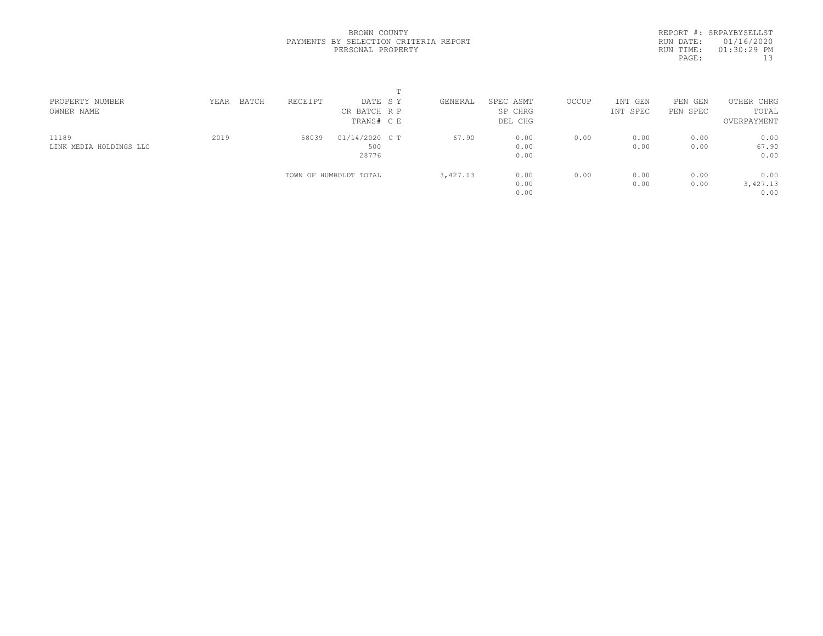REPORT #: SRPAYBYSELLST RUN DATE: 01/16/2020 RUN TIME: 01:30:29 PM PAGE: 13

| PROPERTY NUMBER         | YEAR | BATCH | RECEIPT | DATE SY                | GENERAL  | SPEC ASMT | OCCUP | INT GEN  | PEN GEN  | OTHER CHRG  |  |
|-------------------------|------|-------|---------|------------------------|----------|-----------|-------|----------|----------|-------------|--|
| OWNER NAME              |      |       |         | CR BATCH R P           |          | SP CHRG   |       | INT SPEC | PEN SPEC | TOTAL       |  |
|                         |      |       |         | TRANS# C E             |          | DEL CHG   |       |          |          | OVERPAYMENT |  |
| 11189                   | 2019 |       | 58039   | $01/14/2020$ C T       | 67.90    | 0.00      | 0.00  | 0.00     | 0.00     | 0.00        |  |
| LINK MEDIA HOLDINGS LLC |      |       |         | 500                    |          | 0.00      |       | 0.00     | 0.00     | 67.90       |  |
|                         |      |       |         | 28776                  |          | 0.00      |       |          |          | 0.00        |  |
|                         |      |       |         | TOWN OF HUMBOLDT TOTAL | 3,427.13 | 0.00      | 0.00  | 0.00     | 0.00     | 0.00        |  |
|                         |      |       |         |                        |          | 0.00      |       | 0.00     | 0.00     | 3,427.13    |  |
|                         |      |       |         |                        |          | 0.00      |       |          |          | 0.00        |  |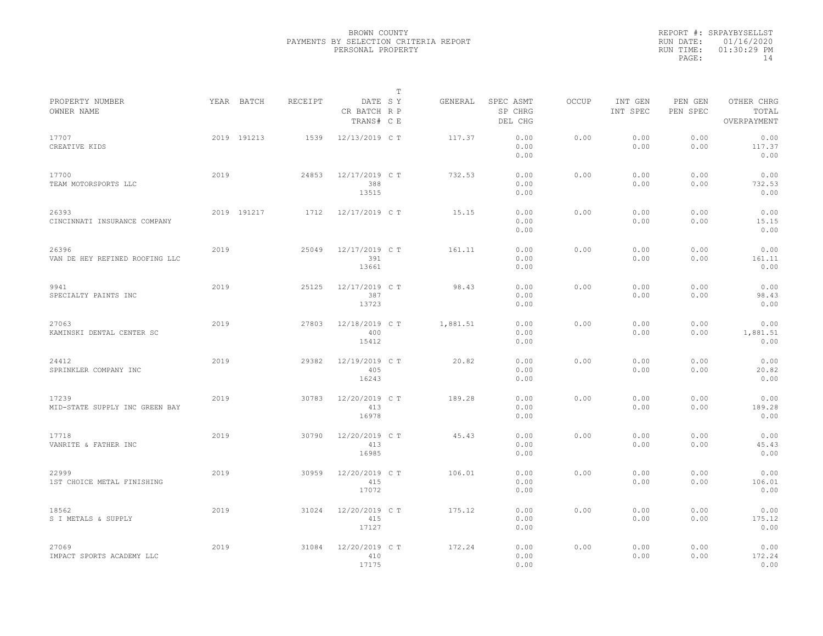|                                         |      |             |         |                                       | T |          |                                 |              |                     |                     |                                    |  |
|-----------------------------------------|------|-------------|---------|---------------------------------------|---|----------|---------------------------------|--------------|---------------------|---------------------|------------------------------------|--|
| PROPERTY NUMBER<br>OWNER NAME           |      | YEAR BATCH  | RECEIPT | DATE SY<br>CR BATCH R P<br>TRANS# C E |   | GENERAL  | SPEC ASMT<br>SP CHRG<br>DEL CHG | <b>OCCUP</b> | INT GEN<br>INT SPEC | PEN GEN<br>PEN SPEC | OTHER CHRG<br>TOTAL<br>OVERPAYMENT |  |
| 17707<br>CREATIVE KIDS                  |      | 2019 191213 | 1539    | 12/13/2019 C T                        |   | 117.37   | 0.00<br>0.00<br>0.00            | 0.00         | 0.00<br>0.00        | 0.00<br>0.00        | 0.00<br>117.37<br>0.00             |  |
| 17700<br>TEAM MOTORSPORTS LLC           | 2019 |             | 24853   | 12/17/2019 C T<br>388<br>13515        |   | 732.53   | 0.00<br>0.00<br>0.00            | 0.00         | 0.00<br>0.00        | 0.00<br>0.00        | 0.00<br>732.53<br>0.00             |  |
| 26393<br>CINCINNATI INSURANCE COMPANY   |      | 2019 191217 | 1712    | 12/17/2019 C T                        |   | 15.15    | 0.00<br>0.00<br>0.00            | 0.00         | 0.00<br>0.00        | 0.00<br>0.00        | 0.00<br>15.15<br>0.00              |  |
| 26396<br>VAN DE HEY REFINED ROOFING LLC | 2019 |             | 25049   | 12/17/2019 C T<br>391<br>13661        |   | 161.11   | 0.00<br>0.00<br>0.00            | 0.00         | 0.00<br>0.00        | 0.00<br>0.00        | 0.00<br>161.11<br>0.00             |  |
| 9941<br>SPECIALTY PAINTS INC            | 2019 |             | 25125   | 12/17/2019 C T<br>387<br>13723        |   | 98.43    | 0.00<br>0.00<br>0.00            | 0.00         | 0.00<br>0.00        | 0.00<br>0.00        | 0.00<br>98.43<br>0.00              |  |
| 27063<br>KAMINSKI DENTAL CENTER SC      | 2019 |             | 27803   | 12/18/2019 C T<br>400<br>15412        |   | 1,881.51 | 0.00<br>0.00<br>0.00            | 0.00         | 0.00<br>0.00        | 0.00<br>0.00        | 0.00<br>1,881.51<br>0.00           |  |
| 24412<br>SPRINKLER COMPANY INC          | 2019 |             | 29382   | 12/19/2019 C T<br>405<br>16243        |   | 20.82    | 0.00<br>0.00<br>0.00            | 0.00         | 0.00<br>0.00        | 0.00<br>0.00        | 0.00<br>20.82<br>0.00              |  |
| 17239<br>MID-STATE SUPPLY INC GREEN BAY | 2019 |             | 30783   | 12/20/2019 C T<br>413<br>16978        |   | 189.28   | 0.00<br>0.00<br>0.00            | 0.00         | 0.00<br>0.00        | 0.00<br>0.00        | 0.00<br>189.28<br>0.00             |  |
| 17718<br>VANRITE & FATHER INC           | 2019 |             | 30790   | 12/20/2019 C T<br>413<br>16985        |   | 45.43    | 0.00<br>0.00<br>0.00            | 0.00         | 0.00<br>0.00        | 0.00<br>0.00        | 0.00<br>45.43<br>0.00              |  |
| 22999<br>1ST CHOICE METAL FINISHING     | 2019 |             | 30959   | 12/20/2019 C T<br>415<br>17072        |   | 106.01   | 0.00<br>0.00<br>0.00            | 0.00         | 0.00<br>0.00        | 0.00<br>0.00        | 0.00<br>106.01<br>0.00             |  |
| 18562<br>S I METALS & SUPPLY            | 2019 |             | 31024   | 12/20/2019 C T<br>415<br>17127        |   | 175.12   | 0.00<br>0.00<br>0.00            | 0.00         | 0.00<br>0.00        | 0.00<br>0.00        | 0.00<br>175.12<br>0.00             |  |
| 27069<br>IMPACT SPORTS ACADEMY LLC      | 2019 |             | 31084   | 12/20/2019 C T<br>410<br>17175        |   | 172.24   | 0.00<br>0.00<br>0.00            | 0.00         | 0.00<br>0.00        | 0.00<br>0.00        | 0.00<br>172.24<br>0.00             |  |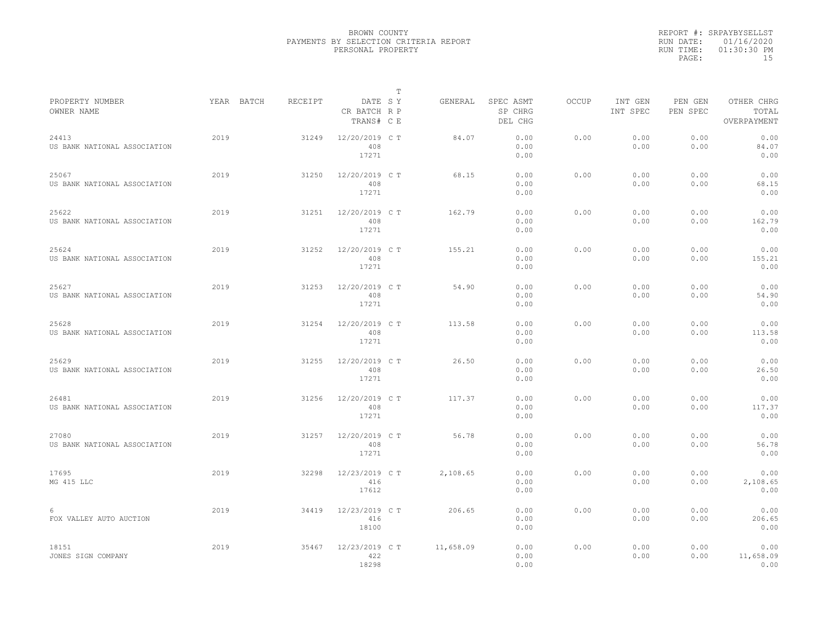|                                       |            |         |                                       | T |           |                                 |              |                     |                     |                                    |  |
|---------------------------------------|------------|---------|---------------------------------------|---|-----------|---------------------------------|--------------|---------------------|---------------------|------------------------------------|--|
| PROPERTY NUMBER<br>OWNER NAME         | YEAR BATCH | RECEIPT | DATE SY<br>CR BATCH R P<br>TRANS# C E |   | GENERAL   | SPEC ASMT<br>SP CHRG<br>DEL CHG | <b>OCCUP</b> | INT GEN<br>INT SPEC | PEN GEN<br>PEN SPEC | OTHER CHRG<br>TOTAL<br>OVERPAYMENT |  |
| 24413<br>US BANK NATIONAL ASSOCIATION | 2019       | 31249   | 12/20/2019 C T<br>408<br>17271        |   | 84.07     | 0.00<br>0.00<br>0.00            | 0.00         | 0.00<br>0.00        | 0.00<br>0.00        | 0.00<br>84.07<br>0.00              |  |
| 25067<br>US BANK NATIONAL ASSOCIATION | 2019       | 31250   | 12/20/2019 C T<br>408<br>17271        |   | 68.15     | 0.00<br>0.00<br>0.00            | 0.00         | 0.00<br>0.00        | 0.00<br>0.00        | 0.00<br>68.15<br>0.00              |  |
| 25622<br>US BANK NATIONAL ASSOCIATION | 2019       | 31251   | 12/20/2019 C T<br>408<br>17271        |   | 162.79    | 0.00<br>0.00<br>0.00            | 0.00         | 0.00<br>0.00        | 0.00<br>0.00        | 0.00<br>162.79<br>0.00             |  |
| 25624<br>US BANK NATIONAL ASSOCIATION | 2019       | 31252   | 12/20/2019 C T<br>408<br>17271        |   | 155.21    | 0.00<br>0.00<br>0.00            | 0.00         | 0.00<br>0.00        | 0.00<br>0.00        | 0.00<br>155.21<br>0.00             |  |
| 25627<br>US BANK NATIONAL ASSOCIATION | 2019       | 31253   | 12/20/2019 C T<br>408<br>17271        |   | 54.90     | 0.00<br>0.00<br>0.00            | 0.00         | 0.00<br>0.00        | 0.00<br>0.00        | 0.00<br>54.90<br>0.00              |  |
| 25628<br>US BANK NATIONAL ASSOCIATION | 2019       | 31254   | 12/20/2019 C T<br>408<br>17271        |   | 113.58    | 0.00<br>0.00<br>0.00            | 0.00         | 0.00<br>0.00        | 0.00<br>0.00        | 0.00<br>113.58<br>0.00             |  |
| 25629<br>US BANK NATIONAL ASSOCIATION | 2019       | 31255   | 12/20/2019 C T<br>408<br>17271        |   | 26.50     | 0.00<br>0.00<br>0.00            | 0.00         | 0.00<br>0.00        | 0.00<br>0.00        | 0.00<br>26.50<br>0.00              |  |
| 26481<br>US BANK NATIONAL ASSOCIATION | 2019       | 31256   | 12/20/2019 C T<br>408<br>17271        |   | 117.37    | 0.00<br>0.00<br>0.00            | 0.00         | 0.00<br>0.00        | 0.00<br>0.00        | 0.00<br>117.37<br>0.00             |  |
| 27080<br>US BANK NATIONAL ASSOCIATION | 2019       | 31257   | 12/20/2019 C T<br>408<br>17271        |   | 56.78     | 0.00<br>0.00<br>0.00            | 0.00         | 0.00<br>0.00        | 0.00<br>0.00        | 0.00<br>56.78<br>0.00              |  |
| 17695<br>MG 415 LLC                   | 2019       | 32298   | 12/23/2019 C T<br>416<br>17612        |   | 2,108.65  | 0.00<br>0.00<br>0.00            | 0.00         | 0.00<br>0.00        | 0.00<br>0.00        | 0.00<br>2,108.65<br>0.00           |  |
| 6<br>FOX VALLEY AUTO AUCTION          | 2019       | 34419   | 12/23/2019 C T<br>416<br>18100        |   | 206.65    | 0.00<br>0.00<br>0.00            | 0.00         | 0.00<br>0.00        | 0.00<br>0.00        | 0.00<br>206.65<br>0.00             |  |
| 18151<br>JONES SIGN COMPANY           | 2019       | 35467   | 12/23/2019 C T<br>422<br>18298        |   | 11,658.09 | 0.00<br>0.00<br>0.00            | 0.00         | 0.00<br>0.00        | 0.00<br>0.00        | 0.00<br>11,658.09<br>0.00          |  |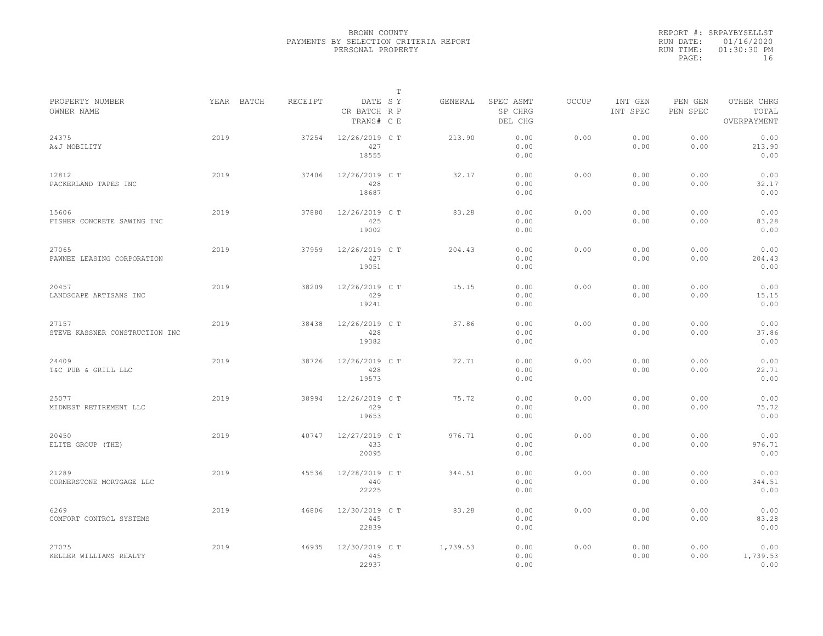| REPORT #: SRPAYBYSELLST |
|-------------------------|
| RUN DATE: 01/16/2020    |
| $01:30:30$ PM           |
| 16                      |
|                         |

|                                         |      |            |         |                                       | Т |          |                                 |       |                     |                     |                                    |  |
|-----------------------------------------|------|------------|---------|---------------------------------------|---|----------|---------------------------------|-------|---------------------|---------------------|------------------------------------|--|
| PROPERTY NUMBER<br>OWNER NAME           |      | YEAR BATCH | RECEIPT | DATE SY<br>CR BATCH R P<br>TRANS# C E |   | GENERAL  | SPEC ASMT<br>SP CHRG<br>DEL CHG | OCCUP | INT GEN<br>INT SPEC | PEN GEN<br>PEN SPEC | OTHER CHRG<br>TOTAL<br>OVERPAYMENT |  |
| 24375<br>A&J MOBILITY                   | 2019 |            | 37254   | 12/26/2019 C T<br>427<br>18555        |   | 213.90   | 0.00<br>0.00<br>0.00            | 0.00  | 0.00<br>0.00        | 0.00<br>0.00        | 0.00<br>213.90<br>0.00             |  |
| 12812<br>PACKERLAND TAPES INC           | 2019 |            | 37406   | 12/26/2019 C T<br>428<br>18687        |   | 32.17    | 0.00<br>0.00<br>0.00            | 0.00  | 0.00<br>0.00        | 0.00<br>0.00        | 0.00<br>32.17<br>0.00              |  |
| 15606<br>FISHER CONCRETE SAWING INC     | 2019 |            | 37880   | 12/26/2019 C T<br>425<br>19002        |   | 83.28    | 0.00<br>0.00<br>0.00            | 0.00  | 0.00<br>0.00        | 0.00<br>0.00        | 0.00<br>83.28<br>0.00              |  |
| 27065<br>PAWNEE LEASING CORPORATION     | 2019 |            | 37959   | 12/26/2019 C T<br>427<br>19051        |   | 204.43   | 0.00<br>0.00<br>0.00            | 0.00  | 0.00<br>0.00        | 0.00<br>0.00        | 0.00<br>204.43<br>0.00             |  |
| 20457<br>LANDSCAPE ARTISANS INC         | 2019 |            | 38209   | 12/26/2019 C T<br>429<br>19241        |   | 15.15    | 0.00<br>0.00<br>0.00            | 0.00  | 0.00<br>0.00        | 0.00<br>0.00        | 0.00<br>15.15<br>0.00              |  |
| 27157<br>STEVE KASSNER CONSTRUCTION INC | 2019 |            | 38438   | 12/26/2019 C T<br>428<br>19382        |   | 37.86    | 0.00<br>0.00<br>0.00            | 0.00  | 0.00<br>0.00        | 0.00<br>0.00        | 0.00<br>37.86<br>0.00              |  |
| 24409<br>T&C PUB & GRILL LLC            | 2019 |            | 38726   | 12/26/2019 C T<br>428<br>19573        |   | 22.71    | 0.00<br>0.00<br>0.00            | 0.00  | 0.00<br>0.00        | 0.00<br>0.00        | 0.00<br>22.71<br>0.00              |  |
| 25077<br>MIDWEST RETIREMENT LLC         | 2019 |            | 38994   | 12/26/2019 C T<br>429<br>19653        |   | 75.72    | 0.00<br>0.00<br>0.00            | 0.00  | 0.00<br>0.00        | 0.00<br>0.00        | 0.00<br>75.72<br>0.00              |  |
| 20450<br>ELITE GROUP (THE)              | 2019 |            | 40747   | 12/27/2019 C T<br>433<br>20095        |   | 976.71   | 0.00<br>0.00<br>0.00            | 0.00  | 0.00<br>0.00        | 0.00<br>0.00        | 0.00<br>976.71<br>0.00             |  |
| 21289<br>CORNERSTONE MORTGAGE LLC       | 2019 |            | 45536   | 12/28/2019 C T<br>440<br>22225        |   | 344.51   | 0.00<br>0.00<br>0.00            | 0.00  | 0.00<br>0.00        | 0.00<br>0.00        | 0.00<br>344.51<br>0.00             |  |
| 6269<br>COMFORT CONTROL SYSTEMS         | 2019 |            | 46806   | 12/30/2019 C T<br>445<br>22839        |   | 83.28    | 0.00<br>0.00<br>0.00            | 0.00  | 0.00<br>0.00        | 0.00<br>0.00        | 0.00<br>83.28<br>0.00              |  |
| 27075<br>KELLER WILLIAMS REALTY         | 2019 |            | 46935   | 12/30/2019 C T<br>445<br>22937        |   | 1,739.53 | 0.00<br>0.00<br>0.00            | 0.00  | 0.00<br>0.00        | 0.00<br>0.00        | 0.00<br>1,739.53<br>0.00           |  |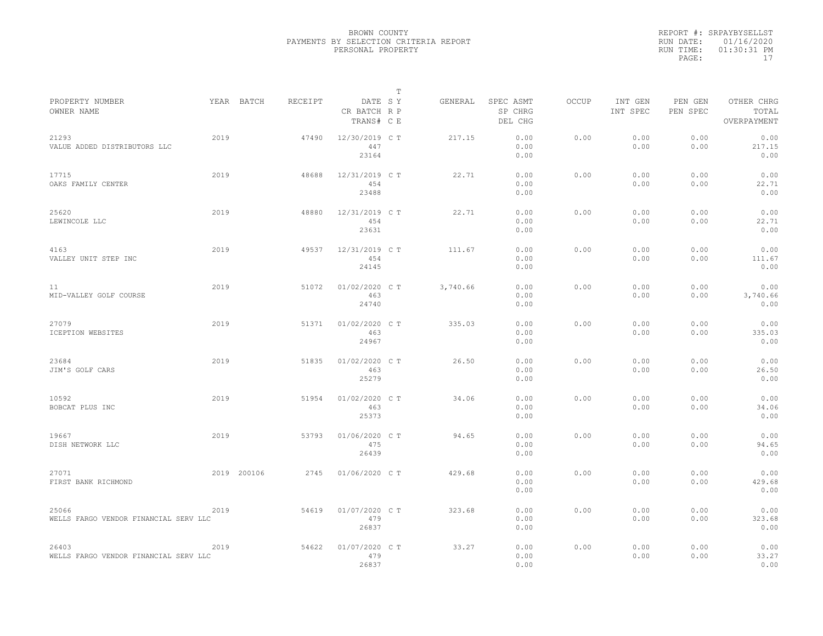|                                                |      |             |         |                                       | T |          |                                 |              |                     |                     |                                    |
|------------------------------------------------|------|-------------|---------|---------------------------------------|---|----------|---------------------------------|--------------|---------------------|---------------------|------------------------------------|
| PROPERTY NUMBER<br>OWNER NAME                  |      | YEAR BATCH  | RECEIPT | DATE SY<br>CR BATCH R P<br>TRANS# C E |   | GENERAL  | SPEC ASMT<br>SP CHRG<br>DEL CHG | <b>OCCUP</b> | INT GEN<br>INT SPEC | PEN GEN<br>PEN SPEC | OTHER CHRG<br>TOTAL<br>OVERPAYMENT |
| 21293<br>VALUE ADDED DISTRIBUTORS LLC          | 2019 |             | 47490   | 12/30/2019 C T<br>447<br>23164        |   | 217.15   | 0.00<br>0.00<br>0.00            | 0.00         | 0.00<br>0.00        | 0.00<br>0.00        | 0.00<br>217.15<br>0.00             |
| 17715<br>OAKS FAMILY CENTER                    | 2019 |             | 48688   | 12/31/2019 C T<br>454<br>23488        |   | 22.71    | 0.00<br>0.00<br>0.00            | 0.00         | 0.00<br>0.00        | 0.00<br>0.00        | 0.00<br>22.71<br>0.00              |
| 25620<br>LEWINCOLE LLC                         | 2019 |             | 48880   | 12/31/2019 C T<br>454<br>23631        |   | 22.71    | 0.00<br>0.00<br>0.00            | 0.00         | 0.00<br>0.00        | 0.00<br>0.00        | 0.00<br>22.71<br>0.00              |
| 4163<br>VALLEY UNIT STEP INC                   | 2019 |             | 49537   | 12/31/2019 C T<br>454<br>24145        |   | 111.67   | 0.00<br>0.00<br>0.00            | 0.00         | 0.00<br>0.00        | 0.00<br>0.00        | 0.00<br>111.67<br>0.00             |
| 11<br>MID-VALLEY GOLF COURSE                   | 2019 |             | 51072   | 01/02/2020 C T<br>463<br>24740        |   | 3,740.66 | 0.00<br>0.00<br>0.00            | 0.00         | 0.00<br>0.00        | 0.00<br>0.00        | 0.00<br>3,740.66<br>0.00           |
| 27079<br>ICEPTION WEBSITES                     | 2019 |             | 51371   | 01/02/2020 C T<br>463<br>24967        |   | 335.03   | 0.00<br>0.00<br>0.00            | 0.00         | 0.00<br>0.00        | 0.00<br>0.00        | 0.00<br>335.03<br>0.00             |
| 23684<br>JIM'S GOLF CARS                       | 2019 |             | 51835   | 01/02/2020 C T<br>463<br>25279        |   | 26.50    | 0.00<br>0.00<br>0.00            | 0.00         | 0.00<br>0.00        | 0.00<br>0.00        | 0.00<br>26.50<br>0.00              |
| 10592<br>BOBCAT PLUS INC                       | 2019 |             | 51954   | 01/02/2020 C T<br>463<br>25373        |   | 34.06    | 0.00<br>0.00<br>0.00            | 0.00         | 0.00<br>0.00        | 0.00<br>0.00        | 0.00<br>34.06<br>0.00              |
| 19667<br>DISH NETWORK LLC                      | 2019 |             | 53793   | 01/06/2020 C T<br>475<br>26439        |   | 94.65    | 0.00<br>0.00<br>0.00            | 0.00         | 0.00<br>0.00        | 0.00<br>0.00        | 0.00<br>94.65<br>0.00              |
| 27071<br>FIRST BANK RICHMOND                   |      | 2019 200106 | 2745    | 01/06/2020 C T                        |   | 429.68   | 0.00<br>0.00<br>0.00            | 0.00         | 0.00<br>0.00        | 0.00<br>0.00        | 0.00<br>429.68<br>0.00             |
| 25066<br>WELLS FARGO VENDOR FINANCIAL SERV LLC | 2019 |             | 54619   | 01/07/2020 C T<br>479<br>26837        |   | 323.68   | 0.00<br>0.00<br>0.00            | 0.00         | 0.00<br>0.00        | 0.00<br>0.00        | 0.00<br>323.68<br>0.00             |
| 26403<br>WELLS FARGO VENDOR FINANCIAL SERV LLC | 2019 |             | 54622   | 01/07/2020 C T<br>479<br>26837        |   | 33.27    | 0.00<br>0.00<br>0.00            | 0.00         | 0.00<br>0.00        | 0.00<br>0.00        | 0.00<br>33.27<br>0.00              |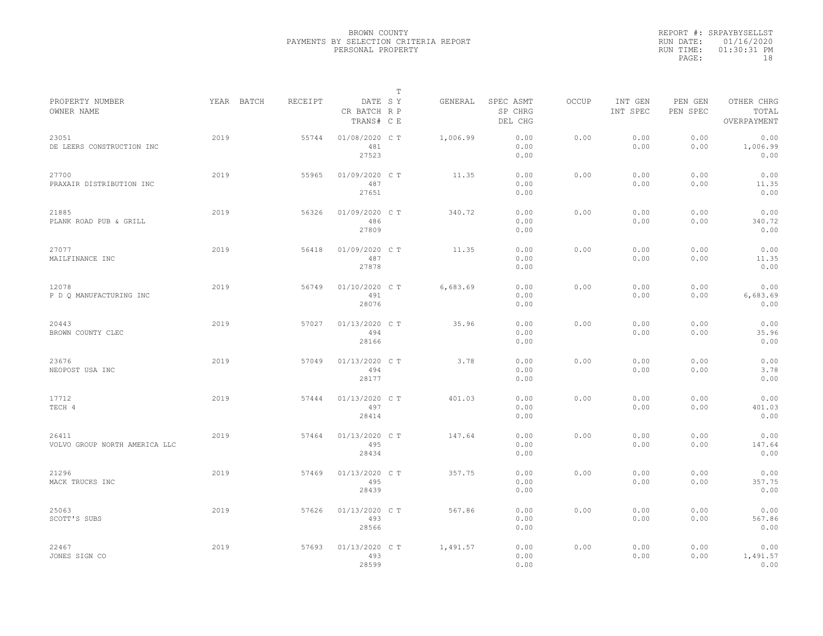|           | REPORT #: SRPAYBYSELLST |
|-----------|-------------------------|
|           | RUN DATE: 01/16/2020    |
| RUN TIME: | $01:30:31$ PM           |
| PAGE:     | 18                      |

|                                        |            |         |                                       | T |          |                                 |              |                     |                     |                                    |
|----------------------------------------|------------|---------|---------------------------------------|---|----------|---------------------------------|--------------|---------------------|---------------------|------------------------------------|
| PROPERTY NUMBER<br>OWNER NAME          | YEAR BATCH | RECEIPT | DATE SY<br>CR BATCH R P<br>TRANS# C E |   | GENERAL  | SPEC ASMT<br>SP CHRG<br>DEL CHG | <b>OCCUP</b> | INT GEN<br>INT SPEC | PEN GEN<br>PEN SPEC | OTHER CHRG<br>TOTAL<br>OVERPAYMENT |
| 23051<br>DE LEERS CONSTRUCTION INC     | 2019       | 55744   | 01/08/2020 C T<br>481<br>27523        |   | 1,006.99 | 0.00<br>0.00<br>0.00            | 0.00         | 0.00<br>0.00        | 0.00<br>0.00        | 0.00<br>1,006.99<br>0.00           |
| 27700<br>PRAXAIR DISTRIBUTION INC      | 2019       | 55965   | 01/09/2020 C T<br>487<br>27651        |   | 11.35    | 0.00<br>0.00<br>0.00            | 0.00         | 0.00<br>0.00        | 0.00<br>0.00        | 0.00<br>11.35<br>0.00              |
| 21885<br>PLANK ROAD PUB & GRILL        | 2019       | 56326   | 01/09/2020 C T<br>486<br>27809        |   | 340.72   | 0.00<br>0.00<br>0.00            | 0.00         | 0.00<br>0.00        | 0.00<br>0.00        | 0.00<br>340.72<br>0.00             |
| 27077<br>MAILFINANCE INC               | 2019       | 56418   | 01/09/2020 C T<br>487<br>27878        |   | 11.35    | 0.00<br>0.00<br>0.00            | 0.00         | 0.00<br>0.00        | 0.00<br>0.00        | 0.00<br>11.35<br>0.00              |
| 12078<br>P D Q MANUFACTURING INC       | 2019       | 56749   | 01/10/2020 C T<br>491<br>28076        |   | 6,683.69 | 0.00<br>0.00<br>0.00            | 0.00         | 0.00<br>0.00        | 0.00<br>0.00        | 0.00<br>6,683.69<br>0.00           |
| 20443<br>BROWN COUNTY CLEC             | 2019       | 57027   | 01/13/2020 C T<br>494<br>28166        |   | 35.96    | 0.00<br>0.00<br>0.00            | 0.00         | 0.00<br>0.00        | 0.00<br>0.00        | 0.00<br>35.96<br>0.00              |
| 23676<br>NEOPOST USA INC               | 2019       | 57049   | 01/13/2020 C T<br>494<br>28177        |   | 3.78     | 0.00<br>0.00<br>0.00            | 0.00         | 0.00<br>0.00        | 0.00<br>0.00        | 0.00<br>3.78<br>0.00               |
| 17712<br>TECH 4                        | 2019       | 57444   | 01/13/2020 C T<br>497<br>28414        |   | 401.03   | 0.00<br>0.00<br>0.00            | 0.00         | 0.00<br>0.00        | 0.00<br>0.00        | 0.00<br>401.03<br>0.00             |
| 26411<br>VOLVO GROUP NORTH AMERICA LLC | 2019       | 57464   | 01/13/2020 C T<br>495<br>28434        |   | 147.64   | 0.00<br>0.00<br>0.00            | 0.00         | 0.00<br>0.00        | 0.00<br>0.00        | 0.00<br>147.64<br>0.00             |
| 21296<br>MACK TRUCKS INC               | 2019       | 57469   | 01/13/2020 C T<br>495<br>28439        |   | 357.75   | 0.00<br>0.00<br>0.00            | 0.00         | 0.00<br>0.00        | 0.00<br>0.00        | 0.00<br>357.75<br>0.00             |
| 25063<br>SCOTT'S SUBS                  | 2019       | 57626   | 01/13/2020 C T<br>493<br>28566        |   | 567.86   | 0.00<br>0.00<br>0.00            | 0.00         | 0.00<br>0.00        | 0.00<br>0.00        | 0.00<br>567.86<br>0.00             |
| 22467<br>JONES SIGN CO                 | 2019       | 57693   | 01/13/2020 C T<br>493<br>28599        |   | 1,491.57 | 0.00<br>0.00<br>0.00            | 0.00         | 0.00<br>0.00        | 0.00<br>0.00        | 0.00<br>1,491.57<br>0.00           |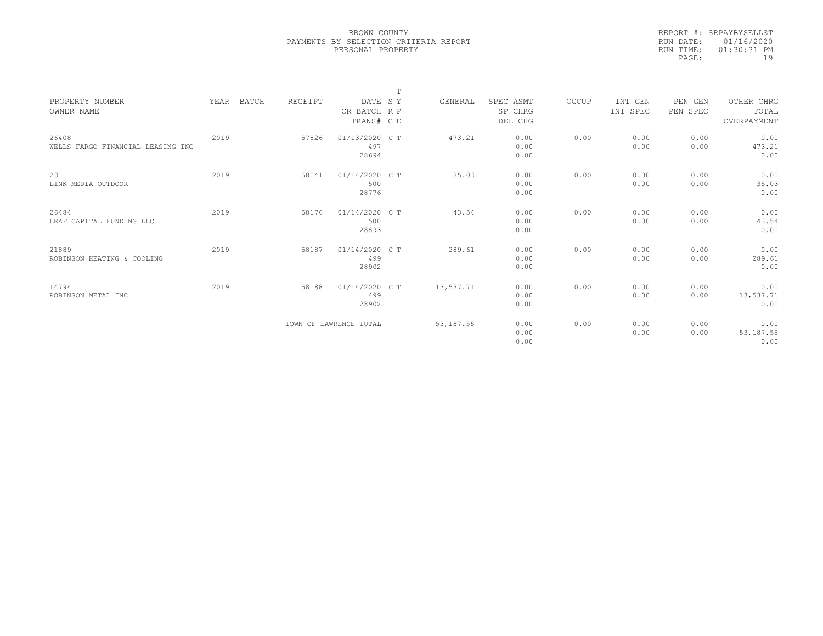|           | REPORT #: SRPAYBYSELLST |
|-----------|-------------------------|
|           | RUN DATE: 01/16/2020    |
| RUN TIME: | $01:30:31$ PM           |
| PAGE:     | 19                      |

|                                   |      |       |         |                        | $\mathbb T$ |            |           |       |          |          |             |  |
|-----------------------------------|------|-------|---------|------------------------|-------------|------------|-----------|-------|----------|----------|-------------|--|
| PROPERTY NUMBER                   | YEAR | BATCH | RECEIPT | DATE SY                |             | GENERAL    | SPEC ASMT | OCCUP | INT GEN  | PEN GEN  | OTHER CHRG  |  |
| OWNER NAME                        |      |       |         | CR BATCH R P           |             |            | SP CHRG   |       | INT SPEC | PEN SPEC | TOTAL       |  |
|                                   |      |       |         | TRANS# C E             |             |            | DEL CHG   |       |          |          | OVERPAYMENT |  |
|                                   |      |       |         |                        |             |            |           |       |          |          |             |  |
| 26408                             | 2019 |       | 57826   | 01/13/2020 C T         |             | 473.21     | 0.00      | 0.00  | 0.00     | 0.00     | 0.00        |  |
| WELLS FARGO FINANCIAL LEASING INC |      |       |         | 497                    |             |            | 0.00      |       | 0.00     | 0.00     | 473.21      |  |
|                                   |      |       |         | 28694                  |             |            | 0.00      |       |          |          | 0.00        |  |
| 23                                | 2019 |       | 58041   | 01/14/2020 CT          |             | 35.03      | 0.00      | 0.00  | 0.00     | 0.00     | 0.00        |  |
| LINK MEDIA OUTDOOR                |      |       |         | 500                    |             |            | 0.00      |       | 0.00     | 0.00     | 35.03       |  |
|                                   |      |       |         | 28776                  |             |            | 0.00      |       |          |          | 0.00        |  |
|                                   |      |       |         |                        |             |            |           |       |          |          |             |  |
| 26484                             | 2019 |       | 58176   | $01/14/2020$ C T       |             | 43.54      | 0.00      | 0.00  | 0.00     | 0.00     | 0.00        |  |
| LEAF CAPITAL FUNDING LLC          |      |       |         | 500                    |             |            | 0.00      |       | 0.00     | 0.00     | 43.54       |  |
|                                   |      |       |         | 28893                  |             |            | 0.00      |       |          |          | 0.00        |  |
|                                   |      |       |         |                        |             |            |           |       |          |          |             |  |
| 21889                             | 2019 |       | 58187   | 01/14/2020 CT          |             | 289.61     | 0.00      | 0.00  | 0.00     | 0.00     | 0.00        |  |
| ROBINSON HEATING & COOLING        |      |       |         | 499                    |             |            | 0.00      |       | 0.00     | 0.00     | 289.61      |  |
|                                   |      |       |         | 28902                  |             |            | 0.00      |       |          |          | 0.00        |  |
|                                   |      |       |         |                        |             |            |           |       |          |          |             |  |
| 14794                             | 2019 |       | 58188   | 01/14/2020 C T         |             | 13,537.71  | 0.00      | 0.00  | 0.00     | 0.00     | 0.00        |  |
| ROBINSON METAL INC                |      |       |         | 499                    |             |            | 0.00      |       | 0.00     | 0.00     | 13,537.71   |  |
|                                   |      |       |         | 28902                  |             |            | 0.00      |       |          |          | 0.00        |  |
|                                   |      |       |         |                        |             |            |           |       |          |          |             |  |
|                                   |      |       |         | TOWN OF LAWRENCE TOTAL |             | 53, 187.55 | 0.00      | 0.00  | 0.00     | 0.00     | 0.00        |  |
|                                   |      |       |         |                        |             |            | 0.00      |       | 0.00     | 0.00     | 53, 187.55  |  |
|                                   |      |       |         |                        |             |            | 0.00      |       |          |          | 0.00        |  |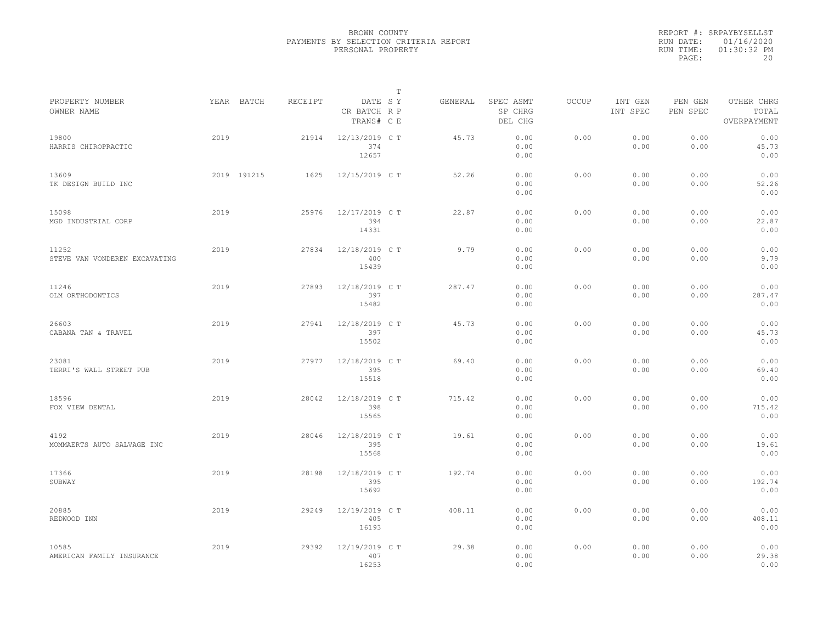|           | REPORT #: SRPAYBYSELLST |
|-----------|-------------------------|
|           | RUN DATE: 01/16/2020    |
| RUN TIME: | $01:30:32$ PM           |
| PAGE:     | 20                      |

| PROPERTY NUMBER                        |      | YEAR BATCH  | RECEIPT | DATE SY                        | т | GENERAL | SPEC ASMT            | OCCUP | INT GEN      | PEN GEN      | OTHER CHRG             |  |
|----------------------------------------|------|-------------|---------|--------------------------------|---|---------|----------------------|-------|--------------|--------------|------------------------|--|
| OWNER NAME                             |      |             |         | CR BATCH R P<br>TRANS# C E     |   |         | SP CHRG<br>DEL CHG   |       | INT SPEC     | PEN SPEC     | TOTAL<br>OVERPAYMENT   |  |
| 19800<br>HARRIS CHIROPRACTIC           | 2019 |             | 21914   | 12/13/2019 C T<br>374<br>12657 |   | 45.73   | 0.00<br>0.00<br>0.00 | 0.00  | 0.00<br>0.00 | 0.00<br>0.00 | 0.00<br>45.73<br>0.00  |  |
| 13609<br>TK DESIGN BUILD INC           |      | 2019 191215 | 1625    | 12/15/2019 C T                 |   | 52.26   | 0.00<br>0.00<br>0.00 | 0.00  | 0.00<br>0.00 | 0.00<br>0.00 | 0.00<br>52.26<br>0.00  |  |
| 15098<br>MGD INDUSTRIAL CORP           | 2019 |             | 25976   | 12/17/2019 C T<br>394<br>14331 |   | 22.87   | 0.00<br>0.00<br>0.00 | 0.00  | 0.00<br>0.00 | 0.00<br>0.00 | 0.00<br>22.87<br>0.00  |  |
| 11252<br>STEVE VAN VONDEREN EXCAVATING | 2019 |             | 27834   | 12/18/2019 C T<br>400<br>15439 |   | 9.79    | 0.00<br>0.00<br>0.00 | 0.00  | 0.00<br>0.00 | 0.00<br>0.00 | 0.00<br>9.79<br>0.00   |  |
| 11246<br>OLM ORTHODONTICS              | 2019 |             | 27893   | 12/18/2019 C T<br>397<br>15482 |   | 287.47  | 0.00<br>0.00<br>0.00 | 0.00  | 0.00<br>0.00 | 0.00<br>0.00 | 0.00<br>287.47<br>0.00 |  |
| 26603<br>CABANA TAN & TRAVEL           | 2019 |             | 27941   | 12/18/2019 C T<br>397<br>15502 |   | 45.73   | 0.00<br>0.00<br>0.00 | 0.00  | 0.00<br>0.00 | 0.00<br>0.00 | 0.00<br>45.73<br>0.00  |  |
| 23081<br>TERRI'S WALL STREET PUB       | 2019 |             | 27977   | 12/18/2019 C T<br>395<br>15518 |   | 69.40   | 0.00<br>0.00<br>0.00 | 0.00  | 0.00<br>0.00 | 0.00<br>0.00 | 0.00<br>69.40<br>0.00  |  |
| 18596<br>FOX VIEW DENTAL               | 2019 |             | 28042   | 12/18/2019 C T<br>398<br>15565 |   | 715.42  | 0.00<br>0.00<br>0.00 | 0.00  | 0.00<br>0.00 | 0.00<br>0.00 | 0.00<br>715.42<br>0.00 |  |
| 4192<br>MOMMAERTS AUTO SALVAGE INC     | 2019 |             | 28046   | 12/18/2019 C T<br>395<br>15568 |   | 19.61   | 0.00<br>0.00<br>0.00 | 0.00  | 0.00<br>0.00 | 0.00<br>0.00 | 0.00<br>19.61<br>0.00  |  |
| 17366<br>SUBWAY                        | 2019 |             | 28198   | 12/18/2019 C T<br>395<br>15692 |   | 192.74  | 0.00<br>0.00<br>0.00 | 0.00  | 0.00<br>0.00 | 0.00<br>0.00 | 0.00<br>192.74<br>0.00 |  |
| 20885<br>REDWOOD INN                   | 2019 |             | 29249   | 12/19/2019 C T<br>405<br>16193 |   | 408.11  | 0.00<br>0.00<br>0.00 | 0.00  | 0.00<br>0.00 | 0.00<br>0.00 | 0.00<br>408.11<br>0.00 |  |
| 10585<br>AMERICAN FAMILY INSURANCE     | 2019 |             | 29392   | 12/19/2019 C T<br>407<br>16253 |   | 29.38   | 0.00<br>0.00<br>0.00 | 0.00  | 0.00<br>0.00 | 0.00<br>0.00 | 0.00<br>29.38<br>0.00  |  |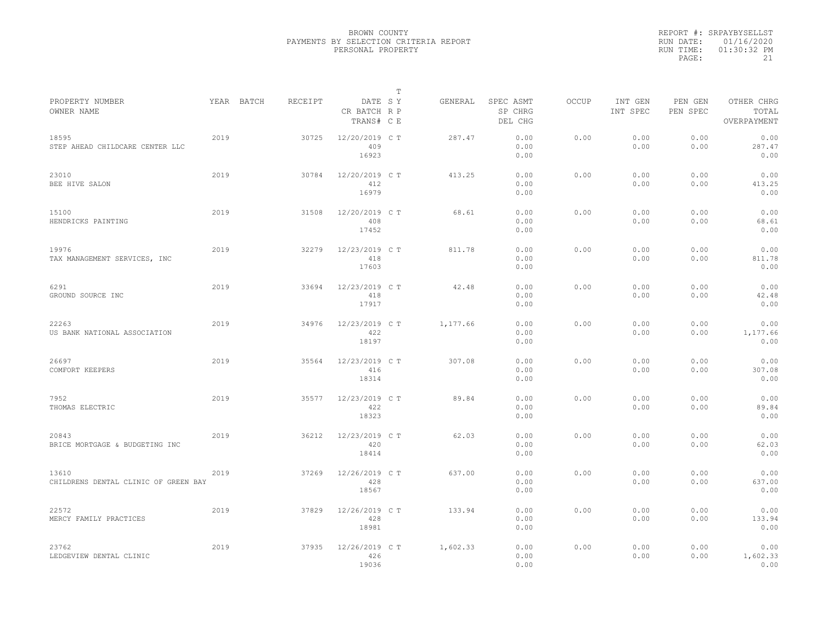|                                               |      |            |         |                                       | $\mathbb T$ |          |                                 |              |                     |                     |                                    |  |
|-----------------------------------------------|------|------------|---------|---------------------------------------|-------------|----------|---------------------------------|--------------|---------------------|---------------------|------------------------------------|--|
| PROPERTY NUMBER<br>OWNER NAME                 |      | YEAR BATCH | RECEIPT | DATE SY<br>CR BATCH R P<br>TRANS# C E |             | GENERAL  | SPEC ASMT<br>SP CHRG<br>DEL CHG | <b>OCCUP</b> | INT GEN<br>INT SPEC | PEN GEN<br>PEN SPEC | OTHER CHRG<br>TOTAL<br>OVERPAYMENT |  |
| 18595<br>STEP AHEAD CHILDCARE CENTER LLC      | 2019 |            | 30725   | 12/20/2019 C T<br>409<br>16923        |             | 287.47   | 0.00<br>0.00<br>0.00            | 0.00         | 0.00<br>0.00        | 0.00<br>0.00        | 0.00<br>287.47<br>0.00             |  |
| 23010<br>BEE HIVE SALON                       | 2019 |            | 30784   | 12/20/2019 C T<br>412<br>16979        |             | 413.25   | 0.00<br>0.00<br>0.00            | 0.00         | 0.00<br>0.00        | 0.00<br>0.00        | 0.00<br>413.25<br>0.00             |  |
| 15100<br>HENDRICKS PAINTING                   | 2019 |            | 31508   | 12/20/2019 C T<br>408<br>17452        |             | 68.61    | 0.00<br>0.00<br>0.00            | 0.00         | 0.00<br>0.00        | 0.00<br>0.00        | 0.00<br>68.61<br>0.00              |  |
| 19976<br>TAX MANAGEMENT SERVICES, INC         | 2019 |            | 32279   | 12/23/2019 C T<br>418<br>17603        |             | 811.78   | 0.00<br>0.00<br>0.00            | 0.00         | 0.00<br>0.00        | 0.00<br>0.00        | 0.00<br>811.78<br>0.00             |  |
| 6291<br>GROUND SOURCE INC                     | 2019 |            | 33694   | 12/23/2019 C T<br>418<br>17917        |             | 42.48    | 0.00<br>0.00<br>0.00            | 0.00         | 0.00<br>0.00        | 0.00<br>0.00        | 0.00<br>42.48<br>0.00              |  |
| 22263<br>US BANK NATIONAL ASSOCIATION         | 2019 |            | 34976   | 12/23/2019 C T<br>422<br>18197        |             | 1,177.66 | 0.00<br>0.00<br>0.00            | 0.00         | 0.00<br>0.00        | 0.00<br>0.00        | 0.00<br>1,177.66<br>0.00           |  |
| 26697<br>COMFORT KEEPERS                      | 2019 |            | 35564   | 12/23/2019 C T<br>416<br>18314        |             | 307.08   | 0.00<br>0.00<br>0.00            | 0.00         | 0.00<br>0.00        | 0.00<br>0.00        | 0.00<br>307.08<br>0.00             |  |
| 7952<br>THOMAS ELECTRIC                       | 2019 |            | 35577   | 12/23/2019 C T<br>422<br>18323        |             | 89.84    | 0.00<br>0.00<br>0.00            | 0.00         | 0.00<br>0.00        | 0.00<br>0.00        | 0.00<br>89.84<br>0.00              |  |
| 20843<br>BRICE MORTGAGE & BUDGETING INC       | 2019 |            | 36212   | 12/23/2019 C T<br>420<br>18414        |             | 62.03    | 0.00<br>0.00<br>0.00            | 0.00         | 0.00<br>0.00        | 0.00<br>0.00        | 0.00<br>62.03<br>0.00              |  |
| 13610<br>CHILDRENS DENTAL CLINIC OF GREEN BAY | 2019 |            | 37269   | 12/26/2019 C T<br>428<br>18567        |             | 637.00   | 0.00<br>0.00<br>0.00            | 0.00         | 0.00<br>0.00        | 0.00<br>0.00        | 0.00<br>637.00<br>0.00             |  |
| 22572<br>MERCY FAMILY PRACTICES               | 2019 |            | 37829   | 12/26/2019 C T<br>428<br>18981        |             | 133.94   | 0.00<br>0.00<br>0.00            | 0.00         | 0.00<br>0.00        | 0.00<br>0.00        | 0.00<br>133.94<br>0.00             |  |
| 23762<br>LEDGEVIEW DENTAL CLINIC              | 2019 |            | 37935   | 12/26/2019 C T<br>426<br>19036        |             | 1,602.33 | 0.00<br>0.00<br>0.00            | 0.00         | 0.00<br>0.00        | 0.00<br>0.00        | 0.00<br>1,602.33<br>0.00           |  |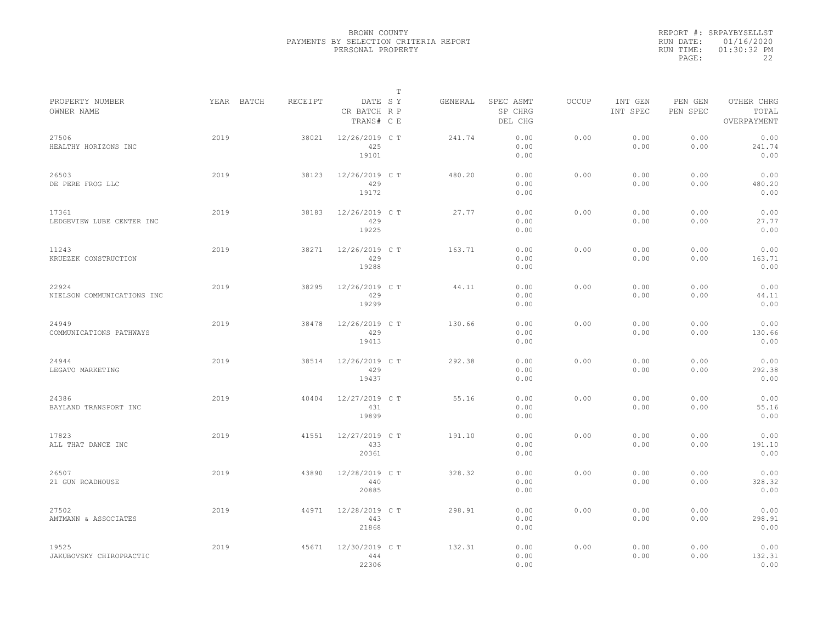|           | REPORT #: SRPAYBYSELLST |
|-----------|-------------------------|
|           | RUN DATE: 01/16/2020    |
| RUN TIME: | $01:30:32$ PM           |
| PAGE:     | フフ                      |

| PROPERTY NUMBER                     | YEAR BATCH | RECEIPT | DATE SY                        | Т | GENERAL | SPEC ASMT            | OCCUP | INT GEN      | PEN GEN      | OTHER CHRG             |  |
|-------------------------------------|------------|---------|--------------------------------|---|---------|----------------------|-------|--------------|--------------|------------------------|--|
| OWNER NAME                          |            |         | CR BATCH R P<br>TRANS# C E     |   |         | SP CHRG<br>DEL CHG   |       | INT SPEC     | PEN SPEC     | TOTAL<br>OVERPAYMENT   |  |
| 27506<br>HEALTHY HORIZONS INC       | 2019       | 38021   | 12/26/2019 C T<br>425<br>19101 |   | 241.74  | 0.00<br>0.00<br>0.00 | 0.00  | 0.00<br>0.00 | 0.00<br>0.00 | 0.00<br>241.74<br>0.00 |  |
| 26503<br>DE PERE FROG LLC           | 2019       | 38123   | 12/26/2019 C T<br>429<br>19172 |   | 480.20  | 0.00<br>0.00<br>0.00 | 0.00  | 0.00<br>0.00 | 0.00<br>0.00 | 0.00<br>480.20<br>0.00 |  |
| 17361<br>LEDGEVIEW LUBE CENTER INC  | 2019       | 38183   | 12/26/2019 C T<br>429<br>19225 |   | 27.77   | 0.00<br>0.00<br>0.00 | 0.00  | 0.00<br>0.00 | 0.00<br>0.00 | 0.00<br>27.77<br>0.00  |  |
| 11243<br>KRUEZEK CONSTRUCTION       | 2019       | 38271   | 12/26/2019 C T<br>429<br>19288 |   | 163.71  | 0.00<br>0.00<br>0.00 | 0.00  | 0.00<br>0.00 | 0.00<br>0.00 | 0.00<br>163.71<br>0.00 |  |
| 22924<br>NIELSON COMMUNICATIONS INC | 2019       | 38295   | 12/26/2019 C T<br>429<br>19299 |   | 44.11   | 0.00<br>0.00<br>0.00 | 0.00  | 0.00<br>0.00 | 0.00<br>0.00 | 0.00<br>44.11<br>0.00  |  |
| 24949<br>COMMUNICATIONS PATHWAYS    | 2019       | 38478   | 12/26/2019 C T<br>429<br>19413 |   | 130.66  | 0.00<br>0.00<br>0.00 | 0.00  | 0.00<br>0.00 | 0.00<br>0.00 | 0.00<br>130.66<br>0.00 |  |
| 24944<br>LEGATO MARKETING           | 2019       | 38514   | 12/26/2019 C T<br>429<br>19437 |   | 292.38  | 0.00<br>0.00<br>0.00 | 0.00  | 0.00<br>0.00 | 0.00<br>0.00 | 0.00<br>292.38<br>0.00 |  |
| 24386<br>BAYLAND TRANSPORT INC      | 2019       | 40404   | 12/27/2019 C T<br>431<br>19899 |   | 55.16   | 0.00<br>0.00<br>0.00 | 0.00  | 0.00<br>0.00 | 0.00<br>0.00 | 0.00<br>55.16<br>0.00  |  |
| 17823<br>ALL THAT DANCE INC         | 2019       | 41551   | 12/27/2019 C T<br>433<br>20361 |   | 191.10  | 0.00<br>0.00<br>0.00 | 0.00  | 0.00<br>0.00 | 0.00<br>0.00 | 0.00<br>191.10<br>0.00 |  |
| 26507<br>21 GUN ROADHOUSE           | 2019       | 43890   | 12/28/2019 C T<br>440<br>20885 |   | 328.32  | 0.00<br>0.00<br>0.00 | 0.00  | 0.00<br>0.00 | 0.00<br>0.00 | 0.00<br>328.32<br>0.00 |  |
| 27502<br>AMTMANN & ASSOCIATES       | 2019       | 44971   | 12/28/2019 C T<br>443<br>21868 |   | 298.91  | 0.00<br>0.00<br>0.00 | 0.00  | 0.00<br>0.00 | 0.00<br>0.00 | 0.00<br>298.91<br>0.00 |  |
| 19525<br>JAKUBOVSKY CHIROPRACTIC    | 2019       | 45671   | 12/30/2019 C T<br>444<br>22306 |   | 132.31  | 0.00<br>0.00<br>0.00 | 0.00  | 0.00<br>0.00 | 0.00<br>0.00 | 0.00<br>132.31<br>0.00 |  |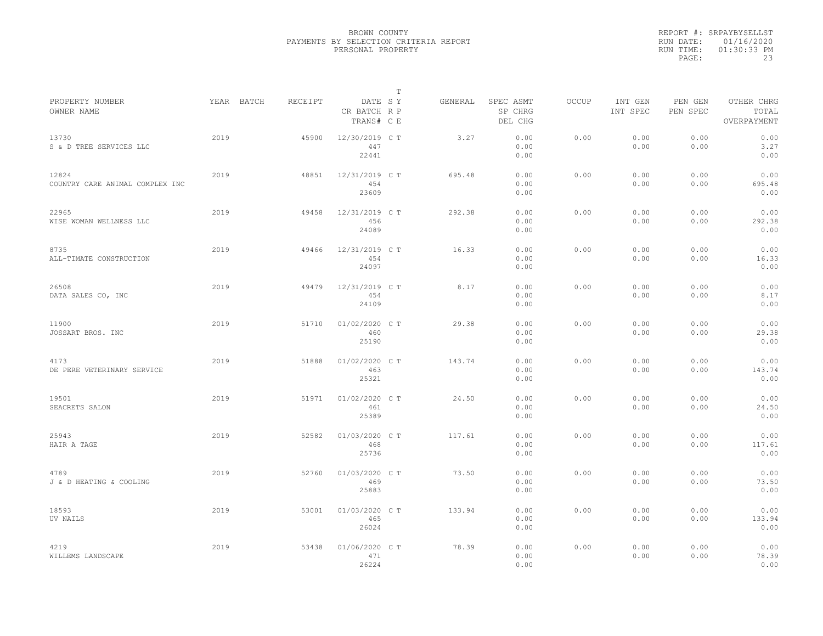|           | REPORT #: SRPAYBYSELLST |
|-----------|-------------------------|
|           | RUN DATE: 01/16/2020    |
| RUN TIME: | $01:30:33$ PM           |
| PAGE:     | 23                      |

|                                          |            |         |                                       | $\mathbb T$ |         |                                 |              |                     |                     |                                    |
|------------------------------------------|------------|---------|---------------------------------------|-------------|---------|---------------------------------|--------------|---------------------|---------------------|------------------------------------|
| PROPERTY NUMBER<br>OWNER NAME            | YEAR BATCH | RECEIPT | DATE SY<br>CR BATCH R P<br>TRANS# C E |             | GENERAL | SPEC ASMT<br>SP CHRG<br>DEL CHG | <b>OCCUP</b> | INT GEN<br>INT SPEC | PEN GEN<br>PEN SPEC | OTHER CHRG<br>TOTAL<br>OVERPAYMENT |
| 13730<br>S & D TREE SERVICES LLC         | 2019       | 45900   | 12/30/2019 C T<br>447<br>22441        |             | 3.27    | 0.00<br>0.00<br>0.00            | 0.00         | 0.00<br>0.00        | 0.00<br>0.00        | 0.00<br>3.27<br>0.00               |
| 12824<br>COUNTRY CARE ANIMAL COMPLEX INC | 2019       | 48851   | 12/31/2019 C T<br>454<br>23609        |             | 695.48  | 0.00<br>0.00<br>0.00            | 0.00         | 0.00<br>0.00        | 0.00<br>0.00        | 0.00<br>695.48<br>0.00             |
| 22965<br>WISE WOMAN WELLNESS LLC         | 2019       | 49458   | 12/31/2019 C T<br>456<br>24089        |             | 292.38  | 0.00<br>0.00<br>0.00            | 0.00         | 0.00<br>0.00        | 0.00<br>0.00        | 0.00<br>292.38<br>0.00             |
| 8735<br>ALL-TIMATE CONSTRUCTION          | 2019       | 49466   | 12/31/2019 C T<br>454<br>24097        |             | 16.33   | 0.00<br>0.00<br>0.00            | 0.00         | 0.00<br>0.00        | 0.00<br>0.00        | 0.00<br>16.33<br>0.00              |
| 26508<br>DATA SALES CO, INC              | 2019       | 49479   | 12/31/2019 C T<br>454<br>24109        |             | 8.17    | 0.00<br>0.00<br>0.00            | 0.00         | 0.00<br>0.00        | 0.00<br>0.00        | 0.00<br>8.17<br>0.00               |
| 11900<br>JOSSART BROS. INC               | 2019       | 51710   | 01/02/2020 C T<br>460<br>25190        |             | 29.38   | 0.00<br>0.00<br>0.00            | 0.00         | 0.00<br>0.00        | 0.00<br>0.00        | 0.00<br>29.38<br>0.00              |
| 4173<br>DE PERE VETERINARY SERVICE       | 2019       | 51888   | 01/02/2020 C T<br>463<br>25321        |             | 143.74  | 0.00<br>0.00<br>0.00            | 0.00         | 0.00<br>0.00        | 0.00<br>0.00        | 0.00<br>143.74<br>0.00             |
| 19501<br>SEACRETS SALON                  | 2019       | 51971   | 01/02/2020 C T<br>461<br>25389        |             | 24.50   | 0.00<br>0.00<br>0.00            | 0.00         | 0.00<br>0.00        | 0.00<br>0.00        | 0.00<br>24.50<br>0.00              |
| 25943<br>HAIR A TAGE                     | 2019       | 52582   | 01/03/2020 C T<br>468<br>25736        |             | 117.61  | 0.00<br>0.00<br>0.00            | 0.00         | 0.00<br>0.00        | 0.00<br>0.00        | 0.00<br>117.61<br>0.00             |
| 4789<br>J & D HEATING & COOLING          | 2019       | 52760   | 01/03/2020 C T<br>469<br>25883        |             | 73.50   | 0.00<br>0.00<br>0.00            | 0.00         | 0.00<br>0.00        | 0.00<br>0.00        | 0.00<br>73.50<br>0.00              |
| 18593<br>UV NAILS                        | 2019       | 53001   | 01/03/2020 C T<br>465<br>26024        |             | 133.94  | 0.00<br>0.00<br>0.00            | 0.00         | 0.00<br>0.00        | 0.00<br>0.00        | 0.00<br>133.94<br>0.00             |
| 4219<br>WILLEMS LANDSCAPE                | 2019       | 53438   | 01/06/2020 CT<br>471<br>26224         |             | 78.39   | 0.00<br>0.00<br>0.00            | 0.00         | 0.00<br>0.00        | 0.00<br>0.00        | 0.00<br>78.39<br>0.00              |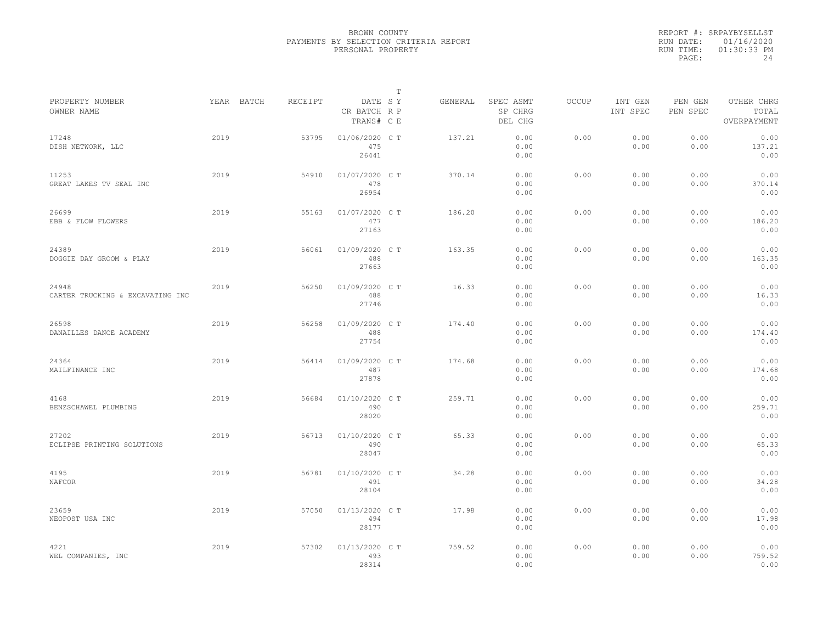|                                           |      |            |         |                                       | $\mathbb{T}$ |         |                                 |              |                     |                     |                                    |
|-------------------------------------------|------|------------|---------|---------------------------------------|--------------|---------|---------------------------------|--------------|---------------------|---------------------|------------------------------------|
| PROPERTY NUMBER<br>OWNER NAME             |      | YEAR BATCH | RECEIPT | DATE SY<br>CR BATCH R P<br>TRANS# C E |              | GENERAL | SPEC ASMT<br>SP CHRG<br>DEL CHG | <b>OCCUP</b> | INT GEN<br>INT SPEC | PEN GEN<br>PEN SPEC | OTHER CHRG<br>TOTAL<br>OVERPAYMENT |
| 17248<br>DISH NETWORK, LLC                | 2019 |            | 53795   | 01/06/2020 C T<br>475<br>26441        |              | 137.21  | 0.00<br>0.00<br>0.00            | 0.00         | 0.00<br>0.00        | 0.00<br>0.00        | 0.00<br>137.21<br>0.00             |
| 11253<br>GREAT LAKES TV SEAL INC          | 2019 |            | 54910   | 01/07/2020 C T<br>478<br>26954        |              | 370.14  | 0.00<br>0.00<br>0.00            | 0.00         | 0.00<br>0.00        | 0.00<br>0.00        | 0.00<br>370.14<br>0.00             |
| 26699<br>EBB & FLOW FLOWERS               | 2019 |            | 55163   | 01/07/2020 C T<br>477<br>27163        |              | 186.20  | 0.00<br>0.00<br>0.00            | 0.00         | 0.00<br>0.00        | 0.00<br>0.00        | 0.00<br>186.20<br>0.00             |
| 24389<br>DOGGIE DAY GROOM & PLAY          | 2019 |            | 56061   | 01/09/2020 C T<br>488<br>27663        |              | 163.35  | 0.00<br>0.00<br>0.00            | 0.00         | 0.00<br>0.00        | 0.00<br>0.00        | 0.00<br>163.35<br>0.00             |
| 24948<br>CARTER TRUCKING & EXCAVATING INC | 2019 |            | 56250   | 01/09/2020 C T<br>488<br>27746        |              | 16.33   | 0.00<br>0.00<br>0.00            | 0.00         | 0.00<br>0.00        | 0.00<br>0.00        | 0.00<br>16.33<br>0.00              |
| 26598<br>DANAILLES DANCE ACADEMY          | 2019 |            | 56258   | 01/09/2020 C T<br>488<br>27754        |              | 174.40  | 0.00<br>0.00<br>0.00            | 0.00         | 0.00<br>0.00        | 0.00<br>0.00        | 0.00<br>174.40<br>0.00             |
| 24364<br>MAILFINANCE INC                  | 2019 |            | 56414   | 01/09/2020 C T<br>487<br>27878        |              | 174.68  | 0.00<br>0.00<br>0.00            | 0.00         | 0.00<br>0.00        | 0.00<br>0.00        | 0.00<br>174.68<br>0.00             |
| 4168<br>BENZSCHAWEL PLUMBING              | 2019 |            | 56684   | 01/10/2020 C T<br>490<br>28020        |              | 259.71  | 0.00<br>0.00<br>0.00            | 0.00         | 0.00<br>0.00        | 0.00<br>0.00        | 0.00<br>259.71<br>0.00             |
| 27202<br>ECLIPSE PRINTING SOLUTIONS       | 2019 |            | 56713   | 01/10/2020 C T<br>490<br>28047        |              | 65.33   | 0.00<br>0.00<br>0.00            | 0.00         | 0.00<br>0.00        | 0.00<br>0.00        | 0.00<br>65.33<br>0.00              |
| 4195<br>NAFCOR                            | 2019 |            | 56781   | 01/10/2020 C T<br>491<br>28104        |              | 34.28   | 0.00<br>0.00<br>0.00            | 0.00         | 0.00<br>0.00        | 0.00<br>0.00        | 0.00<br>34.28<br>0.00              |
| 23659<br>NEOPOST USA INC                  | 2019 |            | 57050   | 01/13/2020 C T<br>494<br>28177        |              | 17.98   | 0.00<br>0.00<br>0.00            | 0.00         | 0.00<br>0.00        | 0.00<br>0.00        | 0.00<br>17.98<br>0.00              |
| 4221<br>WEL COMPANIES, INC                | 2019 |            | 57302   | 01/13/2020 C T<br>493<br>28314        |              | 759.52  | 0.00<br>0.00<br>0.00            | 0.00         | 0.00<br>0.00        | 0.00<br>0.00        | 0.00<br>759.52<br>0.00             |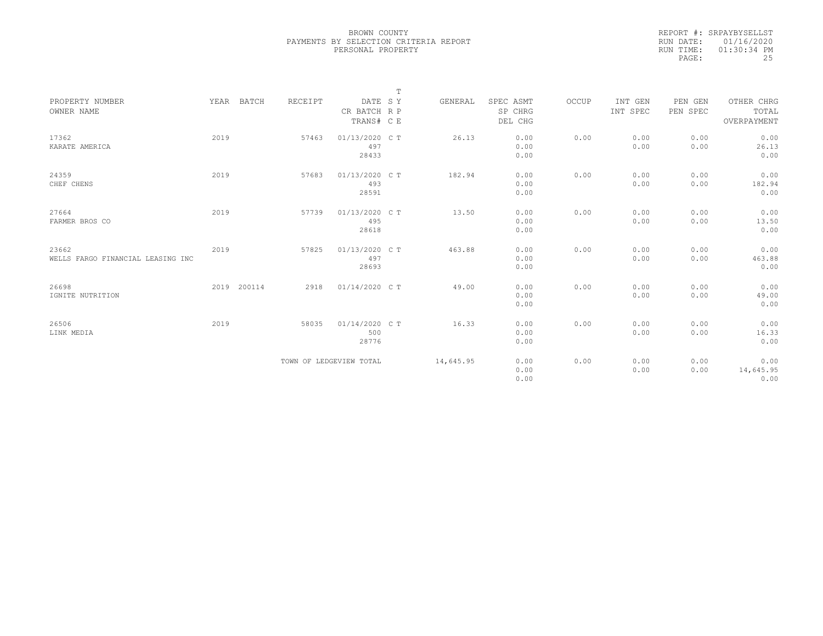|           | REPORT #: SRPAYBYSELLST |
|-----------|-------------------------|
|           | RUN DATE: 01/16/2020    |
| RUN TIME: | $01:30:34$ PM           |
| PAGE:     | 25                      |

|                                            |      |             |         |                                       | $\mathbb T$ |           |                                 |       |                     |                     |                                    |  |
|--------------------------------------------|------|-------------|---------|---------------------------------------|-------------|-----------|---------------------------------|-------|---------------------|---------------------|------------------------------------|--|
| PROPERTY NUMBER<br>OWNER NAME              |      | YEAR BATCH  | RECEIPT | DATE SY<br>CR BATCH R P<br>TRANS# C E |             | GENERAL   | SPEC ASMT<br>SP CHRG<br>DEL CHG | OCCUP | INT GEN<br>INT SPEC | PEN GEN<br>PEN SPEC | OTHER CHRG<br>TOTAL<br>OVERPAYMENT |  |
| 17362<br>KARATE AMERICA                    | 2019 |             | 57463   | 01/13/2020 C T<br>497<br>28433        |             | 26.13     | 0.00<br>0.00<br>0.00            | 0.00  | 0.00<br>0.00        | 0.00<br>0.00        | 0.00<br>26.13<br>0.00              |  |
| 24359<br>CHEF CHENS                        | 2019 |             | 57683   | 01/13/2020 C T<br>493<br>28591        |             | 182.94    | 0.00<br>0.00<br>0.00            | 0.00  | 0.00<br>0.00        | 0.00<br>0.00        | 0.00<br>182.94<br>0.00             |  |
| 27664<br>FARMER BROS CO                    | 2019 |             | 57739   | 01/13/2020 C T<br>495<br>28618        |             | 13.50     | 0.00<br>0.00<br>0.00            | 0.00  | 0.00<br>0.00        | 0.00<br>0.00        | 0.00<br>13.50<br>0.00              |  |
| 23662<br>WELLS FARGO FINANCIAL LEASING INC | 2019 |             | 57825   | 01/13/2020 C T<br>497<br>28693        |             | 463.88    | 0.00<br>0.00<br>0.00            | 0.00  | 0.00<br>0.00        | 0.00<br>0.00        | 0.00<br>463.88<br>0.00             |  |
| 26698<br>IGNITE NUTRITION                  |      | 2019 200114 | 2918    | 01/14/2020 C T                        |             | 49.00     | 0.00<br>0.00<br>0.00            | 0.00  | 0.00<br>0.00        | 0.00<br>0.00        | 0.00<br>49.00<br>0.00              |  |
| 26506<br>LINK MEDIA                        | 2019 |             | 58035   | 01/14/2020 C T<br>500<br>28776        |             | 16.33     | 0.00<br>0.00<br>0.00            | 0.00  | 0.00<br>0.00        | 0.00<br>0.00        | 0.00<br>16.33<br>0.00              |  |
|                                            |      |             |         | TOWN OF LEDGEVIEW TOTAL               |             | 14,645.95 | 0.00<br>0.00<br>0.00            | 0.00  | 0.00<br>0.00        | 0.00<br>0.00        | 0.00<br>14,645.95<br>0.00          |  |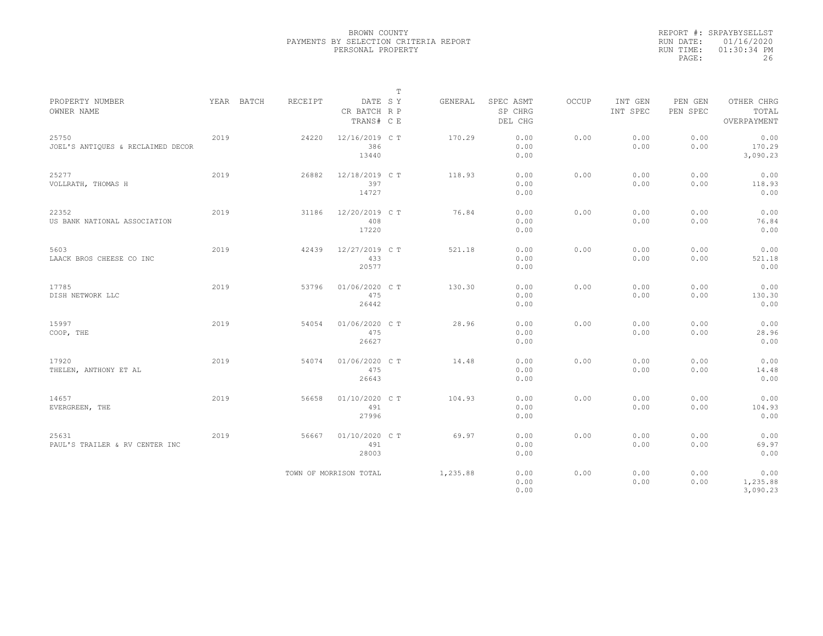|           | REPORT #: SRPAYBYSELLST |
|-----------|-------------------------|
|           | RUN DATE: 01/16/2020    |
| RUN TIME: | $01:30:34$ PM           |
| PAGE:     | 26                      |

|                                            |      |            |         |                                       | $\mathbb T$ |          |                                 |       |                     |                     |                                    |  |
|--------------------------------------------|------|------------|---------|---------------------------------------|-------------|----------|---------------------------------|-------|---------------------|---------------------|------------------------------------|--|
| PROPERTY NUMBER<br>OWNER NAME              |      | YEAR BATCH | RECEIPT | DATE SY<br>CR BATCH R P<br>TRANS# C E |             | GENERAL  | SPEC ASMT<br>SP CHRG<br>DEL CHG | OCCUP | INT GEN<br>INT SPEC | PEN GEN<br>PEN SPEC | OTHER CHRG<br>TOTAL<br>OVERPAYMENT |  |
| 25750<br>JOEL'S ANTIOUES & RECLAIMED DECOR | 2019 |            | 24220   | 12/16/2019 C T<br>386<br>13440        |             | 170.29   | 0.00<br>0.00<br>0.00            | 0.00  | 0.00<br>0.00        | 0.00<br>0.00        | 0.00<br>170.29<br>3,090.23         |  |
| 25277<br>VOLLRATH, THOMAS H                | 2019 |            | 26882   | 12/18/2019 C T<br>397<br>14727        |             | 118.93   | 0.00<br>0.00<br>0.00            | 0.00  | 0.00<br>0.00        | 0.00<br>0.00        | 0.00<br>118.93<br>0.00             |  |
| 22352<br>US BANK NATIONAL ASSOCIATION      | 2019 |            | 31186   | 12/20/2019 C T<br>408<br>17220        |             | 76.84    | 0.00<br>0.00<br>0.00            | 0.00  | 0.00<br>0.00        | 0.00<br>0.00        | 0.00<br>76.84<br>0.00              |  |
| 5603<br>LAACK BROS CHEESE CO INC           | 2019 |            | 42439   | 12/27/2019 C T<br>433<br>20577        |             | 521.18   | 0.00<br>0.00<br>0.00            | 0.00  | 0.00<br>0.00        | 0.00<br>0.00        | 0.00<br>521.18<br>0.00             |  |
| 17785<br>DISH NETWORK LLC                  | 2019 |            | 53796   | 01/06/2020 C T<br>475<br>26442        |             | 130.30   | 0.00<br>0.00<br>0.00            | 0.00  | 0.00<br>0.00        | 0.00<br>0.00        | 0.00<br>130.30<br>0.00             |  |
| 15997<br>COOP, THE                         | 2019 |            | 54054   | 01/06/2020 C T<br>475<br>26627        |             | 28.96    | 0.00<br>0.00<br>0.00            | 0.00  | 0.00<br>0.00        | 0.00<br>0.00        | 0.00<br>28.96<br>0.00              |  |
| 17920<br>THELEN, ANTHONY ET AL             | 2019 |            | 54074   | 01/06/2020 C T<br>475<br>26643        |             | 14.48    | 0.00<br>0.00<br>0.00            | 0.00  | 0.00<br>0.00        | 0.00<br>0.00        | 0.00<br>14.48<br>0.00              |  |
| 14657<br>EVERGREEN, THE                    | 2019 |            | 56658   | 01/10/2020 C T<br>491<br>27996        |             | 104.93   | 0.00<br>0.00<br>0.00            | 0.00  | 0.00<br>0.00        | 0.00<br>0.00        | 0.00<br>104.93<br>0.00             |  |
| 25631<br>PAUL'S TRAILER & RV CENTER INC    | 2019 |            | 56667   | 01/10/2020 C T<br>491<br>28003        |             | 69.97    | 0.00<br>0.00<br>0.00            | 0.00  | 0.00<br>0.00        | 0.00<br>0.00        | 0.00<br>69.97<br>0.00              |  |
|                                            |      |            |         | TOWN OF MORRISON TOTAL                |             | 1,235.88 | 0.00<br>0.00<br>0.00            | 0.00  | 0.00<br>0.00        | 0.00<br>0.00        | 0.00<br>1,235.88<br>3,090.23       |  |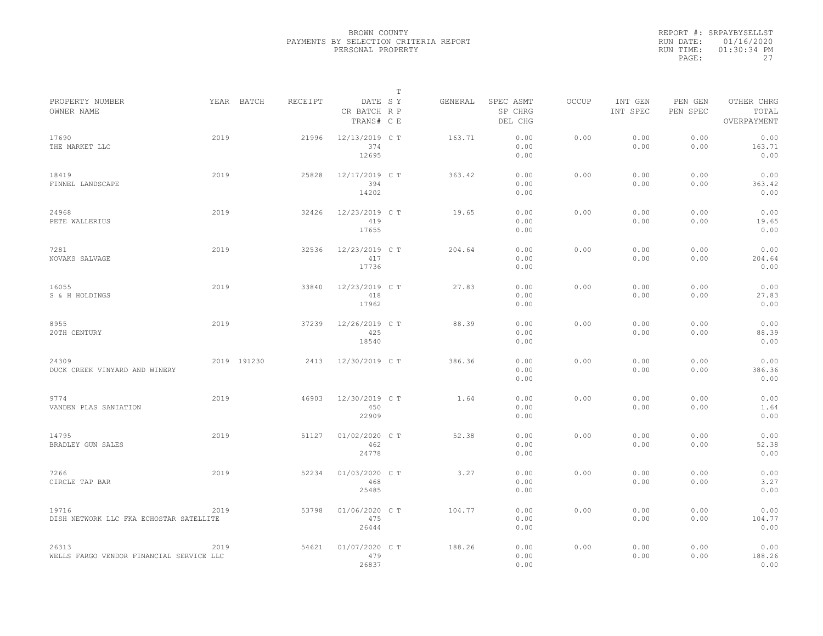|                                                   |      |             |         |                                       | $\mathbb{T}$ |         |                                 |              |                     |                     |                                    |  |
|---------------------------------------------------|------|-------------|---------|---------------------------------------|--------------|---------|---------------------------------|--------------|---------------------|---------------------|------------------------------------|--|
| PROPERTY NUMBER<br>OWNER NAME                     |      | YEAR BATCH  | RECEIPT | DATE SY<br>CR BATCH R P<br>TRANS# C E |              | GENERAL | SPEC ASMT<br>SP CHRG<br>DEL CHG | <b>OCCUP</b> | INT GEN<br>INT SPEC | PEN GEN<br>PEN SPEC | OTHER CHRG<br>TOTAL<br>OVERPAYMENT |  |
| 17690<br>THE MARKET LLC                           | 2019 |             | 21996   | 12/13/2019 C T<br>374<br>12695        |              | 163.71  | 0.00<br>0.00<br>0.00            | 0.00         | 0.00<br>0.00        | 0.00<br>0.00        | 0.00<br>163.71<br>0.00             |  |
| 18419<br>FINNEL LANDSCAPE                         | 2019 |             | 25828   | 12/17/2019 C T<br>394<br>14202        |              | 363.42  | 0.00<br>0.00<br>0.00            | 0.00         | 0.00<br>0.00        | 0.00<br>0.00        | 0.00<br>363.42<br>0.00             |  |
| 24968<br>PETE WALLERIUS                           | 2019 |             | 32426   | 12/23/2019 C T<br>419<br>17655        |              | 19.65   | 0.00<br>0.00<br>0.00            | 0.00         | 0.00<br>0.00        | 0.00<br>0.00        | 0.00<br>19.65<br>0.00              |  |
| 7281<br>NOVAKS SALVAGE                            | 2019 |             | 32536   | 12/23/2019 C T<br>417<br>17736        |              | 204.64  | 0.00<br>0.00<br>0.00            | 0.00         | 0.00<br>0.00        | 0.00<br>0.00        | 0.00<br>204.64<br>0.00             |  |
| 16055<br>S & H HOLDINGS                           | 2019 |             | 33840   | 12/23/2019 C T<br>418<br>17962        |              | 27.83   | 0.00<br>0.00<br>0.00            | 0.00         | 0.00<br>0.00        | 0.00<br>0.00        | 0.00<br>27.83<br>0.00              |  |
| 8955<br>20TH CENTURY                              | 2019 |             | 37239   | 12/26/2019 C T<br>425<br>18540        |              | 88.39   | 0.00<br>0.00<br>0.00            | 0.00         | 0.00<br>0.00        | 0.00<br>0.00        | 0.00<br>88.39<br>0.00              |  |
| 24309<br>DUCK CREEK VINYARD AND WINERY            |      | 2019 191230 | 2413    | 12/30/2019 C T                        |              | 386.36  | 0.00<br>0.00<br>0.00            | 0.00         | 0.00<br>0.00        | 0.00<br>0.00        | 0.00<br>386.36<br>0.00             |  |
| 9774<br>VANDEN PLAS SANIATION                     | 2019 |             | 46903   | 12/30/2019 C T<br>450<br>22909        |              | 1.64    | 0.00<br>0.00<br>0.00            | 0.00         | 0.00<br>0.00        | 0.00<br>0.00        | 0.00<br>1.64<br>0.00               |  |
| 14795<br>BRADLEY GUN SALES                        | 2019 |             | 51127   | 01/02/2020 C T<br>462<br>24778        |              | 52.38   | 0.00<br>0.00<br>0.00            | 0.00         | 0.00<br>0.00        | 0.00<br>0.00        | 0.00<br>52.38<br>0.00              |  |
| 7266<br>CIRCLE TAP BAR                            | 2019 |             | 52234   | 01/03/2020 C T<br>468<br>25485        |              | 3.27    | 0.00<br>0.00<br>0.00            | 0.00         | 0.00<br>0.00        | 0.00<br>0.00        | 0.00<br>3.27<br>0.00               |  |
| 19716<br>DISH NETWORK LLC FKA ECHOSTAR SATELLITE  | 2019 |             | 53798   | 01/06/2020 C T<br>475<br>26444        |              | 104.77  | 0.00<br>0.00<br>0.00            | 0.00         | 0.00<br>0.00        | 0.00<br>0.00        | 0.00<br>104.77<br>0.00             |  |
| 26313<br>WELLS FARGO VENDOR FINANCIAL SERVICE LLC | 2019 |             | 54621   | 01/07/2020 C T<br>479<br>26837        |              | 188.26  | 0.00<br>0.00<br>0.00            | 0.00         | 0.00<br>0.00        | 0.00<br>0.00        | 0.00<br>188.26<br>0.00             |  |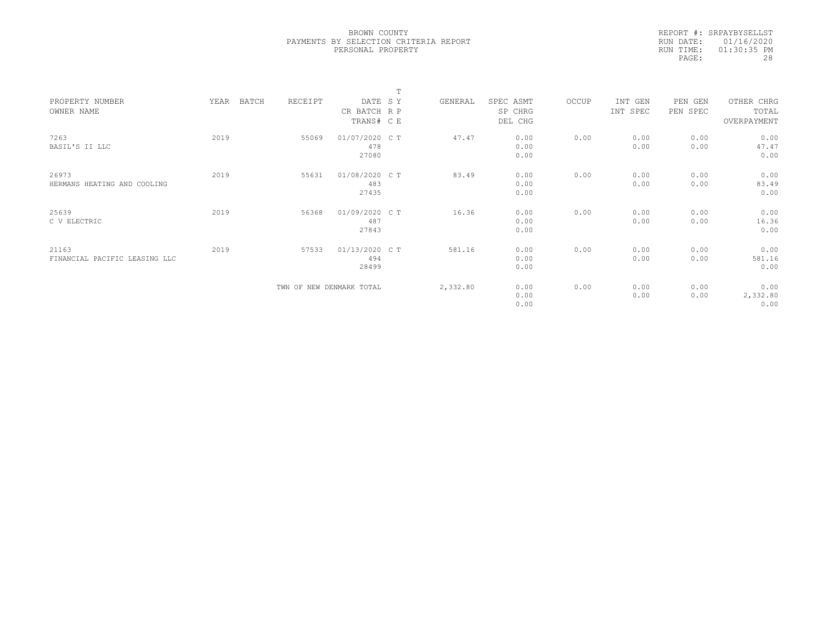|           | REPORT #: SRPAYBYSELLST |
|-----------|-------------------------|
|           | RUN DATE: 01/16/2020    |
| RUN TIME: | $01:30:35$ PM           |
| PAGE:     | 28                      |

|                               |      |                  |                          | m |          |           |       |          |          |             |  |
|-------------------------------|------|------------------|--------------------------|---|----------|-----------|-------|----------|----------|-------------|--|
| PROPERTY NUMBER               | YEAR | RECEIPT<br>BATCH | DATE SY                  |   | GENERAL  | SPEC ASMT | OCCUP | INT GEN  | PEN GEN  | OTHER CHRG  |  |
| OWNER NAME                    |      |                  | CR BATCH R P             |   |          | SP CHRG   |       | INT SPEC | PEN SPEC | TOTAL       |  |
|                               |      |                  | TRANS# C E               |   |          | DEL CHG   |       |          |          | OVERPAYMENT |  |
|                               |      |                  |                          |   |          |           |       |          |          |             |  |
| 7263                          | 2019 | 55069            | 01/07/2020 C T           |   | 47.47    | 0.00      | 0.00  | 0.00     | 0.00     | 0.00        |  |
| BASIL'S II LLC                |      |                  | 478                      |   |          | 0.00      |       | 0.00     | 0.00     | 47.47       |  |
|                               |      |                  | 27080                    |   |          | 0.00      |       |          |          | 0.00        |  |
| 26973                         | 2019 | 55631            | 01/08/2020 CT            |   | 83.49    | 0.00      | 0.00  | 0.00     | 0.00     | 0.00        |  |
| HERMANS HEATING AND COOLING   |      |                  | 483                      |   |          | 0.00      |       | 0.00     | 0.00     | 83.49       |  |
|                               |      |                  |                          |   |          |           |       |          |          | 0.00        |  |
|                               |      |                  | 27435                    |   |          | 0.00      |       |          |          |             |  |
| 25639                         | 2019 | 56368            | 01/09/2020 C T           |   | 16.36    | 0.00      | 0.00  | 0.00     | 0.00     | 0.00        |  |
| C V ELECTRIC                  |      |                  | 487                      |   |          | 0.00      |       | 0.00     | 0.00     | 16.36       |  |
|                               |      |                  | 27843                    |   |          | 0.00      |       |          |          | 0.00        |  |
|                               |      |                  |                          |   |          |           |       |          |          |             |  |
| 21163                         | 2019 | 57533            | 01/13/2020 C T           |   | 581.16   | 0.00      | 0.00  | 0.00     | 0.00     | 0.00        |  |
| FINANCIAL PACIFIC LEASING LLC |      |                  | 494                      |   |          | 0.00      |       | 0.00     | 0.00     | 581.16      |  |
|                               |      |                  | 28499                    |   |          | 0.00      |       |          |          | 0.00        |  |
|                               |      |                  |                          |   |          |           |       |          |          |             |  |
|                               |      |                  | TWN OF NEW DENMARK TOTAL |   | 2,332.80 | 0.00      | 0.00  | 0.00     | 0.00     | 0.00        |  |
|                               |      |                  |                          |   |          | 0.00      |       | 0.00     | 0.00     | 2,332.80    |  |
|                               |      |                  |                          |   |          | 0.00      |       |          |          | 0.00        |  |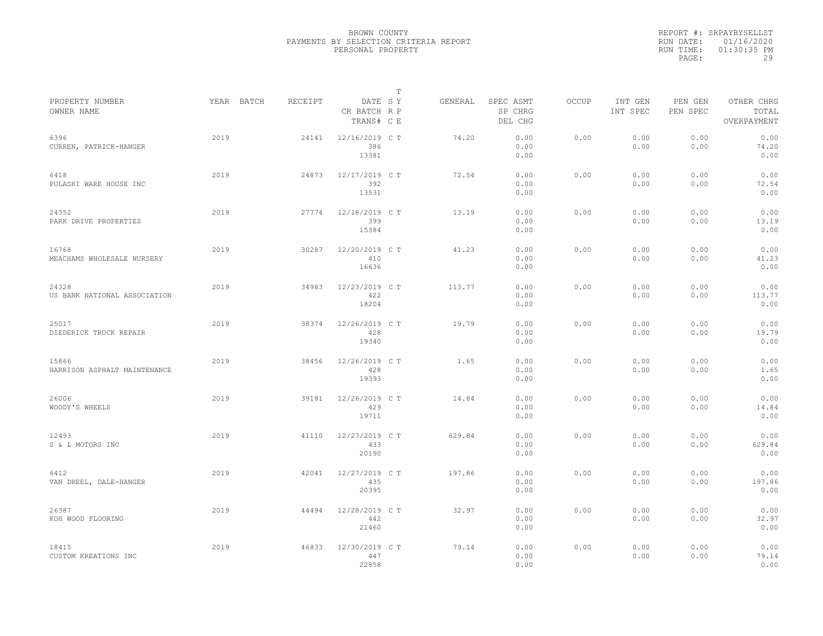|           | REPORT #: SRPAYBYSELLST |
|-----------|-------------------------|
|           | RUN DATE: 01/16/2020    |
| RUN TIME: | $01:30:35$ PM           |
| PAGE:     | 29                      |

|                                       |            |         |                                       | T |         |                                 |              |                     |                     |                                    |
|---------------------------------------|------------|---------|---------------------------------------|---|---------|---------------------------------|--------------|---------------------|---------------------|------------------------------------|
| PROPERTY NUMBER<br>OWNER NAME         | YEAR BATCH | RECEIPT | DATE SY<br>CR BATCH R P<br>TRANS# C E |   | GENERAL | SPEC ASMT<br>SP CHRG<br>DEL CHG | <b>OCCUP</b> | INT GEN<br>INT SPEC | PEN GEN<br>PEN SPEC | OTHER CHRG<br>TOTAL<br>OVERPAYMENT |
| 6396<br>CURREN, PATRICK-HANGER        | 2019       | 24141   | 12/16/2019 C T<br>386<br>13381        |   | 74.20   | 0.00<br>0.00<br>0.00            | 0.00         | 0.00<br>0.00        | 0.00<br>0.00        | 0.00<br>74.20<br>0.00              |
| 6418<br>PULASKI WARE HOUSE INC        | 2019       | 24873   | 12/17/2019 C T<br>392<br>13531        |   | 72.54   | 0.00<br>0.00<br>0.00            | 0.00         | 0.00<br>0.00        | 0.00<br>0.00        | 0.00<br>72.54<br>0.00              |
| 24352<br>PARK DRIVE PROPERTIES        | 2019       | 27774   | 12/18/2019 C T<br>399<br>15384        |   | 13.19   | 0.00<br>0.00<br>0.00            | 0.00         | 0.00<br>0.00        | 0.00<br>0.00        | 0.00<br>13.19<br>0.00              |
| 16768<br>MEACHAMS WHOLESALE NURSERY   | 2019       | 30287   | 12/20/2019 C T<br>410<br>16636        |   | 41.23   | 0.00<br>0.00<br>0.00            | 0.00         | 0.00<br>0.00        | 0.00<br>0.00        | 0.00<br>41.23<br>0.00              |
| 24328<br>US BANK NATIONAL ASSOCIATION | 2019       | 34983   | 12/23/2019 C T<br>422<br>18204        |   | 113.77  | 0.00<br>0.00<br>0.00            | 0.00         | 0.00<br>0.00        | 0.00<br>0.00        | 0.00<br>113.77<br>0.00             |
| 25017<br>DIEDERICK TRUCK REPAIR       | 2019       | 38374   | 12/26/2019 C T<br>428<br>19340        |   | 19.79   | 0.00<br>0.00<br>0.00            | 0.00         | 0.00<br>0.00        | 0.00<br>0.00        | 0.00<br>19.79<br>0.00              |
| 15866<br>HARRISON ASPHALT MAINTENANCE | 2019       | 38456   | 12/26/2019 C T<br>428<br>19393        |   | 1.65    | 0.00<br>0.00<br>0.00            | 0.00         | 0.00<br>0.00        | 0.00<br>0.00        | 0.00<br>1.65<br>0.00               |
| 26006<br>WOODY'S WHEELS               | 2019       | 39181   | 12/26/2019 C T<br>429<br>19711        |   | 14.84   | 0.00<br>0.00<br>0.00            | 0.00         | 0.00<br>0.00        | 0.00<br>0.00        | 0.00<br>14.84<br>0.00              |
| 12493<br>S & L MOTORS INC             | 2019       | 41110   | 12/27/2019 C T<br>433<br>20190        |   | 629.84  | 0.00<br>0.00<br>0.00            | 0.00         | 0.00<br>0.00        | 0.00<br>0.00        | 0.00<br>629.84<br>0.00             |
| 6412<br>VAN DREEL, DALE-HANGER        | 2019       | 42041   | 12/27/2019 C T<br>435<br>20395        |   | 197.86  | 0.00<br>0.00<br>0.00            | 0.00         | 0.00<br>0.00        | 0.00<br>0.00        | 0.00<br>197.86<br>0.00             |
| 26387<br>KOH WOOD FLOORING            | 2019       | 44494   | 12/28/2019 C T<br>442<br>21460        |   | 32.97   | 0.00<br>0.00<br>0.00            | 0.00         | 0.00<br>0.00        | 0.00<br>0.00        | 0.00<br>32.97<br>0.00              |
| 18415<br>CUSTOM KREATIONS INC         | 2019       | 46833   | 12/30/2019 C T<br>447<br>22858        |   | 79.14   | 0.00<br>0.00<br>0.00            | 0.00         | 0.00<br>0.00        | 0.00<br>0.00        | 0.00<br>79.14<br>0.00              |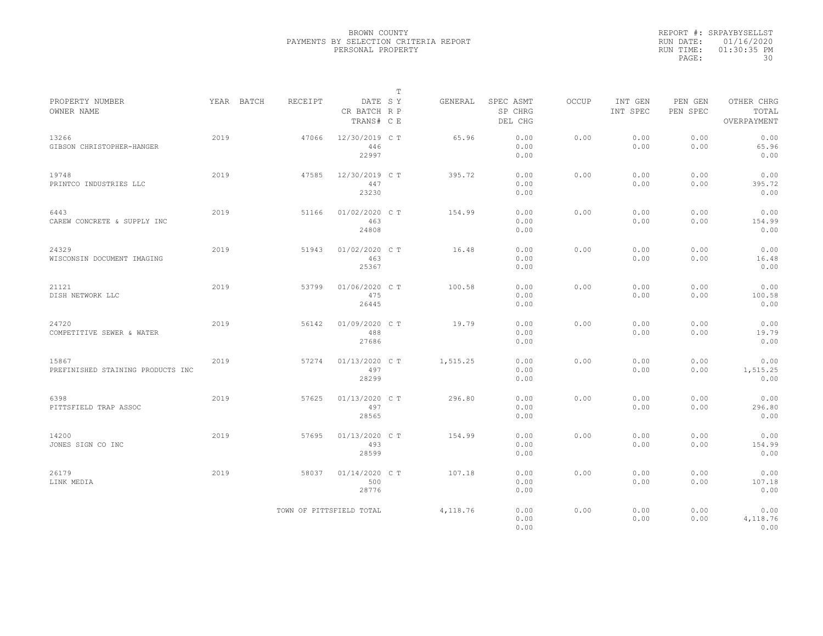|           | REPORT #: SRPAYBYSELLST |
|-----------|-------------------------|
|           | RUN DATE: 01/16/2020    |
| RUN TIME: | $01:30:35$ PM           |
| PAGE:     | 30                      |

|                                            |      |            |         |                                       | $\mathbb T$ |          |                                 |       |                     |                     |                                    |
|--------------------------------------------|------|------------|---------|---------------------------------------|-------------|----------|---------------------------------|-------|---------------------|---------------------|------------------------------------|
| PROPERTY NUMBER<br>OWNER NAME              |      | YEAR BATCH | RECEIPT | DATE SY<br>CR BATCH R P<br>TRANS# C E |             | GENERAL  | SPEC ASMT<br>SP CHRG<br>DEL CHG | OCCUP | INT GEN<br>INT SPEC | PEN GEN<br>PEN SPEC | OTHER CHRG<br>TOTAL<br>OVERPAYMENT |
| 13266<br>GIBSON CHRISTOPHER-HANGER         | 2019 |            | 47066   | 12/30/2019 C T<br>446<br>22997        |             | 65.96    | 0.00<br>0.00<br>0.00            | 0.00  | 0.00<br>0.00        | 0.00<br>0.00        | 0.00<br>65.96<br>0.00              |
| 19748<br>PRINTCO INDUSTRIES LLC            | 2019 |            | 47585   | 12/30/2019 C T<br>447<br>23230        |             | 395.72   | 0.00<br>0.00<br>0.00            | 0.00  | 0.00<br>0.00        | 0.00<br>0.00        | 0.00<br>395.72<br>0.00             |
| 6443<br>CAREW CONCRETE & SUPPLY INC        | 2019 |            | 51166   | 01/02/2020 CT<br>463<br>24808         |             | 154.99   | 0.00<br>0.00<br>0.00            | 0.00  | 0.00<br>0.00        | 0.00<br>0.00        | 0.00<br>154.99<br>0.00             |
| 24329<br>WISCONSIN DOCUMENT IMAGING        | 2019 |            | 51943   | 01/02/2020 C T<br>463<br>25367        |             | 16.48    | 0.00<br>0.00<br>0.00            | 0.00  | 0.00<br>0.00        | 0.00<br>0.00        | 0.00<br>16.48<br>0.00              |
| 21121<br>DISH NETWORK LLC                  | 2019 |            | 53799   | 01/06/2020 C T<br>475<br>26445        |             | 100.58   | 0.00<br>0.00<br>0.00            | 0.00  | 0.00<br>0.00        | 0.00<br>0.00        | 0.00<br>100.58<br>0.00             |
| 24720<br>COMPETITIVE SEWER & WATER         | 2019 |            | 56142   | 01/09/2020 C T<br>488<br>27686        |             | 19.79    | 0.00<br>0.00<br>0.00            | 0.00  | 0.00<br>0.00        | 0.00<br>0.00        | 0.00<br>19.79<br>0.00              |
| 15867<br>PREFINISHED STAINING PRODUCTS INC | 2019 |            | 57274   | 01/13/2020 C T<br>497<br>28299        |             | 1,515.25 | 0.00<br>0.00<br>0.00            | 0.00  | 0.00<br>0.00        | 0.00<br>0.00        | 0.00<br>1,515.25<br>0.00           |
| 6398<br>PITTSFIELD TRAP ASSOC              | 2019 |            | 57625   | 01/13/2020 C T<br>497<br>28565        |             | 296.80   | 0.00<br>0.00<br>0.00            | 0.00  | 0.00<br>0.00        | 0.00<br>0.00        | 0.00<br>296.80<br>0.00             |
| 14200<br>JONES SIGN CO INC                 | 2019 |            | 57695   | 01/13/2020 C T<br>493<br>28599        |             | 154.99   | 0.00<br>0.00<br>0.00            | 0.00  | 0.00<br>0.00        | 0.00<br>0.00        | 0.00<br>154.99<br>0.00             |
| 26179<br>LINK MEDIA                        | 2019 |            | 58037   | 01/14/2020 C T<br>500<br>28776        |             | 107.18   | 0.00<br>0.00<br>0.00            | 0.00  | 0.00<br>0.00        | 0.00<br>0.00        | 0.00<br>107.18<br>0.00             |
|                                            |      |            |         | TOWN OF PITTSFIELD TOTAL              |             | 4,118.76 | 0.00<br>0.00<br>0.00            | 0.00  | 0.00<br>0.00        | 0.00<br>0.00        | 0.00<br>4,118.76<br>0.00           |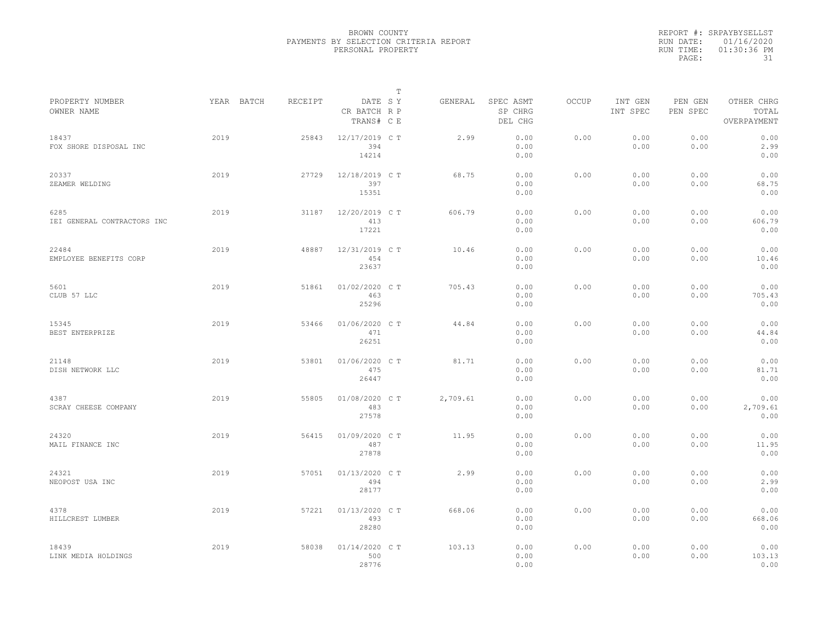|           | REPORT #: SRPAYBYSELLST |
|-----------|-------------------------|
|           | RUN DATE: 01/16/2020    |
| RUN TIME: | 01:30:36 PM             |
| PAGE:     | 31                      |

|                                     |            |         |                                       | т |          |                                 |       |                     |                     |                                    |  |
|-------------------------------------|------------|---------|---------------------------------------|---|----------|---------------------------------|-------|---------------------|---------------------|------------------------------------|--|
| PROPERTY NUMBER<br>OWNER NAME       | YEAR BATCH | RECEIPT | DATE SY<br>CR BATCH R P<br>TRANS# C E |   | GENERAL  | SPEC ASMT<br>SP CHRG<br>DEL CHG | OCCUP | INT GEN<br>INT SPEC | PEN GEN<br>PEN SPEC | OTHER CHRG<br>TOTAL<br>OVERPAYMENT |  |
| 18437<br>FOX SHORE DISPOSAL INC     | 2019       | 25843   | 12/17/2019 C T<br>394<br>14214        |   | 2.99     | 0.00<br>0.00<br>0.00            | 0.00  | 0.00<br>0.00        | 0.00<br>0.00        | 0.00<br>2.99<br>0.00               |  |
| 20337<br>ZEAMER WELDING             | 2019       | 27729   | 12/18/2019 C T<br>397<br>15351        |   | 68.75    | 0.00<br>0.00<br>0.00            | 0.00  | 0.00<br>0.00        | 0.00<br>0.00        | 0.00<br>68.75<br>0.00              |  |
| 6285<br>IEI GENERAL CONTRACTORS INC | 2019       | 31187   | 12/20/2019 C T<br>413<br>17221        |   | 606.79   | 0.00<br>0.00<br>0.00            | 0.00  | 0.00<br>0.00        | 0.00<br>0.00        | 0.00<br>606.79<br>0.00             |  |
| 22484<br>EMPLOYEE BENEFITS CORP     | 2019       | 48887   | 12/31/2019 C T<br>454<br>23637        |   | 10.46    | 0.00<br>0.00<br>0.00            | 0.00  | 0.00<br>0.00        | 0.00<br>0.00        | 0.00<br>10.46<br>0.00              |  |
| 5601<br>CLUB 57 LLC                 | 2019       | 51861   | 01/02/2020 C T<br>463<br>25296        |   | 705.43   | 0.00<br>0.00<br>0.00            | 0.00  | 0.00<br>0.00        | 0.00<br>0.00        | 0.00<br>705.43<br>0.00             |  |
| 15345<br>BEST ENTERPRIZE            | 2019       | 53466   | 01/06/2020 C T<br>471<br>26251        |   | 44.84    | 0.00<br>0.00<br>0.00            | 0.00  | 0.00<br>0.00        | 0.00<br>0.00        | 0.00<br>44.84<br>0.00              |  |
| 21148<br>DISH NETWORK LLC           | 2019       | 53801   | 01/06/2020 C T<br>475<br>26447        |   | 81.71    | 0.00<br>0.00<br>0.00            | 0.00  | 0.00<br>0.00        | 0.00<br>0.00        | 0.00<br>81.71<br>0.00              |  |
| 4387<br>SCRAY CHEESE COMPANY        | 2019       | 55805   | 01/08/2020 CT<br>483<br>27578         |   | 2,709.61 | 0.00<br>0.00<br>0.00            | 0.00  | 0.00<br>0.00        | 0.00<br>0.00        | 0.00<br>2,709.61<br>0.00           |  |
| 24320<br>MAIL FINANCE INC           | 2019       | 56415   | 01/09/2020 C T<br>487<br>27878        |   | 11.95    | 0.00<br>0.00<br>0.00            | 0.00  | 0.00<br>0.00        | 0.00<br>0.00        | 0.00<br>11.95<br>0.00              |  |
| 24321<br>NEOPOST USA INC            | 2019       | 57051   | 01/13/2020 C T<br>494<br>28177        |   | 2.99     | 0.00<br>0.00<br>0.00            | 0.00  | 0.00<br>0.00        | 0.00<br>0.00        | 0.00<br>2.99<br>0.00               |  |
| 4378<br>HILLCREST LUMBER            | 2019       | 57221   | 01/13/2020 C T<br>493<br>28280        |   | 668.06   | 0.00<br>0.00<br>0.00            | 0.00  | 0.00<br>0.00        | 0.00<br>0.00        | 0.00<br>668.06<br>0.00             |  |
| 18439<br>LINK MEDIA HOLDINGS        | 2019       | 58038   | 01/14/2020 C T<br>500<br>28776        |   | 103.13   | 0.00<br>0.00<br>0.00            | 0.00  | 0.00<br>0.00        | 0.00<br>0.00        | 0.00<br>103.13<br>0.00             |  |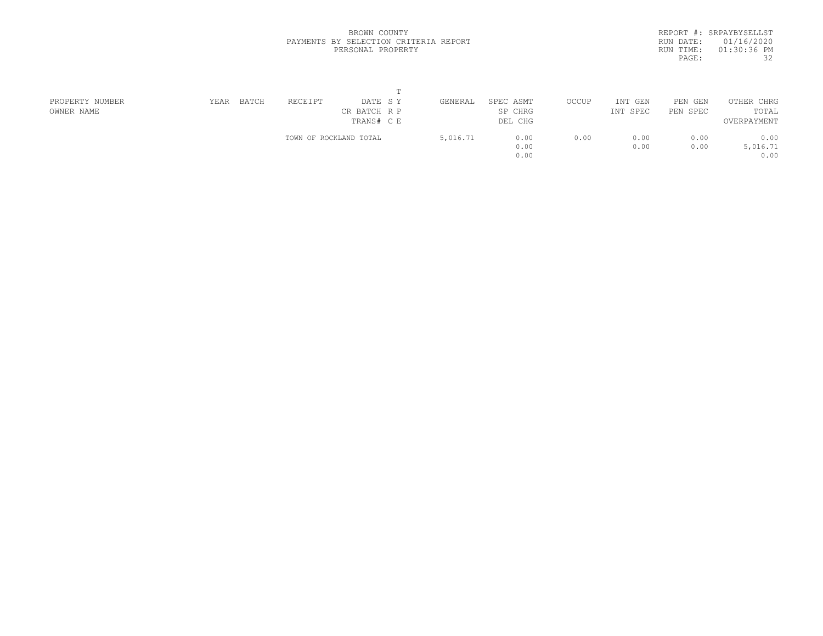|           | REPORT #: SRPAYBYSELLST |
|-----------|-------------------------|
|           | RUN DATE: 01/16/2020    |
| RUN TIME: | $01:30:36$ PM           |
| PAGE:     | 32                      |
|           |                         |

| PROPERTY NUMBER | BATCH<br>YEAR | RECEIPT<br>DATE SY     | GENERAL  | SPEC ASMT | OCCUP | INT GEN     | PEN GEN  | OTHER CHRG          |  |
|-----------------|---------------|------------------------|----------|-----------|-------|-------------|----------|---------------------|--|
| OWNER NAME      |               | CR BATCH R P           |          | SP CHRG   |       | INT<br>SPEC | PEN SPEC | TOTAL               |  |
|                 |               | TRANS# C E             |          | DEL CHG   |       |             |          | OVERPAYMENT<br>0.00 |  |
|                 |               | TOWN OF ROCKLAND TOTAL | 5,016.71 | 0.00      | 0.00  | 0.00        | 0.00     |                     |  |
|                 |               |                        |          | 0.00      |       | 0.00        | 0.00     | 5,016.71            |  |
|                 |               |                        |          | 0.00      |       |             |          | 0.00                |  |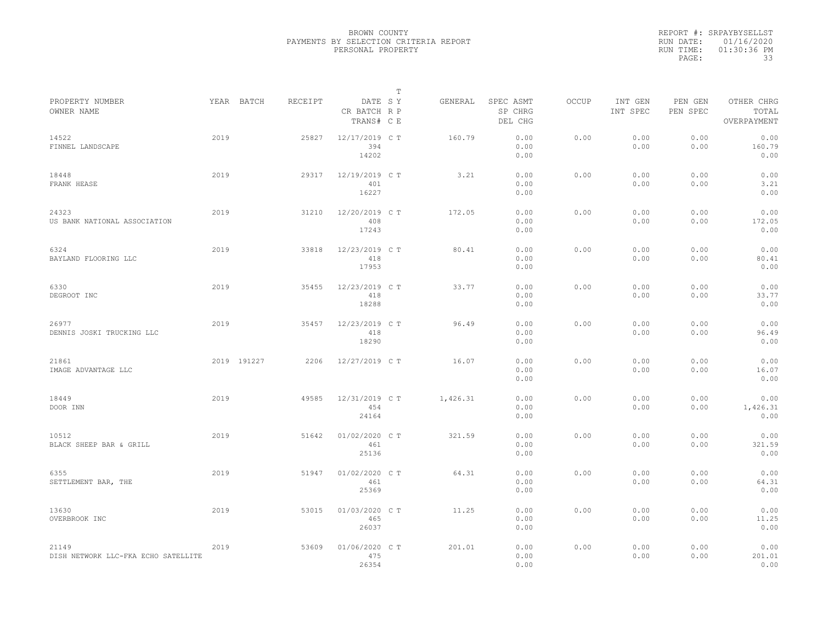|           | REPORT #: SRPAYBYSELLST |
|-----------|-------------------------|
|           | RUN DATE: 01/16/2020    |
| RUN TIME: | 01:30:36 PM             |
| PAGE:     | 33                      |

|                                              |      |             |         |                                       | $\mathbb T$ |          |                                 |              |                     |                     |                                    |
|----------------------------------------------|------|-------------|---------|---------------------------------------|-------------|----------|---------------------------------|--------------|---------------------|---------------------|------------------------------------|
| PROPERTY NUMBER<br>OWNER NAME                |      | YEAR BATCH  | RECEIPT | DATE SY<br>CR BATCH R P<br>TRANS# C E |             | GENERAL  | SPEC ASMT<br>SP CHRG<br>DEL CHG | <b>OCCUP</b> | INT GEN<br>INT SPEC | PEN GEN<br>PEN SPEC | OTHER CHRG<br>TOTAL<br>OVERPAYMENT |
| 14522<br>FINNEL LANDSCAPE                    | 2019 |             | 25827   | 12/17/2019 C T<br>394<br>14202        |             | 160.79   | 0.00<br>0.00<br>0.00            | 0.00         | 0.00<br>0.00        | 0.00<br>0.00        | 0.00<br>160.79<br>0.00             |
| 18448<br>FRANK HEASE                         | 2019 |             | 29317   | 12/19/2019 C T<br>401<br>16227        |             | 3.21     | 0.00<br>0.00<br>0.00            | 0.00         | 0.00<br>0.00        | 0.00<br>0.00        | 0.00<br>3.21<br>0.00               |
| 24323<br>US BANK NATIONAL ASSOCIATION        | 2019 |             | 31210   | 12/20/2019 C T<br>408<br>17243        |             | 172.05   | 0.00<br>0.00<br>0.00            | 0.00         | 0.00<br>0.00        | 0.00<br>0.00        | 0.00<br>172.05<br>0.00             |
| 6324<br>BAYLAND FLOORING LLC                 | 2019 |             | 33818   | 12/23/2019 C T<br>418<br>17953        |             | 80.41    | 0.00<br>0.00<br>0.00            | 0.00         | 0.00<br>0.00        | 0.00<br>0.00        | 0.00<br>80.41<br>0.00              |
| 6330<br>DEGROOT INC                          | 2019 |             | 35455   | 12/23/2019 C T<br>418<br>18288        |             | 33.77    | 0.00<br>0.00<br>0.00            | 0.00         | 0.00<br>0.00        | 0.00<br>0.00        | 0.00<br>33.77<br>0.00              |
| 26977<br>DENNIS JOSKI TRUCKING LLC           | 2019 |             | 35457   | 12/23/2019 C T<br>418<br>18290        |             | 96.49    | 0.00<br>0.00<br>0.00            | 0.00         | 0.00<br>0.00        | 0.00<br>0.00        | 0.00<br>96.49<br>0.00              |
| 21861<br>IMAGE ADVANTAGE LLC                 |      | 2019 191227 | 2206    | 12/27/2019 C T                        |             | 16.07    | 0.00<br>0.00<br>0.00            | 0.00         | 0.00<br>0.00        | 0.00<br>0.00        | 0.00<br>16.07<br>0.00              |
| 18449<br>DOOR INN                            | 2019 |             | 49585   | 12/31/2019 C T<br>454<br>24164        |             | 1,426.31 | 0.00<br>0.00<br>0.00            | 0.00         | 0.00<br>0.00        | 0.00<br>0.00        | 0.00<br>1,426.31<br>0.00           |
| 10512<br>BLACK SHEEP BAR & GRILL             | 2019 |             | 51642   | 01/02/2020 C T<br>461<br>25136        |             | 321.59   | 0.00<br>0.00<br>0.00            | 0.00         | 0.00<br>0.00        | 0.00<br>0.00        | 0.00<br>321.59<br>0.00             |
| 6355<br>SETTLEMENT BAR, THE                  | 2019 |             | 51947   | 01/02/2020 CT<br>461<br>25369         |             | 64.31    | 0.00<br>0.00<br>0.00            | 0.00         | 0.00<br>0.00        | 0.00<br>0.00        | 0.00<br>64.31<br>0.00              |
| 13630<br>OVERBROOK INC                       | 2019 |             | 53015   | 01/03/2020 C T<br>465<br>26037        |             | 11.25    | 0.00<br>0.00<br>0.00            | 0.00         | 0.00<br>0.00        | 0.00<br>0.00        | 0.00<br>11.25<br>0.00              |
| 21149<br>DISH NETWORK LLC-FKA ECHO SATELLITE | 2019 |             | 53609   | 01/06/2020 C T<br>475<br>26354        |             | 201.01   | 0.00<br>0.00<br>0.00            | 0.00         | 0.00<br>0.00        | 0.00<br>0.00        | 0.00<br>201.01<br>0.00             |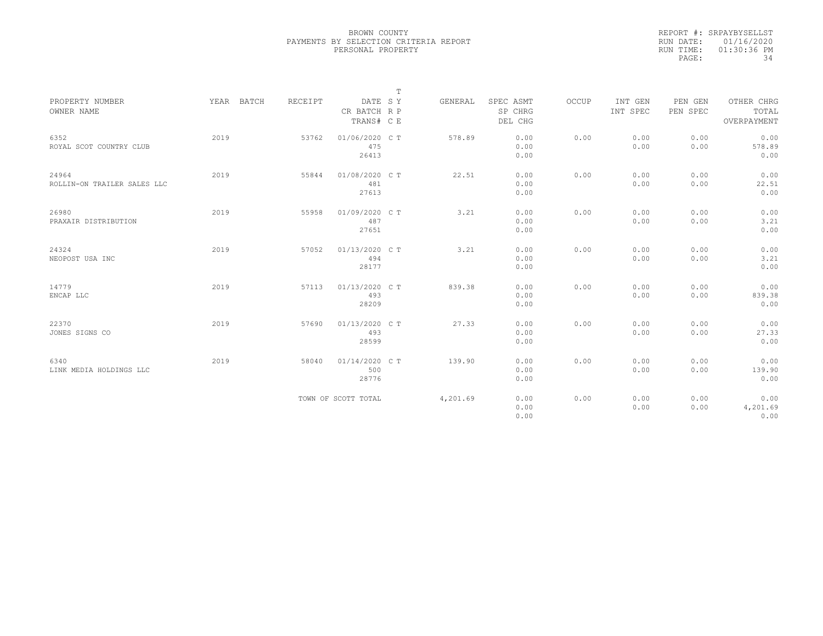|           | REPORT #: SRPAYBYSELLST |
|-----------|-------------------------|
|           | RUN DATE: 01/16/2020    |
| RUN TIME: | $01:30:36$ PM           |
| PAGE:     | 34                      |

|                               |            |         |                         | $\mathbb T$ |          |                      |       |                     |                     |                     |
|-------------------------------|------------|---------|-------------------------|-------------|----------|----------------------|-------|---------------------|---------------------|---------------------|
| PROPERTY NUMBER<br>OWNER NAME | YEAR BATCH | RECEIPT | DATE SY<br>CR BATCH R P |             | GENERAL  | SPEC ASMT<br>SP CHRG | OCCUP | INT GEN<br>INT SPEC | PEN GEN<br>PEN SPEC | OTHER CHRG<br>TOTAL |
|                               |            |         | TRANS# C E              |             |          | DEL CHG              |       |                     |                     | OVERPAYMENT         |
| 6352                          | 2019       | 53762   | 01/06/2020 C T          |             | 578.89   | 0.00                 | 0.00  | 0.00                | 0.00                | 0.00                |
| ROYAL SCOT COUNTRY CLUB       |            |         | 475<br>26413            |             |          | 0.00<br>0.00         |       | 0.00                | 0.00                | 578.89<br>0.00      |
| 24964                         | 2019       | 55844   | 01/08/2020 C T          |             | 22.51    | 0.00                 | 0.00  | 0.00                | 0.00                | 0.00                |
| ROLLIN-ON TRAILER SALES LLC   |            |         | 481<br>27613            |             |          | 0.00<br>0.00         |       | 0.00                | 0.00                | 22.51<br>0.00       |
|                               |            |         |                         |             |          |                      |       |                     |                     |                     |
| 26980                         | 2019       | 55958   | 01/09/2020 C T          |             | 3.21     | 0.00                 | 0.00  | 0.00                | 0.00                | 0.00                |
| PRAXAIR DISTRIBUTION          |            |         | 487                     |             |          | 0.00                 |       | 0.00                | 0.00                | 3.21                |
|                               |            |         | 27651                   |             |          | 0.00                 |       |                     |                     | 0.00                |
| 24324                         | 2019       | 57052   | 01/13/2020 C T          |             | 3.21     | 0.00                 | 0.00  | 0.00                | 0.00                | 0.00                |
| NEOPOST USA INC               |            |         | 494                     |             |          | 0.00                 |       | 0.00                | 0.00                | 3.21                |
|                               |            |         | 28177                   |             |          | 0.00                 |       |                     |                     | 0.00                |
| 14779                         | 2019       | 57113   | 01/13/2020 C T          |             | 839.38   | 0.00                 | 0.00  | 0.00                | 0.00                | 0.00                |
| ENCAP LLC                     |            |         | 493                     |             |          | 0.00                 |       | 0.00                | 0.00                | 839.38              |
|                               |            |         | 28209                   |             |          | 0.00                 |       |                     |                     | 0.00                |
| 22370                         | 2019       | 57690   | 01/13/2020 C T          |             | 27.33    | 0.00                 | 0.00  | 0.00                | 0.00                | 0.00                |
| JONES SIGNS CO                |            |         | 493                     |             |          | 0.00                 |       | 0.00                | 0.00                | 27.33               |
|                               |            |         | 28599                   |             |          | 0.00                 |       |                     |                     | 0.00                |
| 6340                          | 2019       | 58040   | 01/14/2020 C T          |             | 139.90   | 0.00                 | 0.00  | 0.00                | 0.00                | 0.00                |
| LINK MEDIA HOLDINGS LLC       |            |         | 500                     |             |          | 0.00                 |       | 0.00                | 0.00                | 139.90              |
|                               |            |         | 28776                   |             |          | 0.00                 |       |                     |                     | 0.00                |
|                               |            |         | TOWN OF SCOTT TOTAL     |             | 4,201.69 | 0.00                 | 0.00  | 0.00                | 0.00                | 0.00                |
|                               |            |         |                         |             |          | 0.00                 |       | 0.00                | 0.00                | 4,201.69            |
|                               |            |         |                         |             |          | 0.00                 |       |                     |                     | 0.00                |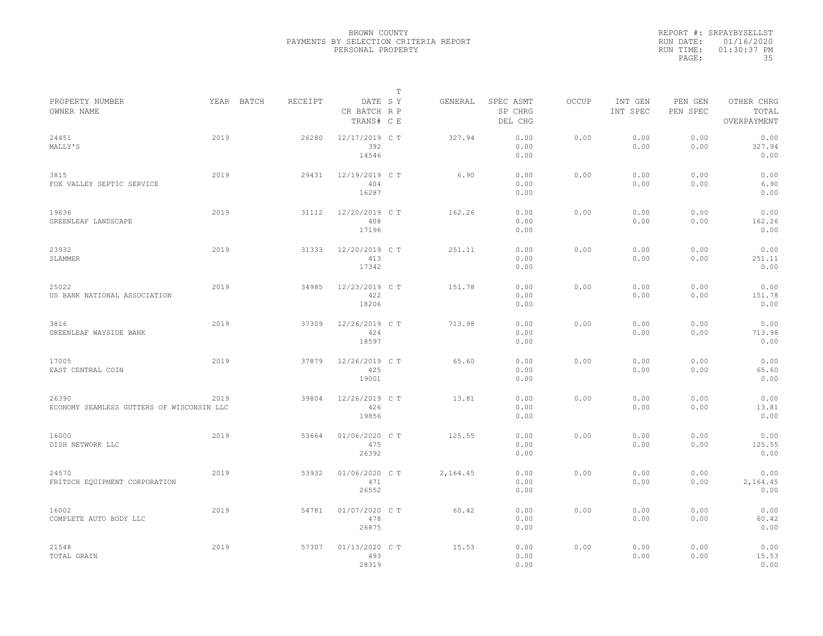|           | REPORT #: SRPAYBYSELLST |
|-----------|-------------------------|
|           | RUN DATE: 01/16/2020    |
| RUN TIME: | $01:30:37$ PM           |
| PAGE:     | 35                      |

|                                                    |      |            |         |                                       | $\mathbb T$ |          |                                 |              |                     |                     |                                    |
|----------------------------------------------------|------|------------|---------|---------------------------------------|-------------|----------|---------------------------------|--------------|---------------------|---------------------|------------------------------------|
| PROPERTY NUMBER<br>OWNER NAME                      |      | YEAR BATCH | RECEIPT | DATE SY<br>CR BATCH R P<br>TRANS# C E |             | GENERAL  | SPEC ASMT<br>SP CHRG<br>DEL CHG | <b>OCCUP</b> | INT GEN<br>INT SPEC | PEN GEN<br>PEN SPEC | OTHER CHRG<br>TOTAL<br>OVERPAYMENT |
| 24451<br>MALLY'S                                   | 2019 |            | 26280   | 12/17/2019 C T<br>392<br>14546        |             | 327.94   | 0.00<br>0.00<br>0.00            | 0.00         | 0.00<br>0.00        | 0.00<br>0.00        | 0.00<br>327.94<br>0.00             |
| 3815<br>FOX VALLEY SEPTIC SERVICE                  | 2019 |            | 29431   | 12/19/2019 C T<br>404<br>16287        |             | 6.90     | 0.00<br>0.00<br>0.00            | 0.00         | 0.00<br>0.00        | 0.00<br>0.00        | 0.00<br>6.90<br>0.00               |
| 19636<br>GREENLEAF LANDSCAPE                       | 2019 |            | 31112   | 12/20/2019 C T<br>408<br>17196        |             | 162.26   | 0.00<br>0.00<br>0.00            | 0.00         | 0.00<br>0.00        | 0.00<br>0.00        | 0.00<br>162.26<br>0.00             |
| 23932<br>SLAMMER                                   | 2019 |            | 31333   | 12/20/2019 C T<br>413<br>17342        |             | 251.11   | 0.00<br>0.00<br>0.00            | 0.00         | 0.00<br>0.00        | 0.00<br>0.00        | 0.00<br>251.11<br>0.00             |
| 25022<br>US BANK NATIONAL ASSOCIATION              | 2019 |            | 34985   | 12/23/2019 C T<br>422<br>18206        |             | 151.78   | 0.00<br>0.00<br>0.00            | 0.00         | 0.00<br>0.00        | 0.00<br>0.00        | 0.00<br>151.78<br>0.00             |
| 3816<br>GREENLEAF WAYSIDE BANK                     | 2019 |            | 37309   | 12/26/2019 C T<br>424<br>18597        |             | 713.98   | 0.00<br>0.00<br>0.00            | 0.00         | 0.00<br>0.00        | 0.00<br>0.00        | 0.00<br>713.98<br>0.00             |
| 17005<br>EAST CENTRAL COIN                         | 2019 |            | 37879   | 12/26/2019 C T<br>425<br>19001        |             | 65.60    | 0.00<br>0.00<br>0.00            | 0.00         | 0.00<br>0.00        | 0.00<br>0.00        | 0.00<br>65.60<br>0.00              |
| 26390<br>ECONOMY SEAMLESS GUTTERS OF WISCONSIN LLC | 2019 |            | 39804   | 12/26/2019 C T<br>426<br>19856        |             | 13.81    | 0.00<br>0.00<br>0.00            | 0.00         | 0.00<br>0.00        | 0.00<br>0.00        | 0.00<br>13.81<br>0.00              |
| 16000<br>DISH NETWORK LLC                          | 2019 |            | 53664   | 01/06/2020 C T<br>475<br>26392        |             | 125.55   | 0.00<br>0.00<br>0.00            | 0.00         | 0.00<br>0.00        | 0.00<br>0.00        | 0.00<br>125.55<br>0.00             |
| 24570<br>FRITSCH EQUIPMENT CORPORATION             | 2019 |            | 53932   | 01/06/2020 CT<br>471<br>26552         |             | 2,164.45 | 0.00<br>0.00<br>0.00            | 0.00         | 0.00<br>0.00        | 0.00<br>0.00        | 0.00<br>2,164.45<br>0.00           |
| 16002<br>COMPLETE AUTO BODY LLC                    | 2019 |            | 54781   | 01/07/2020 C T<br>478<br>26875        |             | 60.42    | 0.00<br>0.00<br>0.00            | 0.00         | 0.00<br>0.00        | 0.00<br>0.00        | 0.00<br>60.42<br>0.00              |
| 21548<br>TOTAL GRAIN                               | 2019 |            | 57307   | 01/13/2020 C T<br>493<br>28319        |             | 15.53    | 0.00<br>0.00<br>0.00            | 0.00         | 0.00<br>0.00        | 0.00<br>0.00        | 0.00<br>15.53<br>0.00              |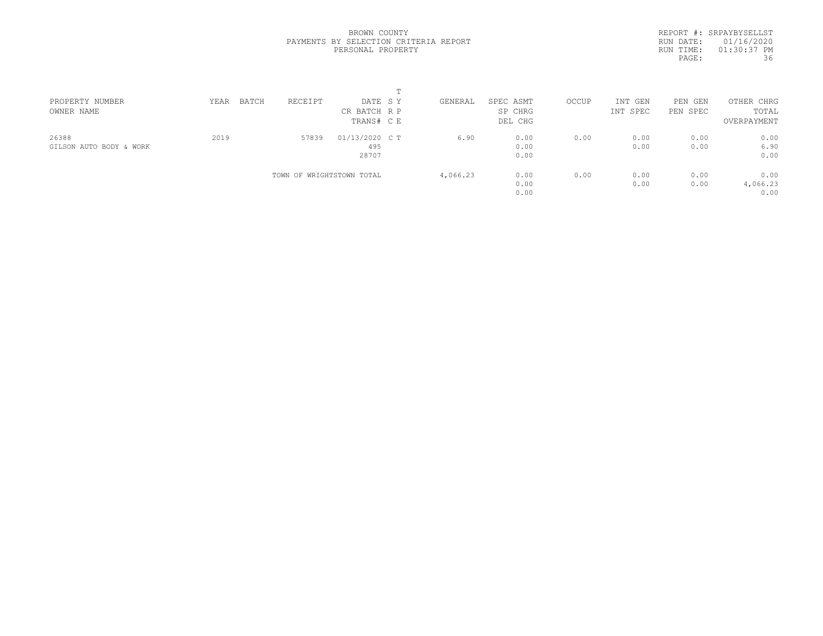REPORT #: SRPAYBYSELLST RUN DATE: 01/16/2020 RUN TIME: 01:30:37 PM PAGE: 36

| PROPERTY NUMBER         | YEAR | BATCH | RECEIPT                   | DATE SY        |  | GENERAL  | SPEC ASMT | OCCUP | INT GEN  | PEN GEN  | OTHER CHRG  |  |
|-------------------------|------|-------|---------------------------|----------------|--|----------|-----------|-------|----------|----------|-------------|--|
| OWNER NAME              |      |       |                           | CR BATCH R P   |  |          | SP CHRG   |       | INT SPEC | PEN SPEC | TOTAL       |  |
|                         |      |       |                           | TRANS# C E     |  |          | DEL CHG   |       |          |          | OVERPAYMENT |  |
| 26388                   | 2019 |       | 57839                     | 01/13/2020 C T |  | 6.90     | 0.00      | 0.00  | 0.00     | 0.00     | 0.00        |  |
| GILSON AUTO BODY & WORK |      |       |                           | 495            |  |          | 0.00      |       | 0.00     | 0.00     | 6.90        |  |
|                         |      |       |                           | 28707          |  |          | 0.00      |       |          |          | 0.00        |  |
|                         |      |       | TOWN OF WRIGHTSTOWN TOTAL |                |  | 4,066.23 | 0.00      | 0.00  | 0.00     | 0.00     | 0.00        |  |
|                         |      |       |                           |                |  |          | 0.00      |       | 0.00     | 0.00     | 4,066.23    |  |
|                         |      |       |                           |                |  |          | 0.00      |       |          |          | 0.00        |  |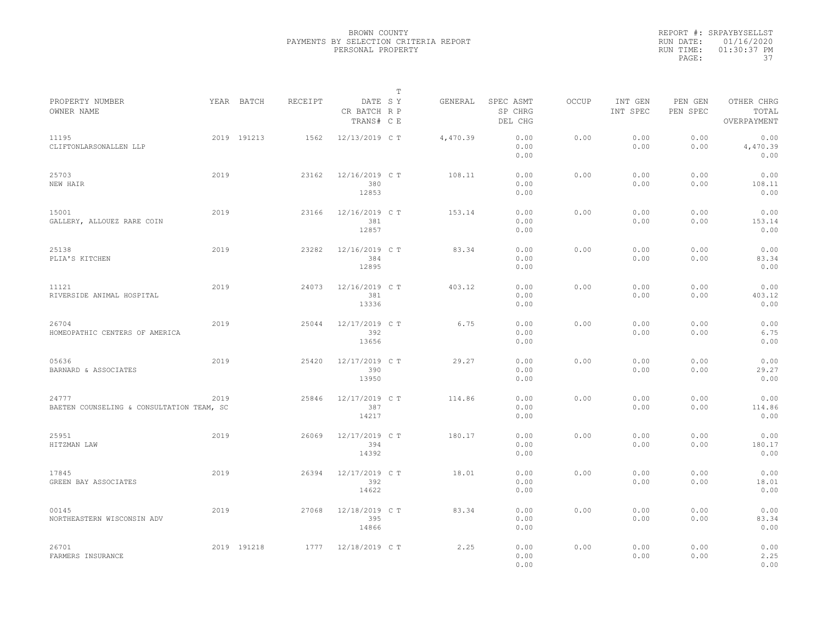|                                                    |      |             |         |                                       | $\mathbb{T}$ |          |                                 |              |                     |                     |                                    |
|----------------------------------------------------|------|-------------|---------|---------------------------------------|--------------|----------|---------------------------------|--------------|---------------------|---------------------|------------------------------------|
| PROPERTY NUMBER<br>OWNER NAME                      |      | YEAR BATCH  | RECEIPT | DATE SY<br>CR BATCH R P<br>TRANS# C E |              | GENERAL  | SPEC ASMT<br>SP CHRG<br>DEL CHG | <b>OCCUP</b> | INT GEN<br>INT SPEC | PEN GEN<br>PEN SPEC | OTHER CHRG<br>TOTAL<br>OVERPAYMENT |
| 11195<br>CLIFTONLARSONALLEN LLP                    |      | 2019 191213 | 1562    | 12/13/2019 C T                        |              | 4,470.39 | 0.00<br>0.00<br>0.00            | 0.00         | 0.00<br>0.00        | 0.00<br>0.00        | 0.00<br>4,470.39<br>0.00           |
| 25703<br>NEW HAIR                                  | 2019 |             | 23162   | 12/16/2019 C T<br>380<br>12853        |              | 108.11   | 0.00<br>0.00<br>0.00            | 0.00         | 0.00<br>0.00        | 0.00<br>0.00        | 0.00<br>108.11<br>0.00             |
| 15001<br>GALLERY, ALLOUEZ RARE COIN                | 2019 |             | 23166   | 12/16/2019 C T<br>381<br>12857        |              | 153.14   | 0.00<br>0.00<br>0.00            | 0.00         | 0.00<br>0.00        | 0.00<br>0.00        | 0.00<br>153.14<br>0.00             |
| 25138<br>PLIA'S KITCHEN                            | 2019 |             | 23282   | 12/16/2019 C T<br>384<br>12895        |              | 83.34    | 0.00<br>0.00<br>0.00            | 0.00         | 0.00<br>0.00        | 0.00<br>0.00        | 0.00<br>83.34<br>0.00              |
| 11121<br>RIVERSIDE ANIMAL HOSPITAL                 | 2019 |             | 24073   | 12/16/2019 C T<br>381<br>13336        |              | 403.12   | 0.00<br>0.00<br>0.00            | 0.00         | 0.00<br>0.00        | 0.00<br>0.00        | 0.00<br>403.12<br>0.00             |
| 26704<br>HOMEOPATHIC CENTERS OF AMERICA            | 2019 |             | 25044   | 12/17/2019 C T<br>392<br>13656        |              | 6.75     | 0.00<br>0.00<br>0.00            | 0.00         | 0.00<br>0.00        | 0.00<br>0.00        | 0.00<br>6.75<br>0.00               |
| 05636<br>BARNARD & ASSOCIATES                      | 2019 |             | 25420   | 12/17/2019 C T<br>390<br>13950        |              | 29.27    | 0.00<br>0.00<br>0.00            | 0.00         | 0.00<br>0.00        | 0.00<br>0.00        | 0.00<br>29.27<br>0.00              |
| 24777<br>BAETEN COUNSELING & CONSULTATION TEAM, SC | 2019 |             | 25846   | 12/17/2019 C T<br>387<br>14217        |              | 114.86   | 0.00<br>0.00<br>0.00            | 0.00         | 0.00<br>0.00        | 0.00<br>0.00        | 0.00<br>114.86<br>0.00             |
| 25951<br>HITZMAN LAW                               | 2019 |             | 26069   | 12/17/2019 C T<br>394<br>14392        |              | 180.17   | 0.00<br>0.00<br>0.00            | 0.00         | 0.00<br>0.00        | 0.00<br>0.00        | 0.00<br>180.17<br>0.00             |
| 17845<br>GREEN BAY ASSOCIATES                      | 2019 |             | 26394   | 12/17/2019 C T<br>392<br>14622        |              | 18.01    | 0.00<br>0.00<br>0.00            | 0.00         | 0.00<br>0.00        | 0.00<br>0.00        | 0.00<br>18.01<br>0.00              |
| 00145<br>NORTHEASTERN WISCONSIN ADV                | 2019 |             | 27068   | 12/18/2019 C T<br>395<br>14866        |              | 83.34    | 0.00<br>0.00<br>0.00            | 0.00         | 0.00<br>0.00        | 0.00<br>0.00        | 0.00<br>83.34<br>0.00              |
| 26701<br>FARMERS INSURANCE                         |      | 2019 191218 | 1777    | 12/18/2019 C T                        |              | 2.25     | 0.00<br>0.00<br>0.00            | 0.00         | 0.00<br>0.00        | 0.00<br>0.00        | 0.00<br>2.25<br>0.00               |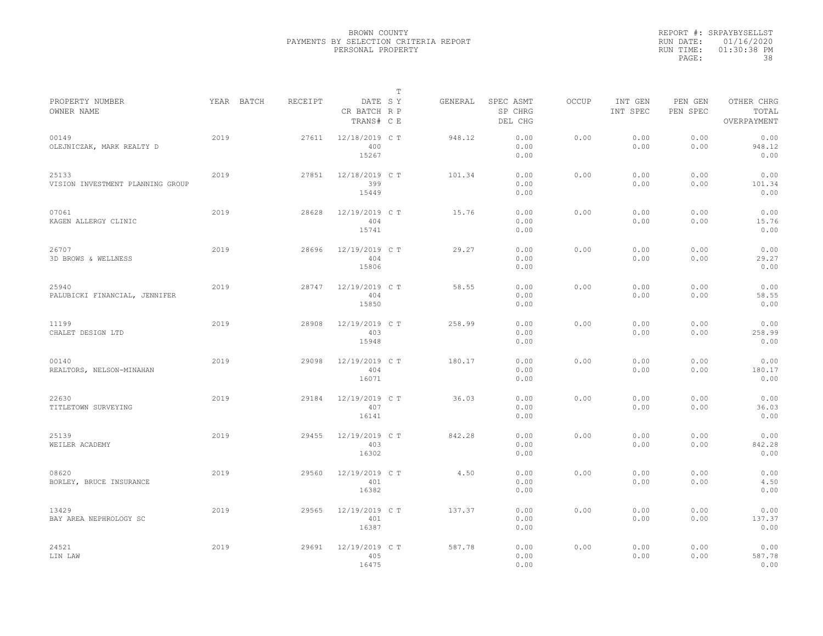|           | REPORT #: SRPAYBYSELLST |
|-----------|-------------------------|
|           | RUN DATE: 01/16/2020    |
| RUN TIME: | $01:30:38$ PM           |
| PAGE:     | 38                      |

|                                           |            |         |                                       | $\mathbb T$ |         |                                 |              |                     |                     |                                    |
|-------------------------------------------|------------|---------|---------------------------------------|-------------|---------|---------------------------------|--------------|---------------------|---------------------|------------------------------------|
| PROPERTY NUMBER<br>OWNER NAME             | YEAR BATCH | RECEIPT | DATE SY<br>CR BATCH R P<br>TRANS# C E |             | GENERAL | SPEC ASMT<br>SP CHRG<br>DEL CHG | <b>OCCUP</b> | INT GEN<br>INT SPEC | PEN GEN<br>PEN SPEC | OTHER CHRG<br>TOTAL<br>OVERPAYMENT |
| 00149<br>OLEJNICZAK, MARK REALTY D        | 2019       | 27611   | 12/18/2019 C T<br>400<br>15267        |             | 948.12  | 0.00<br>0.00<br>0.00            | 0.00         | 0.00<br>0.00        | 0.00<br>0.00        | 0.00<br>948.12<br>0.00             |
| 25133<br>VISION INVESTMENT PLANNING GROUP | 2019       | 27851   | 12/18/2019 C T<br>399<br>15449        |             | 101.34  | 0.00<br>0.00<br>0.00            | 0.00         | 0.00<br>0.00        | 0.00<br>0.00        | 0.00<br>101.34<br>0.00             |
| 07061<br>KAGEN ALLERGY CLINIC             | 2019       | 28628   | 12/19/2019 C T<br>404<br>15741        |             | 15.76   | 0.00<br>0.00<br>0.00            | 0.00         | 0.00<br>0.00        | 0.00<br>0.00        | 0.00<br>15.76<br>0.00              |
| 26707<br>3D BROWS & WELLNESS              | 2019       | 28696   | 12/19/2019 C T<br>404<br>15806        |             | 29.27   | 0.00<br>0.00<br>0.00            | 0.00         | 0.00<br>0.00        | 0.00<br>0.00        | 0.00<br>29.27<br>0.00              |
| 25940<br>PALUBICKI FINANCIAL, JENNIFER    | 2019       | 28747   | 12/19/2019 C T<br>404<br>15850        |             | 58.55   | 0.00<br>0.00<br>0.00            | 0.00         | 0.00<br>0.00        | 0.00<br>0.00        | 0.00<br>58.55<br>0.00              |
| 11199<br>CHALET DESIGN LTD                | 2019       | 28908   | 12/19/2019 C T<br>403<br>15948        |             | 258.99  | 0.00<br>0.00<br>0.00            | 0.00         | 0.00<br>0.00        | 0.00<br>0.00        | 0.00<br>258.99<br>0.00             |
| 00140<br>REALTORS, NELSON-MINAHAN         | 2019       | 29098   | 12/19/2019 C T<br>404<br>16071        |             | 180.17  | 0.00<br>0.00<br>0.00            | 0.00         | 0.00<br>0.00        | 0.00<br>0.00        | 0.00<br>180.17<br>0.00             |
| 22630<br>TITLETOWN SURVEYING              | 2019       | 29184   | 12/19/2019 C T<br>407<br>16141        |             | 36.03   | 0.00<br>0.00<br>0.00            | 0.00         | 0.00<br>0.00        | 0.00<br>0.00        | 0.00<br>36.03<br>0.00              |
| 25139<br>WEILER ACADEMY                   | 2019       | 29455   | 12/19/2019 C T<br>403<br>16302        |             | 842.28  | 0.00<br>0.00<br>0.00            | 0.00         | 0.00<br>0.00        | 0.00<br>0.00        | 0.00<br>842.28<br>0.00             |
| 08620<br>BORLEY, BRUCE INSURANCE          | 2019       | 29560   | 12/19/2019 C T<br>401<br>16382        |             | 4.50    | 0.00<br>0.00<br>0.00            | 0.00         | 0.00<br>0.00        | 0.00<br>0.00        | 0.00<br>4.50<br>0.00               |
| 13429<br>BAY AREA NEPHROLOGY SC           | 2019       | 29565   | 12/19/2019 C T<br>401<br>16387        |             | 137.37  | 0.00<br>0.00<br>0.00            | 0.00         | 0.00<br>0.00        | 0.00<br>0.00        | 0.00<br>137.37<br>0.00             |
| 24521<br>LIN LAW                          | 2019       | 29691   | 12/19/2019 C T<br>405<br>16475        |             | 587.78  | 0.00<br>0.00<br>0.00            | 0.00         | 0.00<br>0.00        | 0.00<br>0.00        | 0.00<br>587.78<br>0.00             |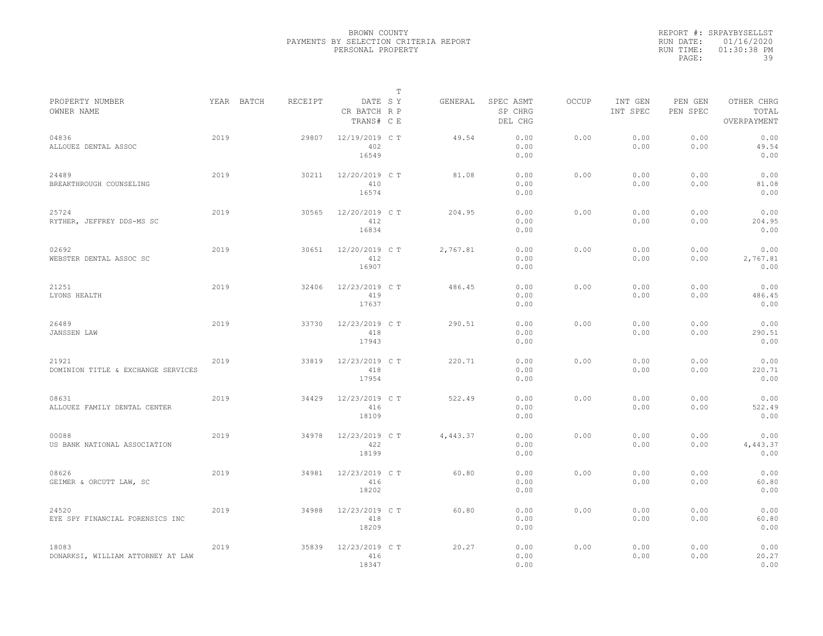|                                             |      |            |         |                                       | $\mathbb T$ |          |                                 |              |                     |                     |                                    |  |
|---------------------------------------------|------|------------|---------|---------------------------------------|-------------|----------|---------------------------------|--------------|---------------------|---------------------|------------------------------------|--|
| PROPERTY NUMBER<br>OWNER NAME               |      | YEAR BATCH | RECEIPT | DATE SY<br>CR BATCH R P<br>TRANS# C E |             | GENERAL  | SPEC ASMT<br>SP CHRG<br>DEL CHG | <b>OCCUP</b> | INT GEN<br>INT SPEC | PEN GEN<br>PEN SPEC | OTHER CHRG<br>TOTAL<br>OVERPAYMENT |  |
| 04836<br>ALLOUEZ DENTAL ASSOC               | 2019 |            | 29807   | 12/19/2019 C T<br>402<br>16549        |             | 49.54    | 0.00<br>0.00<br>0.00            | 0.00         | 0.00<br>0.00        | 0.00<br>0.00        | 0.00<br>49.54<br>0.00              |  |
| 24489<br>BREAKTHROUGH COUNSELING            | 2019 |            | 30211   | 12/20/2019 C T<br>410<br>16574        |             | 81.08    | 0.00<br>0.00<br>0.00            | 0.00         | 0.00<br>0.00        | 0.00<br>0.00        | 0.00<br>81.08<br>0.00              |  |
| 25724<br>RYTHER, JEFFREY DDS-MS SC          | 2019 |            | 30565   | 12/20/2019 C T<br>412<br>16834        |             | 204.95   | 0.00<br>0.00<br>0.00            | 0.00         | 0.00<br>0.00        | 0.00<br>0.00        | 0.00<br>204.95<br>0.00             |  |
| 02692<br>WEBSTER DENTAL ASSOC SC            | 2019 |            | 30651   | 12/20/2019 C T<br>412<br>16907        |             | 2,767.81 | 0.00<br>0.00<br>0.00            | 0.00         | 0.00<br>0.00        | 0.00<br>0.00        | 0.00<br>2,767.81<br>0.00           |  |
| 21251<br>LYONS HEALTH                       | 2019 |            | 32406   | 12/23/2019 C T<br>419<br>17637        |             | 486.45   | 0.00<br>0.00<br>0.00            | 0.00         | 0.00<br>0.00        | 0.00<br>0.00        | 0.00<br>486.45<br>0.00             |  |
| 26489<br>JANSSEN LAW                        | 2019 |            | 33730   | 12/23/2019 C T<br>418<br>17943        |             | 290.51   | 0.00<br>0.00<br>0.00            | 0.00         | 0.00<br>0.00        | 0.00<br>0.00        | 0.00<br>290.51<br>0.00             |  |
| 21921<br>DOMINION TITLE & EXCHANGE SERVICES | 2019 |            | 33819   | 12/23/2019 C T<br>418<br>17954        |             | 220.71   | 0.00<br>0.00<br>0.00            | 0.00         | 0.00<br>0.00        | 0.00<br>0.00        | 0.00<br>220.71<br>0.00             |  |
| 08631<br>ALLOUEZ FAMILY DENTAL CENTER       | 2019 |            | 34429   | 12/23/2019 C T<br>416<br>18109        |             | 522.49   | 0.00<br>0.00<br>0.00            | 0.00         | 0.00<br>0.00        | 0.00<br>0.00        | 0.00<br>522.49<br>0.00             |  |
| 00088<br>US BANK NATIONAL ASSOCIATION       | 2019 |            | 34978   | 12/23/2019 C T<br>422<br>18199        |             | 4,443.37 | 0.00<br>0.00<br>0.00            | 0.00         | 0.00<br>0.00        | 0.00<br>0.00        | 0.00<br>4,443.37<br>0.00           |  |
| 08626<br>GEIMER & ORCUTT LAW, SC            | 2019 |            | 34981   | 12/23/2019 C T<br>416<br>18202        |             | 60.80    | 0.00<br>0.00<br>0.00            | 0.00         | 0.00<br>0.00        | 0.00<br>0.00        | 0.00<br>60.80<br>0.00              |  |
| 24520<br>EYE SPY FINANCIAL FORENSICS INC    | 2019 |            | 34988   | 12/23/2019 C T<br>418<br>18209        |             | 60.80    | 0.00<br>0.00<br>0.00            | 0.00         | 0.00<br>0.00        | 0.00<br>0.00        | 0.00<br>60.80<br>0.00              |  |
| 18083<br>DONARKSI, WILLIAM ATTORNEY AT LAW  | 2019 |            | 35839   | 12/23/2019 C T<br>416<br>18347        |             | 20.27    | 0.00<br>0.00<br>0.00            | 0.00         | 0.00<br>0.00        | 0.00<br>0.00        | 0.00<br>20.27<br>0.00              |  |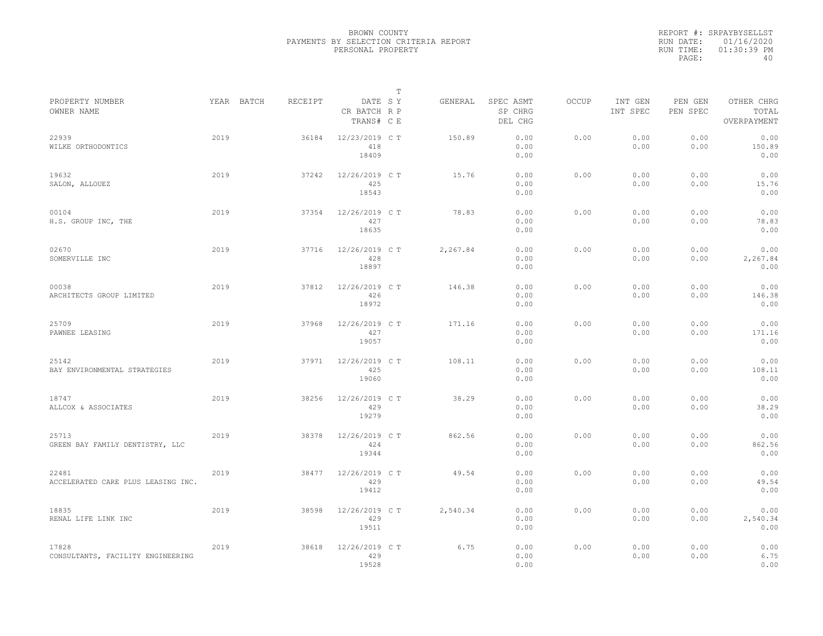|           | REPORT #: SRPAYBYSELLST |
|-----------|-------------------------|
|           | RUN DATE: 01/16/2020    |
| RUN TIME: | $01:30:39$ PM           |
| PAGE:     | 40                      |

|                                             |      |            |         |                                       | Т |          |                                 |       |                     |                     |                                    |  |
|---------------------------------------------|------|------------|---------|---------------------------------------|---|----------|---------------------------------|-------|---------------------|---------------------|------------------------------------|--|
| PROPERTY NUMBER<br>OWNER NAME               |      | YEAR BATCH | RECEIPT | DATE SY<br>CR BATCH R P<br>TRANS# C E |   | GENERAL  | SPEC ASMT<br>SP CHRG<br>DEL CHG | OCCUP | INT GEN<br>INT SPEC | PEN GEN<br>PEN SPEC | OTHER CHRG<br>TOTAL<br>OVERPAYMENT |  |
| 22939<br>WILKE ORTHODONTICS                 | 2019 |            | 36184   | 12/23/2019 C T<br>418<br>18409        |   | 150.89   | 0.00<br>0.00<br>0.00            | 0.00  | 0.00<br>0.00        | 0.00<br>0.00        | 0.00<br>150.89<br>0.00             |  |
| 19632<br>SALON, ALLOUEZ                     | 2019 |            | 37242   | 12/26/2019 C T<br>425<br>18543        |   | 15.76    | 0.00<br>0.00<br>0.00            | 0.00  | 0.00<br>0.00        | 0.00<br>0.00        | 0.00<br>15.76<br>0.00              |  |
| 00104<br>H.S. GROUP INC, THE                | 2019 |            | 37354   | 12/26/2019 C T<br>427<br>18635        |   | 78.83    | 0.00<br>0.00<br>0.00            | 0.00  | 0.00<br>0.00        | 0.00<br>0.00        | 0.00<br>78.83<br>0.00              |  |
| 02670<br>SOMERVILLE INC                     | 2019 |            | 37716   | 12/26/2019 C T<br>428<br>18897        |   | 2,267.84 | 0.00<br>0.00<br>0.00            | 0.00  | 0.00<br>0.00        | 0.00<br>0.00        | 0.00<br>2,267.84<br>0.00           |  |
| 00038<br>ARCHITECTS GROUP LIMITED           | 2019 |            | 37812   | 12/26/2019 C T<br>426<br>18972        |   | 146.38   | 0.00<br>0.00<br>0.00            | 0.00  | 0.00<br>0.00        | 0.00<br>0.00        | 0.00<br>146.38<br>0.00             |  |
| 25709<br>PAWNEE LEASING                     | 2019 |            | 37968   | 12/26/2019 C T<br>427<br>19057        |   | 171.16   | 0.00<br>0.00<br>0.00            | 0.00  | 0.00<br>0.00        | 0.00<br>0.00        | 0.00<br>171.16<br>0.00             |  |
| 25142<br>BAY ENVIRONMENTAL STRATEGIES       | 2019 |            | 37971   | 12/26/2019 C T<br>425<br>19060        |   | 108.11   | 0.00<br>0.00<br>0.00            | 0.00  | 0.00<br>0.00        | 0.00<br>0.00        | 0.00<br>108.11<br>0.00             |  |
| 18747<br>ALLCOX & ASSOCIATES                | 2019 |            | 38256   | 12/26/2019 C T<br>429<br>19279        |   | 38.29    | 0.00<br>0.00<br>0.00            | 0.00  | 0.00<br>0.00        | 0.00<br>0.00        | 0.00<br>38.29<br>0.00              |  |
| 25713<br>GREEN BAY FAMILY DENTISTRY, LLC    | 2019 |            | 38378   | 12/26/2019 C T<br>424<br>19344        |   | 862.56   | 0.00<br>0.00<br>0.00            | 0.00  | 0.00<br>0.00        | 0.00<br>0.00        | 0.00<br>862.56<br>0.00             |  |
| 22481<br>ACCELERATED CARE PLUS LEASING INC. | 2019 |            | 38477   | 12/26/2019 C T<br>429<br>19412        |   | 49.54    | 0.00<br>0.00<br>0.00            | 0.00  | 0.00<br>0.00        | 0.00<br>0.00        | 0.00<br>49.54<br>0.00              |  |
| 18835<br>RENAL LIFE LINK INC                | 2019 |            | 38598   | 12/26/2019 C T<br>429<br>19511        |   | 2,540.34 | 0.00<br>0.00<br>0.00            | 0.00  | 0.00<br>0.00        | 0.00<br>0.00        | 0.00<br>2,540.34<br>0.00           |  |
| 17828<br>CONSULTANTS, FACILITY ENGINEERING  | 2019 |            | 38618   | 12/26/2019 C T<br>429<br>19528        |   | 6.75     | 0.00<br>0.00<br>0.00            | 0.00  | 0.00<br>0.00        | 0.00<br>0.00        | 0.00<br>6.75<br>0.00               |  |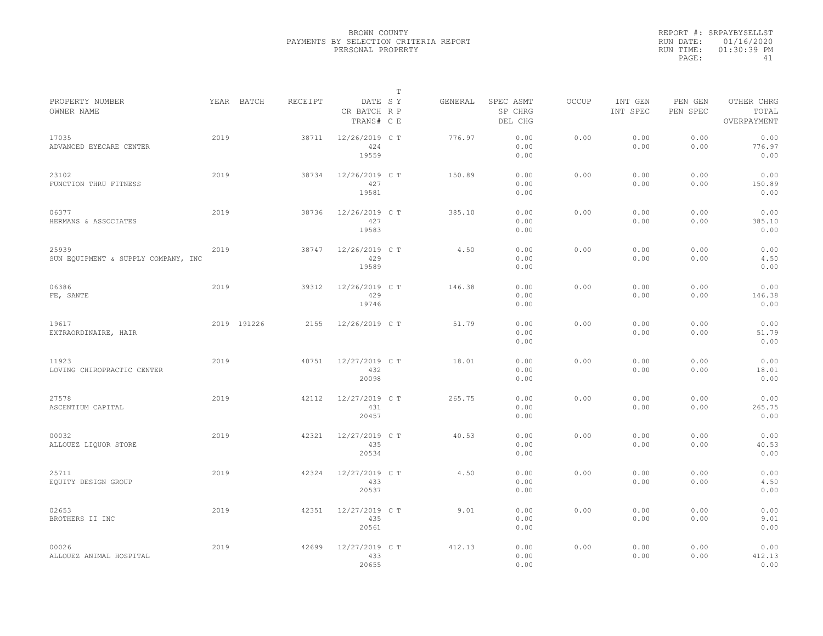|           | REPORT #: SRPAYBYSELLST |
|-----------|-------------------------|
|           | RUN DATE: 01/16/2020    |
| RUN TIME: | 01:30:39 PM             |
| PAGE:     | 41                      |

|                                              |      |             |         |                                       | $\mathbb T$ |         |                                 |              |                     |                     |                                    |
|----------------------------------------------|------|-------------|---------|---------------------------------------|-------------|---------|---------------------------------|--------------|---------------------|---------------------|------------------------------------|
| PROPERTY NUMBER<br>OWNER NAME                |      | YEAR BATCH  | RECEIPT | DATE SY<br>CR BATCH R P<br>TRANS# C E |             | GENERAL | SPEC ASMT<br>SP CHRG<br>DEL CHG | <b>OCCUP</b> | INT GEN<br>INT SPEC | PEN GEN<br>PEN SPEC | OTHER CHRG<br>TOTAL<br>OVERPAYMENT |
| 17035<br>ADVANCED EYECARE CENTER             | 2019 |             | 38711   | 12/26/2019 C T<br>424<br>19559        |             | 776.97  | 0.00<br>0.00<br>0.00            | 0.00         | 0.00<br>0.00        | 0.00<br>0.00        | 0.00<br>776.97<br>0.00             |
| 23102<br>FUNCTION THRU FITNESS               | 2019 |             | 38734   | 12/26/2019 C T<br>427<br>19581        |             | 150.89  | 0.00<br>0.00<br>0.00            | 0.00         | 0.00<br>0.00        | 0.00<br>0.00        | 0.00<br>150.89<br>0.00             |
| 06377<br>HERMANS & ASSOCIATES                | 2019 |             | 38736   | 12/26/2019 C T<br>427<br>19583        |             | 385.10  | 0.00<br>0.00<br>0.00            | 0.00         | 0.00<br>0.00        | 0.00<br>0.00        | 0.00<br>385.10<br>0.00             |
| 25939<br>SUN EQUIPMENT & SUPPLY COMPANY, INC | 2019 |             | 38747   | 12/26/2019 C T<br>429<br>19589        |             | 4.50    | 0.00<br>0.00<br>0.00            | 0.00         | 0.00<br>0.00        | 0.00<br>0.00        | 0.00<br>4.50<br>0.00               |
| 06386<br>FE, SANTE                           | 2019 |             | 39312   | 12/26/2019 C T<br>429<br>19746        |             | 146.38  | 0.00<br>0.00<br>0.00            | 0.00         | 0.00<br>0.00        | 0.00<br>0.00        | 0.00<br>146.38<br>0.00             |
| 19617<br>EXTRAORDINAIRE, HAIR                |      | 2019 191226 | 2155    | 12/26/2019 C T                        |             | 51.79   | 0.00<br>0.00<br>0.00            | 0.00         | 0.00<br>0.00        | 0.00<br>0.00        | 0.00<br>51.79<br>0.00              |
| 11923<br>LOVING CHIROPRACTIC CENTER          | 2019 |             | 40751   | 12/27/2019 C T<br>432<br>20098        |             | 18.01   | 0.00<br>0.00<br>0.00            | 0.00         | 0.00<br>0.00        | 0.00<br>0.00        | 0.00<br>18.01<br>0.00              |
| 27578<br>ASCENTIUM CAPITAL                   | 2019 |             | 42112   | 12/27/2019 C T<br>431<br>20457        |             | 265.75  | 0.00<br>0.00<br>0.00            | 0.00         | 0.00<br>0.00        | 0.00<br>0.00        | 0.00<br>265.75<br>0.00             |
| 00032<br>ALLOUEZ LIQUOR STORE                | 2019 |             | 42321   | 12/27/2019 C T<br>435<br>20534        |             | 40.53   | 0.00<br>0.00<br>0.00            | 0.00         | 0.00<br>0.00        | 0.00<br>0.00        | 0.00<br>40.53<br>0.00              |
| 25711<br>EQUITY DESIGN GROUP                 | 2019 |             | 42324   | 12/27/2019 C T<br>433<br>20537        |             | 4.50    | 0.00<br>0.00<br>0.00            | 0.00         | 0.00<br>0.00        | 0.00<br>0.00        | 0.00<br>4.50<br>0.00               |
| 02653<br>BROTHERS II INC                     | 2019 |             | 42351   | 12/27/2019 C T<br>435<br>20561        |             | 9.01    | 0.00<br>0.00<br>0.00            | 0.00         | 0.00<br>0.00        | 0.00<br>0.00        | 0.00<br>9.01<br>0.00               |
| 00026<br>ALLOUEZ ANIMAL HOSPITAL             | 2019 |             | 42699   | 12/27/2019 C T<br>433<br>20655        |             | 412.13  | 0.00<br>0.00<br>0.00            | 0.00         | 0.00<br>0.00        | 0.00<br>0.00        | 0.00<br>412.13<br>0.00             |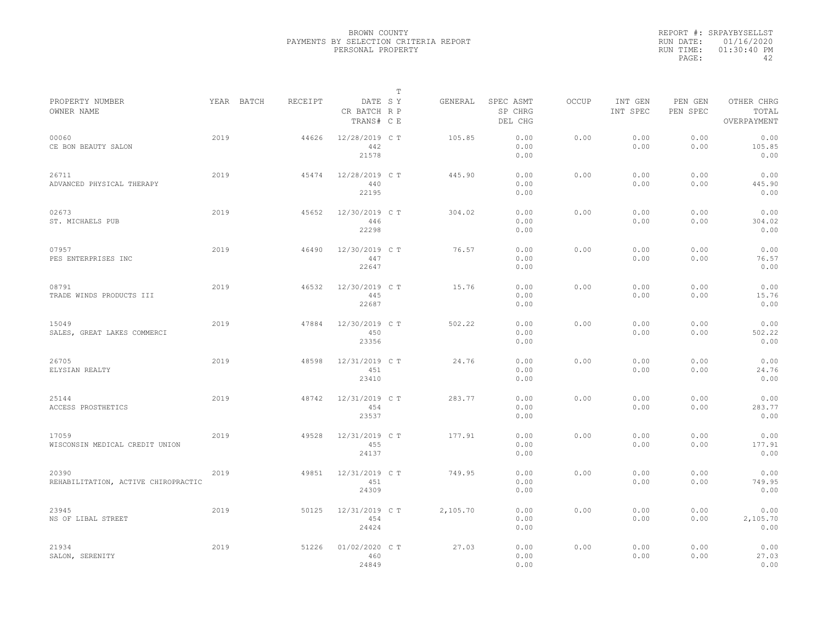|           | REPORT #: SRPAYBYSELLST |
|-----------|-------------------------|
|           | RUN DATE: 01/16/2020    |
| RUN TIME: | $01:30:40$ PM           |
| PAGE:     | ΔΩ                      |

|                                              |      |            |         |                                       | T |          |                                 |              |                     |                     |                                    |
|----------------------------------------------|------|------------|---------|---------------------------------------|---|----------|---------------------------------|--------------|---------------------|---------------------|------------------------------------|
| PROPERTY NUMBER<br>OWNER NAME                |      | YEAR BATCH | RECEIPT | DATE SY<br>CR BATCH R P<br>TRANS# C E |   | GENERAL  | SPEC ASMT<br>SP CHRG<br>DEL CHG | <b>OCCUP</b> | INT GEN<br>INT SPEC | PEN GEN<br>PEN SPEC | OTHER CHRG<br>TOTAL<br>OVERPAYMENT |
| 00060<br>CE BON BEAUTY SALON                 | 2019 |            | 44626   | 12/28/2019 C T<br>442<br>21578        |   | 105.85   | 0.00<br>0.00<br>0.00            | 0.00         | 0.00<br>0.00        | 0.00<br>0.00        | 0.00<br>105.85<br>0.00             |
| 26711<br>ADVANCED PHYSICAL THERAPY           | 2019 |            | 45474   | 12/28/2019 C T<br>440<br>22195        |   | 445.90   | 0.00<br>0.00<br>0.00            | 0.00         | 0.00<br>0.00        | 0.00<br>0.00        | 0.00<br>445.90<br>0.00             |
| 02673<br>ST. MICHAELS PUB                    | 2019 |            | 45652   | 12/30/2019 C T<br>446<br>22298        |   | 304.02   | 0.00<br>0.00<br>0.00            | 0.00         | 0.00<br>0.00        | 0.00<br>0.00        | 0.00<br>304.02<br>0.00             |
| 07957<br>PES ENTERPRISES INC                 | 2019 |            | 46490   | 12/30/2019 C T<br>447<br>22647        |   | 76.57    | 0.00<br>0.00<br>0.00            | 0.00         | 0.00<br>0.00        | 0.00<br>0.00        | 0.00<br>76.57<br>0.00              |
| 08791<br>TRADE WINDS PRODUCTS III            | 2019 |            | 46532   | 12/30/2019 C T<br>445<br>22687        |   | 15.76    | 0.00<br>0.00<br>0.00            | 0.00         | 0.00<br>0.00        | 0.00<br>0.00        | 0.00<br>15.76<br>0.00              |
| 15049<br>SALES, GREAT LAKES COMMERCI         | 2019 |            | 47884   | 12/30/2019 C T<br>450<br>23356        |   | 502.22   | 0.00<br>0.00<br>0.00            | 0.00         | 0.00<br>0.00        | 0.00<br>0.00        | 0.00<br>502.22<br>0.00             |
| 26705<br>ELYSIAN REALTY                      | 2019 |            | 48598   | 12/31/2019 C T<br>451<br>23410        |   | 24.76    | 0.00<br>0.00<br>0.00            | 0.00         | 0.00<br>0.00        | 0.00<br>0.00        | 0.00<br>24.76<br>0.00              |
| 25144<br>ACCESS PROSTHETICS                  | 2019 |            | 48742   | 12/31/2019 C T<br>454<br>23537        |   | 283.77   | 0.00<br>0.00<br>0.00            | 0.00         | 0.00<br>0.00        | 0.00<br>0.00        | 0.00<br>283.77<br>0.00             |
| 17059<br>WISCONSIN MEDICAL CREDIT UNION      | 2019 |            | 49528   | 12/31/2019 C T<br>455<br>24137        |   | 177.91   | 0.00<br>0.00<br>0.00            | 0.00         | 0.00<br>0.00        | 0.00<br>0.00        | 0.00<br>177.91<br>0.00             |
| 20390<br>REHABILITATION, ACTIVE CHIROPRACTIC | 2019 |            | 49851   | 12/31/2019 C T<br>451<br>24309        |   | 749.95   | 0.00<br>0.00<br>0.00            | 0.00         | 0.00<br>0.00        | 0.00<br>0.00        | 0.00<br>749.95<br>0.00             |
| 23945<br>NS OF LIBAL STREET                  | 2019 |            | 50125   | 12/31/2019 C T<br>454<br>24424        |   | 2,105.70 | 0.00<br>0.00<br>0.00            | 0.00         | 0.00<br>0.00        | 0.00<br>0.00        | 0.00<br>2,105.70<br>0.00           |
| 21934<br>SALON, SERENITY                     | 2019 |            | 51226   | 01/02/2020 CT<br>460<br>24849         |   | 27.03    | 0.00<br>0.00<br>0.00            | 0.00         | 0.00<br>0.00        | 0.00<br>0.00        | 0.00<br>27.03<br>0.00              |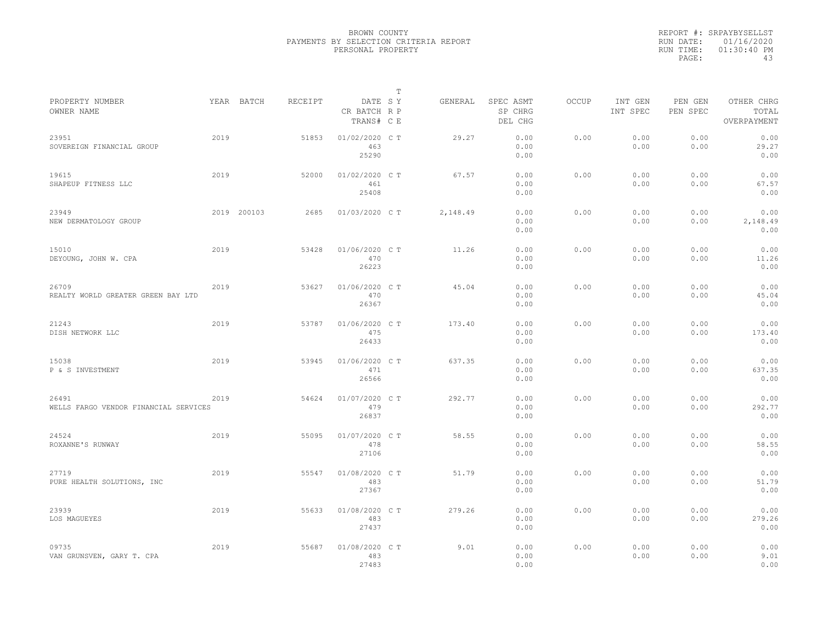|                                                |      |             |         |                                       | $\mathbb T$ |          |                                 |              |                     |                     |                                    |
|------------------------------------------------|------|-------------|---------|---------------------------------------|-------------|----------|---------------------------------|--------------|---------------------|---------------------|------------------------------------|
| PROPERTY NUMBER<br>OWNER NAME                  |      | YEAR BATCH  | RECEIPT | DATE SY<br>CR BATCH R P<br>TRANS# C E |             | GENERAL  | SPEC ASMT<br>SP CHRG<br>DEL CHG | <b>OCCUP</b> | INT GEN<br>INT SPEC | PEN GEN<br>PEN SPEC | OTHER CHRG<br>TOTAL<br>OVERPAYMENT |
| 23951<br>SOVEREIGN FINANCIAL GROUP             | 2019 |             | 51853   | 01/02/2020 C T<br>463<br>25290        |             | 29.27    | 0.00<br>0.00<br>0.00            | 0.00         | 0.00<br>0.00        | 0.00<br>0.00        | 0.00<br>29.27<br>0.00              |
| 19615<br>SHAPEUP FITNESS LLC                   | 2019 |             | 52000   | 01/02/2020 C T<br>461<br>25408        |             | 67.57    | 0.00<br>0.00<br>0.00            | 0.00         | 0.00<br>0.00        | 0.00<br>0.00        | 0.00<br>67.57<br>0.00              |
| 23949<br>NEW DERMATOLOGY GROUP                 |      | 2019 200103 | 2685    | 01/03/2020 C T                        |             | 2,148.49 | 0.00<br>0.00<br>0.00            | 0.00         | 0.00<br>0.00        | 0.00<br>0.00        | 0.00<br>2,148.49<br>0.00           |
| 15010<br>DEYOUNG, JOHN W. CPA                  | 2019 |             | 53428   | 01/06/2020 C T<br>470<br>26223        |             | 11.26    | 0.00<br>0.00<br>0.00            | 0.00         | 0.00<br>0.00        | 0.00<br>0.00        | 0.00<br>11.26<br>0.00              |
| 26709<br>REALTY WORLD GREATER GREEN BAY LTD    | 2019 |             | 53627   | 01/06/2020 C T<br>470<br>26367        |             | 45.04    | 0.00<br>0.00<br>0.00            | 0.00         | 0.00<br>0.00        | 0.00<br>0.00        | 0.00<br>45.04<br>0.00              |
| 21243<br>DISH NETWORK LLC                      | 2019 |             | 53787   | 01/06/2020 C T<br>475<br>26433        |             | 173.40   | 0.00<br>0.00<br>0.00            | 0.00         | 0.00<br>0.00        | 0.00<br>0.00        | 0.00<br>173.40<br>0.00             |
| 15038<br>P & S INVESTMENT                      | 2019 |             | 53945   | 01/06/2020 C T<br>471<br>26566        |             | 637.35   | 0.00<br>0.00<br>0.00            | 0.00         | 0.00<br>0.00        | 0.00<br>0.00        | 0.00<br>637.35<br>0.00             |
| 26491<br>WELLS FARGO VENDOR FINANCIAL SERVICES | 2019 |             | 54624   | 01/07/2020 C T<br>479<br>26837        |             | 292.77   | 0.00<br>0.00<br>0.00            | 0.00         | 0.00<br>0.00        | 0.00<br>0.00        | 0.00<br>292.77<br>0.00             |
| 24524<br>ROXANNE'S RUNWAY                      | 2019 |             | 55095   | 01/07/2020 C T<br>478<br>27106        |             | 58.55    | 0.00<br>0.00<br>0.00            | 0.00         | 0.00<br>0.00        | 0.00<br>0.00        | 0.00<br>58.55<br>0.00              |
| 27719<br>PURE HEALTH SOLUTIONS, INC            | 2019 |             | 55547   | 01/08/2020 C T<br>483<br>27367        |             | 51.79    | 0.00<br>0.00<br>0.00            | 0.00         | 0.00<br>0.00        | 0.00<br>0.00        | 0.00<br>51.79<br>0.00              |
| 23939<br>LOS MAGUEYES                          | 2019 |             | 55633   | 01/08/2020 C T<br>483<br>27437        |             | 279.26   | 0.00<br>0.00<br>0.00            | 0.00         | 0.00<br>0.00        | 0.00<br>0.00        | 0.00<br>279.26<br>0.00             |
| 09735<br>VAN GRUNSVEN, GARY T. CPA             | 2019 |             | 55687   | 01/08/2020 CT<br>483<br>27483         |             | 9.01     | 0.00<br>0.00<br>0.00            | 0.00         | 0.00<br>0.00        | 0.00<br>0.00        | 0.00<br>9.01<br>0.00               |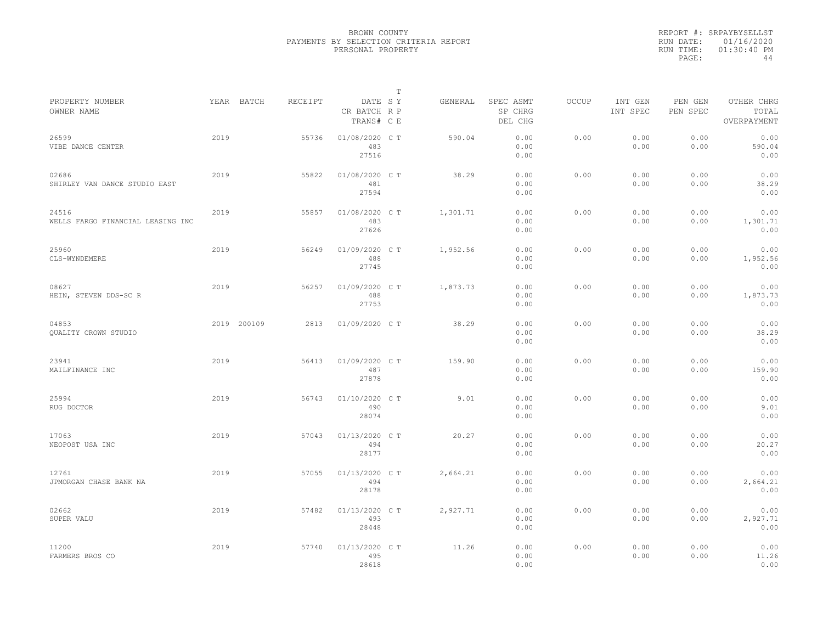|                                            |      |             |         |                                       | $\mathbb T$ |          |                                 |              |                     |                     |                                    |  |
|--------------------------------------------|------|-------------|---------|---------------------------------------|-------------|----------|---------------------------------|--------------|---------------------|---------------------|------------------------------------|--|
| PROPERTY NUMBER<br>OWNER NAME              |      | YEAR BATCH  | RECEIPT | DATE SY<br>CR BATCH R P<br>TRANS# C E |             | GENERAL  | SPEC ASMT<br>SP CHRG<br>DEL CHG | <b>OCCUP</b> | INT GEN<br>INT SPEC | PEN GEN<br>PEN SPEC | OTHER CHRG<br>TOTAL<br>OVERPAYMENT |  |
| 26599<br>VIBE DANCE CENTER                 | 2019 |             | 55736   | 01/08/2020 CT<br>483<br>27516         |             | 590.04   | 0.00<br>0.00<br>0.00            | 0.00         | 0.00<br>0.00        | 0.00<br>0.00        | 0.00<br>590.04<br>0.00             |  |
| 02686<br>SHIRLEY VAN DANCE STUDIO EAST     | 2019 |             | 55822   | 01/08/2020 C T<br>481<br>27594        |             | 38.29    | 0.00<br>0.00<br>0.00            | 0.00         | 0.00<br>0.00        | 0.00<br>0.00        | 0.00<br>38.29<br>0.00              |  |
| 24516<br>WELLS FARGO FINANCIAL LEASING INC | 2019 |             | 55857   | 01/08/2020 C T<br>483<br>27626        |             | 1,301.71 | 0.00<br>0.00<br>0.00            | 0.00         | 0.00<br>0.00        | 0.00<br>0.00        | 0.00<br>1,301.71<br>0.00           |  |
| 25960<br>CLS-WYNDEMERE                     | 2019 |             | 56249   | 01/09/2020 C T<br>488<br>27745        |             | 1,952.56 | 0.00<br>0.00<br>0.00            | 0.00         | 0.00<br>0.00        | 0.00<br>0.00        | 0.00<br>1,952.56<br>0.00           |  |
| 08627<br>HEIN, STEVEN DDS-SC R             | 2019 |             | 56257   | 01/09/2020 C T<br>488<br>27753        |             | 1,873.73 | 0.00<br>0.00<br>0.00            | 0.00         | 0.00<br>0.00        | 0.00<br>0.00        | 0.00<br>1,873.73<br>0.00           |  |
| 04853<br>QUALITY CROWN STUDIO              |      | 2019 200109 | 2813    | 01/09/2020 C T                        |             | 38.29    | 0.00<br>0.00<br>0.00            | 0.00         | 0.00<br>0.00        | 0.00<br>0.00        | 0.00<br>38.29<br>0.00              |  |
| 23941<br>MAILFINANCE INC                   | 2019 |             | 56413   | 01/09/2020 C T<br>487<br>27878        |             | 159.90   | 0.00<br>0.00<br>0.00            | 0.00         | 0.00<br>0.00        | 0.00<br>0.00        | 0.00<br>159.90<br>0.00             |  |
| 25994<br>RUG DOCTOR                        | 2019 |             | 56743   | 01/10/2020 C T<br>490<br>28074        |             | 9.01     | 0.00<br>0.00<br>0.00            | 0.00         | 0.00<br>0.00        | 0.00<br>0.00        | 0.00<br>9.01<br>0.00               |  |
| 17063<br>NEOPOST USA INC                   | 2019 |             | 57043   | 01/13/2020 C T<br>494<br>28177        |             | 20.27    | 0.00<br>0.00<br>0.00            | 0.00         | 0.00<br>0.00        | 0.00<br>0.00        | 0.00<br>20.27<br>0.00              |  |
| 12761<br>JPMORGAN CHASE BANK NA            | 2019 |             | 57055   | 01/13/2020 C T<br>494<br>28178        |             | 2,664.21 | 0.00<br>0.00<br>0.00            | 0.00         | 0.00<br>0.00        | 0.00<br>0.00        | 0.00<br>2,664.21<br>0.00           |  |
| 02662<br>SUPER VALU                        | 2019 |             | 57482   | 01/13/2020 C T<br>493<br>28448        |             | 2,927.71 | 0.00<br>0.00<br>0.00            | 0.00         | 0.00<br>0.00        | 0.00<br>0.00        | 0.00<br>2,927.71<br>0.00           |  |
| 11200<br>FARMERS BROS CO                   | 2019 |             | 57740   | 01/13/2020 C T<br>495<br>28618        |             | 11.26    | 0.00<br>0.00<br>0.00            | 0.00         | 0.00<br>0.00        | 0.00<br>0.00        | 0.00<br>11.26<br>0.00              |  |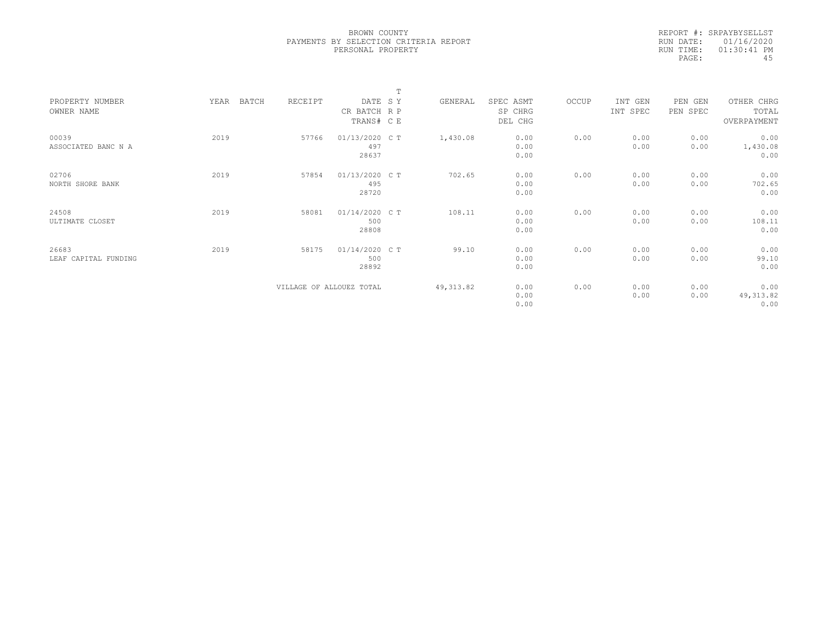|           | REPORT #: SRPAYBYSELLST |
|-----------|-------------------------|
|           | RUN DATE: 01/16/2020    |
| RUN TIME: | $01:30:41$ PM           |
| PAGE:     | 45                      |

|                      |               |                          |                | $\mathbf{r}$ |            |           |       |          |          |             |  |
|----------------------|---------------|--------------------------|----------------|--------------|------------|-----------|-------|----------|----------|-------------|--|
| PROPERTY NUMBER      | YEAR<br>BATCH | RECEIPT                  | DATE SY        |              | GENERAL    | SPEC ASMT | OCCUP | INT GEN  | PEN GEN  | OTHER CHRG  |  |
| OWNER NAME           |               |                          | CR BATCH R P   |              |            | SP CHRG   |       | INT SPEC | PEN SPEC | TOTAL       |  |
|                      |               |                          | TRANS# C E     |              |            | DEL CHG   |       |          |          | OVERPAYMENT |  |
|                      |               |                          |                |              |            |           |       |          |          |             |  |
| 00039                | 2019          | 57766                    | 01/13/2020 C T |              | 1,430.08   | 0.00      | 0.00  | 0.00     | 0.00     | 0.00        |  |
| ASSOCIATED BANC N A  |               |                          | 497            |              |            | 0.00      |       | 0.00     | 0.00     | 1,430.08    |  |
|                      |               |                          | 28637          |              |            | 0.00      |       |          |          | 0.00        |  |
|                      |               |                          |                |              |            |           |       |          |          |             |  |
| 02706                | 2019          | 57854                    | 01/13/2020 C T |              | 702.65     | 0.00      | 0.00  | 0.00     | 0.00     | 0.00        |  |
| NORTH SHORE BANK     |               |                          | 495            |              |            | 0.00      |       | 0.00     | 0.00     | 702.65      |  |
|                      |               |                          | 28720          |              |            | 0.00      |       |          |          | 0.00        |  |
| 24508                | 2019          | 58081                    | 01/14/2020 C T |              | 108.11     | 0.00      | 0.00  | 0.00     | 0.00     | 0.00        |  |
| ULTIMATE CLOSET      |               |                          | 500            |              |            | 0.00      |       | 0.00     | 0.00     | 108.11      |  |
|                      |               |                          | 28808          |              |            | 0.00      |       |          |          | 0.00        |  |
|                      |               |                          |                |              |            |           |       |          |          |             |  |
| 26683                | 2019          | 58175                    | 01/14/2020 C T |              | 99.10      | 0.00      | 0.00  | 0.00     | 0.00     | 0.00        |  |
| LEAF CAPITAL FUNDING |               |                          | 500            |              |            | 0.00      |       | 0.00     | 0.00     | 99.10       |  |
|                      |               |                          | 28892          |              |            | 0.00      |       |          |          | 0.00        |  |
|                      |               |                          |                |              |            |           |       |          |          |             |  |
|                      |               | VILLAGE OF ALLOUEZ TOTAL |                |              | 49, 313.82 | 0.00      | 0.00  | 0.00     | 0.00     | 0.00        |  |
|                      |               |                          |                |              |            | 0.00      |       | 0.00     | 0.00     | 49, 313.82  |  |
|                      |               |                          |                |              |            | 0.00      |       |          |          | 0.00        |  |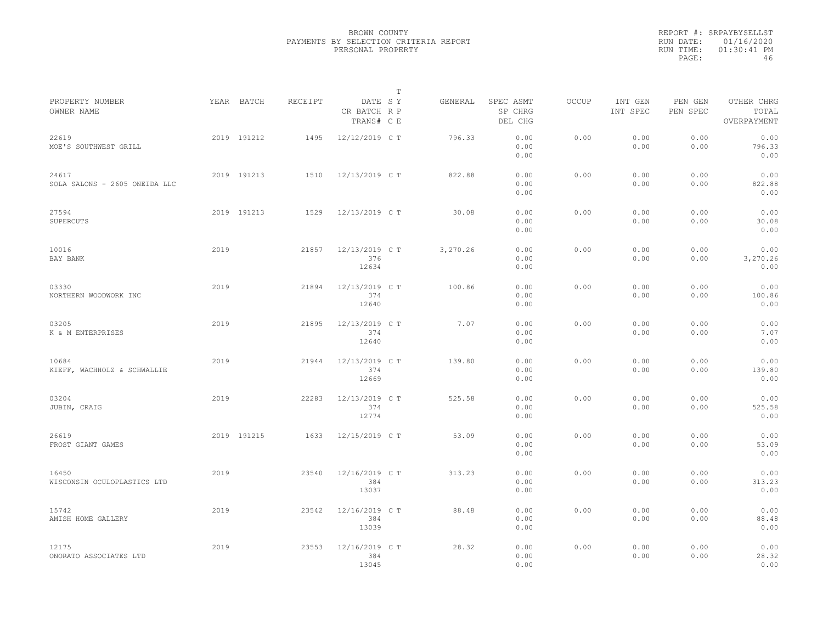|                                        |      |             |         |                                       | $\mathbb{T}$ |          |                                 |              |                     |                     |                                    |  |
|----------------------------------------|------|-------------|---------|---------------------------------------|--------------|----------|---------------------------------|--------------|---------------------|---------------------|------------------------------------|--|
| PROPERTY NUMBER<br>OWNER NAME          |      | YEAR BATCH  | RECEIPT | DATE SY<br>CR BATCH R P<br>TRANS# C E |              | GENERAL  | SPEC ASMT<br>SP CHRG<br>DEL CHG | <b>OCCUP</b> | INT GEN<br>INT SPEC | PEN GEN<br>PEN SPEC | OTHER CHRG<br>TOTAL<br>OVERPAYMENT |  |
| 22619<br>MOE'S SOUTHWEST GRILL         |      | 2019 191212 | 1495    | 12/12/2019 C T                        |              | 796.33   | 0.00<br>0.00<br>0.00            | 0.00         | 0.00<br>0.00        | 0.00<br>0.00        | 0.00<br>796.33<br>0.00             |  |
| 24617<br>SOLA SALONS - 2605 ONEIDA LLC |      | 2019 191213 | 1510    | 12/13/2019 C T                        |              | 822.88   | 0.00<br>0.00<br>0.00            | 0.00         | 0.00<br>0.00        | 0.00<br>0.00        | 0.00<br>822.88<br>0.00             |  |
| 27594<br>SUPERCUTS                     |      | 2019 191213 | 1529    | 12/13/2019 C T                        |              | 30.08    | 0.00<br>0.00<br>0.00            | 0.00         | 0.00<br>0.00        | 0.00<br>0.00        | 0.00<br>30.08<br>0.00              |  |
| 10016<br>BAY BANK                      | 2019 |             | 21857   | 12/13/2019 C T<br>376<br>12634        |              | 3,270.26 | 0.00<br>0.00<br>0.00            | 0.00         | 0.00<br>0.00        | 0.00<br>0.00        | 0.00<br>3,270.26<br>0.00           |  |
| 03330<br>NORTHERN WOODWORK INC         | 2019 |             | 21894   | 12/13/2019 C T<br>374<br>12640        |              | 100.86   | 0.00<br>0.00<br>0.00            | 0.00         | 0.00<br>0.00        | 0.00<br>0.00        | 0.00<br>100.86<br>0.00             |  |
| 03205<br>K & M ENTERPRISES             | 2019 |             | 21895   | 12/13/2019 C T<br>374<br>12640        |              | 7.07     | 0.00<br>0.00<br>0.00            | 0.00         | 0.00<br>0.00        | 0.00<br>0.00        | 0.00<br>7.07<br>0.00               |  |
| 10684<br>KIEFF, WACHHOLZ & SCHWALLIE   | 2019 |             | 21944   | 12/13/2019 C T<br>374<br>12669        |              | 139.80   | 0.00<br>0.00<br>0.00            | 0.00         | 0.00<br>0.00        | 0.00<br>0.00        | 0.00<br>139.80<br>0.00             |  |
| 03204<br>JUBIN, CRAIG                  | 2019 |             | 22283   | 12/13/2019 C T<br>374<br>12774        |              | 525.58   | 0.00<br>0.00<br>0.00            | 0.00         | 0.00<br>0.00        | 0.00<br>0.00        | 0.00<br>525.58<br>0.00             |  |
| 26619<br>FROST GIANT GAMES             |      | 2019 191215 | 1633    | 12/15/2019 C T                        |              | 53.09    | 0.00<br>0.00<br>0.00            | 0.00         | 0.00<br>0.00        | 0.00<br>0.00        | 0.00<br>53.09<br>0.00              |  |
| 16450<br>WISCONSIN OCULOPLASTICS LTD   | 2019 |             | 23540   | 12/16/2019 C T<br>384<br>13037        |              | 313.23   | 0.00<br>0.00<br>0.00            | 0.00         | 0.00<br>0.00        | 0.00<br>0.00        | 0.00<br>313.23<br>0.00             |  |
| 15742<br>AMISH HOME GALLERY            | 2019 |             | 23542   | 12/16/2019 C T<br>384<br>13039        |              | 88.48    | 0.00<br>0.00<br>0.00            | 0.00         | 0.00<br>0.00        | 0.00<br>0.00        | 0.00<br>88.48<br>0.00              |  |
| 12175<br>ONORATO ASSOCIATES LTD        | 2019 |             | 23553   | 12/16/2019 C T<br>384<br>13045        |              | 28.32    | 0.00<br>0.00<br>0.00            | 0.00         | 0.00<br>0.00        | 0.00<br>0.00        | 0.00<br>28.32<br>0.00              |  |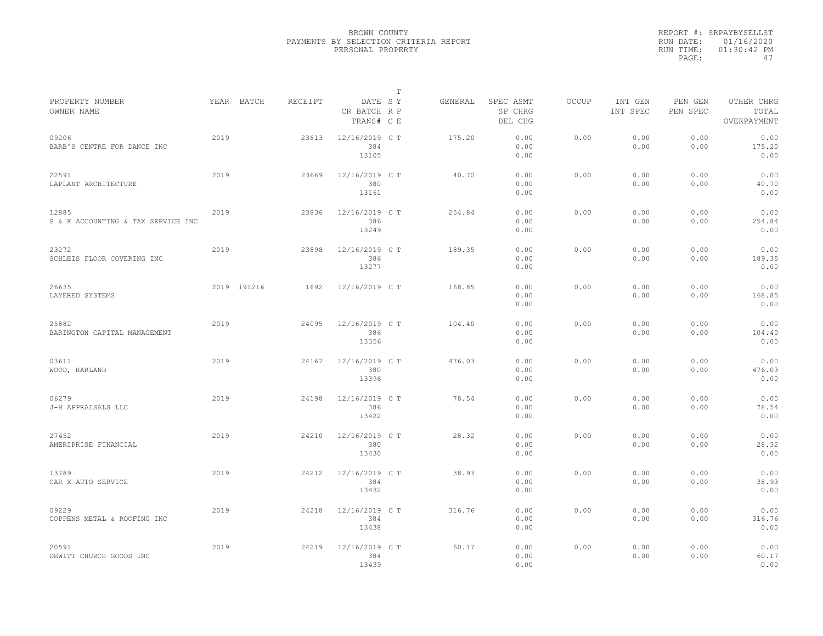|                                             |      |             |         |                                       | $\mathbb T$ |         |                                 |              |                     |                     |                                    |  |
|---------------------------------------------|------|-------------|---------|---------------------------------------|-------------|---------|---------------------------------|--------------|---------------------|---------------------|------------------------------------|--|
| PROPERTY NUMBER<br>OWNER NAME               |      | YEAR BATCH  | RECEIPT | DATE SY<br>CR BATCH R P<br>TRANS# C E |             | GENERAL | SPEC ASMT<br>SP CHRG<br>DEL CHG | <b>OCCUP</b> | INT GEN<br>INT SPEC | PEN GEN<br>PEN SPEC | OTHER CHRG<br>TOTAL<br>OVERPAYMENT |  |
| 09206<br>BARB'S CENTRE FOR DANCE INC        | 2019 |             | 23613   | 12/16/2019 C T<br>384<br>13105        |             | 175.20  | 0.00<br>0.00<br>0.00            | 0.00         | 0.00<br>0.00        | 0.00<br>0.00        | 0.00<br>175.20<br>0.00             |  |
| 22591<br>LAPLANT ARCHITECTURE               | 2019 |             | 23669   | 12/16/2019 C T<br>380<br>13161        |             | 40.70   | 0.00<br>0.00<br>0.00            | 0.00         | 0.00<br>0.00        | 0.00<br>0.00        | 0.00<br>40.70<br>0.00              |  |
| 12885<br>S & K ACCOUNTING & TAX SERVICE INC | 2019 |             | 23836   | 12/16/2019 C T<br>386<br>13249        |             | 254.84  | 0.00<br>0.00<br>0.00            | 0.00         | 0.00<br>0.00        | 0.00<br>0.00        | 0.00<br>254.84<br>0.00             |  |
| 23272<br>SCHLEIS FLOOR COVERING INC         | 2019 |             | 23898   | 12/16/2019 C T<br>386<br>13277        |             | 189.35  | 0.00<br>0.00<br>0.00            | 0.00         | 0.00<br>0.00        | 0.00<br>0.00        | 0.00<br>189.35<br>0.00             |  |
| 26635<br>LAYERED SYSTEMS                    |      | 2019 191216 | 1692    | 12/16/2019 C T                        |             | 168.85  | 0.00<br>0.00<br>0.00            | 0.00         | 0.00<br>0.00        | 0.00<br>0.00        | 0.00<br>168.85<br>0.00             |  |
| 25882<br>BARINGTON CAPITAL MANAGEMENT       | 2019 |             | 24095   | 12/16/2019 C T<br>386<br>13356        |             | 104.40  | 0.00<br>0.00<br>0.00            | 0.00         | 0.00<br>0.00        | 0.00<br>0.00        | 0.00<br>104.40<br>0.00             |  |
| 03611<br>WOOD, HARLAND                      | 2019 |             | 24167   | 12/16/2019 C T<br>380<br>13396        |             | 476.03  | 0.00<br>0.00<br>0.00            | 0.00         | 0.00<br>0.00        | 0.00<br>0.00        | 0.00<br>476.03<br>0.00             |  |
| 06279<br>J-H APPRAISALS LLC                 | 2019 |             | 24198   | 12/16/2019 C T<br>386<br>13422        |             | 78.54   | 0.00<br>0.00<br>0.00            | 0.00         | 0.00<br>0.00        | 0.00<br>0.00        | 0.00<br>78.54<br>0.00              |  |
| 27452<br>AMERIPRISE FINANCIAL               | 2019 |             | 24210   | 12/16/2019 C T<br>380<br>13430        |             | 28.32   | 0.00<br>0.00<br>0.00            | 0.00         | 0.00<br>0.00        | 0.00<br>0.00        | 0.00<br>28.32<br>0.00              |  |
| 13789<br>CAR X AUTO SERVICE                 | 2019 |             | 24212   | 12/16/2019 C T<br>384<br>13432        |             | 38.93   | 0.00<br>0.00<br>0.00            | 0.00         | 0.00<br>0.00        | 0.00<br>0.00        | 0.00<br>38.93<br>0.00              |  |
| 09229<br>COPPENS METAL & ROOFING INC        | 2019 |             | 24218   | 12/16/2019 C T<br>384<br>13438        |             | 316.76  | 0.00<br>0.00<br>0.00            | 0.00         | 0.00<br>0.00        | 0.00<br>0.00        | 0.00<br>316.76<br>0.00             |  |
| 20591<br>DEWITT CHURCH GOODS INC            | 2019 |             | 24219   | 12/16/2019 C T<br>384<br>13439        |             | 60.17   | 0.00<br>0.00<br>0.00            | 0.00         | 0.00<br>0.00        | 0.00<br>0.00        | 0.00<br>60.17<br>0.00              |  |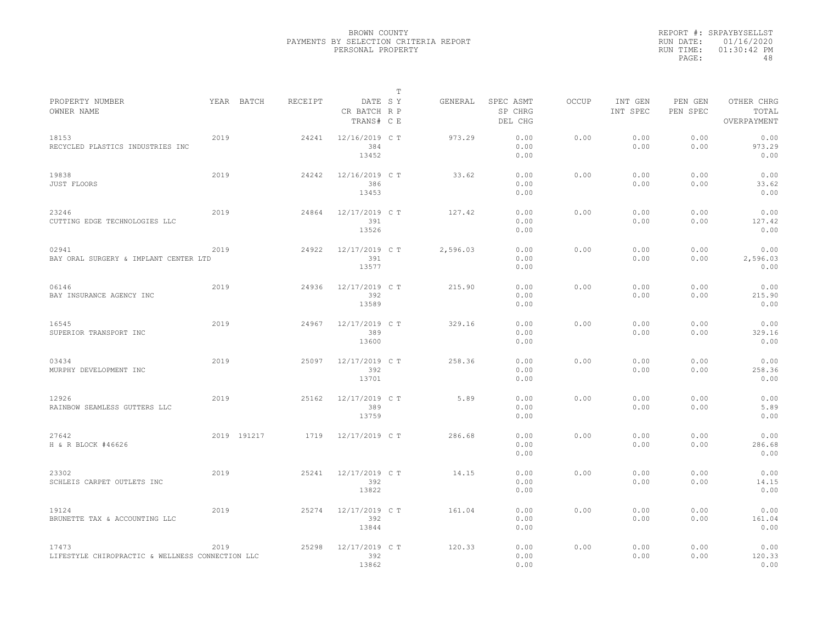|           | REPORT #: SRPAYBYSELLST |
|-----------|-------------------------|
|           | RUN DATE: 01/16/2020    |
| RUN TIME: | $01:30:42$ PM           |
| PAGE:     | 48                      |

|                                                           |      |             |         |                                       | Т |          |                                 |              |                     |                     |                                    |
|-----------------------------------------------------------|------|-------------|---------|---------------------------------------|---|----------|---------------------------------|--------------|---------------------|---------------------|------------------------------------|
| PROPERTY NUMBER<br>OWNER NAME                             |      | YEAR BATCH  | RECEIPT | DATE SY<br>CR BATCH R P<br>TRANS# C E |   | GENERAL  | SPEC ASMT<br>SP CHRG<br>DEL CHG | <b>OCCUP</b> | INT GEN<br>INT SPEC | PEN GEN<br>PEN SPEC | OTHER CHRG<br>TOTAL<br>OVERPAYMENT |
| 18153<br>RECYCLED PLASTICS INDUSTRIES INC                 | 2019 |             | 24241   | 12/16/2019 C T<br>384<br>13452        |   | 973.29   | 0.00<br>0.00<br>0.00            | 0.00         | 0.00<br>0.00        | 0.00<br>0.00        | 0.00<br>973.29<br>0.00             |
| 19838<br>JUST FLOORS                                      | 2019 |             | 24242   | 12/16/2019 C T<br>386<br>13453        |   | 33.62    | 0.00<br>0.00<br>0.00            | 0.00         | 0.00<br>0.00        | 0.00<br>0.00        | 0.00<br>33.62<br>0.00              |
| 23246<br>CUTTING EDGE TECHNOLOGIES LLC                    | 2019 |             | 24864   | 12/17/2019 C T<br>391<br>13526        |   | 127.42   | 0.00<br>0.00<br>0.00            | 0.00         | 0.00<br>0.00        | 0.00<br>0.00        | 0.00<br>127.42<br>0.00             |
| 02941<br>BAY ORAL SURGERY & IMPLANT CENTER LTD            | 2019 |             | 24922   | 12/17/2019 C T<br>391<br>13577        |   | 2,596.03 | 0.00<br>0.00<br>0.00            | 0.00         | 0.00<br>0.00        | 0.00<br>0.00        | 0.00<br>2,596.03<br>0.00           |
| 06146<br>BAY INSURANCE AGENCY INC                         | 2019 |             | 24936   | 12/17/2019 C T<br>392<br>13589        |   | 215.90   | 0.00<br>0.00<br>0.00            | 0.00         | 0.00<br>0.00        | 0.00<br>0.00        | 0.00<br>215.90<br>0.00             |
| 16545<br>SUPERIOR TRANSPORT INC                           | 2019 |             | 24967   | 12/17/2019 C T<br>389<br>13600        |   | 329.16   | 0.00<br>0.00<br>0.00            | 0.00         | 0.00<br>0.00        | 0.00<br>0.00        | 0.00<br>329.16<br>0.00             |
| 03434<br>MURPHY DEVELOPMENT INC                           | 2019 |             | 25097   | 12/17/2019 C T<br>392<br>13701        |   | 258.36   | 0.00<br>0.00<br>0.00            | 0.00         | 0.00<br>0.00        | 0.00<br>0.00        | 0.00<br>258.36<br>0.00             |
| 12926<br>RAINBOW SEAMLESS GUTTERS LLC                     | 2019 |             | 25162   | 12/17/2019 C T<br>389<br>13759        |   | 5.89     | 0.00<br>0.00<br>0.00            | 0.00         | 0.00<br>0.00        | 0.00<br>0.00        | 0.00<br>5.89<br>0.00               |
| 27642<br>H & R BLOCK #46626                               |      | 2019 191217 | 1719    | 12/17/2019 C T                        |   | 286.68   | 0.00<br>0.00<br>0.00            | 0.00         | 0.00<br>0.00        | 0.00<br>0.00        | 0.00<br>286.68<br>0.00             |
| 23302<br>SCHLEIS CARPET OUTLETS INC                       | 2019 |             | 25241   | 12/17/2019 C T<br>392<br>13822        |   | 14.15    | 0.00<br>0.00<br>0.00            | 0.00         | 0.00<br>0.00        | 0.00<br>0.00        | 0.00<br>14.15<br>0.00              |
| 19124<br>BRUNETTE TAX & ACCOUNTING LLC                    | 2019 |             | 25274   | 12/17/2019 C T<br>392<br>13844        |   | 161.04   | 0.00<br>0.00<br>0.00            | 0.00         | 0.00<br>0.00        | 0.00<br>0.00        | 0.00<br>161.04<br>0.00             |
| 17473<br>LIFESTYLE CHIROPRACTIC & WELLNESS CONNECTION LLC | 2019 |             | 25298   | 12/17/2019 C T<br>392<br>13862        |   | 120.33   | 0.00<br>0.00<br>0.00            | 0.00         | 0.00<br>0.00        | 0.00<br>0.00        | 0.00<br>120.33<br>0.00             |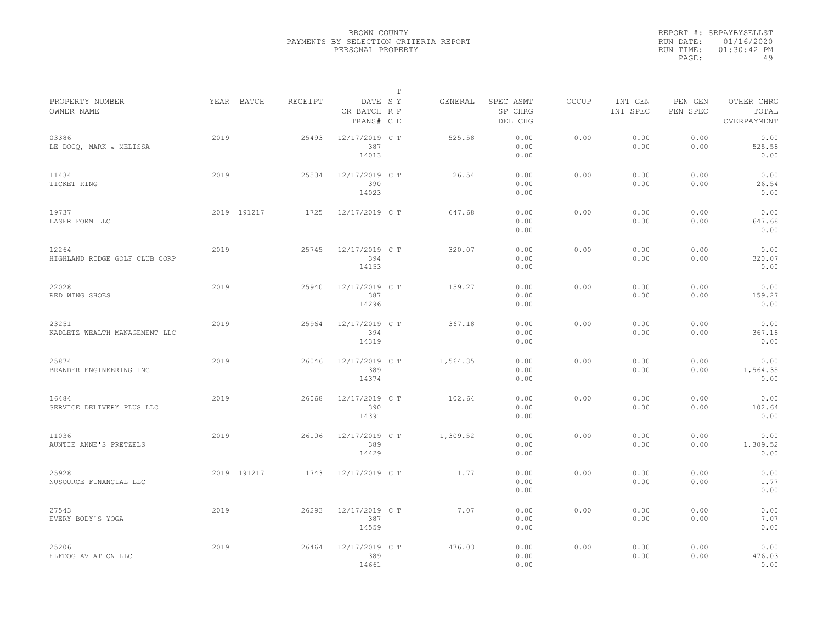|                                        |      |             |         |                                       | $\mathbb{T}$ |          |                                 |              |                     |                     |                                    |
|----------------------------------------|------|-------------|---------|---------------------------------------|--------------|----------|---------------------------------|--------------|---------------------|---------------------|------------------------------------|
| PROPERTY NUMBER<br>OWNER NAME          |      | YEAR BATCH  | RECEIPT | DATE SY<br>CR BATCH R P<br>TRANS# C E |              | GENERAL  | SPEC ASMT<br>SP CHRG<br>DEL CHG | <b>OCCUP</b> | INT GEN<br>INT SPEC | PEN GEN<br>PEN SPEC | OTHER CHRG<br>TOTAL<br>OVERPAYMENT |
| 03386<br>LE DOCQ, MARK & MELISSA       | 2019 |             | 25493   | 12/17/2019 C T<br>387<br>14013        |              | 525.58   | 0.00<br>0.00<br>0.00            | 0.00         | 0.00<br>0.00        | 0.00<br>0.00        | 0.00<br>525.58<br>0.00             |
| 11434<br>TICKET KING                   | 2019 |             | 25504   | 12/17/2019 C T<br>390<br>14023        |              | 26.54    | 0.00<br>0.00<br>0.00            | 0.00         | 0.00<br>0.00        | 0.00<br>0.00        | 0.00<br>26.54<br>0.00              |
| 19737<br>LASER FORM LLC                |      | 2019 191217 | 1725    | 12/17/2019 C T                        |              | 647.68   | 0.00<br>0.00<br>0.00            | 0.00         | 0.00<br>0.00        | 0.00<br>0.00        | 0.00<br>647.68<br>0.00             |
| 12264<br>HIGHLAND RIDGE GOLF CLUB CORP | 2019 |             | 25745   | 12/17/2019 C T<br>394<br>14153        |              | 320.07   | 0.00<br>0.00<br>0.00            | 0.00         | 0.00<br>0.00        | 0.00<br>0.00        | 0.00<br>320.07<br>0.00             |
| 22028<br>RED WING SHOES                | 2019 |             | 25940   | 12/17/2019 C T<br>387<br>14296        |              | 159.27   | 0.00<br>0.00<br>0.00            | 0.00         | 0.00<br>0.00        | 0.00<br>0.00        | 0.00<br>159.27<br>0.00             |
| 23251<br>KADLETZ WEALTH MANAGEMENT LLC | 2019 |             | 25964   | 12/17/2019 C T<br>394<br>14319        |              | 367.18   | 0.00<br>0.00<br>0.00            | 0.00         | 0.00<br>0.00        | 0.00<br>0.00        | 0.00<br>367.18<br>0.00             |
| 25874<br>BRANDER ENGINEERING INC       | 2019 |             | 26046   | 12/17/2019 C T<br>389<br>14374        |              | 1,564.35 | 0.00<br>0.00<br>0.00            | 0.00         | 0.00<br>0.00        | 0.00<br>0.00        | 0.00<br>1,564.35<br>0.00           |
| 16484<br>SERVICE DELIVERY PLUS LLC     | 2019 |             | 26068   | 12/17/2019 C T<br>390<br>14391        |              | 102.64   | 0.00<br>0.00<br>0.00            | 0.00         | 0.00<br>0.00        | 0.00<br>0.00        | 0.00<br>102.64<br>0.00             |
| 11036<br>AUNTIE ANNE'S PRETZELS        | 2019 |             | 26106   | 12/17/2019 C T<br>389<br>14429        |              | 1,309.52 | 0.00<br>0.00<br>0.00            | 0.00         | 0.00<br>0.00        | 0.00<br>0.00        | 0.00<br>1,309.52<br>0.00           |
| 25928<br>NUSOURCE FINANCIAL LLC        |      | 2019 191217 | 1743    | 12/17/2019 C T                        |              | 1.77     | 0.00<br>0.00<br>0.00            | 0.00         | 0.00<br>0.00        | 0.00<br>0.00        | 0.00<br>1.77<br>0.00               |
| 27543<br>EVERY BODY'S YOGA             | 2019 |             | 26293   | 12/17/2019 C T<br>387<br>14559        |              | 7.07     | 0.00<br>0.00<br>0.00            | 0.00         | 0.00<br>0.00        | 0.00<br>0.00        | 0.00<br>7.07<br>0.00               |
| 25206<br>ELFDOG AVIATION LLC           | 2019 |             | 26464   | 12/17/2019 C T<br>389<br>14661        |              | 476.03   | 0.00<br>0.00<br>0.00            | 0.00         | 0.00<br>0.00        | 0.00<br>0.00        | 0.00<br>476.03<br>0.00             |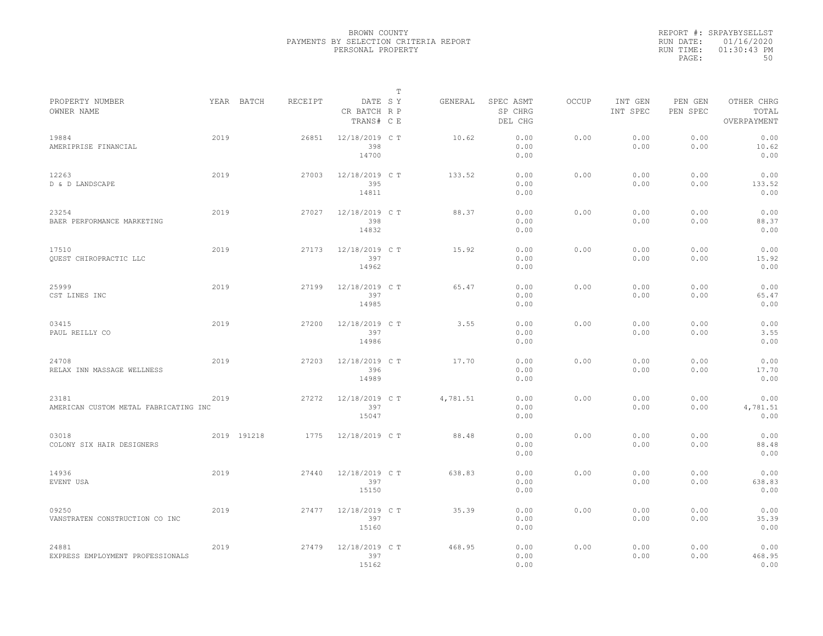|           | REPORT #: SRPAYBYSELLST |
|-----------|-------------------------|
|           | RUN DATE: 01/16/2020    |
| RUN TIME: | $01:30:43$ PM           |
| PAGE:     | 50                      |

|                                                |      |             |         |                                       | Т |          |                                 |       |                     |                     |                                    |  |
|------------------------------------------------|------|-------------|---------|---------------------------------------|---|----------|---------------------------------|-------|---------------------|---------------------|------------------------------------|--|
| PROPERTY NUMBER<br>OWNER NAME                  |      | YEAR BATCH  | RECEIPT | DATE SY<br>CR BATCH R P<br>TRANS# C E |   | GENERAL  | SPEC ASMT<br>SP CHRG<br>DEL CHG | OCCUP | INT GEN<br>INT SPEC | PEN GEN<br>PEN SPEC | OTHER CHRG<br>TOTAL<br>OVERPAYMENT |  |
| 19884<br>AMERIPRISE FINANCIAL                  | 2019 |             | 26851   | 12/18/2019 C T<br>398<br>14700        |   | 10.62    | 0.00<br>0.00<br>0.00            | 0.00  | 0.00<br>0.00        | 0.00<br>0.00        | 0.00<br>10.62<br>0.00              |  |
| 12263<br>D & D LANDSCAPE                       | 2019 |             | 27003   | 12/18/2019 C T<br>395<br>14811        |   | 133.52   | 0.00<br>0.00<br>0.00            | 0.00  | 0.00<br>0.00        | 0.00<br>0.00        | 0.00<br>133.52<br>0.00             |  |
| 23254<br>BAER PERFORMANCE MARKETING            | 2019 |             | 27027   | 12/18/2019 C T<br>398<br>14832        |   | 88.37    | 0.00<br>0.00<br>0.00            | 0.00  | 0.00<br>0.00        | 0.00<br>0.00        | 0.00<br>88.37<br>0.00              |  |
| 17510<br>QUEST CHIROPRACTIC LLC                | 2019 |             | 27173   | 12/18/2019 C T<br>397<br>14962        |   | 15.92    | 0.00<br>0.00<br>0.00            | 0.00  | 0.00<br>0.00        | 0.00<br>0.00        | 0.00<br>15.92<br>0.00              |  |
| 25999<br>CST LINES INC                         | 2019 |             | 27199   | 12/18/2019 C T<br>397<br>14985        |   | 65.47    | 0.00<br>0.00<br>0.00            | 0.00  | 0.00<br>0.00        | 0.00<br>0.00        | 0.00<br>65.47<br>0.00              |  |
| 03415<br>PAUL REILLY CO                        | 2019 |             | 27200   | 12/18/2019 C T<br>397<br>14986        |   | 3.55     | 0.00<br>0.00<br>0.00            | 0.00  | 0.00<br>0.00        | 0.00<br>0.00        | 0.00<br>3.55<br>0.00               |  |
| 24708<br>RELAX INN MASSAGE WELLNESS            | 2019 |             | 27203   | 12/18/2019 C T<br>396<br>14989        |   | 17.70    | 0.00<br>0.00<br>0.00            | 0.00  | 0.00<br>0.00        | 0.00<br>0.00        | 0.00<br>17.70<br>0.00              |  |
| 23181<br>AMERICAN CUSTOM METAL FABRICATING INC | 2019 |             | 27272   | 12/18/2019 C T<br>397<br>15047        |   | 4,781.51 | 0.00<br>0.00<br>0.00            | 0.00  | 0.00<br>0.00        | 0.00<br>0.00        | 0.00<br>4,781.51<br>0.00           |  |
| 03018<br>COLONY SIX HAIR DESIGNERS             |      | 2019 191218 | 1775    | 12/18/2019 C T                        |   | 88.48    | 0.00<br>0.00<br>0.00            | 0.00  | 0.00<br>0.00        | 0.00<br>0.00        | 0.00<br>88.48<br>0.00              |  |
| 14936<br>EVENT USA                             | 2019 |             | 27440   | 12/18/2019 C T<br>397<br>15150        |   | 638.83   | 0.00<br>0.00<br>0.00            | 0.00  | 0.00<br>0.00        | 0.00<br>0.00        | 0.00<br>638.83<br>0.00             |  |
| 09250<br>VANSTRATEN CONSTRUCTION CO INC        | 2019 |             | 27477   | 12/18/2019 C T<br>397<br>15160        |   | 35.39    | 0.00<br>0.00<br>0.00            | 0.00  | 0.00<br>0.00        | 0.00<br>0.00        | 0.00<br>35.39<br>0.00              |  |
| 24881<br>EXPRESS EMPLOYMENT PROFESSIONALS      | 2019 |             | 27479   | 12/18/2019 C T<br>397<br>15162        |   | 468.95   | 0.00<br>0.00<br>0.00            | 0.00  | 0.00<br>0.00        | 0.00<br>0.00        | 0.00<br>468.95<br>0.00             |  |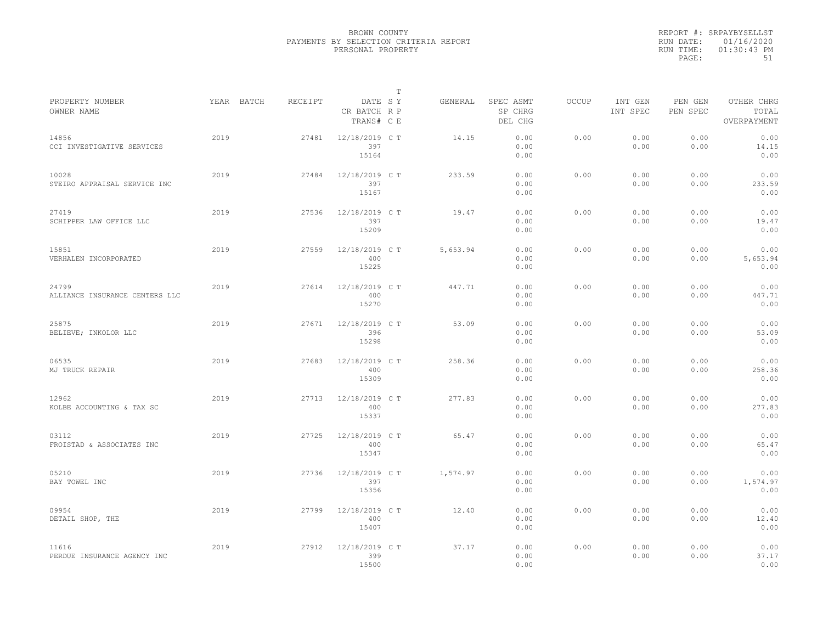|                                         |            |         |                                       | $\mathbb{T}$ |          |                                 |              |                     |                     |                                    |
|-----------------------------------------|------------|---------|---------------------------------------|--------------|----------|---------------------------------|--------------|---------------------|---------------------|------------------------------------|
| PROPERTY NUMBER<br>OWNER NAME           | YEAR BATCH | RECEIPT | DATE SY<br>CR BATCH R P<br>TRANS# C E |              | GENERAL  | SPEC ASMT<br>SP CHRG<br>DEL CHG | <b>OCCUP</b> | INT GEN<br>INT SPEC | PEN GEN<br>PEN SPEC | OTHER CHRG<br>TOTAL<br>OVERPAYMENT |
| 14856<br>CCI INVESTIGATIVE SERVICES     | 2019       | 27481   | 12/18/2019 C T<br>397<br>15164        |              | 14.15    | 0.00<br>0.00<br>0.00            | 0.00         | 0.00<br>0.00        | 0.00<br>0.00        | 0.00<br>14.15<br>0.00              |
| 10028<br>STEIRO APPRAISAL SERVICE INC   | 2019       | 27484   | 12/18/2019 C T<br>397<br>15167        |              | 233.59   | 0.00<br>0.00<br>0.00            | 0.00         | 0.00<br>0.00        | 0.00<br>0.00        | 0.00<br>233.59<br>0.00             |
| 27419<br>SCHIPPER LAW OFFICE LLC        | 2019       | 27536   | 12/18/2019 C T<br>397<br>15209        |              | 19.47    | 0.00<br>0.00<br>0.00            | 0.00         | 0.00<br>0.00        | 0.00<br>0.00        | 0.00<br>19.47<br>0.00              |
| 15851<br>VERHALEN INCORPORATED          | 2019       | 27559   | 12/18/2019 C T<br>400<br>15225        |              | 5,653.94 | 0.00<br>0.00<br>0.00            | 0.00         | 0.00<br>0.00        | 0.00<br>0.00        | 0.00<br>5,653.94<br>0.00           |
| 24799<br>ALLIANCE INSURANCE CENTERS LLC | 2019       | 27614   | 12/18/2019 C T<br>400<br>15270        |              | 447.71   | 0.00<br>0.00<br>0.00            | 0.00         | 0.00<br>0.00        | 0.00<br>0.00        | 0.00<br>447.71<br>0.00             |
| 25875<br>BELIEVE; INKOLOR LLC           | 2019       | 27671   | 12/18/2019 C T<br>396<br>15298        |              | 53.09    | 0.00<br>0.00<br>0.00            | 0.00         | 0.00<br>0.00        | 0.00<br>0.00        | 0.00<br>53.09<br>0.00              |
| 06535<br>MJ TRUCK REPAIR                | 2019       | 27683   | 12/18/2019 C T<br>400<br>15309        |              | 258.36   | 0.00<br>0.00<br>0.00            | 0.00         | 0.00<br>0.00        | 0.00<br>0.00        | 0.00<br>258.36<br>0.00             |
| 12962<br>KOLBE ACCOUNTING & TAX SC      | 2019       | 27713   | 12/18/2019 C T<br>400<br>15337        |              | 277.83   | 0.00<br>0.00<br>0.00            | 0.00         | 0.00<br>0.00        | 0.00<br>0.00        | 0.00<br>277.83<br>0.00             |
| 03112<br>FROISTAD & ASSOCIATES INC      | 2019       | 27725   | 12/18/2019 C T<br>400<br>15347        |              | 65.47    | 0.00<br>0.00<br>0.00            | 0.00         | 0.00<br>0.00        | 0.00<br>0.00        | 0.00<br>65.47<br>0.00              |
| 05210<br>BAY TOWEL INC                  | 2019       | 27736   | 12/18/2019 C T<br>397<br>15356        |              | 1,574.97 | 0.00<br>0.00<br>0.00            | 0.00         | 0.00<br>0.00        | 0.00<br>0.00        | 0.00<br>1,574.97<br>0.00           |
| 09954<br>DETAIL SHOP, THE               | 2019       | 27799   | 12/18/2019 C T<br>400<br>15407        |              | 12.40    | 0.00<br>0.00<br>0.00            | 0.00         | 0.00<br>0.00        | 0.00<br>0.00        | 0.00<br>12.40<br>0.00              |
| 11616<br>PERDUE INSURANCE AGENCY INC    | 2019       | 27912   | 12/18/2019 C T<br>399<br>15500        |              | 37.17    | 0.00<br>0.00<br>0.00            | 0.00         | 0.00<br>0.00        | 0.00<br>0.00        | 0.00<br>37.17<br>0.00              |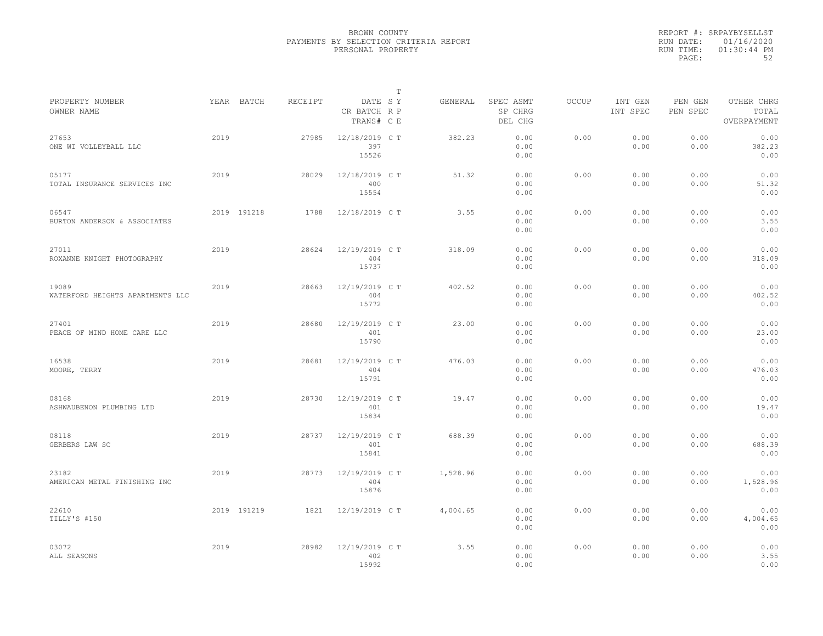|           | REPORT #: SRPAYBYSELLST |
|-----------|-------------------------|
|           | RUN DATE: 01/16/2020    |
| RUN TIME: | $01:30:44$ PM           |
| PAGE:     | 52                      |

|                                           |      |             |         |                                       | T |          |                                 |              |                     |                     |                                    |
|-------------------------------------------|------|-------------|---------|---------------------------------------|---|----------|---------------------------------|--------------|---------------------|---------------------|------------------------------------|
| PROPERTY NUMBER<br>OWNER NAME             |      | YEAR BATCH  | RECEIPT | DATE SY<br>CR BATCH R P<br>TRANS# C E |   | GENERAL  | SPEC ASMT<br>SP CHRG<br>DEL CHG | <b>OCCUP</b> | INT GEN<br>INT SPEC | PEN GEN<br>PEN SPEC | OTHER CHRG<br>TOTAL<br>OVERPAYMENT |
| 27653<br>ONE WI VOLLEYBALL LLC            | 2019 |             | 27985   | 12/18/2019 C T<br>397<br>15526        |   | 382.23   | 0.00<br>0.00<br>0.00            | 0.00         | 0.00<br>0.00        | 0.00<br>0.00        | 0.00<br>382.23<br>0.00             |
| 05177<br>TOTAL INSURANCE SERVICES INC     | 2019 |             | 28029   | 12/18/2019 C T<br>400<br>15554        |   | 51.32    | 0.00<br>0.00<br>0.00            | 0.00         | 0.00<br>0.00        | 0.00<br>0.00        | 0.00<br>51.32<br>0.00              |
| 06547<br>BURTON ANDERSON & ASSOCIATES     |      | 2019 191218 | 1788    | 12/18/2019 C T                        |   | 3.55     | 0.00<br>0.00<br>0.00            | 0.00         | 0.00<br>0.00        | 0.00<br>0.00        | 0.00<br>3.55<br>0.00               |
| 27011<br>ROXANNE KNIGHT PHOTOGRAPHY       | 2019 |             | 28624   | 12/19/2019 C T<br>404<br>15737        |   | 318.09   | 0.00<br>0.00<br>0.00            | 0.00         | 0.00<br>0.00        | 0.00<br>0.00        | 0.00<br>318.09<br>0.00             |
| 19089<br>WATERFORD HEIGHTS APARTMENTS LLC | 2019 |             | 28663   | 12/19/2019 C T<br>404<br>15772        |   | 402.52   | 0.00<br>0.00<br>0.00            | 0.00         | 0.00<br>0.00        | 0.00<br>0.00        | 0.00<br>402.52<br>0.00             |
| 27401<br>PEACE OF MIND HOME CARE LLC      | 2019 |             | 28680   | 12/19/2019 C T<br>401<br>15790        |   | 23.00    | 0.00<br>0.00<br>0.00            | 0.00         | 0.00<br>0.00        | 0.00<br>0.00        | 0.00<br>23.00<br>0.00              |
| 16538<br>MOORE, TERRY                     | 2019 |             | 28681   | 12/19/2019 C T<br>404<br>15791        |   | 476.03   | 0.00<br>0.00<br>0.00            | 0.00         | 0.00<br>0.00        | 0.00<br>0.00        | 0.00<br>476.03<br>0.00             |
| 08168<br>ASHWAUBENON PLUMBING LTD         | 2019 |             | 28730   | 12/19/2019 C T<br>401<br>15834        |   | 19.47    | 0.00<br>0.00<br>0.00            | 0.00         | 0.00<br>0.00        | 0.00<br>0.00        | 0.00<br>19.47<br>0.00              |
| 08118<br>GERBERS LAW SC                   | 2019 |             | 28737   | 12/19/2019 C T<br>401<br>15841        |   | 688.39   | 0.00<br>0.00<br>0.00            | 0.00         | 0.00<br>0.00        | 0.00<br>0.00        | 0.00<br>688.39<br>0.00             |
| 23182<br>AMERICAN METAL FINISHING INC     | 2019 |             | 28773   | 12/19/2019 C T<br>404<br>15876        |   | 1,528.96 | 0.00<br>0.00<br>0.00            | 0.00         | 0.00<br>0.00        | 0.00<br>0.00        | 0.00<br>1,528.96<br>0.00           |
| 22610<br>TILLY'S #150                     |      | 2019 191219 | 1821    | 12/19/2019 C T                        |   | 4,004.65 | 0.00<br>0.00<br>0.00            | 0.00         | 0.00<br>0.00        | 0.00<br>0.00        | 0.00<br>4,004.65<br>0.00           |
| 03072<br>ALL SEASONS                      | 2019 |             | 28982   | 12/19/2019 C T<br>402<br>15992        |   | 3.55     | 0.00<br>0.00<br>0.00            | 0.00         | 0.00<br>0.00        | 0.00<br>0.00        | 0.00<br>3.55<br>0.00               |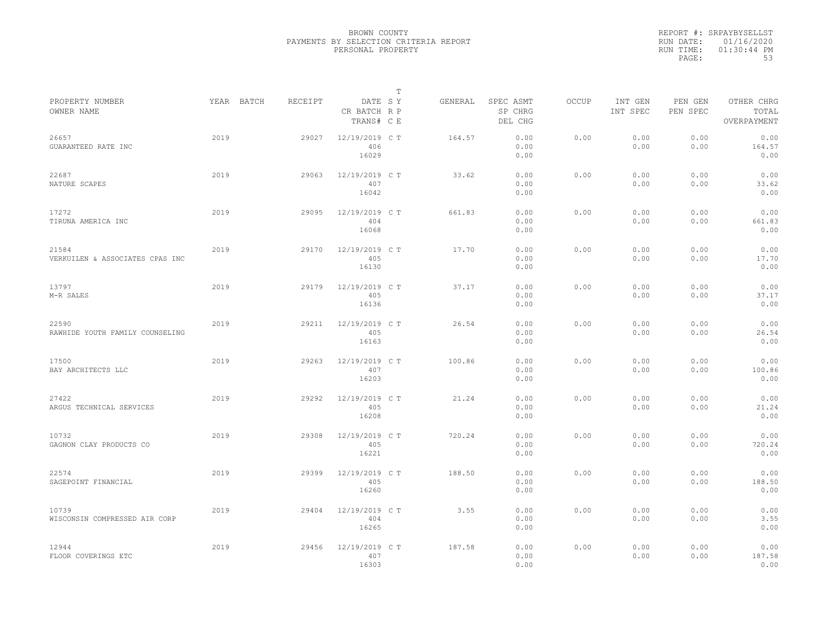|           | REPORT #: SRPAYBYSELLST |
|-----------|-------------------------|
|           | RUN DATE: 01/16/2020    |
| RUN TIME: | $01:30:44$ PM           |
| PAGE:     | 53                      |

|                                          |            |         |                                       | $\mathbb T$ |         |                                 |              |                     |                     |                                    |
|------------------------------------------|------------|---------|---------------------------------------|-------------|---------|---------------------------------|--------------|---------------------|---------------------|------------------------------------|
| PROPERTY NUMBER<br>OWNER NAME            | YEAR BATCH | RECEIPT | DATE SY<br>CR BATCH R P<br>TRANS# C E |             | GENERAL | SPEC ASMT<br>SP CHRG<br>DEL CHG | <b>OCCUP</b> | INT GEN<br>INT SPEC | PEN GEN<br>PEN SPEC | OTHER CHRG<br>TOTAL<br>OVERPAYMENT |
| 26657<br>GUARANTEED RATE INC             | 2019       | 29027   | 12/19/2019 C T<br>406<br>16029        |             | 164.57  | 0.00<br>0.00<br>0.00            | 0.00         | 0.00<br>0.00        | 0.00<br>0.00        | 0.00<br>164.57<br>0.00             |
| 22687<br>NATURE SCAPES                   | 2019       | 29063   | 12/19/2019 C T<br>407<br>16042        |             | 33.62   | 0.00<br>0.00<br>0.00            | 0.00         | 0.00<br>0.00        | 0.00<br>0.00        | 0.00<br>33.62<br>0.00              |
| 17272<br>TIRUNA AMERICA INC              | 2019       | 29095   | 12/19/2019 C T<br>404<br>16068        |             | 661.83  | 0.00<br>0.00<br>0.00            | 0.00         | 0.00<br>0.00        | 0.00<br>0.00        | 0.00<br>661.83<br>0.00             |
| 21584<br>VERKUILEN & ASSOCIATES CPAS INC | 2019       | 29170   | 12/19/2019 C T<br>405<br>16130        |             | 17.70   | 0.00<br>0.00<br>0.00            | 0.00         | 0.00<br>0.00        | 0.00<br>0.00        | 0.00<br>17.70<br>0.00              |
| 13797<br>M-R SALES                       | 2019       | 29179   | 12/19/2019 C T<br>405<br>16136        |             | 37.17   | 0.00<br>0.00<br>0.00            | 0.00         | 0.00<br>0.00        | 0.00<br>0.00        | 0.00<br>37.17<br>0.00              |
| 22590<br>RAWHIDE YOUTH FAMILY COUNSELING | 2019       | 29211   | 12/19/2019 C T<br>405<br>16163        |             | 26.54   | 0.00<br>0.00<br>0.00            | 0.00         | 0.00<br>0.00        | 0.00<br>0.00        | 0.00<br>26.54<br>0.00              |
| 17500<br>BAY ARCHITECTS LLC              | 2019       | 29263   | 12/19/2019 C T<br>407<br>16203        |             | 100.86  | 0.00<br>0.00<br>0.00            | 0.00         | 0.00<br>0.00        | 0.00<br>0.00        | 0.00<br>100.86<br>0.00             |
| 27422<br>ARGUS TECHNICAL SERVICES        | 2019       | 29292   | 12/19/2019 C T<br>405<br>16208        |             | 21.24   | 0.00<br>0.00<br>0.00            | 0.00         | 0.00<br>0.00        | 0.00<br>0.00        | 0.00<br>21.24<br>0.00              |
| 10732<br>GAGNON CLAY PRODUCTS CO         | 2019       | 29308   | 12/19/2019 C T<br>405<br>16221        |             | 720.24  | 0.00<br>0.00<br>0.00            | 0.00         | 0.00<br>0.00        | 0.00<br>0.00        | 0.00<br>720.24<br>0.00             |
| 22574<br>SAGEPOINT FINANCIAL             | 2019       | 29399   | 12/19/2019 C T<br>405<br>16260        |             | 188.50  | 0.00<br>0.00<br>0.00            | 0.00         | 0.00<br>0.00        | 0.00<br>0.00        | 0.00<br>188.50<br>0.00             |
| 10739<br>WISCONSIN COMPRESSED AIR CORP   | 2019       | 29404   | 12/19/2019 C T<br>404<br>16265        |             | 3.55    | 0.00<br>0.00<br>0.00            | 0.00         | 0.00<br>0.00        | 0.00<br>0.00        | 0.00<br>3.55<br>0.00               |
| 12944<br>FLOOR COVERINGS ETC             | 2019       | 29456   | 12/19/2019 C T<br>407<br>16303        |             | 187.58  | 0.00<br>0.00<br>0.00            | 0.00         | 0.00<br>0.00        | 0.00<br>0.00        | 0.00<br>187.58<br>0.00             |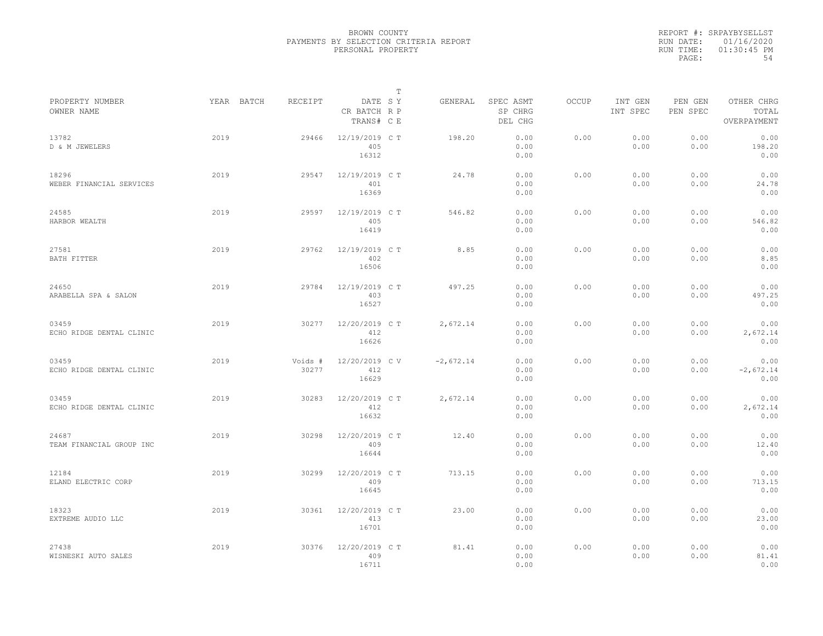|                                   |            |                  |                                       | T |             |                                 |              |                     |                     |                                    |
|-----------------------------------|------------|------------------|---------------------------------------|---|-------------|---------------------------------|--------------|---------------------|---------------------|------------------------------------|
| PROPERTY NUMBER<br>OWNER NAME     | YEAR BATCH | RECEIPT          | DATE SY<br>CR BATCH R P<br>TRANS# C E |   | GENERAL     | SPEC ASMT<br>SP CHRG<br>DEL CHG | <b>OCCUP</b> | INT GEN<br>INT SPEC | PEN GEN<br>PEN SPEC | OTHER CHRG<br>TOTAL<br>OVERPAYMENT |
| 13782<br>D & M JEWELERS           | 2019       | 29466            | 12/19/2019 C T<br>405<br>16312        |   | 198.20      | 0.00<br>0.00<br>0.00            | 0.00         | 0.00<br>0.00        | 0.00<br>0.00        | 0.00<br>198.20<br>0.00             |
| 18296<br>WEBER FINANCIAL SERVICES | 2019       | 29547            | 12/19/2019 C T<br>401<br>16369        |   | 24.78       | 0.00<br>0.00<br>0.00            | 0.00         | 0.00<br>0.00        | 0.00<br>0.00        | 0.00<br>24.78<br>0.00              |
| 24585<br>HARBOR WEALTH            | 2019       | 29597            | 12/19/2019 C T<br>405<br>16419        |   | 546.82      | 0.00<br>0.00<br>0.00            | 0.00         | 0.00<br>0.00        | 0.00<br>0.00        | 0.00<br>546.82<br>0.00             |
| 27581<br>BATH FITTER              | 2019       | 29762            | 12/19/2019 C T<br>402<br>16506        |   | 8.85        | 0.00<br>0.00<br>0.00            | 0.00         | 0.00<br>0.00        | 0.00<br>0.00        | 0.00<br>8.85<br>0.00               |
| 24650<br>ARABELLA SPA & SALON     | 2019       | 29784            | 12/19/2019 C T<br>403<br>16527        |   | 497.25      | 0.00<br>0.00<br>0.00            | 0.00         | 0.00<br>0.00        | 0.00<br>0.00        | 0.00<br>497.25<br>0.00             |
| 03459<br>ECHO RIDGE DENTAL CLINIC | 2019       | 30277            | 12/20/2019 C T<br>412<br>16626        |   | 2,672.14    | 0.00<br>0.00<br>0.00            | 0.00         | 0.00<br>0.00        | 0.00<br>0.00        | 0.00<br>2,672.14<br>0.00           |
| 03459<br>ECHO RIDGE DENTAL CLINIC | 2019       | Voids #<br>30277 | 12/20/2019 C V<br>412<br>16629        |   | $-2,672.14$ | 0.00<br>0.00<br>0.00            | 0.00         | 0.00<br>0.00        | 0.00<br>0.00        | 0.00<br>$-2,672.14$<br>0.00        |
| 03459<br>ECHO RIDGE DENTAL CLINIC | 2019       | 30283            | 12/20/2019 C T<br>412<br>16632        |   | 2,672.14    | 0.00<br>0.00<br>0.00            | 0.00         | 0.00<br>0.00        | 0.00<br>0.00        | 0.00<br>2,672.14<br>0.00           |
| 24687<br>TEAM FINANCIAL GROUP INC | 2019       | 30298            | 12/20/2019 C T<br>409<br>16644        |   | 12.40       | 0.00<br>0.00<br>0.00            | 0.00         | 0.00<br>0.00        | 0.00<br>0.00        | 0.00<br>12.40<br>0.00              |
| 12184<br>ELAND ELECTRIC CORP      | 2019       | 30299            | 12/20/2019 C T<br>409<br>16645        |   | 713.15      | 0.00<br>0.00<br>0.00            | 0.00         | 0.00<br>0.00        | 0.00<br>0.00        | 0.00<br>713.15<br>0.00             |
| 18323<br>EXTREME AUDIO LLC        | 2019       | 30361            | 12/20/2019 C T<br>413<br>16701        |   | 23.00       | 0.00<br>0.00<br>0.00            | 0.00         | 0.00<br>0.00        | 0.00<br>0.00        | 0.00<br>23.00<br>0.00              |
| 27438<br>WISNESKI AUTO SALES      | 2019       | 30376            | 12/20/2019 C T<br>409<br>16711        |   | 81.41       | 0.00<br>0.00<br>0.00            | 0.00         | 0.00<br>0.00        | 0.00<br>0.00        | 0.00<br>81.41<br>0.00              |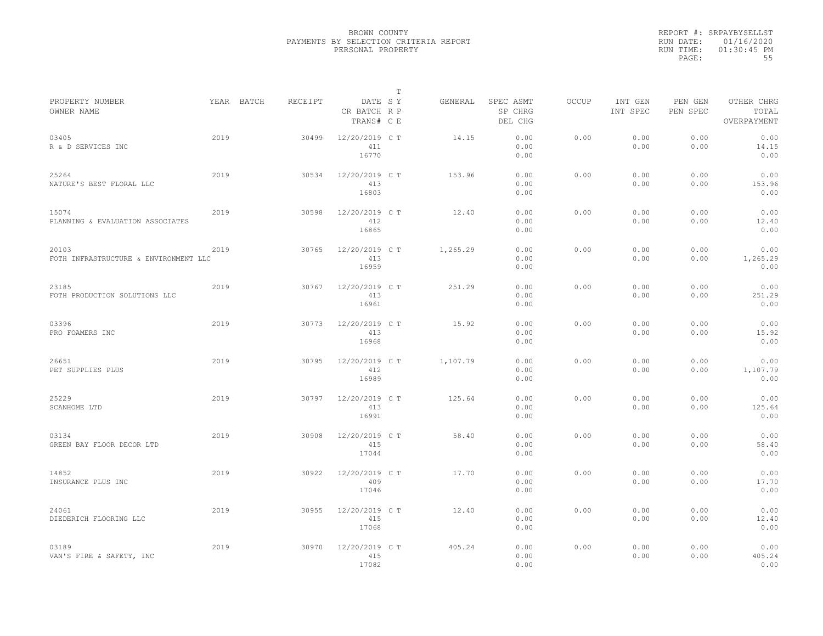|                                                |      |            |         |                                       | $\mathbb{T}$ |          |                                 |              |                     |                     |                                    |
|------------------------------------------------|------|------------|---------|---------------------------------------|--------------|----------|---------------------------------|--------------|---------------------|---------------------|------------------------------------|
| PROPERTY NUMBER<br>OWNER NAME                  |      | YEAR BATCH | RECEIPT | DATE SY<br>CR BATCH R P<br>TRANS# C E |              | GENERAL  | SPEC ASMT<br>SP CHRG<br>DEL CHG | <b>OCCUP</b> | INT GEN<br>INT SPEC | PEN GEN<br>PEN SPEC | OTHER CHRG<br>TOTAL<br>OVERPAYMENT |
| 03405<br>R & D SERVICES INC                    | 2019 |            | 30499   | 12/20/2019 C T<br>411<br>16770        |              | 14.15    | 0.00<br>0.00<br>0.00            | 0.00         | 0.00<br>0.00        | 0.00<br>0.00        | 0.00<br>14.15<br>0.00              |
| 25264<br>NATURE'S BEST FLORAL LLC              | 2019 |            | 30534   | 12/20/2019 C T<br>413<br>16803        |              | 153.96   | 0.00<br>0.00<br>0.00            | 0.00         | 0.00<br>0.00        | 0.00<br>0.00        | 0.00<br>153.96<br>0.00             |
| 15074<br>PLANNING & EVALUATION ASSOCIATES      | 2019 |            | 30598   | 12/20/2019 C T<br>412<br>16865        |              | 12.40    | 0.00<br>0.00<br>0.00            | 0.00         | 0.00<br>0.00        | 0.00<br>0.00        | 0.00<br>12.40<br>0.00              |
| 20103<br>FOTH INFRASTRUCTURE & ENVIRONMENT LLC | 2019 |            | 30765   | 12/20/2019 C T<br>413<br>16959        |              | 1,265.29 | 0.00<br>0.00<br>0.00            | 0.00         | 0.00<br>0.00        | 0.00<br>0.00        | 0.00<br>1,265.29<br>0.00           |
| 23185<br>FOTH PRODUCTION SOLUTIONS LLC         | 2019 |            | 30767   | 12/20/2019 C T<br>413<br>16961        |              | 251.29   | 0.00<br>0.00<br>0.00            | 0.00         | 0.00<br>0.00        | 0.00<br>0.00        | 0.00<br>251.29<br>0.00             |
| 03396<br>PRO FOAMERS INC                       | 2019 |            | 30773   | 12/20/2019 C T<br>413<br>16968        |              | 15.92    | 0.00<br>0.00<br>0.00            | 0.00         | 0.00<br>0.00        | 0.00<br>0.00        | 0.00<br>15.92<br>0.00              |
| 26651<br>PET SUPPLIES PLUS                     | 2019 |            | 30795   | 12/20/2019 C T<br>412<br>16989        |              | 1,107.79 | 0.00<br>0.00<br>0.00            | 0.00         | 0.00<br>0.00        | 0.00<br>0.00        | 0.00<br>1,107.79<br>0.00           |
| 25229<br>SCANHOME LTD                          | 2019 |            | 30797   | 12/20/2019 C T<br>413<br>16991        |              | 125.64   | 0.00<br>0.00<br>0.00            | 0.00         | 0.00<br>0.00        | 0.00<br>0.00        | 0.00<br>125.64<br>0.00             |
| 03134<br>GREEN BAY FLOOR DECOR LTD             | 2019 |            | 30908   | 12/20/2019 C T<br>415<br>17044        |              | 58.40    | 0.00<br>0.00<br>0.00            | 0.00         | 0.00<br>0.00        | 0.00<br>0.00        | 0.00<br>58.40<br>0.00              |
| 14852<br>INSURANCE PLUS INC                    | 2019 |            | 30922   | 12/20/2019 C T<br>409<br>17046        |              | 17.70    | 0.00<br>0.00<br>0.00            | 0.00         | 0.00<br>0.00        | 0.00<br>0.00        | 0.00<br>17.70<br>0.00              |
| 24061<br>DIEDERICH FLOORING LLC                | 2019 |            | 30955   | 12/20/2019 C T<br>415<br>17068        |              | 12.40    | 0.00<br>0.00<br>0.00            | 0.00         | 0.00<br>0.00        | 0.00<br>0.00        | 0.00<br>12.40<br>0.00              |
| 03189<br>VAN'S FIRE & SAFETY, INC              | 2019 |            | 30970   | 12/20/2019 C T<br>415<br>17082        |              | 405.24   | 0.00<br>0.00<br>0.00            | 0.00         | 0.00<br>0.00        | 0.00<br>0.00        | 0.00<br>405.24<br>0.00             |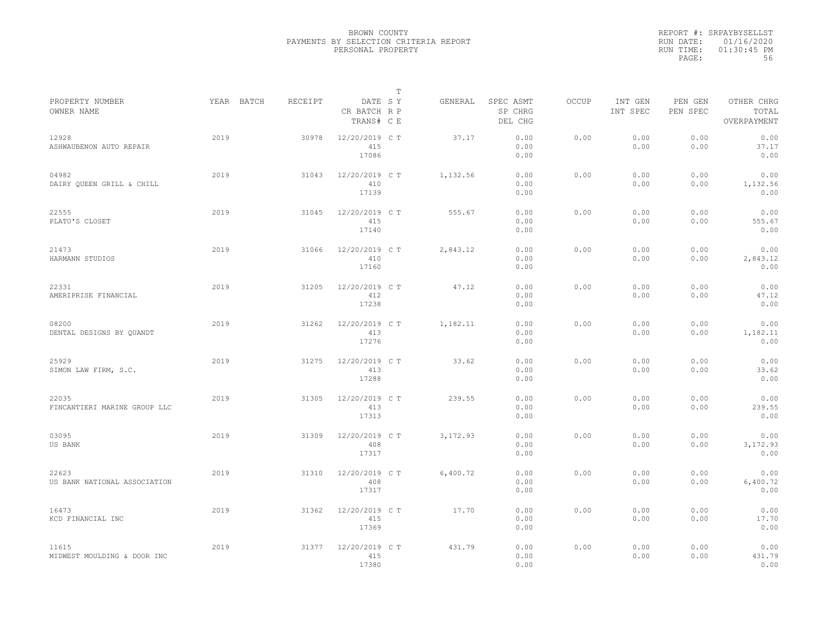|                                       |            |         |                                       | $\mathbb T$ |           |                                 |              |                     |                     |                                    |
|---------------------------------------|------------|---------|---------------------------------------|-------------|-----------|---------------------------------|--------------|---------------------|---------------------|------------------------------------|
| PROPERTY NUMBER<br>OWNER NAME         | YEAR BATCH | RECEIPT | DATE SY<br>CR BATCH R P<br>TRANS# C E |             | GENERAL   | SPEC ASMT<br>SP CHRG<br>DEL CHG | <b>OCCUP</b> | INT GEN<br>INT SPEC | PEN GEN<br>PEN SPEC | OTHER CHRG<br>TOTAL<br>OVERPAYMENT |
| 12928<br>ASHWAUBENON AUTO REPAIR      | 2019       | 30978   | 12/20/2019 C T<br>415<br>17086        |             | 37.17     | 0.00<br>0.00<br>0.00            | 0.00         | 0.00<br>0.00        | 0.00<br>0.00        | 0.00<br>37.17<br>0.00              |
| 04982<br>DAIRY QUEEN GRILL & CHILL    | 2019       | 31043   | 12/20/2019 C T<br>410<br>17139        |             | 1,132.56  | 0.00<br>0.00<br>0.00            | 0.00         | 0.00<br>0.00        | 0.00<br>0.00        | 0.00<br>1,132.56<br>0.00           |
| 22555<br>PLATO'S CLOSET               | 2019       | 31045   | 12/20/2019 C T<br>415<br>17140        |             | 555.67    | 0.00<br>0.00<br>0.00            | 0.00         | 0.00<br>0.00        | 0.00<br>0.00        | 0.00<br>555.67<br>0.00             |
| 21473<br>HARMANN STUDIOS              | 2019       | 31066   | 12/20/2019 C T<br>410<br>17160        |             | 2,843.12  | 0.00<br>0.00<br>0.00            | 0.00         | 0.00<br>0.00        | 0.00<br>0.00        | 0.00<br>2,843.12<br>0.00           |
| 22331<br>AMERIPRISE FINANCIAL         | 2019       | 31205   | 12/20/2019 C T<br>412<br>17238        |             | 47.12     | 0.00<br>0.00<br>0.00            | 0.00         | 0.00<br>0.00        | 0.00<br>0.00        | 0.00<br>47.12<br>0.00              |
| 08200<br>DENTAL DESIGNS BY QUANDT     | 2019       | 31262   | 12/20/2019 C T<br>413<br>17276        |             | 1,182.11  | 0.00<br>0.00<br>0.00            | 0.00         | 0.00<br>0.00        | 0.00<br>0.00        | 0.00<br>1,182.11<br>0.00           |
| 25929<br>SIMON LAW FIRM, S.C.         | 2019       | 31275   | 12/20/2019 C T<br>413<br>17288        |             | 33.62     | 0.00<br>0.00<br>0.00            | 0.00         | 0.00<br>0.00        | 0.00<br>0.00        | 0.00<br>33.62<br>0.00              |
| 22035<br>FINCANTIERI MARINE GROUP LLC | 2019       | 31305   | 12/20/2019 C T<br>413<br>17313        |             | 239.55    | 0.00<br>0.00<br>0.00            | 0.00         | 0.00<br>0.00        | 0.00<br>0.00        | 0.00<br>239.55<br>0.00             |
| 03095<br>US BANK                      | 2019       | 31309   | 12/20/2019 C T<br>408<br>17317        |             | 3, 172.93 | 0.00<br>0.00<br>0.00            | 0.00         | 0.00<br>0.00        | 0.00<br>0.00        | 0.00<br>3,172.93<br>0.00           |
| 22623<br>US BANK NATIONAL ASSOCIATION | 2019       | 31310   | 12/20/2019 C T<br>408<br>17317        |             | 6,400.72  | 0.00<br>0.00<br>0.00            | 0.00         | 0.00<br>0.00        | 0.00<br>0.00        | 0.00<br>6,400.72<br>0.00           |
| 16473<br>KCD FINANCIAL INC            | 2019       | 31362   | 12/20/2019 C T<br>415<br>17369        |             | 17.70     | 0.00<br>0.00<br>0.00            | 0.00         | 0.00<br>0.00        | 0.00<br>0.00        | 0.00<br>17.70<br>0.00              |
| 11615<br>MIDWEST MOULDING & DOOR INC  | 2019       | 31377   | 12/20/2019 C T<br>415<br>17380        |             | 431.79    | 0.00<br>0.00<br>0.00            | 0.00         | 0.00<br>0.00        | 0.00<br>0.00        | 0.00<br>431.79<br>0.00             |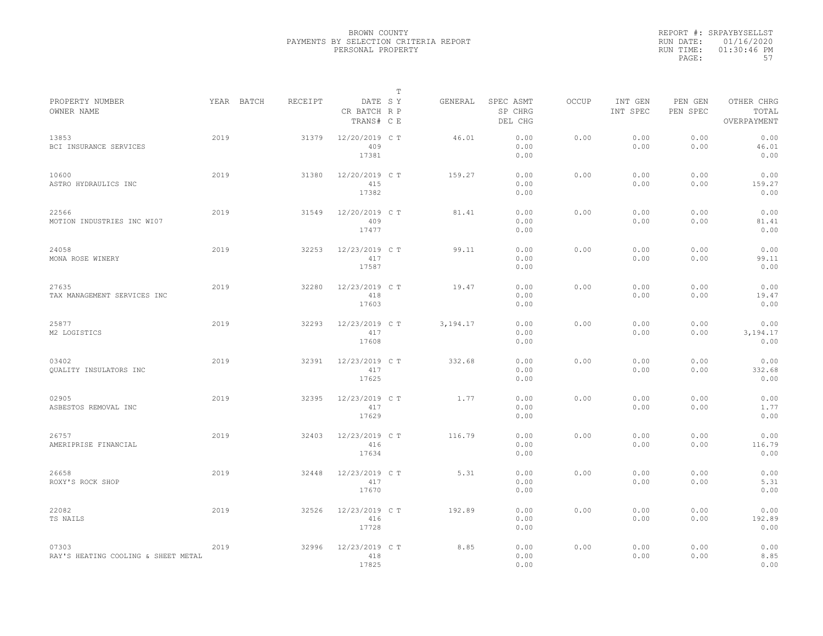|           | REPORT #: SRPAYBYSELLST |
|-----------|-------------------------|
|           | RUN DATE: 01/16/2020    |
| RUN TIME: | $01:30:46$ PM           |
| PAGE:     | 57                      |

|                                              |      |            |         |                                       | $\mathbb T$ |            |                                 |              |                     |                     |                                    |
|----------------------------------------------|------|------------|---------|---------------------------------------|-------------|------------|---------------------------------|--------------|---------------------|---------------------|------------------------------------|
| PROPERTY NUMBER<br>OWNER NAME                |      | YEAR BATCH | RECEIPT | DATE SY<br>CR BATCH R P<br>TRANS# C E |             | GENERAL    | SPEC ASMT<br>SP CHRG<br>DEL CHG | <b>OCCUP</b> | INT GEN<br>INT SPEC | PEN GEN<br>PEN SPEC | OTHER CHRG<br>TOTAL<br>OVERPAYMENT |
| 13853<br>BCI INSURANCE SERVICES              | 2019 |            | 31379   | 12/20/2019 C T<br>409<br>17381        |             | 46.01      | 0.00<br>0.00<br>0.00            | 0.00         | 0.00<br>0.00        | 0.00<br>0.00        | 0.00<br>46.01<br>0.00              |
| 10600<br>ASTRO HYDRAULICS INC                | 2019 |            | 31380   | 12/20/2019 C T<br>415<br>17382        |             | 159.27     | 0.00<br>0.00<br>0.00            | 0.00         | 0.00<br>0.00        | 0.00<br>0.00        | 0.00<br>159.27<br>0.00             |
| 22566<br>MOTION INDUSTRIES INC WI07          | 2019 |            | 31549   | 12/20/2019 C T<br>409<br>17477        |             | 81.41      | 0.00<br>0.00<br>0.00            | 0.00         | 0.00<br>0.00        | 0.00<br>0.00        | 0.00<br>81.41<br>0.00              |
| 24058<br>MONA ROSE WINERY                    | 2019 |            | 32253   | 12/23/2019 C T<br>417<br>17587        |             | 99.11      | 0.00<br>0.00<br>0.00            | 0.00         | 0.00<br>0.00        | 0.00<br>0.00        | 0.00<br>99.11<br>0.00              |
| 27635<br>TAX MANAGEMENT SERVICES INC         | 2019 |            | 32280   | 12/23/2019 C T<br>418<br>17603        |             | 19.47      | 0.00<br>0.00<br>0.00            | 0.00         | 0.00<br>0.00        | 0.00<br>0.00        | 0.00<br>19.47<br>0.00              |
| 25877<br>M2 LOGISTICS                        | 2019 |            | 32293   | 12/23/2019 C T<br>417<br>17608        |             | 3, 194. 17 | 0.00<br>0.00<br>0.00            | 0.00         | 0.00<br>0.00        | 0.00<br>0.00        | 0.00<br>3,194.17<br>0.00           |
| 03402<br><b>OUALITY INSULATORS INC</b>       | 2019 |            | 32391   | 12/23/2019 C T<br>417<br>17625        |             | 332.68     | 0.00<br>0.00<br>0.00            | 0.00         | 0.00<br>0.00        | 0.00<br>0.00        | 0.00<br>332.68<br>0.00             |
| 02905<br>ASBESTOS REMOVAL INC                | 2019 |            | 32395   | 12/23/2019 C T<br>417<br>17629        |             | 1.77       | 0.00<br>0.00<br>0.00            | 0.00         | 0.00<br>0.00        | 0.00<br>0.00        | 0.00<br>1.77<br>0.00               |
| 26757<br>AMERIPRISE FINANCIAL                | 2019 |            | 32403   | 12/23/2019 C T<br>416<br>17634        |             | 116.79     | 0.00<br>0.00<br>0.00            | 0.00         | 0.00<br>0.00        | 0.00<br>0.00        | 0.00<br>116.79<br>0.00             |
| 26658<br>ROXY'S ROCK SHOP                    | 2019 |            | 32448   | 12/23/2019 C T<br>417<br>17670        |             | 5.31       | 0.00<br>0.00<br>0.00            | 0.00         | 0.00<br>0.00        | 0.00<br>0.00        | 0.00<br>5.31<br>0.00               |
| 22082<br>TS NAILS                            | 2019 |            | 32526   | 12/23/2019 C T<br>416<br>17728        |             | 192.89     | 0.00<br>0.00<br>0.00            | 0.00         | 0.00<br>0.00        | 0.00<br>0.00        | 0.00<br>192.89<br>0.00             |
| 07303<br>RAY'S HEATING COOLING & SHEET METAL | 2019 |            | 32996   | 12/23/2019 C T<br>418<br>17825        |             | 8.85       | 0.00<br>0.00<br>0.00            | 0.00         | 0.00<br>0.00        | 0.00<br>0.00        | 0.00<br>8.85<br>0.00               |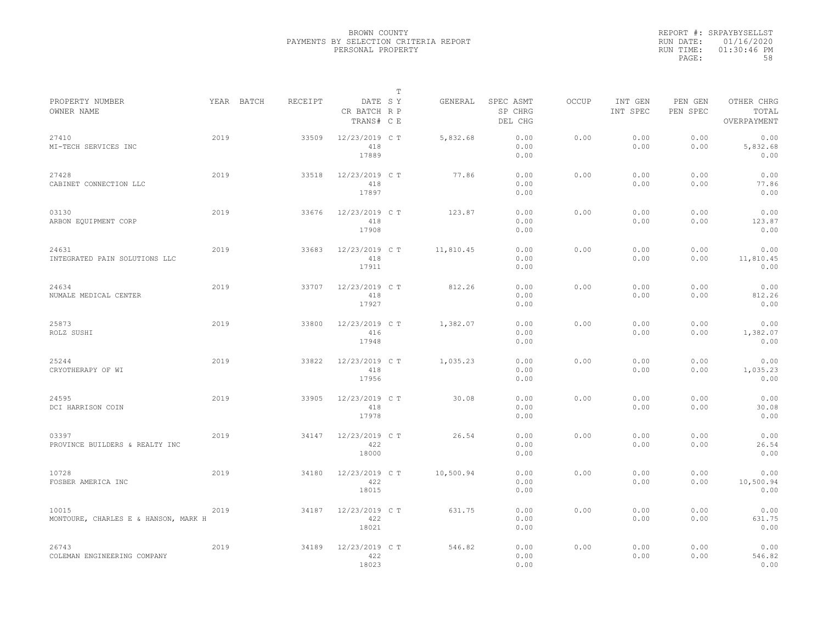|           | REPORT #: SRPAYBYSELLST |
|-----------|-------------------------|
|           | RUN DATE: 01/16/2020    |
| RUN TIME: | $01:30:46$ PM           |
| PAGE:     | 58                      |

|                                               |      |            |         |                                       | T |           |                                 |       |                     |                     |                                    |  |
|-----------------------------------------------|------|------------|---------|---------------------------------------|---|-----------|---------------------------------|-------|---------------------|---------------------|------------------------------------|--|
| PROPERTY NUMBER<br>OWNER NAME                 |      | YEAR BATCH | RECEIPT | DATE SY<br>CR BATCH R P<br>TRANS# C E |   | GENERAL   | SPEC ASMT<br>SP CHRG<br>DEL CHG | OCCUP | INT GEN<br>INT SPEC | PEN GEN<br>PEN SPEC | OTHER CHRG<br>TOTAL<br>OVERPAYMENT |  |
| 27410<br>MI-TECH SERVICES INC                 | 2019 |            | 33509   | 12/23/2019 C T<br>418<br>17889        |   | 5,832.68  | 0.00<br>0.00<br>0.00            | 0.00  | 0.00<br>0.00        | 0.00<br>0.00        | 0.00<br>5,832.68<br>0.00           |  |
| 27428<br>CABINET CONNECTION LLC               | 2019 |            | 33518   | 12/23/2019 C T<br>418<br>17897        |   | 77.86     | 0.00<br>0.00<br>0.00            | 0.00  | 0.00<br>0.00        | 0.00<br>0.00        | 0.00<br>77.86<br>0.00              |  |
| 03130<br>ARBON EQUIPMENT CORP                 | 2019 |            | 33676   | 12/23/2019 C T<br>418<br>17908        |   | 123.87    | 0.00<br>0.00<br>0.00            | 0.00  | 0.00<br>0.00        | 0.00<br>0.00        | 0.00<br>123.87<br>0.00             |  |
| 24631<br>INTEGRATED PAIN SOLUTIONS LLC        | 2019 |            | 33683   | 12/23/2019 C T<br>418<br>17911        |   | 11,810.45 | 0.00<br>0.00<br>0.00            | 0.00  | 0.00<br>0.00        | 0.00<br>0.00        | 0.00<br>11,810.45<br>0.00          |  |
| 24634<br>NUMALE MEDICAL CENTER                | 2019 |            | 33707   | 12/23/2019 C T<br>418<br>17927        |   | 812.26    | 0.00<br>0.00<br>0.00            | 0.00  | 0.00<br>0.00        | 0.00<br>0.00        | 0.00<br>812.26<br>0.00             |  |
| 25873<br>ROLZ SUSHI                           | 2019 |            | 33800   | 12/23/2019 C T<br>416<br>17948        |   | 1,382.07  | 0.00<br>0.00<br>0.00            | 0.00  | 0.00<br>0.00        | 0.00<br>0.00        | 0.00<br>1,382.07<br>0.00           |  |
| 25244<br>CRYOTHERAPY OF WI                    | 2019 |            | 33822   | 12/23/2019 C T<br>418<br>17956        |   | 1,035.23  | 0.00<br>0.00<br>0.00            | 0.00  | 0.00<br>0.00        | 0.00<br>0.00        | 0.00<br>1,035.23<br>0.00           |  |
| 24595<br>DCI HARRISON COIN                    | 2019 |            | 33905   | 12/23/2019 C T<br>418<br>17978        |   | 30.08     | 0.00<br>0.00<br>0.00            | 0.00  | 0.00<br>0.00        | 0.00<br>0.00        | 0.00<br>30.08<br>0.00              |  |
| 03397<br>PROVINCE BUILDERS & REALTY INC       | 2019 |            | 34147   | 12/23/2019 C T<br>422<br>18000        |   | 26.54     | 0.00<br>0.00<br>0.00            | 0.00  | 0.00<br>0.00        | 0.00<br>0.00        | 0.00<br>26.54<br>0.00              |  |
| 10728<br>FOSBER AMERICA INC                   | 2019 |            | 34180   | 12/23/2019 C T<br>422<br>18015        |   | 10,500.94 | 0.00<br>0.00<br>0.00            | 0.00  | 0.00<br>0.00        | 0.00<br>0.00        | 0.00<br>10,500.94<br>0.00          |  |
| 10015<br>MONTOURE, CHARLES E & HANSON, MARK H | 2019 |            | 34187   | 12/23/2019 C T<br>422<br>18021        |   | 631.75    | 0.00<br>0.00<br>0.00            | 0.00  | 0.00<br>0.00        | 0.00<br>0.00        | 0.00<br>631.75<br>0.00             |  |
| 26743<br>COLEMAN ENGINEERING COMPANY          | 2019 |            | 34189   | 12/23/2019 C T<br>422<br>18023        |   | 546.82    | 0.00<br>0.00<br>0.00            | 0.00  | 0.00<br>0.00        | 0.00<br>0.00        | 0.00<br>546.82<br>0.00             |  |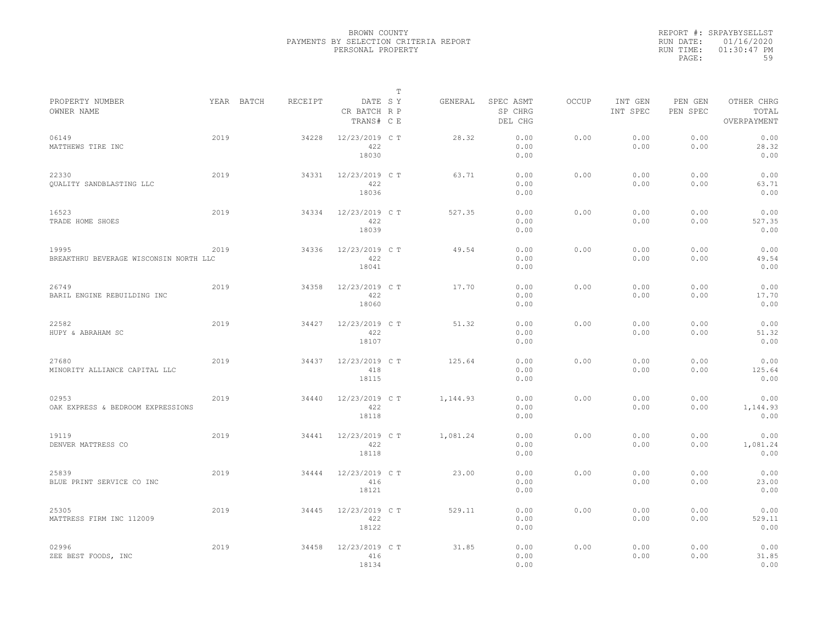|           | REPORT #: SRPAYBYSELLST |
|-----------|-------------------------|
|           | RUN DATE: 01/16/2020    |
| RUN TIME: | $01:30:47$ PM           |
| PAGE:     | 59                      |

|                                                 |      |            |         |                                       | $\mathbb T$ |          |                                 |              |                     |                     |                                    |
|-------------------------------------------------|------|------------|---------|---------------------------------------|-------------|----------|---------------------------------|--------------|---------------------|---------------------|------------------------------------|
| PROPERTY NUMBER<br>OWNER NAME                   |      | YEAR BATCH | RECEIPT | DATE SY<br>CR BATCH R P<br>TRANS# C E |             | GENERAL  | SPEC ASMT<br>SP CHRG<br>DEL CHG | <b>OCCUP</b> | INT GEN<br>INT SPEC | PEN GEN<br>PEN SPEC | OTHER CHRG<br>TOTAL<br>OVERPAYMENT |
| 06149<br>MATTHEWS TIRE INC                      | 2019 |            | 34228   | 12/23/2019 C T<br>422<br>18030        |             | 28.32    | 0.00<br>0.00<br>0.00            | 0.00         | 0.00<br>0.00        | 0.00<br>0.00        | 0.00<br>28.32<br>0.00              |
| 22330<br>QUALITY SANDBLASTING LLC               | 2019 |            | 34331   | 12/23/2019 C T<br>422<br>18036        |             | 63.71    | 0.00<br>0.00<br>0.00            | 0.00         | 0.00<br>0.00        | 0.00<br>0.00        | 0.00<br>63.71<br>0.00              |
| 16523<br>TRADE HOME SHOES                       | 2019 |            | 34334   | 12/23/2019 C T<br>422<br>18039        |             | 527.35   | 0.00<br>0.00<br>0.00            | 0.00         | 0.00<br>0.00        | 0.00<br>0.00        | 0.00<br>527.35<br>0.00             |
| 19995<br>BREAKTHRU BEVERAGE WISCONSIN NORTH LLC | 2019 |            | 34336   | 12/23/2019 C T<br>422<br>18041        |             | 49.54    | 0.00<br>0.00<br>0.00            | 0.00         | 0.00<br>0.00        | 0.00<br>0.00        | 0.00<br>49.54<br>0.00              |
| 26749<br>BARIL ENGINE REBUILDING INC            | 2019 |            | 34358   | 12/23/2019 C T<br>422<br>18060        |             | 17.70    | 0.00<br>0.00<br>0.00            | 0.00         | 0.00<br>0.00        | 0.00<br>0.00        | 0.00<br>17.70<br>0.00              |
| 22582<br>HUPY & ABRAHAM SC                      | 2019 |            | 34427   | 12/23/2019 C T<br>422<br>18107        |             | 51.32    | 0.00<br>0.00<br>0.00            | 0.00         | 0.00<br>0.00        | 0.00<br>0.00        | 0.00<br>51.32<br>0.00              |
| 27680<br>MINORITY ALLIANCE CAPITAL LLC          | 2019 |            | 34437   | 12/23/2019 C T<br>418<br>18115        |             | 125.64   | 0.00<br>0.00<br>0.00            | 0.00         | 0.00<br>0.00        | 0.00<br>0.00        | 0.00<br>125.64<br>0.00             |
| 02953<br>OAK EXPRESS & BEDROOM EXPRESSIONS      | 2019 |            | 34440   | 12/23/2019 C T<br>422<br>18118        |             | 1,144.93 | 0.00<br>0.00<br>0.00            | 0.00         | 0.00<br>0.00        | 0.00<br>0.00        | 0.00<br>1,144.93<br>0.00           |
| 19119<br>DENVER MATTRESS CO                     | 2019 |            | 34441   | 12/23/2019 C T<br>422<br>18118        |             | 1,081.24 | 0.00<br>0.00<br>0.00            | 0.00         | 0.00<br>0.00        | 0.00<br>0.00        | 0.00<br>1,081.24<br>0.00           |
| 25839<br>BLUE PRINT SERVICE CO INC              | 2019 |            | 34444   | 12/23/2019 C T<br>416<br>18121        |             | 23.00    | 0.00<br>0.00<br>0.00            | 0.00         | 0.00<br>0.00        | 0.00<br>0.00        | 0.00<br>23.00<br>0.00              |
| 25305<br>MATTRESS FIRM INC 112009               | 2019 |            | 34445   | 12/23/2019 C T<br>422<br>18122        |             | 529.11   | 0.00<br>0.00<br>0.00            | 0.00         | 0.00<br>0.00        | 0.00<br>0.00        | 0.00<br>529.11<br>0.00             |
| 02996<br>ZEE BEST FOODS, INC                    | 2019 |            | 34458   | 12/23/2019 C T<br>416<br>18134        |             | 31.85    | 0.00<br>0.00<br>0.00            | 0.00         | 0.00<br>0.00        | 0.00<br>0.00        | 0.00<br>31.85<br>0.00              |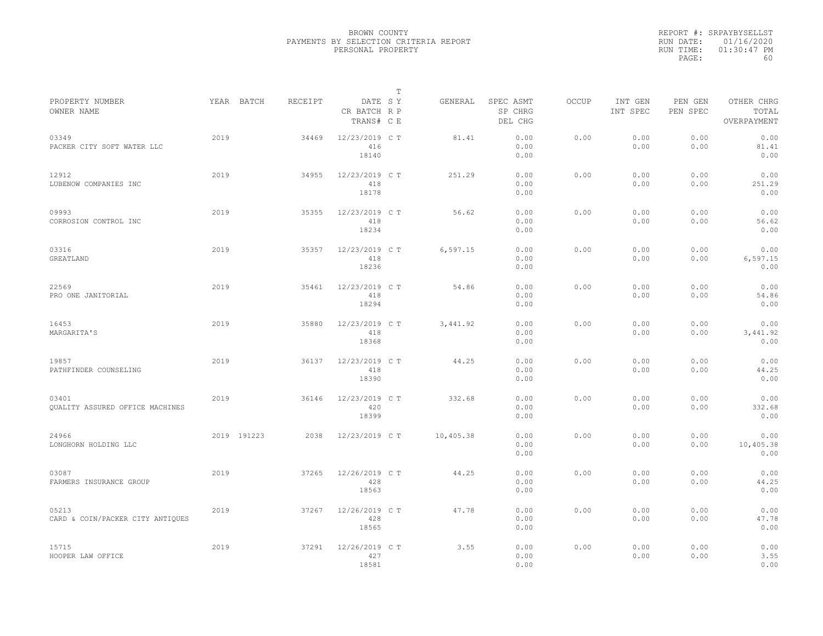|           | REPORT #: SRPAYBYSELLST |
|-----------|-------------------------|
|           | RUN DATE: 01/16/2020    |
| RUN TIME: | $01:30:47$ PM           |
| PAGE:     | 60                      |

|                                                 |      |             |         |                                       | $\mathbb T$ |           |                                 |              |                     |                     |                                    |
|-------------------------------------------------|------|-------------|---------|---------------------------------------|-------------|-----------|---------------------------------|--------------|---------------------|---------------------|------------------------------------|
| PROPERTY NUMBER<br>OWNER NAME                   |      | YEAR BATCH  | RECEIPT | DATE SY<br>CR BATCH R P<br>TRANS# C E |             | GENERAL   | SPEC ASMT<br>SP CHRG<br>DEL CHG | <b>OCCUP</b> | INT GEN<br>INT SPEC | PEN GEN<br>PEN SPEC | OTHER CHRG<br>TOTAL<br>OVERPAYMENT |
| 03349<br>PACKER CITY SOFT WATER LLC             | 2019 |             | 34469   | 12/23/2019 C T<br>416<br>18140        |             | 81.41     | 0.00<br>0.00<br>0.00            | 0.00         | 0.00<br>0.00        | 0.00<br>0.00        | 0.00<br>81.41<br>0.00              |
| 12912<br>LUBENOW COMPANIES INC                  | 2019 |             | 34955   | 12/23/2019 C T<br>418<br>18178        |             | 251.29    | 0.00<br>0.00<br>0.00            | 0.00         | 0.00<br>0.00        | 0.00<br>0.00        | 0.00<br>251.29<br>0.00             |
| 09993<br>CORROSION CONTROL INC                  | 2019 |             | 35355   | 12/23/2019 C T<br>418<br>18234        |             | 56.62     | 0.00<br>0.00<br>0.00            | 0.00         | 0.00<br>0.00        | 0.00<br>0.00        | 0.00<br>56.62<br>0.00              |
| 03316<br>GREATLAND                              | 2019 |             | 35357   | 12/23/2019 C T<br>418<br>18236        |             | 6,597.15  | 0.00<br>0.00<br>0.00            | 0.00         | 0.00<br>0.00        | 0.00<br>0.00        | 0.00<br>6, 597.15<br>0.00          |
| 22569<br>PRO ONE JANITORIAL                     | 2019 |             | 35461   | 12/23/2019 C T<br>418<br>18294        |             | 54.86     | 0.00<br>0.00<br>0.00            | 0.00         | 0.00<br>0.00        | 0.00<br>0.00        | 0.00<br>54.86<br>0.00              |
| 16453<br>MARGARITA'S                            | 2019 |             | 35880   | 12/23/2019 C T<br>418<br>18368        |             | 3,441.92  | 0.00<br>0.00<br>0.00            | 0.00         | 0.00<br>0.00        | 0.00<br>0.00        | 0.00<br>3,441.92<br>0.00           |
| 19857<br>PATHFINDER COUNSELING                  | 2019 |             | 36137   | 12/23/2019 C T<br>418<br>18390        |             | 44.25     | 0.00<br>0.00<br>0.00            | 0.00         | 0.00<br>0.00        | 0.00<br>0.00        | 0.00<br>44.25<br>0.00              |
| 03401<br><b>OUALITY ASSURED OFFICE MACHINES</b> | 2019 |             | 36146   | 12/23/2019 C T<br>420<br>18399        |             | 332.68    | 0.00<br>0.00<br>0.00            | 0.00         | 0.00<br>0.00        | 0.00<br>0.00        | 0.00<br>332.68<br>0.00             |
| 24966<br>LONGHORN HOLDING LLC                   |      | 2019 191223 | 2038    | 12/23/2019 C T                        |             | 10,405.38 | 0.00<br>0.00<br>0.00            | 0.00         | 0.00<br>0.00        | 0.00<br>0.00        | 0.00<br>10,405.38<br>0.00          |
| 03087<br>FARMERS INSURANCE GROUP                | 2019 |             | 37265   | 12/26/2019 C T<br>428<br>18563        |             | 44.25     | 0.00<br>0.00<br>0.00            | 0.00         | 0.00<br>0.00        | 0.00<br>0.00        | 0.00<br>44.25<br>0.00              |
| 05213<br>CARD & COIN/PACKER CITY ANTIQUES       | 2019 |             | 37267   | 12/26/2019 C T<br>428<br>18565        |             | 47.78     | 0.00<br>0.00<br>0.00            | 0.00         | 0.00<br>0.00        | 0.00<br>0.00        | 0.00<br>47.78<br>0.00              |
| 15715<br>HOOPER LAW OFFICE                      | 2019 |             | 37291   | 12/26/2019 C T<br>427<br>18581        |             | 3.55      | 0.00<br>0.00<br>0.00            | 0.00         | 0.00<br>0.00        | 0.00<br>0.00        | 0.00<br>3.55<br>0.00               |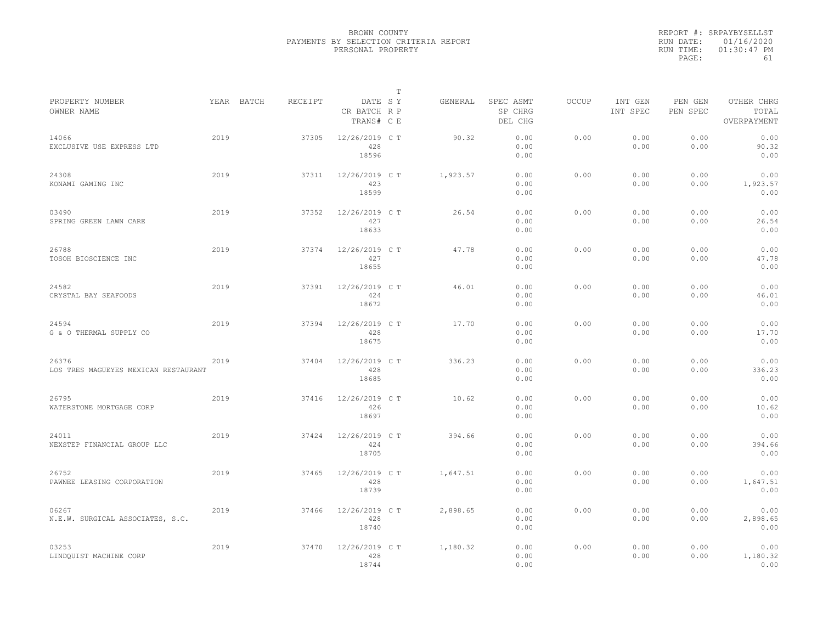|           | REPORT #: SRPAYBYSELLST |
|-----------|-------------------------|
|           | RUN DATE: 01/16/2020    |
| RUN TIME: | $01:30:47$ PM           |
| PAGE:     | 61                      |

|                                               |      |            |         |                                       | T |          |                                 |              |                     |                     |                                    |
|-----------------------------------------------|------|------------|---------|---------------------------------------|---|----------|---------------------------------|--------------|---------------------|---------------------|------------------------------------|
| PROPERTY NUMBER<br>OWNER NAME                 |      | YEAR BATCH | RECEIPT | DATE SY<br>CR BATCH R P<br>TRANS# C E |   | GENERAL  | SPEC ASMT<br>SP CHRG<br>DEL CHG | <b>OCCUP</b> | INT GEN<br>INT SPEC | PEN GEN<br>PEN SPEC | OTHER CHRG<br>TOTAL<br>OVERPAYMENT |
| 14066<br>EXCLUSIVE USE EXPRESS LTD            | 2019 |            | 37305   | 12/26/2019 C T<br>428<br>18596        |   | 90.32    | 0.00<br>0.00<br>0.00            | 0.00         | 0.00<br>0.00        | 0.00<br>0.00        | 0.00<br>90.32<br>0.00              |
| 24308<br>KONAMI GAMING INC                    | 2019 |            | 37311   | 12/26/2019 C T<br>423<br>18599        |   | 1,923.57 | 0.00<br>0.00<br>0.00            | 0.00         | 0.00<br>0.00        | 0.00<br>0.00        | 0.00<br>1,923.57<br>0.00           |
| 03490<br>SPRING GREEN LAWN CARE               | 2019 |            | 37352   | 12/26/2019 C T<br>427<br>18633        |   | 26.54    | 0.00<br>0.00<br>0.00            | 0.00         | 0.00<br>0.00        | 0.00<br>0.00        | 0.00<br>26.54<br>0.00              |
| 26788<br>TOSOH BIOSCIENCE INC                 | 2019 |            | 37374   | 12/26/2019 C T<br>427<br>18655        |   | 47.78    | 0.00<br>0.00<br>0.00            | 0.00         | 0.00<br>0.00        | 0.00<br>0.00        | 0.00<br>47.78<br>0.00              |
| 24582<br>CRYSTAL BAY SEAFOODS                 | 2019 |            | 37391   | 12/26/2019 C T<br>424<br>18672        |   | 46.01    | 0.00<br>0.00<br>0.00            | 0.00         | 0.00<br>0.00        | 0.00<br>0.00        | 0.00<br>46.01<br>0.00              |
| 24594<br>G & O THERMAL SUPPLY CO              | 2019 |            | 37394   | 12/26/2019 C T<br>428<br>18675        |   | 17.70    | 0.00<br>0.00<br>0.00            | 0.00         | 0.00<br>0.00        | 0.00<br>0.00        | 0.00<br>17.70<br>0.00              |
| 26376<br>LOS TRES MAGUEYES MEXICAN RESTAURANT | 2019 |            | 37404   | 12/26/2019 C T<br>428<br>18685        |   | 336.23   | 0.00<br>0.00<br>0.00            | 0.00         | 0.00<br>0.00        | 0.00<br>0.00        | 0.00<br>336.23<br>0.00             |
| 26795<br>WATERSTONE MORTGAGE CORP             | 2019 |            | 37416   | 12/26/2019 C T<br>426<br>18697        |   | 10.62    | 0.00<br>0.00<br>0.00            | 0.00         | 0.00<br>0.00        | 0.00<br>0.00        | 0.00<br>10.62<br>0.00              |
| 24011<br>NEXSTEP FINANCIAL GROUP LLC          | 2019 |            | 37424   | 12/26/2019 C T<br>424<br>18705        |   | 394.66   | 0.00<br>0.00<br>0.00            | 0.00         | 0.00<br>0.00        | 0.00<br>0.00        | 0.00<br>394.66<br>0.00             |
| 26752<br>PAWNEE LEASING CORPORATION           | 2019 |            | 37465   | 12/26/2019 C T<br>428<br>18739        |   | 1,647.51 | 0.00<br>0.00<br>0.00            | 0.00         | 0.00<br>0.00        | 0.00<br>0.00        | 0.00<br>1,647.51<br>0.00           |
| 06267<br>N.E.W. SURGICAL ASSOCIATES, S.C.     | 2019 |            | 37466   | 12/26/2019 C T<br>428<br>18740        |   | 2,898.65 | 0.00<br>0.00<br>0.00            | 0.00         | 0.00<br>0.00        | 0.00<br>0.00        | 0.00<br>2,898.65<br>0.00           |
| 03253<br>LINDQUIST MACHINE CORP               | 2019 |            | 37470   | 12/26/2019 C T<br>428<br>18744        |   | 1,180.32 | 0.00<br>0.00<br>0.00            | 0.00         | 0.00<br>0.00        | 0.00<br>0.00        | 0.00<br>1,180.32<br>0.00           |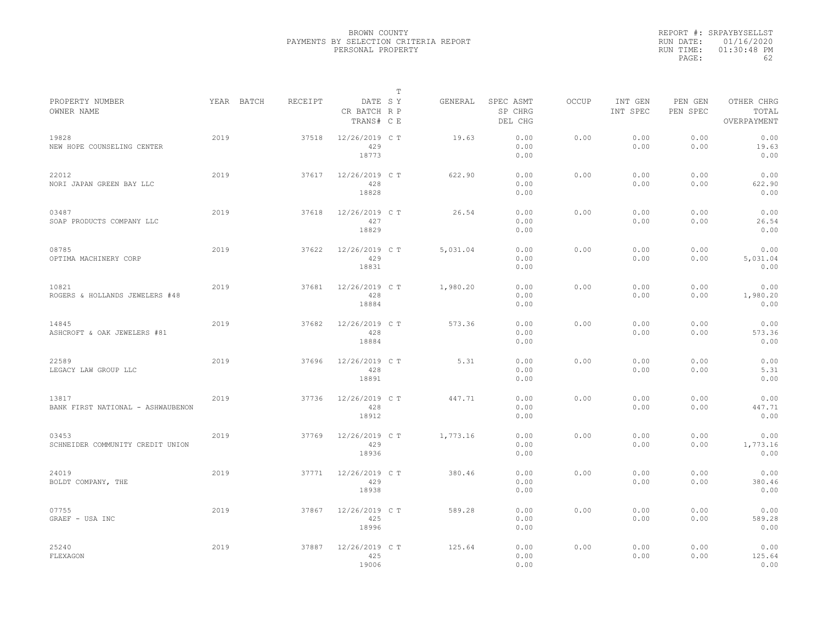|           | REPORT #: SRPAYBYSELLST |
|-----------|-------------------------|
|           | RUN DATE: 01/16/2020    |
| RUN TIME: | $01:30:48$ PM           |
| PAGE:     | 62                      |

|                                            |            |         |                                       | T |          |                                 |              |                     |                     |                                    |
|--------------------------------------------|------------|---------|---------------------------------------|---|----------|---------------------------------|--------------|---------------------|---------------------|------------------------------------|
| PROPERTY NUMBER<br>OWNER NAME              | YEAR BATCH | RECEIPT | DATE SY<br>CR BATCH R P<br>TRANS# C E |   | GENERAL  | SPEC ASMT<br>SP CHRG<br>DEL CHG | <b>OCCUP</b> | INT GEN<br>INT SPEC | PEN GEN<br>PEN SPEC | OTHER CHRG<br>TOTAL<br>OVERPAYMENT |
| 19828<br>NEW HOPE COUNSELING CENTER        | 2019       | 37518   | 12/26/2019 C T<br>429<br>18773        |   | 19.63    | 0.00<br>0.00<br>0.00            | 0.00         | 0.00<br>0.00        | 0.00<br>0.00        | 0.00<br>19.63<br>0.00              |
| 22012<br>NORI JAPAN GREEN BAY LLC          | 2019       | 37617   | 12/26/2019 C T<br>428<br>18828        |   | 622.90   | 0.00<br>0.00<br>0.00            | 0.00         | 0.00<br>0.00        | 0.00<br>0.00        | 0.00<br>622.90<br>0.00             |
| 03487<br>SOAP PRODUCTS COMPANY LLC         | 2019       | 37618   | 12/26/2019 C T<br>427<br>18829        |   | 26.54    | 0.00<br>0.00<br>0.00            | 0.00         | 0.00<br>0.00        | 0.00<br>0.00        | 0.00<br>26.54<br>0.00              |
| 08785<br>OPTIMA MACHINERY CORP             | 2019       | 37622   | 12/26/2019 C T<br>429<br>18831        |   | 5,031.04 | 0.00<br>0.00<br>0.00            | 0.00         | 0.00<br>0.00        | 0.00<br>0.00        | 0.00<br>5,031.04<br>0.00           |
| 10821<br>ROGERS & HOLLANDS JEWELERS #48    | 2019       | 37681   | 12/26/2019 C T<br>428<br>18884        |   | 1,980.20 | 0.00<br>0.00<br>0.00            | 0.00         | 0.00<br>0.00        | 0.00<br>0.00        | 0.00<br>1,980.20<br>0.00           |
| 14845<br>ASHCROFT & OAK JEWELERS #81       | 2019       | 37682   | 12/26/2019 C T<br>428<br>18884        |   | 573.36   | 0.00<br>0.00<br>0.00            | 0.00         | 0.00<br>0.00        | 0.00<br>0.00        | 0.00<br>573.36<br>0.00             |
| 22589<br>LEGACY LAW GROUP LLC              | 2019       | 37696   | 12/26/2019 C T<br>428<br>18891        |   | 5.31     | 0.00<br>0.00<br>0.00            | 0.00         | 0.00<br>0.00        | 0.00<br>0.00        | 0.00<br>5.31<br>0.00               |
| 13817<br>BANK FIRST NATIONAL - ASHWAUBENON | 2019       | 37736   | 12/26/2019 C T<br>428<br>18912        |   | 447.71   | 0.00<br>0.00<br>0.00            | 0.00         | 0.00<br>0.00        | 0.00<br>0.00        | 0.00<br>447.71<br>0.00             |
| 03453<br>SCHNEIDER COMMUNITY CREDIT UNION  | 2019       | 37769   | 12/26/2019 C T<br>429<br>18936        |   | 1,773.16 | 0.00<br>0.00<br>0.00            | 0.00         | 0.00<br>0.00        | 0.00<br>0.00        | 0.00<br>1,773.16<br>0.00           |
| 24019<br>BOLDT COMPANY, THE                | 2019       | 37771   | 12/26/2019 C T<br>429<br>18938        |   | 380.46   | 0.00<br>0.00<br>0.00            | 0.00         | 0.00<br>0.00        | 0.00<br>0.00        | 0.00<br>380.46<br>0.00             |
| 07755<br>GRAEF - USA INC                   | 2019       | 37867   | 12/26/2019 C T<br>425<br>18996        |   | 589.28   | 0.00<br>0.00<br>0.00            | 0.00         | 0.00<br>0.00        | 0.00<br>0.00        | 0.00<br>589.28<br>0.00             |
| 25240<br>FLEXAGON                          | 2019       | 37887   | 12/26/2019 C T<br>425<br>19006        |   | 125.64   | 0.00<br>0.00<br>0.00            | 0.00         | 0.00<br>0.00        | 0.00<br>0.00        | 0.00<br>125.64<br>0.00             |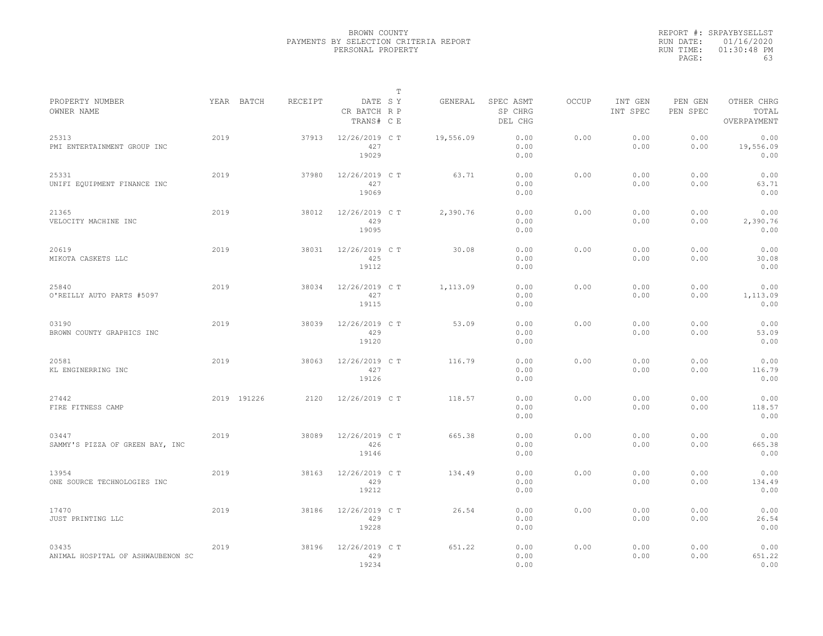|                                            |      |             |         |                                       | $\mathbb T$ |           |                                 |              |                     |                     |                                    |  |
|--------------------------------------------|------|-------------|---------|---------------------------------------|-------------|-----------|---------------------------------|--------------|---------------------|---------------------|------------------------------------|--|
| PROPERTY NUMBER<br>OWNER NAME              |      | YEAR BATCH  | RECEIPT | DATE SY<br>CR BATCH R P<br>TRANS# C E |             | GENERAL   | SPEC ASMT<br>SP CHRG<br>DEL CHG | <b>OCCUP</b> | INT GEN<br>INT SPEC | PEN GEN<br>PEN SPEC | OTHER CHRG<br>TOTAL<br>OVERPAYMENT |  |
| 25313<br>PMI ENTERTAINMENT GROUP INC       | 2019 |             | 37913   | 12/26/2019 C T<br>427<br>19029        |             | 19,556.09 | 0.00<br>0.00<br>0.00            | 0.00         | 0.00<br>0.00        | 0.00<br>0.00        | 0.00<br>19,556.09<br>0.00          |  |
| 25331<br>UNIFI EQUIPMENT FINANCE INC       | 2019 |             | 37980   | 12/26/2019 C T<br>427<br>19069        |             | 63.71     | 0.00<br>0.00<br>0.00            | 0.00         | 0.00<br>0.00        | 0.00<br>0.00        | 0.00<br>63.71<br>0.00              |  |
| 21365<br>VELOCITY MACHINE INC              | 2019 |             | 38012   | 12/26/2019 C T<br>429<br>19095        |             | 2,390.76  | 0.00<br>0.00<br>0.00            | 0.00         | 0.00<br>0.00        | 0.00<br>0.00        | 0.00<br>2,390.76<br>0.00           |  |
| 20619<br>MIKOTA CASKETS LLC                | 2019 |             | 38031   | 12/26/2019 C T<br>425<br>19112        |             | 30.08     | 0.00<br>0.00<br>0.00            | 0.00         | 0.00<br>0.00        | 0.00<br>0.00        | 0.00<br>30.08<br>0.00              |  |
| 25840<br>O'REILLY AUTO PARTS #5097         | 2019 |             | 38034   | 12/26/2019 C T<br>427<br>19115        |             | 1,113.09  | 0.00<br>0.00<br>0.00            | 0.00         | 0.00<br>0.00        | 0.00<br>0.00        | 0.00<br>1,113.09<br>0.00           |  |
| 03190<br>BROWN COUNTY GRAPHICS INC         | 2019 |             | 38039   | 12/26/2019 C T<br>429<br>19120        |             | 53.09     | 0.00<br>0.00<br>0.00            | 0.00         | 0.00<br>0.00        | 0.00<br>0.00        | 0.00<br>53.09<br>0.00              |  |
| 20581<br>KL ENGINERRING INC                | 2019 |             | 38063   | 12/26/2019 C T<br>427<br>19126        |             | 116.79    | 0.00<br>0.00<br>0.00            | 0.00         | 0.00<br>0.00        | 0.00<br>0.00        | 0.00<br>116.79<br>0.00             |  |
| 27442<br>FIRE FITNESS CAMP                 |      | 2019 191226 | 2120    | 12/26/2019 C T                        |             | 118.57    | 0.00<br>0.00<br>0.00            | 0.00         | 0.00<br>0.00        | 0.00<br>0.00        | 0.00<br>118.57<br>0.00             |  |
| 03447<br>SAMMY'S PIZZA OF GREEN BAY, INC   | 2019 |             | 38089   | 12/26/2019 C T<br>426<br>19146        |             | 665.38    | 0.00<br>0.00<br>0.00            | 0.00         | 0.00<br>0.00        | 0.00<br>0.00        | 0.00<br>665.38<br>0.00             |  |
| 13954<br>ONE SOURCE TECHNOLOGIES INC       | 2019 |             | 38163   | 12/26/2019 C T<br>429<br>19212        |             | 134.49    | 0.00<br>0.00<br>0.00            | 0.00         | 0.00<br>0.00        | 0.00<br>0.00        | 0.00<br>134.49<br>0.00             |  |
| 17470<br>JUST PRINTING LLC                 | 2019 |             | 38186   | 12/26/2019 C T<br>429<br>19228        |             | 26.54     | 0.00<br>0.00<br>0.00            | 0.00         | 0.00<br>0.00        | 0.00<br>0.00        | 0.00<br>26.54<br>0.00              |  |
| 03435<br>ANIMAL HOSPITAL OF ASHWAUBENON SC | 2019 |             | 38196   | 12/26/2019 C T<br>429<br>19234        |             | 651.22    | 0.00<br>0.00<br>0.00            | 0.00         | 0.00<br>0.00        | 0.00<br>0.00        | 0.00<br>651.22<br>0.00             |  |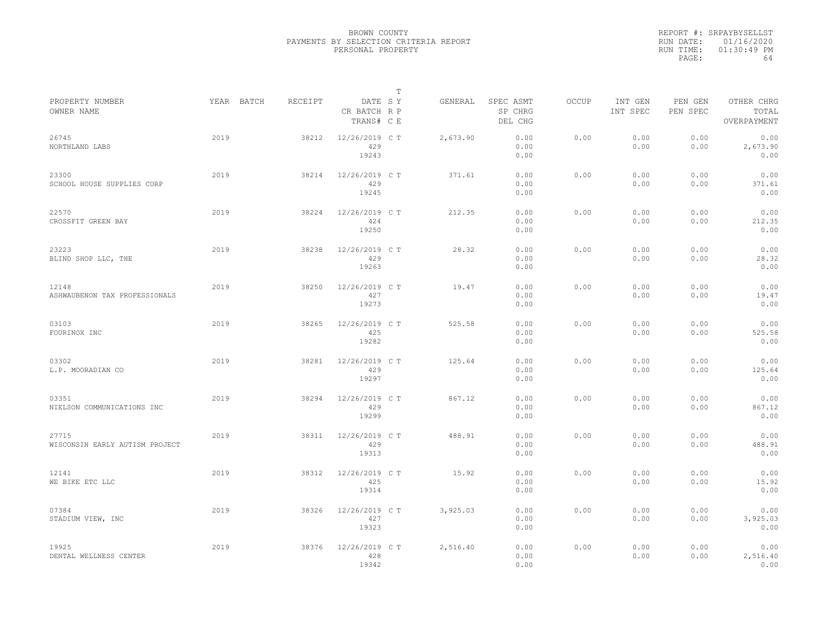|           | REPORT #: SRPAYBYSELLST |
|-----------|-------------------------|
|           | RUN DATE: 01/16/2020    |
| RUN TIME: | $01:30:49$ PM           |
| PAGE:     | 64                      |

|                                         |            |         |                                       | T |          |                                 |              |                     |                     |                                    |
|-----------------------------------------|------------|---------|---------------------------------------|---|----------|---------------------------------|--------------|---------------------|---------------------|------------------------------------|
| PROPERTY NUMBER<br>OWNER NAME           | YEAR BATCH | RECEIPT | DATE SY<br>CR BATCH R P<br>TRANS# C E |   | GENERAL  | SPEC ASMT<br>SP CHRG<br>DEL CHG | <b>OCCUP</b> | INT GEN<br>INT SPEC | PEN GEN<br>PEN SPEC | OTHER CHRG<br>TOTAL<br>OVERPAYMENT |
| 26745<br>NORTHLAND LABS                 | 2019       | 38212   | 12/26/2019 C T<br>429<br>19243        |   | 2,673.90 | 0.00<br>0.00<br>0.00            | 0.00         | 0.00<br>0.00        | 0.00<br>0.00        | 0.00<br>2,673.90<br>0.00           |
| 23300<br>SCHOOL HOUSE SUPPLIES CORP     | 2019       | 38214   | 12/26/2019 C T<br>429<br>19245        |   | 371.61   | 0.00<br>0.00<br>0.00            | 0.00         | 0.00<br>0.00        | 0.00<br>0.00        | 0.00<br>371.61<br>0.00             |
| 22570<br>CROSSFIT GREEN BAY             | 2019       | 38224   | 12/26/2019 C T<br>424<br>19250        |   | 212.35   | 0.00<br>0.00<br>0.00            | 0.00         | 0.00<br>0.00        | 0.00<br>0.00        | 0.00<br>212.35<br>0.00             |
| 23223<br>BLIND SHOP LLC, THE            | 2019       | 38238   | 12/26/2019 C T<br>429<br>19263        |   | 28.32    | 0.00<br>0.00<br>0.00            | 0.00         | 0.00<br>0.00        | 0.00<br>0.00        | 0.00<br>28.32<br>0.00              |
| 12148<br>ASHWAUBENON TAX PROFESSIONALS  | 2019       | 38250   | 12/26/2019 C T<br>427<br>19273        |   | 19.47    | 0.00<br>0.00<br>0.00            | 0.00         | 0.00<br>0.00        | 0.00<br>0.00        | 0.00<br>19.47<br>0.00              |
| 03103<br>FOURINOX INC                   | 2019       | 38265   | 12/26/2019 C T<br>425<br>19282        |   | 525.58   | 0.00<br>0.00<br>0.00            | 0.00         | 0.00<br>0.00        | 0.00<br>0.00        | 0.00<br>525.58<br>0.00             |
| 03302<br>L.P. MOORADIAN CO              | 2019       | 38281   | 12/26/2019 C T<br>429<br>19297        |   | 125.64   | 0.00<br>0.00<br>0.00            | 0.00         | 0.00<br>0.00        | 0.00<br>0.00        | 0.00<br>125.64<br>0.00             |
| 03351<br>NIELSON COMMUNICATIONS INC     | 2019       | 38294   | 12/26/2019 C T<br>429<br>19299        |   | 867.12   | 0.00<br>0.00<br>0.00            | 0.00         | 0.00<br>0.00        | 0.00<br>0.00        | 0.00<br>867.12<br>0.00             |
| 27715<br>WISCONSIN EARLY AUTISM PROJECT | 2019       | 38311   | 12/26/2019 C T<br>429<br>19313        |   | 488.91   | 0.00<br>0.00<br>0.00            | 0.00         | 0.00<br>0.00        | 0.00<br>0.00        | 0.00<br>488.91<br>0.00             |
| 12141<br>WE BIKE ETC LLC                | 2019       | 38312   | 12/26/2019 C T<br>425<br>19314        |   | 15.92    | 0.00<br>0.00<br>0.00            | 0.00         | 0.00<br>0.00        | 0.00<br>0.00        | 0.00<br>15.92<br>0.00              |
| 07384<br>STADIUM VIEW, INC              | 2019       | 38326   | 12/26/2019 C T<br>427<br>19323        |   | 3,925.03 | 0.00<br>0.00<br>0.00            | 0.00         | 0.00<br>0.00        | 0.00<br>0.00        | 0.00<br>3,925.03<br>0.00           |
| 19925<br>DENTAL WELLNESS CENTER         | 2019       | 38376   | 12/26/2019 C T<br>428<br>19342        |   | 2,516.40 | 0.00<br>0.00<br>0.00            | 0.00         | 0.00<br>0.00        | 0.00<br>0.00        | 0.00<br>2,516.40<br>0.00           |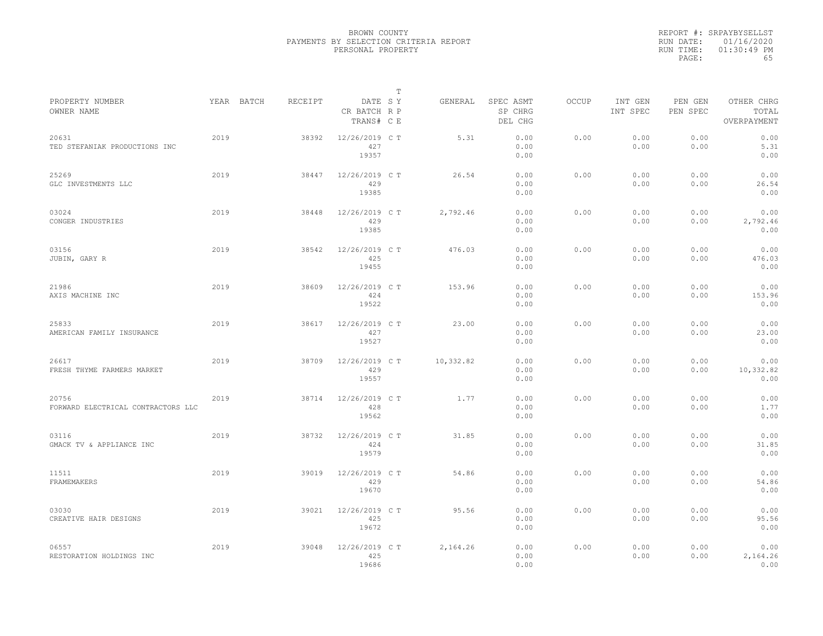|                                             |      |            |         |                                       | $\mathbb{T}$ |           |                                 |              |                     |                     |                                    |
|---------------------------------------------|------|------------|---------|---------------------------------------|--------------|-----------|---------------------------------|--------------|---------------------|---------------------|------------------------------------|
| PROPERTY NUMBER<br>OWNER NAME               |      | YEAR BATCH | RECEIPT | DATE SY<br>CR BATCH R P<br>TRANS# C E |              | GENERAL   | SPEC ASMT<br>SP CHRG<br>DEL CHG | <b>OCCUP</b> | INT GEN<br>INT SPEC | PEN GEN<br>PEN SPEC | OTHER CHRG<br>TOTAL<br>OVERPAYMENT |
| 20631<br>TED STEFANIAK PRODUCTIONS INC      | 2019 |            | 38392   | 12/26/2019 C T<br>427<br>19357        |              | 5.31      | 0.00<br>0.00<br>0.00            | 0.00         | 0.00<br>0.00        | 0.00<br>0.00        | 0.00<br>5.31<br>0.00               |
| 25269<br>GLC INVESTMENTS LLC                | 2019 |            | 38447   | 12/26/2019 C T<br>429<br>19385        |              | 26.54     | 0.00<br>0.00<br>0.00            | 0.00         | 0.00<br>0.00        | 0.00<br>0.00        | 0.00<br>26.54<br>0.00              |
| 03024<br>CONGER INDUSTRIES                  | 2019 |            | 38448   | 12/26/2019 C T<br>429<br>19385        |              | 2,792.46  | 0.00<br>0.00<br>0.00            | 0.00         | 0.00<br>0.00        | 0.00<br>0.00        | 0.00<br>2,792.46<br>0.00           |
| 03156<br>JUBIN, GARY R                      | 2019 |            | 38542   | $12/26/2019$ CT<br>425<br>19455       |              | 476.03    | 0.00<br>0.00<br>0.00            | 0.00         | 0.00<br>0.00        | 0.00<br>0.00        | 0.00<br>476.03<br>0.00             |
| 21986<br>AXIS MACHINE INC                   | 2019 |            | 38609   | 12/26/2019 C T<br>424<br>19522        |              | 153.96    | 0.00<br>0.00<br>0.00            | 0.00         | 0.00<br>0.00        | 0.00<br>0.00        | 0.00<br>153.96<br>0.00             |
| 25833<br>AMERICAN FAMILY INSURANCE          | 2019 |            | 38617   | 12/26/2019 C T<br>427<br>19527        |              | 23.00     | 0.00<br>0.00<br>0.00            | 0.00         | 0.00<br>0.00        | 0.00<br>0.00        | 0.00<br>23.00<br>0.00              |
| 26617<br>FRESH THYME FARMERS MARKET         | 2019 |            | 38709   | 12/26/2019 C T<br>429<br>19557        |              | 10,332.82 | 0.00<br>0.00<br>0.00            | 0.00         | 0.00<br>0.00        | 0.00<br>0.00        | 0.00<br>10,332.82<br>0.00          |
| 20756<br>FORWARD ELECTRICAL CONTRACTORS LLC | 2019 |            | 38714   | 12/26/2019 C T<br>428<br>19562        |              | 1.77      | 0.00<br>0.00<br>0.00            | 0.00         | 0.00<br>0.00        | 0.00<br>0.00        | 0.00<br>1.77<br>0.00               |
| 03116<br>GMACK TV & APPLIANCE INC           | 2019 |            | 38732   | 12/26/2019 C T<br>424<br>19579        |              | 31.85     | 0.00<br>0.00<br>0.00            | 0.00         | 0.00<br>0.00        | 0.00<br>0.00        | 0.00<br>31.85<br>0.00              |
| 11511<br>FRAMEMAKERS                        | 2019 |            | 39019   | 12/26/2019 C T<br>429<br>19670        |              | 54.86     | 0.00<br>0.00<br>0.00            | 0.00         | 0.00<br>0.00        | 0.00<br>0.00        | 0.00<br>54.86<br>0.00              |
| 03030<br>CREATIVE HAIR DESIGNS              | 2019 |            | 39021   | 12/26/2019 C T<br>425<br>19672        |              | 95.56     | 0.00<br>0.00<br>0.00            | 0.00         | 0.00<br>0.00        | 0.00<br>0.00        | 0.00<br>95.56<br>0.00              |
| 06557<br>RESTORATION HOLDINGS INC           | 2019 |            | 39048   | 12/26/2019 C T<br>425<br>19686        |              | 2,164.26  | 0.00<br>0.00<br>0.00            | 0.00         | 0.00<br>0.00        | 0.00<br>0.00        | 0.00<br>2,164.26<br>0.00           |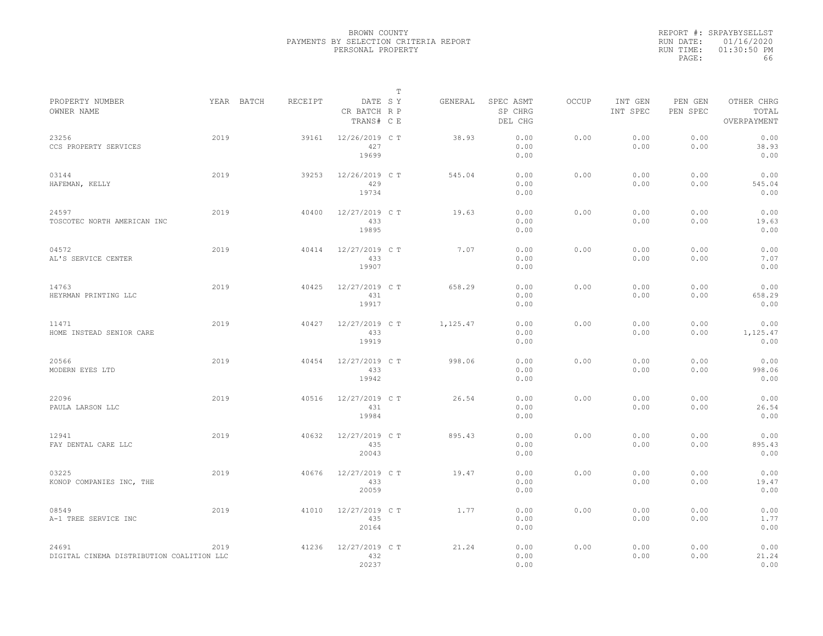|           | REPORT #: SRPAYBYSELLST |
|-----------|-------------------------|
|           | RUN DATE: 01/16/2020    |
| RUN TIME: | $01:30:50$ PM           |
| PAGE:     | 66                      |

| PROPERTY NUMBER                                    | YEAR BATCH | RECEIPT | DATE SY                        | Т | GENERAL  | SPEC ASMT            | OCCUP | INT GEN      | PEN GEN      | OTHER CHRG               |  |
|----------------------------------------------------|------------|---------|--------------------------------|---|----------|----------------------|-------|--------------|--------------|--------------------------|--|
| OWNER NAME                                         |            |         | CR BATCH R P<br>TRANS# C E     |   |          | SP CHRG<br>DEL CHG   |       | INT SPEC     | PEN SPEC     | TOTAL<br>OVERPAYMENT     |  |
| 23256<br>CCS PROPERTY SERVICES                     | 2019       | 39161   | 12/26/2019 C T<br>427<br>19699 |   | 38.93    | 0.00<br>0.00<br>0.00 | 0.00  | 0.00<br>0.00 | 0.00<br>0.00 | 0.00<br>38.93<br>0.00    |  |
| 03144<br>HAFEMAN, KELLY                            | 2019       | 39253   | 12/26/2019 C T<br>429<br>19734 |   | 545.04   | 0.00<br>0.00<br>0.00 | 0.00  | 0.00<br>0.00 | 0.00<br>0.00 | 0.00<br>545.04<br>0.00   |  |
| 24597<br>TOSCOTEC NORTH AMERICAN INC               | 2019       | 40400   | 12/27/2019 C T<br>433<br>19895 |   | 19.63    | 0.00<br>0.00<br>0.00 | 0.00  | 0.00<br>0.00 | 0.00<br>0.00 | 0.00<br>19.63<br>0.00    |  |
| 04572<br>AL'S SERVICE CENTER                       | 2019       | 40414   | 12/27/2019 C T<br>433<br>19907 |   | 7.07     | 0.00<br>0.00<br>0.00 | 0.00  | 0.00<br>0.00 | 0.00<br>0.00 | 0.00<br>7.07<br>0.00     |  |
| 14763<br>HEYRMAN PRINTING LLC                      | 2019       | 40425   | 12/27/2019 C T<br>431<br>19917 |   | 658.29   | 0.00<br>0.00<br>0.00 | 0.00  | 0.00<br>0.00 | 0.00<br>0.00 | 0.00<br>658.29<br>0.00   |  |
| 11471<br>HOME INSTEAD SENIOR CARE                  | 2019       | 40427   | 12/27/2019 C T<br>433<br>19919 |   | 1,125.47 | 0.00<br>0.00<br>0.00 | 0.00  | 0.00<br>0.00 | 0.00<br>0.00 | 0.00<br>1,125.47<br>0.00 |  |
| 20566<br>MODERN EYES LTD                           | 2019       | 40454   | 12/27/2019 C T<br>433<br>19942 |   | 998.06   | 0.00<br>0.00<br>0.00 | 0.00  | 0.00<br>0.00 | 0.00<br>0.00 | 0.00<br>998.06<br>0.00   |  |
| 22096<br>PAULA LARSON LLC                          | 2019       | 40516   | 12/27/2019 C T<br>431<br>19984 |   | 26.54    | 0.00<br>0.00<br>0.00 | 0.00  | 0.00<br>0.00 | 0.00<br>0.00 | 0.00<br>26.54<br>0.00    |  |
| 12941<br>FAY DENTAL CARE LLC                       | 2019       | 40632   | 12/27/2019 C T<br>435<br>20043 |   | 895.43   | 0.00<br>0.00<br>0.00 | 0.00  | 0.00<br>0.00 | 0.00<br>0.00 | 0.00<br>895.43<br>0.00   |  |
| 03225<br>KONOP COMPANIES INC, THE                  | 2019       | 40676   | 12/27/2019 C T<br>433<br>20059 |   | 19.47    | 0.00<br>0.00<br>0.00 | 0.00  | 0.00<br>0.00 | 0.00<br>0.00 | 0.00<br>19.47<br>0.00    |  |
| 08549<br>A-1 TREE SERVICE INC                      | 2019       | 41010   | 12/27/2019 C T<br>435<br>20164 |   | 1.77     | 0.00<br>0.00<br>0.00 | 0.00  | 0.00<br>0.00 | 0.00<br>0.00 | 0.00<br>1.77<br>0.00     |  |
| 24691<br>DIGITAL CINEMA DISTRIBUTION COALITION LLC | 2019       | 41236   | 12/27/2019 C T<br>432<br>20237 |   | 21.24    | 0.00<br>0.00<br>0.00 | 0.00  | 0.00<br>0.00 | 0.00<br>0.00 | 0.00<br>21.24<br>0.00    |  |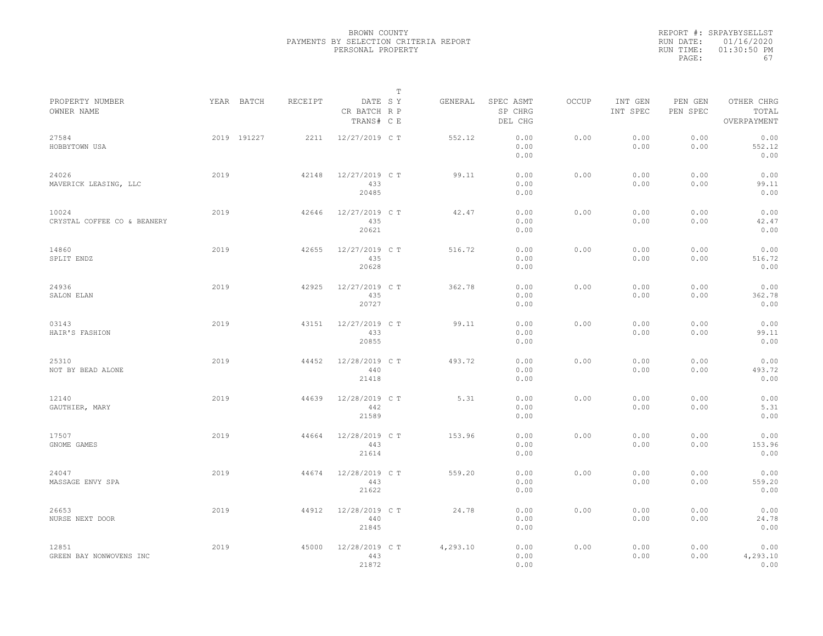|                                      |             |         |                                       | T |          |                                 |              |                     |                     |                                    |
|--------------------------------------|-------------|---------|---------------------------------------|---|----------|---------------------------------|--------------|---------------------|---------------------|------------------------------------|
| PROPERTY NUMBER<br>OWNER NAME        | YEAR BATCH  | RECEIPT | DATE SY<br>CR BATCH R P<br>TRANS# C E |   | GENERAL  | SPEC ASMT<br>SP CHRG<br>DEL CHG | <b>OCCUP</b> | INT GEN<br>INT SPEC | PEN GEN<br>PEN SPEC | OTHER CHRG<br>TOTAL<br>OVERPAYMENT |
| 27584<br>HOBBYTOWN USA               | 2019 191227 | 2211    | 12/27/2019 C T                        |   | 552.12   | 0.00<br>0.00<br>0.00            | 0.00         | 0.00<br>0.00        | 0.00<br>0.00        | 0.00<br>552.12<br>0.00             |
| 24026<br>MAVERICK LEASING, LLC       | 2019        | 42148   | 12/27/2019 C T<br>433<br>20485        |   | 99.11    | 0.00<br>0.00<br>0.00            | 0.00         | 0.00<br>0.00        | 0.00<br>0.00        | 0.00<br>99.11<br>0.00              |
| 10024<br>CRYSTAL COFFEE CO & BEANERY | 2019        | 42646   | 12/27/2019 C T<br>435<br>20621        |   | 42.47    | 0.00<br>0.00<br>0.00            | 0.00         | 0.00<br>0.00        | 0.00<br>0.00        | 0.00<br>42.47<br>0.00              |
| 14860<br>SPLIT ENDZ                  | 2019        | 42655   | 12/27/2019 C T<br>435<br>20628        |   | 516.72   | 0.00<br>0.00<br>0.00            | 0.00         | 0.00<br>0.00        | 0.00<br>0.00        | 0.00<br>516.72<br>0.00             |
| 24936<br>SALON ELAN                  | 2019        | 42925   | 12/27/2019 C T<br>435<br>20727        |   | 362.78   | 0.00<br>0.00<br>0.00            | 0.00         | 0.00<br>0.00        | 0.00<br>0.00        | 0.00<br>362.78<br>0.00             |
| 03143<br>HAIR'S FASHION              | 2019        | 43151   | 12/27/2019 C T<br>433<br>20855        |   | 99.11    | 0.00<br>0.00<br>0.00            | 0.00         | 0.00<br>0.00        | 0.00<br>0.00        | 0.00<br>99.11<br>0.00              |
| 25310<br>NOT BY BEAD ALONE           | 2019        | 44452   | 12/28/2019 C T<br>440<br>21418        |   | 493.72   | 0.00<br>0.00<br>0.00            | 0.00         | 0.00<br>0.00        | 0.00<br>0.00        | 0.00<br>493.72<br>0.00             |
| 12140<br>GAUTHIER, MARY              | 2019        | 44639   | 12/28/2019 C T<br>442<br>21589        |   | 5.31     | 0.00<br>0.00<br>0.00            | 0.00         | 0.00<br>0.00        | 0.00<br>0.00        | 0.00<br>5.31<br>0.00               |
| 17507<br>GNOME GAMES                 | 2019        | 44664   | 12/28/2019 C T<br>443<br>21614        |   | 153.96   | 0.00<br>0.00<br>0.00            | 0.00         | 0.00<br>0.00        | 0.00<br>0.00        | 0.00<br>153.96<br>0.00             |
| 24047<br>MASSAGE ENVY SPA            | 2019        | 44674   | 12/28/2019 C T<br>443<br>21622        |   | 559.20   | 0.00<br>0.00<br>0.00            | 0.00         | 0.00<br>0.00        | 0.00<br>0.00        | 0.00<br>559.20<br>0.00             |
| 26653<br>NURSE NEXT DOOR             | 2019        | 44912   | 12/28/2019 C T<br>440<br>21845        |   | 24.78    | 0.00<br>0.00<br>0.00            | 0.00         | 0.00<br>0.00        | 0.00<br>0.00        | 0.00<br>24.78<br>0.00              |
| 12851<br>GREEN BAY NONWOVENS INC     | 2019        | 45000   | 12/28/2019 C T<br>443<br>21872        |   | 4,293.10 | 0.00<br>0.00<br>0.00            | 0.00         | 0.00<br>0.00        | 0.00<br>0.00        | 0.00<br>4,293.10<br>0.00           |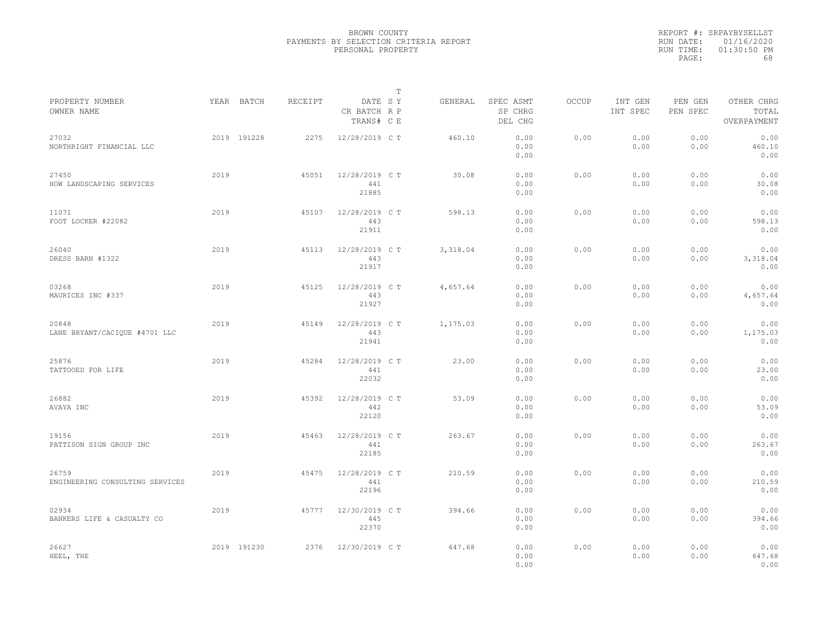|                                          |      |             |         |                                       | T |          |                                 |       |                     |                     |                                    |
|------------------------------------------|------|-------------|---------|---------------------------------------|---|----------|---------------------------------|-------|---------------------|---------------------|------------------------------------|
| PROPERTY NUMBER<br>OWNER NAME            |      | YEAR BATCH  | RECEIPT | DATE SY<br>CR BATCH R P<br>TRANS# C E |   | GENERAL  | SPEC ASMT<br>SP CHRG<br>DEL CHG | OCCUP | INT GEN<br>INT SPEC | PEN GEN<br>PEN SPEC | OTHER CHRG<br>TOTAL<br>OVERPAYMENT |
| 27032<br>NORTHRIGHT FINANCIAL LLC        |      | 2019 191228 | 2275    | 12/28/2019 C T                        |   | 460.10   | 0.00<br>0.00<br>0.00            | 0.00  | 0.00<br>0.00        | 0.00<br>0.00        | 0.00<br>460.10<br>0.00             |
| 27450<br>HOW LANDSCAPING SERVICES        | 2019 |             | 45051   | 12/28/2019 C T<br>441<br>21885        |   | 30.08    | 0.00<br>0.00<br>0.00            | 0.00  | 0.00<br>0.00        | 0.00<br>0.00        | 0.00<br>30.08<br>0.00              |
| 11071<br>FOOT LOCKER #22082              | 2019 |             | 45107   | 12/28/2019 C T<br>443<br>21911        |   | 598.13   | 0.00<br>0.00<br>0.00            | 0.00  | 0.00<br>0.00        | 0.00<br>0.00        | 0.00<br>598.13<br>0.00             |
| 26040<br>DRESS BARN #1322                | 2019 |             | 45113   | 12/28/2019 C T<br>443<br>21917        |   | 3,318.04 | 0.00<br>0.00<br>0.00            | 0.00  | 0.00<br>0.00        | 0.00<br>0.00        | 0.00<br>3,318.04<br>0.00           |
| 03268<br>MAURICES INC #337               | 2019 |             | 45125   | 12/28/2019 C T<br>443<br>21927        |   | 4,657.64 | 0.00<br>0.00<br>0.00            | 0.00  | 0.00<br>0.00        | 0.00<br>0.00        | 0.00<br>4,657.64<br>0.00           |
| 20848<br>LANE BRYANT/CACIQUE #4701 LLC   | 2019 |             | 45149   | 12/28/2019 C T<br>443<br>21941        |   | 1,175.03 | 0.00<br>0.00<br>0.00            | 0.00  | 0.00<br>0.00        | 0.00<br>0.00        | 0.00<br>1,175.03<br>0.00           |
| 25876<br>TATTOOED FOR LIFE               | 2019 |             | 45284   | 12/28/2019 C T<br>441<br>22032        |   | 23.00    | 0.00<br>0.00<br>0.00            | 0.00  | 0.00<br>0.00        | 0.00<br>0.00        | 0.00<br>23.00<br>0.00              |
| 26882<br>AVAYA INC                       | 2019 |             | 45392   | 12/28/2019 C T<br>442<br>22120        |   | 53.09    | 0.00<br>0.00<br>0.00            | 0.00  | 0.00<br>0.00        | 0.00<br>0.00        | 0.00<br>53.09<br>0.00              |
| 19156<br>PATTISON SIGN GROUP INC         | 2019 |             | 45463   | 12/28/2019 C T<br>441<br>22185        |   | 263.67   | 0.00<br>0.00<br>0.00            | 0.00  | 0.00<br>0.00        | 0.00<br>0.00        | 0.00<br>263.67<br>0.00             |
| 26759<br>ENGINEERING CONSULTING SERVICES | 2019 |             | 45475   | 12/28/2019 C T<br>441<br>22196        |   | 210.59   | 0.00<br>0.00<br>0.00            | 0.00  | 0.00<br>0.00        | 0.00<br>0.00        | 0.00<br>210.59<br>0.00             |
| 02934<br>BANKERS LIFE & CASUALTY CO      | 2019 |             | 45777   | 12/30/2019 C T<br>445<br>22370        |   | 394.66   | 0.00<br>0.00<br>0.00            | 0.00  | 0.00<br>0.00        | 0.00<br>0.00        | 0.00<br>394.66<br>0.00             |
| 26627<br>HEEL, THE                       |      | 2019 191230 | 2376    | 12/30/2019 C T                        |   | 647.68   | 0.00<br>0.00<br>0.00            | 0.00  | 0.00<br>0.00        | 0.00<br>0.00        | 0.00<br>647.68<br>0.00             |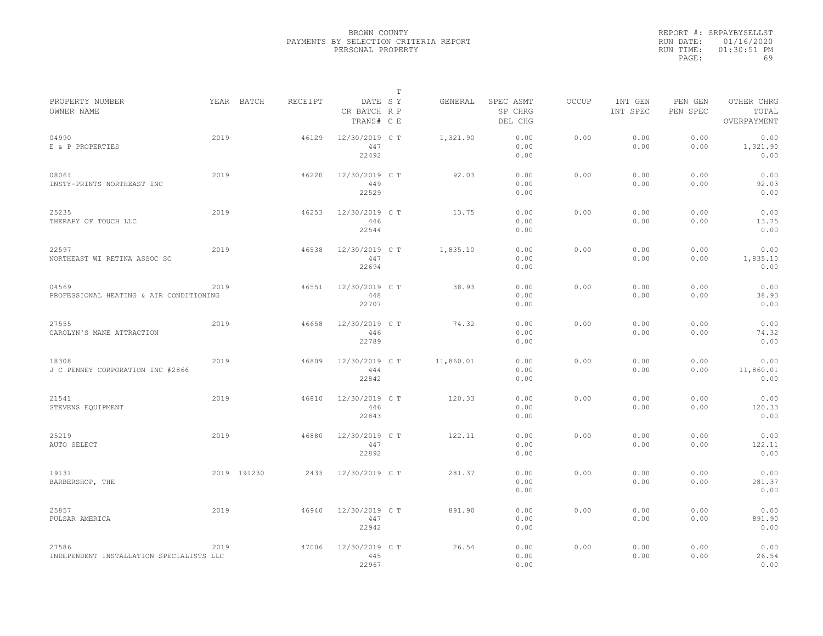|           | REPORT #: SRPAYBYSELLST |
|-----------|-------------------------|
|           | RUN DATE: 01/16/2020    |
| RUN TIME: | $01:30:51$ PM           |
| PAGE:     | 69                      |

|                                                   |      |             |         |                                       | T |           |                                 |              |                     |                     |                                    |
|---------------------------------------------------|------|-------------|---------|---------------------------------------|---|-----------|---------------------------------|--------------|---------------------|---------------------|------------------------------------|
| PROPERTY NUMBER<br>OWNER NAME                     |      | YEAR BATCH  | RECEIPT | DATE SY<br>CR BATCH R P<br>TRANS# C E |   | GENERAL   | SPEC ASMT<br>SP CHRG<br>DEL CHG | <b>OCCUP</b> | INT GEN<br>INT SPEC | PEN GEN<br>PEN SPEC | OTHER CHRG<br>TOTAL<br>OVERPAYMENT |
| 04990<br>E & P PROPERTIES                         | 2019 |             | 46129   | 12/30/2019 C T<br>447<br>22492        |   | 1,321.90  | 0.00<br>0.00<br>0.00            | 0.00         | 0.00<br>0.00        | 0.00<br>0.00        | 0.00<br>1,321.90<br>0.00           |
| 08061<br>INSTY-PRINTS NORTHEAST INC               | 2019 |             | 46220   | 12/30/2019 C T<br>449<br>22529        |   | 92.03     | 0.00<br>0.00<br>0.00            | 0.00         | 0.00<br>0.00        | 0.00<br>0.00        | 0.00<br>92.03<br>0.00              |
| 25235<br>THERAPY OF TOUCH LLC                     | 2019 |             | 46253   | 12/30/2019 C T<br>446<br>22544        |   | 13.75     | 0.00<br>0.00<br>0.00            | 0.00         | 0.00<br>0.00        | 0.00<br>0.00        | 0.00<br>13.75<br>0.00              |
| 22597<br>NORTHEAST WI RETINA ASSOC SC             | 2019 |             | 46538   | 12/30/2019 C T<br>447<br>22694        |   | 1,835.10  | 0.00<br>0.00<br>0.00            | 0.00         | 0.00<br>0.00        | 0.00<br>0.00        | 0.00<br>1,835.10<br>0.00           |
| 04569<br>PROFESSIONAL HEATING & AIR CONDITIONING  | 2019 |             | 46551   | 12/30/2019 C T<br>448<br>22707        |   | 38.93     | 0.00<br>0.00<br>0.00            | 0.00         | 0.00<br>0.00        | 0.00<br>0.00        | 0.00<br>38.93<br>0.00              |
| 27555<br>CAROLYN'S MANE ATTRACTION                | 2019 |             | 46658   | 12/30/2019 C T<br>446<br>22789        |   | 74.32     | 0.00<br>0.00<br>0.00            | 0.00         | 0.00<br>0.00        | 0.00<br>0.00        | 0.00<br>74.32<br>0.00              |
| 18308<br>J C PENNEY CORPORATION INC #2866         | 2019 |             | 46809   | 12/30/2019 C T<br>444<br>22842        |   | 11,860.01 | 0.00<br>0.00<br>0.00            | 0.00         | 0.00<br>0.00        | 0.00<br>0.00        | 0.00<br>11,860.01<br>0.00          |
| 21541<br>STEVENS EQUIPMENT                        | 2019 |             | 46810   | 12/30/2019 C T<br>446<br>22843        |   | 120.33    | 0.00<br>0.00<br>0.00            | 0.00         | 0.00<br>0.00        | 0.00<br>0.00        | 0.00<br>120.33<br>0.00             |
| 25219<br>AUTO SELECT                              | 2019 |             | 46880   | 12/30/2019 C T<br>447<br>22892        |   | 122.11    | 0.00<br>0.00<br>0.00            | 0.00         | 0.00<br>0.00        | 0.00<br>0.00        | 0.00<br>122.11<br>0.00             |
| 19131<br>BARBERSHOP, THE                          |      | 2019 191230 | 2433    | 12/30/2019 C T                        |   | 281.37    | 0.00<br>0.00<br>0.00            | 0.00         | 0.00<br>0.00        | 0.00<br>0.00        | 0.00<br>281.37<br>0.00             |
| 25857<br>PULSAR AMERICA                           | 2019 |             | 46940   | 12/30/2019 C T<br>447<br>22942        |   | 891.90    | 0.00<br>0.00<br>0.00            | 0.00         | 0.00<br>0.00        | 0.00<br>0.00        | 0.00<br>891.90<br>0.00             |
| 27586<br>INDEPENDENT INSTALLATION SPECIALISTS LLC | 2019 |             | 47006   | 12/30/2019 C T<br>445<br>22967        |   | 26.54     | 0.00<br>0.00<br>0.00            | 0.00         | 0.00<br>0.00        | 0.00<br>0.00        | 0.00<br>26.54<br>0.00              |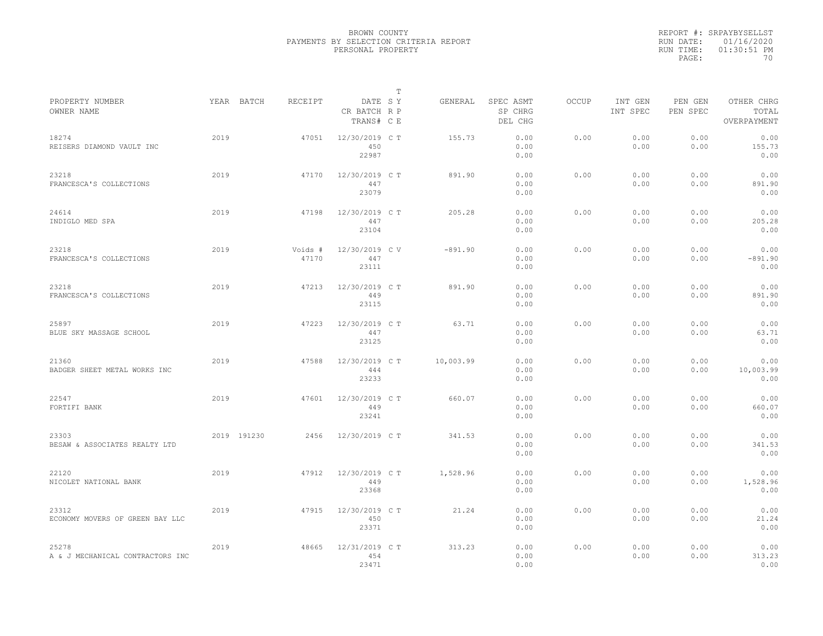|                                           |      |             |                  |                                       | $\mathbb{T}$ |           |                                 |              |                     |                     |                                    |
|-------------------------------------------|------|-------------|------------------|---------------------------------------|--------------|-----------|---------------------------------|--------------|---------------------|---------------------|------------------------------------|
| PROPERTY NUMBER<br>OWNER NAME             |      | YEAR BATCH  | RECEIPT          | DATE SY<br>CR BATCH R P<br>TRANS# C E |              | GENERAL   | SPEC ASMT<br>SP CHRG<br>DEL CHG | <b>OCCUP</b> | INT GEN<br>INT SPEC | PEN GEN<br>PEN SPEC | OTHER CHRG<br>TOTAL<br>OVERPAYMENT |
| 18274<br>REISERS DIAMOND VAULT INC        | 2019 |             | 47051            | 12/30/2019 C T<br>450<br>22987        |              | 155.73    | 0.00<br>0.00<br>0.00            | 0.00         | 0.00<br>0.00        | 0.00<br>0.00        | 0.00<br>155.73<br>0.00             |
| 23218<br>FRANCESCA'S COLLECTIONS          | 2019 |             | 47170            | 12/30/2019 C T<br>447<br>23079        |              | 891.90    | 0.00<br>0.00<br>0.00            | 0.00         | 0.00<br>0.00        | 0.00<br>0.00        | 0.00<br>891.90<br>0.00             |
| 24614<br>INDIGLO MED SPA                  | 2019 |             | 47198            | 12/30/2019 C T<br>447<br>23104        |              | 205.28    | 0.00<br>0.00<br>0.00            | 0.00         | 0.00<br>0.00        | 0.00<br>0.00        | 0.00<br>205.28<br>0.00             |
| 23218<br>FRANCESCA'S COLLECTIONS          | 2019 |             | Voids #<br>47170 | 12/30/2019 CV<br>447<br>23111         |              | $-891.90$ | 0.00<br>0.00<br>0.00            | 0.00         | 0.00<br>0.00        | 0.00<br>0.00        | 0.00<br>$-891.90$<br>0.00          |
| 23218<br>FRANCESCA'S COLLECTIONS          | 2019 |             | 47213            | 12/30/2019 C T<br>449<br>23115        |              | 891.90    | 0.00<br>0.00<br>0.00            | 0.00         | 0.00<br>0.00        | 0.00<br>0.00        | 0.00<br>891.90<br>0.00             |
| 25897<br>BLUE SKY MASSAGE SCHOOL          | 2019 |             | 47223            | 12/30/2019 C T<br>447<br>23125        |              | 63.71     | 0.00<br>0.00<br>0.00            | 0.00         | 0.00<br>0.00        | 0.00<br>0.00        | 0.00<br>63.71<br>0.00              |
| 21360<br>BADGER SHEET METAL WORKS INC     | 2019 |             | 47588            | 12/30/2019 C T<br>444<br>23233        |              | 10,003.99 | 0.00<br>0.00<br>0.00            | 0.00         | 0.00<br>0.00        | 0.00<br>0.00        | 0.00<br>10,003.99<br>0.00          |
| 22547<br>FORTIFI BANK                     | 2019 |             | 47601            | 12/30/2019 C T<br>449<br>23241        |              | 660.07    | 0.00<br>0.00<br>0.00            | 0.00         | 0.00<br>0.00        | 0.00<br>0.00        | 0.00<br>660.07<br>0.00             |
| 23303<br>BESAW & ASSOCIATES REALTY LTD    |      | 2019 191230 | 2456             | 12/30/2019 C T                        |              | 341.53    | 0.00<br>0.00<br>0.00            | 0.00         | 0.00<br>0.00        | 0.00<br>0.00        | 0.00<br>341.53<br>0.00             |
| 22120<br>NICOLET NATIONAL BANK            | 2019 |             | 47912            | 12/30/2019 C T<br>449<br>23368        |              | 1,528.96  | 0.00<br>0.00<br>0.00            | 0.00         | 0.00<br>0.00        | 0.00<br>0.00        | 0.00<br>1,528.96<br>0.00           |
| 23312<br>ECONOMY MOVERS OF GREEN BAY LLC  | 2019 |             | 47915            | 12/30/2019 C T<br>450<br>23371        |              | 21.24     | 0.00<br>0.00<br>0.00            | 0.00         | 0.00<br>0.00        | 0.00<br>0.00        | 0.00<br>21.24<br>0.00              |
| 25278<br>A & J MECHANICAL CONTRACTORS INC | 2019 |             | 48665            | 12/31/2019 C T<br>454<br>23471        |              | 313.23    | 0.00<br>0.00<br>0.00            | 0.00         | 0.00<br>0.00        | 0.00<br>0.00        | 0.00<br>313.23<br>0.00             |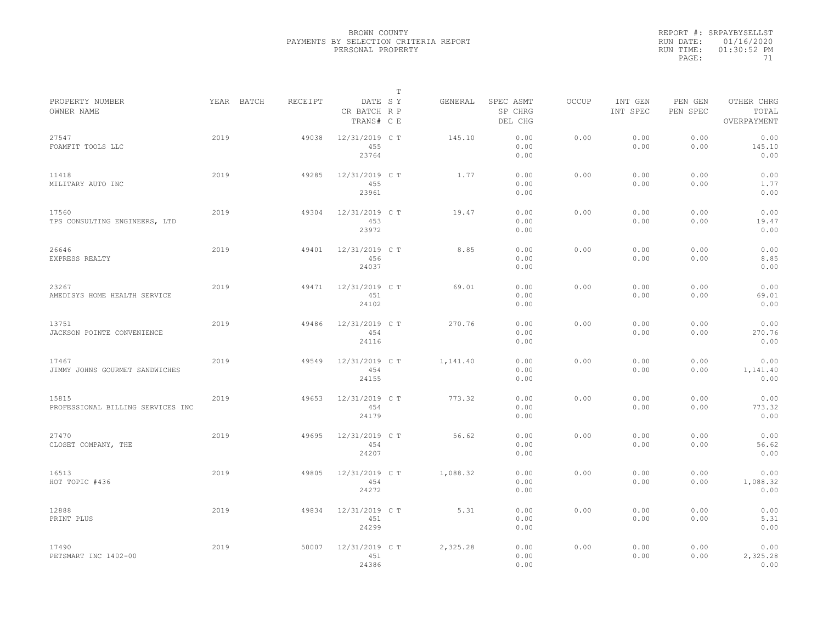|           | REPORT #: SRPAYBYSELLST |
|-----------|-------------------------|
|           | RUN DATE: 01/16/2020    |
| RUN TIME: | $01:30:52$ PM           |
| PAGE:     | 71                      |

|                                            |      |            |         |                                       | т |          |                                 |       |                     |                     |                                    |  |
|--------------------------------------------|------|------------|---------|---------------------------------------|---|----------|---------------------------------|-------|---------------------|---------------------|------------------------------------|--|
| PROPERTY NUMBER<br>OWNER NAME              |      | YEAR BATCH | RECEIPT | DATE SY<br>CR BATCH R P<br>TRANS# C E |   | GENERAL  | SPEC ASMT<br>SP CHRG<br>DEL CHG | OCCUP | INT GEN<br>INT SPEC | PEN GEN<br>PEN SPEC | OTHER CHRG<br>TOTAL<br>OVERPAYMENT |  |
| 27547<br>FOAMFIT TOOLS LLC                 | 2019 |            | 49038   | 12/31/2019 C T<br>455<br>23764        |   | 145.10   | 0.00<br>0.00<br>0.00            | 0.00  | 0.00<br>0.00        | 0.00<br>0.00        | 0.00<br>145.10<br>0.00             |  |
| 11418<br>MILITARY AUTO INC                 | 2019 |            | 49285   | 12/31/2019 C T<br>455<br>23961        |   | 1.77     | 0.00<br>0.00<br>0.00            | 0.00  | 0.00<br>0.00        | 0.00<br>0.00        | 0.00<br>1.77<br>0.00               |  |
| 17560<br>TPS CONSULTING ENGINEERS, LTD     | 2019 |            | 49304   | 12/31/2019 C T<br>453<br>23972        |   | 19.47    | 0.00<br>0.00<br>0.00            | 0.00  | 0.00<br>0.00        | 0.00<br>0.00        | 0.00<br>19.47<br>0.00              |  |
| 26646<br>EXPRESS REALTY                    | 2019 |            | 49401   | 12/31/2019 C T<br>456<br>24037        |   | 8.85     | 0.00<br>0.00<br>0.00            | 0.00  | 0.00<br>0.00        | 0.00<br>0.00        | 0.00<br>8.85<br>0.00               |  |
| 23267<br>AMEDISYS HOME HEALTH SERVICE      | 2019 |            | 49471   | 12/31/2019 C T<br>451<br>24102        |   | 69.01    | 0.00<br>0.00<br>0.00            | 0.00  | 0.00<br>0.00        | 0.00<br>0.00        | 0.00<br>69.01<br>0.00              |  |
| 13751<br>JACKSON POINTE CONVENIENCE        | 2019 |            | 49486   | 12/31/2019 C T<br>454<br>24116        |   | 270.76   | 0.00<br>0.00<br>0.00            | 0.00  | 0.00<br>0.00        | 0.00<br>0.00        | 0.00<br>270.76<br>0.00             |  |
| 17467<br>JIMMY JOHNS GOURMET SANDWICHES    | 2019 |            | 49549   | 12/31/2019 C T<br>454<br>24155        |   | 1,141.40 | 0.00<br>0.00<br>0.00            | 0.00  | 0.00<br>0.00        | 0.00<br>0.00        | 0.00<br>1,141.40<br>0.00           |  |
| 15815<br>PROFESSIONAL BILLING SERVICES INC | 2019 |            | 49653   | 12/31/2019 C T<br>454<br>24179        |   | 773.32   | 0.00<br>0.00<br>0.00            | 0.00  | 0.00<br>0.00        | 0.00<br>0.00        | 0.00<br>773.32<br>0.00             |  |
| 27470<br>CLOSET COMPANY, THE               | 2019 |            | 49695   | 12/31/2019 C T<br>454<br>24207        |   | 56.62    | 0.00<br>0.00<br>0.00            | 0.00  | 0.00<br>0.00        | 0.00<br>0.00        | 0.00<br>56.62<br>0.00              |  |
| 16513<br>HOT TOPIC #436                    | 2019 |            | 49805   | 12/31/2019 C T<br>454<br>24272        |   | 1,088.32 | 0.00<br>0.00<br>0.00            | 0.00  | 0.00<br>0.00        | 0.00<br>0.00        | 0.00<br>1,088.32<br>0.00           |  |
| 12888<br>PRINT PLUS                        | 2019 |            | 49834   | 12/31/2019 C T<br>451<br>24299        |   | 5.31     | 0.00<br>0.00<br>0.00            | 0.00  | 0.00<br>0.00        | 0.00<br>0.00        | 0.00<br>5.31<br>0.00               |  |
| 17490<br>PETSMART INC 1402-00              | 2019 |            | 50007   | 12/31/2019 C T<br>451<br>24386        |   | 2,325.28 | 0.00<br>0.00<br>0.00            | 0.00  | 0.00<br>0.00        | 0.00<br>0.00        | 0.00<br>2,325.28<br>0.00           |  |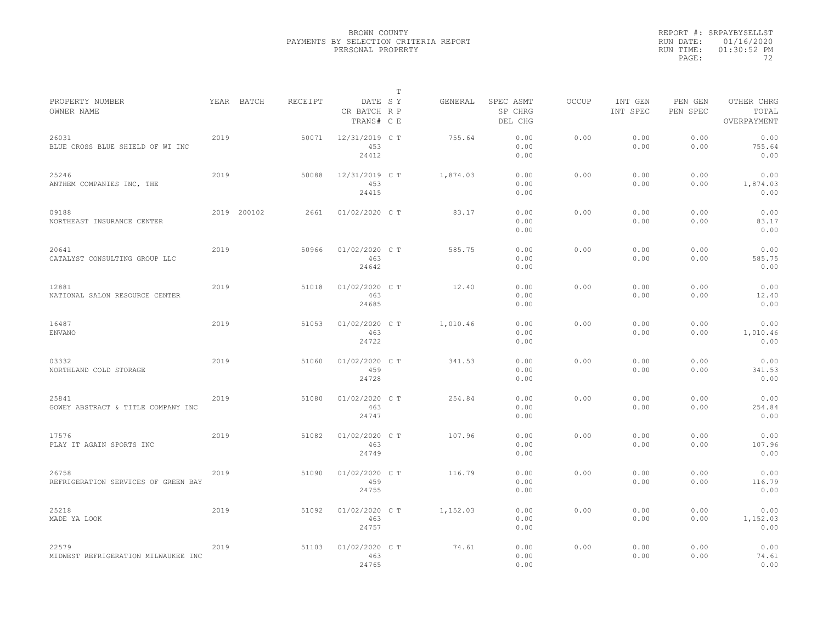|                                              |      |             |         |                                       | $\mathbb T$ |          |                                 |              |                     |                     |                                    |  |
|----------------------------------------------|------|-------------|---------|---------------------------------------|-------------|----------|---------------------------------|--------------|---------------------|---------------------|------------------------------------|--|
| PROPERTY NUMBER<br>OWNER NAME                |      | YEAR BATCH  | RECEIPT | DATE SY<br>CR BATCH R P<br>TRANS# C E |             | GENERAL  | SPEC ASMT<br>SP CHRG<br>DEL CHG | <b>OCCUP</b> | INT GEN<br>INT SPEC | PEN GEN<br>PEN SPEC | OTHER CHRG<br>TOTAL<br>OVERPAYMENT |  |
| 26031<br>BLUE CROSS BLUE SHIELD OF WI INC    | 2019 |             | 50071   | 12/31/2019 C T<br>453<br>24412        |             | 755.64   | 0.00<br>0.00<br>0.00            | 0.00         | 0.00<br>0.00        | 0.00<br>0.00        | 0.00<br>755.64<br>0.00             |  |
| 25246<br>ANTHEM COMPANIES INC, THE           | 2019 |             | 50088   | 12/31/2019 C T<br>453<br>24415        |             | 1,874.03 | 0.00<br>0.00<br>0.00            | 0.00         | 0.00<br>0.00        | 0.00<br>0.00        | 0.00<br>1,874.03<br>0.00           |  |
| 09188<br>NORTHEAST INSURANCE CENTER          |      | 2019 200102 | 2661    | 01/02/2020 C T                        |             | 83.17    | 0.00<br>0.00<br>0.00            | 0.00         | 0.00<br>0.00        | 0.00<br>0.00        | 0.00<br>83.17<br>0.00              |  |
| 20641<br>CATALYST CONSULTING GROUP LLC       | 2019 |             | 50966   | $01/02/2020$ C T<br>463<br>24642      |             | 585.75   | 0.00<br>0.00<br>0.00            | 0.00         | 0.00<br>0.00        | 0.00<br>0.00        | 0.00<br>585.75<br>0.00             |  |
| 12881<br>NATIONAL SALON RESOURCE CENTER      | 2019 |             | 51018   | 01/02/2020 C T<br>463<br>24685        |             | 12.40    | 0.00<br>0.00<br>0.00            | 0.00         | 0.00<br>0.00        | 0.00<br>0.00        | 0.00<br>12.40<br>0.00              |  |
| 16487<br><b>ENVANO</b>                       | 2019 |             | 51053   | 01/02/2020 C T<br>463<br>24722        |             | 1,010.46 | 0.00<br>0.00<br>0.00            | 0.00         | 0.00<br>0.00        | 0.00<br>0.00        | 0.00<br>1,010.46<br>0.00           |  |
| 03332<br>NORTHLAND COLD STORAGE              | 2019 |             | 51060   | 01/02/2020 C T<br>459<br>24728        |             | 341.53   | 0.00<br>0.00<br>0.00            | 0.00         | 0.00<br>0.00        | 0.00<br>0.00        | 0.00<br>341.53<br>0.00             |  |
| 25841<br>GOWEY ABSTRACT & TITLE COMPANY INC  | 2019 |             | 51080   | 01/02/2020 C T<br>463<br>24747        |             | 254.84   | 0.00<br>0.00<br>0.00            | 0.00         | 0.00<br>0.00        | 0.00<br>0.00        | 0.00<br>254.84<br>0.00             |  |
| 17576<br>PLAY IT AGAIN SPORTS INC            | 2019 |             | 51082   | 01/02/2020 C T<br>463<br>24749        |             | 107.96   | 0.00<br>0.00<br>0.00            | 0.00         | 0.00<br>0.00        | 0.00<br>0.00        | 0.00<br>107.96<br>0.00             |  |
| 26758<br>REFRIGERATION SERVICES OF GREEN BAY | 2019 |             | 51090   | 01/02/2020 C T<br>459<br>24755        |             | 116.79   | 0.00<br>0.00<br>0.00            | 0.00         | 0.00<br>0.00        | 0.00<br>0.00        | 0.00<br>116.79<br>0.00             |  |
| 25218<br>MADE YA LOOK                        | 2019 |             | 51092   | 01/02/2020 C T<br>463<br>24757        |             | 1,152.03 | 0.00<br>0.00<br>0.00            | 0.00         | 0.00<br>0.00        | 0.00<br>0.00        | 0.00<br>1,152.03<br>0.00           |  |
| 22579<br>MIDWEST REFRIGERATION MILWAUKEE INC | 2019 |             | 51103   | 01/02/2020 C T<br>463<br>24765        |             | 74.61    | 0.00<br>0.00<br>0.00            | 0.00         | 0.00<br>0.00        | 0.00<br>0.00        | 0.00<br>74.61<br>0.00              |  |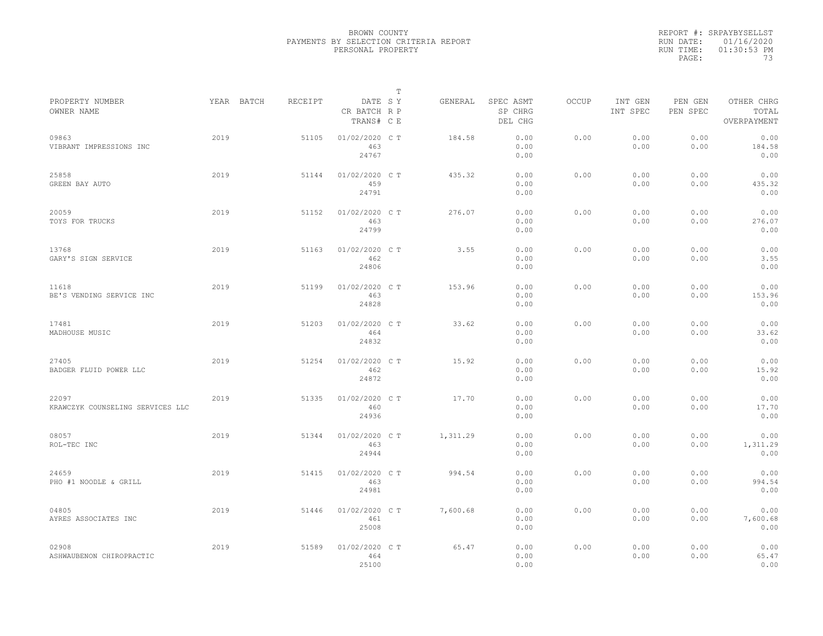|                                           |      |            |         |                                       | $\mathbb{T}$ |          |                                 |              |                     |                     |                                    |
|-------------------------------------------|------|------------|---------|---------------------------------------|--------------|----------|---------------------------------|--------------|---------------------|---------------------|------------------------------------|
| PROPERTY NUMBER<br>OWNER NAME             |      | YEAR BATCH | RECEIPT | DATE SY<br>CR BATCH R P<br>TRANS# C E |              | GENERAL  | SPEC ASMT<br>SP CHRG<br>DEL CHG | <b>OCCUP</b> | INT GEN<br>INT SPEC | PEN GEN<br>PEN SPEC | OTHER CHRG<br>TOTAL<br>OVERPAYMENT |
| 09863<br>VIBRANT IMPRESSIONS INC          | 2019 |            | 51105   | 01/02/2020 C T<br>463<br>24767        |              | 184.58   | 0.00<br>0.00<br>0.00            | 0.00         | 0.00<br>0.00        | 0.00<br>0.00        | 0.00<br>184.58<br>0.00             |
| 25858<br>GREEN BAY AUTO                   | 2019 |            | 51144   | 01/02/2020 C T<br>459<br>24791        |              | 435.32   | 0.00<br>0.00<br>0.00            | 0.00         | 0.00<br>0.00        | 0.00<br>0.00        | 0.00<br>435.32<br>0.00             |
| 20059<br>TOYS FOR TRUCKS                  | 2019 |            | 51152   | 01/02/2020 C T<br>463<br>24799        |              | 276.07   | 0.00<br>0.00<br>0.00            | 0.00         | 0.00<br>0.00        | 0.00<br>0.00        | 0.00<br>276.07<br>0.00             |
| 13768<br>GARY'S SIGN SERVICE              | 2019 |            | 51163   | 01/02/2020 C T<br>462<br>24806        |              | 3.55     | 0.00<br>0.00<br>0.00            | 0.00         | 0.00<br>0.00        | 0.00<br>0.00        | 0.00<br>3.55<br>0.00               |
| 11618<br>BE'S VENDING SERVICE INC         | 2019 |            | 51199   | 01/02/2020 C T<br>463<br>24828        |              | 153.96   | 0.00<br>0.00<br>0.00            | 0.00         | 0.00<br>0.00        | 0.00<br>0.00        | 0.00<br>153.96<br>0.00             |
| 17481<br>MADHOUSE MUSIC                   | 2019 |            | 51203   | 01/02/2020 C T<br>464<br>24832        |              | 33.62    | 0.00<br>0.00<br>0.00            | 0.00         | 0.00<br>0.00        | 0.00<br>0.00        | 0.00<br>33.62<br>0.00              |
| 27405<br>BADGER FLUID POWER LLC           | 2019 |            | 51254   | 01/02/2020 C T<br>462<br>24872        |              | 15.92    | 0.00<br>0.00<br>0.00            | 0.00         | 0.00<br>0.00        | 0.00<br>0.00        | 0.00<br>15.92<br>0.00              |
| 22097<br>KRAWCZYK COUNSELING SERVICES LLC | 2019 |            | 51335   | 01/02/2020 C T<br>460<br>24936        |              | 17.70    | 0.00<br>0.00<br>0.00            | 0.00         | 0.00<br>0.00        | 0.00<br>0.00        | 0.00<br>17.70<br>0.00              |
| 08057<br>ROL-TEC INC                      | 2019 |            | 51344   | 01/02/2020 C T<br>463<br>24944        |              | 1,311.29 | 0.00<br>0.00<br>0.00            | 0.00         | 0.00<br>0.00        | 0.00<br>0.00        | 0.00<br>1,311.29<br>0.00           |
| 24659<br>PHO #1 NOODLE & GRILL            | 2019 |            | 51415   | 01/02/2020 C T<br>463<br>24981        |              | 994.54   | 0.00<br>0.00<br>0.00            | 0.00         | 0.00<br>0.00        | 0.00<br>0.00        | 0.00<br>994.54<br>0.00             |
| 04805<br>AYRES ASSOCIATES INC             | 2019 |            | 51446   | 01/02/2020 C T<br>461<br>25008        |              | 7,600.68 | 0.00<br>0.00<br>0.00            | 0.00         | 0.00<br>0.00        | 0.00<br>0.00        | 0.00<br>7,600.68<br>0.00           |
| 02908<br>ASHWAUBENON CHIROPRACTIC         | 2019 |            | 51589   | 01/02/2020 C T<br>464<br>25100        |              | 65.47    | 0.00<br>0.00<br>0.00            | 0.00         | 0.00<br>0.00        | 0.00<br>0.00        | 0.00<br>65.47<br>0.00              |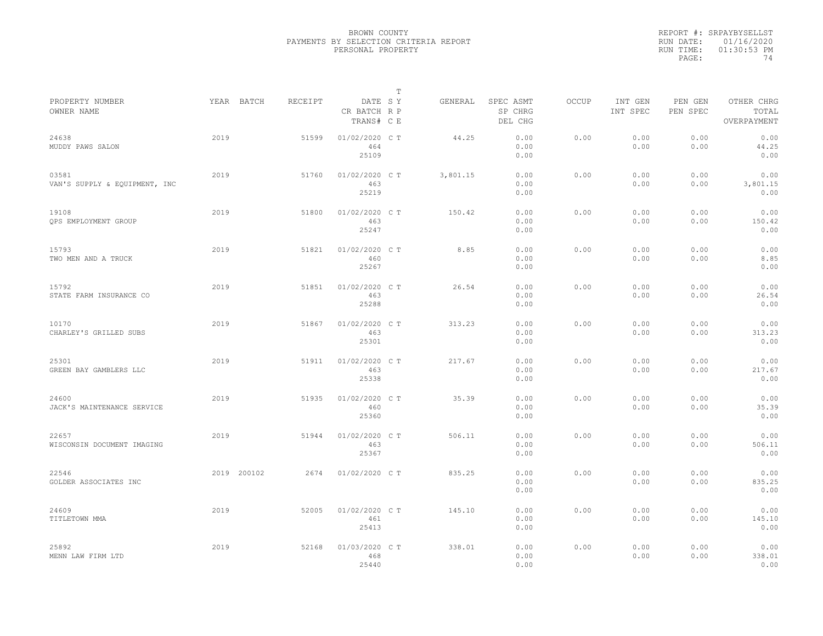|           | REPORT #: SRPAYBYSELLST |
|-----------|-------------------------|
|           | RUN DATE: 01/16/2020    |
| RUN TIME: | $01:30:53$ PM           |
| PAGE:     | 74                      |

|                                        |             |         |                                       | $\mathbb T$ |          |                                 |              |                     |                     |                                    |
|----------------------------------------|-------------|---------|---------------------------------------|-------------|----------|---------------------------------|--------------|---------------------|---------------------|------------------------------------|
| PROPERTY NUMBER<br>OWNER NAME          | YEAR BATCH  | RECEIPT | DATE SY<br>CR BATCH R P<br>TRANS# C E |             | GENERAL  | SPEC ASMT<br>SP CHRG<br>DEL CHG | <b>OCCUP</b> | INT GEN<br>INT SPEC | PEN GEN<br>PEN SPEC | OTHER CHRG<br>TOTAL<br>OVERPAYMENT |
| 24638<br>MUDDY PAWS SALON              | 2019        | 51599   | 01/02/2020 CT<br>464<br>25109         |             | 44.25    | 0.00<br>0.00<br>0.00            | 0.00         | 0.00<br>0.00        | 0.00<br>0.00        | 0.00<br>44.25<br>0.00              |
| 03581<br>VAN'S SUPPLY & EQUIPMENT, INC | 2019        | 51760   | 01/02/2020 C T<br>463<br>25219        |             | 3,801.15 | 0.00<br>0.00<br>0.00            | 0.00         | 0.00<br>0.00        | 0.00<br>0.00        | 0.00<br>3,801.15<br>0.00           |
| 19108<br>QPS EMPLOYMENT GROUP          | 2019        | 51800   | 01/02/2020 C T<br>463<br>25247        |             | 150.42   | 0.00<br>0.00<br>0.00            | 0.00         | 0.00<br>0.00        | 0.00<br>0.00        | 0.00<br>150.42<br>0.00             |
| 15793<br>TWO MEN AND A TRUCK           | 2019        | 51821   | 01/02/2020 C T<br>460<br>25267        |             | 8.85     | 0.00<br>0.00<br>0.00            | 0.00         | 0.00<br>0.00        | 0.00<br>0.00        | 0.00<br>8.85<br>0.00               |
| 15792<br>STATE FARM INSURANCE CO       | 2019        | 51851   | 01/02/2020 C T<br>463<br>25288        |             | 26.54    | 0.00<br>0.00<br>0.00            | 0.00         | 0.00<br>0.00        | 0.00<br>0.00        | 0.00<br>26.54<br>0.00              |
| 10170<br>CHARLEY'S GRILLED SUBS        | 2019        | 51867   | 01/02/2020 CT<br>463<br>25301         |             | 313.23   | 0.00<br>0.00<br>0.00            | 0.00         | 0.00<br>0.00        | 0.00<br>0.00        | 0.00<br>313.23<br>0.00             |
| 25301<br>GREEN BAY GAMBLERS LLC        | 2019        | 51911   | 01/02/2020 C T<br>463<br>25338        |             | 217.67   | 0.00<br>0.00<br>0.00            | 0.00         | 0.00<br>0.00        | 0.00<br>0.00        | 0.00<br>217.67<br>0.00             |
| 24600<br>JACK'S MAINTENANCE SERVICE    | 2019        | 51935   | 01/02/2020 C T<br>460<br>25360        |             | 35.39    | 0.00<br>0.00<br>0.00            | 0.00         | 0.00<br>0.00        | 0.00<br>0.00        | 0.00<br>35.39<br>0.00              |
| 22657<br>WISCONSIN DOCUMENT IMAGING    | 2019        | 51944   | 01/02/2020 CT<br>463<br>25367         |             | 506.11   | 0.00<br>0.00<br>0.00            | 0.00         | 0.00<br>0.00        | 0.00<br>0.00        | 0.00<br>506.11<br>0.00             |
| 22546<br>GOLDER ASSOCIATES INC         | 2019 200102 | 2674    | 01/02/2020 C T                        |             | 835.25   | 0.00<br>0.00<br>0.00            | 0.00         | 0.00<br>0.00        | 0.00<br>0.00        | 0.00<br>835.25<br>0.00             |
| 24609<br>TITLETOWN MMA                 | 2019        | 52005   | 01/02/2020 C T<br>461<br>25413        |             | 145.10   | 0.00<br>0.00<br>0.00            | 0.00         | 0.00<br>0.00        | 0.00<br>0.00        | 0.00<br>145.10<br>0.00             |
| 25892<br>MENN LAW FIRM LTD             | 2019        | 52168   | 01/03/2020 C T<br>468<br>25440        |             | 338.01   | 0.00<br>0.00<br>0.00            | 0.00         | 0.00<br>0.00        | 0.00<br>0.00        | 0.00<br>338.01<br>0.00             |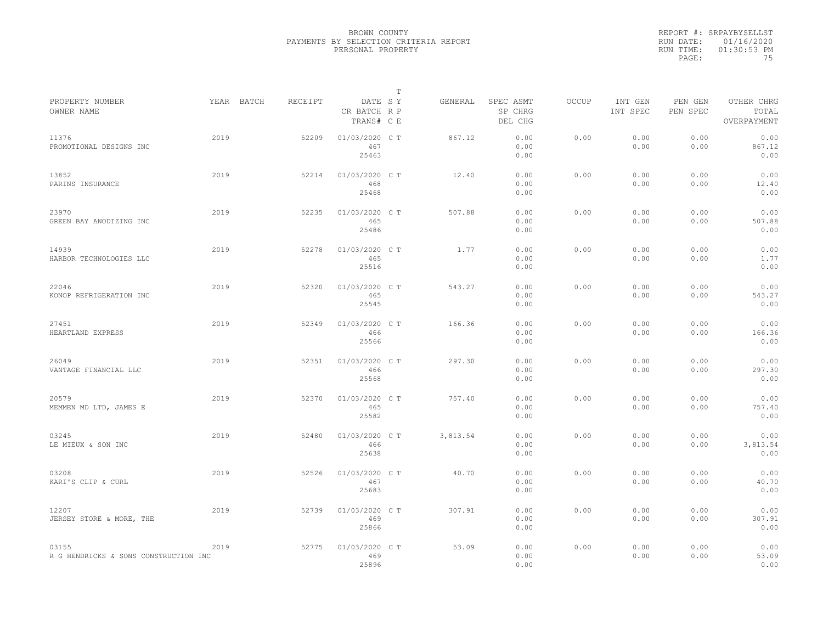|           | REPORT #: SRPAYBYSELLST |
|-----------|-------------------------|
|           | RUN DATE: 01/16/2020    |
| RUN TIME: | $01:30:53$ PM           |
| PAGE:     | 75                      |

|                                                |            |         |                                       | $\mathbb T$ |          |                                 |       |                     |                     |                                    |
|------------------------------------------------|------------|---------|---------------------------------------|-------------|----------|---------------------------------|-------|---------------------|---------------------|------------------------------------|
| PROPERTY NUMBER<br>OWNER NAME                  | YEAR BATCH | RECEIPT | DATE SY<br>CR BATCH R P<br>TRANS# C E |             | GENERAL  | SPEC ASMT<br>SP CHRG<br>DEL CHG | OCCUP | INT GEN<br>INT SPEC | PEN GEN<br>PEN SPEC | OTHER CHRG<br>TOTAL<br>OVERPAYMENT |
| 11376<br>PROMOTIONAL DESIGNS INC               | 2019       | 52209   | 01/03/2020 C T<br>467<br>25463        |             | 867.12   | 0.00<br>0.00<br>0.00            | 0.00  | 0.00<br>0.00        | 0.00<br>0.00        | 0.00<br>867.12<br>0.00             |
| 13852<br>PARINS INSURANCE                      | 2019       | 52214   | 01/03/2020 C T<br>468<br>25468        |             | 12.40    | 0.00<br>0.00<br>0.00            | 0.00  | 0.00<br>0.00        | 0.00<br>0.00        | 0.00<br>12.40<br>0.00              |
| 23970<br>GREEN BAY ANODIZING INC               | 2019       | 52235   | 01/03/2020 CT<br>465<br>25486         |             | 507.88   | 0.00<br>0.00<br>0.00            | 0.00  | 0.00<br>0.00        | 0.00<br>0.00        | 0.00<br>507.88<br>0.00             |
| 14939<br>HARBOR TECHNOLOGIES LLC               | 2019       | 52278   | 01/03/2020 CT<br>465<br>25516         |             | 1.77     | 0.00<br>0.00<br>0.00            | 0.00  | 0.00<br>0.00        | 0.00<br>0.00        | 0.00<br>1.77<br>0.00               |
| 22046<br>KONOP REFRIGERATION INC               | 2019       | 52320   | 01/03/2020 CT<br>465<br>25545         |             | 543.27   | 0.00<br>0.00<br>0.00            | 0.00  | 0.00<br>0.00        | 0.00<br>0.00        | 0.00<br>543.27<br>0.00             |
| 27451<br>HEARTLAND EXPRESS                     | 2019       | 52349   | 01/03/2020 C T<br>466<br>25566        |             | 166.36   | 0.00<br>0.00<br>0.00            | 0.00  | 0.00<br>0.00        | 0.00<br>0.00        | 0.00<br>166.36<br>0.00             |
| 26049<br>VANTAGE FINANCIAL LLC                 | 2019       | 52351   | 01/03/2020 C T<br>466<br>25568        |             | 297.30   | 0.00<br>0.00<br>0.00            | 0.00  | 0.00<br>0.00        | 0.00<br>0.00        | 0.00<br>297.30<br>0.00             |
| 20579<br>MEMMEN MD LTD, JAMES E                | 2019       | 52370   | 01/03/2020 CT<br>465<br>25582         |             | 757.40   | 0.00<br>0.00<br>0.00            | 0.00  | 0.00<br>0.00        | 0.00<br>0.00        | 0.00<br>757.40<br>0.00             |
| 03245<br>LE MIEUX & SON INC                    | 2019       | 52480   | 01/03/2020 C T<br>466<br>25638        |             | 3,813.54 | 0.00<br>0.00<br>0.00            | 0.00  | 0.00<br>0.00        | 0.00<br>0.00        | 0.00<br>3,813.54<br>0.00           |
| 03208<br>KARI'S CLIP & CURL                    | 2019       | 52526   | 01/03/2020 C T<br>467<br>25683        |             | 40.70    | 0.00<br>0.00<br>0.00            | 0.00  | 0.00<br>0.00        | 0.00<br>0.00        | 0.00<br>40.70<br>0.00              |
| 12207<br>JERSEY STORE & MORE, THE              | 2019       | 52739   | 01/03/2020 CT<br>469<br>25866         |             | 307.91   | 0.00<br>0.00<br>0.00            | 0.00  | 0.00<br>0.00        | 0.00<br>0.00        | 0.00<br>307.91<br>0.00             |
| 03155<br>R G HENDRICKS & SONS CONSTRUCTION INC | 2019       | 52775   | 01/03/2020 C T<br>469<br>25896        |             | 53.09    | 0.00<br>0.00<br>0.00            | 0.00  | 0.00<br>0.00        | 0.00<br>0.00        | 0.00<br>53.09<br>0.00              |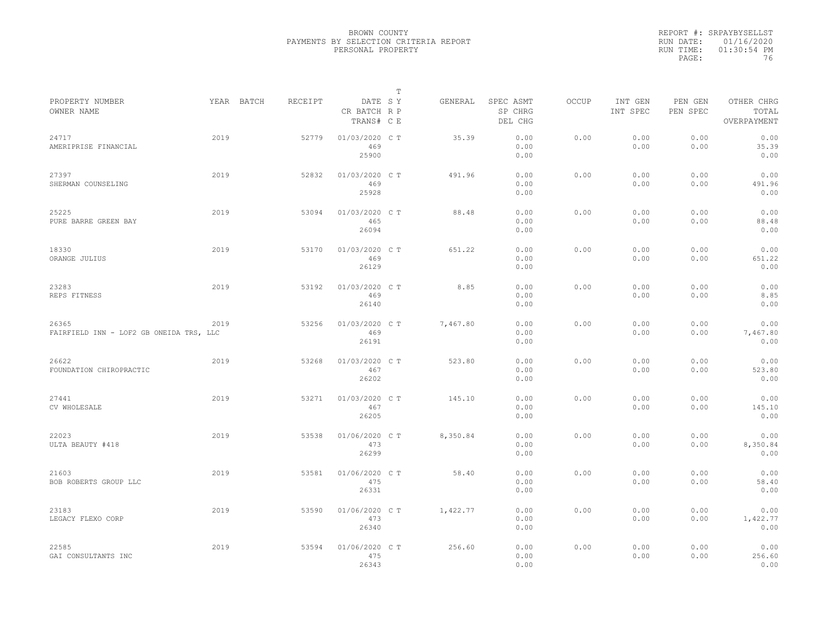|                                                  |      |            |         |                                       | $\mathbb{T}$ |          |                                 |              |                     |                     |                                    |  |
|--------------------------------------------------|------|------------|---------|---------------------------------------|--------------|----------|---------------------------------|--------------|---------------------|---------------------|------------------------------------|--|
| PROPERTY NUMBER<br>OWNER NAME                    |      | YEAR BATCH | RECEIPT | DATE SY<br>CR BATCH R P<br>TRANS# C E |              | GENERAL  | SPEC ASMT<br>SP CHRG<br>DEL CHG | <b>OCCUP</b> | INT GEN<br>INT SPEC | PEN GEN<br>PEN SPEC | OTHER CHRG<br>TOTAL<br>OVERPAYMENT |  |
| 24717<br>AMERIPRISE FINANCIAL                    | 2019 |            | 52779   | 01/03/2020 C T<br>469<br>25900        |              | 35.39    | 0.00<br>0.00<br>0.00            | 0.00         | 0.00<br>0.00        | 0.00<br>0.00        | 0.00<br>35.39<br>0.00              |  |
| 27397<br>SHERMAN COUNSELING                      | 2019 |            | 52832   | 01/03/2020 C T<br>469<br>25928        |              | 491.96   | 0.00<br>0.00<br>0.00            | 0.00         | 0.00<br>0.00        | 0.00<br>0.00        | 0.00<br>491.96<br>0.00             |  |
| 25225<br>PURE BARRE GREEN BAY                    | 2019 |            | 53094   | 01/03/2020 C T<br>465<br>26094        |              | 88.48    | 0.00<br>0.00<br>0.00            | 0.00         | 0.00<br>0.00        | 0.00<br>0.00        | 0.00<br>88.48<br>0.00              |  |
| 18330<br>ORANGE JULIUS                           | 2019 |            | 53170   | 01/03/2020 C T<br>469<br>26129        |              | 651.22   | 0.00<br>0.00<br>0.00            | 0.00         | 0.00<br>0.00        | 0.00<br>0.00        | 0.00<br>651.22<br>0.00             |  |
| 23283<br>REPS FITNESS                            | 2019 |            | 53192   | 01/03/2020 C T<br>469<br>26140        |              | 8.85     | 0.00<br>0.00<br>0.00            | 0.00         | 0.00<br>0.00        | 0.00<br>0.00        | 0.00<br>8.85<br>0.00               |  |
| 26365<br>FAIRFIELD INN - LOF2 GB ONEIDA TRS, LLC | 2019 |            | 53256   | 01/03/2020 C T<br>469<br>26191        |              | 7,467.80 | 0.00<br>0.00<br>0.00            | 0.00         | 0.00<br>0.00        | 0.00<br>0.00        | 0.00<br>7,467.80<br>0.00           |  |
| 26622<br>FOUNDATION CHIROPRACTIC                 | 2019 |            | 53268   | 01/03/2020 C T<br>467<br>26202        |              | 523.80   | 0.00<br>0.00<br>0.00            | 0.00         | 0.00<br>0.00        | 0.00<br>0.00        | 0.00<br>523.80<br>0.00             |  |
| 27441<br>CV WHOLESALE                            | 2019 |            | 53271   | 01/03/2020 C T<br>467<br>26205        |              | 145.10   | 0.00<br>0.00<br>0.00            | 0.00         | 0.00<br>0.00        | 0.00<br>0.00        | 0.00<br>145.10<br>0.00             |  |
| 22023<br>ULTA BEAUTY #418                        | 2019 |            | 53538   | 01/06/2020 C T<br>473<br>26299        |              | 8,350.84 | 0.00<br>0.00<br>0.00            | 0.00         | 0.00<br>0.00        | 0.00<br>0.00        | 0.00<br>8,350.84<br>0.00           |  |
| 21603<br>BOB ROBERTS GROUP LLC                   | 2019 |            | 53581   | 01/06/2020 C T<br>475<br>26331        |              | 58.40    | 0.00<br>0.00<br>0.00            | 0.00         | 0.00<br>0.00        | 0.00<br>0.00        | 0.00<br>58.40<br>0.00              |  |
| 23183<br>LEGACY FLEXO CORP                       | 2019 |            | 53590   | 01/06/2020 C T<br>473<br>26340        |              | 1,422.77 | 0.00<br>0.00<br>0.00            | 0.00         | 0.00<br>0.00        | 0.00<br>0.00        | 0.00<br>1,422.77<br>0.00           |  |
| 22585<br>GAI CONSULTANTS INC                     | 2019 |            | 53594   | 01/06/2020 C T<br>475<br>26343        |              | 256.60   | 0.00<br>0.00<br>0.00            | 0.00         | 0.00<br>0.00        | 0.00<br>0.00        | 0.00<br>256.60<br>0.00             |  |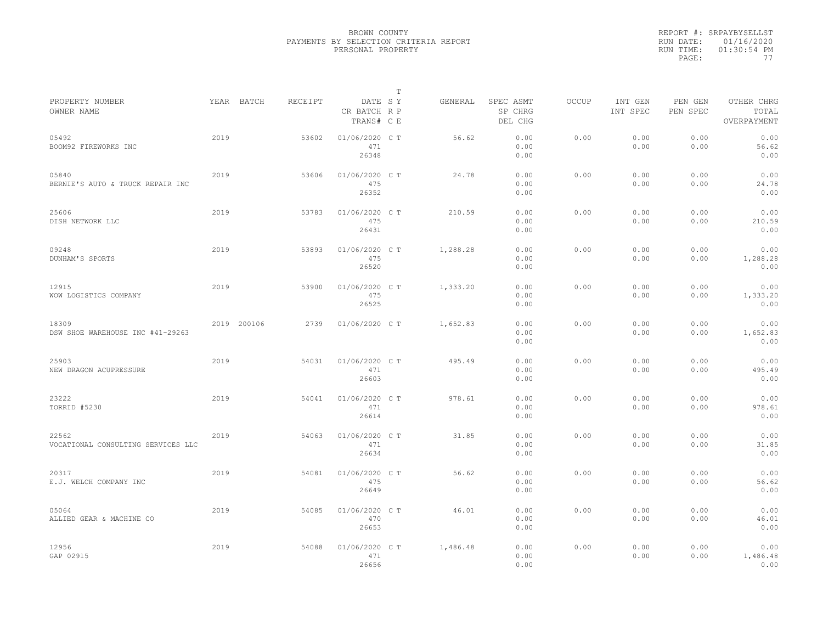|                                             |      |             |         |                                       | $\mathbb{T}$ |          |                                 |              |                     |                     |                                    |  |
|---------------------------------------------|------|-------------|---------|---------------------------------------|--------------|----------|---------------------------------|--------------|---------------------|---------------------|------------------------------------|--|
| PROPERTY NUMBER<br>OWNER NAME               |      | YEAR BATCH  | RECEIPT | DATE SY<br>CR BATCH R P<br>TRANS# C E |              | GENERAL  | SPEC ASMT<br>SP CHRG<br>DEL CHG | <b>OCCUP</b> | INT GEN<br>INT SPEC | PEN GEN<br>PEN SPEC | OTHER CHRG<br>TOTAL<br>OVERPAYMENT |  |
| 05492<br>BOOM92 FIREWORKS INC               | 2019 |             | 53602   | 01/06/2020 C T<br>471<br>26348        |              | 56.62    | 0.00<br>0.00<br>0.00            | 0.00         | 0.00<br>0.00        | 0.00<br>0.00        | 0.00<br>56.62<br>0.00              |  |
| 05840<br>BERNIE'S AUTO & TRUCK REPAIR INC   | 2019 |             | 53606   | 01/06/2020 C T<br>475<br>26352        |              | 24.78    | 0.00<br>0.00<br>0.00            | 0.00         | 0.00<br>0.00        | 0.00<br>0.00        | 0.00<br>24.78<br>0.00              |  |
| 25606<br>DISH NETWORK LLC                   | 2019 |             | 53783   | 01/06/2020 C T<br>475<br>26431        |              | 210.59   | 0.00<br>0.00<br>0.00            | 0.00         | 0.00<br>0.00        | 0.00<br>0.00        | 0.00<br>210.59<br>0.00             |  |
| 09248<br>DUNHAM'S SPORTS                    | 2019 |             | 53893   | 01/06/2020 C T<br>475<br>26520        |              | 1,288.28 | 0.00<br>0.00<br>0.00            | 0.00         | 0.00<br>0.00        | 0.00<br>0.00        | 0.00<br>1,288.28<br>0.00           |  |
| 12915<br>WOW LOGISTICS COMPANY              | 2019 |             | 53900   | 01/06/2020 C T<br>475<br>26525        |              | 1,333.20 | 0.00<br>0.00<br>0.00            | 0.00         | 0.00<br>0.00        | 0.00<br>0.00        | 0.00<br>1,333.20<br>0.00           |  |
| 18309<br>DSW SHOE WAREHOUSE INC #41-29263   |      | 2019 200106 | 2739    | 01/06/2020 C T                        |              | 1,652.83 | 0.00<br>0.00<br>0.00            | 0.00         | 0.00<br>0.00        | 0.00<br>0.00        | 0.00<br>1,652.83<br>0.00           |  |
| 25903<br>NEW DRAGON ACUPRESSURE             | 2019 |             | 54031   | 01/06/2020 C T<br>471<br>26603        |              | 495.49   | 0.00<br>0.00<br>0.00            | 0.00         | 0.00<br>0.00        | 0.00<br>0.00        | 0.00<br>495.49<br>0.00             |  |
| 23222<br>TORRID #5230                       | 2019 |             | 54041   | 01/06/2020 C T<br>471<br>26614        |              | 978.61   | 0.00<br>0.00<br>0.00            | 0.00         | 0.00<br>0.00        | 0.00<br>0.00        | 0.00<br>978.61<br>0.00             |  |
| 22562<br>VOCATIONAL CONSULTING SERVICES LLC | 2019 |             | 54063   | 01/06/2020 C T<br>471<br>26634        |              | 31.85    | 0.00<br>0.00<br>0.00            | 0.00         | 0.00<br>0.00        | 0.00<br>0.00        | 0.00<br>31.85<br>0.00              |  |
| 20317<br>E.J. WELCH COMPANY INC             | 2019 |             | 54081   | 01/06/2020 C T<br>475<br>26649        |              | 56.62    | 0.00<br>0.00<br>0.00            | 0.00         | 0.00<br>0.00        | 0.00<br>0.00        | 0.00<br>56.62<br>0.00              |  |
| 05064<br>ALLIED GEAR & MACHINE CO           | 2019 |             | 54085   | 01/06/2020 C T<br>470<br>26653        |              | 46.01    | 0.00<br>0.00<br>0.00            | 0.00         | 0.00<br>0.00        | 0.00<br>0.00        | 0.00<br>46.01<br>0.00              |  |
| 12956<br>GAP 02915                          | 2019 |             | 54088   | 01/06/2020 C T<br>471<br>26656        |              | 1,486.48 | 0.00<br>0.00<br>0.00            | 0.00         | 0.00<br>0.00        | 0.00<br>0.00        | 0.00<br>1,486.48<br>0.00           |  |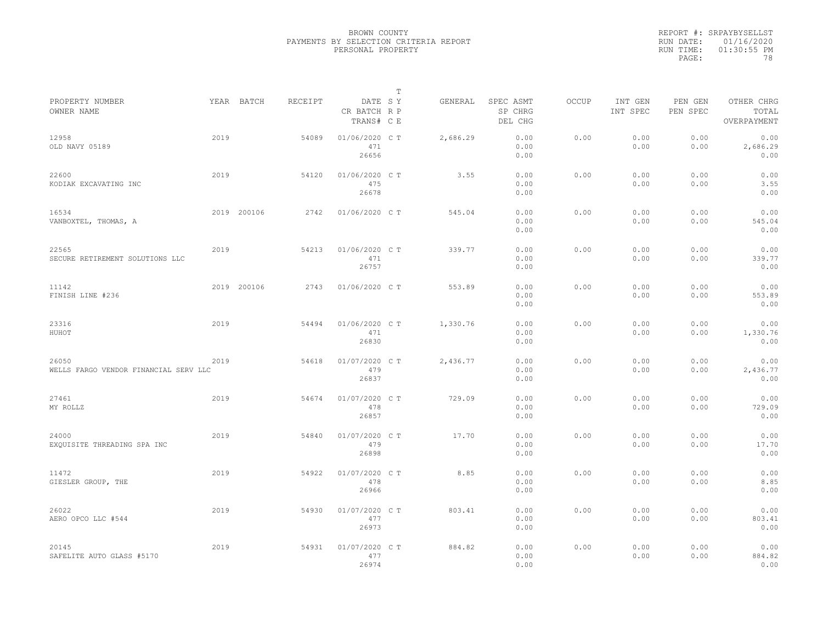|                                                |      |             |         |                                       | T |          |                                 |              |                     |                     |                                    |
|------------------------------------------------|------|-------------|---------|---------------------------------------|---|----------|---------------------------------|--------------|---------------------|---------------------|------------------------------------|
| PROPERTY NUMBER<br>OWNER NAME                  |      | YEAR BATCH  | RECEIPT | DATE SY<br>CR BATCH R P<br>TRANS# C E |   | GENERAL  | SPEC ASMT<br>SP CHRG<br>DEL CHG | <b>OCCUP</b> | INT GEN<br>INT SPEC | PEN GEN<br>PEN SPEC | OTHER CHRG<br>TOTAL<br>OVERPAYMENT |
| 12958<br>OLD NAVY 05189                        | 2019 |             | 54089   | 01/06/2020 C T<br>471<br>26656        |   | 2,686.29 | 0.00<br>0.00<br>0.00            | 0.00         | 0.00<br>0.00        | 0.00<br>0.00        | 0.00<br>2,686.29<br>0.00           |
| 22600<br>KODIAK EXCAVATING INC                 | 2019 |             | 54120   | 01/06/2020 C T<br>475<br>26678        |   | 3.55     | 0.00<br>0.00<br>0.00            | 0.00         | 0.00<br>0.00        | 0.00<br>0.00        | 0.00<br>3.55<br>0.00               |
| 16534<br>VANBOXTEL, THOMAS, A                  |      | 2019 200106 | 2742    | 01/06/2020 C T                        |   | 545.04   | 0.00<br>0.00<br>0.00            | 0.00         | 0.00<br>0.00        | 0.00<br>0.00        | 0.00<br>545.04<br>0.00             |
| 22565<br>SECURE RETIREMENT SOLUTIONS LLC       | 2019 |             | 54213   | 01/06/2020 C T<br>471<br>26757        |   | 339.77   | 0.00<br>0.00<br>0.00            | 0.00         | 0.00<br>0.00        | 0.00<br>0.00        | 0.00<br>339.77<br>0.00             |
| 11142<br>FINISH LINE #236                      |      | 2019 200106 | 2743    | 01/06/2020 C T                        |   | 553.89   | 0.00<br>0.00<br>0.00            | 0.00         | 0.00<br>0.00        | 0.00<br>0.00        | 0.00<br>553.89<br>0.00             |
| 23316<br>HUHOT                                 | 2019 |             | 54494   | 01/06/2020 C T<br>471<br>26830        |   | 1,330.76 | 0.00<br>0.00<br>0.00            | 0.00         | 0.00<br>0.00        | 0.00<br>0.00        | 0.00<br>1,330.76<br>0.00           |
| 26050<br>WELLS FARGO VENDOR FINANCIAL SERV LLC | 2019 |             | 54618   | 01/07/2020 C T<br>479<br>26837        |   | 2,436.77 | 0.00<br>0.00<br>0.00            | 0.00         | 0.00<br>0.00        | 0.00<br>0.00        | 0.00<br>2,436.77<br>0.00           |
| 27461<br>MY ROLLZ                              | 2019 |             | 54674   | 01/07/2020 C T<br>478<br>26857        |   | 729.09   | 0.00<br>0.00<br>0.00            | 0.00         | 0.00<br>0.00        | 0.00<br>0.00        | 0.00<br>729.09<br>0.00             |
| 24000<br>EXQUISITE THREADING SPA INC           | 2019 |             | 54840   | 01/07/2020 C T<br>479<br>26898        |   | 17.70    | 0.00<br>0.00<br>0.00            | 0.00         | 0.00<br>0.00        | 0.00<br>0.00        | 0.00<br>17.70<br>0.00              |
| 11472<br>GIESLER GROUP, THE                    | 2019 |             | 54922   | 01/07/2020 C T<br>478<br>26966        |   | 8.85     | 0.00<br>0.00<br>0.00            | 0.00         | 0.00<br>0.00        | 0.00<br>0.00        | 0.00<br>8.85<br>0.00               |
| 26022<br>AERO OPCO LLC #544                    | 2019 |             | 54930   | 01/07/2020 C T<br>477<br>26973        |   | 803.41   | 0.00<br>0.00<br>0.00            | 0.00         | 0.00<br>0.00        | 0.00<br>0.00        | 0.00<br>803.41<br>0.00             |
| 20145<br>SAFELITE AUTO GLASS #5170             | 2019 |             | 54931   | 01/07/2020 C T<br>477<br>26974        |   | 884.82   | 0.00<br>0.00<br>0.00            | 0.00         | 0.00<br>0.00        | 0.00<br>0.00        | 0.00<br>884.82<br>0.00             |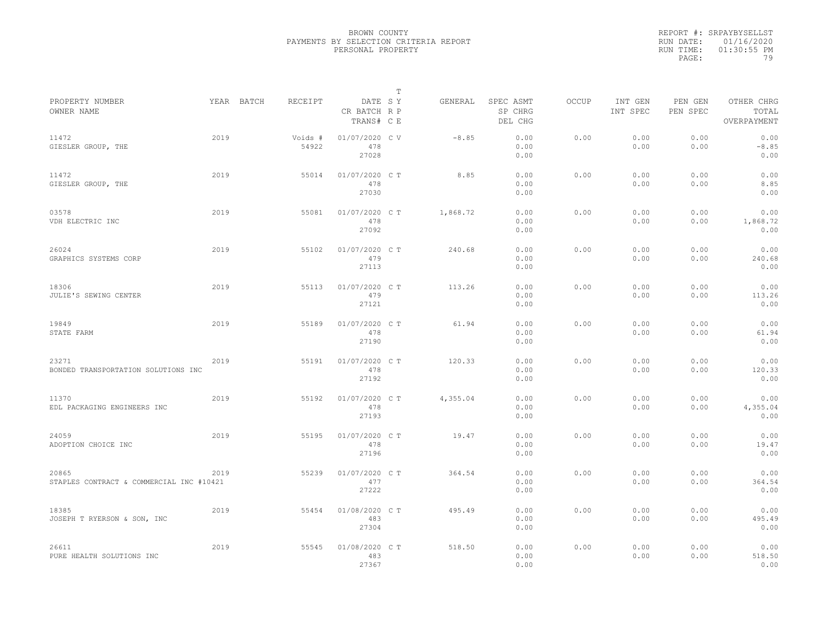|                                                   |      |            |                  |                                       | $\mathbb{T}$ |          |                                 |              |                     |                     |                                    |
|---------------------------------------------------|------|------------|------------------|---------------------------------------|--------------|----------|---------------------------------|--------------|---------------------|---------------------|------------------------------------|
| PROPERTY NUMBER<br>OWNER NAME                     |      | YEAR BATCH | RECEIPT          | DATE SY<br>CR BATCH R P<br>TRANS# C E |              | GENERAL  | SPEC ASMT<br>SP CHRG<br>DEL CHG | <b>OCCUP</b> | INT GEN<br>INT SPEC | PEN GEN<br>PEN SPEC | OTHER CHRG<br>TOTAL<br>OVERPAYMENT |
| 11472<br>GIESLER GROUP, THE                       | 2019 |            | Voids #<br>54922 | 01/07/2020 CV<br>478<br>27028         |              | $-8.85$  | 0.00<br>0.00<br>0.00            | 0.00         | 0.00<br>0.00        | 0.00<br>0.00        | 0.00<br>$-8.85$<br>0.00            |
| 11472<br>GIESLER GROUP, THE                       | 2019 |            | 55014            | 01/07/2020 C T<br>478<br>27030        |              | 8.85     | 0.00<br>0.00<br>0.00            | 0.00         | 0.00<br>0.00        | 0.00<br>0.00        | 0.00<br>8.85<br>0.00               |
| 03578<br>VDH ELECTRIC INC                         | 2019 |            | 55081            | 01/07/2020 C T<br>478<br>27092        |              | 1,868.72 | 0.00<br>0.00<br>0.00            | 0.00         | 0.00<br>0.00        | 0.00<br>0.00        | 0.00<br>1,868.72<br>0.00           |
| 26024<br>GRAPHICS SYSTEMS CORP                    | 2019 |            | 55102            | 01/07/2020 C T<br>479<br>27113        |              | 240.68   | 0.00<br>0.00<br>0.00            | 0.00         | 0.00<br>0.00        | 0.00<br>0.00        | 0.00<br>240.68<br>0.00             |
| 18306<br>JULIE'S SEWING CENTER                    | 2019 |            | 55113            | 01/07/2020 C T<br>479<br>27121        |              | 113.26   | 0.00<br>0.00<br>0.00            | 0.00         | 0.00<br>0.00        | 0.00<br>0.00        | 0.00<br>113.26<br>0.00             |
| 19849<br>STATE FARM                               | 2019 |            | 55189            | 01/07/2020 C T<br>478<br>27190        |              | 61.94    | 0.00<br>0.00<br>0.00            | 0.00         | 0.00<br>0.00        | 0.00<br>0.00        | 0.00<br>61.94<br>0.00              |
| 23271<br>BONDED TRANSPORTATION SOLUTIONS INC      | 2019 |            | 55191            | 01/07/2020 C T<br>478<br>27192        |              | 120.33   | 0.00<br>0.00<br>0.00            | 0.00         | 0.00<br>0.00        | 0.00<br>0.00        | 0.00<br>120.33<br>0.00             |
| 11370<br>EDL PACKAGING ENGINEERS INC              | 2019 |            | 55192            | 01/07/2020 C T<br>478<br>27193        |              | 4,355.04 | 0.00<br>0.00<br>0.00            | 0.00         | 0.00<br>0.00        | 0.00<br>0.00        | 0.00<br>4,355.04<br>0.00           |
| 24059<br>ADOPTION CHOICE INC                      | 2019 |            | 55195            | 01/07/2020 C T<br>478<br>27196        |              | 19.47    | 0.00<br>0.00<br>0.00            | 0.00         | 0.00<br>0.00        | 0.00<br>0.00        | 0.00<br>19.47<br>0.00              |
| 20865<br>STAPLES CONTRACT & COMMERCIAL INC #10421 | 2019 |            | 55239            | 01/07/2020 C T<br>477<br>27222        |              | 364.54   | 0.00<br>0.00<br>0.00            | 0.00         | 0.00<br>0.00        | 0.00<br>0.00        | 0.00<br>364.54<br>0.00             |
| 18385<br>JOSEPH T RYERSON & SON, INC              | 2019 |            | 55454            | 01/08/2020 C T<br>483<br>27304        |              | 495.49   | 0.00<br>0.00<br>0.00            | 0.00         | 0.00<br>0.00        | 0.00<br>0.00        | 0.00<br>495.49<br>0.00             |
| 26611<br>PURE HEALTH SOLUTIONS INC                | 2019 |            | 55545            | 01/08/2020 C T<br>483<br>27367        |              | 518.50   | 0.00<br>0.00<br>0.00            | 0.00         | 0.00<br>0.00        | 0.00<br>0.00        | 0.00<br>518.50<br>0.00             |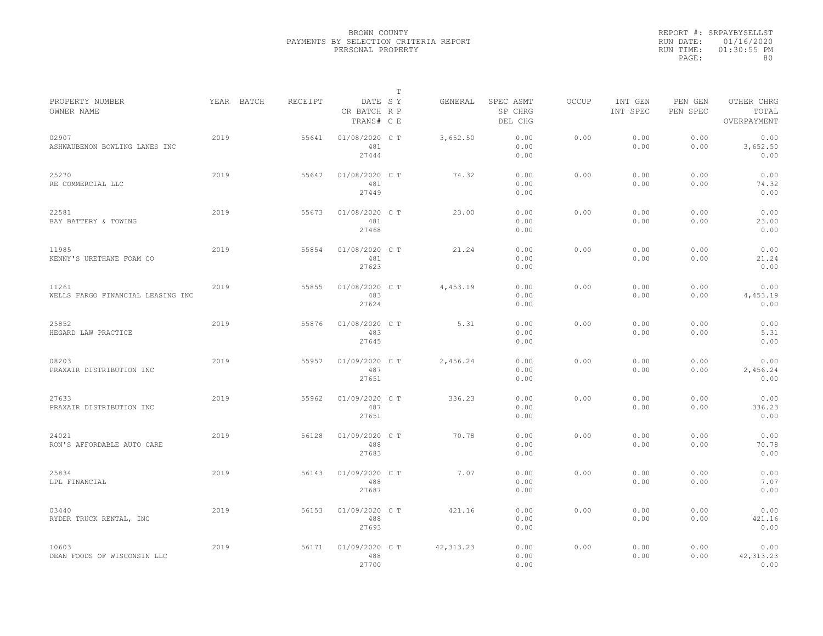|                                            |      |            |         |                                       | $\mathbb T$ |            |                                 |              |                     |                     |                                    |
|--------------------------------------------|------|------------|---------|---------------------------------------|-------------|------------|---------------------------------|--------------|---------------------|---------------------|------------------------------------|
| PROPERTY NUMBER<br>OWNER NAME              |      | YEAR BATCH | RECEIPT | DATE SY<br>CR BATCH R P<br>TRANS# C E |             | GENERAL    | SPEC ASMT<br>SP CHRG<br>DEL CHG | <b>OCCUP</b> | INT GEN<br>INT SPEC | PEN GEN<br>PEN SPEC | OTHER CHRG<br>TOTAL<br>OVERPAYMENT |
| 02907<br>ASHWAUBENON BOWLING LANES INC     | 2019 |            | 55641   | 01/08/2020 C T<br>481<br>27444        |             | 3,652.50   | 0.00<br>0.00<br>0.00            | 0.00         | 0.00<br>0.00        | 0.00<br>0.00        | 0.00<br>3,652.50<br>0.00           |
| 25270<br>RE COMMERCIAL LLC                 | 2019 |            | 55647   | 01/08/2020 C T<br>481<br>27449        |             | 74.32      | 0.00<br>0.00<br>0.00            | 0.00         | 0.00<br>0.00        | 0.00<br>0.00        | 0.00<br>74.32<br>0.00              |
| 22581<br>BAY BATTERY & TOWING              | 2019 |            | 55673   | 01/08/2020 C T<br>481<br>27468        |             | 23.00      | 0.00<br>0.00<br>0.00            | 0.00         | 0.00<br>0.00        | 0.00<br>0.00        | 0.00<br>23.00<br>0.00              |
| 11985<br>KENNY'S URETHANE FOAM CO          | 2019 |            | 55854   | 01/08/2020 C T<br>481<br>27623        |             | 21.24      | 0.00<br>0.00<br>0.00            | 0.00         | 0.00<br>0.00        | 0.00<br>0.00        | 0.00<br>21.24<br>0.00              |
| 11261<br>WELLS FARGO FINANCIAL LEASING INC | 2019 |            | 55855   | 01/08/2020 C T<br>483<br>27624        |             | 4,453.19   | 0.00<br>0.00<br>0.00            | 0.00         | 0.00<br>0.00        | 0.00<br>0.00        | 0.00<br>4,453.19<br>0.00           |
| 25852<br>HEGARD LAW PRACTICE               | 2019 |            | 55876   | 01/08/2020 C T<br>483<br>27645        |             | 5.31       | 0.00<br>0.00<br>0.00            | 0.00         | 0.00<br>0.00        | 0.00<br>0.00        | 0.00<br>5.31<br>0.00               |
| 08203<br>PRAXAIR DISTRIBUTION INC          | 2019 |            | 55957   | 01/09/2020 C T<br>487<br>27651        |             | 2,456.24   | 0.00<br>0.00<br>0.00            | 0.00         | 0.00<br>0.00        | 0.00<br>0.00        | 0.00<br>2,456.24<br>0.00           |
| 27633<br>PRAXAIR DISTRIBUTION INC          | 2019 |            | 55962   | 01/09/2020 C T<br>487<br>27651        |             | 336.23     | 0.00<br>0.00<br>0.00            | 0.00         | 0.00<br>0.00        | 0.00<br>0.00        | 0.00<br>336.23<br>0.00             |
| 24021<br>RON'S AFFORDABLE AUTO CARE        | 2019 |            | 56128   | 01/09/2020 C T<br>488<br>27683        |             | 70.78      | 0.00<br>0.00<br>0.00            | 0.00         | 0.00<br>0.00        | 0.00<br>0.00        | 0.00<br>70.78<br>0.00              |
| 25834<br>LPL FINANCIAL                     | 2019 |            | 56143   | 01/09/2020 C T<br>488<br>27687        |             | 7.07       | 0.00<br>0.00<br>0.00            | 0.00         | 0.00<br>0.00        | 0.00<br>0.00        | 0.00<br>7.07<br>0.00               |
| 03440<br>RYDER TRUCK RENTAL, INC           | 2019 |            | 56153   | 01/09/2020 C T<br>488<br>27693        |             | 421.16     | 0.00<br>0.00<br>0.00            | 0.00         | 0.00<br>0.00        | 0.00<br>0.00        | 0.00<br>421.16<br>0.00             |
| 10603<br>DEAN FOODS OF WISCONSIN LLC       | 2019 |            | 56171   | 01/09/2020 C T<br>488<br>27700        |             | 42, 313.23 | 0.00<br>0.00<br>0.00            | 0.00         | 0.00<br>0.00        | 0.00<br>0.00        | 0.00<br>42, 313.23<br>0.00         |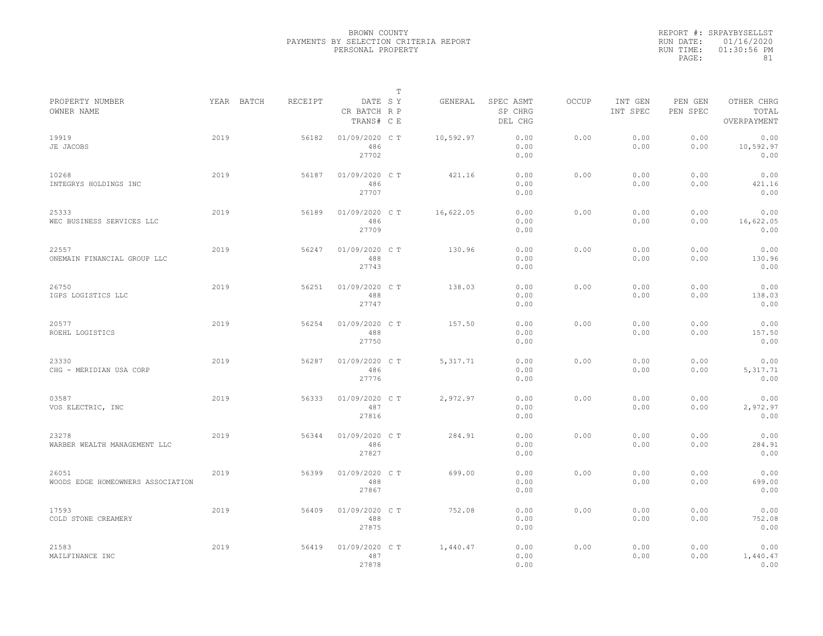|                                            |      |            |         |                                       | T |           |                                 |              |                     |                     |                                    |
|--------------------------------------------|------|------------|---------|---------------------------------------|---|-----------|---------------------------------|--------------|---------------------|---------------------|------------------------------------|
| PROPERTY NUMBER<br>OWNER NAME              |      | YEAR BATCH | RECEIPT | DATE SY<br>CR BATCH R P<br>TRANS# C E |   | GENERAL   | SPEC ASMT<br>SP CHRG<br>DEL CHG | <b>OCCUP</b> | INT GEN<br>INT SPEC | PEN GEN<br>PEN SPEC | OTHER CHRG<br>TOTAL<br>OVERPAYMENT |
| 19919<br>JE JACOBS                         | 2019 |            | 56182   | 01/09/2020 C T<br>486<br>27702        |   | 10,592.97 | 0.00<br>0.00<br>0.00            | 0.00         | 0.00<br>0.00        | 0.00<br>0.00        | 0.00<br>10,592.97<br>0.00          |
| 10268<br>INTEGRYS HOLDINGS INC             | 2019 |            | 56187   | 01/09/2020 C T<br>486<br>27707        |   | 421.16    | 0.00<br>0.00<br>0.00            | 0.00         | 0.00<br>0.00        | 0.00<br>0.00        | 0.00<br>421.16<br>0.00             |
| 25333<br>WEC BUSINESS SERVICES LLC         | 2019 |            | 56189   | 01/09/2020 CT<br>486<br>27709         |   | 16,622.05 | 0.00<br>0.00<br>0.00            | 0.00         | 0.00<br>0.00        | 0.00<br>0.00        | 0.00<br>16,622.05<br>0.00          |
| 22557<br>ONEMAIN FINANCIAL GROUP LLC       | 2019 |            | 56247   | 01/09/2020 C T<br>488<br>27743        |   | 130.96    | 0.00<br>0.00<br>0.00            | 0.00         | 0.00<br>0.00        | 0.00<br>0.00        | 0.00<br>130.96<br>0.00             |
| 26750<br>IGPS LOGISTICS LLC                | 2019 |            | 56251   | 01/09/2020 C T<br>488<br>27747        |   | 138.03    | 0.00<br>0.00<br>0.00            | 0.00         | 0.00<br>0.00        | 0.00<br>0.00        | 0.00<br>138.03<br>0.00             |
| 20577<br>ROEHL LOGISTICS                   | 2019 |            | 56254   | 01/09/2020 C T<br>488<br>27750        |   | 157.50    | 0.00<br>0.00<br>0.00            | 0.00         | 0.00<br>0.00        | 0.00<br>0.00        | 0.00<br>157.50<br>0.00             |
| 23330<br>CHG - MERIDIAN USA CORP           | 2019 |            | 56287   | 01/09/2020 C T<br>486<br>27776        |   | 5, 317.71 | 0.00<br>0.00<br>0.00            | 0.00         | 0.00<br>0.00        | 0.00<br>0.00        | 0.00<br>5, 317.71<br>0.00          |
| 03587<br>VOS ELECTRIC, INC                 | 2019 |            | 56333   | 01/09/2020 CT<br>487<br>27816         |   | 2,972.97  | 0.00<br>0.00<br>0.00            | 0.00         | 0.00<br>0.00        | 0.00<br>0.00        | 0.00<br>2,972.97<br>0.00           |
| 23278<br>WARBER WEALTH MANAGEMENT LLC      | 2019 |            | 56344   | 01/09/2020 C T<br>486<br>27827        |   | 284.91    | 0.00<br>0.00<br>0.00            | 0.00         | 0.00<br>0.00        | 0.00<br>0.00        | 0.00<br>284.91<br>0.00             |
| 26051<br>WOODS EDGE HOMEOWNERS ASSOCIATION | 2019 |            | 56399   | 01/09/2020 C T<br>488<br>27867        |   | 699.00    | 0.00<br>0.00<br>0.00            | 0.00         | 0.00<br>0.00        | 0.00<br>0.00        | 0.00<br>699.00<br>0.00             |
| 17593<br>COLD STONE CREAMERY               | 2019 |            | 56409   | 01/09/2020 C T<br>488<br>27875        |   | 752.08    | 0.00<br>0.00<br>0.00            | 0.00         | 0.00<br>0.00        | 0.00<br>0.00        | 0.00<br>752.08<br>0.00             |
| 21583<br>MAILFINANCE INC                   | 2019 |            | 56419   | 01/09/2020 C T<br>487<br>27878        |   | 1,440.47  | 0.00<br>0.00<br>0.00            | 0.00         | 0.00<br>0.00        | 0.00<br>0.00        | 0.00<br>1,440.47<br>0.00           |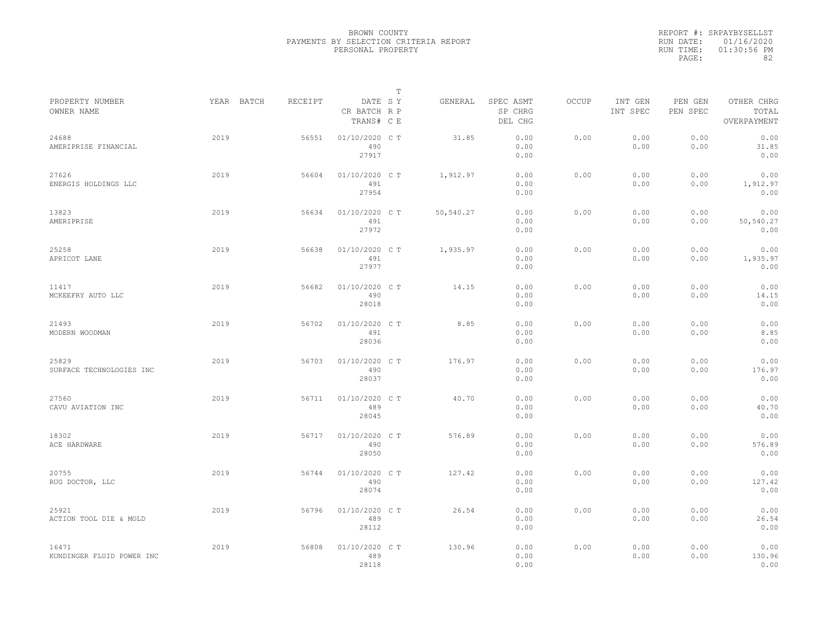|           | REPORT #: SRPAYBYSELLST |
|-----------|-------------------------|
|           | RUN DATE: 01/16/2020    |
| RUN TIME: | $01:30:56$ PM           |
| PAGE:     | 82                      |

|                                    |            |         |                                       | $\mathbb T$ |           |                                 |       |                     |                     |                                    |
|------------------------------------|------------|---------|---------------------------------------|-------------|-----------|---------------------------------|-------|---------------------|---------------------|------------------------------------|
| PROPERTY NUMBER<br>OWNER NAME      | YEAR BATCH | RECEIPT | DATE SY<br>CR BATCH R P<br>TRANS# C E |             | GENERAL   | SPEC ASMT<br>SP CHRG<br>DEL CHG | OCCUP | INT GEN<br>INT SPEC | PEN GEN<br>PEN SPEC | OTHER CHRG<br>TOTAL<br>OVERPAYMENT |
| 24688<br>AMERIPRISE FINANCIAL      | 2019       | 56551   | 01/10/2020 C T<br>490<br>27917        |             | 31.85     | 0.00<br>0.00<br>0.00            | 0.00  | 0.00<br>0.00        | 0.00<br>0.00        | 0.00<br>31.85<br>0.00              |
| 27626<br>ENERGIS HOLDINGS LLC      | 2019       | 56604   | 01/10/2020 C T<br>491<br>27954        |             | 1,912.97  | 0.00<br>0.00<br>0.00            | 0.00  | 0.00<br>0.00        | 0.00<br>0.00        | 0.00<br>1,912.97<br>0.00           |
| 13823<br>AMERIPRISE                | 2019       | 56634   | 01/10/2020 C T<br>491<br>27972        |             | 50,540.27 | 0.00<br>0.00<br>0.00            | 0.00  | 0.00<br>0.00        | 0.00<br>0.00        | 0.00<br>50,540.27<br>0.00          |
| 25258<br>APRICOT LANE              | 2019       | 56638   | 01/10/2020 C T<br>491<br>27977        |             | 1,935.97  | 0.00<br>0.00<br>0.00            | 0.00  | 0.00<br>0.00        | 0.00<br>0.00        | 0.00<br>1,935.97<br>0.00           |
| 11417<br>MCKEEFRY AUTO LLC         | 2019       | 56682   | 01/10/2020 C T<br>490<br>28018        |             | 14.15     | 0.00<br>0.00<br>0.00            | 0.00  | 0.00<br>0.00        | 0.00<br>0.00        | 0.00<br>14.15<br>0.00              |
| 21493<br>MODERN WOODMAN            | 2019       | 56702   | 01/10/2020 C T<br>491<br>28036        |             | 8.85      | 0.00<br>0.00<br>0.00            | 0.00  | 0.00<br>0.00        | 0.00<br>0.00        | 0.00<br>8.85<br>0.00               |
| 25829<br>SURFACE TECHNOLOGIES INC  | 2019       | 56703   | 01/10/2020 C T<br>490<br>28037        |             | 176.97    | 0.00<br>0.00<br>0.00            | 0.00  | 0.00<br>0.00        | 0.00<br>0.00        | 0.00<br>176.97<br>0.00             |
| 27560<br>CAVU AVIATION INC         | 2019       | 56711   | 01/10/2020 C T<br>489<br>28045        |             | 40.70     | 0.00<br>0.00<br>0.00            | 0.00  | 0.00<br>0.00        | 0.00<br>0.00        | 0.00<br>40.70<br>0.00              |
| 18302<br>ACE HARDWARE              | 2019       | 56717   | 01/10/2020 C T<br>490<br>28050        |             | 576.89    | 0.00<br>0.00<br>0.00            | 0.00  | 0.00<br>0.00        | 0.00<br>0.00        | 0.00<br>576.89<br>0.00             |
| 20755<br>RUG DOCTOR, LLC           | 2019       | 56744   | 01/10/2020 C T<br>490<br>28074        |             | 127.42    | 0.00<br>0.00<br>0.00            | 0.00  | 0.00<br>0.00        | 0.00<br>0.00        | 0.00<br>127.42<br>0.00             |
| 25921<br>ACTION TOOL DIE & MOLD    | 2019       | 56796   | 01/10/2020 C T<br>489<br>28112        |             | 26.54     | 0.00<br>0.00<br>0.00            | 0.00  | 0.00<br>0.00        | 0.00<br>0.00        | 0.00<br>26.54<br>0.00              |
| 16471<br>KUNDINGER FLUID POWER INC | 2019       | 56808   | 01/10/2020 C T<br>489<br>28118        |             | 130.96    | 0.00<br>0.00<br>0.00            | 0.00  | 0.00<br>0.00        | 0.00<br>0.00        | 0.00<br>130.96<br>0.00             |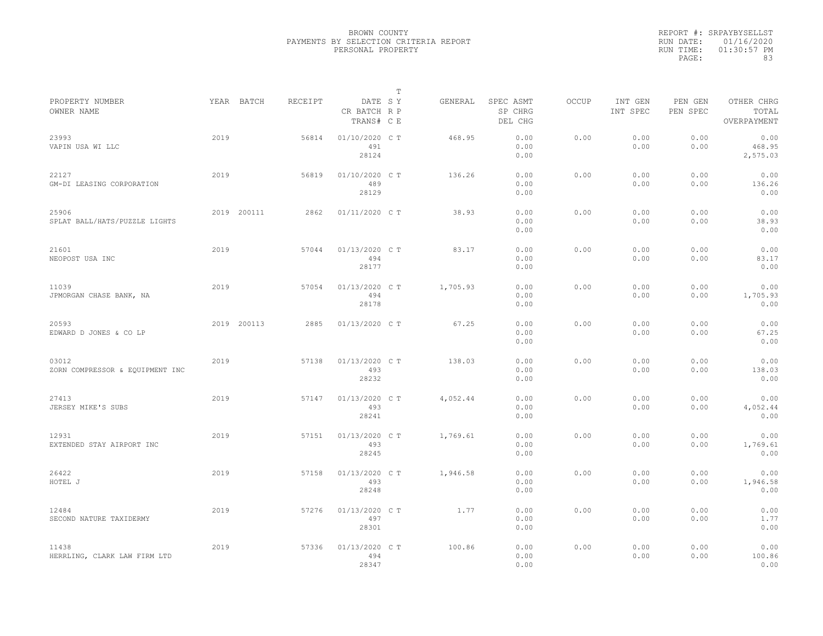|                                          |      |             |         |                                       | $\mathbb T$ |          |                                 |              |                     |                     |                                    |  |
|------------------------------------------|------|-------------|---------|---------------------------------------|-------------|----------|---------------------------------|--------------|---------------------|---------------------|------------------------------------|--|
| PROPERTY NUMBER<br>OWNER NAME            |      | YEAR BATCH  | RECEIPT | DATE SY<br>CR BATCH R P<br>TRANS# C E |             | GENERAL  | SPEC ASMT<br>SP CHRG<br>DEL CHG | <b>OCCUP</b> | INT GEN<br>INT SPEC | PEN GEN<br>PEN SPEC | OTHER CHRG<br>TOTAL<br>OVERPAYMENT |  |
| 23993<br>VAPIN USA WI LLC                | 2019 |             | 56814   | 01/10/2020 C T<br>491<br>28124        |             | 468.95   | 0.00<br>0.00<br>0.00            | 0.00         | 0.00<br>0.00        | 0.00<br>0.00        | 0.00<br>468.95<br>2,575.03         |  |
| 22127<br>GM-DI LEASING CORPORATION       | 2019 |             | 56819   | 01/10/2020 C T<br>489<br>28129        |             | 136.26   | 0.00<br>0.00<br>0.00            | 0.00         | 0.00<br>0.00        | 0.00<br>0.00        | 0.00<br>136.26<br>0.00             |  |
| 25906<br>SPLAT BALL/HATS/PUZZLE LIGHTS   |      | 2019 200111 | 2862    | 01/11/2020 C T                        |             | 38.93    | 0.00<br>0.00<br>0.00            | 0.00         | 0.00<br>0.00        | 0.00<br>0.00        | 0.00<br>38.93<br>0.00              |  |
| 21601<br>NEOPOST USA INC                 | 2019 |             | 57044   | 01/13/2020 C T<br>494<br>28177        |             | 83.17    | 0.00<br>0.00<br>0.00            | 0.00         | 0.00<br>0.00        | 0.00<br>0.00        | 0.00<br>83.17<br>0.00              |  |
| 11039<br>JPMORGAN CHASE BANK, NA         | 2019 |             | 57054   | 01/13/2020 C T<br>494<br>28178        |             | 1,705.93 | 0.00<br>0.00<br>0.00            | 0.00         | 0.00<br>0.00        | 0.00<br>0.00        | 0.00<br>1,705.93<br>0.00           |  |
| 20593<br>EDWARD D JONES & CO LP          |      | 2019 200113 | 2885    | 01/13/2020 C T                        |             | 67.25    | 0.00<br>0.00<br>0.00            | 0.00         | 0.00<br>0.00        | 0.00<br>0.00        | 0.00<br>67.25<br>0.00              |  |
| 03012<br>ZORN COMPRESSOR & EQUIPMENT INC | 2019 |             | 57138   | 01/13/2020 C T<br>493<br>28232        |             | 138.03   | 0.00<br>0.00<br>0.00            | 0.00         | 0.00<br>0.00        | 0.00<br>0.00        | 0.00<br>138.03<br>0.00             |  |
| 27413<br>JERSEY MIKE'S SUBS              | 2019 |             | 57147   | 01/13/2020 C T<br>493<br>28241        |             | 4,052.44 | 0.00<br>0.00<br>0.00            | 0.00         | 0.00<br>0.00        | 0.00<br>0.00        | 0.00<br>4,052.44<br>0.00           |  |
| 12931<br>EXTENDED STAY AIRPORT INC       | 2019 |             | 57151   | 01/13/2020 C T<br>493<br>28245        |             | 1,769.61 | 0.00<br>0.00<br>0.00            | 0.00         | 0.00<br>0.00        | 0.00<br>0.00        | 0.00<br>1,769.61<br>0.00           |  |
| 26422<br>HOTEL J                         | 2019 |             | 57158   | 01/13/2020 C T<br>493<br>28248        |             | 1,946.58 | 0.00<br>0.00<br>0.00            | 0.00         | 0.00<br>0.00        | 0.00<br>0.00        | 0.00<br>1,946.58<br>0.00           |  |
| 12484<br>SECOND NATURE TAXIDERMY         | 2019 |             | 57276   | 01/13/2020 C T<br>497<br>28301        |             | 1.77     | 0.00<br>0.00<br>0.00            | 0.00         | 0.00<br>0.00        | 0.00<br>0.00        | 0.00<br>1.77<br>0.00               |  |
| 11438<br>HERRLING, CLARK LAW FIRM LTD    | 2019 |             | 57336   | 01/13/2020 C T<br>494<br>28347        |             | 100.86   | 0.00<br>0.00<br>0.00            | 0.00         | 0.00<br>0.00        | 0.00<br>0.00        | 0.00<br>100.86<br>0.00             |  |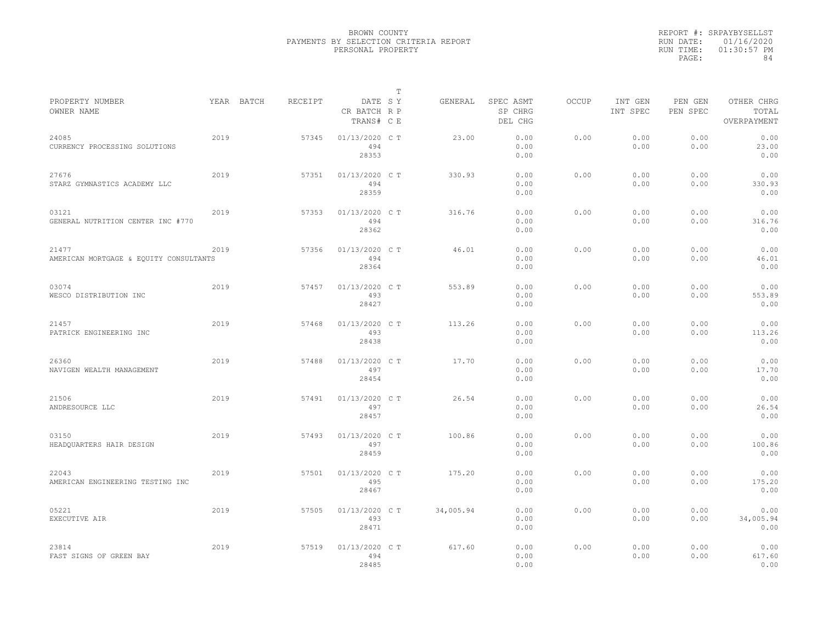|                                                 |      |            |         |                                       | $\mathbb T$ |           |                                 |              |                     |                     |                                    |
|-------------------------------------------------|------|------------|---------|---------------------------------------|-------------|-----------|---------------------------------|--------------|---------------------|---------------------|------------------------------------|
| PROPERTY NUMBER<br>OWNER NAME                   |      | YEAR BATCH | RECEIPT | DATE SY<br>CR BATCH R P<br>TRANS# C E |             | GENERAL   | SPEC ASMT<br>SP CHRG<br>DEL CHG | <b>OCCUP</b> | INT GEN<br>INT SPEC | PEN GEN<br>PEN SPEC | OTHER CHRG<br>TOTAL<br>OVERPAYMENT |
| 24085<br>CURRENCY PROCESSING SOLUTIONS          | 2019 |            | 57345   | 01/13/2020 C T<br>494<br>28353        |             | 23.00     | 0.00<br>0.00<br>0.00            | 0.00         | 0.00<br>0.00        | 0.00<br>0.00        | 0.00<br>23.00<br>0.00              |
| 27676<br>STARZ GYMNASTICS ACADEMY LLC           | 2019 |            | 57351   | 01/13/2020 C T<br>494<br>28359        |             | 330.93    | 0.00<br>0.00<br>0.00            | 0.00         | 0.00<br>0.00        | 0.00<br>0.00        | 0.00<br>330.93<br>0.00             |
| 03121<br>GENERAL NUTRITION CENTER INC #770      | 2019 |            | 57353   | 01/13/2020 C T<br>494<br>28362        |             | 316.76    | 0.00<br>0.00<br>0.00            | 0.00         | 0.00<br>0.00        | 0.00<br>0.00        | 0.00<br>316.76<br>0.00             |
| 21477<br>AMERICAN MORTGAGE & EQUITY CONSULTANTS | 2019 |            | 57356   | 01/13/2020 C T<br>494<br>28364        |             | 46.01     | 0.00<br>0.00<br>0.00            | 0.00         | 0.00<br>0.00        | 0.00<br>0.00        | 0.00<br>46.01<br>0.00              |
| 03074<br>WESCO DISTRIBUTION INC                 | 2019 |            | 57457   | 01/13/2020 C T<br>493<br>28427        |             | 553.89    | 0.00<br>0.00<br>0.00            | 0.00         | 0.00<br>0.00        | 0.00<br>0.00        | 0.00<br>553.89<br>0.00             |
| 21457<br>PATRICK ENGINEERING INC                | 2019 |            | 57468   | 01/13/2020 C T<br>493<br>28438        |             | 113.26    | 0.00<br>0.00<br>0.00            | 0.00         | 0.00<br>0.00        | 0.00<br>0.00        | 0.00<br>113.26<br>0.00             |
| 26360<br>NAVIGEN WEALTH MANAGEMENT              | 2019 |            | 57488   | 01/13/2020 C T<br>497<br>28454        |             | 17.70     | 0.00<br>0.00<br>0.00            | 0.00         | 0.00<br>0.00        | 0.00<br>0.00        | 0.00<br>17.70<br>0.00              |
| 21506<br>ANDRESOURCE LLC                        | 2019 |            | 57491   | 01/13/2020 C T<br>497<br>28457        |             | 26.54     | 0.00<br>0.00<br>0.00            | 0.00         | 0.00<br>0.00        | 0.00<br>0.00        | 0.00<br>26.54<br>0.00              |
| 03150<br>HEADQUARTERS HAIR DESIGN               | 2019 |            | 57493   | 01/13/2020 C T<br>497<br>28459        |             | 100.86    | 0.00<br>0.00<br>0.00            | 0.00         | 0.00<br>0.00        | 0.00<br>0.00        | 0.00<br>100.86<br>0.00             |
| 22043<br>AMERICAN ENGINEERING TESTING INC       | 2019 |            | 57501   | 01/13/2020 C T<br>495<br>28467        |             | 175.20    | 0.00<br>0.00<br>0.00            | 0.00         | 0.00<br>0.00        | 0.00<br>0.00        | 0.00<br>175.20<br>0.00             |
| 05221<br>EXECUTIVE AIR                          | 2019 |            | 57505   | 01/13/2020 C T<br>493<br>28471        |             | 34,005.94 | 0.00<br>0.00<br>0.00            | 0.00         | 0.00<br>0.00        | 0.00<br>0.00        | 0.00<br>34,005.94<br>0.00          |
| 23814<br>FAST SIGNS OF GREEN BAY                | 2019 |            | 57519   | 01/13/2020 C T<br>494<br>28485        |             | 617.60    | 0.00<br>0.00<br>0.00            | 0.00         | 0.00<br>0.00        | 0.00<br>0.00        | 0.00<br>617.60<br>0.00             |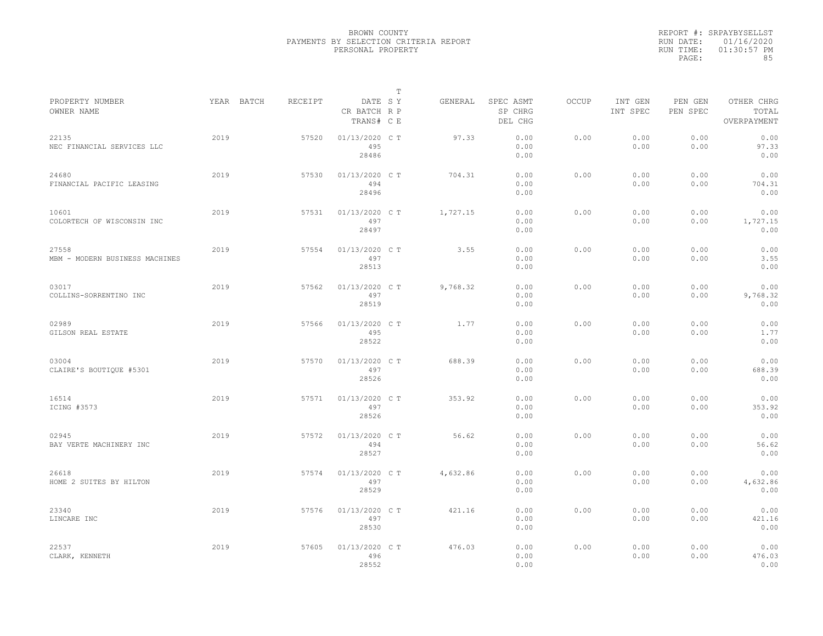|           | REPORT #: SRPAYBYSELLST |
|-----------|-------------------------|
|           | RUN DATE: 01/16/2020    |
| RUN TIME: | $01:30:57$ PM           |
| PAGE:     | 85                      |

|                                         |            |         |                                       | T |          |                                 |              |                     |                     |                                    |
|-----------------------------------------|------------|---------|---------------------------------------|---|----------|---------------------------------|--------------|---------------------|---------------------|------------------------------------|
| PROPERTY NUMBER<br>OWNER NAME           | YEAR BATCH | RECEIPT | DATE SY<br>CR BATCH R P<br>TRANS# C E |   | GENERAL  | SPEC ASMT<br>SP CHRG<br>DEL CHG | <b>OCCUP</b> | INT GEN<br>INT SPEC | PEN GEN<br>PEN SPEC | OTHER CHRG<br>TOTAL<br>OVERPAYMENT |
| 22135<br>NEC FINANCIAL SERVICES LLC     | 2019       | 57520   | 01/13/2020 C T<br>495<br>28486        |   | 97.33    | 0.00<br>0.00<br>0.00            | 0.00         | 0.00<br>0.00        | 0.00<br>0.00        | 0.00<br>97.33<br>0.00              |
| 24680<br>FINANCIAL PACIFIC LEASING      | 2019       | 57530   | 01/13/2020 C T<br>494<br>28496        |   | 704.31   | 0.00<br>0.00<br>0.00            | 0.00         | 0.00<br>0.00        | 0.00<br>0.00        | 0.00<br>704.31<br>0.00             |
| 10601<br>COLORTECH OF WISCONSIN INC     | 2019       | 57531   | 01/13/2020 C T<br>497<br>28497        |   | 1,727.15 | 0.00<br>0.00<br>0.00            | 0.00         | 0.00<br>0.00        | 0.00<br>0.00        | 0.00<br>1,727.15<br>0.00           |
| 27558<br>MBM - MODERN BUSINESS MACHINES | 2019       | 57554   | 01/13/2020 C T<br>497<br>28513        |   | 3.55     | 0.00<br>0.00<br>0.00            | 0.00         | 0.00<br>0.00        | 0.00<br>0.00        | 0.00<br>3.55<br>0.00               |
| 03017<br>COLLINS-SORRENTINO INC         | 2019       | 57562   | 01/13/2020 C T<br>497<br>28519        |   | 9,768.32 | 0.00<br>0.00<br>0.00            | 0.00         | 0.00<br>0.00        | 0.00<br>0.00        | 0.00<br>9,768.32<br>0.00           |
| 02989<br>GILSON REAL ESTATE             | 2019       | 57566   | 01/13/2020 C T<br>495<br>28522        |   | 1.77     | 0.00<br>0.00<br>0.00            | 0.00         | 0.00<br>0.00        | 0.00<br>0.00        | 0.00<br>1.77<br>0.00               |
| 03004<br>CLAIRE'S BOUTIQUE #5301        | 2019       | 57570   | 01/13/2020 C T<br>497<br>28526        |   | 688.39   | 0.00<br>0.00<br>0.00            | 0.00         | 0.00<br>0.00        | 0.00<br>0.00        | 0.00<br>688.39<br>0.00             |
| 16514<br>ICING #3573                    | 2019       | 57571   | 01/13/2020 C T<br>497<br>28526        |   | 353.92   | 0.00<br>0.00<br>0.00            | 0.00         | 0.00<br>0.00        | 0.00<br>0.00        | 0.00<br>353.92<br>0.00             |
| 02945<br>BAY VERTE MACHINERY INC        | 2019       | 57572   | 01/13/2020 C T<br>494<br>28527        |   | 56.62    | 0.00<br>0.00<br>0.00            | 0.00         | 0.00<br>0.00        | 0.00<br>0.00        | 0.00<br>56.62<br>0.00              |
| 26618<br>HOME 2 SUITES BY HILTON        | 2019       | 57574   | 01/13/2020 C T<br>497<br>28529        |   | 4,632.86 | 0.00<br>0.00<br>0.00            | 0.00         | 0.00<br>0.00        | 0.00<br>0.00        | 0.00<br>4,632.86<br>0.00           |
| 23340<br>LINCARE INC                    | 2019       | 57576   | 01/13/2020 C T<br>497<br>28530        |   | 421.16   | 0.00<br>0.00<br>0.00            | 0.00         | 0.00<br>0.00        | 0.00<br>0.00        | 0.00<br>421.16<br>0.00             |
| 22537<br>CLARK, KENNETH                 | 2019       | 57605   | 01/13/2020 C T<br>496<br>28552        |   | 476.03   | 0.00<br>0.00<br>0.00            | 0.00         | 0.00<br>0.00        | 0.00<br>0.00        | 0.00<br>476.03<br>0.00             |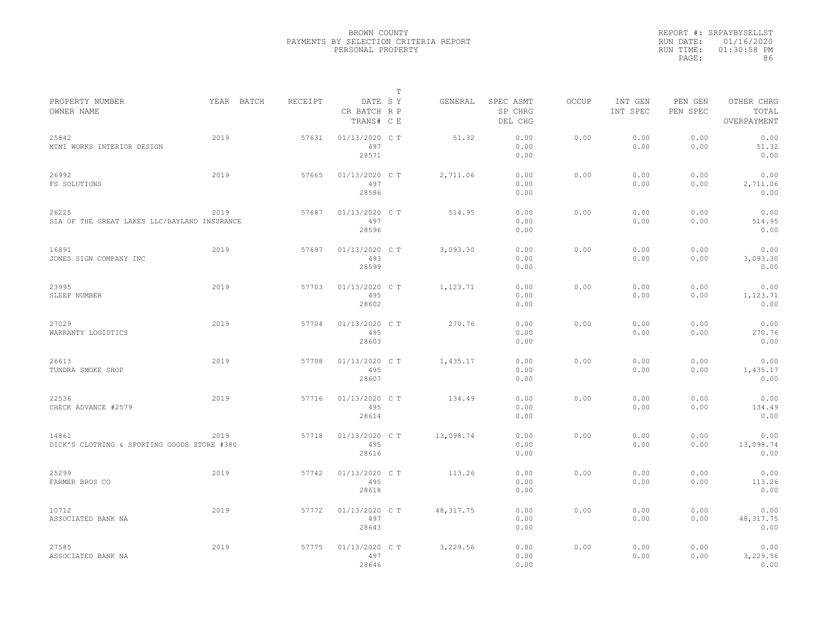|                                                       |            |         |                                       | $\mathbb{T}$ |            |                                 |              |                     |                     |                                    |
|-------------------------------------------------------|------------|---------|---------------------------------------|--------------|------------|---------------------------------|--------------|---------------------|---------------------|------------------------------------|
| PROPERTY NUMBER<br>OWNER NAME                         | YEAR BATCH | RECEIPT | DATE SY<br>CR BATCH R P<br>TRANS# C E |              | GENERAL    | SPEC ASMT<br>SP CHRG<br>DEL CHG | <b>OCCUP</b> | INT GEN<br>INT SPEC | PEN GEN<br>PEN SPEC | OTHER CHRG<br>TOTAL<br>OVERPAYMENT |
| 25842<br>MIMI WORKS INTERIOR DESIGN                   | 2019       | 57631   | 01/13/2020 C T<br>497<br>28571        |              | 51.32      | 0.00<br>0.00<br>0.00            | 0.00         | 0.00<br>0.00        | 0.00<br>0.00        | 0.00<br>51.32<br>0.00              |
| 26992<br>FS SOLUTIONS                                 | 2019       | 57665   | 01/13/2020 C T<br>497<br>28586        |              | 2,711.06   | 0.00<br>0.00<br>0.00            | 0.00         | 0.00<br>0.00        | 0.00<br>0.00        | 0.00<br>2,711.06<br>0.00           |
| 26225<br>SIA OF THE GREAT LAKES LLC/BAYLAND INSURANCE | 2019       | 57687   | 01/13/2020 C T<br>497<br>28596        |              | 514.95     | 0.00<br>0.00<br>0.00            | 0.00         | 0.00<br>0.00        | 0.00<br>0.00        | 0.00<br>514.95<br>0.00             |
| 16891<br>JONES SIGN COMPANY INC                       | 2019       | 57697   | 01/13/2020 C T<br>493<br>28599        |              | 3,093.30   | 0.00<br>0.00<br>0.00            | 0.00         | 0.00<br>0.00        | 0.00<br>0.00        | 0.00<br>3,093.30<br>0.00           |
| 23995<br>SLEEP NUMBER                                 | 2019       | 57703   | 01/13/2020 C T<br>495<br>28602        |              | 1,123.71   | 0.00<br>0.00<br>0.00            | 0.00         | 0.00<br>0.00        | 0.00<br>0.00        | 0.00<br>1,123.71<br>0.00           |
| 27029<br>WARRANTY LOGISTICS                           | 2019       | 57704   | 01/13/2020 C T<br>495<br>28603        |              | 270.76     | 0.00<br>0.00<br>0.00            | 0.00         | 0.00<br>0.00        | 0.00<br>0.00        | 0.00<br>270.76<br>0.00             |
| 26613<br>TUNDRA SMOKE SHOP                            | 2019       | 57708   | 01/13/2020 C T<br>495<br>28607        |              | 1,435.17   | 0.00<br>0.00<br>0.00            | 0.00         | 0.00<br>0.00        | 0.00<br>0.00        | 0.00<br>1,435.17<br>0.00           |
| 22536<br>CHECK ADVANCE #2579                          | 2019       | 57716   | 01/13/2020 C T<br>495<br>28614        |              | 134.49     | 0.00<br>0.00<br>0.00            | 0.00         | 0.00<br>0.00        | 0.00<br>0.00        | 0.00<br>134.49<br>0.00             |
| 14861<br>DICK'S CLOTHING & SPORTING GOODS STORE #380  | 2019       | 57718   | 01/13/2020 C T<br>495<br>28616        |              | 13,098.74  | 0.00<br>0.00<br>0.00            | 0.00         | 0.00<br>0.00        | 0.00<br>0.00        | 0.00<br>13,098.74<br>0.00          |
| 25299<br>FARMER BROS CO                               | 2019       | 57742   | 01/13/2020 C T<br>495<br>28618        |              | 113.26     | 0.00<br>0.00<br>0.00            | 0.00         | 0.00<br>0.00        | 0.00<br>0.00        | 0.00<br>113.26<br>0.00             |
| 10712<br>ASSOCIATED BANK NA                           | 2019       | 57772   | 01/13/2020 C T<br>497<br>28643        |              | 48, 317.75 | 0.00<br>0.00<br>0.00            | 0.00         | 0.00<br>0.00        | 0.00<br>0.00        | 0.00<br>48, 317.75<br>0.00         |
| 27585<br>ASSOCIATED BANK NA                           | 2019       | 57775   | 01/13/2020 C T<br>497<br>28646        |              | 3,229.56   | 0.00<br>0.00<br>0.00            | 0.00         | 0.00<br>0.00        | 0.00<br>0.00        | 0.00<br>3,229.56<br>0.00           |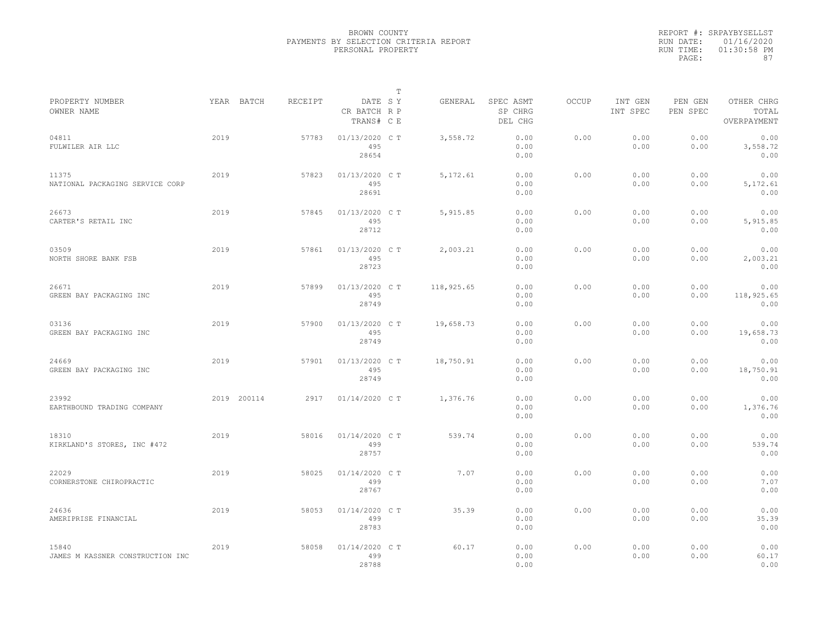|                                           |      |             |         |                                       | $\mathbb T$ |            |                                 |              |                     |                     |                                    |
|-------------------------------------------|------|-------------|---------|---------------------------------------|-------------|------------|---------------------------------|--------------|---------------------|---------------------|------------------------------------|
| PROPERTY NUMBER<br>OWNER NAME             |      | YEAR BATCH  | RECEIPT | DATE SY<br>CR BATCH R P<br>TRANS# C E |             | GENERAL    | SPEC ASMT<br>SP CHRG<br>DEL CHG | <b>OCCUP</b> | INT GEN<br>INT SPEC | PEN GEN<br>PEN SPEC | OTHER CHRG<br>TOTAL<br>OVERPAYMENT |
| 04811<br>FULWILER AIR LLC                 | 2019 |             | 57783   | 01/13/2020 C T<br>495<br>28654        |             | 3,558.72   | 0.00<br>0.00<br>0.00            | 0.00         | 0.00<br>0.00        | 0.00<br>0.00        | 0.00<br>3,558.72<br>0.00           |
| 11375<br>NATIONAL PACKAGING SERVICE CORP  | 2019 |             | 57823   | 01/13/2020 C T<br>495<br>28691        |             | 5, 172.61  | 0.00<br>0.00<br>0.00            | 0.00         | 0.00<br>0.00        | 0.00<br>0.00        | 0.00<br>5,172.61<br>0.00           |
| 26673<br>CARTER'S RETAIL INC              | 2019 |             | 57845   | 01/13/2020 C T<br>495<br>28712        |             | 5,915.85   | 0.00<br>0.00<br>0.00            | 0.00         | 0.00<br>0.00        | 0.00<br>0.00        | 0.00<br>5,915.85<br>0.00           |
| 03509<br>NORTH SHORE BANK FSB             | 2019 |             | 57861   | 01/13/2020 C T<br>495<br>28723        |             | 2,003.21   | 0.00<br>0.00<br>0.00            | 0.00         | 0.00<br>0.00        | 0.00<br>0.00        | 0.00<br>2,003.21<br>0.00           |
| 26671<br>GREEN BAY PACKAGING INC          | 2019 |             | 57899   | 01/13/2020 C T<br>495<br>28749        |             | 118,925.65 | 0.00<br>0.00<br>0.00            | 0.00         | 0.00<br>0.00        | 0.00<br>0.00        | 0.00<br>118,925.65<br>0.00         |
| 03136<br>GREEN BAY PACKAGING INC          | 2019 |             | 57900   | 01/13/2020 C T<br>495<br>28749        |             | 19,658.73  | 0.00<br>0.00<br>0.00            | 0.00         | 0.00<br>0.00        | 0.00<br>0.00        | 0.00<br>19,658.73<br>0.00          |
| 24669<br>GREEN BAY PACKAGING INC          | 2019 |             | 57901   | 01/13/2020 C T<br>495<br>28749        |             | 18,750.91  | 0.00<br>0.00<br>0.00            | 0.00         | 0.00<br>0.00        | 0.00<br>0.00        | 0.00<br>18,750.91<br>0.00          |
| 23992<br>EARTHBOUND TRADING COMPANY       |      | 2019 200114 | 2917    | 01/14/2020 C T                        |             | 1,376.76   | 0.00<br>0.00<br>0.00            | 0.00         | 0.00<br>0.00        | 0.00<br>0.00        | 0.00<br>1,376.76<br>0.00           |
| 18310<br>KIRKLAND'S STORES, INC #472      | 2019 |             | 58016   | 01/14/2020 C T<br>499<br>28757        |             | 539.74     | 0.00<br>0.00<br>0.00            | 0.00         | 0.00<br>0.00        | 0.00<br>0.00        | 0.00<br>539.74<br>0.00             |
| 22029<br>CORNERSTONE CHIROPRACTIC         | 2019 |             | 58025   | 01/14/2020 C T<br>499<br>28767        |             | 7.07       | 0.00<br>0.00<br>0.00            | 0.00         | 0.00<br>0.00        | 0.00<br>0.00        | 0.00<br>7.07<br>0.00               |
| 24636<br>AMERIPRISE FINANCIAL             | 2019 |             | 58053   | 01/14/2020 C T<br>499<br>28783        |             | 35.39      | 0.00<br>0.00<br>0.00            | 0.00         | 0.00<br>0.00        | 0.00<br>0.00        | 0.00<br>35.39<br>0.00              |
| 15840<br>JAMES M KASSNER CONSTRUCTION INC | 2019 |             | 58058   | 01/14/2020 C T<br>499<br>28788        |             | 60.17      | 0.00<br>0.00<br>0.00            | 0.00         | 0.00<br>0.00        | 0.00<br>0.00        | 0.00<br>60.17<br>0.00              |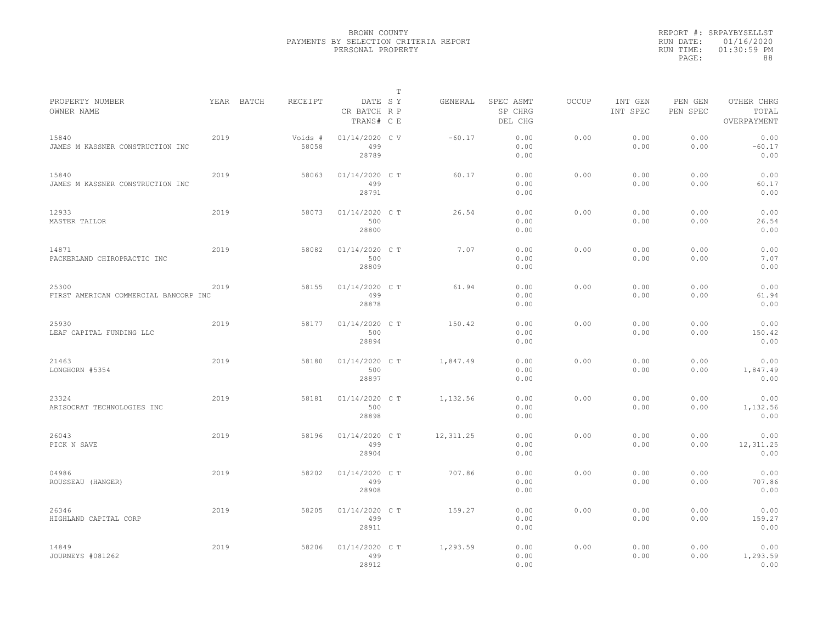|           | REPORT #: SRPAYBYSELLST |
|-----------|-------------------------|
|           | RUN DATE: 01/16/2020    |
| RUN TIME: | $01:30:59$ PM           |
| PAGE:     | 88                      |

|                                                |      |            |                  |                                       | T |            |                                 |              |                     |                     |                                    |
|------------------------------------------------|------|------------|------------------|---------------------------------------|---|------------|---------------------------------|--------------|---------------------|---------------------|------------------------------------|
| PROPERTY NUMBER<br>OWNER NAME                  |      | YEAR BATCH | RECEIPT          | DATE SY<br>CR BATCH R P<br>TRANS# C E |   | GENERAL    | SPEC ASMT<br>SP CHRG<br>DEL CHG | <b>OCCUP</b> | INT GEN<br>INT SPEC | PEN GEN<br>PEN SPEC | OTHER CHRG<br>TOTAL<br>OVERPAYMENT |
| 15840<br>JAMES M KASSNER CONSTRUCTION INC      | 2019 |            | Voids #<br>58058 | 01/14/2020 CV<br>499<br>28789         |   | $-60.17$   | 0.00<br>0.00<br>0.00            | 0.00         | 0.00<br>0.00        | 0.00<br>0.00        | 0.00<br>$-60.17$<br>0.00           |
| 15840<br>JAMES M KASSNER CONSTRUCTION INC      | 2019 |            | 58063            | 01/14/2020 C T<br>499<br>28791        |   | 60.17      | 0.00<br>0.00<br>0.00            | 0.00         | 0.00<br>0.00        | 0.00<br>0.00        | 0.00<br>60.17<br>0.00              |
| 12933<br>MASTER TAILOR                         | 2019 |            | 58073            | 01/14/2020 C T<br>500<br>28800        |   | 26.54      | 0.00<br>0.00<br>0.00            | 0.00         | 0.00<br>0.00        | 0.00<br>0.00        | 0.00<br>26.54<br>0.00              |
| 14871<br>PACKERLAND CHIROPRACTIC INC           | 2019 |            | 58082            | 01/14/2020 C T<br>500<br>28809        |   | 7.07       | 0.00<br>0.00<br>0.00            | 0.00         | 0.00<br>0.00        | 0.00<br>0.00        | 0.00<br>7.07<br>0.00               |
| 25300<br>FIRST AMERICAN COMMERCIAL BANCORP INC | 2019 |            | 58155            | 01/14/2020 C T<br>499<br>28878        |   | 61.94      | 0.00<br>0.00<br>0.00            | 0.00         | 0.00<br>0.00        | 0.00<br>0.00        | 0.00<br>61.94<br>0.00              |
| 25930<br>LEAF CAPITAL FUNDING LLC              | 2019 |            | 58177            | 01/14/2020 C T<br>500<br>28894        |   | 150.42     | 0.00<br>0.00<br>0.00            | 0.00         | 0.00<br>0.00        | 0.00<br>0.00        | 0.00<br>150.42<br>0.00             |
| 21463<br>LONGHORN #5354                        | 2019 |            | 58180            | 01/14/2020 C T<br>500<br>28897        |   | 1,847.49   | 0.00<br>0.00<br>0.00            | 0.00         | 0.00<br>0.00        | 0.00<br>0.00        | 0.00<br>1,847.49<br>0.00           |
| 23324<br>ARISOCRAT TECHNOLOGIES INC            | 2019 |            | 58181            | 01/14/2020 C T<br>500<br>28898        |   | 1,132.56   | 0.00<br>0.00<br>0.00            | 0.00         | 0.00<br>0.00        | 0.00<br>0.00        | 0.00<br>1,132.56<br>0.00           |
| 26043<br>PICK N SAVE                           | 2019 |            | 58196            | 01/14/2020 C T<br>499<br>28904        |   | 12, 311.25 | 0.00<br>0.00<br>0.00            | 0.00         | 0.00<br>0.00        | 0.00<br>0.00        | 0.00<br>12, 311.25<br>0.00         |
| 04986<br>ROUSSEAU (HANGER)                     | 2019 |            | 58202            | 01/14/2020 C T<br>499<br>28908        |   | 707.86     | 0.00<br>0.00<br>0.00            | 0.00         | 0.00<br>0.00        | 0.00<br>0.00        | 0.00<br>707.86<br>0.00             |
| 26346<br>HIGHLAND CAPITAL CORP                 | 2019 |            | 58205            | 01/14/2020 C T<br>499<br>28911        |   | 159.27     | 0.00<br>0.00<br>0.00            | 0.00         | 0.00<br>0.00        | 0.00<br>0.00        | 0.00<br>159.27<br>0.00             |
| 14849<br>JOURNEYS #081262                      | 2019 |            | 58206            | 01/14/2020 C T<br>499<br>28912        |   | 1,293.59   | 0.00<br>0.00<br>0.00            | 0.00         | 0.00<br>0.00        | 0.00<br>0.00        | 0.00<br>1,293.59<br>0.00           |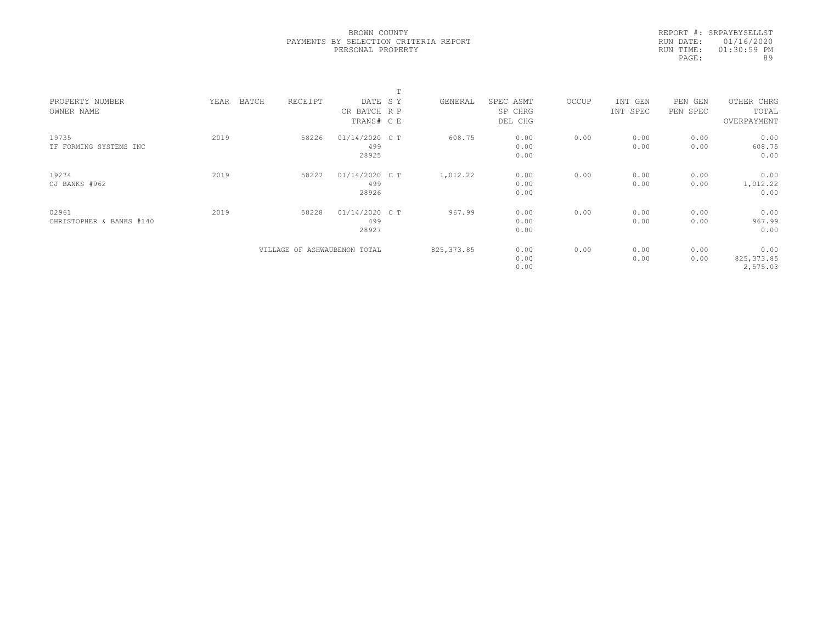|           | REPORT #: SRPAYBYSELLST |
|-----------|-------------------------|
|           | RUN DATE: 01/16/2020    |
| RUN TIME: | $01:30:59$ PM           |
| PAGE:     | 89                      |
|           |                         |

|                                   |      |                              |                                       | m |             |                                 |       |                     |                        |                                    |  |
|-----------------------------------|------|------------------------------|---------------------------------------|---|-------------|---------------------------------|-------|---------------------|------------------------|------------------------------------|--|
| PROPERTY NUMBER<br>OWNER NAME     | YEAR | BATCH<br>RECEIPT             | DATE SY<br>CR BATCH R P<br>TRANS# C E |   | GENERAL     | SPEC ASMT<br>SP CHRG<br>DEL CHG | OCCUP | INT GEN<br>INT SPEC | PEN<br>GEN<br>PEN SPEC | OTHER CHRG<br>TOTAL<br>OVERPAYMENT |  |
| 19735<br>TF FORMING SYSTEMS INC   | 2019 | 58226                        | 01/14/2020 C T<br>499<br>28925        |   | 608.75      | 0.00<br>0.00<br>0.00            | 0.00  | 0.00<br>0.00        | 0.00<br>0.00           | 0.00<br>608.75<br>0.00             |  |
| 19274<br>CJ BANKS #962            | 2019 | 58227                        | 01/14/2020 C T<br>499<br>28926        |   | 1,012.22    | 0.00<br>0.00<br>0.00            | 0.00  | 0.00<br>0.00        | 0.00<br>0.00           | 0.00<br>1,012.22<br>0.00           |  |
| 02961<br>CHRISTOPHER & BANKS #140 | 2019 | 58228                        | 01/14/2020 C T<br>499<br>28927        |   | 967.99      | 0.00<br>0.00<br>0.00            | 0.00  | 0.00<br>0.00        | 0.00<br>0.00           | 0.00<br>967.99<br>0.00             |  |
|                                   |      | VILLAGE OF ASHWAUBENON TOTAL |                                       |   | 825, 373.85 | 0.00<br>0.00<br>0.00            | 0.00  | 0.00<br>0.00        | 0.00<br>0.00           | 0.00<br>825, 373.85<br>2,575.03    |  |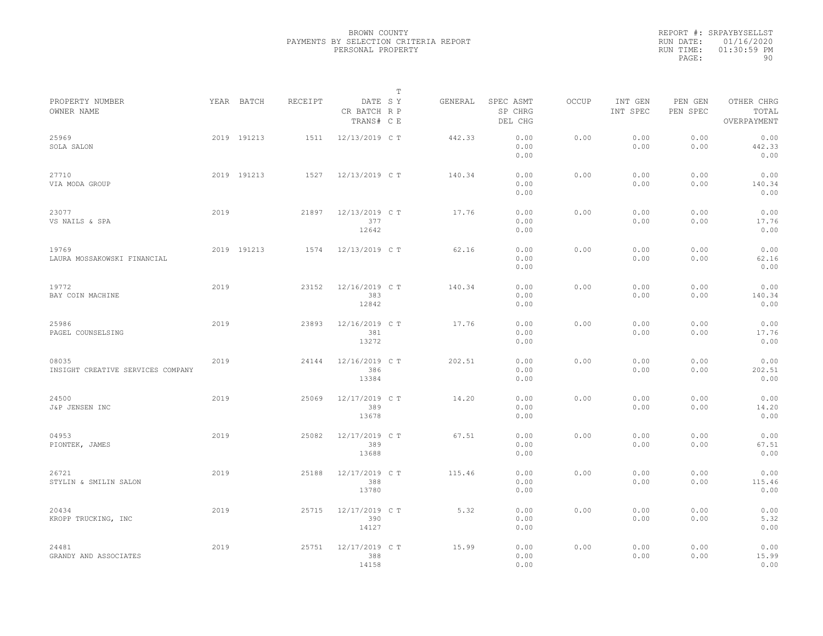|           | REPORT #: SRPAYBYSELLST |
|-----------|-------------------------|
|           | RUN DATE: 01/16/2020    |
| RUN TIME: | $01:30:59$ PM           |
| PAGE:     | 90.                     |
|           |                         |

|                                            |      |             |         |                                       | T |         |                                 |              |                     |                     |                                    |
|--------------------------------------------|------|-------------|---------|---------------------------------------|---|---------|---------------------------------|--------------|---------------------|---------------------|------------------------------------|
| PROPERTY NUMBER<br>OWNER NAME              |      | YEAR BATCH  | RECEIPT | DATE SY<br>CR BATCH R P<br>TRANS# C E |   | GENERAL | SPEC ASMT<br>SP CHRG<br>DEL CHG | <b>OCCUP</b> | INT GEN<br>INT SPEC | PEN GEN<br>PEN SPEC | OTHER CHRG<br>TOTAL<br>OVERPAYMENT |
| 25969<br>SOLA SALON                        |      | 2019 191213 | 1511    | 12/13/2019 C T                        |   | 442.33  | 0.00<br>0.00<br>0.00            | 0.00         | 0.00<br>0.00        | 0.00<br>0.00        | 0.00<br>442.33<br>0.00             |
| 27710<br>VIA MODA GROUP                    |      | 2019 191213 | 1527    | 12/13/2019 C T                        |   | 140.34  | 0.00<br>0.00<br>0.00            | 0.00         | 0.00<br>0.00        | 0.00<br>0.00        | 0.00<br>140.34<br>0.00             |
| 23077<br>VS NAILS & SPA                    | 2019 |             | 21897   | 12/13/2019 C T<br>377<br>12642        |   | 17.76   | 0.00<br>0.00<br>0.00            | 0.00         | 0.00<br>0.00        | 0.00<br>0.00        | 0.00<br>17.76<br>0.00              |
| 19769<br>LAURA MOSSAKOWSKI FINANCIAL       |      | 2019 191213 | 1574    | 12/13/2019 C T                        |   | 62.16   | 0.00<br>0.00<br>0.00            | 0.00         | 0.00<br>0.00        | 0.00<br>0.00        | 0.00<br>62.16<br>0.00              |
| 19772<br>BAY COIN MACHINE                  | 2019 |             | 23152   | 12/16/2019 C T<br>383<br>12842        |   | 140.34  | 0.00<br>0.00<br>0.00            | 0.00         | 0.00<br>0.00        | 0.00<br>0.00        | 0.00<br>140.34<br>0.00             |
| 25986<br>PAGEL COUNSELSING                 | 2019 |             | 23893   | 12/16/2019 C T<br>381<br>13272        |   | 17.76   | 0.00<br>0.00<br>0.00            | 0.00         | 0.00<br>0.00        | 0.00<br>0.00        | 0.00<br>17.76<br>0.00              |
| 08035<br>INSIGHT CREATIVE SERVICES COMPANY | 2019 |             | 24144   | 12/16/2019 C T<br>386<br>13384        |   | 202.51  | 0.00<br>0.00<br>0.00            | 0.00         | 0.00<br>0.00        | 0.00<br>0.00        | 0.00<br>202.51<br>0.00             |
| 24500<br>J&P JENSEN INC                    | 2019 |             | 25069   | 12/17/2019 C T<br>389<br>13678        |   | 14.20   | 0.00<br>0.00<br>0.00            | 0.00         | 0.00<br>0.00        | 0.00<br>0.00        | 0.00<br>14.20<br>0.00              |
| 04953<br>PIONTEK, JAMES                    | 2019 |             | 25082   | 12/17/2019 C T<br>389<br>13688        |   | 67.51   | 0.00<br>0.00<br>0.00            | 0.00         | 0.00<br>0.00        | 0.00<br>0.00        | 0.00<br>67.51<br>0.00              |
| 26721<br>STYLIN & SMILIN SALON             | 2019 |             | 25188   | 12/17/2019 C T<br>388<br>13780        |   | 115.46  | 0.00<br>0.00<br>0.00            | 0.00         | 0.00<br>0.00        | 0.00<br>0.00        | 0.00<br>115.46<br>0.00             |
| 20434<br>KROPP TRUCKING, INC               | 2019 |             | 25715   | 12/17/2019 C T<br>390<br>14127        |   | 5.32    | 0.00<br>0.00<br>0.00            | 0.00         | 0.00<br>0.00        | 0.00<br>0.00        | 0.00<br>5.32<br>0.00               |
| 24481<br>GRANDY AND ASSOCIATES             | 2019 |             | 25751   | 12/17/2019 C T<br>388<br>14158        |   | 15.99   | 0.00<br>0.00<br>0.00            | 0.00         | 0.00<br>0.00        | 0.00<br>0.00        | 0.00<br>15.99<br>0.00              |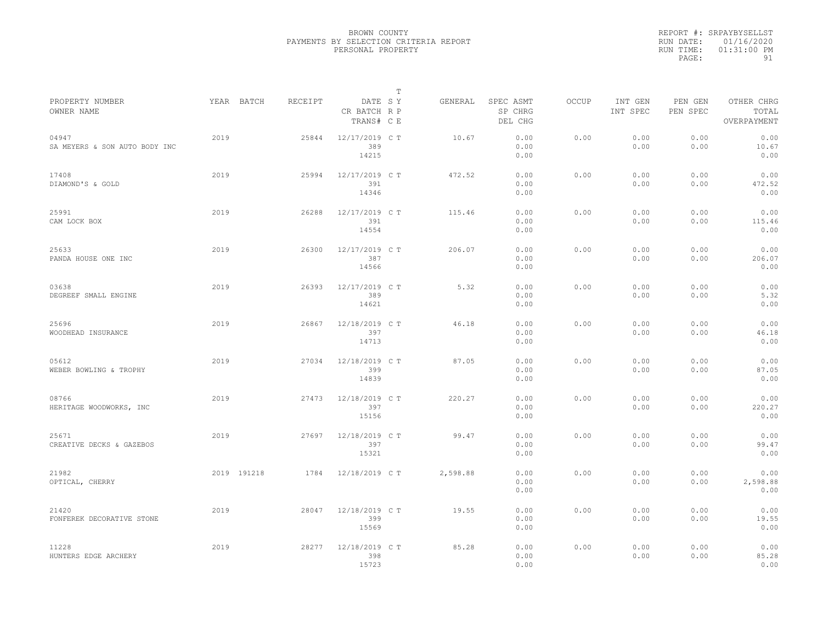|                                        |             |         |                                       | $\mathbb T$ |          |                                 |              |                     |                     |                                    |  |
|----------------------------------------|-------------|---------|---------------------------------------|-------------|----------|---------------------------------|--------------|---------------------|---------------------|------------------------------------|--|
| PROPERTY NUMBER<br>OWNER NAME          | YEAR BATCH  | RECEIPT | DATE SY<br>CR BATCH R P<br>TRANS# C E |             | GENERAL  | SPEC ASMT<br>SP CHRG<br>DEL CHG | <b>OCCUP</b> | INT GEN<br>INT SPEC | PEN GEN<br>PEN SPEC | OTHER CHRG<br>TOTAL<br>OVERPAYMENT |  |
| 04947<br>SA MEYERS & SON AUTO BODY INC | 2019        | 25844   | 12/17/2019 C T<br>389<br>14215        |             | 10.67    | 0.00<br>0.00<br>0.00            | 0.00         | 0.00<br>0.00        | 0.00<br>0.00        | 0.00<br>10.67<br>0.00              |  |
| 17408<br>DIAMOND'S & GOLD              | 2019        | 25994   | 12/17/2019 C T<br>391<br>14346        |             | 472.52   | 0.00<br>0.00<br>0.00            | 0.00         | 0.00<br>0.00        | 0.00<br>0.00        | 0.00<br>472.52<br>0.00             |  |
| 25991<br>CAM LOCK BOX                  | 2019        | 26288   | 12/17/2019 C T<br>391<br>14554        |             | 115.46   | 0.00<br>0.00<br>0.00            | 0.00         | 0.00<br>0.00        | 0.00<br>0.00        | 0.00<br>115.46<br>0.00             |  |
| 25633<br>PANDA HOUSE ONE INC           | 2019        | 26300   | 12/17/2019 C T<br>387<br>14566        |             | 206.07   | 0.00<br>0.00<br>0.00            | 0.00         | 0.00<br>0.00        | 0.00<br>0.00        | 0.00<br>206.07<br>0.00             |  |
| 03638<br>DEGREEF SMALL ENGINE          | 2019        | 26393   | 12/17/2019 C T<br>389<br>14621        |             | 5.32     | 0.00<br>0.00<br>0.00            | 0.00         | 0.00<br>0.00        | 0.00<br>0.00        | 0.00<br>5.32<br>0.00               |  |
| 25696<br>WOODHEAD INSURANCE            | 2019        | 26867   | 12/18/2019 C T<br>397<br>14713        |             | 46.18    | 0.00<br>0.00<br>0.00            | 0.00         | 0.00<br>0.00        | 0.00<br>0.00        | 0.00<br>46.18<br>0.00              |  |
| 05612<br>WEBER BOWLING & TROPHY        | 2019        | 27034   | 12/18/2019 C T<br>399<br>14839        |             | 87.05    | 0.00<br>0.00<br>0.00            | 0.00         | 0.00<br>0.00        | 0.00<br>0.00        | 0.00<br>87.05<br>0.00              |  |
| 08766<br>HERITAGE WOODWORKS, INC       | 2019        | 27473   | 12/18/2019 C T<br>397<br>15156        |             | 220.27   | 0.00<br>0.00<br>0.00            | 0.00         | 0.00<br>0.00        | 0.00<br>0.00        | 0.00<br>220.27<br>0.00             |  |
| 25671<br>CREATIVE DECKS & GAZEBOS      | 2019        | 27697   | 12/18/2019 C T<br>397<br>15321        |             | 99.47    | 0.00<br>0.00<br>0.00            | 0.00         | 0.00<br>0.00        | 0.00<br>0.00        | 0.00<br>99.47<br>0.00              |  |
| 21982<br>OPTICAL, CHERRY               | 2019 191218 | 1784    | 12/18/2019 C T                        |             | 2,598.88 | 0.00<br>0.00<br>0.00            | 0.00         | 0.00<br>0.00        | 0.00<br>0.00        | 0.00<br>2,598.88<br>0.00           |  |
| 21420<br>FONFEREK DECORATIVE STONE     | 2019        | 28047   | 12/18/2019 C T<br>399<br>15569        |             | 19.55    | 0.00<br>0.00<br>0.00            | 0.00         | 0.00<br>0.00        | 0.00<br>0.00        | 0.00<br>19.55<br>0.00              |  |
| 11228<br>HUNTERS EDGE ARCHERY          | 2019        | 28277   | 12/18/2019 C T<br>398<br>15723        |             | 85.28    | 0.00<br>0.00<br>0.00            | 0.00         | 0.00<br>0.00        | 0.00<br>0.00        | 0.00<br>85.28<br>0.00              |  |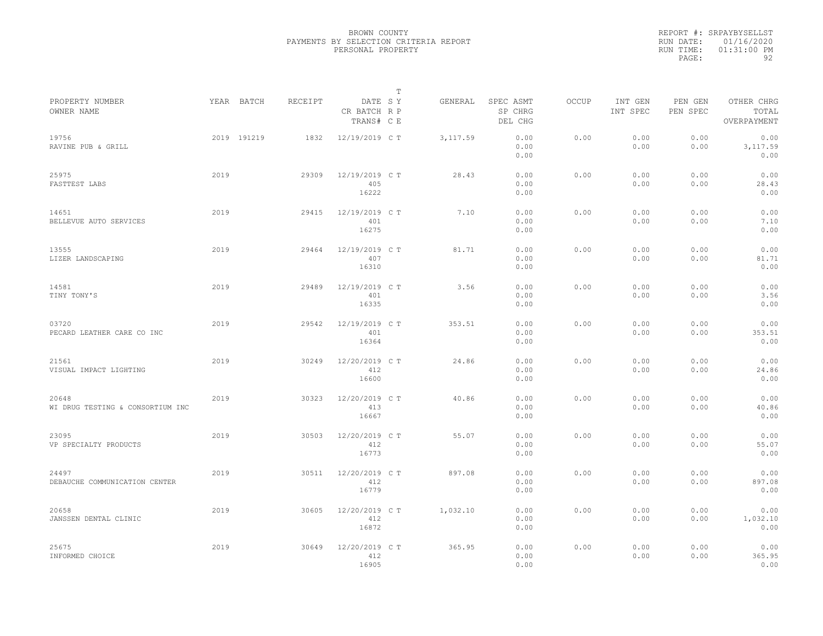|                                           |      |             |         |                                       | T |           |                                 |              |                     |                     |                                    |  |
|-------------------------------------------|------|-------------|---------|---------------------------------------|---|-----------|---------------------------------|--------------|---------------------|---------------------|------------------------------------|--|
| PROPERTY NUMBER<br>OWNER NAME             |      | YEAR BATCH  | RECEIPT | DATE SY<br>CR BATCH R P<br>TRANS# C E |   | GENERAL   | SPEC ASMT<br>SP CHRG<br>DEL CHG | <b>OCCUP</b> | INT GEN<br>INT SPEC | PEN GEN<br>PEN SPEC | OTHER CHRG<br>TOTAL<br>OVERPAYMENT |  |
| 19756<br>RAVINE PUB & GRILL               |      | 2019 191219 | 1832    | 12/19/2019 C T                        |   | 3, 117.59 | 0.00<br>0.00<br>0.00            | 0.00         | 0.00<br>0.00        | 0.00<br>0.00        | 0.00<br>3,117.59<br>0.00           |  |
| 25975<br>FASTTEST LABS                    | 2019 |             | 29309   | 12/19/2019 C T<br>405<br>16222        |   | 28.43     | 0.00<br>0.00<br>0.00            | 0.00         | 0.00<br>0.00        | 0.00<br>0.00        | 0.00<br>28.43<br>0.00              |  |
| 14651<br>BELLEVUE AUTO SERVICES           | 2019 |             | 29415   | 12/19/2019 C T<br>401<br>16275        |   | 7.10      | 0.00<br>0.00<br>0.00            | 0.00         | 0.00<br>0.00        | 0.00<br>0.00        | 0.00<br>7.10<br>0.00               |  |
| 13555<br>LIZER LANDSCAPING                | 2019 |             | 29464   | 12/19/2019 C T<br>407<br>16310        |   | 81.71     | 0.00<br>0.00<br>0.00            | 0.00         | 0.00<br>0.00        | 0.00<br>0.00        | 0.00<br>81.71<br>0.00              |  |
| 14581<br>TINY TONY'S                      | 2019 |             | 29489   | 12/19/2019 C T<br>401<br>16335        |   | 3.56      | 0.00<br>0.00<br>0.00            | 0.00         | 0.00<br>0.00        | 0.00<br>0.00        | 0.00<br>3.56<br>0.00               |  |
| 03720<br>PECARD LEATHER CARE CO INC       | 2019 |             | 29542   | 12/19/2019 C T<br>401<br>16364        |   | 353.51    | 0.00<br>0.00<br>0.00            | 0.00         | 0.00<br>0.00        | 0.00<br>0.00        | 0.00<br>353.51<br>0.00             |  |
| 21561<br>VISUAL IMPACT LIGHTING           | 2019 |             | 30249   | 12/20/2019 C T<br>412<br>16600        |   | 24.86     | 0.00<br>0.00<br>0.00            | 0.00         | 0.00<br>0.00        | 0.00<br>0.00        | 0.00<br>24.86<br>0.00              |  |
| 20648<br>WI DRUG TESTING & CONSORTIUM INC | 2019 |             | 30323   | 12/20/2019 C T<br>413<br>16667        |   | 40.86     | 0.00<br>0.00<br>0.00            | 0.00         | 0.00<br>0.00        | 0.00<br>0.00        | 0.00<br>40.86<br>0.00              |  |
| 23095<br>VP SPECIALTY PRODUCTS            | 2019 |             | 30503   | 12/20/2019 C T<br>412<br>16773        |   | 55.07     | 0.00<br>0.00<br>0.00            | 0.00         | 0.00<br>0.00        | 0.00<br>0.00        | 0.00<br>55.07<br>0.00              |  |
| 24497<br>DEBAUCHE COMMUNICATION CENTER    | 2019 |             | 30511   | 12/20/2019 C T<br>412<br>16779        |   | 897.08    | 0.00<br>0.00<br>0.00            | 0.00         | 0.00<br>0.00        | 0.00<br>0.00        | 0.00<br>897.08<br>0.00             |  |
| 20658<br>JANSSEN DENTAL CLINIC            | 2019 |             | 30605   | 12/20/2019 C T<br>412<br>16872        |   | 1,032.10  | 0.00<br>0.00<br>0.00            | 0.00         | 0.00<br>0.00        | 0.00<br>0.00        | 0.00<br>1,032.10<br>0.00           |  |
| 25675<br>INFORMED CHOICE                  | 2019 |             | 30649   | 12/20/2019 C T<br>412<br>16905        |   | 365.95    | 0.00<br>0.00<br>0.00            | 0.00         | 0.00<br>0.00        | 0.00<br>0.00        | 0.00<br>365.95<br>0.00             |  |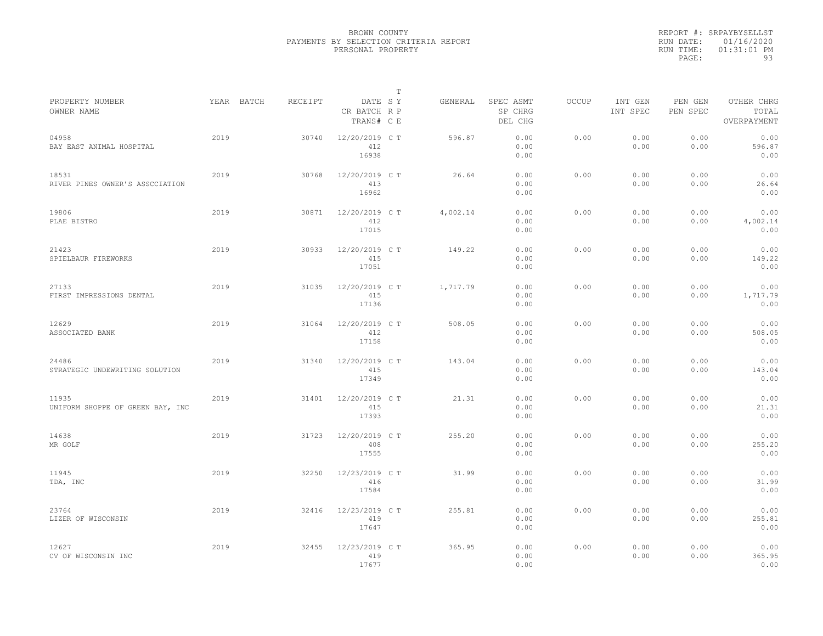|           | REPORT #: SRPAYBYSELLST |
|-----------|-------------------------|
|           | RUN DATE: 01/16/2020    |
| RUN TIME: | $01:31:01$ PM           |
| PAGE:     | 93                      |

|                                           |            |         |                                       | T |          |                                 |              |                     |                     |                                    |
|-------------------------------------------|------------|---------|---------------------------------------|---|----------|---------------------------------|--------------|---------------------|---------------------|------------------------------------|
| PROPERTY NUMBER<br>OWNER NAME             | YEAR BATCH | RECEIPT | DATE SY<br>CR BATCH R P<br>TRANS# C E |   | GENERAL  | SPEC ASMT<br>SP CHRG<br>DEL CHG | <b>OCCUP</b> | INT GEN<br>INT SPEC | PEN GEN<br>PEN SPEC | OTHER CHRG<br>TOTAL<br>OVERPAYMENT |
| 04958<br>BAY EAST ANIMAL HOSPITAL         | 2019       | 30740   | 12/20/2019 C T<br>412<br>16938        |   | 596.87   | 0.00<br>0.00<br>0.00            | 0.00         | 0.00<br>0.00        | 0.00<br>0.00        | 0.00<br>596.87<br>0.00             |
| 18531<br>RIVER PINES OWNER'S ASSCCIATION  | 2019       | 30768   | 12/20/2019 C T<br>413<br>16962        |   | 26.64    | 0.00<br>0.00<br>0.00            | 0.00         | 0.00<br>0.00        | 0.00<br>0.00        | 0.00<br>26.64<br>0.00              |
| 19806<br>PLAE BISTRO                      | 2019       | 30871   | 12/20/2019 C T<br>412<br>17015        |   | 4,002.14 | 0.00<br>0.00<br>0.00            | 0.00         | 0.00<br>0.00        | 0.00<br>0.00        | 0.00<br>4,002.14<br>0.00           |
| 21423<br>SPIELBAUR FIREWORKS              | 2019       | 30933   | 12/20/2019 C T<br>415<br>17051        |   | 149.22   | 0.00<br>0.00<br>0.00            | 0.00         | 0.00<br>0.00        | 0.00<br>0.00        | 0.00<br>149.22<br>0.00             |
| 27133<br>FIRST IMPRESSIONS DENTAL         | 2019       | 31035   | 12/20/2019 C T<br>415<br>17136        |   | 1,717.79 | 0.00<br>0.00<br>0.00            | 0.00         | 0.00<br>0.00        | 0.00<br>0.00        | 0.00<br>1,717.79<br>0.00           |
| 12629<br>ASSOCIATED BANK                  | 2019       | 31064   | 12/20/2019 C T<br>412<br>17158        |   | 508.05   | 0.00<br>0.00<br>0.00            | 0.00         | 0.00<br>0.00        | 0.00<br>0.00        | 0.00<br>508.05<br>0.00             |
| 24486<br>STRATEGIC UNDEWRITING SOLUTION   | 2019       | 31340   | 12/20/2019 C T<br>415<br>17349        |   | 143.04   | 0.00<br>0.00<br>0.00            | 0.00         | 0.00<br>0.00        | 0.00<br>0.00        | 0.00<br>143.04<br>0.00             |
| 11935<br>UNIFORM SHOPPE OF GREEN BAY, INC | 2019       | 31401   | 12/20/2019 C T<br>415<br>17393        |   | 21.31    | 0.00<br>0.00<br>0.00            | 0.00         | 0.00<br>0.00        | 0.00<br>0.00        | 0.00<br>21.31<br>0.00              |
| 14638<br>MR GOLF                          | 2019       | 31723   | 12/20/2019 C T<br>408<br>17555        |   | 255.20   | 0.00<br>0.00<br>0.00            | 0.00         | 0.00<br>0.00        | 0.00<br>0.00        | 0.00<br>255.20<br>0.00             |
| 11945<br>TDA, INC                         | 2019       | 32250   | 12/23/2019 C T<br>416<br>17584        |   | 31.99    | 0.00<br>0.00<br>0.00            | 0.00         | 0.00<br>0.00        | 0.00<br>0.00        | 0.00<br>31.99<br>0.00              |
| 23764<br>LIZER OF WISCONSIN               | 2019       | 32416   | 12/23/2019 C T<br>419<br>17647        |   | 255.81   | 0.00<br>0.00<br>0.00            | 0.00         | 0.00<br>0.00        | 0.00<br>0.00        | 0.00<br>255.81<br>0.00             |
| 12627<br>CV OF WISCONSIN INC              | 2019       | 32455   | 12/23/2019 C T<br>419<br>17677        |   | 365.95   | 0.00<br>0.00<br>0.00            | 0.00         | 0.00<br>0.00        | 0.00<br>0.00        | 0.00<br>365.95<br>0.00             |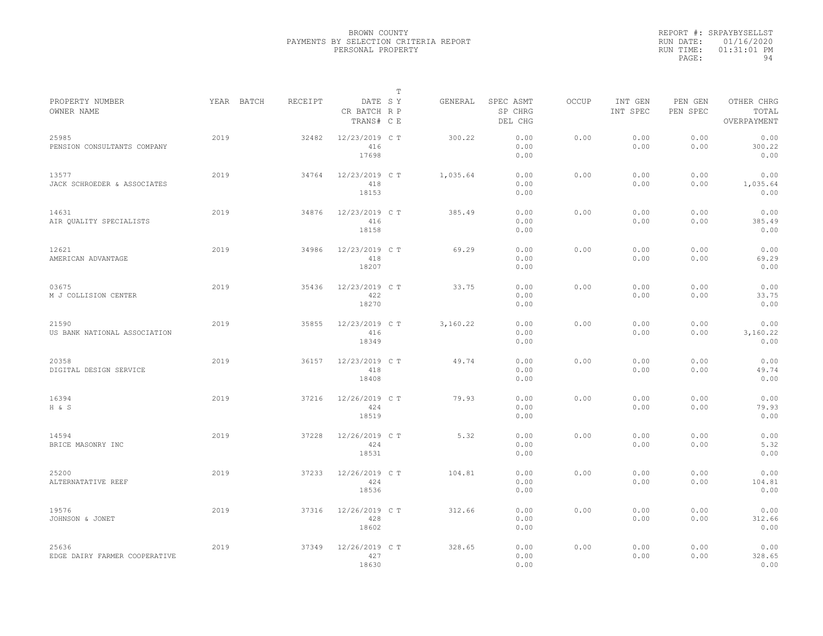|           | REPORT #: SRPAYBYSELLST |
|-----------|-------------------------|
|           | RUN DATE: 01/16/2020    |
| RUN TIME: | $01:31:01$ PM           |
| PAGE:     | 94                      |

|                                        |            |         |                                       | Т |          |                                 |              |                     |                     |                                    |
|----------------------------------------|------------|---------|---------------------------------------|---|----------|---------------------------------|--------------|---------------------|---------------------|------------------------------------|
| PROPERTY NUMBER<br>OWNER NAME          | YEAR BATCH | RECEIPT | DATE SY<br>CR BATCH R P<br>TRANS# C E |   | GENERAL  | SPEC ASMT<br>SP CHRG<br>DEL CHG | <b>OCCUP</b> | INT GEN<br>INT SPEC | PEN GEN<br>PEN SPEC | OTHER CHRG<br>TOTAL<br>OVERPAYMENT |
| 25985<br>PENSION CONSULTANTS COMPANY   | 2019       | 32482   | 12/23/2019 C T<br>416<br>17698        |   | 300.22   | 0.00<br>0.00<br>0.00            | 0.00         | 0.00<br>0.00        | 0.00<br>0.00        | 0.00<br>300.22<br>0.00             |
| 13577<br>JACK SCHROEDER & ASSOCIATES   | 2019       | 34764   | 12/23/2019 C T<br>418<br>18153        |   | 1,035.64 | 0.00<br>0.00<br>0.00            | 0.00         | 0.00<br>0.00        | 0.00<br>0.00        | 0.00<br>1,035.64<br>0.00           |
| 14631<br>AIR OUALITY SPECIALISTS       | 2019       | 34876   | 12/23/2019 C T<br>416<br>18158        |   | 385.49   | 0.00<br>0.00<br>0.00            | 0.00         | 0.00<br>0.00        | 0.00<br>0.00        | 0.00<br>385.49<br>0.00             |
| 12621<br>AMERICAN ADVANTAGE            | 2019       | 34986   | 12/23/2019 C T<br>418<br>18207        |   | 69.29    | 0.00<br>0.00<br>0.00            | 0.00         | 0.00<br>0.00        | 0.00<br>0.00        | 0.00<br>69.29<br>0.00              |
| 03675<br>M J COLLISION CENTER          | 2019       | 35436   | 12/23/2019 C T<br>422<br>18270        |   | 33.75    | 0.00<br>0.00<br>0.00            | 0.00         | 0.00<br>0.00        | 0.00<br>0.00        | 0.00<br>33.75<br>0.00              |
| 21590<br>US BANK NATIONAL ASSOCIATION  | 2019       | 35855   | 12/23/2019 C T<br>416<br>18349        |   | 3,160.22 | 0.00<br>0.00<br>0.00            | 0.00         | 0.00<br>0.00        | 0.00<br>0.00        | 0.00<br>3,160.22<br>0.00           |
| 20358<br>DIGITAL DESIGN SERVICE        | 2019       | 36157   | 12/23/2019 C T<br>418<br>18408        |   | 49.74    | 0.00<br>0.00<br>0.00            | 0.00         | 0.00<br>0.00        | 0.00<br>0.00        | 0.00<br>49.74<br>0.00              |
| 16394<br>H & S                         | 2019       | 37216   | 12/26/2019 C T<br>424<br>18519        |   | 79.93    | 0.00<br>0.00<br>0.00            | 0.00         | 0.00<br>0.00        | 0.00<br>0.00        | 0.00<br>79.93<br>0.00              |
| 14594<br>BRICE MASONRY INC             | 2019       | 37228   | 12/26/2019 C T<br>424<br>18531        |   | 5.32     | 0.00<br>0.00<br>0.00            | 0.00         | 0.00<br>0.00        | 0.00<br>0.00        | 0.00<br>5.32<br>0.00               |
| 25200<br>ALTERNATATIVE REEF            | 2019       | 37233   | 12/26/2019 C T<br>424<br>18536        |   | 104.81   | 0.00<br>0.00<br>0.00            | 0.00         | 0.00<br>0.00        | 0.00<br>0.00        | 0.00<br>104.81<br>0.00             |
| 19576<br>JOHNSON & JONET               | 2019       | 37316   | 12/26/2019 C T<br>428<br>18602        |   | 312.66   | 0.00<br>0.00<br>0.00            | 0.00         | 0.00<br>0.00        | 0.00<br>0.00        | 0.00<br>312.66<br>0.00             |
| 25636<br>EDGE DAIRY FARMER COOPERATIVE | 2019       | 37349   | 12/26/2019 C T<br>427<br>18630        |   | 328.65   | 0.00<br>0.00<br>0.00            | 0.00         | 0.00<br>0.00        | 0.00<br>0.00        | 0.00<br>328.65<br>0.00             |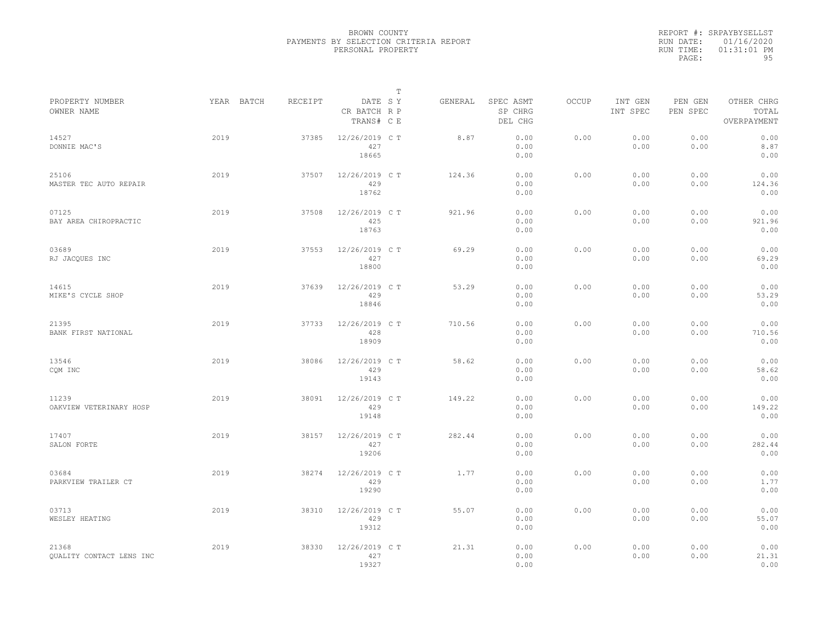|           | REPORT #: SRPAYBYSELLST |
|-----------|-------------------------|
|           | RUN DATE: 01/16/2020    |
| RUN TIME: | $01:31:01$ PM           |
| PAGE:     | 95                      |

|                                   |            |         |                                       | Т |         |                                 |       |                     |                     |                                    |  |
|-----------------------------------|------------|---------|---------------------------------------|---|---------|---------------------------------|-------|---------------------|---------------------|------------------------------------|--|
| PROPERTY NUMBER<br>OWNER NAME     | YEAR BATCH | RECEIPT | DATE SY<br>CR BATCH R P<br>TRANS# C E |   | GENERAL | SPEC ASMT<br>SP CHRG<br>DEL CHG | OCCUP | INT GEN<br>INT SPEC | PEN GEN<br>PEN SPEC | OTHER CHRG<br>TOTAL<br>OVERPAYMENT |  |
| 14527<br>DONNIE MAC'S             | 2019       | 37385   | 12/26/2019 C T<br>427<br>18665        |   | 8.87    | 0.00<br>0.00<br>0.00            | 0.00  | 0.00<br>0.00        | 0.00<br>0.00        | 0.00<br>8.87<br>0.00               |  |
| 25106<br>MASTER TEC AUTO REPAIR   | 2019       | 37507   | 12/26/2019 C T<br>429<br>18762        |   | 124.36  | 0.00<br>0.00<br>0.00            | 0.00  | 0.00<br>0.00        | 0.00<br>0.00        | 0.00<br>124.36<br>0.00             |  |
| 07125<br>BAY AREA CHIROPRACTIC    | 2019       | 37508   | 12/26/2019 C T<br>425<br>18763        |   | 921.96  | 0.00<br>0.00<br>0.00            | 0.00  | 0.00<br>0.00        | 0.00<br>0.00        | 0.00<br>921.96<br>0.00             |  |
| 03689<br>RJ JACQUES INC           | 2019       | 37553   | 12/26/2019 C T<br>427<br>18800        |   | 69.29   | 0.00<br>0.00<br>0.00            | 0.00  | 0.00<br>0.00        | 0.00<br>0.00        | 0.00<br>69.29<br>0.00              |  |
| 14615<br>MIKE'S CYCLE SHOP        | 2019       | 37639   | 12/26/2019 C T<br>429<br>18846        |   | 53.29   | 0.00<br>0.00<br>0.00            | 0.00  | 0.00<br>0.00        | 0.00<br>0.00        | 0.00<br>53.29<br>0.00              |  |
| 21395<br>BANK FIRST NATIONAL      | 2019       | 37733   | 12/26/2019 C T<br>428<br>18909        |   | 710.56  | 0.00<br>0.00<br>0.00            | 0.00  | 0.00<br>0.00        | 0.00<br>0.00        | 0.00<br>710.56<br>0.00             |  |
| 13546<br>CQM INC                  | 2019       | 38086   | 12/26/2019 C T<br>429<br>19143        |   | 58.62   | 0.00<br>0.00<br>0.00            | 0.00  | 0.00<br>0.00        | 0.00<br>0.00        | 0.00<br>58.62<br>0.00              |  |
| 11239<br>OAKVIEW VETERINARY HOSP  | 2019       | 38091   | 12/26/2019 C T<br>429<br>19148        |   | 149.22  | 0.00<br>0.00<br>0.00            | 0.00  | 0.00<br>0.00        | 0.00<br>0.00        | 0.00<br>149.22<br>0.00             |  |
| 17407<br>SALON FORTE              | 2019       | 38157   | 12/26/2019 C T<br>427<br>19206        |   | 282.44  | 0.00<br>0.00<br>0.00            | 0.00  | 0.00<br>0.00        | 0.00<br>0.00        | 0.00<br>282.44<br>0.00             |  |
| 03684<br>PARKVIEW TRAILER CT      | 2019       | 38274   | 12/26/2019 C T<br>429<br>19290        |   | 1.77    | 0.00<br>0.00<br>0.00            | 0.00  | 0.00<br>0.00        | 0.00<br>0.00        | 0.00<br>1.77<br>0.00               |  |
| 03713<br>WESLEY HEATING           | 2019       | 38310   | 12/26/2019 C T<br>429<br>19312        |   | 55.07   | 0.00<br>0.00<br>0.00            | 0.00  | 0.00<br>0.00        | 0.00<br>0.00        | 0.00<br>55.07<br>0.00              |  |
| 21368<br>QUALITY CONTACT LENS INC | 2019       | 38330   | 12/26/2019 C T<br>427<br>19327        |   | 21.31   | 0.00<br>0.00<br>0.00            | 0.00  | 0.00<br>0.00        | 0.00<br>0.00        | 0.00<br>21.31<br>0.00              |  |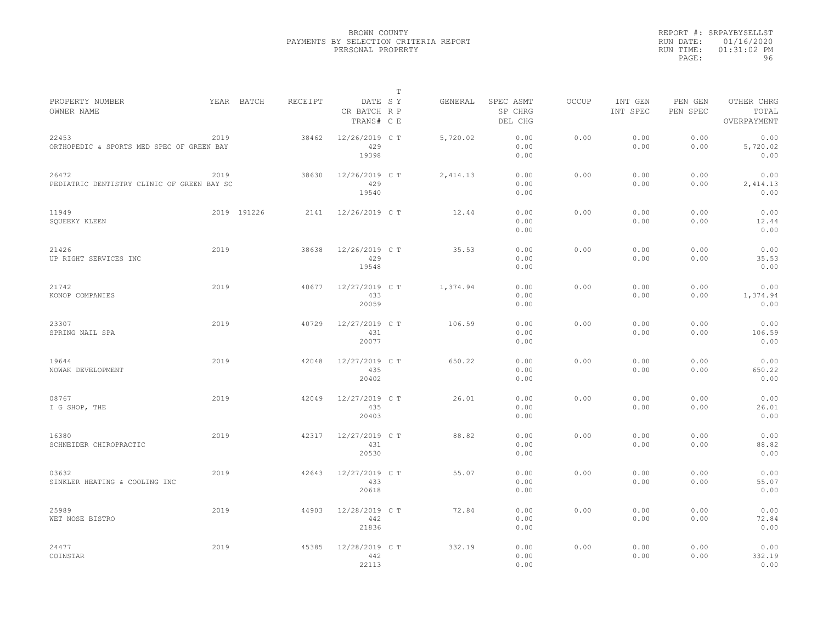|           | REPORT #: SRPAYBYSELLST |
|-----------|-------------------------|
|           | RUN DATE: 01/16/2020    |
| RUN TIME: | $01:31:02$ PM           |
| PAGE:     | 96                      |

|                                                     |      |             |         |                                       | T |          |                                 |              |                     |                     |                                    |
|-----------------------------------------------------|------|-------------|---------|---------------------------------------|---|----------|---------------------------------|--------------|---------------------|---------------------|------------------------------------|
| PROPERTY NUMBER<br>OWNER NAME                       |      | YEAR BATCH  | RECEIPT | DATE SY<br>CR BATCH R P<br>TRANS# C E |   | GENERAL  | SPEC ASMT<br>SP CHRG<br>DEL CHG | <b>OCCUP</b> | INT GEN<br>INT SPEC | PEN GEN<br>PEN SPEC | OTHER CHRG<br>TOTAL<br>OVERPAYMENT |
| 22453<br>ORTHOPEDIC & SPORTS MED SPEC OF GREEN BAY  | 2019 |             | 38462   | 12/26/2019 C T<br>429<br>19398        |   | 5,720.02 | 0.00<br>0.00<br>0.00            | 0.00         | 0.00<br>0.00        | 0.00<br>0.00        | 0.00<br>5,720.02<br>0.00           |
| 26472<br>PEDIATRIC DENTISTRY CLINIC OF GREEN BAY SC | 2019 |             | 38630   | 12/26/2019 C T<br>429<br>19540        |   | 2,414.13 | 0.00<br>0.00<br>0.00            | 0.00         | 0.00<br>0.00        | 0.00<br>0.00        | 0.00<br>2,414.13<br>0.00           |
| 11949<br>SQUEEKY KLEEN                              |      | 2019 191226 | 2141    | 12/26/2019 C T                        |   | 12.44    | 0.00<br>0.00<br>0.00            | 0.00         | 0.00<br>0.00        | 0.00<br>0.00        | 0.00<br>12.44<br>0.00              |
| 21426<br>UP RIGHT SERVICES INC                      | 2019 |             | 38638   | 12/26/2019 C T<br>429<br>19548        |   | 35.53    | 0.00<br>0.00<br>0.00            | 0.00         | 0.00<br>0.00        | 0.00<br>0.00        | 0.00<br>35.53<br>0.00              |
| 21742<br>KONOP COMPANIES                            | 2019 |             | 40677   | 12/27/2019 C T<br>433<br>20059        |   | 1,374.94 | 0.00<br>0.00<br>0.00            | 0.00         | 0.00<br>0.00        | 0.00<br>0.00        | 0.00<br>1,374.94<br>0.00           |
| 23307<br>SPRING NAIL SPA                            | 2019 |             | 40729   | 12/27/2019 C T<br>431<br>20077        |   | 106.59   | 0.00<br>0.00<br>0.00            | 0.00         | 0.00<br>0.00        | 0.00<br>0.00        | 0.00<br>106.59<br>0.00             |
| 19644<br>NOWAK DEVELOPMENT                          | 2019 |             | 42048   | 12/27/2019 C T<br>435<br>20402        |   | 650.22   | 0.00<br>0.00<br>0.00            | 0.00         | 0.00<br>0.00        | 0.00<br>0.00        | 0.00<br>650.22<br>0.00             |
| 08767<br>I G SHOP, THE                              | 2019 |             | 42049   | 12/27/2019 C T<br>435<br>20403        |   | 26.01    | 0.00<br>0.00<br>0.00            | 0.00         | 0.00<br>0.00        | 0.00<br>0.00        | 0.00<br>26.01<br>0.00              |
| 16380<br>SCHNEIDER CHIROPRACTIC                     | 2019 |             | 42317   | 12/27/2019 C T<br>431<br>20530        |   | 88.82    | 0.00<br>0.00<br>0.00            | 0.00         | 0.00<br>0.00        | 0.00<br>0.00        | 0.00<br>88.82<br>0.00              |
| 03632<br>SINKLER HEATING & COOLING INC              | 2019 |             | 42643   | 12/27/2019 C T<br>433<br>20618        |   | 55.07    | 0.00<br>0.00<br>0.00            | 0.00         | 0.00<br>0.00        | 0.00<br>0.00        | 0.00<br>55.07<br>0.00              |
| 25989<br>WET NOSE BISTRO                            | 2019 |             | 44903   | 12/28/2019 C T<br>442<br>21836        |   | 72.84    | 0.00<br>0.00<br>0.00            | 0.00         | 0.00<br>0.00        | 0.00<br>0.00        | 0.00<br>72.84<br>0.00              |
| 24477<br>COINSTAR                                   | 2019 |             | 45385   | 12/28/2019 C T<br>442<br>22113        |   | 332.19   | 0.00<br>0.00<br>0.00            | 0.00         | 0.00<br>0.00        | 0.00<br>0.00        | 0.00<br>332.19<br>0.00             |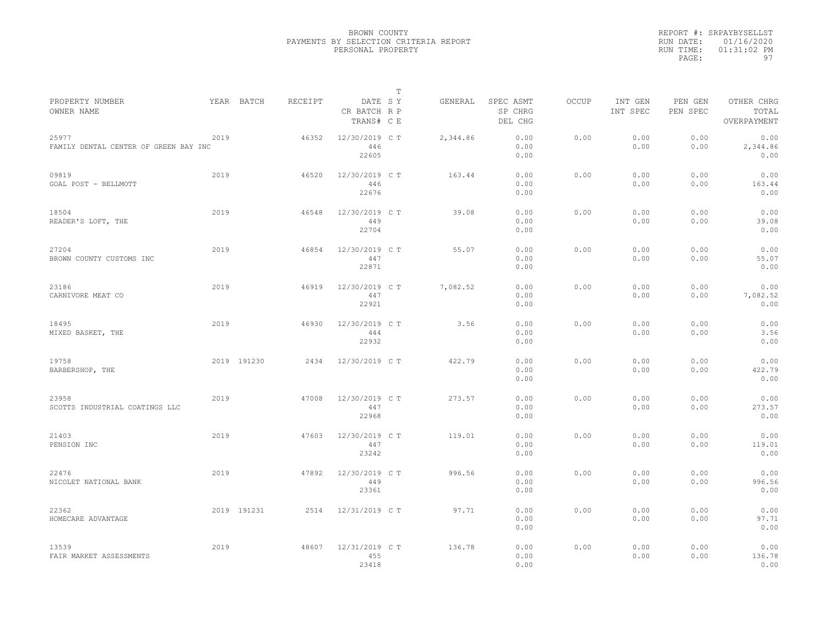|                                                |      |             |         |                                       | $\mathbb{T}$ |          |                                 |              |                     |                     |                                    |
|------------------------------------------------|------|-------------|---------|---------------------------------------|--------------|----------|---------------------------------|--------------|---------------------|---------------------|------------------------------------|
| PROPERTY NUMBER<br>OWNER NAME                  |      | YEAR BATCH  | RECEIPT | DATE SY<br>CR BATCH R P<br>TRANS# C E |              | GENERAL  | SPEC ASMT<br>SP CHRG<br>DEL CHG | <b>OCCUP</b> | INT GEN<br>INT SPEC | PEN GEN<br>PEN SPEC | OTHER CHRG<br>TOTAL<br>OVERPAYMENT |
| 25977<br>FAMILY DENTAL CENTER OF GREEN BAY INC | 2019 |             | 46352   | 12/30/2019 C T<br>446<br>22605        |              | 2,344.86 | 0.00<br>0.00<br>0.00            | 0.00         | 0.00<br>0.00        | 0.00<br>0.00        | 0.00<br>2,344.86<br>0.00           |
| 09819<br>GOAL POST - BELLMOTT                  | 2019 |             | 46520   | 12/30/2019 C T<br>446<br>22676        |              | 163.44   | 0.00<br>0.00<br>0.00            | 0.00         | 0.00<br>0.00        | 0.00<br>0.00        | 0.00<br>163.44<br>0.00             |
| 18504<br>READER'S LOFT, THE                    | 2019 |             | 46548   | 12/30/2019 C T<br>449<br>22704        |              | 39.08    | 0.00<br>0.00<br>0.00            | 0.00         | 0.00<br>0.00        | 0.00<br>0.00        | 0.00<br>39.08<br>0.00              |
| 27204<br>BROWN COUNTY CUSTOMS INC              | 2019 |             | 46854   | 12/30/2019 C T<br>447<br>22871        |              | 55.07    | 0.00<br>0.00<br>0.00            | 0.00         | 0.00<br>0.00        | 0.00<br>0.00        | 0.00<br>55.07<br>0.00              |
| 23186<br>CARNIVORE MEAT CO                     | 2019 |             | 46919   | 12/30/2019 C T<br>447<br>22921        |              | 7,082.52 | 0.00<br>0.00<br>0.00            | 0.00         | 0.00<br>0.00        | 0.00<br>0.00        | 0.00<br>7,082.52<br>0.00           |
| 18495<br>MIXED BASKET, THE                     | 2019 |             | 46930   | 12/30/2019 C T<br>444<br>22932        |              | 3.56     | 0.00<br>0.00<br>0.00            | 0.00         | 0.00<br>0.00        | 0.00<br>0.00        | 0.00<br>3.56<br>0.00               |
| 19758<br>BARBERSHOP, THE                       |      | 2019 191230 | 2434    | 12/30/2019 C T                        |              | 422.79   | 0.00<br>0.00<br>0.00            | 0.00         | 0.00<br>0.00        | 0.00<br>0.00        | 0.00<br>422.79<br>0.00             |
| 23958<br>SCOTTS INDUSTRIAL COATINGS LLC        | 2019 |             | 47008   | 12/30/2019 C T<br>447<br>22968        |              | 273.57   | 0.00<br>0.00<br>0.00            | 0.00         | 0.00<br>0.00        | 0.00<br>0.00        | 0.00<br>273.57<br>0.00             |
| 21403<br>PENSION INC                           | 2019 |             | 47603   | 12/30/2019 C T<br>447<br>23242        |              | 119.01   | 0.00<br>0.00<br>0.00            | 0.00         | 0.00<br>0.00        | 0.00<br>0.00        | 0.00<br>119.01<br>0.00             |
| 22476<br>NICOLET NATIONAL BANK                 | 2019 |             | 47892   | 12/30/2019 C T<br>449<br>23361        |              | 996.56   | 0.00<br>0.00<br>0.00            | 0.00         | 0.00<br>0.00        | 0.00<br>0.00        | 0.00<br>996.56<br>0.00             |
| 22362<br>HOMECARE ADVANTAGE                    |      | 2019 191231 | 2514    | 12/31/2019 C T                        |              | 97.71    | 0.00<br>0.00<br>0.00            | 0.00         | 0.00<br>0.00        | 0.00<br>0.00        | 0.00<br>97.71<br>0.00              |
| 13539<br>FAIR MARKET ASSESSMENTS               | 2019 |             | 48607   | 12/31/2019 C T<br>455<br>23418        |              | 136.78   | 0.00<br>0.00<br>0.00            | 0.00         | 0.00<br>0.00        | 0.00<br>0.00        | 0.00<br>136.78<br>0.00             |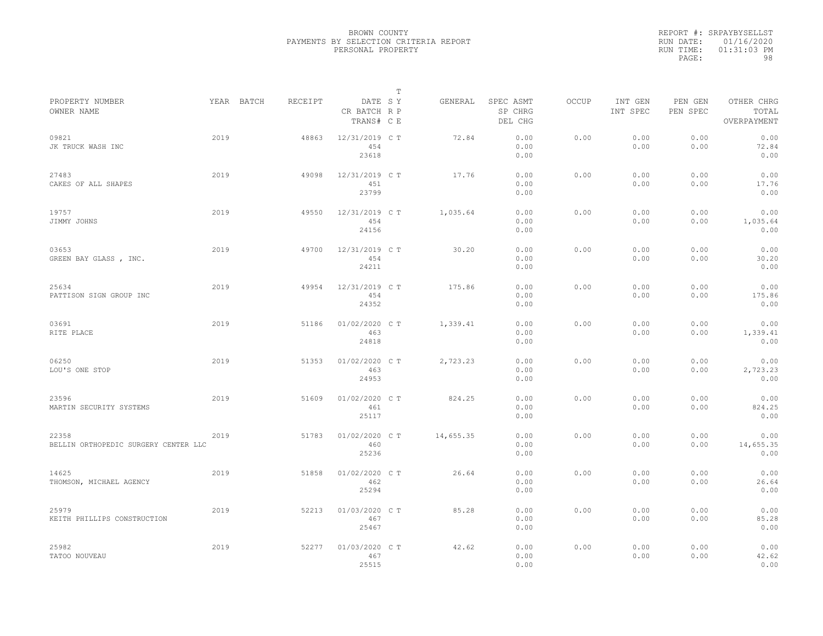|                                               |      |            |         |                                       | $\mathbb{T}$ |           |                                 |              |                     |                     |                                    |  |
|-----------------------------------------------|------|------------|---------|---------------------------------------|--------------|-----------|---------------------------------|--------------|---------------------|---------------------|------------------------------------|--|
| PROPERTY NUMBER<br>OWNER NAME                 |      | YEAR BATCH | RECEIPT | DATE SY<br>CR BATCH R P<br>TRANS# C E |              | GENERAL   | SPEC ASMT<br>SP CHRG<br>DEL CHG | <b>OCCUP</b> | INT GEN<br>INT SPEC | PEN GEN<br>PEN SPEC | OTHER CHRG<br>TOTAL<br>OVERPAYMENT |  |
| 09821<br>JK TRUCK WASH INC                    | 2019 |            | 48863   | 12/31/2019 C T<br>454<br>23618        |              | 72.84     | 0.00<br>0.00<br>0.00            | 0.00         | 0.00<br>0.00        | 0.00<br>0.00        | 0.00<br>72.84<br>0.00              |  |
| 27483<br>CAKES OF ALL SHAPES                  | 2019 |            | 49098   | 12/31/2019 C T<br>451<br>23799        |              | 17.76     | 0.00<br>0.00<br>0.00            | 0.00         | 0.00<br>0.00        | 0.00<br>0.00        | 0.00<br>17.76<br>0.00              |  |
| 19757<br>JIMMY JOHNS                          | 2019 |            | 49550   | 12/31/2019 C T<br>454<br>24156        |              | 1,035.64  | 0.00<br>0.00<br>0.00            | 0.00         | 0.00<br>0.00        | 0.00<br>0.00        | 0.00<br>1,035.64<br>0.00           |  |
| 03653<br>GREEN BAY GLASS , INC.               | 2019 |            | 49700   | 12/31/2019 C T<br>454<br>24211        |              | 30.20     | 0.00<br>0.00<br>0.00            | 0.00         | 0.00<br>0.00        | 0.00<br>0.00        | 0.00<br>30.20<br>0.00              |  |
| 25634<br>PATTISON SIGN GROUP INC              | 2019 |            | 49954   | 12/31/2019 C T<br>454<br>24352        |              | 175.86    | 0.00<br>0.00<br>0.00            | 0.00         | 0.00<br>0.00        | 0.00<br>0.00        | 0.00<br>175.86<br>0.00             |  |
| 03691<br>RITE PLACE                           | 2019 |            | 51186   | 01/02/2020 C T<br>463<br>24818        |              | 1,339.41  | 0.00<br>0.00<br>0.00            | 0.00         | 0.00<br>0.00        | 0.00<br>0.00        | 0.00<br>1,339.41<br>0.00           |  |
| 06250<br>LOU'S ONE STOP                       | 2019 |            | 51353   | 01/02/2020 C T<br>463<br>24953        |              | 2,723.23  | 0.00<br>0.00<br>0.00            | 0.00         | 0.00<br>0.00        | 0.00<br>0.00        | 0.00<br>2,723.23<br>0.00           |  |
| 23596<br>MARTIN SECURITY SYSTEMS              | 2019 |            | 51609   | 01/02/2020 C T<br>461<br>25117        |              | 824.25    | 0.00<br>0.00<br>0.00            | 0.00         | 0.00<br>0.00        | 0.00<br>0.00        | 0.00<br>824.25<br>0.00             |  |
| 22358<br>BELLIN ORTHOPEDIC SURGERY CENTER LLC | 2019 |            | 51783   | 01/02/2020 C T<br>460<br>25236        |              | 14,655.35 | 0.00<br>0.00<br>0.00            | 0.00         | 0.00<br>0.00        | 0.00<br>0.00        | 0.00<br>14,655.35<br>0.00          |  |
| 14625<br>THOMSON, MICHAEL AGENCY              | 2019 |            | 51858   | 01/02/2020 C T<br>462<br>25294        |              | 26.64     | 0.00<br>0.00<br>0.00            | 0.00         | 0.00<br>0.00        | 0.00<br>0.00        | 0.00<br>26.64<br>0.00              |  |
| 25979<br>KEITH PHILLIPS CONSTRUCTION          | 2019 |            | 52213   | 01/03/2020 C T<br>467<br>25467        |              | 85.28     | 0.00<br>0.00<br>0.00            | 0.00         | 0.00<br>0.00        | 0.00<br>0.00        | 0.00<br>85.28<br>0.00              |  |
| 25982<br>TATOO NOUVEAU                        | 2019 |            | 52277   | 01/03/2020 CT<br>467<br>25515         |              | 42.62     | 0.00<br>0.00<br>0.00            | 0.00         | 0.00<br>0.00        | 0.00<br>0.00        | 0.00<br>42.62<br>0.00              |  |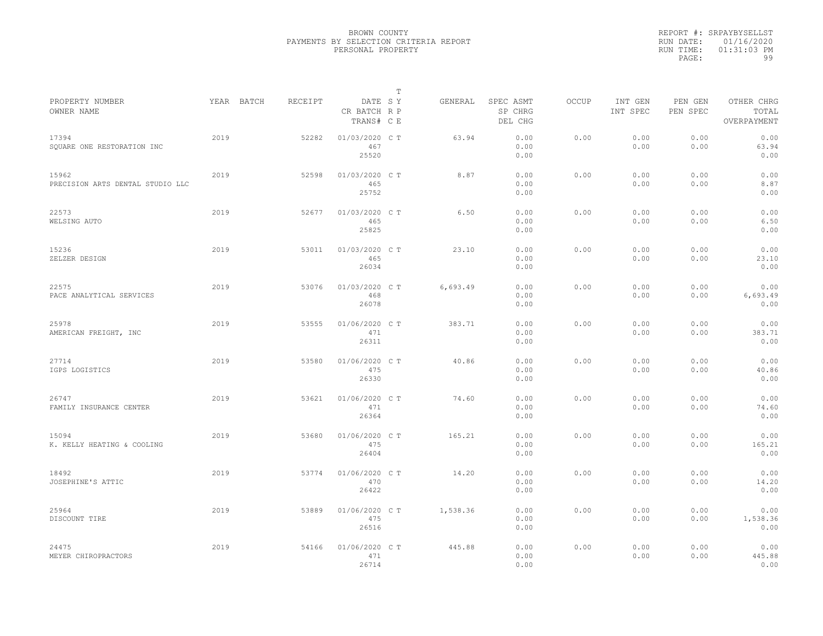|           | REPORT #: SRPAYBYSELLST |
|-----------|-------------------------|
|           | RUN DATE: 01/16/2020    |
| RUN TIME: | $01:31:03$ PM           |
| PAGE:     | 99                      |

|                                           |            |         |                                       | Т |          |                                 |              |                     |                     |                                    |
|-------------------------------------------|------------|---------|---------------------------------------|---|----------|---------------------------------|--------------|---------------------|---------------------|------------------------------------|
| PROPERTY NUMBER<br>OWNER NAME             | YEAR BATCH | RECEIPT | DATE SY<br>CR BATCH R P<br>TRANS# C E |   | GENERAL  | SPEC ASMT<br>SP CHRG<br>DEL CHG | <b>OCCUP</b> | INT GEN<br>INT SPEC | PEN GEN<br>PEN SPEC | OTHER CHRG<br>TOTAL<br>OVERPAYMENT |
| 17394<br>SQUARE ONE RESTORATION INC       | 2019       | 52282   | 01/03/2020 C T<br>467<br>25520        |   | 63.94    | 0.00<br>0.00<br>0.00            | 0.00         | 0.00<br>0.00        | 0.00<br>0.00        | 0.00<br>63.94<br>0.00              |
| 15962<br>PRECISION ARTS DENTAL STUDIO LLC | 2019       | 52598   | 01/03/2020 C T<br>465<br>25752        |   | 8.87     | 0.00<br>0.00<br>0.00            | 0.00         | 0.00<br>0.00        | 0.00<br>0.00        | 0.00<br>8.87<br>0.00               |
| 22573<br>WELSING AUTO                     | 2019       | 52677   | 01/03/2020 C T<br>465<br>25825        |   | 6.50     | 0.00<br>0.00<br>0.00            | 0.00         | 0.00<br>0.00        | 0.00<br>0.00        | 0.00<br>6.50<br>0.00               |
| 15236<br>ZELZER DESIGN                    | 2019       | 53011   | 01/03/2020 C T<br>465<br>26034        |   | 23.10    | 0.00<br>0.00<br>0.00            | 0.00         | 0.00<br>0.00        | 0.00<br>0.00        | 0.00<br>23.10<br>0.00              |
| 22575<br>PACE ANALYTICAL SERVICES         | 2019       | 53076   | 01/03/2020 C T<br>468<br>26078        |   | 6,693.49 | 0.00<br>0.00<br>0.00            | 0.00         | 0.00<br>0.00        | 0.00<br>0.00        | 0.00<br>6,693.49<br>0.00           |
| 25978<br>AMERICAN FREIGHT, INC            | 2019       | 53555   | 01/06/2020 C T<br>471<br>26311        |   | 383.71   | 0.00<br>0.00<br>0.00            | 0.00         | 0.00<br>0.00        | 0.00<br>0.00        | 0.00<br>383.71<br>0.00             |
| 27714<br>IGPS LOGISTICS                   | 2019       | 53580   | 01/06/2020 C T<br>475<br>26330        |   | 40.86    | 0.00<br>0.00<br>0.00            | 0.00         | 0.00<br>0.00        | 0.00<br>0.00        | 0.00<br>40.86<br>0.00              |
| 26747<br>FAMILY INSURANCE CENTER          | 2019       | 53621   | 01/06/2020 C T<br>471<br>26364        |   | 74.60    | 0.00<br>0.00<br>0.00            | 0.00         | 0.00<br>0.00        | 0.00<br>0.00        | 0.00<br>74.60<br>0.00              |
| 15094<br>K. KELLY HEATING & COOLING       | 2019       | 53680   | 01/06/2020 C T<br>475<br>26404        |   | 165.21   | 0.00<br>0.00<br>0.00            | 0.00         | 0.00<br>0.00        | 0.00<br>0.00        | 0.00<br>165.21<br>0.00             |
| 18492<br>JOSEPHINE'S ATTIC                | 2019       | 53774   | 01/06/2020 C T<br>470<br>26422        |   | 14.20    | 0.00<br>0.00<br>0.00            | 0.00         | 0.00<br>0.00        | 0.00<br>0.00        | 0.00<br>14.20<br>0.00              |
| 25964<br>DISCOUNT TIRE                    | 2019       | 53889   | 01/06/2020 C T<br>475<br>26516        |   | 1,538.36 | 0.00<br>0.00<br>0.00            | 0.00         | 0.00<br>0.00        | 0.00<br>0.00        | 0.00<br>1,538.36<br>0.00           |
| 24475<br>MEYER CHIROPRACTORS              | 2019       | 54166   | 01/06/2020 C T<br>471<br>26714        |   | 445.88   | 0.00<br>0.00<br>0.00            | 0.00         | 0.00<br>0.00        | 0.00<br>0.00        | 0.00<br>445.88<br>0.00             |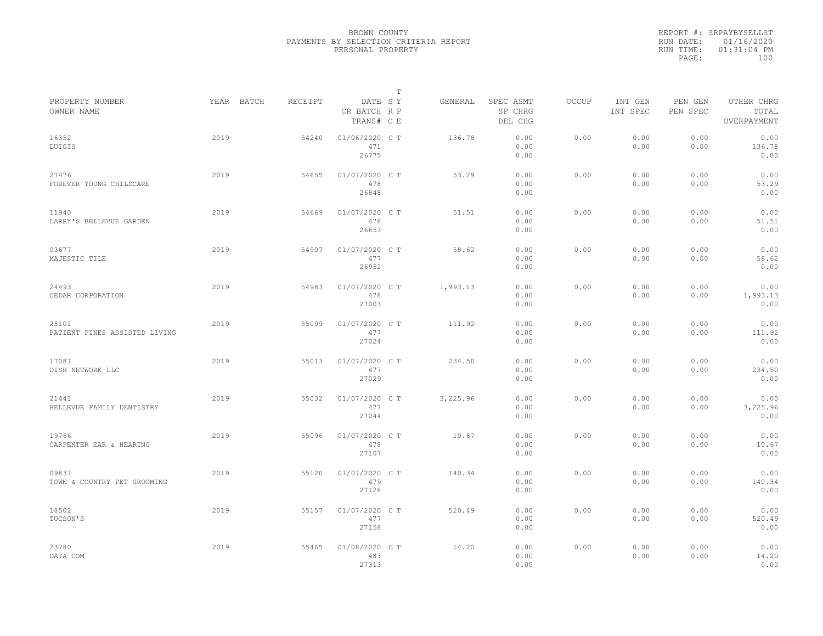|                                        |            |         |                                       | $\mathbb T$ |          |                                 |              |                     |                     |                                    |
|----------------------------------------|------------|---------|---------------------------------------|-------------|----------|---------------------------------|--------------|---------------------|---------------------|------------------------------------|
| PROPERTY NUMBER<br>OWNER NAME          | YEAR BATCH | RECEIPT | DATE SY<br>CR BATCH R P<br>TRANS# C E |             | GENERAL  | SPEC ASMT<br>SP CHRG<br>DEL CHG | <b>OCCUP</b> | INT GEN<br>INT SPEC | PEN GEN<br>PEN SPEC | OTHER CHRG<br>TOTAL<br>OVERPAYMENT |
| 16352<br>LUIGIS                        | 2019       | 54240   | 01/06/2020 C T<br>471<br>26775        |             | 136.78   | 0.00<br>0.00<br>0.00            | 0.00         | 0.00<br>0.00        | 0.00<br>0.00        | 0.00<br>136.78<br>0.00             |
| 27476<br>FOREVER YOUNG CHILDCARE       | 2019       | 54655   | 01/07/2020 C T<br>478<br>26848        |             | 53.29    | 0.00<br>0.00<br>0.00            | 0.00         | 0.00<br>0.00        | 0.00<br>0.00        | 0.00<br>53.29<br>0.00              |
| 11940<br>LARRY'S BELLEVUE GARDEN       | 2019       | 54669   | 01/07/2020 C T<br>478<br>26853        |             | 51.51    | 0.00<br>0.00<br>0.00            | 0.00         | 0.00<br>0.00        | 0.00<br>0.00        | 0.00<br>51.51<br>0.00              |
| 03677<br>MAJESTIC TILE                 | 2019       | 54907   | 01/07/2020 C T<br>477<br>26952        |             | 58.62    | 0.00<br>0.00<br>0.00            | 0.00         | 0.00<br>0.00        | 0.00<br>0.00        | 0.00<br>58.62<br>0.00              |
| 24493<br>CEDAR CORPORATION             | 2019       | 54983   | 01/07/2020 C T<br>478<br>27003        |             | 1,993.13 | 0.00<br>0.00<br>0.00            | 0.00         | 0.00<br>0.00        | 0.00<br>0.00        | 0.00<br>1,993.13<br>0.00           |
| 25101<br>PATIENT PINES ASSISTED LIVING | 2019       | 55009   | 01/07/2020 C T<br>477<br>27024        |             | 111.92   | 0.00<br>0.00<br>0.00            | 0.00         | 0.00<br>0.00        | 0.00<br>0.00        | 0.00<br>111.92<br>0.00             |
| 17087<br>DISH NETWORK LLC              | 2019       | 55013   | 01/07/2020 C T<br>477<br>27029        |             | 234.50   | 0.00<br>0.00<br>0.00            | 0.00         | 0.00<br>0.00        | 0.00<br>0.00        | 0.00<br>234.50<br>0.00             |
| 21441<br>BELLEVUE FAMILY DENTISTRY     | 2019       | 55032   | 01/07/2020 C T<br>477<br>27044        |             | 3,225.96 | 0.00<br>0.00<br>0.00            | 0.00         | 0.00<br>0.00        | 0.00<br>0.00        | 0.00<br>3,225.96<br>0.00           |
| 19766<br>CARPENTER EAR & HEARING       | 2019       | 55096   | 01/07/2020 C T<br>478<br>27107        |             | 10.67    | 0.00<br>0.00<br>0.00            | 0.00         | 0.00<br>0.00        | 0.00<br>0.00        | 0.00<br>10.67<br>0.00              |
| 09837<br>TOWN & COUNTRY PET GROOMING   | 2019       | 55120   | 01/07/2020 C T<br>479<br>27128        |             | 140.34   | 0.00<br>0.00<br>0.00            | 0.00         | 0.00<br>0.00        | 0.00<br>0.00        | 0.00<br>140.34<br>0.00             |
| 18502<br>TUCSON'S                      | 2019       | 55157   | 01/07/2020 C T<br>477<br>27158        |             | 520.49   | 0.00<br>0.00<br>0.00            | 0.00         | 0.00<br>0.00        | 0.00<br>0.00        | 0.00<br>520.49<br>0.00             |
| 23780<br>DATA COM                      | 2019       | 55465   | 01/08/2020 C T<br>483<br>27313        |             | 14.20    | 0.00<br>0.00<br>0.00            | 0.00         | 0.00<br>0.00        | 0.00<br>0.00        | 0.00<br>14.20<br>0.00              |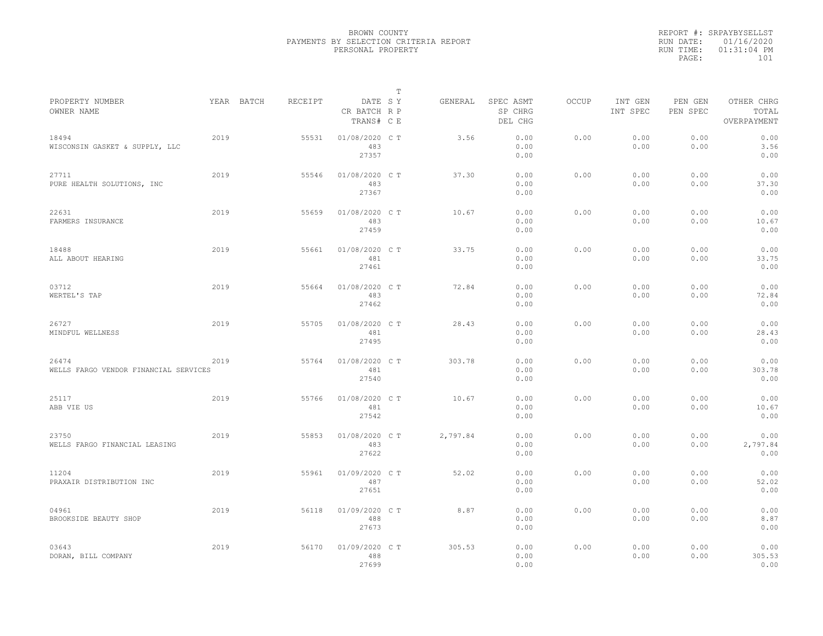|                                                |      |            |         |                                       | Т |          |                                 |              |                     |                     |                                    |
|------------------------------------------------|------|------------|---------|---------------------------------------|---|----------|---------------------------------|--------------|---------------------|---------------------|------------------------------------|
| PROPERTY NUMBER<br>OWNER NAME                  |      | YEAR BATCH | RECEIPT | DATE SY<br>CR BATCH R P<br>TRANS# C E |   | GENERAL  | SPEC ASMT<br>SP CHRG<br>DEL CHG | <b>OCCUP</b> | INT GEN<br>INT SPEC | PEN GEN<br>PEN SPEC | OTHER CHRG<br>TOTAL<br>OVERPAYMENT |
| 18494<br>WISCONSIN GASKET & SUPPLY, LLC        | 2019 |            | 55531   | 01/08/2020 CT<br>483<br>27357         |   | 3.56     | 0.00<br>0.00<br>0.00            | 0.00         | 0.00<br>0.00        | 0.00<br>0.00        | 0.00<br>3.56<br>0.00               |
| 27711<br>PURE HEALTH SOLUTIONS, INC            | 2019 |            | 55546   | 01/08/2020 C T<br>483<br>27367        |   | 37.30    | 0.00<br>0.00<br>0.00            | 0.00         | 0.00<br>0.00        | 0.00<br>0.00        | 0.00<br>37.30<br>0.00              |
| 22631<br>FARMERS INSURANCE                     | 2019 |            | 55659   | 01/08/2020 C T<br>483<br>27459        |   | 10.67    | 0.00<br>0.00<br>0.00            | 0.00         | 0.00<br>0.00        | 0.00<br>0.00        | 0.00<br>10.67<br>0.00              |
| 18488<br>ALL ABOUT HEARING                     | 2019 |            | 55661   | 01/08/2020 C T<br>481<br>27461        |   | 33.75    | 0.00<br>0.00<br>0.00            | 0.00         | 0.00<br>0.00        | 0.00<br>0.00        | 0.00<br>33.75<br>0.00              |
| 03712<br>WERTEL'S TAP                          | 2019 |            | 55664   | 01/08/2020 C T<br>483<br>27462        |   | 72.84    | 0.00<br>0.00<br>0.00            | 0.00         | 0.00<br>0.00        | 0.00<br>0.00        | 0.00<br>72.84<br>0.00              |
| 26727<br>MINDFUL WELLNESS                      | 2019 |            | 55705   | 01/08/2020 C T<br>481<br>27495        |   | 28.43    | 0.00<br>0.00<br>0.00            | 0.00         | 0.00<br>0.00        | 0.00<br>0.00        | 0.00<br>28.43<br>0.00              |
| 26474<br>WELLS FARGO VENDOR FINANCIAL SERVICES | 2019 |            | 55764   | 01/08/2020 C T<br>481<br>27540        |   | 303.78   | 0.00<br>0.00<br>0.00            | 0.00         | 0.00<br>0.00        | 0.00<br>0.00        | 0.00<br>303.78<br>0.00             |
| 25117<br>ABB VIE US                            | 2019 |            | 55766   | 01/08/2020 C T<br>481<br>27542        |   | 10.67    | 0.00<br>0.00<br>0.00            | 0.00         | 0.00<br>0.00        | 0.00<br>0.00        | 0.00<br>10.67<br>0.00              |
| 23750<br>WELLS FARGO FINANCIAL LEASING         | 2019 |            | 55853   | 01/08/2020 C T<br>483<br>27622        |   | 2,797.84 | 0.00<br>0.00<br>0.00            | 0.00         | 0.00<br>0.00        | 0.00<br>0.00        | 0.00<br>2,797.84<br>0.00           |
| 11204<br>PRAXAIR DISTRIBUTION INC              | 2019 |            | 55961   | 01/09/2020 C T<br>487<br>27651        |   | 52.02    | 0.00<br>0.00<br>0.00            | 0.00         | 0.00<br>0.00        | 0.00<br>0.00        | 0.00<br>52.02<br>0.00              |
| 04961<br>BROOKSIDE BEAUTY SHOP                 | 2019 |            | 56118   | 01/09/2020 C T<br>488<br>27673        |   | 8.87     | 0.00<br>0.00<br>0.00            | 0.00         | 0.00<br>0.00        | 0.00<br>0.00        | 0.00<br>8.87<br>0.00               |
| 03643<br>DORAN, BILL COMPANY                   | 2019 |            | 56170   | 01/09/2020 C T<br>488<br>27699        |   | 305.53   | 0.00<br>0.00<br>0.00            | 0.00         | 0.00<br>0.00        | 0.00<br>0.00        | 0.00<br>305.53<br>0.00             |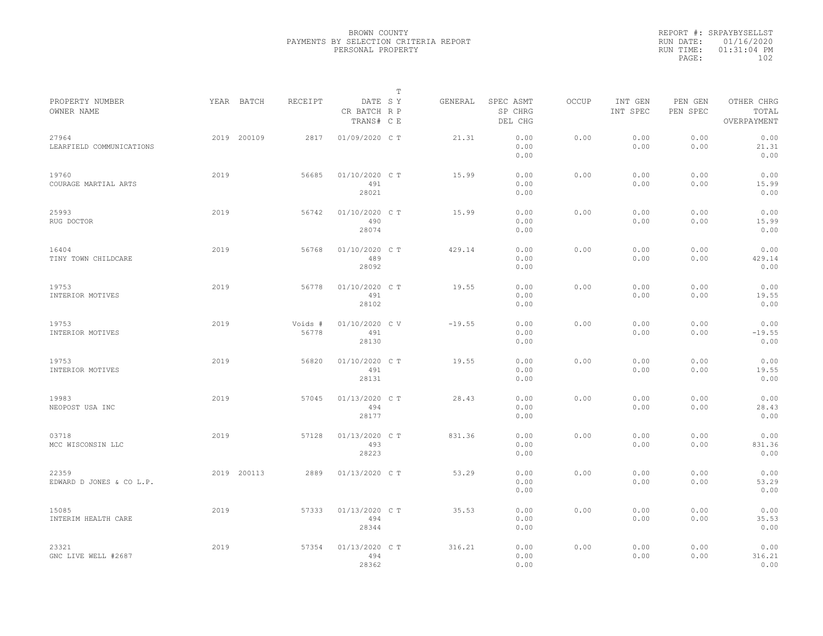|                                   |             |                  |                                       | $\mathbb{T}$ |          |                                 |              |                     |                     |                                    |
|-----------------------------------|-------------|------------------|---------------------------------------|--------------|----------|---------------------------------|--------------|---------------------|---------------------|------------------------------------|
| PROPERTY NUMBER<br>OWNER NAME     | YEAR BATCH  | RECEIPT          | DATE SY<br>CR BATCH R P<br>TRANS# C E |              | GENERAL  | SPEC ASMT<br>SP CHRG<br>DEL CHG | <b>OCCUP</b> | INT GEN<br>INT SPEC | PEN GEN<br>PEN SPEC | OTHER CHRG<br>TOTAL<br>OVERPAYMENT |
| 27964<br>LEARFIELD COMMUNICATIONS | 2019 200109 | 2817             | 01/09/2020 C T                        |              | 21.31    | 0.00<br>0.00<br>0.00            | 0.00         | 0.00<br>0.00        | 0.00<br>0.00        | 0.00<br>21.31<br>0.00              |
| 19760<br>COURAGE MARTIAL ARTS     | 2019        | 56685            | 01/10/2020 C T<br>491<br>28021        |              | 15.99    | 0.00<br>0.00<br>0.00            | 0.00         | 0.00<br>0.00        | 0.00<br>0.00        | 0.00<br>15.99<br>0.00              |
| 25993<br>RUG DOCTOR               | 2019        | 56742            | 01/10/2020 C T<br>490<br>28074        |              | 15.99    | 0.00<br>0.00<br>0.00            | 0.00         | 0.00<br>0.00        | 0.00<br>0.00        | 0.00<br>15.99<br>0.00              |
| 16404<br>TINY TOWN CHILDCARE      | 2019        | 56768            | 01/10/2020 C T<br>489<br>28092        |              | 429.14   | 0.00<br>0.00<br>0.00            | 0.00         | 0.00<br>0.00        | 0.00<br>0.00        | 0.00<br>429.14<br>0.00             |
| 19753<br>INTERIOR MOTIVES         | 2019        | 56778            | 01/10/2020 C T<br>491<br>28102        |              | 19.55    | 0.00<br>0.00<br>0.00            | 0.00         | 0.00<br>0.00        | 0.00<br>0.00        | 0.00<br>19.55<br>0.00              |
| 19753<br>INTERIOR MOTIVES         | 2019        | Voids #<br>56778 | 01/10/2020 CV<br>491<br>28130         |              | $-19.55$ | 0.00<br>0.00<br>0.00            | 0.00         | 0.00<br>0.00        | 0.00<br>0.00        | 0.00<br>$-19.55$<br>0.00           |
| 19753<br>INTERIOR MOTIVES         | 2019        | 56820            | 01/10/2020 C T<br>491<br>28131        |              | 19.55    | 0.00<br>0.00<br>0.00            | 0.00         | 0.00<br>0.00        | 0.00<br>0.00        | 0.00<br>19.55<br>0.00              |
| 19983<br>NEOPOST USA INC          | 2019        | 57045            | 01/13/2020 C T<br>494<br>28177        |              | 28.43    | 0.00<br>0.00<br>0.00            | 0.00         | 0.00<br>0.00        | 0.00<br>0.00        | 0.00<br>28.43<br>0.00              |
| 03718<br>MCC WISCONSIN LLC        | 2019        | 57128            | 01/13/2020 C T<br>493<br>28223        |              | 831.36   | 0.00<br>0.00<br>0.00            | 0.00         | 0.00<br>0.00        | 0.00<br>0.00        | 0.00<br>831.36<br>0.00             |
| 22359<br>EDWARD D JONES & CO L.P. | 2019 200113 | 2889             | 01/13/2020 C T                        |              | 53.29    | 0.00<br>0.00<br>0.00            | 0.00         | 0.00<br>0.00        | 0.00<br>0.00        | 0.00<br>53.29<br>0.00              |
| 15085<br>INTERIM HEALTH CARE      | 2019        | 57333            | 01/13/2020 C T<br>494<br>28344        |              | 35.53    | 0.00<br>0.00<br>0.00            | 0.00         | 0.00<br>0.00        | 0.00<br>0.00        | 0.00<br>35.53<br>0.00              |
| 23321<br>GNC LIVE WELL #2687      | 2019        | 57354            | 01/13/2020 C T<br>494<br>28362        |              | 316.21   | 0.00<br>0.00<br>0.00            | 0.00         | 0.00<br>0.00        | 0.00<br>0.00        | 0.00<br>316.21<br>0.00             |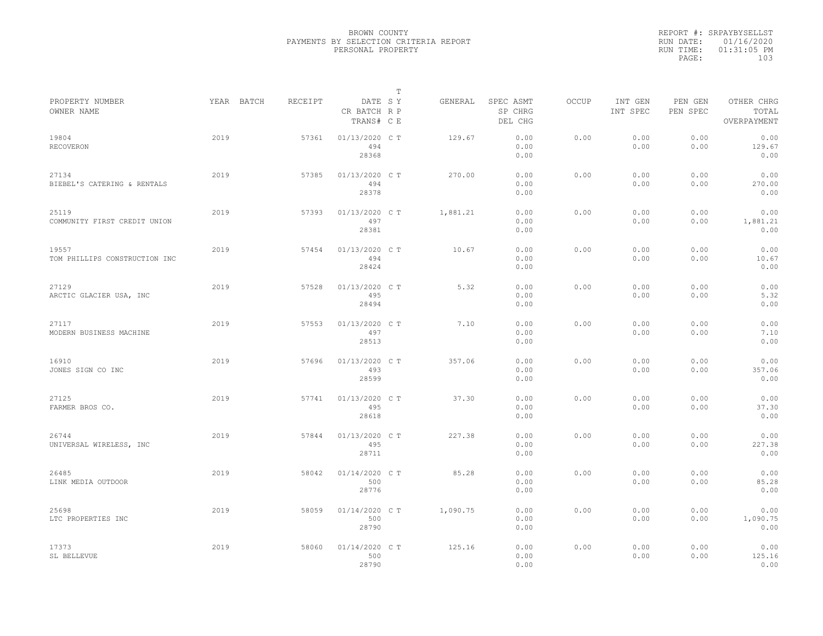|           | REPORT #: SRPAYBYSELLST |  |
|-----------|-------------------------|--|
|           | RUN DATE: 01/16/2020    |  |
| RUN TIME: | $01:31:05$ PM           |  |
| PAGE:     | 103                     |  |
|           |                         |  |

|                                        |            |         |                                       | $\mathbb T$ |          |                                 |              |                     |                     |                                    |  |
|----------------------------------------|------------|---------|---------------------------------------|-------------|----------|---------------------------------|--------------|---------------------|---------------------|------------------------------------|--|
| PROPERTY NUMBER<br>OWNER NAME          | YEAR BATCH | RECEIPT | DATE SY<br>CR BATCH R P<br>TRANS# C E |             | GENERAL  | SPEC ASMT<br>SP CHRG<br>DEL CHG | <b>OCCUP</b> | INT GEN<br>INT SPEC | PEN GEN<br>PEN SPEC | OTHER CHRG<br>TOTAL<br>OVERPAYMENT |  |
| 19804<br><b>RECOVERON</b>              | 2019       | 57361   | 01/13/2020 C T<br>494<br>28368        |             | 129.67   | 0.00<br>0.00<br>0.00            | 0.00         | 0.00<br>0.00        | 0.00<br>0.00        | 0.00<br>129.67<br>0.00             |  |
| 27134<br>BIEBEL'S CATERING & RENTALS   | 2019       | 57385   | 01/13/2020 C T<br>494<br>28378        |             | 270.00   | 0.00<br>0.00<br>0.00            | 0.00         | 0.00<br>0.00        | 0.00<br>0.00        | 0.00<br>270.00<br>0.00             |  |
| 25119<br>COMMUNITY FIRST CREDIT UNION  | 2019       | 57393   | 01/13/2020 C T<br>497<br>28381        |             | 1,881.21 | 0.00<br>0.00<br>0.00            | 0.00         | 0.00<br>0.00        | 0.00<br>0.00        | 0.00<br>1,881.21<br>0.00           |  |
| 19557<br>TOM PHILLIPS CONSTRUCTION INC | 2019       | 57454   | 01/13/2020 C T<br>494<br>28424        |             | 10.67    | 0.00<br>0.00<br>0.00            | 0.00         | 0.00<br>0.00        | 0.00<br>0.00        | 0.00<br>10.67<br>0.00              |  |
| 27129<br>ARCTIC GLACIER USA, INC       | 2019       | 57528   | 01/13/2020 C T<br>495<br>28494        |             | 5.32     | 0.00<br>0.00<br>0.00            | 0.00         | 0.00<br>0.00        | 0.00<br>0.00        | 0.00<br>5.32<br>0.00               |  |
| 27117<br>MODERN BUSINESS MACHINE       | 2019       | 57553   | 01/13/2020 C T<br>497<br>28513        |             | 7.10     | 0.00<br>0.00<br>0.00            | 0.00         | 0.00<br>0.00        | 0.00<br>0.00        | 0.00<br>7.10<br>0.00               |  |
| 16910<br>JONES SIGN CO INC             | 2019       | 57696   | 01/13/2020 C T<br>493<br>28599        |             | 357.06   | 0.00<br>0.00<br>0.00            | 0.00         | 0.00<br>0.00        | 0.00<br>0.00        | 0.00<br>357.06<br>0.00             |  |
| 27125<br>FARMER BROS CO.               | 2019       | 57741   | 01/13/2020 C T<br>495<br>28618        |             | 37.30    | 0.00<br>0.00<br>0.00            | 0.00         | 0.00<br>0.00        | 0.00<br>0.00        | 0.00<br>37.30<br>0.00              |  |
| 26744<br>UNIVERSAL WIRELESS, INC       | 2019       | 57844   | 01/13/2020 C T<br>495<br>28711        |             | 227.38   | 0.00<br>0.00<br>0.00            | 0.00         | 0.00<br>0.00        | 0.00<br>0.00        | 0.00<br>227.38<br>0.00             |  |
| 26485<br>LINK MEDIA OUTDOOR            | 2019       | 58042   | 01/14/2020 C T<br>500<br>28776        |             | 85.28    | 0.00<br>0.00<br>0.00            | 0.00         | 0.00<br>0.00        | 0.00<br>0.00        | 0.00<br>85.28<br>0.00              |  |
| 25698<br>LTC PROPERTIES INC            | 2019       | 58059   | 01/14/2020 C T<br>500<br>28790        |             | 1,090.75 | 0.00<br>0.00<br>0.00            | 0.00         | 0.00<br>0.00        | 0.00<br>0.00        | 0.00<br>1,090.75<br>0.00           |  |
| 17373<br>SL BELLEVUE                   | 2019       | 58060   | 01/14/2020 C T<br>500<br>28790        |             | 125.16   | 0.00<br>0.00<br>0.00            | 0.00         | 0.00<br>0.00        | 0.00<br>0.00        | 0.00<br>125.16<br>0.00             |  |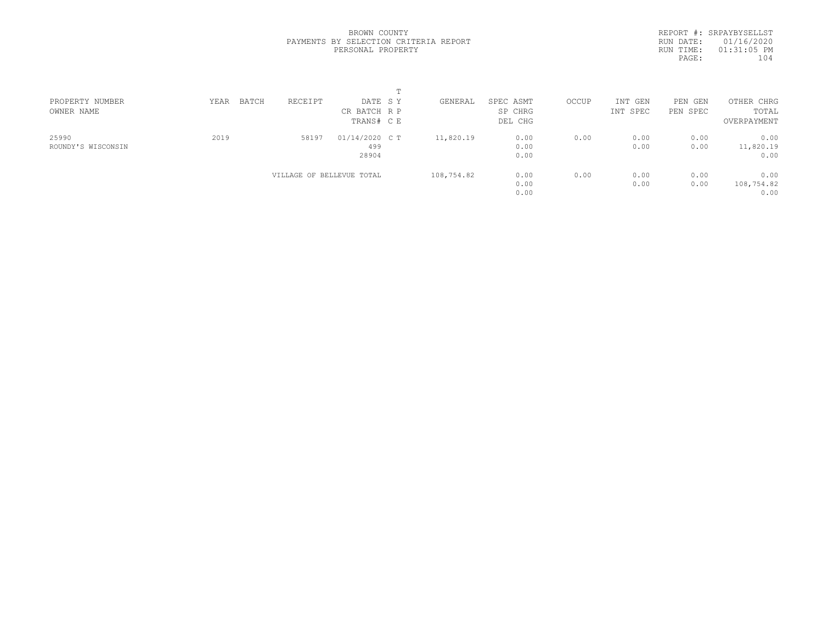REPORT #: SRPAYBYSELLST RUN DATE: 01/16/2020 RUN TIME: 01:31:05 PM PAGE: 104

| PROPERTY NUMBER    | BATCH<br>YEAR | RECEIPT                   | DATE SY        | GENERAL    | SPEC ASMT | OCCUP | INT GEN  | PEN GEN  | OTHER CHRG  |  |
|--------------------|---------------|---------------------------|----------------|------------|-----------|-------|----------|----------|-------------|--|
| OWNER NAME         |               |                           | CR BATCH R P   |            | SP CHRG   |       | INT SPEC | PEN SPEC | TOTAL       |  |
|                    |               |                           | TRANS# C E     |            | DEL CHG   |       |          |          | OVERPAYMENT |  |
| 25990              | 2019          | 58197                     | 01/14/2020 C T | 11,820.19  | 0.00      | 0.00  | 0.00     | 0.00     | 0.00        |  |
| ROUNDY'S WISCONSIN |               |                           | 499            |            | 0.00      |       | 0.00     | 0.00     | 11,820.19   |  |
|                    |               |                           | 28904          |            | 0.00      |       |          |          | 0.00        |  |
|                    |               | VILLAGE OF BELLEVUE TOTAL |                | 108,754.82 | 0.00      | 0.00  | 0.00     | 0.00     | 0.00        |  |
|                    |               |                           |                |            | 0.00      |       | 0.00     | 0.00     | 108,754.82  |  |
|                    |               |                           |                |            | 0.00      |       |          |          | 0.00        |  |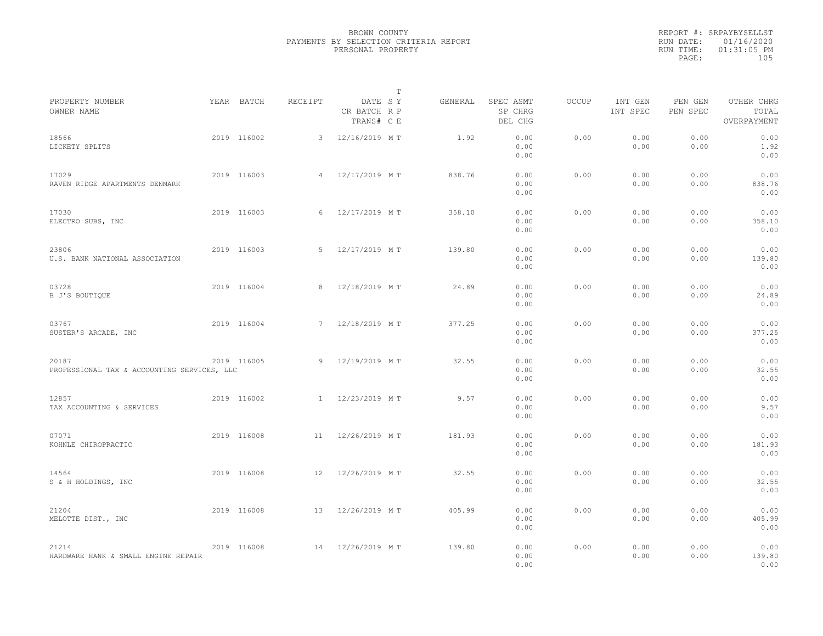|                                                      |             |                |                                       | $\mathbb T$ |         |                                 |              |                     |                     |                                    |  |
|------------------------------------------------------|-------------|----------------|---------------------------------------|-------------|---------|---------------------------------|--------------|---------------------|---------------------|------------------------------------|--|
| PROPERTY NUMBER<br>OWNER NAME                        | YEAR BATCH  | RECEIPT        | DATE SY<br>CR BATCH R P<br>TRANS# C E |             | GENERAL | SPEC ASMT<br>SP CHRG<br>DEL CHG | <b>OCCUP</b> | INT GEN<br>INT SPEC | PEN GEN<br>PEN SPEC | OTHER CHRG<br>TOTAL<br>OVERPAYMENT |  |
| 18566<br>LICKETY SPLITS                              | 2019 116002 | $\mathbf{3}$   | 12/16/2019 MT                         |             | 1.92    | 0.00<br>0.00<br>0.00            | 0.00         | 0.00<br>0.00        | 0.00<br>0.00        | 0.00<br>1.92<br>0.00               |  |
| 17029<br>RAVEN RIDGE APARTMENTS DENMARK              | 2019 116003 | $\overline{4}$ | 12/17/2019 MT                         |             | 838.76  | 0.00<br>0.00<br>0.00            | 0.00         | 0.00<br>0.00        | 0.00<br>0.00        | 0.00<br>838.76<br>0.00             |  |
| 17030<br>ELECTRO SUBS, INC                           | 2019 116003 | 6              | 12/17/2019 MT                         |             | 358.10  | 0.00<br>0.00<br>0.00            | 0.00         | 0.00<br>0.00        | 0.00<br>0.00        | 0.00<br>358.10<br>0.00             |  |
| 23806<br>U.S. BANK NATIONAL ASSOCIATION              | 2019 116003 | $5 -$          | 12/17/2019 MT                         |             | 139.80  | 0.00<br>0.00<br>0.00            | 0.00         | 0.00<br>0.00        | 0.00<br>0.00        | 0.00<br>139.80<br>0.00             |  |
| 03728<br>B J'S BOUTIOUE                              | 2019 116004 | 8              | 12/18/2019 MT                         |             | 24.89   | 0.00<br>0.00<br>0.00            | 0.00         | 0.00<br>0.00        | 0.00<br>0.00        | 0.00<br>24.89<br>0.00              |  |
| 03767<br>SUSTER'S ARCADE, INC                        | 2019 116004 | 7              | 12/18/2019 MT                         |             | 377.25  | 0.00<br>0.00<br>0.00            | 0.00         | 0.00<br>0.00        | 0.00<br>0.00        | 0.00<br>377.25<br>0.00             |  |
| 20187<br>PROFESSIONAL TAX & ACCOUNTING SERVICES, LLC | 2019 116005 | 9              | 12/19/2019 MT                         |             | 32.55   | 0.00<br>0.00<br>0.00            | 0.00         | 0.00<br>0.00        | 0.00<br>0.00        | 0.00<br>32.55<br>0.00              |  |
| 12857<br>TAX ACCOUNTING & SERVICES                   | 2019 116002 | $\overline{1}$ | 12/23/2019 MT                         |             | 9.57    | 0.00<br>0.00<br>0.00            | 0.00         | 0.00<br>0.00        | 0.00<br>0.00        | 0.00<br>9.57<br>0.00               |  |
| 07071<br>KOHNLE CHIROPRACTIC                         | 2019 116008 | 11             | 12/26/2019 MT                         |             | 181.93  | 0.00<br>0.00<br>0.00            | 0.00         | 0.00<br>0.00        | 0.00<br>0.00        | 0.00<br>181.93<br>0.00             |  |
| 14564<br>S & H HOLDINGS, INC                         | 2019 116008 | 12             | 12/26/2019 MT                         |             | 32.55   | 0.00<br>0.00<br>0.00            | 0.00         | 0.00<br>0.00        | 0.00<br>0.00        | 0.00<br>32.55<br>0.00              |  |
| 21204<br>MELOTTE DIST., INC                          | 2019 116008 | 13             | 12/26/2019 MT                         |             | 405.99  | 0.00<br>0.00<br>0.00            | 0.00         | 0.00<br>0.00        | 0.00<br>0.00        | 0.00<br>405.99<br>0.00             |  |
| 21214<br>HARDWARE HANK & SMALL ENGINE REPAIR         | 2019 116008 | 14             | 12/26/2019 MT                         |             | 139.80  | 0.00<br>0.00<br>0.00            | 0.00         | 0.00<br>0.00        | 0.00<br>0.00        | 0.00<br>139.80<br>0.00             |  |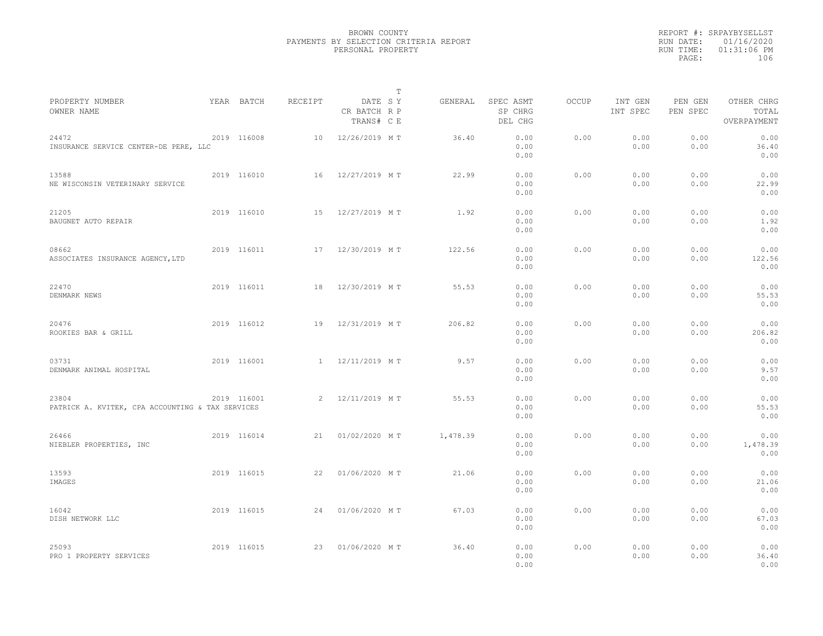|                                                           |             |         | $\mathbb T$                           |          |                                 |              |                     |                     |                                    |  |
|-----------------------------------------------------------|-------------|---------|---------------------------------------|----------|---------------------------------|--------------|---------------------|---------------------|------------------------------------|--|
| PROPERTY NUMBER<br>OWNER NAME                             | YEAR BATCH  | RECEIPT | DATE SY<br>CR BATCH R P<br>TRANS# C E | GENERAL  | SPEC ASMT<br>SP CHRG<br>DEL CHG | <b>OCCUP</b> | INT GEN<br>INT SPEC | PEN GEN<br>PEN SPEC | OTHER CHRG<br>TOTAL<br>OVERPAYMENT |  |
| 24472<br>INSURANCE SERVICE CENTER-DE PERE, LLC            | 2019 116008 | 10      | 12/26/2019 MT                         | 36.40    | 0.00<br>0.00<br>0.00            | 0.00         | 0.00<br>0.00        | 0.00<br>0.00        | 0.00<br>36.40<br>0.00              |  |
| 13588<br>NE WISCONSIN VETERINARY SERVICE                  | 2019 116010 | 16      | 12/27/2019 MT                         | 22.99    | 0.00<br>0.00<br>0.00            | 0.00         | 0.00<br>0.00        | 0.00<br>0.00        | 0.00<br>22.99<br>0.00              |  |
| 21205<br>BAUGNET AUTO REPAIR                              | 2019 116010 | 15      | 12/27/2019 MT                         | 1.92     | 0.00<br>0.00<br>0.00            | 0.00         | 0.00<br>0.00        | 0.00<br>0.00        | 0.00<br>1.92<br>0.00               |  |
| 08662<br>ASSOCIATES INSURANCE AGENCY, LTD                 | 2019 116011 | 17      | 12/30/2019 MT                         | 122.56   | 0.00<br>0.00<br>0.00            | 0.00         | 0.00<br>0.00        | 0.00<br>0.00        | 0.00<br>122.56<br>0.00             |  |
| 22470<br>DENMARK NEWS                                     | 2019 116011 | 18      | 12/30/2019 MT                         | 55.53    | 0.00<br>0.00<br>0.00            | 0.00         | 0.00<br>0.00        | 0.00<br>0.00        | 0.00<br>55.53<br>0.00              |  |
| 20476<br>ROOKIES BAR & GRILL                              | 2019 116012 | 19      | 12/31/2019 MT                         | 206.82   | 0.00<br>0.00<br>0.00            | 0.00         | 0.00<br>0.00        | 0.00<br>0.00        | 0.00<br>206.82<br>0.00             |  |
| 03731<br>DENMARK ANIMAL HOSPITAL                          | 2019 116001 | 1       | 12/11/2019 MT                         | 9.57     | 0.00<br>0.00<br>0.00            | 0.00         | 0.00<br>0.00        | 0.00<br>0.00        | 0.00<br>9.57<br>0.00               |  |
| 23804<br>PATRICK A. KVITEK, CPA ACCOUNTING & TAX SERVICES | 2019 116001 | 2       | 12/11/2019 MT                         | 55.53    | 0.00<br>0.00<br>0.00            | 0.00         | 0.00<br>0.00        | 0.00<br>0.00        | 0.00<br>55.53<br>0.00              |  |
| 26466<br>NIEBLER PROPERTIES, INC                          | 2019 116014 | 21      | 01/02/2020 MT                         | 1,478.39 | 0.00<br>0.00<br>0.00            | 0.00         | 0.00<br>0.00        | 0.00<br>0.00        | 0.00<br>1,478.39<br>0.00           |  |
| 13593<br>IMAGES                                           | 2019 116015 | 22      | 01/06/2020 MT                         | 21.06    | 0.00<br>0.00<br>0.00            | 0.00         | 0.00<br>0.00        | 0.00<br>0.00        | 0.00<br>21.06<br>0.00              |  |
| 16042<br>DISH NETWORK LLC                                 | 2019 116015 | 24      | 01/06/2020 MT                         | 67.03    | 0.00<br>0.00<br>0.00            | 0.00         | 0.00<br>0.00        | 0.00<br>0.00        | 0.00<br>67.03<br>0.00              |  |
| 25093<br>PRO 1 PROPERTY SERVICES                          | 2019 116015 | 23      | 01/06/2020 MT                         | 36.40    | 0.00<br>0.00<br>0.00            | 0.00         | 0.00<br>0.00        | 0.00<br>0.00        | 0.00<br>36.40<br>0.00              |  |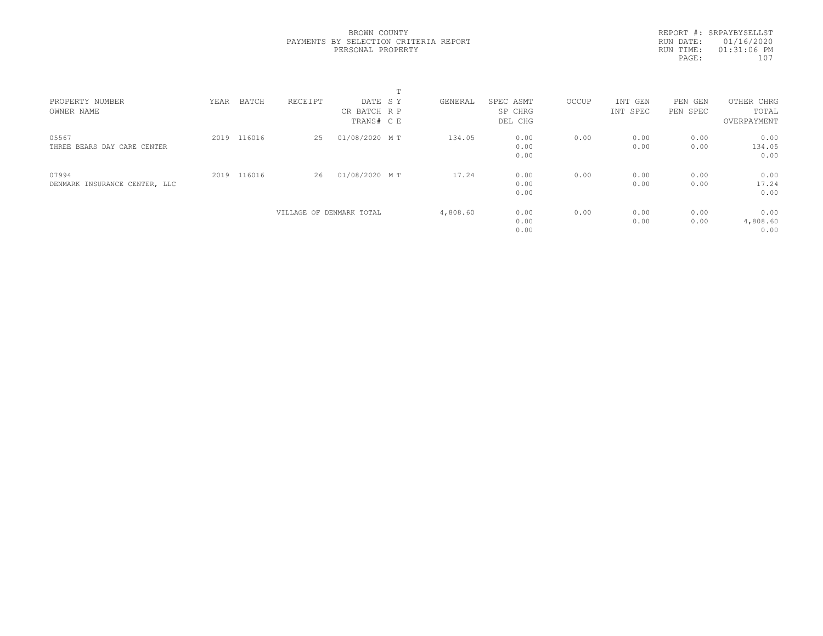REPORT #: SRPAYBYSELLST RUN DATE: 01/16/2020 RUN TIME: 01:31:06 PM PAGE: 107

|                                        |      |             |         |                                       | ÷. |          |                                 |       |                     |                        |                                    |  |
|----------------------------------------|------|-------------|---------|---------------------------------------|----|----------|---------------------------------|-------|---------------------|------------------------|------------------------------------|--|
| PROPERTY NUMBER<br>OWNER NAME          | YEAR | BATCH       | RECEIPT | DATE SY<br>CR BATCH R P<br>TRANS# C E |    | GENERAL  | SPEC ASMT<br>SP CHRG<br>DEL CHG | OCCUP | INT GEN<br>INT SPEC | PEN<br>GEN<br>PEN SPEC | OTHER CHRG<br>TOTAL<br>OVERPAYMENT |  |
| 05567<br>THREE BEARS DAY CARE CENTER   | 2019 | 116016      | 25      | 01/08/2020 MT                         |    | 134.05   | 0.00<br>0.00<br>0.00            | 0.00  | 0.00<br>0.00        | 0.00<br>0.00           | 0.00<br>134.05<br>0.00             |  |
| 07994<br>DENMARK INSURANCE CENTER, LLC |      | 2019 116016 | 26      | 01/08/2020 MT                         |    | 17.24    | 0.00<br>0.00<br>0.00            | 0.00  | 0.00<br>0.00        | 0.00<br>0.00           | 0.00<br>17.24<br>0.00              |  |
|                                        |      |             |         | VILLAGE OF DENMARK TOTAL              |    | 4,808.60 | 0.00<br>0.00<br>0.00            | 0.00  | 0.00<br>0.00        | 0.00<br>0.00           | 0.00<br>4,808.60<br>0.00           |  |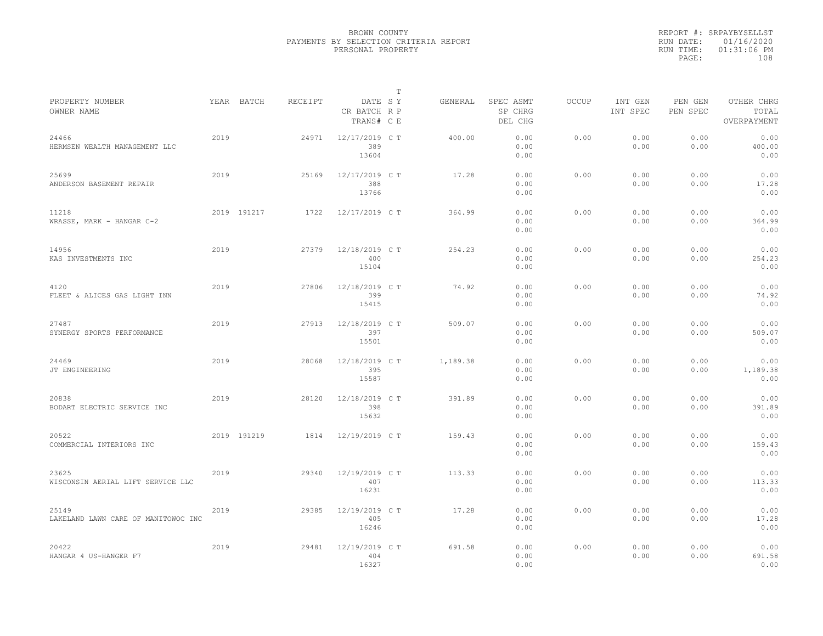|           | REPORT #: SRPAYBYSELLST |
|-----------|-------------------------|
|           | RUN DATE: 01/16/2020    |
| RUN TIME: | 01:31:06 PM             |
| PAGE:     | 108                     |
|           |                         |

|                                              |      |             |         |                                       | $\mathbb{T}$ |          |                                 |              |                     |                     |                                    |
|----------------------------------------------|------|-------------|---------|---------------------------------------|--------------|----------|---------------------------------|--------------|---------------------|---------------------|------------------------------------|
| PROPERTY NUMBER<br>OWNER NAME                |      | YEAR BATCH  | RECEIPT | DATE SY<br>CR BATCH R P<br>TRANS# C E |              | GENERAL  | SPEC ASMT<br>SP CHRG<br>DEL CHG | <b>OCCUP</b> | INT GEN<br>INT SPEC | PEN GEN<br>PEN SPEC | OTHER CHRG<br>TOTAL<br>OVERPAYMENT |
| 24466<br>HERMSEN WEALTH MANAGEMENT LLC       | 2019 |             | 24971   | 12/17/2019 C T<br>389<br>13604        |              | 400.00   | 0.00<br>0.00<br>0.00            | 0.00         | 0.00<br>0.00        | 0.00<br>0.00        | 0.00<br>400.00<br>0.00             |
| 25699<br>ANDERSON BASEMENT REPAIR            | 2019 |             | 25169   | 12/17/2019 C T<br>388<br>13766        |              | 17.28    | 0.00<br>0.00<br>0.00            | 0.00         | 0.00<br>0.00        | 0.00<br>0.00        | 0.00<br>17.28<br>0.00              |
| 11218<br>WRASSE, MARK - HANGAR C-2           |      | 2019 191217 | 1722    | 12/17/2019 C T                        |              | 364.99   | 0.00<br>0.00<br>0.00            | 0.00         | 0.00<br>0.00        | 0.00<br>0.00        | 0.00<br>364.99<br>0.00             |
| 14956<br>KAS INVESTMENTS INC                 | 2019 |             | 27379   | 12/18/2019 C T<br>400<br>15104        |              | 254.23   | 0.00<br>0.00<br>0.00            | 0.00         | 0.00<br>0.00        | 0.00<br>0.00        | 0.00<br>254.23<br>0.00             |
| 4120<br>FLEET & ALICES GAS LIGHT INN         | 2019 |             | 27806   | 12/18/2019 C T<br>399<br>15415        |              | 74.92    | 0.00<br>0.00<br>0.00            | 0.00         | 0.00<br>0.00        | 0.00<br>0.00        | 0.00<br>74.92<br>0.00              |
| 27487<br>SYNERGY SPORTS PERFORMANCE          | 2019 |             | 27913   | 12/18/2019 C T<br>397<br>15501        |              | 509.07   | 0.00<br>0.00<br>0.00            | 0.00         | 0.00<br>0.00        | 0.00<br>0.00        | 0.00<br>509.07<br>0.00             |
| 24469<br>JT ENGINEERING                      | 2019 |             | 28068   | 12/18/2019 C T<br>395<br>15587        |              | 1,189.38 | 0.00<br>0.00<br>0.00            | 0.00         | 0.00<br>0.00        | 0.00<br>0.00        | 0.00<br>1,189.38<br>0.00           |
| 20838<br>BODART ELECTRIC SERVICE INC         | 2019 |             | 28120   | 12/18/2019 C T<br>398<br>15632        |              | 391.89   | 0.00<br>0.00<br>0.00            | 0.00         | 0.00<br>0.00        | 0.00<br>0.00        | 0.00<br>391.89<br>0.00             |
| 20522<br>COMMERCIAL INTERIORS INC            |      | 2019 191219 | 1814    | 12/19/2019 C T                        |              | 159.43   | 0.00<br>0.00<br>0.00            | 0.00         | 0.00<br>0.00        | 0.00<br>0.00        | 0.00<br>159.43<br>0.00             |
| 23625<br>WISCONSIN AERIAL LIFT SERVICE LLC   | 2019 |             | 29340   | 12/19/2019 C T<br>407<br>16231        |              | 113.33   | 0.00<br>0.00<br>0.00            | 0.00         | 0.00<br>0.00        | 0.00<br>0.00        | 0.00<br>113.33<br>0.00             |
| 25149<br>LAKELAND LAWN CARE OF MANITOWOC INC | 2019 |             | 29385   | 12/19/2019 C T<br>405<br>16246        |              | 17.28    | 0.00<br>0.00<br>0.00            | 0.00         | 0.00<br>0.00        | 0.00<br>0.00        | 0.00<br>17.28<br>0.00              |
| 20422<br>HANGAR 4 US-HANGER F7               | 2019 |             | 29481   | 12/19/2019 C T<br>404<br>16327        |              | 691.58   | 0.00<br>0.00<br>0.00            | 0.00         | 0.00<br>0.00        | 0.00<br>0.00        | 0.00<br>691.58<br>0.00             |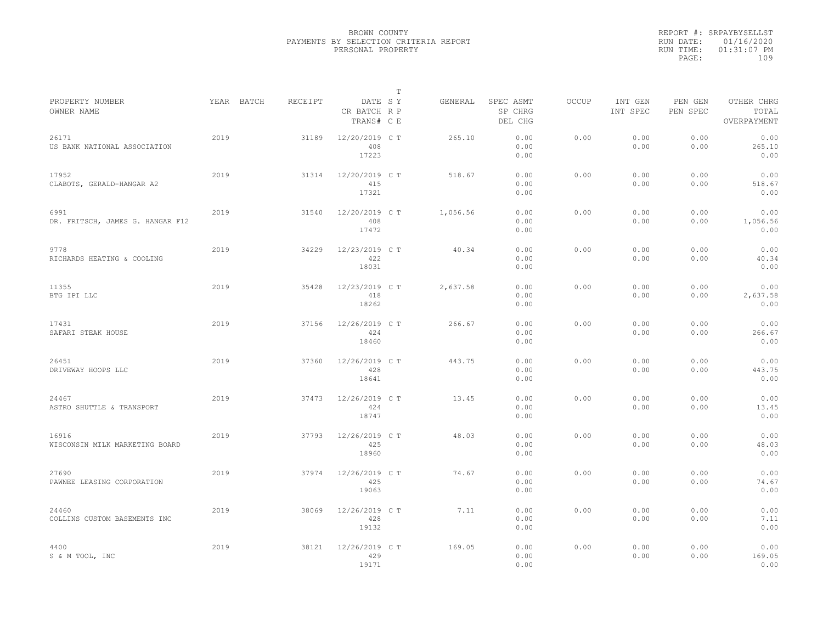|                                          |            |         |                                       | T |          |                                 |              |                     |                     |                                    |
|------------------------------------------|------------|---------|---------------------------------------|---|----------|---------------------------------|--------------|---------------------|---------------------|------------------------------------|
| PROPERTY NUMBER<br>OWNER NAME            | YEAR BATCH | RECEIPT | DATE SY<br>CR BATCH R P<br>TRANS# C E |   | GENERAL  | SPEC ASMT<br>SP CHRG<br>DEL CHG | <b>OCCUP</b> | INT GEN<br>INT SPEC | PEN GEN<br>PEN SPEC | OTHER CHRG<br>TOTAL<br>OVERPAYMENT |
| 26171<br>US BANK NATIONAL ASSOCIATION    | 2019       | 31189   | 12/20/2019 C T<br>408<br>17223        |   | 265.10   | 0.00<br>0.00<br>0.00            | 0.00         | 0.00<br>0.00        | 0.00<br>0.00        | 0.00<br>265.10<br>0.00             |
| 17952<br>CLABOTS, GERALD-HANGAR A2       | 2019       | 31314   | 12/20/2019 C T<br>415<br>17321        |   | 518.67   | 0.00<br>0.00<br>0.00            | 0.00         | 0.00<br>0.00        | 0.00<br>0.00        | 0.00<br>518.67<br>0.00             |
| 6991<br>DR. FRITSCH, JAMES G. HANGAR F12 | 2019       | 31540   | 12/20/2019 C T<br>408<br>17472        |   | 1,056.56 | 0.00<br>0.00<br>0.00            | 0.00         | 0.00<br>0.00        | 0.00<br>0.00        | 0.00<br>1,056.56<br>0.00           |
| 9778<br>RICHARDS HEATING & COOLING       | 2019       | 34229   | 12/23/2019 C T<br>422<br>18031        |   | 40.34    | 0.00<br>0.00<br>0.00            | 0.00         | 0.00<br>0.00        | 0.00<br>0.00        | 0.00<br>40.34<br>0.00              |
| 11355<br>BTG IPI LLC                     | 2019       | 35428   | 12/23/2019 C T<br>418<br>18262        |   | 2,637.58 | 0.00<br>0.00<br>0.00            | 0.00         | 0.00<br>0.00        | 0.00<br>0.00        | 0.00<br>2,637.58<br>0.00           |
| 17431<br>SAFARI STEAK HOUSE              | 2019       | 37156   | $12/26/2019$ CT<br>424<br>18460       |   | 266.67   | 0.00<br>0.00<br>0.00            | 0.00         | 0.00<br>0.00        | 0.00<br>0.00        | 0.00<br>266.67<br>0.00             |
| 26451<br>DRIVEWAY HOOPS LLC              | 2019       | 37360   | 12/26/2019 C T<br>428<br>18641        |   | 443.75   | 0.00<br>0.00<br>0.00            | 0.00         | 0.00<br>0.00        | 0.00<br>0.00        | 0.00<br>443.75<br>0.00             |
| 24467<br>ASTRO SHUTTLE & TRANSPORT       | 2019       | 37473   | 12/26/2019 C T<br>424<br>18747        |   | 13.45    | 0.00<br>0.00<br>0.00            | 0.00         | 0.00<br>0.00        | 0.00<br>0.00        | 0.00<br>13.45<br>0.00              |
| 16916<br>WISCONSIN MILK MARKETING BOARD  | 2019       | 37793   | 12/26/2019 C T<br>425<br>18960        |   | 48.03    | 0.00<br>0.00<br>0.00            | 0.00         | 0.00<br>0.00        | 0.00<br>0.00        | 0.00<br>48.03<br>0.00              |
| 27690<br>PAWNEE LEASING CORPORATION      | 2019       | 37974   | 12/26/2019 C T<br>425<br>19063        |   | 74.67    | 0.00<br>0.00<br>0.00            | 0.00         | 0.00<br>0.00        | 0.00<br>0.00        | 0.00<br>74.67<br>0.00              |
| 24460<br>COLLINS CUSTOM BASEMENTS INC    | 2019       | 38069   | 12/26/2019 C T<br>428<br>19132        |   | 7.11     | 0.00<br>0.00<br>0.00            | 0.00         | 0.00<br>0.00        | 0.00<br>0.00        | 0.00<br>7.11<br>0.00               |
| 4400<br>S & M TOOL, INC                  | 2019       | 38121   | 12/26/2019 C T<br>429<br>19171        |   | 169.05   | 0.00<br>0.00<br>0.00            | 0.00         | 0.00<br>0.00        | 0.00<br>0.00        | 0.00<br>169.05<br>0.00             |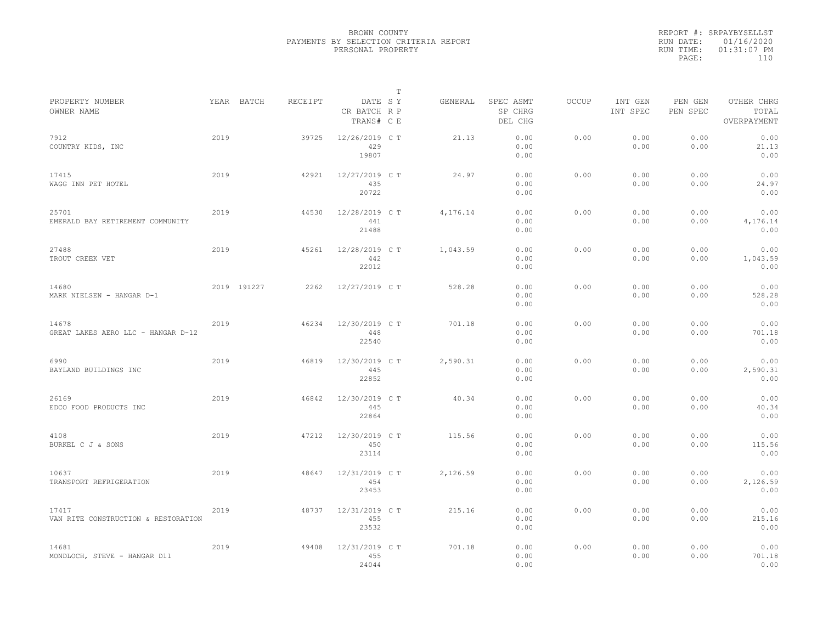|                                              |      |             |         |                                       | T |          |                                 |              |                     |                     |                                    |  |
|----------------------------------------------|------|-------------|---------|---------------------------------------|---|----------|---------------------------------|--------------|---------------------|---------------------|------------------------------------|--|
| PROPERTY NUMBER<br>OWNER NAME                |      | YEAR BATCH  | RECEIPT | DATE SY<br>CR BATCH R P<br>TRANS# C E |   | GENERAL  | SPEC ASMT<br>SP CHRG<br>DEL CHG | <b>OCCUP</b> | INT GEN<br>INT SPEC | PEN GEN<br>PEN SPEC | OTHER CHRG<br>TOTAL<br>OVERPAYMENT |  |
| 7912<br>COUNTRY KIDS, INC                    | 2019 |             | 39725   | 12/26/2019 C T<br>429<br>19807        |   | 21.13    | 0.00<br>0.00<br>0.00            | 0.00         | 0.00<br>0.00        | 0.00<br>0.00        | 0.00<br>21.13<br>0.00              |  |
| 17415<br>WAGG INN PET HOTEL                  | 2019 |             | 42921   | 12/27/2019 C T<br>435<br>20722        |   | 24.97    | 0.00<br>0.00<br>0.00            | 0.00         | 0.00<br>0.00        | 0.00<br>0.00        | 0.00<br>24.97<br>0.00              |  |
| 25701<br>EMERALD BAY RETIREMENT COMMUNITY    | 2019 |             | 44530   | 12/28/2019 C T<br>441<br>21488        |   | 4,176.14 | 0.00<br>0.00<br>0.00            | 0.00         | 0.00<br>0.00        | 0.00<br>0.00        | 0.00<br>4,176.14<br>0.00           |  |
| 27488<br>TROUT CREEK VET                     | 2019 |             | 45261   | 12/28/2019 C T<br>442<br>22012        |   | 1,043.59 | 0.00<br>0.00<br>0.00            | 0.00         | 0.00<br>0.00        | 0.00<br>0.00        | 0.00<br>1,043.59<br>0.00           |  |
| 14680<br>MARK NIELSEN - HANGAR D-1           |      | 2019 191227 | 2262    | 12/27/2019 C T                        |   | 528.28   | 0.00<br>0.00<br>0.00            | 0.00         | 0.00<br>0.00        | 0.00<br>0.00        | 0.00<br>528.28<br>0.00             |  |
| 14678<br>GREAT LAKES AERO LLC - HANGAR D-12  | 2019 |             | 46234   | 12/30/2019 C T<br>448<br>22540        |   | 701.18   | 0.00<br>0.00<br>0.00            | 0.00         | 0.00<br>0.00        | 0.00<br>0.00        | 0.00<br>701.18<br>0.00             |  |
| 6990<br>BAYLAND BUILDINGS INC                | 2019 |             | 46819   | 12/30/2019 C T<br>445<br>22852        |   | 2,590.31 | 0.00<br>0.00<br>0.00            | 0.00         | 0.00<br>0.00        | 0.00<br>0.00        | 0.00<br>2,590.31<br>0.00           |  |
| 26169<br>EDCO FOOD PRODUCTS INC              | 2019 |             | 46842   | 12/30/2019 C T<br>445<br>22864        |   | 40.34    | 0.00<br>0.00<br>0.00            | 0.00         | 0.00<br>0.00        | 0.00<br>0.00        | 0.00<br>40.34<br>0.00              |  |
| 4108<br>BURKEL C J & SONS                    | 2019 |             | 47212   | 12/30/2019 C T<br>450<br>23114        |   | 115.56   | 0.00<br>0.00<br>0.00            | 0.00         | 0.00<br>0.00        | 0.00<br>0.00        | 0.00<br>115.56<br>0.00             |  |
| 10637<br>TRANSPORT REFRIGERATION             | 2019 |             | 48647   | 12/31/2019 C T<br>454<br>23453        |   | 2,126.59 | 0.00<br>0.00<br>0.00            | 0.00         | 0.00<br>0.00        | 0.00<br>0.00        | 0.00<br>2,126.59<br>0.00           |  |
| 17417<br>VAN RITE CONSTRUCTION & RESTORATION | 2019 |             | 48737   | 12/31/2019 C T<br>455<br>23532        |   | 215.16   | 0.00<br>0.00<br>0.00            | 0.00         | 0.00<br>0.00        | 0.00<br>0.00        | 0.00<br>215.16<br>0.00             |  |
| 14681<br>MONDLOCH, STEVE - HANGAR D11        | 2019 |             | 49408   | 12/31/2019 C T<br>455<br>24044        |   | 701.18   | 0.00<br>0.00<br>0.00            | 0.00         | 0.00<br>0.00        | 0.00<br>0.00        | 0.00<br>701.18<br>0.00             |  |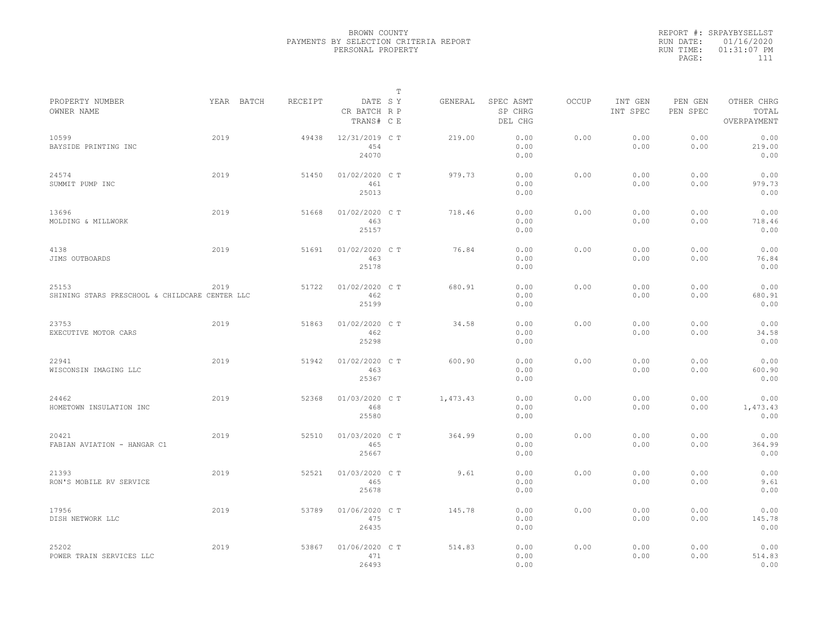|                                                         |      |            |         |                                       | $\mathbb{T}$ |          |                                 |              |                     |                     |                                    |
|---------------------------------------------------------|------|------------|---------|---------------------------------------|--------------|----------|---------------------------------|--------------|---------------------|---------------------|------------------------------------|
| PROPERTY NUMBER<br>OWNER NAME                           |      | YEAR BATCH | RECEIPT | DATE SY<br>CR BATCH R P<br>TRANS# C E |              | GENERAL  | SPEC ASMT<br>SP CHRG<br>DEL CHG | <b>OCCUP</b> | INT GEN<br>INT SPEC | PEN GEN<br>PEN SPEC | OTHER CHRG<br>TOTAL<br>OVERPAYMENT |
| 10599<br>BAYSIDE PRINTING INC                           | 2019 |            | 49438   | 12/31/2019 C T<br>454<br>24070        |              | 219.00   | 0.00<br>0.00<br>0.00            | 0.00         | 0.00<br>0.00        | 0.00<br>0.00        | 0.00<br>219.00<br>0.00             |
| 24574<br>SUMMIT PUMP INC                                | 2019 |            | 51450   | 01/02/2020 C T<br>461<br>25013        |              | 979.73   | 0.00<br>0.00<br>0.00            | 0.00         | 0.00<br>0.00        | 0.00<br>0.00        | 0.00<br>979.73<br>0.00             |
| 13696<br>MOLDING & MILLWORK                             | 2019 |            | 51668   | 01/02/2020 C T<br>463<br>25157        |              | 718.46   | 0.00<br>0.00<br>0.00            | 0.00         | 0.00<br>0.00        | 0.00<br>0.00        | 0.00<br>718.46<br>0.00             |
| 4138<br>JIMS OUTBOARDS                                  | 2019 |            | 51691   | 01/02/2020 C T<br>463<br>25178        |              | 76.84    | 0.00<br>0.00<br>0.00            | 0.00         | 0.00<br>0.00        | 0.00<br>0.00        | 0.00<br>76.84<br>0.00              |
| 25153<br>SHINING STARS PRESCHOOL & CHILDCARE CENTER LLC | 2019 |            | 51722   | 01/02/2020 C T<br>462<br>25199        |              | 680.91   | 0.00<br>0.00<br>0.00            | 0.00         | 0.00<br>0.00        | 0.00<br>0.00        | 0.00<br>680.91<br>0.00             |
| 23753<br>EXECUTIVE MOTOR CARS                           | 2019 |            | 51863   | 01/02/2020 C T<br>462<br>25298        |              | 34.58    | 0.00<br>0.00<br>0.00            | 0.00         | 0.00<br>0.00        | 0.00<br>0.00        | 0.00<br>34.58<br>0.00              |
| 22941<br>WISCONSIN IMAGING LLC                          | 2019 |            | 51942   | 01/02/2020 C T<br>463<br>25367        |              | 600.90   | 0.00<br>0.00<br>0.00            | 0.00         | 0.00<br>0.00        | 0.00<br>0.00        | 0.00<br>600.90<br>0.00             |
| 24462<br>HOMETOWN INSULATION INC                        | 2019 |            | 52368   | 01/03/2020 C T<br>468<br>25580        |              | 1,473.43 | 0.00<br>0.00<br>0.00            | 0.00         | 0.00<br>0.00        | 0.00<br>0.00        | 0.00<br>1,473.43<br>0.00           |
| 20421<br>FABIAN AVIATION - HANGAR C1                    | 2019 |            | 52510   | 01/03/2020 C T<br>465<br>25667        |              | 364.99   | 0.00<br>0.00<br>0.00            | 0.00         | 0.00<br>0.00        | 0.00<br>0.00        | 0.00<br>364.99<br>0.00             |
| 21393<br>RON'S MOBILE RV SERVICE                        | 2019 |            | 52521   | 01/03/2020 C T<br>465<br>25678        |              | 9.61     | 0.00<br>0.00<br>0.00            | 0.00         | 0.00<br>0.00        | 0.00<br>0.00        | 0.00<br>9.61<br>0.00               |
| 17956<br>DISH NETWORK LLC                               | 2019 |            | 53789   | 01/06/2020 C T<br>475<br>26435        |              | 145.78   | 0.00<br>0.00<br>0.00            | 0.00         | 0.00<br>0.00        | 0.00<br>0.00        | 0.00<br>145.78<br>0.00             |
| 25202<br>POWER TRAIN SERVICES LLC                       | 2019 |            | 53867   | 01/06/2020 C T<br>471<br>26493        |              | 514.83   | 0.00<br>0.00<br>0.00            | 0.00         | 0.00<br>0.00        | 0.00<br>0.00        | 0.00<br>514.83<br>0.00             |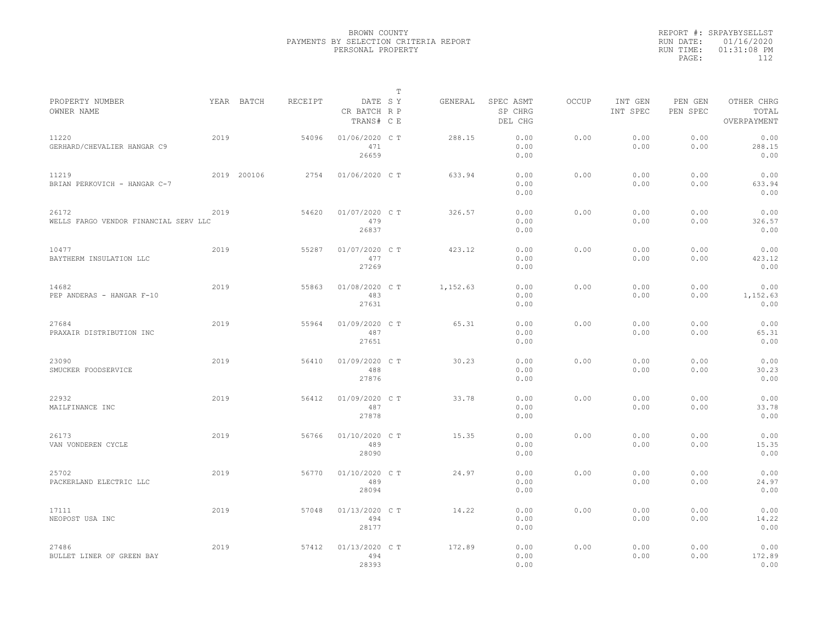|           | REPORT #: SRPAYBYSELLST |
|-----------|-------------------------|
|           | RUN DATE: 01/16/2020    |
| RUN TIME: | $01:31:08$ PM           |
| PAGE:     | 112                     |
|           |                         |

|                                                |      |             |         |                                       | $\mathbb T$ |          |                                 |       |                     |                     |                                    |  |
|------------------------------------------------|------|-------------|---------|---------------------------------------|-------------|----------|---------------------------------|-------|---------------------|---------------------|------------------------------------|--|
| PROPERTY NUMBER<br>OWNER NAME                  |      | YEAR BATCH  | RECEIPT | DATE SY<br>CR BATCH R P<br>TRANS# C E |             | GENERAL  | SPEC ASMT<br>SP CHRG<br>DEL CHG | OCCUP | INT GEN<br>INT SPEC | PEN GEN<br>PEN SPEC | OTHER CHRG<br>TOTAL<br>OVERPAYMENT |  |
| 11220<br>GERHARD/CHEVALIER HANGAR C9           | 2019 |             | 54096   | 01/06/2020 C T<br>471<br>26659        |             | 288.15   | 0.00<br>0.00<br>0.00            | 0.00  | 0.00<br>0.00        | 0.00<br>0.00        | 0.00<br>288.15<br>0.00             |  |
| 11219<br>BRIAN PERKOVICH - HANGAR C-7          |      | 2019 200106 | 2754    | 01/06/2020 C T                        |             | 633.94   | 0.00<br>0.00<br>0.00            | 0.00  | 0.00<br>0.00        | 0.00<br>0.00        | 0.00<br>633.94<br>0.00             |  |
| 26172<br>WELLS FARGO VENDOR FINANCIAL SERV LLC | 2019 |             | 54620   | 01/07/2020 C T<br>479<br>26837        |             | 326.57   | 0.00<br>0.00<br>0.00            | 0.00  | 0.00<br>0.00        | 0.00<br>0.00        | 0.00<br>326.57<br>0.00             |  |
| 10477<br>BAYTHERM INSULATION LLC               | 2019 |             | 55287   | 01/07/2020 CT<br>477<br>27269         |             | 423.12   | 0.00<br>0.00<br>0.00            | 0.00  | 0.00<br>0.00        | 0.00<br>0.00        | 0.00<br>423.12<br>0.00             |  |
| 14682<br>PEP ANDERAS - HANGAR F-10             | 2019 |             | 55863   | 01/08/2020 CT<br>483<br>27631         |             | 1,152.63 | 0.00<br>0.00<br>0.00            | 0.00  | 0.00<br>0.00        | 0.00<br>0.00        | 0.00<br>1,152.63<br>0.00           |  |
| 27684<br>PRAXAIR DISTRIBUTION INC              | 2019 |             | 55964   | 01/09/2020 C T<br>487<br>27651        |             | 65.31    | 0.00<br>0.00<br>0.00            | 0.00  | 0.00<br>0.00        | 0.00<br>0.00        | 0.00<br>65.31<br>0.00              |  |
| 23090<br>SMUCKER FOODSERVICE                   | 2019 |             | 56410   | 01/09/2020 C T<br>488<br>27876        |             | 30.23    | 0.00<br>0.00<br>0.00            | 0.00  | 0.00<br>0.00        | 0.00<br>0.00        | 0.00<br>30.23<br>0.00              |  |
| 22932<br>MAILFINANCE INC                       | 2019 |             | 56412   | 01/09/2020 CT<br>487<br>27878         |             | 33.78    | 0.00<br>0.00<br>0.00            | 0.00  | 0.00<br>0.00        | 0.00<br>0.00        | 0.00<br>33.78<br>0.00              |  |
| 26173<br>VAN VONDEREN CYCLE                    | 2019 |             | 56766   | 01/10/2020 C T<br>489<br>28090        |             | 15.35    | 0.00<br>0.00<br>0.00            | 0.00  | 0.00<br>0.00        | 0.00<br>0.00        | 0.00<br>15.35<br>0.00              |  |
| 25702<br>PACKERLAND ELECTRIC LLC               | 2019 |             | 56770   | 01/10/2020 C T<br>489<br>28094        |             | 24.97    | 0.00<br>0.00<br>0.00            | 0.00  | 0.00<br>0.00        | 0.00<br>0.00        | 0.00<br>24.97<br>0.00              |  |
| 17111<br>NEOPOST USA INC                       | 2019 |             | 57048   | 01/13/2020 C T<br>494<br>28177        |             | 14.22    | 0.00<br>0.00<br>0.00            | 0.00  | 0.00<br>0.00        | 0.00<br>0.00        | 0.00<br>14.22<br>0.00              |  |
| 27486<br>BULLET LINER OF GREEN BAY             | 2019 |             | 57412   | 01/13/2020 C T<br>494<br>28393        |             | 172.89   | 0.00<br>0.00<br>0.00            | 0.00  | 0.00<br>0.00        | 0.00<br>0.00        | 0.00<br>172.89<br>0.00             |  |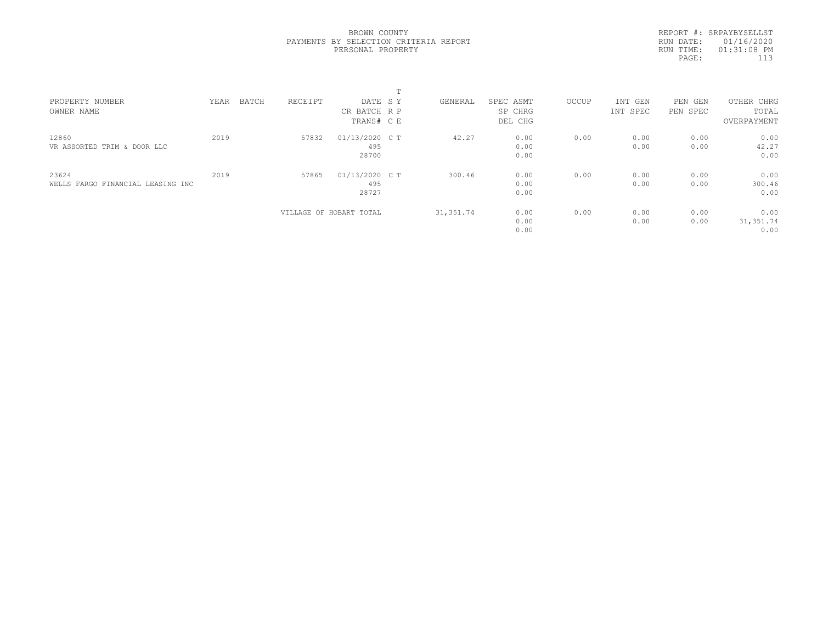REPORT #: SRPAYBYSELLST RUN DATE: 01/16/2020 RUN TIME: 01:31:08 PM PAGE: 113

| PROPERTY NUMBER                   | YEAR | BATCH | RECEIPT | DATE SY                 | GENERAL    | SPEC ASMT | OCCUP | INT GEN  | PEN<br>GEN | OTHER CHRG  |  |
|-----------------------------------|------|-------|---------|-------------------------|------------|-----------|-------|----------|------------|-------------|--|
| OWNER NAME                        |      |       |         | CR BATCH R P            |            | SP CHRG   |       | INT SPEC | PEN SPEC   | TOTAL       |  |
|                                   |      |       |         | TRANS# CE               |            | DEL CHG   |       |          |            | OVERPAYMENT |  |
| 12860                             | 2019 |       | 57832   | 01/13/2020 C T          | 42.27      | 0.00      | 0.00  | 0.00     | 0.00       | 0.00        |  |
| VR ASSORTED TRIM & DOOR LLC       |      |       |         | 495                     |            | 0.00      |       | 0.00     | 0.00       | 42.27       |  |
|                                   |      |       |         | 28700                   |            | 0.00      |       |          |            | 0.00        |  |
| 23624                             | 2019 |       | 57865   | 01/13/2020 C T          | 300.46     | 0.00      | 0.00  | 0.00     | 0.00       | 0.00        |  |
| WELLS FARGO FINANCIAL LEASING INC |      |       |         | 495                     |            | 0.00      |       | 0.00     | 0.00       | 300.46      |  |
|                                   |      |       |         | 28727                   |            | 0.00      |       |          |            | 0.00        |  |
|                                   |      |       |         | VILLAGE OF HOBART TOTAL | 31, 351.74 | 0.00      | 0.00  | 0.00     | 0.00       | 0.00        |  |
|                                   |      |       |         |                         |            | 0.00      |       | 0.00     | 0.00       | 31, 351.74  |  |
|                                   |      |       |         |                         |            | 0.00      |       |          |            | 0.00        |  |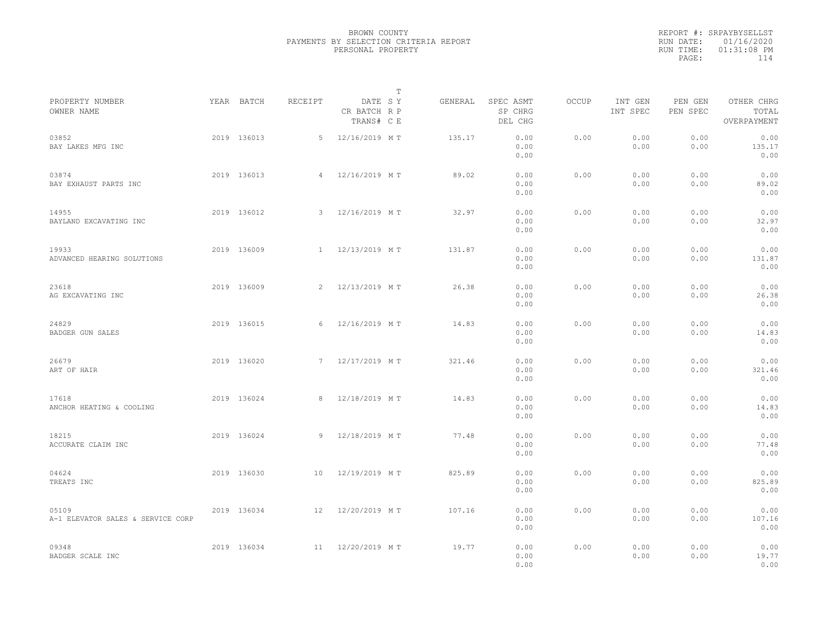|                                            |             |                | $\mathbb{T}$                          |         |                                 |              |                     |                     |                                    |  |
|--------------------------------------------|-------------|----------------|---------------------------------------|---------|---------------------------------|--------------|---------------------|---------------------|------------------------------------|--|
| PROPERTY NUMBER<br>OWNER NAME              | YEAR BATCH  | RECEIPT        | DATE SY<br>CR BATCH R P<br>TRANS# C E | GENERAL | SPEC ASMT<br>SP CHRG<br>DEL CHG | <b>OCCUP</b> | INT GEN<br>INT SPEC | PEN GEN<br>PEN SPEC | OTHER CHRG<br>TOTAL<br>OVERPAYMENT |  |
| 03852<br>BAY LAKES MFG INC                 | 2019 136013 | 5              | 12/16/2019 MT                         | 135.17  | 0.00<br>0.00<br>0.00            | 0.00         | 0.00<br>0.00        | 0.00<br>0.00        | 0.00<br>135.17<br>0.00             |  |
| 03874<br>BAY EXHAUST PARTS INC             | 2019 136013 | $\overline{4}$ | 12/16/2019 MT                         | 89.02   | 0.00<br>0.00<br>0.00            | 0.00         | 0.00<br>0.00        | 0.00<br>0.00        | 0.00<br>89.02<br>0.00              |  |
| 14955<br>BAYLAND EXCAVATING INC            | 2019 136012 | $\mathbf{3}$   | 12/16/2019 MT                         | 32.97   | 0.00<br>0.00<br>0.00            | 0.00         | 0.00<br>0.00        | 0.00<br>0.00        | 0.00<br>32.97<br>0.00              |  |
| 19933<br>ADVANCED HEARING SOLUTIONS        | 2019 136009 |                | 1 12/13/2019 MT                       | 131.87  | 0.00<br>0.00<br>0.00            | 0.00         | 0.00<br>0.00        | 0.00<br>0.00        | 0.00<br>131.87<br>0.00             |  |
| 23618<br>AG EXCAVATING INC                 | 2019 136009 | $\overline{2}$ | 12/13/2019 MT                         | 26.38   | 0.00<br>0.00<br>0.00            | 0.00         | 0.00<br>0.00        | 0.00<br>0.00        | 0.00<br>26.38<br>0.00              |  |
| 24829<br>BADGER GUN SALES                  | 2019 136015 | 6              | 12/16/2019 MT                         | 14.83   | 0.00<br>0.00<br>0.00            | 0.00         | 0.00<br>0.00        | 0.00<br>0.00        | 0.00<br>14.83<br>0.00              |  |
| 26679<br>ART OF HAIR                       | 2019 136020 | 7              | 12/17/2019 MT                         | 321.46  | 0.00<br>0.00<br>0.00            | 0.00         | 0.00<br>0.00        | 0.00<br>0.00        | 0.00<br>321.46<br>0.00             |  |
| 17618<br>ANCHOR HEATING & COOLING          | 2019 136024 | 8              | 12/18/2019 MT                         | 14.83   | 0.00<br>0.00<br>0.00            | 0.00         | 0.00<br>0.00        | 0.00<br>0.00        | 0.00<br>14.83<br>0.00              |  |
| 18215<br>ACCURATE CLAIM INC                | 2019 136024 | 9              | 12/18/2019 MT                         | 77.48   | 0.00<br>0.00<br>0.00            | 0.00         | 0.00<br>0.00        | 0.00<br>0.00        | 0.00<br>77.48<br>0.00              |  |
| 04624<br>TREATS INC                        | 2019 136030 | 10             | 12/19/2019 MT                         | 825.89  | 0.00<br>0.00<br>0.00            | 0.00         | 0.00<br>0.00        | 0.00<br>0.00        | 0.00<br>825.89<br>0.00             |  |
| 05109<br>A-1 ELEVATOR SALES & SERVICE CORP | 2019 136034 | 12             | 12/20/2019 MT                         | 107.16  | 0.00<br>0.00<br>0.00            | 0.00         | 0.00<br>0.00        | 0.00<br>0.00        | 0.00<br>107.16<br>0.00             |  |
| 09348<br>BADGER SCALE INC                  | 2019 136034 | 11             | 12/20/2019 MT                         | 19.77   | 0.00<br>0.00<br>0.00            | 0.00         | 0.00<br>0.00        | 0.00<br>0.00        | 0.00<br>19.77<br>0.00              |  |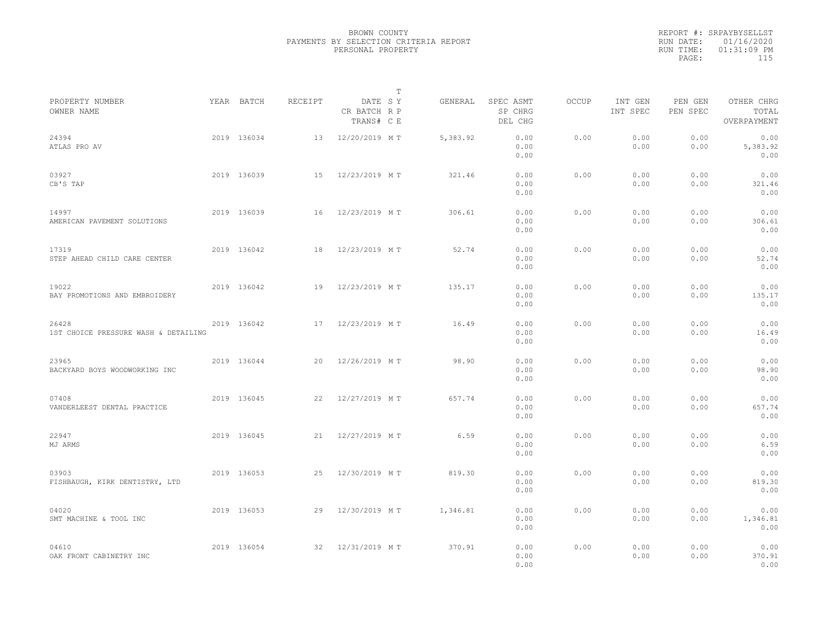|                                               |             |         | $\mathbb{T}$                          |          |                                 |              |                     |                     |                                    |  |
|-----------------------------------------------|-------------|---------|---------------------------------------|----------|---------------------------------|--------------|---------------------|---------------------|------------------------------------|--|
| PROPERTY NUMBER<br>OWNER NAME                 | YEAR BATCH  | RECEIPT | DATE SY<br>CR BATCH R P<br>TRANS# C E | GENERAL  | SPEC ASMT<br>SP CHRG<br>DEL CHG | <b>OCCUP</b> | INT GEN<br>INT SPEC | PEN GEN<br>PEN SPEC | OTHER CHRG<br>TOTAL<br>OVERPAYMENT |  |
| 24394<br>ATLAS PRO AV                         | 2019 136034 | 13      | 12/20/2019 MT                         | 5,383.92 | 0.00<br>0.00<br>0.00            | 0.00         | 0.00<br>0.00        | 0.00<br>0.00        | 0.00<br>5,383.92<br>0.00           |  |
| 03927<br>CB'S TAP                             | 2019 136039 | 15      | 12/23/2019 MT                         | 321.46   | 0.00<br>0.00<br>0.00            | 0.00         | 0.00<br>0.00        | 0.00<br>0.00        | 0.00<br>321.46<br>0.00             |  |
| 14997<br>AMERICAN PAVEMENT SOLUTIONS          | 2019 136039 | 16      | 12/23/2019 MT                         | 306.61   | 0.00<br>0.00<br>0.00            | 0.00         | 0.00<br>0.00        | 0.00<br>0.00        | 0.00<br>306.61<br>0.00             |  |
| 17319<br>STEP AHEAD CHILD CARE CENTER         | 2019 136042 | 18      | 12/23/2019 MT                         | 52.74    | 0.00<br>0.00<br>0.00            | 0.00         | 0.00<br>0.00        | 0.00<br>0.00        | 0.00<br>52.74<br>0.00              |  |
| 19022<br>BAY PROMOTIONS AND EMBROIDERY        | 2019 136042 | 19      | 12/23/2019 MT                         | 135.17   | 0.00<br>0.00<br>0.00            | 0.00         | 0.00<br>0.00        | 0.00<br>0.00        | 0.00<br>135.17<br>0.00             |  |
| 26428<br>1ST CHOICE PRESSURE WASH & DETAILING | 2019 136042 | 17      | 12/23/2019 MT                         | 16.49    | 0.00<br>0.00<br>0.00            | 0.00         | 0.00<br>0.00        | 0.00<br>0.00        | 0.00<br>16.49<br>0.00              |  |
| 23965<br>BACKYARD BOYS WOODWORKING INC        | 2019 136044 | 20      | 12/26/2019 MT                         | 98.90    | 0.00<br>0.00<br>0.00            | 0.00         | 0.00<br>0.00        | 0.00<br>0.00        | 0.00<br>98.90<br>0.00              |  |
| 07408<br>VANDERLEEST DENTAL PRACTICE          | 2019 136045 | 22      | 12/27/2019 MT                         | 657.74   | 0.00<br>0.00<br>0.00            | 0.00         | 0.00<br>0.00        | 0.00<br>0.00        | 0.00<br>657.74<br>0.00             |  |
| 22947<br>MJ ARMS                              | 2019 136045 | 21      | 12/27/2019 MT                         | 6.59     | 0.00<br>0.00<br>0.00            | 0.00         | 0.00<br>0.00        | 0.00<br>0.00        | 0.00<br>6.59<br>0.00               |  |
| 03903<br>FISHBAUGH, KIRK DENTISTRY, LTD       | 2019 136053 | 25      | 12/30/2019 MT                         | 819.30   | 0.00<br>0.00<br>0.00            | 0.00         | 0.00<br>0.00        | 0.00<br>0.00        | 0.00<br>819.30<br>0.00             |  |
| 04020<br>SMT MACHINE & TOOL INC               | 2019 136053 | 29      | 12/30/2019 MT                         | 1,346.81 | 0.00<br>0.00<br>0.00            | 0.00         | 0.00<br>0.00        | 0.00<br>0.00        | 0.00<br>1,346.81<br>0.00           |  |
| 04610<br>OAK FRONT CABINETRY INC              | 2019 136054 | 32      | 12/31/2019 MT                         | 370.91   | 0.00<br>0.00<br>0.00            | 0.00         | 0.00<br>0.00        | 0.00<br>0.00        | 0.00<br>370.91<br>0.00             |  |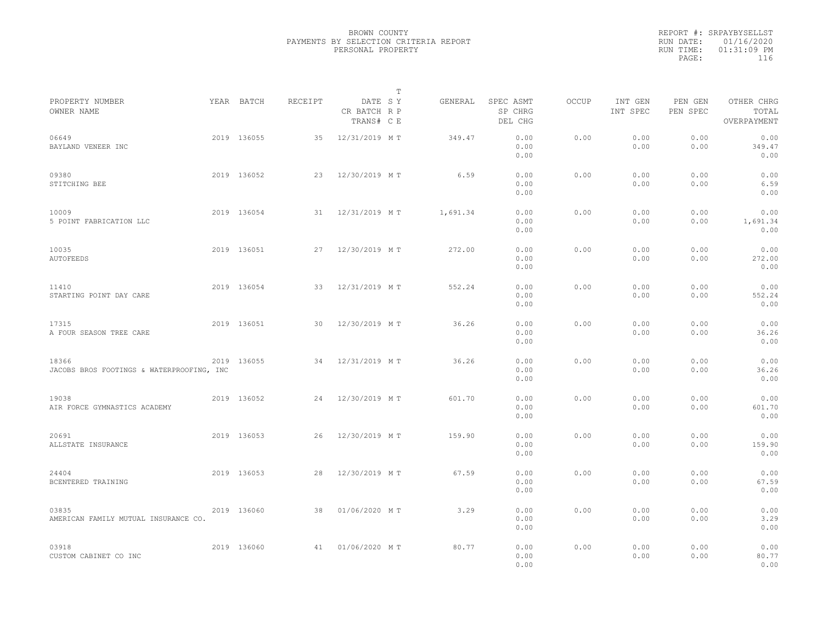|           | REPORT #: SRPAYBYSELLST |  |
|-----------|-------------------------|--|
|           | RUN DATE: 01/16/2020    |  |
| RUN TIME: | $01:31:09$ PM           |  |
| PAGE:     | 116                     |  |
|           |                         |  |

|                                                    |             |         |                                       | Т |          |                                 |       |                     |                     |                                    |  |
|----------------------------------------------------|-------------|---------|---------------------------------------|---|----------|---------------------------------|-------|---------------------|---------------------|------------------------------------|--|
| PROPERTY NUMBER<br>OWNER NAME                      | YEAR BATCH  | RECEIPT | DATE SY<br>CR BATCH R P<br>TRANS# C E |   | GENERAL  | SPEC ASMT<br>SP CHRG<br>DEL CHG | OCCUP | INT GEN<br>INT SPEC | PEN GEN<br>PEN SPEC | OTHER CHRG<br>TOTAL<br>OVERPAYMENT |  |
| 06649<br>BAYLAND VENEER INC                        | 2019 136055 | 35      | 12/31/2019 MT                         |   | 349.47   | 0.00<br>0.00<br>0.00            | 0.00  | 0.00<br>0.00        | 0.00<br>0.00        | 0.00<br>349.47<br>0.00             |  |
| 09380<br>STITCHING BEE                             | 2019 136052 | 23      | 12/30/2019 MT                         |   | 6.59     | 0.00<br>0.00<br>0.00            | 0.00  | 0.00<br>0.00        | 0.00<br>0.00        | 0.00<br>6.59<br>0.00               |  |
| 10009<br>5 POINT FABRICATION LLC                   | 2019 136054 | 31      | 12/31/2019 MT                         |   | 1,691.34 | 0.00<br>0.00<br>0.00            | 0.00  | 0.00<br>0.00        | 0.00<br>0.00        | 0.00<br>1,691.34<br>0.00           |  |
| 10035<br>AUTOFEEDS                                 | 2019 136051 | 27      | 12/30/2019 MT                         |   | 272.00   | 0.00<br>0.00<br>0.00            | 0.00  | 0.00<br>0.00        | 0.00<br>0.00        | 0.00<br>272.00<br>0.00             |  |
| 11410<br>STARTING POINT DAY CARE                   | 2019 136054 | 33      | 12/31/2019 MT                         |   | 552.24   | 0.00<br>0.00<br>0.00            | 0.00  | 0.00<br>0.00        | 0.00<br>0.00        | 0.00<br>552.24<br>0.00             |  |
| 17315<br>A FOUR SEASON TREE CARE                   | 2019 136051 | 30      | 12/30/2019 MT                         |   | 36.26    | 0.00<br>0.00<br>0.00            | 0.00  | 0.00<br>0.00        | 0.00<br>0.00        | 0.00<br>36.26<br>0.00              |  |
| 18366<br>JACOBS BROS FOOTINGS & WATERPROOFING, INC | 2019 136055 | 34      | 12/31/2019 MT                         |   | 36.26    | 0.00<br>0.00<br>0.00            | 0.00  | 0.00<br>0.00        | 0.00<br>0.00        | 0.00<br>36.26<br>0.00              |  |
| 19038<br>AIR FORCE GYMNASTICS ACADEMY              | 2019 136052 | 24      | 12/30/2019 MT                         |   | 601.70   | 0.00<br>0.00<br>0.00            | 0.00  | 0.00<br>0.00        | 0.00<br>0.00        | 0.00<br>601.70<br>0.00             |  |
| 20691<br>ALLSTATE INSURANCE                        | 2019 136053 | 26      | 12/30/2019 MT                         |   | 159.90   | 0.00<br>0.00<br>0.00            | 0.00  | 0.00<br>0.00        | 0.00<br>0.00        | 0.00<br>159.90<br>0.00             |  |
| 24404<br>BCENTERED TRAINING                        | 2019 136053 | 28      | 12/30/2019 MT                         |   | 67.59    | 0.00<br>0.00<br>0.00            | 0.00  | 0.00<br>0.00        | 0.00<br>0.00        | 0.00<br>67.59<br>0.00              |  |
| 03835<br>AMERICAN FAMILY MUTUAL INSURANCE CO.      | 2019 136060 | 38      | 01/06/2020 MT                         |   | 3.29     | 0.00<br>0.00<br>0.00            | 0.00  | 0.00<br>0.00        | 0.00<br>0.00        | 0.00<br>3.29<br>0.00               |  |
| 03918<br>CUSTOM CABINET CO INC                     | 2019 136060 | 41      | 01/06/2020 MT                         |   | 80.77    | 0.00<br>0.00<br>0.00            | 0.00  | 0.00<br>0.00        | 0.00<br>0.00        | 0.00<br>80.77<br>0.00              |  |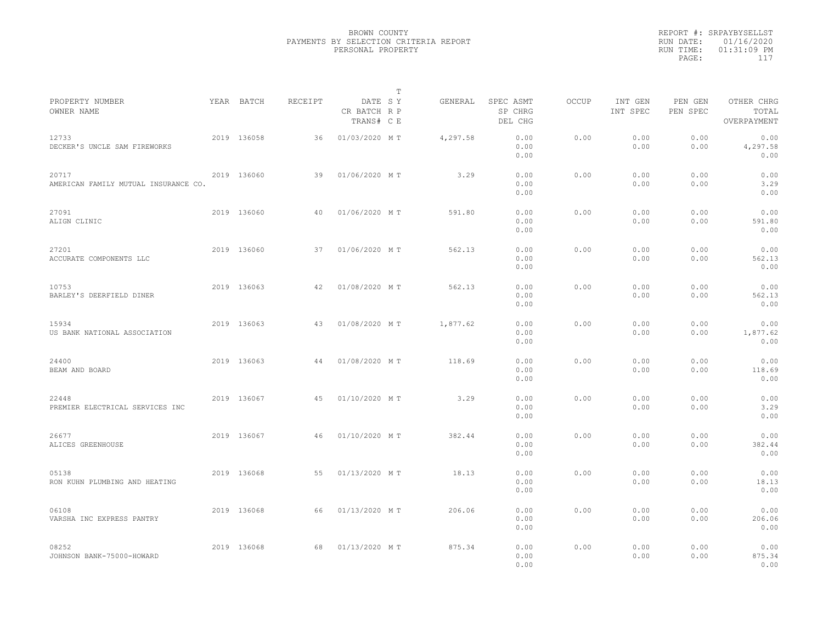|                                               |             |         |                                       | T |          |                                 |              |                     |                     |                                    |  |
|-----------------------------------------------|-------------|---------|---------------------------------------|---|----------|---------------------------------|--------------|---------------------|---------------------|------------------------------------|--|
| PROPERTY NUMBER<br>OWNER NAME                 | YEAR BATCH  | RECEIPT | DATE SY<br>CR BATCH R P<br>TRANS# C E |   | GENERAL  | SPEC ASMT<br>SP CHRG<br>DEL CHG | <b>OCCUP</b> | INT GEN<br>INT SPEC | PEN GEN<br>PEN SPEC | OTHER CHRG<br>TOTAL<br>OVERPAYMENT |  |
| 12733<br>DECKER'S UNCLE SAM FIREWORKS         | 2019 136058 | 36      | 01/03/2020 MT                         |   | 4,297.58 | 0.00<br>0.00<br>0.00            | 0.00         | 0.00<br>0.00        | 0.00<br>0.00        | 0.00<br>4,297.58<br>0.00           |  |
| 20717<br>AMERICAN FAMILY MUTUAL INSURANCE CO. | 2019 136060 | 39      | 01/06/2020 MT                         |   | 3.29     | 0.00<br>0.00<br>0.00            | 0.00         | 0.00<br>0.00        | 0.00<br>0.00        | 0.00<br>3.29<br>0.00               |  |
| 27091<br>ALIGN CLINIC                         | 2019 136060 | 40      | 01/06/2020 MT                         |   | 591.80   | 0.00<br>0.00<br>0.00            | 0.00         | 0.00<br>0.00        | 0.00<br>0.00        | 0.00<br>591.80<br>0.00             |  |
| 27201<br>ACCURATE COMPONENTS LLC              | 2019 136060 | 37      | 01/06/2020 MT                         |   | 562.13   | 0.00<br>0.00<br>0.00            | 0.00         | 0.00<br>0.00        | 0.00<br>0.00        | 0.00<br>562.13<br>0.00             |  |
| 10753<br>BARLEY'S DEERFIELD DINER             | 2019 136063 | 42      | 01/08/2020 MT                         |   | 562.13   | 0.00<br>0.00<br>0.00            | 0.00         | 0.00<br>0.00        | 0.00<br>0.00        | 0.00<br>562.13<br>0.00             |  |
| 15934<br>US BANK NATIONAL ASSOCIATION         | 2019 136063 | 43      | 01/08/2020 MT                         |   | 1,877.62 | 0.00<br>0.00<br>0.00            | 0.00         | 0.00<br>0.00        | 0.00<br>0.00        | 0.00<br>1,877.62<br>0.00           |  |
| 24400<br>BEAM AND BOARD                       | 2019 136063 | 44      | 01/08/2020 MT                         |   | 118.69   | 0.00<br>0.00<br>0.00            | 0.00         | 0.00<br>0.00        | 0.00<br>0.00        | 0.00<br>118.69<br>0.00             |  |
| 22448<br>PREMIER ELECTRICAL SERVICES INC      | 2019 136067 | 45      | 01/10/2020 MT                         |   | 3.29     | 0.00<br>0.00<br>0.00            | 0.00         | 0.00<br>0.00        | 0.00<br>0.00        | 0.00<br>3.29<br>0.00               |  |
| 26677<br>ALICES GREENHOUSE                    | 2019 136067 | 46      | 01/10/2020 MT                         |   | 382.44   | 0.00<br>0.00<br>0.00            | 0.00         | 0.00<br>0.00        | 0.00<br>0.00        | 0.00<br>382.44<br>0.00             |  |
| 05138<br>RON KUHN PLUMBING AND HEATING        | 2019 136068 | 55      | 01/13/2020 MT                         |   | 18.13    | 0.00<br>0.00<br>0.00            | 0.00         | 0.00<br>0.00        | 0.00<br>0.00        | 0.00<br>18.13<br>0.00              |  |
| 06108<br>VARSHA INC EXPRESS PANTRY            | 2019 136068 | 66      | 01/13/2020 MT                         |   | 206.06   | 0.00<br>0.00<br>0.00            | 0.00         | 0.00<br>0.00        | 0.00<br>0.00        | 0.00<br>206.06<br>0.00             |  |
| 08252<br>JOHNSON BANK-75000-HOWARD            | 2019 136068 | 68      | 01/13/2020 MT                         |   | 875.34   | 0.00<br>0.00<br>0.00            | 0.00         | 0.00<br>0.00        | 0.00<br>0.00        | 0.00<br>875.34<br>0.00             |  |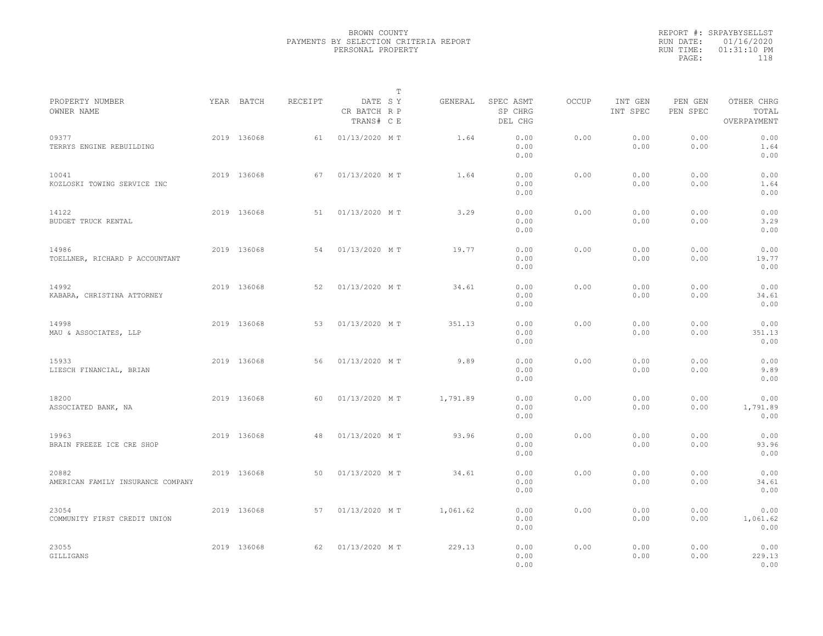|                                            |             |         |                                       | $\mathbb{T}$ |                                 |              |                     |                     |                                    |  |
|--------------------------------------------|-------------|---------|---------------------------------------|--------------|---------------------------------|--------------|---------------------|---------------------|------------------------------------|--|
| PROPERTY NUMBER<br>OWNER NAME              | YEAR BATCH  | RECEIPT | DATE SY<br>CR BATCH R P<br>TRANS# C E | GENERAL      | SPEC ASMT<br>SP CHRG<br>DEL CHG | <b>OCCUP</b> | INT GEN<br>INT SPEC | PEN GEN<br>PEN SPEC | OTHER CHRG<br>TOTAL<br>OVERPAYMENT |  |
| 09377<br>TERRYS ENGINE REBUILDING          | 2019 136068 | 61      | 01/13/2020 MT                         | 1.64         | 0.00<br>0.00<br>0.00            | 0.00         | 0.00<br>0.00        | 0.00<br>0.00        | 0.00<br>1.64<br>0.00               |  |
| 10041<br>KOZLOSKI TOWING SERVICE INC       | 2019 136068 | 67      | 01/13/2020 MT                         | 1.64         | 0.00<br>0.00<br>0.00            | 0.00         | 0.00<br>0.00        | 0.00<br>0.00        | 0.00<br>1.64<br>0.00               |  |
| 14122<br>BUDGET TRUCK RENTAL               | 2019 136068 | 51      | 01/13/2020 MT                         | 3.29         | 0.00<br>0.00<br>0.00            | 0.00         | 0.00<br>0.00        | 0.00<br>0.00        | 0.00<br>3.29<br>0.00               |  |
| 14986<br>TOELLNER, RICHARD P ACCOUNTANT    | 2019 136068 | 54      | 01/13/2020 MT                         | 19.77        | 0.00<br>0.00<br>0.00            | 0.00         | 0.00<br>0.00        | 0.00<br>0.00        | 0.00<br>19.77<br>0.00              |  |
| 14992<br>KABARA, CHRISTINA ATTORNEY        | 2019 136068 | 52      | 01/13/2020 MT                         | 34.61        | 0.00<br>0.00<br>0.00            | 0.00         | 0.00<br>0.00        | 0.00<br>0.00        | 0.00<br>34.61<br>0.00              |  |
| 14998<br>MAU & ASSOCIATES, LLP             | 2019 136068 | 53      | 01/13/2020 MT                         | 351.13       | 0.00<br>0.00<br>0.00            | 0.00         | 0.00<br>0.00        | 0.00<br>0.00        | 0.00<br>351.13<br>0.00             |  |
| 15933<br>LIESCH FINANCIAL, BRIAN           | 2019 136068 | 56      | 01/13/2020 MT                         | 9.89         | 0.00<br>0.00<br>0.00            | 0.00         | 0.00<br>0.00        | 0.00<br>0.00        | 0.00<br>9.89<br>0.00               |  |
| 18200<br>ASSOCIATED BANK, NA               | 2019 136068 | 60      | 01/13/2020 MT                         | 1,791.89     | 0.00<br>0.00<br>0.00            | 0.00         | 0.00<br>0.00        | 0.00<br>0.00        | 0.00<br>1,791.89<br>0.00           |  |
| 19963<br>BRAIN FREEZE ICE CRE SHOP         | 2019 136068 | 48      | 01/13/2020 MT                         | 93.96        | 0.00<br>0.00<br>0.00            | 0.00         | 0.00<br>0.00        | 0.00<br>0.00        | 0.00<br>93.96<br>0.00              |  |
| 20882<br>AMERICAN FAMILY INSURANCE COMPANY | 2019 136068 | 50      | 01/13/2020 MT                         | 34.61        | 0.00<br>0.00<br>0.00            | 0.00         | 0.00<br>0.00        | 0.00<br>0.00        | 0.00<br>34.61<br>0.00              |  |
| 23054<br>COMMUNITY FIRST CREDIT UNION      | 2019 136068 | 57      | 01/13/2020 MT                         | 1,061.62     | 0.00<br>0.00<br>0.00            | 0.00         | 0.00<br>0.00        | 0.00<br>0.00        | 0.00<br>1,061.62<br>0.00           |  |
| 23055<br>GILLIGANS                         | 2019 136068 | 62      | 01/13/2020 MT                         | 229.13       | 0.00<br>0.00<br>0.00            | 0.00         | 0.00<br>0.00        | 0.00<br>0.00        | 0.00<br>229.13<br>0.00             |  |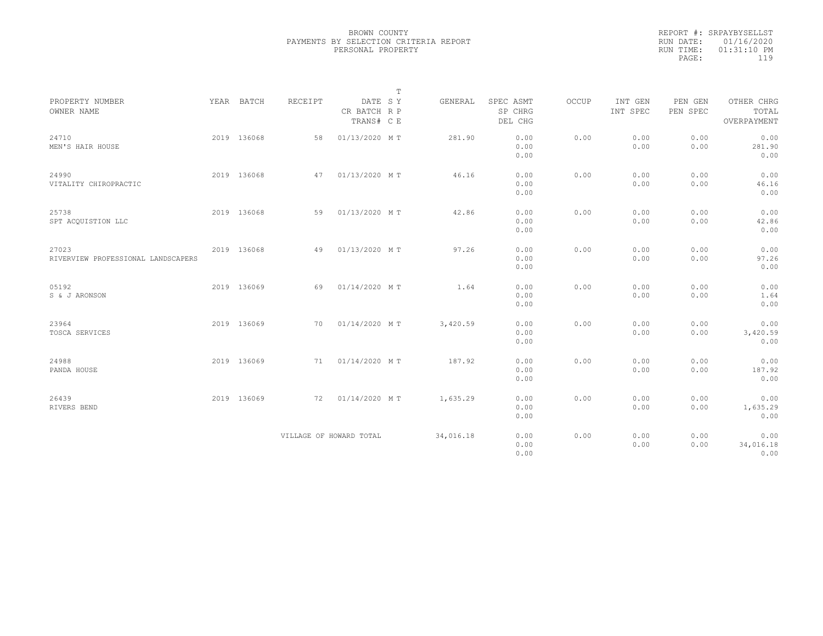| PROPERTY NUMBER<br>OWNER NAME               | YEAR BATCH  | RECEIPT | DATE SY<br>CR BATCH R P<br>TRANS# C E | $\mathbb T$ | GENERAL   | SPEC ASMT<br>SP CHRG<br>DEL CHG | OCCUP | INT GEN<br>INT SPEC | PEN GEN<br>PEN SPEC | OTHER CHRG<br>TOTAL<br>OVERPAYMENT |
|---------------------------------------------|-------------|---------|---------------------------------------|-------------|-----------|---------------------------------|-------|---------------------|---------------------|------------------------------------|
| 24710<br>MEN'S HAIR HOUSE                   | 2019 136068 | 58      | 01/13/2020 MT                         |             | 281.90    | 0.00<br>0.00<br>0.00            | 0.00  | 0.00<br>0.00        | 0.00<br>0.00        | 0.00<br>281.90<br>0.00             |
| 24990<br>VITALITY CHIROPRACTIC              | 2019 136068 | 47      | 01/13/2020 MT                         |             | 46.16     | 0.00<br>0.00<br>0.00            | 0.00  | 0.00<br>0.00        | 0.00<br>0.00        | 0.00<br>46.16<br>0.00              |
| 25738<br>SPT ACQUISTION LLC                 | 2019 136068 | 59      | 01/13/2020 MT                         |             | 42.86     | 0.00<br>0.00<br>0.00            | 0.00  | 0.00<br>0.00        | 0.00<br>0.00        | 0.00<br>42.86<br>0.00              |
| 27023<br>RIVERVIEW PROFESSIONAL LANDSCAPERS | 2019 136068 | 49      | 01/13/2020 MT                         |             | 97.26     | 0.00<br>0.00<br>0.00            | 0.00  | 0.00<br>0.00        | 0.00<br>0.00        | 0.00<br>97.26<br>0.00              |
| 05192<br>S & J ARONSON                      | 2019 136069 | 69      | 01/14/2020 MT                         |             | 1.64      | 0.00<br>0.00<br>0.00            | 0.00  | 0.00<br>0.00        | 0.00<br>0.00        | 0.00<br>1.64<br>0.00               |
| 23964<br>TOSCA SERVICES                     | 2019 136069 | 70      | 01/14/2020 MT                         |             | 3,420.59  | 0.00<br>0.00<br>0.00            | 0.00  | 0.00<br>0.00        | 0.00<br>0.00        | 0.00<br>3,420.59<br>0.00           |
| 24988<br>PANDA HOUSE                        | 2019 136069 |         | 71 01/14/2020 MT                      |             | 187.92    | 0.00<br>0.00<br>0.00            | 0.00  | 0.00<br>0.00        | 0.00<br>0.00        | 0.00<br>187.92<br>0.00             |
| 26439<br>RIVERS BEND                        | 2019 136069 | 72      | 01/14/2020 MT                         |             | 1,635.29  | 0.00<br>0.00<br>0.00            | 0.00  | 0.00<br>0.00        | 0.00<br>0.00        | 0.00<br>1,635.29<br>0.00           |
|                                             |             |         | VILLAGE OF HOWARD TOTAL               |             | 34,016.18 | 0.00<br>0.00<br>0.00            | 0.00  | 0.00<br>0.00        | 0.00<br>0.00        | 0.00<br>34,016.18<br>0.00          |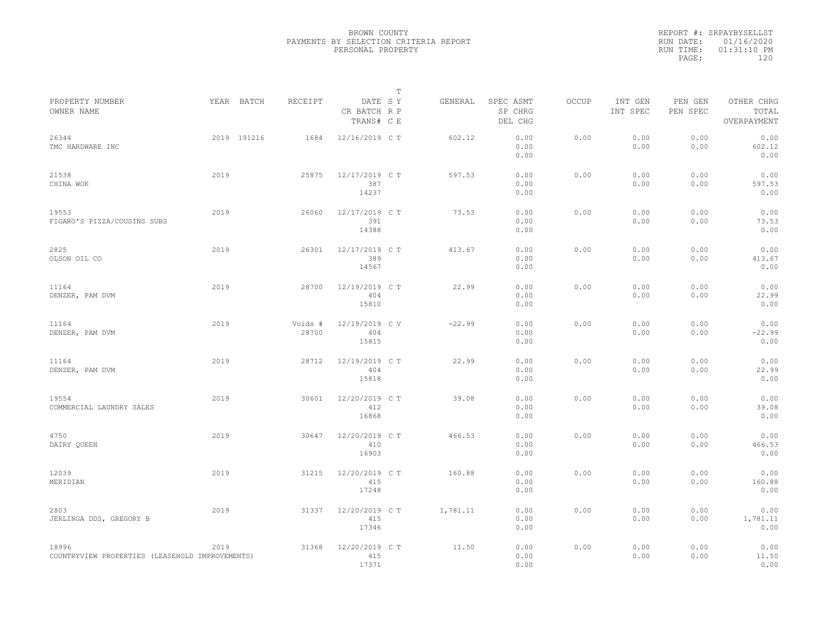|                                                          |             |                  |                                       | T |          |                                 |              |                     |                     |                                    |  |
|----------------------------------------------------------|-------------|------------------|---------------------------------------|---|----------|---------------------------------|--------------|---------------------|---------------------|------------------------------------|--|
| PROPERTY NUMBER<br>OWNER NAME                            | YEAR BATCH  | RECEIPT          | DATE SY<br>CR BATCH R P<br>TRANS# C E |   | GENERAL  | SPEC ASMT<br>SP CHRG<br>DEL CHG | <b>OCCUP</b> | INT GEN<br>INT SPEC | PEN GEN<br>PEN SPEC | OTHER CHRG<br>TOTAL<br>OVERPAYMENT |  |
| 26344<br>TMC HARDWARE INC                                | 2019 191216 | 1684             | 12/16/2019 C T                        |   | 602.12   | 0.00<br>0.00<br>0.00            | 0.00         | 0.00<br>0.00        | 0.00<br>0.00        | 0.00<br>602.12<br>0.00             |  |
| 21538<br>CHINA WOK                                       | 2019        | 25875            | 12/17/2019 C T<br>387<br>14237        |   | 597.53   | 0.00<br>0.00<br>0.00            | 0.00         | 0.00<br>0.00        | 0.00<br>0.00        | 0.00<br>597.53<br>0.00             |  |
| 19553<br>FIGARO'S PIZZA/COUSINS SUBS                     | 2019        | 26060            | 12/17/2019 C T<br>391<br>14388        |   | 73.53    | 0.00<br>0.00<br>0.00            | 0.00         | 0.00<br>0.00        | 0.00<br>0.00        | 0.00<br>73.53<br>0.00              |  |
| 2825<br>OLSON OIL CO                                     | 2019        | 26301            | 12/17/2019 C T<br>389<br>14567        |   | 413.67   | 0.00<br>0.00<br>0.00            | 0.00         | 0.00<br>0.00        | 0.00<br>0.00        | 0.00<br>413.67<br>0.00             |  |
| 11164<br>DENZER, PAM DVM                                 | 2019        | 28700            | 12/19/2019 C T<br>404<br>15810        |   | 22.99    | 0.00<br>0.00<br>0.00            | 0.00         | 0.00<br>0.00        | 0.00<br>0.00        | 0.00<br>22.99<br>0.00              |  |
| 11164<br>DENZER, PAM DVM                                 | 2019        | Voids #<br>28700 | 12/19/2019 C V<br>404<br>15815        |   | $-22.99$ | 0.00<br>0.00<br>0.00            | 0.00         | 0.00<br>0.00        | 0.00<br>0.00        | 0.00<br>$-22.99$<br>0.00           |  |
| 11164<br>DENZER, PAM DVM                                 | 2019        | 28712            | 12/19/2019 C T<br>404<br>15818        |   | 22.99    | 0.00<br>0.00<br>0.00            | 0.00         | 0.00<br>0.00        | 0.00<br>0.00        | 0.00<br>22.99<br>0.00              |  |
| 19554<br>COMMERCIAL LAUNDRY SALES                        | 2019        | 30601            | 12/20/2019 C T<br>412<br>16868        |   | 39.08    | 0.00<br>0.00<br>0.00            | 0.00         | 0.00<br>0.00        | 0.00<br>0.00        | 0.00<br>39.08<br>0.00              |  |
| 4750<br>DAIRY QUEEN                                      | 2019        | 30647            | 12/20/2019 C T<br>410<br>16903        |   | 466.53   | 0.00<br>0.00<br>0.00            | 0.00         | 0.00<br>0.00        | 0.00<br>0.00        | 0.00<br>466.53<br>0.00             |  |
| 12039<br>MERIDIAN                                        | 2019        | 31215            | 12/20/2019 C T<br>415<br>17248        |   | 160.88   | 0.00<br>0.00<br>0.00            | 0.00         | 0.00<br>0.00        | 0.00<br>0.00        | 0.00<br>160.88<br>0.00             |  |
| 2803<br>JERLINGA DDS, GREGORY B                          | 2019        | 31337            | 12/20/2019 C T<br>415<br>17346        |   | 1,781.11 | 0.00<br>0.00<br>0.00            | 0.00         | 0.00<br>0.00        | 0.00<br>0.00        | 0.00<br>1,781.11<br>0.00           |  |
| 18996<br>COUNTRYVIEW PROPERTIES (LEASEHOLD IMPROVEMENTS) | 2019        | 31368            | 12/20/2019 C T<br>415<br>17371        |   | 11.50    | 0.00<br>0.00<br>0.00            | 0.00         | 0.00<br>0.00        | 0.00<br>0.00        | 0.00<br>11.50<br>0.00              |  |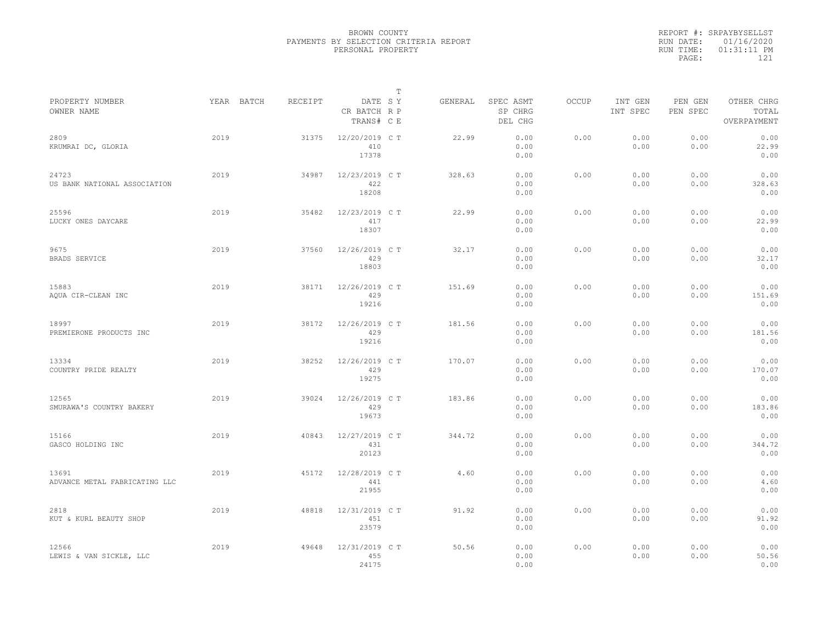|           | REPORT #: SRPAYBYSELLST |
|-----------|-------------------------|
|           | RUN DATE: 01/16/2020    |
| RUN TIME: | $01:31:11$ PM           |
| PAGE:     | 121                     |
|           |                         |

|                                        |            |         |                                       | $\mathbb T$ |         |                                 |              |                     |                     |                                    |  |
|----------------------------------------|------------|---------|---------------------------------------|-------------|---------|---------------------------------|--------------|---------------------|---------------------|------------------------------------|--|
| PROPERTY NUMBER<br>OWNER NAME          | YEAR BATCH | RECEIPT | DATE SY<br>CR BATCH R P<br>TRANS# C E |             | GENERAL | SPEC ASMT<br>SP CHRG<br>DEL CHG | <b>OCCUP</b> | INT GEN<br>INT SPEC | PEN GEN<br>PEN SPEC | OTHER CHRG<br>TOTAL<br>OVERPAYMENT |  |
| 2809<br>KRUMRAI DC, GLORIA             | 2019       | 31375   | 12/20/2019 C T<br>410<br>17378        |             | 22.99   | 0.00<br>0.00<br>0.00            | 0.00         | 0.00<br>0.00        | 0.00<br>0.00        | 0.00<br>22.99<br>0.00              |  |
| 24723<br>US BANK NATIONAL ASSOCIATION  | 2019       | 34987   | 12/23/2019 C T<br>422<br>18208        |             | 328.63  | 0.00<br>0.00<br>0.00            | 0.00         | 0.00<br>0.00        | 0.00<br>0.00        | 0.00<br>328.63<br>0.00             |  |
| 25596<br>LUCKY ONES DAYCARE            | 2019       | 35482   | 12/23/2019 C T<br>417<br>18307        |             | 22.99   | 0.00<br>0.00<br>0.00            | 0.00         | 0.00<br>0.00        | 0.00<br>0.00        | 0.00<br>22.99<br>0.00              |  |
| 9675<br>BRADS SERVICE                  | 2019       | 37560   | 12/26/2019 C T<br>429<br>18803        |             | 32.17   | 0.00<br>0.00<br>0.00            | 0.00         | 0.00<br>0.00        | 0.00<br>0.00        | 0.00<br>32.17<br>0.00              |  |
| 15883<br>AQUA CIR-CLEAN INC            | 2019       | 38171   | 12/26/2019 C T<br>429<br>19216        |             | 151.69  | 0.00<br>0.00<br>0.00            | 0.00         | 0.00<br>0.00        | 0.00<br>0.00        | 0.00<br>151.69<br>0.00             |  |
| 18997<br>PREMIERONE PRODUCTS INC       | 2019       | 38172   | 12/26/2019 C T<br>429<br>19216        |             | 181.56  | 0.00<br>0.00<br>0.00            | 0.00         | 0.00<br>0.00        | 0.00<br>0.00        | 0.00<br>181.56<br>0.00             |  |
| 13334<br>COUNTRY PRIDE REALTY          | 2019       | 38252   | 12/26/2019 C T<br>429<br>19275        |             | 170.07  | 0.00<br>0.00<br>0.00            | 0.00         | 0.00<br>0.00        | 0.00<br>0.00        | 0.00<br>170.07<br>0.00             |  |
| 12565<br>SMURAWA'S COUNTRY BAKERY      | 2019       | 39024   | 12/26/2019 C T<br>429<br>19673        |             | 183.86  | 0.00<br>0.00<br>0.00            | 0.00         | 0.00<br>0.00        | 0.00<br>0.00        | 0.00<br>183.86<br>0.00             |  |
| 15166<br>GASCO HOLDING INC             | 2019       | 40843   | 12/27/2019 C T<br>431<br>20123        |             | 344.72  | 0.00<br>0.00<br>0.00            | 0.00         | 0.00<br>0.00        | 0.00<br>0.00        | 0.00<br>344.72<br>0.00             |  |
| 13691<br>ADVANCE METAL FABRICATING LLC | 2019       | 45172   | 12/28/2019 C T<br>441<br>21955        |             | 4.60    | 0.00<br>0.00<br>0.00            | 0.00         | 0.00<br>0.00        | 0.00<br>0.00        | 0.00<br>4.60<br>0.00               |  |
| 2818<br>KUT & KURL BEAUTY SHOP         | 2019       | 48818   | 12/31/2019 C T<br>451<br>23579        |             | 91.92   | 0.00<br>0.00<br>0.00            | 0.00         | 0.00<br>0.00        | 0.00<br>0.00        | 0.00<br>91.92<br>0.00              |  |
| 12566<br>LEWIS & VAN SICKLE, LLC       | 2019       | 49648   | 12/31/2019 C T<br>455<br>24175        |             | 50.56   | 0.00<br>0.00<br>0.00            | 0.00         | 0.00<br>0.00        | 0.00<br>0.00        | 0.00<br>50.56<br>0.00              |  |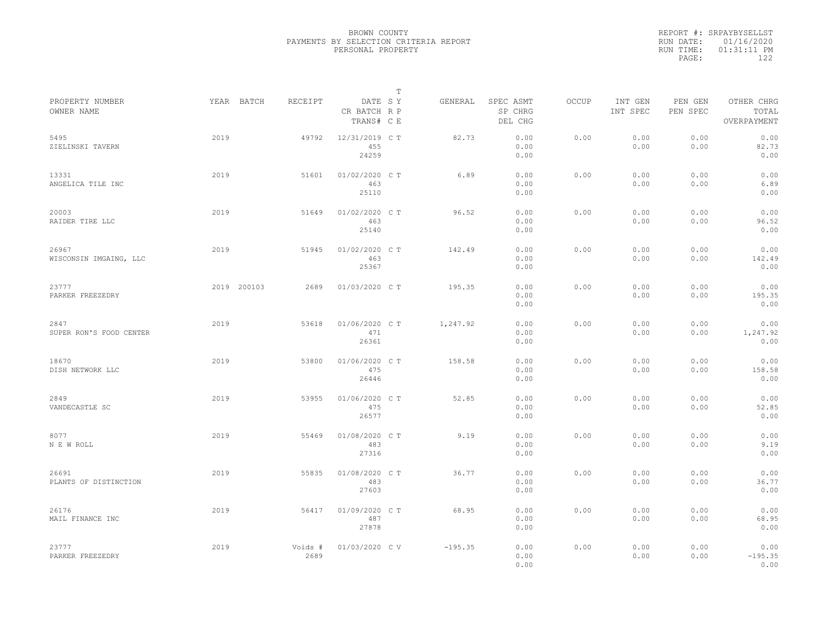|           | REPORT #: SRPAYBYSELLST |
|-----------|-------------------------|
|           | RUN DATE: 01/16/2020    |
| RUN TIME: | $01:31:11$ PM           |
| PAGE:     | 122                     |
|           |                         |

|                                 |             |                 |                                       | T |           |                                 |       |                     |                     |                                    |
|---------------------------------|-------------|-----------------|---------------------------------------|---|-----------|---------------------------------|-------|---------------------|---------------------|------------------------------------|
| PROPERTY NUMBER<br>OWNER NAME   | YEAR BATCH  | RECEIPT         | DATE SY<br>CR BATCH R P<br>TRANS# C E |   | GENERAL   | SPEC ASMT<br>SP CHRG<br>DEL CHG | OCCUP | INT GEN<br>INT SPEC | PEN GEN<br>PEN SPEC | OTHER CHRG<br>TOTAL<br>OVERPAYMENT |
| 5495<br>ZIELINSKI TAVERN        | 2019        | 49792           | 12/31/2019 C T<br>455<br>24259        |   | 82.73     | 0.00<br>0.00<br>0.00            | 0.00  | 0.00<br>0.00        | 0.00<br>0.00        | 0.00<br>82.73<br>0.00              |
| 13331<br>ANGELICA TILE INC      | 2019        | 51601           | 01/02/2020 C T<br>463<br>25110        |   | 6.89      | 0.00<br>0.00<br>0.00            | 0.00  | 0.00<br>0.00        | 0.00<br>0.00        | 0.00<br>6.89<br>0.00               |
| 20003<br>RAIDER TIRE LLC        | 2019        | 51649           | 01/02/2020 C T<br>463<br>25140        |   | 96.52     | 0.00<br>0.00<br>0.00            | 0.00  | 0.00<br>0.00        | 0.00<br>0.00        | 0.00<br>96.52<br>0.00              |
| 26967<br>WISCONSIN IMGAING, LLC | 2019        | 51945           | 01/02/2020 C T<br>463<br>25367        |   | 142.49    | 0.00<br>0.00<br>0.00            | 0.00  | 0.00<br>0.00        | 0.00<br>0.00        | 0.00<br>142.49<br>0.00             |
| 23777<br>PARKER FREEZEDRY       | 2019 200103 | 2689            | 01/03/2020 C T                        |   | 195.35    | 0.00<br>0.00<br>0.00            | 0.00  | 0.00<br>0.00        | 0.00<br>0.00        | 0.00<br>195.35<br>0.00             |
| 2847<br>SUPER RON'S FOOD CENTER | 2019        | 53618           | 01/06/2020 C T<br>471<br>26361        |   | 1,247.92  | 0.00<br>0.00<br>0.00            | 0.00  | 0.00<br>0.00        | 0.00<br>0.00        | 0.00<br>1,247.92<br>0.00           |
| 18670<br>DISH NETWORK LLC       | 2019        | 53800           | 01/06/2020 C T<br>475<br>26446        |   | 158.58    | 0.00<br>0.00<br>0.00            | 0.00  | 0.00<br>0.00        | 0.00<br>0.00        | 0.00<br>158.58<br>0.00             |
| 2849<br>VANDECASTLE SC          | 2019        | 53955           | 01/06/2020 C T<br>475<br>26577        |   | 52.85     | 0.00<br>0.00<br>0.00            | 0.00  | 0.00<br>0.00        | 0.00<br>0.00        | 0.00<br>52.85<br>0.00              |
| 8077<br>N E W ROLL              | 2019        | 55469           | 01/08/2020 CT<br>483<br>27316         |   | 9.19      | 0.00<br>0.00<br>0.00            | 0.00  | 0.00<br>0.00        | 0.00<br>0.00        | 0.00<br>9.19<br>0.00               |
| 26691<br>PLANTS OF DISTINCTION  | 2019        | 55835           | 01/08/2020 C T<br>483<br>27603        |   | 36.77     | 0.00<br>0.00<br>0.00            | 0.00  | 0.00<br>0.00        | 0.00<br>0.00        | 0.00<br>36.77<br>0.00              |
| 26176<br>MAIL FINANCE INC       | 2019        | 56417           | 01/09/2020 C T<br>487<br>27878        |   | 68.95     | 0.00<br>0.00<br>0.00            | 0.00  | 0.00<br>0.00        | 0.00<br>0.00        | 0.00<br>68.95<br>0.00              |
| 23777<br>PARKER FREEZEDRY       | 2019        | Voids #<br>2689 | 01/03/2020 CV                         |   | $-195.35$ | 0.00<br>0.00<br>0.00            | 0.00  | 0.00<br>0.00        | 0.00<br>0.00        | 0.00<br>$-195.35$<br>0.00          |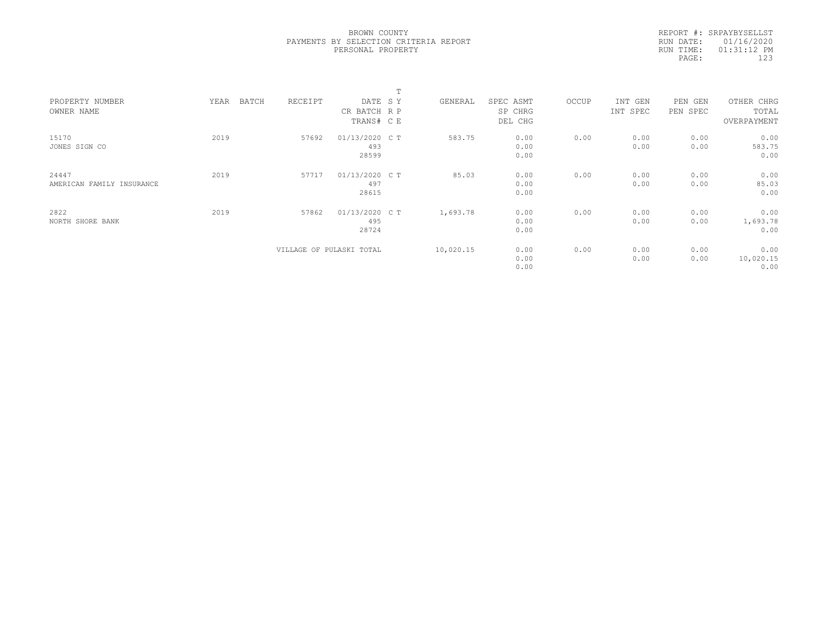|           | REPORT #: SRPAYBYSELLST |  |
|-----------|-------------------------|--|
|           | RUN DATE: 01/16/2020    |  |
| RUN TIME: | $01:31:12$ PM           |  |
| PAGE:     | 123                     |  |
|           |                         |  |

|                           |               |         |                          | $\blacksquare$ |           |           |       |          |          |             |  |
|---------------------------|---------------|---------|--------------------------|----------------|-----------|-----------|-------|----------|----------|-------------|--|
| PROPERTY NUMBER           | BATCH<br>YEAR | RECEIPT | DATE SY                  |                | GENERAL   | SPEC ASMT | OCCUP | INT GEN  | PEN GEN  | OTHER CHRG  |  |
| OWNER NAME                |               |         | CR BATCH R P             |                |           | SP CHRG   |       | INT SPEC | PEN SPEC | TOTAL       |  |
|                           |               |         | TRANS# CE                |                |           | DEL CHG   |       |          |          | OVERPAYMENT |  |
| 15170                     | 2019          | 57692   | 01/13/2020 C T           |                | 583.75    | 0.00      | 0.00  | 0.00     | 0.00     | 0.00        |  |
| JONES SIGN CO             |               |         | 493                      |                |           | 0.00      |       | 0.00     | 0.00     | 583.75      |  |
|                           |               |         | 28599                    |                |           | 0.00      |       |          |          | 0.00        |  |
| 24447                     | 2019          | 57717   | 01/13/2020 C T           |                | 85.03     | 0.00      | 0.00  | 0.00     | 0.00     | 0.00        |  |
| AMERICAN FAMILY INSURANCE |               |         | 497                      |                |           | 0.00      |       | 0.00     | 0.00     | 85.03       |  |
|                           |               |         | 28615                    |                |           | 0.00      |       |          |          | 0.00        |  |
| 2822                      | 2019          | 57862   | 01/13/2020 C T           |                | 1,693.78  | 0.00      | 0.00  | 0.00     | 0.00     | 0.00        |  |
| NORTH SHORE BANK          |               |         | 495                      |                |           | 0.00      |       | 0.00     | 0.00     | 1,693.78    |  |
|                           |               |         | 28724                    |                |           | 0.00      |       |          |          | 0.00        |  |
|                           |               |         | VILLAGE OF PULASKI TOTAL |                | 10,020.15 | 0.00      | 0.00  | 0.00     | 0.00     | 0.00        |  |
|                           |               |         |                          |                |           | 0.00      |       | 0.00     | 0.00     | 10,020.15   |  |
|                           |               |         |                          |                |           | 0.00      |       |          |          | 0.00        |  |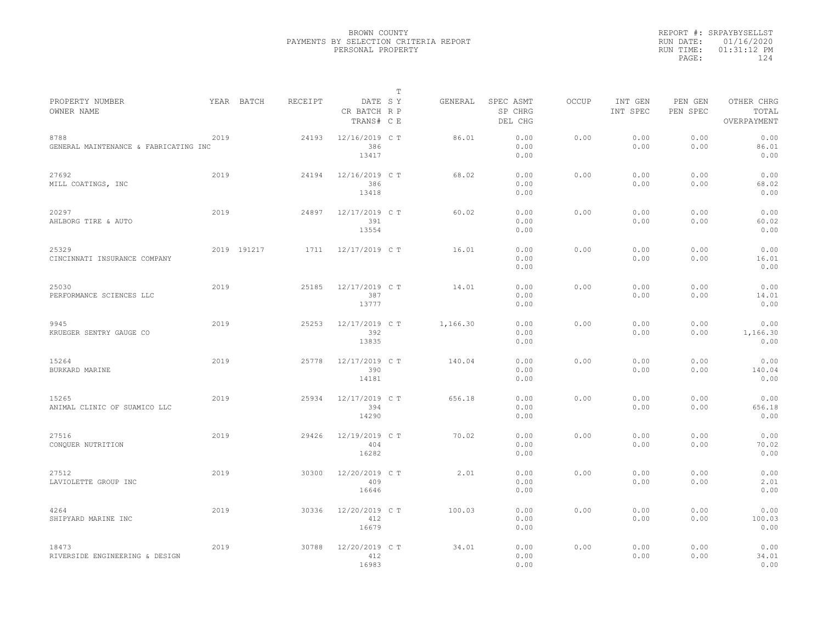|                                               |      |             |         |                                       | $\mathbb T$ |          |                                 |              |                     |                     |                                    |  |
|-----------------------------------------------|------|-------------|---------|---------------------------------------|-------------|----------|---------------------------------|--------------|---------------------|---------------------|------------------------------------|--|
| PROPERTY NUMBER<br>OWNER NAME                 |      | YEAR BATCH  | RECEIPT | DATE SY<br>CR BATCH R P<br>TRANS# C E |             | GENERAL  | SPEC ASMT<br>SP CHRG<br>DEL CHG | <b>OCCUP</b> | INT GEN<br>INT SPEC | PEN GEN<br>PEN SPEC | OTHER CHRG<br>TOTAL<br>OVERPAYMENT |  |
| 8788<br>GENERAL MAINTENANCE & FABRICATING INC | 2019 |             | 24193   | 12/16/2019 C T<br>386<br>13417        |             | 86.01    | 0.00<br>0.00<br>0.00            | 0.00         | 0.00<br>0.00        | 0.00<br>0.00        | 0.00<br>86.01<br>0.00              |  |
| 27692<br>MILL COATINGS, INC                   | 2019 |             | 24194   | 12/16/2019 C T<br>386<br>13418        |             | 68.02    | 0.00<br>0.00<br>0.00            | 0.00         | 0.00<br>0.00        | 0.00<br>0.00        | 0.00<br>68.02<br>0.00              |  |
| 20297<br>AHLBORG TIRE & AUTO                  | 2019 |             | 24897   | 12/17/2019 C T<br>391<br>13554        |             | 60.02    | 0.00<br>0.00<br>0.00            | 0.00         | 0.00<br>0.00        | 0.00<br>0.00        | 0.00<br>60.02<br>0.00              |  |
| 25329<br>CINCINNATI INSURANCE COMPANY         |      | 2019 191217 | 1711    | 12/17/2019 C T                        |             | 16.01    | 0.00<br>0.00<br>0.00            | 0.00         | 0.00<br>0.00        | 0.00<br>0.00        | 0.00<br>16.01<br>0.00              |  |
| 25030<br>PERFORMANCE SCIENCES LLC             | 2019 |             | 25185   | 12/17/2019 C T<br>387<br>13777        |             | 14.01    | 0.00<br>0.00<br>0.00            | 0.00         | 0.00<br>0.00        | 0.00<br>0.00        | 0.00<br>14.01<br>0.00              |  |
| 9945<br>KRUEGER SENTRY GAUGE CO               | 2019 |             | 25253   | 12/17/2019 C T<br>392<br>13835        |             | 1,166.30 | 0.00<br>0.00<br>0.00            | 0.00         | 0.00<br>0.00        | 0.00<br>0.00        | 0.00<br>1,166.30<br>0.00           |  |
| 15264<br>BURKARD MARINE                       | 2019 |             | 25778   | 12/17/2019 C T<br>390<br>14181        |             | 140.04   | 0.00<br>0.00<br>0.00            | 0.00         | 0.00<br>0.00        | 0.00<br>0.00        | 0.00<br>140.04<br>0.00             |  |
| 15265<br>ANIMAL CLINIC OF SUAMICO LLC         | 2019 |             | 25934   | 12/17/2019 C T<br>394<br>14290        |             | 656.18   | 0.00<br>0.00<br>0.00            | 0.00         | 0.00<br>0.00        | 0.00<br>0.00        | 0.00<br>656.18<br>0.00             |  |
| 27516<br>CONQUER NUTRITION                    | 2019 |             | 29426   | 12/19/2019 C T<br>404<br>16282        |             | 70.02    | 0.00<br>0.00<br>0.00            | 0.00         | 0.00<br>0.00        | 0.00<br>0.00        | 0.00<br>70.02<br>0.00              |  |
| 27512<br>LAVIOLETTE GROUP INC                 | 2019 |             | 30300   | 12/20/2019 C T<br>409<br>16646        |             | 2.01     | 0.00<br>0.00<br>0.00            | 0.00         | 0.00<br>0.00        | 0.00<br>0.00        | 0.00<br>2.01<br>0.00               |  |
| 4264<br>SHIPYARD MARINE INC                   | 2019 |             | 30336   | 12/20/2019 C T<br>412<br>16679        |             | 100.03   | 0.00<br>0.00<br>0.00            | 0.00         | 0.00<br>0.00        | 0.00<br>0.00        | 0.00<br>100.03<br>0.00             |  |
| 18473<br>RIVERSIDE ENGINEERING & DESIGN       | 2019 |             | 30788   | 12/20/2019 C T<br>412<br>16983        |             | 34.01    | 0.00<br>0.00<br>0.00            | 0.00         | 0.00<br>0.00        | 0.00<br>0.00        | 0.00<br>34.01<br>0.00              |  |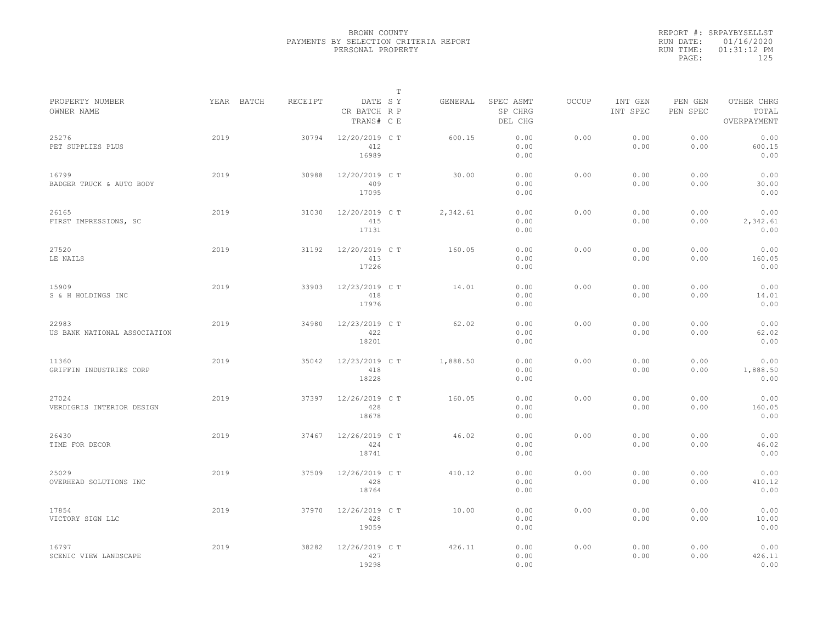|           | REPORT #: SRPAYBYSELLST |
|-----------|-------------------------|
|           | RUN DATE: 01/16/2020    |
| RUN TIME: | $01:31:12$ PM           |
| PAGE:     | 125                     |
|           |                         |

|                                       |            |         |                                       | Т |          |                                 |              |                     |                     |                                    |
|---------------------------------------|------------|---------|---------------------------------------|---|----------|---------------------------------|--------------|---------------------|---------------------|------------------------------------|
| PROPERTY NUMBER<br>OWNER NAME         | YEAR BATCH | RECEIPT | DATE SY<br>CR BATCH R P<br>TRANS# C E |   | GENERAL  | SPEC ASMT<br>SP CHRG<br>DEL CHG | <b>OCCUP</b> | INT GEN<br>INT SPEC | PEN GEN<br>PEN SPEC | OTHER CHRG<br>TOTAL<br>OVERPAYMENT |
| 25276<br>PET SUPPLIES PLUS            | 2019       | 30794   | 12/20/2019 C T<br>412<br>16989        |   | 600.15   | 0.00<br>0.00<br>0.00            | 0.00         | 0.00<br>0.00        | 0.00<br>0.00        | 0.00<br>600.15<br>0.00             |
| 16799<br>BADGER TRUCK & AUTO BODY     | 2019       | 30988   | 12/20/2019 C T<br>409<br>17095        |   | 30.00    | 0.00<br>0.00<br>0.00            | 0.00         | 0.00<br>0.00        | 0.00<br>0.00        | 0.00<br>30.00<br>0.00              |
| 26165<br>FIRST IMPRESSIONS, SC        | 2019       | 31030   | 12/20/2019 C T<br>415<br>17131        |   | 2,342.61 | 0.00<br>0.00<br>0.00            | 0.00         | 0.00<br>0.00        | 0.00<br>0.00        | 0.00<br>2,342.61<br>0.00           |
| 27520<br>LE NAILS                     | 2019       | 31192   | 12/20/2019 C T<br>413<br>17226        |   | 160.05   | 0.00<br>0.00<br>0.00            | 0.00         | 0.00<br>0.00        | 0.00<br>0.00        | 0.00<br>160.05<br>0.00             |
| 15909<br>S & H HOLDINGS INC           | 2019       | 33903   | 12/23/2019 C T<br>418<br>17976        |   | 14.01    | 0.00<br>0.00<br>0.00            | 0.00         | 0.00<br>0.00        | 0.00<br>0.00        | 0.00<br>14.01<br>0.00              |
| 22983<br>US BANK NATIONAL ASSOCIATION | 2019       | 34980   | 12/23/2019 C T<br>422<br>18201        |   | 62.02    | 0.00<br>0.00<br>0.00            | 0.00         | 0.00<br>0.00        | 0.00<br>0.00        | 0.00<br>62.02<br>0.00              |
| 11360<br>GRIFFIN INDUSTRIES CORP      | 2019       | 35042   | 12/23/2019 C T<br>418<br>18228        |   | 1,888.50 | 0.00<br>0.00<br>0.00            | 0.00         | 0.00<br>0.00        | 0.00<br>0.00        | 0.00<br>1,888.50<br>0.00           |
| 27024<br>VERDIGRIS INTERIOR DESIGN    | 2019       | 37397   | 12/26/2019 C T<br>428<br>18678        |   | 160.05   | 0.00<br>0.00<br>0.00            | 0.00         | 0.00<br>0.00        | 0.00<br>0.00        | 0.00<br>160.05<br>0.00             |
| 26430<br>TIME FOR DECOR               | 2019       | 37467   | 12/26/2019 C T<br>424<br>18741        |   | 46.02    | 0.00<br>0.00<br>0.00            | 0.00         | 0.00<br>0.00        | 0.00<br>0.00        | 0.00<br>46.02<br>0.00              |
| 25029<br>OVERHEAD SOLUTIONS INC       | 2019       | 37509   | 12/26/2019 C T<br>428<br>18764        |   | 410.12   | 0.00<br>0.00<br>0.00            | 0.00         | 0.00<br>0.00        | 0.00<br>0.00        | 0.00<br>410.12<br>0.00             |
| 17854<br>VICTORY SIGN LLC             | 2019       | 37970   | 12/26/2019 C T<br>428<br>19059        |   | 10.00    | 0.00<br>0.00<br>0.00            | 0.00         | 0.00<br>0.00        | 0.00<br>0.00        | 0.00<br>10.00<br>0.00              |
| 16797<br>SCENIC VIEW LANDSCAPE        | 2019       | 38282   | 12/26/2019 C T<br>427<br>19298        |   | 426.11   | 0.00<br>0.00<br>0.00            | 0.00         | 0.00<br>0.00        | 0.00<br>0.00        | 0.00<br>426.11<br>0.00             |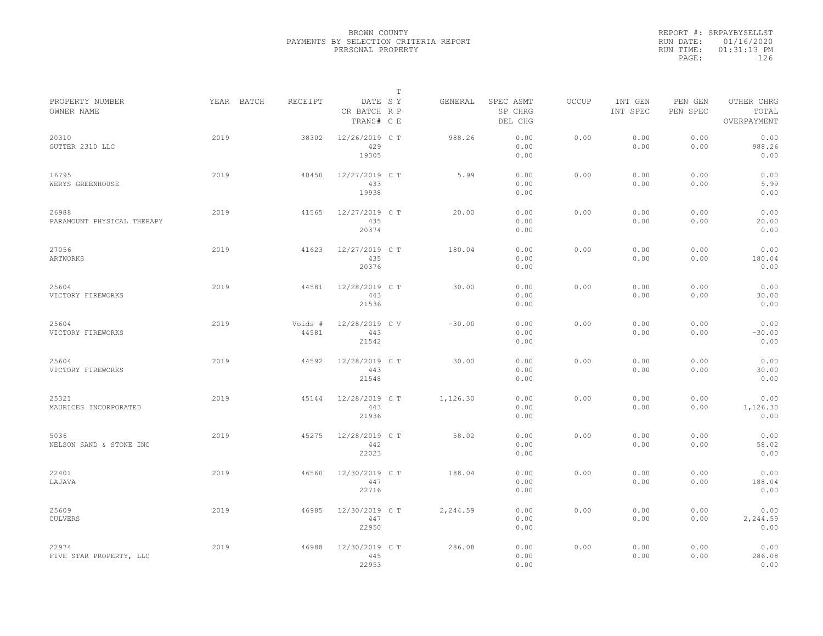|           | REPORT #: SRPAYBYSELLST |
|-----------|-------------------------|
|           | RUN DATE: 01/16/2020    |
| RUN TIME: | $01:31:13$ PM           |
| PAGE:     | 126                     |
|           |                         |

|                                     |            |                  |                                       | T |          |                                 |       |                     |                     |                                    |  |
|-------------------------------------|------------|------------------|---------------------------------------|---|----------|---------------------------------|-------|---------------------|---------------------|------------------------------------|--|
| PROPERTY NUMBER<br>OWNER NAME       | YEAR BATCH | RECEIPT          | DATE SY<br>CR BATCH R P<br>TRANS# C E |   | GENERAL  | SPEC ASMT<br>SP CHRG<br>DEL CHG | OCCUP | INT GEN<br>INT SPEC | PEN GEN<br>PEN SPEC | OTHER CHRG<br>TOTAL<br>OVERPAYMENT |  |
| 20310<br>GUTTER 2310 LLC            | 2019       | 38302            | 12/26/2019 C T<br>429<br>19305        |   | 988.26   | 0.00<br>0.00<br>0.00            | 0.00  | 0.00<br>0.00        | 0.00<br>0.00        | 0.00<br>988.26<br>0.00             |  |
| 16795<br>WERYS GREENHOUSE           | 2019       | 40450            | 12/27/2019 C T<br>433<br>19938        |   | 5.99     | 0.00<br>0.00<br>0.00            | 0.00  | 0.00<br>0.00        | 0.00<br>0.00        | 0.00<br>5.99<br>0.00               |  |
| 26988<br>PARAMOUNT PHYSICAL THERAPY | 2019       | 41565            | 12/27/2019 C T<br>435<br>20374        |   | 20.00    | 0.00<br>0.00<br>0.00            | 0.00  | 0.00<br>0.00        | 0.00<br>0.00        | 0.00<br>20.00<br>0.00              |  |
| 27056<br>ARTWORKS                   | 2019       | 41623            | 12/27/2019 C T<br>435<br>20376        |   | 180.04   | 0.00<br>0.00<br>0.00            | 0.00  | 0.00<br>0.00        | 0.00<br>0.00        | 0.00<br>180.04<br>0.00             |  |
| 25604<br>VICTORY FIREWORKS          | 2019       | 44581            | 12/28/2019 C T<br>443<br>21536        |   | 30.00    | 0.00<br>0.00<br>0.00            | 0.00  | 0.00<br>0.00        | 0.00<br>0.00        | 0.00<br>30.00<br>0.00              |  |
| 25604<br>VICTORY FIREWORKS          | 2019       | Voids #<br>44581 | 12/28/2019 C V<br>443<br>21542        |   | $-30.00$ | 0.00<br>0.00<br>0.00            | 0.00  | 0.00<br>0.00        | 0.00<br>0.00        | 0.00<br>$-30.00$<br>0.00           |  |
| 25604<br>VICTORY FIREWORKS          | 2019       | 44592            | 12/28/2019 C T<br>443<br>21548        |   | 30.00    | 0.00<br>0.00<br>0.00            | 0.00  | 0.00<br>0.00        | 0.00<br>0.00        | 0.00<br>30.00<br>0.00              |  |
| 25321<br>MAURICES INCORPORATED      | 2019       | 45144            | 12/28/2019 C T<br>443<br>21936        |   | 1,126.30 | 0.00<br>0.00<br>0.00            | 0.00  | 0.00<br>0.00        | 0.00<br>0.00        | 0.00<br>1,126.30<br>0.00           |  |
| 5036<br>NELSON SAND & STONE INC     | 2019       | 45275            | 12/28/2019 C T<br>442<br>22023        |   | 58.02    | 0.00<br>0.00<br>0.00            | 0.00  | 0.00<br>0.00        | 0.00<br>0.00        | 0.00<br>58.02<br>0.00              |  |
| 22401<br>LAJAVA                     | 2019       | 46560            | 12/30/2019 C T<br>447<br>22716        |   | 188.04   | 0.00<br>0.00<br>0.00            | 0.00  | 0.00<br>0.00        | 0.00<br>0.00        | 0.00<br>188.04<br>0.00             |  |
| 25609<br><b>CULVERS</b>             | 2019       | 46985            | 12/30/2019 C T<br>447<br>22950        |   | 2,244.59 | 0.00<br>0.00<br>0.00            | 0.00  | 0.00<br>0.00        | 0.00<br>0.00        | 0.00<br>2,244.59<br>0.00           |  |
| 22974<br>FIVE STAR PROPERTY, LLC    | 2019       | 46988            | 12/30/2019 C T<br>445<br>22953        |   | 286.08   | 0.00<br>0.00<br>0.00            | 0.00  | 0.00<br>0.00        | 0.00<br>0.00        | 0.00<br>286.08<br>0.00             |  |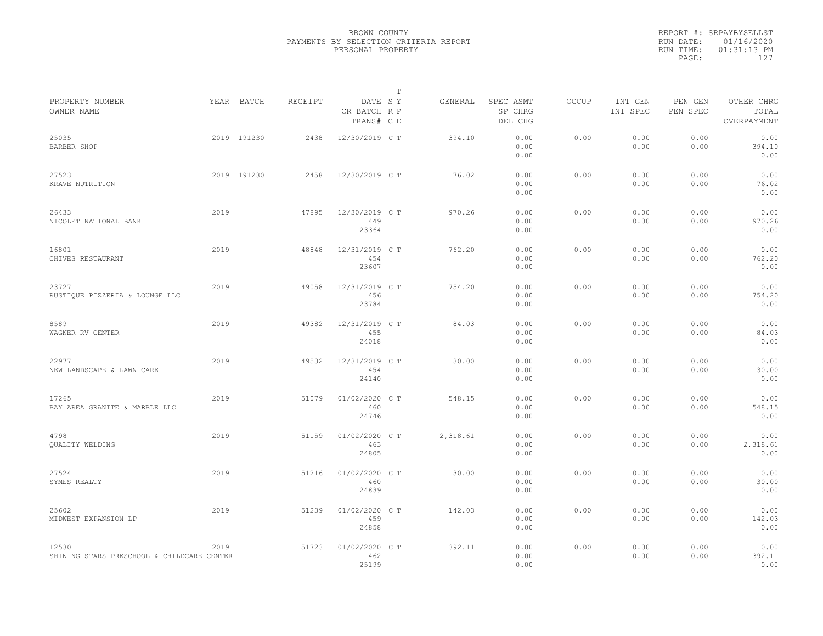|                                                     |      |             |         |                                       | $\mathbb{T}$ |          |                                 |              |                     |                     |                                    |
|-----------------------------------------------------|------|-------------|---------|---------------------------------------|--------------|----------|---------------------------------|--------------|---------------------|---------------------|------------------------------------|
| PROPERTY NUMBER<br>OWNER NAME                       |      | YEAR BATCH  | RECEIPT | DATE SY<br>CR BATCH R P<br>TRANS# C E |              | GENERAL  | SPEC ASMT<br>SP CHRG<br>DEL CHG | <b>OCCUP</b> | INT GEN<br>INT SPEC | PEN GEN<br>PEN SPEC | OTHER CHRG<br>TOTAL<br>OVERPAYMENT |
| 25035<br>BARBER SHOP                                |      | 2019 191230 | 2438    | 12/30/2019 C T                        |              | 394.10   | 0.00<br>0.00<br>0.00            | 0.00         | 0.00<br>0.00        | 0.00<br>0.00        | 0.00<br>394.10<br>0.00             |
| 27523<br>KRAVE NUTRITION                            |      | 2019 191230 | 2458    | 12/30/2019 C T                        |              | 76.02    | 0.00<br>0.00<br>0.00            | 0.00         | 0.00<br>0.00        | 0.00<br>0.00        | 0.00<br>76.02<br>0.00              |
| 26433<br>NICOLET NATIONAL BANK                      | 2019 |             | 47895   | 12/30/2019 C T<br>449<br>23364        |              | 970.26   | 0.00<br>0.00<br>0.00            | 0.00         | 0.00<br>0.00        | 0.00<br>0.00        | 0.00<br>970.26<br>0.00             |
| 16801<br>CHIVES RESTAURANT                          | 2019 |             | 48848   | 12/31/2019 C T<br>454<br>23607        |              | 762.20   | 0.00<br>0.00<br>0.00            | 0.00         | 0.00<br>0.00        | 0.00<br>0.00        | 0.00<br>762.20<br>0.00             |
| 23727<br>RUSTIQUE PIZZERIA & LOUNGE LLC             | 2019 |             | 49058   | 12/31/2019 C T<br>456<br>23784        |              | 754.20   | 0.00<br>0.00<br>0.00            | 0.00         | 0.00<br>0.00        | 0.00<br>0.00        | 0.00<br>754.20<br>0.00             |
| 8589<br>WAGNER RV CENTER                            | 2019 |             | 49382   | 12/31/2019 C T<br>455<br>24018        |              | 84.03    | 0.00<br>0.00<br>0.00            | 0.00         | 0.00<br>0.00        | 0.00<br>0.00        | 0.00<br>84.03<br>0.00              |
| 22977<br>NEW LANDSCAPE & LAWN CARE                  | 2019 |             | 49532   | 12/31/2019 C T<br>454<br>24140        |              | 30.00    | 0.00<br>0.00<br>0.00            | 0.00         | 0.00<br>0.00        | 0.00<br>0.00        | 0.00<br>30.00<br>0.00              |
| 17265<br>BAY AREA GRANITE & MARBLE LLC              | 2019 |             | 51079   | 01/02/2020 C T<br>460<br>24746        |              | 548.15   | 0.00<br>0.00<br>0.00            | 0.00         | 0.00<br>0.00        | 0.00<br>0.00        | 0.00<br>548.15<br>0.00             |
| 4798<br><b>OUALITY WELDING</b>                      | 2019 |             | 51159   | 01/02/2020 C T<br>463<br>24805        |              | 2,318.61 | 0.00<br>0.00<br>0.00            | 0.00         | 0.00<br>0.00        | 0.00<br>0.00        | 0.00<br>2,318.61<br>0.00           |
| 27524<br>SYMES REALTY                               | 2019 |             | 51216   | 01/02/2020 C T<br>460<br>24839        |              | 30.00    | 0.00<br>0.00<br>0.00            | 0.00         | 0.00<br>0.00        | 0.00<br>0.00        | 0.00<br>30.00<br>0.00              |
| 25602<br>MIDWEST EXPANSION LP                       | 2019 |             | 51239   | 01/02/2020 C T<br>459<br>24858        |              | 142.03   | 0.00<br>0.00<br>0.00            | 0.00         | 0.00<br>0.00        | 0.00<br>0.00        | 0.00<br>142.03<br>0.00             |
| 12530<br>SHINING STARS PRESCHOOL & CHILDCARE CENTER | 2019 |             | 51723   | 01/02/2020 C T<br>462<br>25199        |              | 392.11   | 0.00<br>0.00<br>0.00            | 0.00         | 0.00<br>0.00        | 0.00<br>0.00        | 0.00<br>392.11<br>0.00             |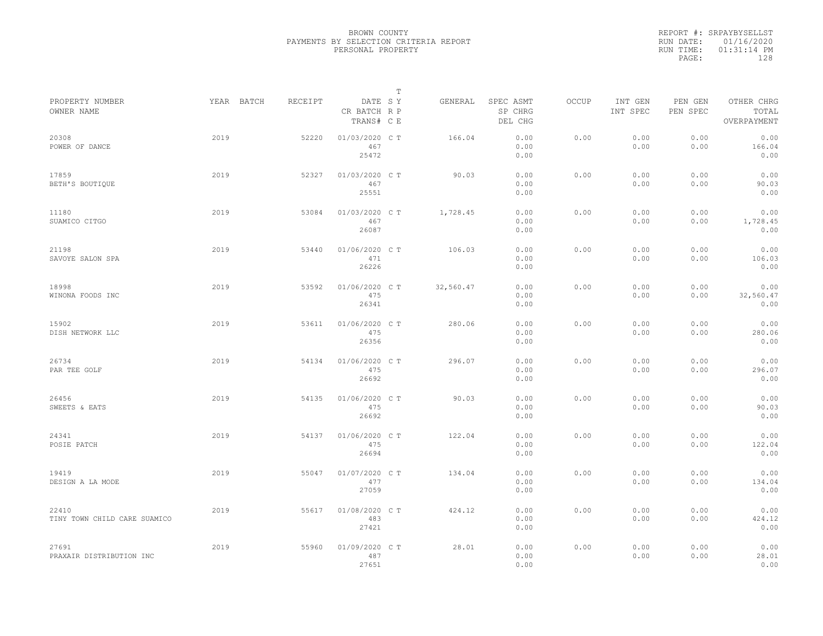|           | REPORT #: SRPAYBYSELLST |
|-----------|-------------------------|
|           | RUN DATE: 01/16/2020    |
| RUN TIME: | $01:31:14$ PM           |
| PAGE:     | 128                     |
|           |                         |

|                                       |            |         |                                       | $\mathbb T$ |                                 |       |                     |                     |                                    |
|---------------------------------------|------------|---------|---------------------------------------|-------------|---------------------------------|-------|---------------------|---------------------|------------------------------------|
| PROPERTY NUMBER<br>OWNER NAME         | YEAR BATCH | RECEIPT | DATE SY<br>CR BATCH R P<br>TRANS# C E | GENERAL     | SPEC ASMT<br>SP CHRG<br>DEL CHG | OCCUP | INT GEN<br>INT SPEC | PEN GEN<br>PEN SPEC | OTHER CHRG<br>TOTAL<br>OVERPAYMENT |
| 20308<br>POWER OF DANCE               | 2019       | 52220   | 01/03/2020 C T<br>467<br>25472        | 166.04      | 0.00<br>0.00<br>0.00            | 0.00  | 0.00<br>0.00        | 0.00<br>0.00        | 0.00<br>166.04<br>0.00             |
| 17859<br>BETH'S BOUTIQUE              | 2019       | 52327   | 01/03/2020 C T<br>467<br>25551        | 90.03       | 0.00<br>0.00<br>0.00            | 0.00  | 0.00<br>0.00        | 0.00<br>0.00        | 0.00<br>90.03<br>0.00              |
| 11180<br>SUAMICO CITGO                | 2019       | 53084   | 01/03/2020 C T<br>467<br>26087        | 1,728.45    | 0.00<br>0.00<br>0.00            | 0.00  | 0.00<br>0.00        | 0.00<br>0.00        | 0.00<br>1,728.45<br>0.00           |
| 21198<br>SAVOYE SALON SPA             | 2019       | 53440   | 01/06/2020 CT<br>471<br>26226         | 106.03      | 0.00<br>0.00<br>0.00            | 0.00  | 0.00<br>0.00        | 0.00<br>0.00        | 0.00<br>106.03<br>0.00             |
| 18998<br>WINONA FOODS INC             | 2019       | 53592   | 01/06/2020 C T<br>475<br>26341        | 32,560.47   | 0.00<br>0.00<br>0.00            | 0.00  | 0.00<br>0.00        | 0.00<br>0.00        | 0.00<br>32,560.47<br>0.00          |
| 15902<br>DISH NETWORK LLC             | 2019       | 53611   | 01/06/2020 CT<br>475<br>26356         | 280.06      | 0.00<br>0.00<br>0.00            | 0.00  | 0.00<br>0.00        | 0.00<br>0.00        | 0.00<br>280.06<br>0.00             |
| 26734<br>PAR TEE GOLF                 | 2019       | 54134   | 01/06/2020 C T<br>475<br>26692        | 296.07      | 0.00<br>0.00<br>0.00            | 0.00  | 0.00<br>0.00        | 0.00<br>0.00        | 0.00<br>296.07<br>0.00             |
| 26456<br>SWEETS & EATS                | 2019       | 54135   | 01/06/2020 C T<br>475<br>26692        | 90.03       | 0.00<br>0.00<br>0.00            | 0.00  | 0.00<br>0.00        | 0.00<br>0.00        | 0.00<br>90.03<br>0.00              |
| 24341<br>POSIE PATCH                  | 2019       | 54137   | 01/06/2020 C T<br>475<br>26694        | 122.04      | 0.00<br>0.00<br>0.00            | 0.00  | 0.00<br>0.00        | 0.00<br>0.00        | 0.00<br>122.04<br>0.00             |
| 19419<br>DESIGN A LA MODE             | 2019       | 55047   | 01/07/2020 CT<br>477<br>27059         | 134.04      | 0.00<br>0.00<br>0.00            | 0.00  | 0.00<br>0.00        | 0.00<br>0.00        | 0.00<br>134.04<br>0.00             |
| 22410<br>TINY TOWN CHILD CARE SUAMICO | 2019       | 55617   | 01/08/2020 CT<br>483<br>27421         | 424.12      | 0.00<br>0.00<br>0.00            | 0.00  | 0.00<br>0.00        | 0.00<br>0.00        | 0.00<br>424.12<br>0.00             |
| 27691<br>PRAXAIR DISTRIBUTION INC     | 2019       | 55960   | 01/09/2020 CT<br>487<br>27651         | 28.01       | 0.00<br>0.00<br>0.00            | 0.00  | 0.00<br>0.00        | 0.00<br>0.00        | 0.00<br>28.01<br>0.00              |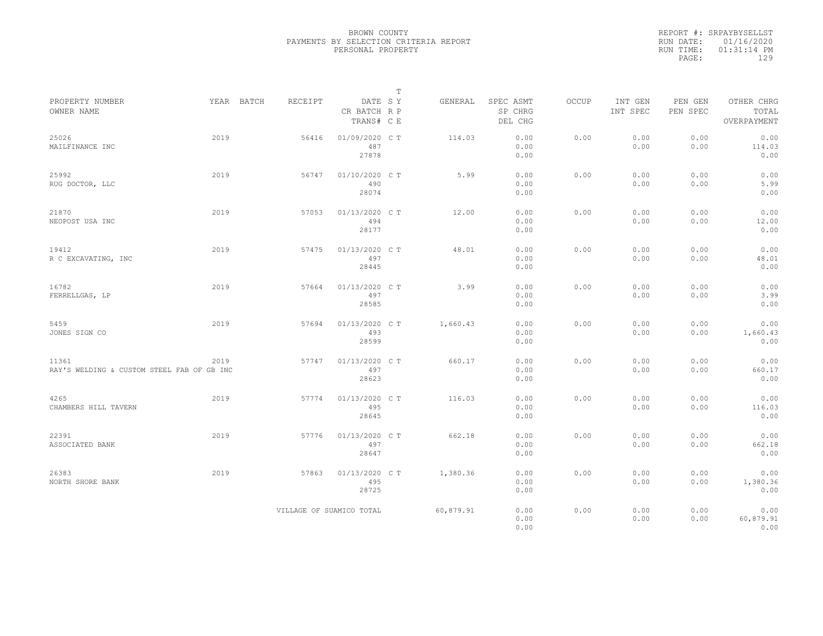|           | REPORT #: SRPAYBYSELLST |  |
|-----------|-------------------------|--|
|           | RUN DATE: 01/16/2020    |  |
| RUN TIME: | $01:31:14$ PM           |  |
| PAGE:     | 129                     |  |
|           |                         |  |

|                                                     |      |            |         |                                       | $\mathbb T$ |           |                                 |              |                     |                     |                                    |  |
|-----------------------------------------------------|------|------------|---------|---------------------------------------|-------------|-----------|---------------------------------|--------------|---------------------|---------------------|------------------------------------|--|
| PROPERTY NUMBER<br>OWNER NAME                       |      | YEAR BATCH | RECEIPT | DATE SY<br>CR BATCH R P<br>TRANS# C E |             | GENERAL   | SPEC ASMT<br>SP CHRG<br>DEL CHG | <b>OCCUP</b> | INT GEN<br>INT SPEC | PEN GEN<br>PEN SPEC | OTHER CHRG<br>TOTAL<br>OVERPAYMENT |  |
| 25026<br>MAILFINANCE INC                            | 2019 |            | 56416   | 01/09/2020 CT<br>487<br>27878         |             | 114.03    | 0.00<br>0.00<br>0.00            | 0.00         | 0.00<br>0.00        | 0.00<br>0.00        | 0.00<br>114.03<br>0.00             |  |
| 25992<br>RUG DOCTOR, LLC                            | 2019 |            | 56747   | 01/10/2020 C T<br>490<br>28074        |             | 5.99      | 0.00<br>0.00<br>0.00            | 0.00         | 0.00<br>0.00        | 0.00<br>0.00        | 0.00<br>5.99<br>0.00               |  |
| 21870<br>NEOPOST USA INC                            | 2019 |            | 57053   | 01/13/2020 C T<br>494<br>28177        |             | 12.00     | 0.00<br>0.00<br>0.00            | 0.00         | 0.00<br>0.00        | 0.00<br>0.00        | 0.00<br>12.00<br>0.00              |  |
| 19412<br>R C EXCAVATING, INC                        | 2019 |            | 57475   | 01/13/2020 C T<br>497<br>28445        |             | 48.01     | 0.00<br>0.00<br>0.00            | 0.00         | 0.00<br>0.00        | 0.00<br>0.00        | 0.00<br>48.01<br>0.00              |  |
| 16782<br>FERRELLGAS, LP                             | 2019 |            | 57664   | 01/13/2020 C T<br>497<br>28585        |             | 3.99      | 0.00<br>0.00<br>0.00            | 0.00         | 0.00<br>0.00        | 0.00<br>0.00        | 0.00<br>3.99<br>0.00               |  |
| 5459<br>JONES SIGN CO                               | 2019 |            | 57694   | 01/13/2020 C T<br>493<br>28599        |             | 1,660.43  | 0.00<br>0.00<br>0.00            | 0.00         | 0.00<br>0.00        | 0.00<br>0.00        | 0.00<br>1,660.43<br>0.00           |  |
| 11361<br>RAY'S WELDING & CUSTOM STEEL FAB OF GB INC | 2019 |            | 57747   | 01/13/2020 C T<br>497<br>28623        |             | 660.17    | 0.00<br>0.00<br>0.00            | 0.00         | 0.00<br>0.00        | 0.00<br>0.00        | 0.00<br>660.17<br>0.00             |  |
| 4265<br>CHAMBERS HILL TAVERN                        | 2019 |            | 57774   | 01/13/2020 C T<br>495<br>28645        |             | 116.03    | 0.00<br>0.00<br>0.00            | 0.00         | 0.00<br>0.00        | 0.00<br>0.00        | 0.00<br>116.03<br>0.00             |  |
| 22391<br>ASSOCIATED BANK                            | 2019 |            | 57776   | 01/13/2020 C T<br>497<br>28647        |             | 662.18    | 0.00<br>0.00<br>0.00            | 0.00         | 0.00<br>0.00        | 0.00<br>0.00        | 0.00<br>662.18<br>0.00             |  |
| 26383<br>NORTH SHORE BANK                           | 2019 |            | 57863   | 01/13/2020 C T<br>495<br>28725        |             | 1,380.36  | 0.00<br>0.00<br>0.00            | 0.00         | 0.00<br>0.00        | 0.00<br>0.00        | 0.00<br>1,380.36<br>0.00           |  |
|                                                     |      |            |         | VILLAGE OF SUAMICO TOTAL              |             | 60,879.91 | 0.00<br>0.00<br>0.00            | 0.00         | 0.00<br>0.00        | 0.00<br>0.00        | 0.00<br>60,879.91<br>0.00          |  |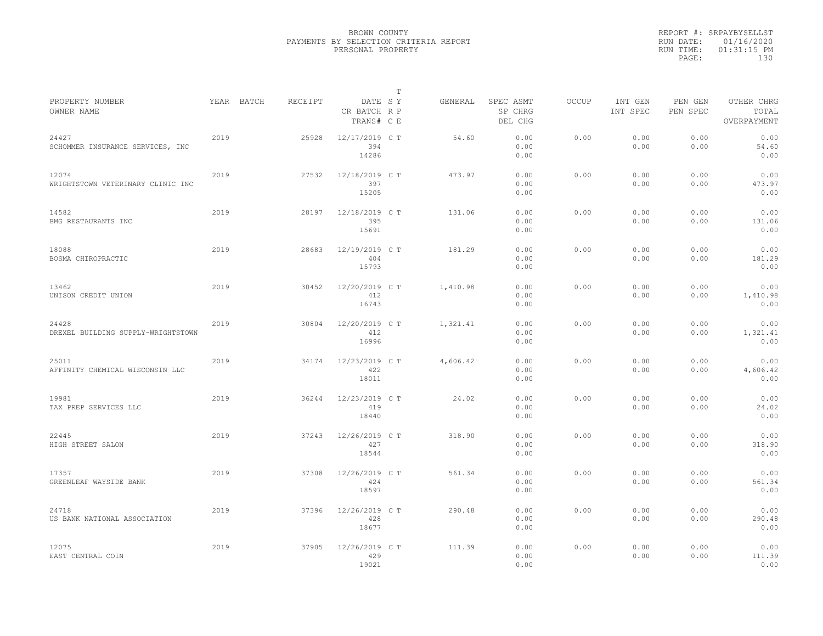|                                             |      |            |         |                                       | $\mathbb{T}$ |          |                                 |              |                     |                     |                                    |
|---------------------------------------------|------|------------|---------|---------------------------------------|--------------|----------|---------------------------------|--------------|---------------------|---------------------|------------------------------------|
| PROPERTY NUMBER<br>OWNER NAME               |      | YEAR BATCH | RECEIPT | DATE SY<br>CR BATCH R P<br>TRANS# C E |              | GENERAL  | SPEC ASMT<br>SP CHRG<br>DEL CHG | <b>OCCUP</b> | INT GEN<br>INT SPEC | PEN GEN<br>PEN SPEC | OTHER CHRG<br>TOTAL<br>OVERPAYMENT |
| 24427<br>SCHOMMER INSURANCE SERVICES, INC   | 2019 |            | 25928   | 12/17/2019 C T<br>394<br>14286        |              | 54.60    | 0.00<br>0.00<br>0.00            | 0.00         | 0.00<br>0.00        | 0.00<br>0.00        | 0.00<br>54.60<br>0.00              |
| 12074<br>WRIGHTSTOWN VETERINARY CLINIC INC  | 2019 |            | 27532   | 12/18/2019 C T<br>397<br>15205        |              | 473.97   | 0.00<br>0.00<br>0.00            | 0.00         | 0.00<br>0.00        | 0.00<br>0.00        | 0.00<br>473.97<br>0.00             |
| 14582<br>BMG RESTAURANTS INC                | 2019 |            | 28197   | 12/18/2019 C T<br>395<br>15691        |              | 131.06   | 0.00<br>0.00<br>0.00            | 0.00         | 0.00<br>0.00        | 0.00<br>0.00        | 0.00<br>131.06<br>0.00             |
| 18088<br>BOSMA CHIROPRACTIC                 | 2019 |            | 28683   | 12/19/2019 C T<br>404<br>15793        |              | 181.29   | 0.00<br>0.00<br>0.00            | 0.00         | 0.00<br>0.00        | 0.00<br>0.00        | 0.00<br>181.29<br>0.00             |
| 13462<br>UNISON CREDIT UNION                | 2019 |            | 30452   | 12/20/2019 C T<br>412<br>16743        |              | 1,410.98 | 0.00<br>0.00<br>0.00            | 0.00         | 0.00<br>0.00        | 0.00<br>0.00        | 0.00<br>1,410.98<br>0.00           |
| 24428<br>DREXEL BUILDING SUPPLY-WRIGHTSTOWN | 2019 |            | 30804   | 12/20/2019 C T<br>412<br>16996        |              | 1,321.41 | 0.00<br>0.00<br>0.00            | 0.00         | 0.00<br>0.00        | 0.00<br>0.00        | 0.00<br>1,321.41<br>0.00           |
| 25011<br>AFFINITY CHEMICAL WISCONSIN LLC    | 2019 |            | 34174   | 12/23/2019 C T<br>422<br>18011        |              | 4,606.42 | 0.00<br>0.00<br>0.00            | 0.00         | 0.00<br>0.00        | 0.00<br>0.00        | 0.00<br>4,606.42<br>0.00           |
| 19981<br>TAX PREP SERVICES LLC              | 2019 |            | 36244   | 12/23/2019 C T<br>419<br>18440        |              | 24.02    | 0.00<br>0.00<br>0.00            | 0.00         | 0.00<br>0.00        | 0.00<br>0.00        | 0.00<br>24.02<br>0.00              |
| 22445<br>HIGH STREET SALON                  | 2019 |            | 37243   | 12/26/2019 C T<br>427<br>18544        |              | 318.90   | 0.00<br>0.00<br>0.00            | 0.00         | 0.00<br>0.00        | 0.00<br>0.00        | 0.00<br>318.90<br>0.00             |
| 17357<br>GREENLEAF WAYSIDE BANK             | 2019 |            | 37308   | 12/26/2019 C T<br>424<br>18597        |              | 561.34   | 0.00<br>0.00<br>0.00            | 0.00         | 0.00<br>0.00        | 0.00<br>0.00        | 0.00<br>561.34<br>0.00             |
| 24718<br>US BANK NATIONAL ASSOCIATION       | 2019 |            | 37396   | 12/26/2019 C T<br>428<br>18677        |              | 290.48   | 0.00<br>0.00<br>0.00            | 0.00         | 0.00<br>0.00        | 0.00<br>0.00        | 0.00<br>290.48<br>0.00             |
| 12075<br>EAST CENTRAL COIN                  | 2019 |            | 37905   | 12/26/2019 C T<br>429<br>19021        |              | 111.39   | 0.00<br>0.00<br>0.00            | 0.00         | 0.00<br>0.00        | 0.00<br>0.00        | 0.00<br>111.39<br>0.00             |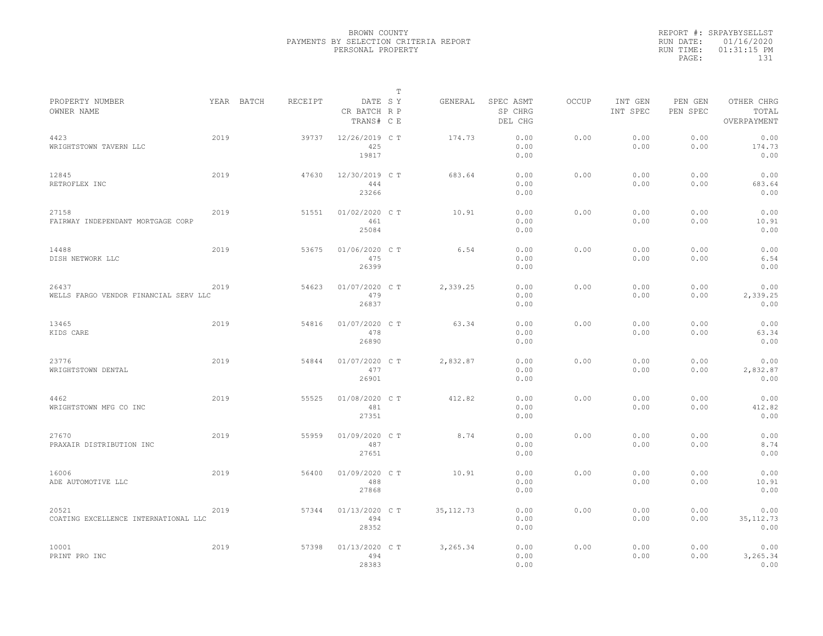|           | REPORT #: SRPAYBYSELLST |
|-----------|-------------------------|
|           | RUN DATE: 01/16/2020    |
| RUN TIME: | $01:31:15$ PM           |
| PAGE:     | 131                     |
|           |                         |

|                                                |      |            |         |                                       | $\mathbb T$ |            |                                 |              |                     |                     |                                    |  |
|------------------------------------------------|------|------------|---------|---------------------------------------|-------------|------------|---------------------------------|--------------|---------------------|---------------------|------------------------------------|--|
| PROPERTY NUMBER<br>OWNER NAME                  |      | YEAR BATCH | RECEIPT | DATE SY<br>CR BATCH R P<br>TRANS# C E |             | GENERAL    | SPEC ASMT<br>SP CHRG<br>DEL CHG | <b>OCCUP</b> | INT GEN<br>INT SPEC | PEN GEN<br>PEN SPEC | OTHER CHRG<br>TOTAL<br>OVERPAYMENT |  |
| 4423<br>WRIGHTSTOWN TAVERN LLC                 | 2019 |            | 39737   | 12/26/2019 C T<br>425<br>19817        |             | 174.73     | 0.00<br>0.00<br>0.00            | 0.00         | 0.00<br>0.00        | 0.00<br>0.00        | 0.00<br>174.73<br>0.00             |  |
| 12845<br>RETROFLEX INC                         | 2019 |            | 47630   | 12/30/2019 C T<br>444<br>23266        |             | 683.64     | 0.00<br>0.00<br>0.00            | 0.00         | 0.00<br>0.00        | 0.00<br>0.00        | 0.00<br>683.64<br>0.00             |  |
| 27158<br>FAIRWAY INDEPENDANT MORTGAGE CORP     | 2019 |            | 51551   | 01/02/2020 C T<br>461<br>25084        |             | 10.91      | 0.00<br>0.00<br>0.00            | 0.00         | 0.00<br>0.00        | 0.00<br>0.00        | 0.00<br>10.91<br>0.00              |  |
| 14488<br>DISH NETWORK LLC                      | 2019 |            | 53675   | 01/06/2020 C T<br>475<br>26399        |             | 6.54       | 0.00<br>0.00<br>0.00            | 0.00         | 0.00<br>0.00        | 0.00<br>0.00        | 0.00<br>6.54<br>0.00               |  |
| 26437<br>WELLS FARGO VENDOR FINANCIAL SERV LLC | 2019 |            | 54623   | 01/07/2020 C T<br>479<br>26837        |             | 2,339.25   | 0.00<br>0.00<br>0.00            | 0.00         | 0.00<br>0.00        | 0.00<br>0.00        | 0.00<br>2,339.25<br>0.00           |  |
| 13465<br>KIDS CARE                             | 2019 |            | 54816   | 01/07/2020 C T<br>478<br>26890        |             | 63.34      | 0.00<br>0.00<br>0.00            | 0.00         | 0.00<br>0.00        | 0.00<br>0.00        | 0.00<br>63.34<br>0.00              |  |
| 23776<br>WRIGHTSTOWN DENTAL                    | 2019 |            | 54844   | 01/07/2020 C T<br>477<br>26901        |             | 2,832.87   | 0.00<br>0.00<br>0.00            | 0.00         | 0.00<br>0.00        | 0.00<br>0.00        | 0.00<br>2,832.87<br>0.00           |  |
| 4462<br>WRIGHTSTOWN MFG CO INC                 | 2019 |            | 55525   | 01/08/2020 C T<br>481<br>27351        |             | 412.82     | 0.00<br>0.00<br>0.00            | 0.00         | 0.00<br>0.00        | 0.00<br>0.00        | 0.00<br>412.82<br>0.00             |  |
| 27670<br>PRAXAIR DISTRIBUTION INC              | 2019 |            | 55959   | 01/09/2020 CT<br>487<br>27651         |             | 8.74       | 0.00<br>0.00<br>0.00            | 0.00         | 0.00<br>0.00        | 0.00<br>0.00        | 0.00<br>8.74<br>0.00               |  |
| 16006<br>ADE AUTOMOTIVE LLC                    | 2019 |            | 56400   | 01/09/2020 C T<br>488<br>27868        |             | 10.91      | 0.00<br>0.00<br>0.00            | 0.00         | 0.00<br>0.00        | 0.00<br>0.00        | 0.00<br>10.91<br>0.00              |  |
| 20521<br>COATING EXCELLENCE INTERNATIONAL LLC  | 2019 |            | 57344   | 01/13/2020 C T<br>494<br>28352        |             | 35, 112.73 | 0.00<br>0.00<br>0.00            | 0.00         | 0.00<br>0.00        | 0.00<br>0.00        | 0.00<br>35, 112.73<br>0.00         |  |
| 10001<br>PRINT PRO INC                         | 2019 |            | 57398   | 01/13/2020 C T<br>494<br>28383        |             | 3,265.34   | 0.00<br>0.00<br>0.00            | 0.00         | 0.00<br>0.00        | 0.00<br>0.00        | 0.00<br>3,265.34<br>0.00           |  |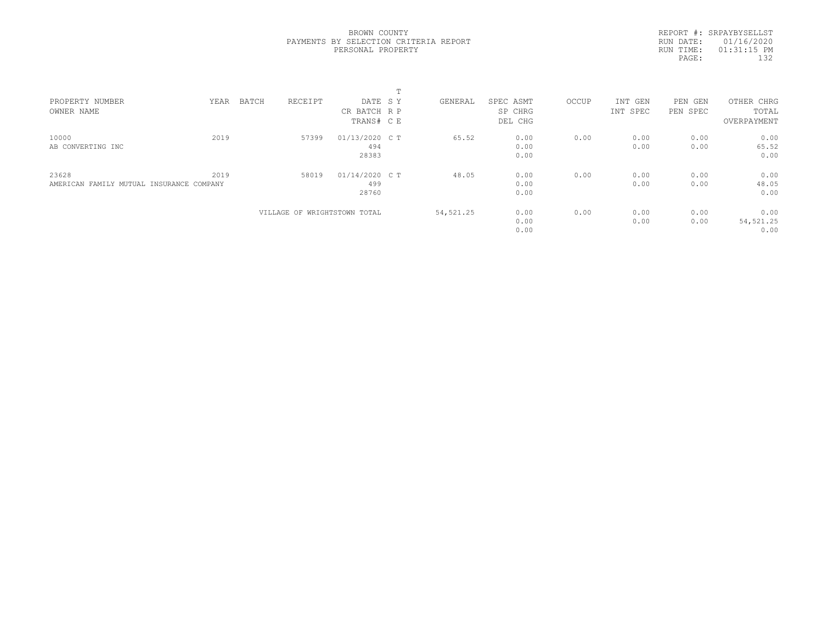REPORT #: SRPAYBYSELLST RUN DATE: 01/16/2020 RUN TIME: 01:31:15 PM PAGE: 132

|                                          |      |       |                              |                | ÷. |            |           |       |          |            |             |  |
|------------------------------------------|------|-------|------------------------------|----------------|----|------------|-----------|-------|----------|------------|-------------|--|
| PROPERTY NUMBER                          | YEAR | BATCH | RECEIPT                      | DATE SY        |    | GENERAL    | SPEC ASMT | OCCUP | INT GEN  | PEN<br>GEN | OTHER CHRG  |  |
| OWNER NAME                               |      |       |                              | CR BATCH R P   |    |            | SP CHRG   |       | INT SPEC | PEN SPEC   | TOTAL       |  |
|                                          |      |       |                              | TRANS# C E     |    |            | DEL CHG   |       |          |            | OVERPAYMENT |  |
| 10000                                    | 2019 |       | 57399                        | 01/13/2020 C T |    | 65.52      | 0.00      | 0.00  | 0.00     | 0.00       | 0.00        |  |
| AB CONVERTING INC                        |      |       |                              | 494            |    |            | 0.00      |       | 0.00     | 0.00       | 65.52       |  |
|                                          |      |       |                              | 28383          |    |            | 0.00      |       |          |            | 0.00        |  |
| 23628                                    | 2019 |       | 58019                        | 01/14/2020 C T |    | 48.05      | 0.00      | 0.00  | 0.00     | 0.00       | 0.00        |  |
| AMERICAN FAMILY MUTUAL INSURANCE COMPANY |      |       |                              | 499            |    |            | 0.00      |       | 0.00     | 0.00       | 48.05       |  |
|                                          |      |       |                              | 28760          |    |            | 0.00      |       |          |            | 0.00        |  |
|                                          |      |       | VILLAGE OF WRIGHTSTOWN TOTAL |                |    | 54, 521.25 | 0.00      | 0.00  | 0.00     | 0.00       | 0.00        |  |
|                                          |      |       |                              |                |    |            | 0.00      |       | 0.00     | 0.00       | 54, 521.25  |  |
|                                          |      |       |                              |                |    |            | 0.00      |       |          |            | 0.00        |  |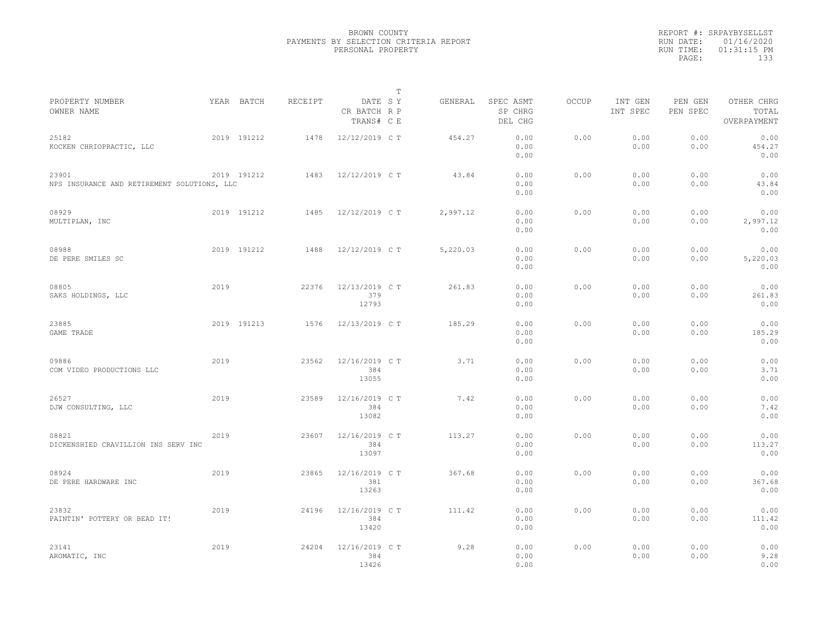|                                                      |      |             |         |                                       | $\mathbb{T}$ |          |                                 |              |                     |                     |                                    |  |
|------------------------------------------------------|------|-------------|---------|---------------------------------------|--------------|----------|---------------------------------|--------------|---------------------|---------------------|------------------------------------|--|
| PROPERTY NUMBER<br>OWNER NAME                        |      | YEAR BATCH  | RECEIPT | DATE SY<br>CR BATCH R P<br>TRANS# C E |              | GENERAL  | SPEC ASMT<br>SP CHRG<br>DEL CHG | <b>OCCUP</b> | INT GEN<br>INT SPEC | PEN GEN<br>PEN SPEC | OTHER CHRG<br>TOTAL<br>OVERPAYMENT |  |
| 25182<br>KOCKEN CHRIOPRACTIC, LLC                    |      | 2019 191212 | 1478    | 12/12/2019 C T                        |              | 454.27   | 0.00<br>0.00<br>0.00            | 0.00         | 0.00<br>0.00        | 0.00<br>0.00        | 0.00<br>454.27<br>0.00             |  |
| 23901<br>NPS INSURANCE AND RETIREMENT SOLUTIONS, LLC |      | 2019 191212 | 1483    | 12/12/2019 C T                        |              | 43.84    | 0.00<br>0.00<br>0.00            | 0.00         | 0.00<br>0.00        | 0.00<br>0.00        | 0.00<br>43.84<br>0.00              |  |
| 08929<br>MULTIPLAN, INC                              |      | 2019 191212 | 1485    | 12/12/2019 C T                        |              | 2,997.12 | 0.00<br>0.00<br>0.00            | 0.00         | 0.00<br>0.00        | 0.00<br>0.00        | 0.00<br>2,997.12<br>0.00           |  |
| 08988<br>DE PERE SMILES SC                           |      | 2019 191212 | 1488    | 12/12/2019 C T                        |              | 5,220.03 | 0.00<br>0.00<br>0.00            | 0.00         | 0.00<br>0.00        | 0.00<br>0.00        | 0.00<br>5,220.03<br>0.00           |  |
| 08805<br>SAKS HOLDINGS, LLC                          | 2019 |             | 22376   | 12/13/2019 C T<br>379<br>12793        |              | 261.83   | 0.00<br>0.00<br>0.00            | 0.00         | 0.00<br>0.00        | 0.00<br>0.00        | 0.00<br>261.83<br>0.00             |  |
| 23885<br>GAME TRADE                                  |      | 2019 191213 | 1576    | 12/13/2019 C T                        |              | 185.29   | 0.00<br>0.00<br>0.00            | 0.00         | 0.00<br>0.00        | 0.00<br>0.00        | 0.00<br>185.29<br>0.00             |  |
| 09886<br>COM VIDEO PRODUCTIONS LLC                   | 2019 |             | 23562   | 12/16/2019 C T<br>384<br>13055        |              | 3.71     | 0.00<br>0.00<br>0.00            | 0.00         | 0.00<br>0.00        | 0.00<br>0.00        | 0.00<br>3.71<br>0.00               |  |
| 26527<br>DJW CONSULTING, LLC                         | 2019 |             | 23589   | 12/16/2019 C T<br>384<br>13082        |              | 7.42     | 0.00<br>0.00<br>0.00            | 0.00         | 0.00<br>0.00        | 0.00<br>0.00        | 0.00<br>7.42<br>0.00               |  |
| 08821<br>DICKENSHIED CRAVILLION INS SERV INC         | 2019 |             | 23607   | 12/16/2019 C T<br>384<br>13097        |              | 113.27   | 0.00<br>0.00<br>0.00            | 0.00         | 0.00<br>0.00        | 0.00<br>0.00        | 0.00<br>113.27<br>0.00             |  |
| 08924<br>DE PERE HARDWARE INC                        | 2019 |             | 23865   | 12/16/2019 C T<br>381<br>13263        |              | 367.68   | 0.00<br>0.00<br>0.00            | 0.00         | 0.00<br>0.00        | 0.00<br>0.00        | 0.00<br>367.68<br>0.00             |  |
| 23832<br>PAINTIN' POTTERY OR BEAD IT!                | 2019 |             | 24196   | 12/16/2019 C T<br>384<br>13420        |              | 111.42   | 0.00<br>0.00<br>0.00            | 0.00         | 0.00<br>0.00        | 0.00<br>0.00        | 0.00<br>111.42<br>0.00             |  |
| 23141<br>AROMATIC, INC                               | 2019 |             | 24204   | 12/16/2019 C T<br>384<br>13426        |              | 9.28     | 0.00<br>0.00<br>0.00            | 0.00         | 0.00<br>0.00        | 0.00<br>0.00        | 0.00<br>9.28<br>0.00               |  |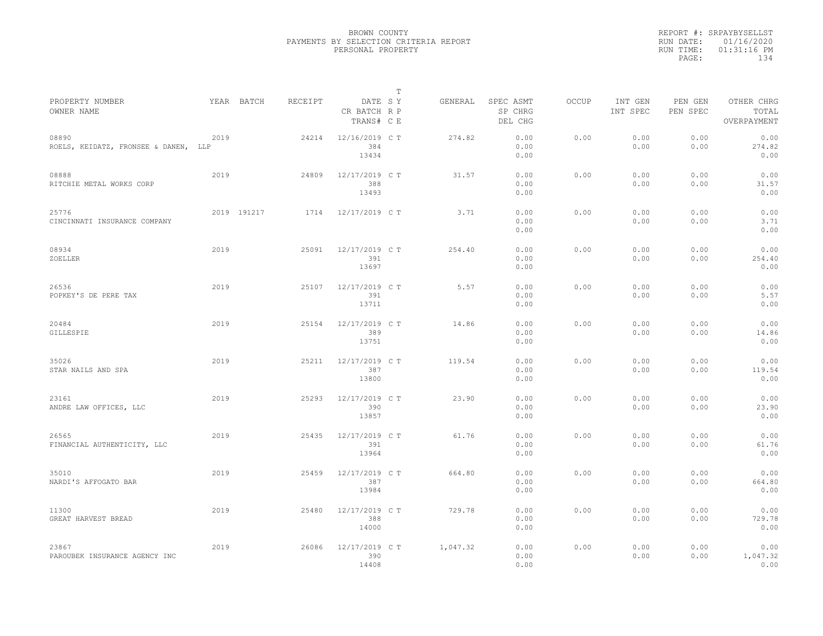|                                               |      |             |         |                                       | $\mathbb T$ |          |                                 |              |                     |                     |                                    |  |
|-----------------------------------------------|------|-------------|---------|---------------------------------------|-------------|----------|---------------------------------|--------------|---------------------|---------------------|------------------------------------|--|
| PROPERTY NUMBER<br>OWNER NAME                 |      | YEAR BATCH  | RECEIPT | DATE SY<br>CR BATCH R P<br>TRANS# C E |             | GENERAL  | SPEC ASMT<br>SP CHRG<br>DEL CHG | <b>OCCUP</b> | INT GEN<br>INT SPEC | PEN GEN<br>PEN SPEC | OTHER CHRG<br>TOTAL<br>OVERPAYMENT |  |
| 08890<br>ROELS, KEIDATZ, FRONSEE & DANEN, LLP | 2019 |             | 24214   | 12/16/2019 C T<br>384<br>13434        |             | 274.82   | 0.00<br>0.00<br>0.00            | 0.00         | 0.00<br>0.00        | 0.00<br>0.00        | 0.00<br>274.82<br>0.00             |  |
| 08888<br>RITCHIE METAL WORKS CORP             | 2019 |             | 24809   | 12/17/2019 C T<br>388<br>13493        |             | 31.57    | 0.00<br>0.00<br>0.00            | 0.00         | 0.00<br>0.00        | 0.00<br>0.00        | 0.00<br>31.57<br>0.00              |  |
| 25776<br>CINCINNATI INSURANCE COMPANY         |      | 2019 191217 | 1714    | 12/17/2019 C T                        |             | 3.71     | 0.00<br>0.00<br>0.00            | 0.00         | 0.00<br>0.00        | 0.00<br>0.00        | 0.00<br>3.71<br>0.00               |  |
| 08934<br>ZOELLER                              | 2019 |             | 25091   | 12/17/2019 C T<br>391<br>13697        |             | 254.40   | 0.00<br>0.00<br>0.00            | 0.00         | 0.00<br>0.00        | 0.00<br>0.00        | 0.00<br>254.40<br>0.00             |  |
| 26536<br>POPKEY'S DE PERE TAX                 | 2019 |             | 25107   | 12/17/2019 C T<br>391<br>13711        |             | 5.57     | 0.00<br>0.00<br>0.00            | 0.00         | 0.00<br>0.00        | 0.00<br>0.00        | 0.00<br>5.57<br>0.00               |  |
| 20484<br>GILLESPIE                            | 2019 |             | 25154   | 12/17/2019 C T<br>389<br>13751        |             | 14.86    | 0.00<br>0.00<br>0.00            | 0.00         | 0.00<br>0.00        | 0.00<br>0.00        | 0.00<br>14.86<br>0.00              |  |
| 35026<br>STAR NAILS AND SPA                   | 2019 |             | 25211   | 12/17/2019 C T<br>387<br>13800        |             | 119.54   | 0.00<br>0.00<br>0.00            | 0.00         | 0.00<br>0.00        | 0.00<br>0.00        | 0.00<br>119.54<br>0.00             |  |
| 23161<br>ANDRE LAW OFFICES, LLC               | 2019 |             | 25293   | 12/17/2019 C T<br>390<br>13857        |             | 23.90    | 0.00<br>0.00<br>0.00            | 0.00         | 0.00<br>0.00        | 0.00<br>0.00        | 0.00<br>23.90<br>0.00              |  |
| 26565<br>FINANCIAL AUTHENTICITY, LLC          | 2019 |             | 25435   | 12/17/2019 C T<br>391<br>13964        |             | 61.76    | 0.00<br>0.00<br>0.00            | 0.00         | 0.00<br>0.00        | 0.00<br>0.00        | 0.00<br>61.76<br>0.00              |  |
| 35010<br>NARDI'S AFFOGATO BAR                 | 2019 |             | 25459   | 12/17/2019 C T<br>387<br>13984        |             | 664.80   | 0.00<br>0.00<br>0.00            | 0.00         | 0.00<br>0.00        | 0.00<br>0.00        | 0.00<br>664.80<br>0.00             |  |
| 11300<br>GREAT HARVEST BREAD                  | 2019 |             | 25480   | 12/17/2019 C T<br>388<br>14000        |             | 729.78   | 0.00<br>0.00<br>0.00            | 0.00         | 0.00<br>0.00        | 0.00<br>0.00        | 0.00<br>729.78<br>0.00             |  |
| 23867<br>PAROUBEK INSURANCE AGENCY INC        | 2019 |             | 26086   | 12/17/2019 C T<br>390<br>14408        |             | 1,047.32 | 0.00<br>0.00<br>0.00            | 0.00         | 0.00<br>0.00        | 0.00<br>0.00        | 0.00<br>1,047.32<br>0.00           |  |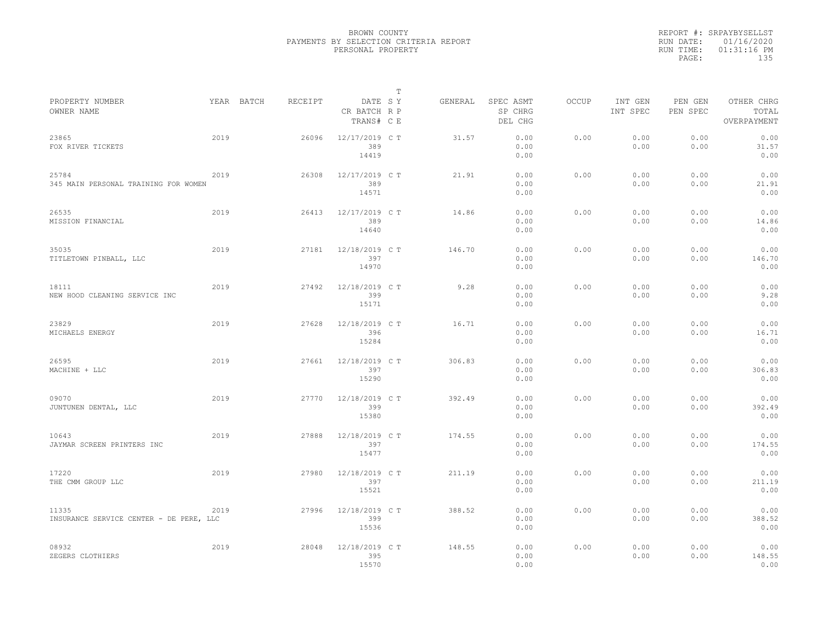|           | REPORT #: SRPAYBYSELLST |  |
|-----------|-------------------------|--|
|           | RUN DATE: 01/16/2020    |  |
| RUN TIME: | $01:31:16$ PM           |  |
| PAGE:     | 135                     |  |
|           |                         |  |

|                                                  |      |            |         |                                       | Т |         |                                 |       |                     |                     |                                    |
|--------------------------------------------------|------|------------|---------|---------------------------------------|---|---------|---------------------------------|-------|---------------------|---------------------|------------------------------------|
| PROPERTY NUMBER<br>OWNER NAME                    |      | YEAR BATCH | RECEIPT | DATE SY<br>CR BATCH R P<br>TRANS# C E |   | GENERAL | SPEC ASMT<br>SP CHRG<br>DEL CHG | OCCUP | INT GEN<br>INT SPEC | PEN GEN<br>PEN SPEC | OTHER CHRG<br>TOTAL<br>OVERPAYMENT |
| 23865<br>FOX RIVER TICKETS                       | 2019 |            | 26096   | 12/17/2019 C T<br>389<br>14419        |   | 31.57   | 0.00<br>0.00<br>0.00            | 0.00  | 0.00<br>0.00        | 0.00<br>0.00        | 0.00<br>31.57<br>0.00              |
| 25784<br>345 MAIN PERSONAL TRAINING FOR WOMEN    | 2019 |            | 26308   | 12/17/2019 C T<br>389<br>14571        |   | 21.91   | 0.00<br>0.00<br>0.00            | 0.00  | 0.00<br>0.00        | 0.00<br>0.00        | 0.00<br>21.91<br>0.00              |
| 26535<br>MISSION FINANCIAL                       | 2019 |            | 26413   | 12/17/2019 C T<br>389<br>14640        |   | 14.86   | 0.00<br>0.00<br>0.00            | 0.00  | 0.00<br>0.00        | 0.00<br>0.00        | 0.00<br>14.86<br>0.00              |
| 35035<br>TITLETOWN PINBALL, LLC                  | 2019 |            | 27181   | 12/18/2019 C T<br>397<br>14970        |   | 146.70  | 0.00<br>0.00<br>0.00            | 0.00  | 0.00<br>0.00        | 0.00<br>0.00        | 0.00<br>146.70<br>0.00             |
| 18111<br>NEW HOOD CLEANING SERVICE INC           | 2019 |            | 27492   | 12/18/2019 C T<br>399<br>15171        |   | 9.28    | 0.00<br>0.00<br>0.00            | 0.00  | 0.00<br>0.00        | 0.00<br>0.00        | 0.00<br>9.28<br>0.00               |
| 23829<br>MICHAELS ENERGY                         | 2019 |            | 27628   | 12/18/2019 C T<br>396<br>15284        |   | 16.71   | 0.00<br>0.00<br>0.00            | 0.00  | 0.00<br>0.00        | 0.00<br>0.00        | 0.00<br>16.71<br>0.00              |
| 26595<br>MACHINE + LLC                           | 2019 |            | 27661   | 12/18/2019 C T<br>397<br>15290        |   | 306.83  | 0.00<br>0.00<br>0.00            | 0.00  | 0.00<br>0.00        | 0.00<br>0.00        | 0.00<br>306.83<br>0.00             |
| 09070<br>JUNTUNEN DENTAL, LLC                    | 2019 |            | 27770   | 12/18/2019 C T<br>399<br>15380        |   | 392.49  | 0.00<br>0.00<br>0.00            | 0.00  | 0.00<br>0.00        | 0.00<br>0.00        | 0.00<br>392.49<br>0.00             |
| 10643<br>JAYMAR SCREEN PRINTERS INC              | 2019 |            | 27888   | 12/18/2019 C T<br>397<br>15477        |   | 174.55  | 0.00<br>0.00<br>0.00            | 0.00  | 0.00<br>0.00        | 0.00<br>0.00        | 0.00<br>174.55<br>0.00             |
| 17220<br>THE CMM GROUP LLC                       | 2019 |            | 27980   | 12/18/2019 C T<br>397<br>15521        |   | 211.19  | 0.00<br>0.00<br>0.00            | 0.00  | 0.00<br>0.00        | 0.00<br>0.00        | 0.00<br>211.19<br>0.00             |
| 11335<br>INSURANCE SERVICE CENTER - DE PERE, LLC | 2019 |            | 27996   | 12/18/2019 C T<br>399<br>15536        |   | 388.52  | 0.00<br>0.00<br>0.00            | 0.00  | 0.00<br>0.00        | 0.00<br>0.00        | 0.00<br>388.52<br>0.00             |
| 08932<br>ZEGERS CLOTHIERS                        | 2019 |            | 28048   | 12/18/2019 C T<br>395<br>15570        |   | 148.55  | 0.00<br>0.00<br>0.00            | 0.00  | 0.00<br>0.00        | 0.00<br>0.00        | 0.00<br>148.55<br>0.00             |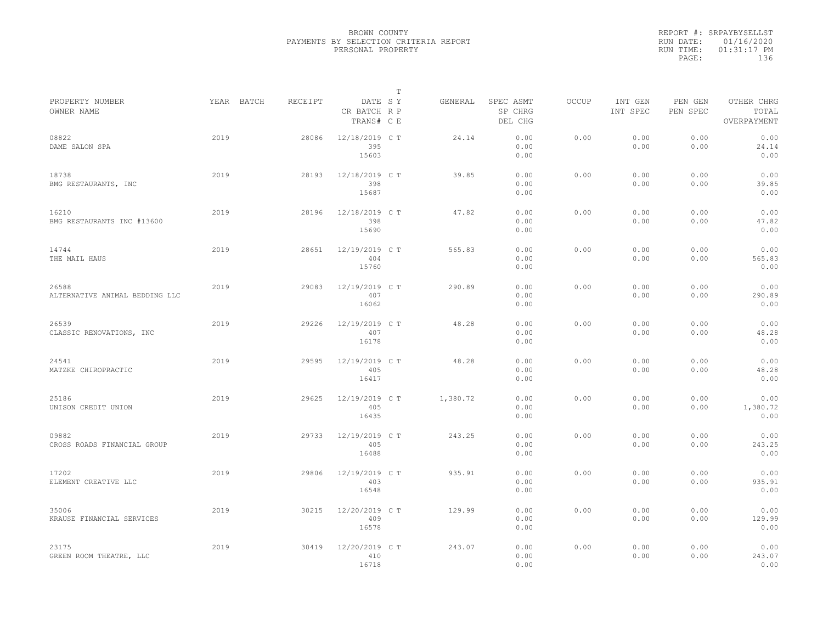|           | REPORT #: SRPAYBYSELLST |
|-----------|-------------------------|
|           | RUN DATE: 01/16/2020    |
| RUN TIME: | $01:31:17$ PM           |
| PAGE:     | 136                     |
|           |                         |

|                                         |            |         |                                       | Т |          |                                 |              |                     |                     |                                    |
|-----------------------------------------|------------|---------|---------------------------------------|---|----------|---------------------------------|--------------|---------------------|---------------------|------------------------------------|
| PROPERTY NUMBER<br>OWNER NAME           | YEAR BATCH | RECEIPT | DATE SY<br>CR BATCH R P<br>TRANS# C E |   | GENERAL  | SPEC ASMT<br>SP CHRG<br>DEL CHG | <b>OCCUP</b> | INT GEN<br>INT SPEC | PEN GEN<br>PEN SPEC | OTHER CHRG<br>TOTAL<br>OVERPAYMENT |
| 08822<br>DAME SALON SPA                 | 2019       | 28086   | 12/18/2019 C T<br>395<br>15603        |   | 24.14    | 0.00<br>0.00<br>0.00            | 0.00         | 0.00<br>0.00        | 0.00<br>0.00        | 0.00<br>24.14<br>0.00              |
| 18738<br>BMG RESTAURANTS, INC           | 2019       | 28193   | 12/18/2019 C T<br>398<br>15687        |   | 39.85    | 0.00<br>0.00<br>0.00            | 0.00         | 0.00<br>0.00        | 0.00<br>0.00        | 0.00<br>39.85<br>0.00              |
| 16210<br>BMG RESTAURANTS INC #13600     | 2019       | 28196   | 12/18/2019 C T<br>398<br>15690        |   | 47.82    | 0.00<br>0.00<br>0.00            | 0.00         | 0.00<br>0.00        | 0.00<br>0.00        | 0.00<br>47.82<br>0.00              |
| 14744<br>THE MAIL HAUS                  | 2019       | 28651   | 12/19/2019 C T<br>404<br>15760        |   | 565.83   | 0.00<br>0.00<br>0.00            | 0.00         | 0.00<br>0.00        | 0.00<br>0.00        | 0.00<br>565.83<br>0.00             |
| 26588<br>ALTERNATIVE ANIMAL BEDDING LLC | 2019       | 29083   | 12/19/2019 C T<br>407<br>16062        |   | 290.89   | 0.00<br>0.00<br>0.00            | 0.00         | 0.00<br>0.00        | 0.00<br>0.00        | 0.00<br>290.89<br>0.00             |
| 26539<br>CLASSIC RENOVATIONS, INC       | 2019       | 29226   | 12/19/2019 C T<br>407<br>16178        |   | 48.28    | 0.00<br>0.00<br>0.00            | 0.00         | 0.00<br>0.00        | 0.00<br>0.00        | 0.00<br>48.28<br>0.00              |
| 24541<br>MATZKE CHIROPRACTIC            | 2019       | 29595   | 12/19/2019 C T<br>405<br>16417        |   | 48.28    | 0.00<br>0.00<br>0.00            | 0.00         | 0.00<br>0.00        | 0.00<br>0.00        | 0.00<br>48.28<br>0.00              |
| 25186<br>UNISON CREDIT UNION            | 2019       | 29625   | 12/19/2019 C T<br>405<br>16435        |   | 1,380.72 | 0.00<br>0.00<br>0.00            | 0.00         | 0.00<br>0.00        | 0.00<br>0.00        | 0.00<br>1,380.72<br>0.00           |
| 09882<br>CROSS ROADS FINANCIAL GROUP    | 2019       | 29733   | 12/19/2019 C T<br>405<br>16488        |   | 243.25   | 0.00<br>0.00<br>0.00            | 0.00         | 0.00<br>0.00        | 0.00<br>0.00        | 0.00<br>243.25<br>0.00             |
| 17202<br>ELEMENT CREATIVE LLC           | 2019       | 29806   | 12/19/2019 C T<br>403<br>16548        |   | 935.91   | 0.00<br>0.00<br>0.00            | 0.00         | 0.00<br>0.00        | 0.00<br>0.00        | 0.00<br>935.91<br>0.00             |
| 35006<br>KRAUSE FINANCIAL SERVICES      | 2019       | 30215   | 12/20/2019 C T<br>409<br>16578        |   | 129.99   | 0.00<br>0.00<br>0.00            | 0.00         | 0.00<br>0.00        | 0.00<br>0.00        | 0.00<br>129.99<br>0.00             |
| 23175<br>GREEN ROOM THEATRE, LLC        | 2019       | 30419   | 12/20/2019 C T<br>410<br>16718        |   | 243.07   | 0.00<br>0.00<br>0.00            | 0.00         | 0.00<br>0.00        | 0.00<br>0.00        | 0.00<br>243.07<br>0.00             |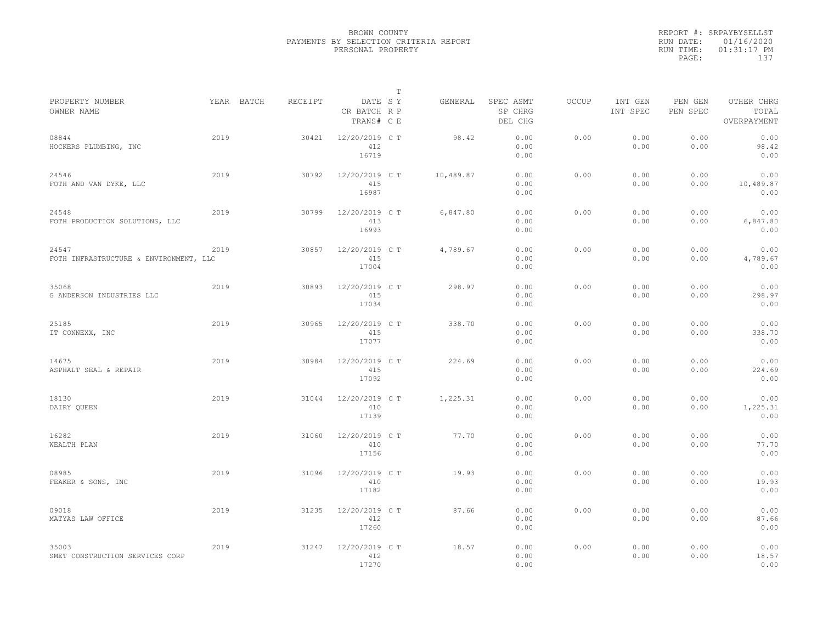|                                                 |      |            |         |                                       | $\mathbb T$ |           |                                 |              |                     |                     |                                    |
|-------------------------------------------------|------|------------|---------|---------------------------------------|-------------|-----------|---------------------------------|--------------|---------------------|---------------------|------------------------------------|
| PROPERTY NUMBER<br>OWNER NAME                   |      | YEAR BATCH | RECEIPT | DATE SY<br>CR BATCH R P<br>TRANS# C E |             | GENERAL   | SPEC ASMT<br>SP CHRG<br>DEL CHG | <b>OCCUP</b> | INT GEN<br>INT SPEC | PEN GEN<br>PEN SPEC | OTHER CHRG<br>TOTAL<br>OVERPAYMENT |
| 08844<br>HOCKERS PLUMBING, INC                  | 2019 |            | 30421   | 12/20/2019 C T<br>412<br>16719        |             | 98.42     | 0.00<br>0.00<br>0.00            | 0.00         | 0.00<br>0.00        | 0.00<br>0.00        | 0.00<br>98.42<br>0.00              |
| 24546<br>FOTH AND VAN DYKE, LLC                 | 2019 |            | 30792   | 12/20/2019 C T<br>415<br>16987        |             | 10,489.87 | 0.00<br>0.00<br>0.00            | 0.00         | 0.00<br>0.00        | 0.00<br>0.00        | 0.00<br>10,489.87<br>0.00          |
| 24548<br>FOTH PRODUCTION SOLUTIONS, LLC         | 2019 |            | 30799   | 12/20/2019 C T<br>413<br>16993        |             | 6,847.80  | 0.00<br>0.00<br>0.00            | 0.00         | 0.00<br>0.00        | 0.00<br>0.00        | 0.00<br>6,847.80<br>0.00           |
| 24547<br>FOTH INFRASTRUCTURE & ENVIRONMENT, LLC | 2019 |            | 30857   | 12/20/2019 C T<br>415<br>17004        |             | 4,789.67  | 0.00<br>0.00<br>0.00            | 0.00         | 0.00<br>0.00        | 0.00<br>0.00        | 0.00<br>4,789.67<br>0.00           |
| 35068<br>G ANDERSON INDUSTRIES LLC              | 2019 |            | 30893   | 12/20/2019 C T<br>415<br>17034        |             | 298.97    | 0.00<br>0.00<br>0.00            | 0.00         | 0.00<br>0.00        | 0.00<br>0.00        | 0.00<br>298.97<br>0.00             |
| 25185<br>IT CONNEXX, INC                        | 2019 |            | 30965   | 12/20/2019 C T<br>415<br>17077        |             | 338.70    | 0.00<br>0.00<br>0.00            | 0.00         | 0.00<br>0.00        | 0.00<br>0.00        | 0.00<br>338.70<br>0.00             |
| 14675<br>ASPHALT SEAL & REPAIR                  | 2019 |            | 30984   | 12/20/2019 C T<br>415<br>17092        |             | 224.69    | 0.00<br>0.00<br>0.00            | 0.00         | 0.00<br>0.00        | 0.00<br>0.00        | 0.00<br>224.69<br>0.00             |
| 18130<br>DAIRY QUEEN                            | 2019 |            | 31044   | 12/20/2019 C T<br>410<br>17139        |             | 1,225.31  | 0.00<br>0.00<br>0.00            | 0.00         | 0.00<br>0.00        | 0.00<br>0.00        | 0.00<br>1,225.31<br>0.00           |
| 16282<br>WEALTH PLAN                            | 2019 |            | 31060   | 12/20/2019 C T<br>410<br>17156        |             | 77.70     | 0.00<br>0.00<br>0.00            | 0.00         | 0.00<br>0.00        | 0.00<br>0.00        | 0.00<br>77.70<br>0.00              |
| 08985<br>FEAKER & SONS, INC                     | 2019 |            | 31096   | 12/20/2019 C T<br>410<br>17182        |             | 19.93     | 0.00<br>0.00<br>0.00            | 0.00         | 0.00<br>0.00        | 0.00<br>0.00        | 0.00<br>19.93<br>0.00              |
| 09018<br>MATYAS LAW OFFICE                      | 2019 |            | 31235   | 12/20/2019 C T<br>412<br>17260        |             | 87.66     | 0.00<br>0.00<br>0.00            | 0.00         | 0.00<br>0.00        | 0.00<br>0.00        | 0.00<br>87.66<br>0.00              |
| 35003<br>SMET CONSTRUCTION SERVICES CORP        | 2019 |            | 31247   | 12/20/2019 C T<br>412<br>17270        |             | 18.57     | 0.00<br>0.00<br>0.00            | 0.00         | 0.00<br>0.00        | 0.00<br>0.00        | 0.00<br>18.57<br>0.00              |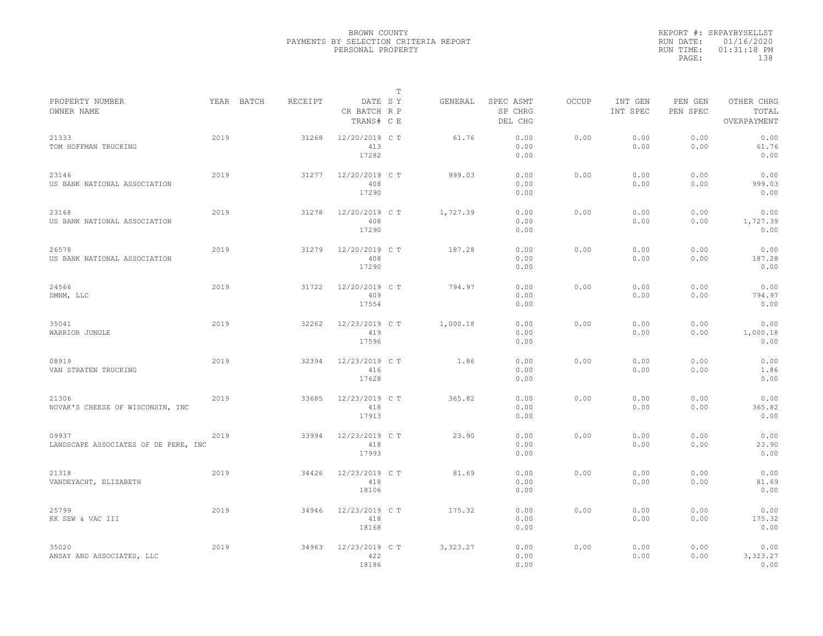|                                               |      |            |         |                                       | $\mathbb T$ |          |                                 |              |                     |                     |                                    |  |
|-----------------------------------------------|------|------------|---------|---------------------------------------|-------------|----------|---------------------------------|--------------|---------------------|---------------------|------------------------------------|--|
| PROPERTY NUMBER<br>OWNER NAME                 |      | YEAR BATCH | RECEIPT | DATE SY<br>CR BATCH R P<br>TRANS# C E |             | GENERAL  | SPEC ASMT<br>SP CHRG<br>DEL CHG | <b>OCCUP</b> | INT GEN<br>INT SPEC | PEN GEN<br>PEN SPEC | OTHER CHRG<br>TOTAL<br>OVERPAYMENT |  |
| 21333<br>TOM HOFFMAN TRUCKING                 | 2019 |            | 31268   | 12/20/2019 C T<br>413<br>17282        |             | 61.76    | 0.00<br>0.00<br>0.00            | 0.00         | 0.00<br>0.00        | 0.00<br>0.00        | 0.00<br>61.76<br>0.00              |  |
| 23146<br>US BANK NATIONAL ASSOCIATION         | 2019 |            | 31277   | 12/20/2019 C T<br>408<br>17290        |             | 999.03   | 0.00<br>0.00<br>0.00            | 0.00         | 0.00<br>0.00        | 0.00<br>0.00        | 0.00<br>999.03<br>0.00             |  |
| 23168<br>US BANK NATIONAL ASSOCIATION         | 2019 |            | 31278   | 12/20/2019 C T<br>408<br>17290        |             | 1,727.39 | 0.00<br>0.00<br>0.00            | 0.00         | 0.00<br>0.00        | 0.00<br>0.00        | 0.00<br>1,727.39<br>0.00           |  |
| 26578<br>US BANK NATIONAL ASSOCIATION         | 2019 |            | 31279   | 12/20/2019 C T<br>408<br>17290        |             | 187.28   | 0.00<br>0.00<br>0.00            | 0.00         | 0.00<br>0.00        | 0.00<br>0.00        | 0.00<br>187.28<br>0.00             |  |
| 24566<br>DMNM, LLC                            | 2019 |            | 31722   | 12/20/2019 C T<br>409<br>17554        |             | 794.97   | 0.00<br>0.00<br>0.00            | 0.00         | 0.00<br>0.00        | 0.00<br>0.00        | 0.00<br>794.97<br>0.00             |  |
| 35041<br>WARRIOR JUNGLE                       | 2019 |            | 32262   | 12/23/2019 C T<br>419<br>17596        |             | 1,000.18 | 0.00<br>0.00<br>0.00            | 0.00         | 0.00<br>0.00        | 0.00<br>0.00        | 0.00<br>1,000.18<br>0.00           |  |
| 08919<br>VAN STRATEN TRUCKING                 | 2019 |            | 32394   | 12/23/2019 C T<br>416<br>17628        |             | 1.86     | 0.00<br>0.00<br>0.00            | 0.00         | 0.00<br>0.00        | 0.00<br>0.00        | 0.00<br>1.86<br>0.00               |  |
| 21306<br>NOVAK'S CHEESE OF WISCONSIN, INC     | 2019 |            | 33685   | 12/23/2019 C T<br>418<br>17913        |             | 365.82   | 0.00<br>0.00<br>0.00            | 0.00         | 0.00<br>0.00        | 0.00<br>0.00        | 0.00<br>365.82<br>0.00             |  |
| 09937<br>LANDSCAPE ASSOCIATES OF DE PERE, INC | 2019 |            | 33994   | 12/23/2019 C T<br>418<br>17993        |             | 23.90    | 0.00<br>0.00<br>0.00            | 0.00         | 0.00<br>0.00        | 0.00<br>0.00        | 0.00<br>23.90<br>0.00              |  |
| 21318<br>VANDEYACHT, ELIZABETH                | 2019 |            | 34426   | 12/23/2019 C T<br>418<br>18106        |             | 81.69    | 0.00<br>0.00<br>0.00            | 0.00         | 0.00<br>0.00        | 0.00<br>0.00        | 0.00<br>81.69<br>0.00              |  |
| 25799<br>KK SEW & VAC III                     | 2019 |            | 34946   | 12/23/2019 C T<br>418<br>18168        |             | 175.32   | 0.00<br>0.00<br>0.00            | 0.00         | 0.00<br>0.00        | 0.00<br>0.00        | 0.00<br>175.32<br>0.00             |  |
| 35020<br>ANSAY AND ASSOCIATES, LLC            | 2019 |            | 34963   | 12/23/2019 C T<br>422<br>18186        |             | 3,323.27 | 0.00<br>0.00<br>0.00            | 0.00         | 0.00<br>0.00        | 0.00<br>0.00        | 0.00<br>3,323.27<br>0.00           |  |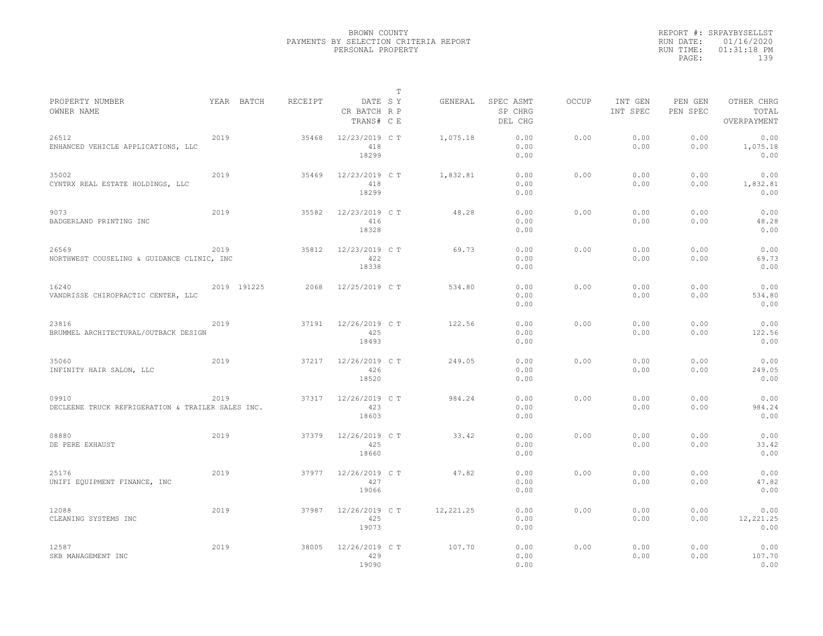|                                                            |      |             |         |                                       | T |           |                                 |              |                     |                     |                                    |
|------------------------------------------------------------|------|-------------|---------|---------------------------------------|---|-----------|---------------------------------|--------------|---------------------|---------------------|------------------------------------|
| PROPERTY NUMBER<br>OWNER NAME                              |      | YEAR BATCH  | RECEIPT | DATE SY<br>CR BATCH R P<br>TRANS# C E |   | GENERAL   | SPEC ASMT<br>SP CHRG<br>DEL CHG | <b>OCCUP</b> | INT GEN<br>INT SPEC | PEN GEN<br>PEN SPEC | OTHER CHRG<br>TOTAL<br>OVERPAYMENT |
| 26512<br>ENHANCED VEHICLE APPLICATIONS, LLC                | 2019 |             | 35468   | 12/23/2019 C T<br>418<br>18299        |   | 1,075.18  | 0.00<br>0.00<br>0.00            | 0.00         | 0.00<br>0.00        | 0.00<br>0.00        | 0.00<br>1,075.18<br>0.00           |
| 35002<br>CYNTRX REAL ESTATE HOLDINGS, LLC                  | 2019 |             | 35469   | 12/23/2019 C T<br>418<br>18299        |   | 1,832.81  | 0.00<br>0.00<br>0.00            | 0.00         | 0.00<br>0.00        | 0.00<br>0.00        | 0.00<br>1,832.81<br>0.00           |
| 9073<br>BADGERLAND PRINTING INC                            | 2019 |             | 35582   | 12/23/2019 C T<br>416<br>18328        |   | 48.28     | 0.00<br>0.00<br>0.00            | 0.00         | 0.00<br>0.00        | 0.00<br>0.00        | 0.00<br>48.28<br>0.00              |
| 26569<br>NORTHWEST COUSELING & GUIDANCE CLINIC, INC        | 2019 |             | 35812   | 12/23/2019 C T<br>422<br>18338        |   | 69.73     | 0.00<br>0.00<br>0.00            | 0.00         | 0.00<br>0.00        | 0.00<br>0.00        | 0.00<br>69.73<br>0.00              |
| 16240<br>VANDRISSE CHIROPRACTIC CENTER, LLC                |      | 2019 191225 | 2068    | 12/25/2019 C T                        |   | 534.80    | 0.00<br>0.00<br>0.00            | 0.00         | 0.00<br>0.00        | 0.00<br>0.00        | 0.00<br>534.80<br>0.00             |
| 23816<br>BRUMMEL ARCHITECTURAL/OUTBACK DESIGN              | 2019 |             | 37191   | $12/26/2019$ CT<br>425<br>18493       |   | 122.56    | 0.00<br>0.00<br>0.00            | 0.00         | 0.00<br>0.00        | 0.00<br>0.00        | 0.00<br>122.56<br>0.00             |
| 35060<br>INFINITY HAIR SALON, LLC                          | 2019 |             | 37217   | 12/26/2019 C T<br>426<br>18520        |   | 249.05    | 0.00<br>0.00<br>0.00            | 0.00         | 0.00<br>0.00        | 0.00<br>0.00        | 0.00<br>249.05<br>0.00             |
| 09910<br>DECLEENE TRUCK REFRIGERATION & TRAILER SALES INC. | 2019 |             | 37317   | 12/26/2019 C T<br>423<br>18603        |   | 984.24    | 0.00<br>0.00<br>0.00            | 0.00         | 0.00<br>0.00        | 0.00<br>0.00        | 0.00<br>984.24<br>0.00             |
| 08880<br>DE PERE EXHAUST                                   | 2019 |             | 37379   | 12/26/2019 C T<br>425<br>18660        |   | 33.42     | 0.00<br>0.00<br>0.00            | 0.00         | 0.00<br>0.00        | 0.00<br>0.00        | 0.00<br>33.42<br>0.00              |
| 25176<br>UNIFI EQUIPMENT FINANCE, INC                      | 2019 |             | 37977   | 12/26/2019 C T<br>427<br>19066        |   | 47.82     | 0.00<br>0.00<br>0.00            | 0.00         | 0.00<br>0.00        | 0.00<br>0.00        | 0.00<br>47.82<br>0.00              |
| 12088<br>CLEANING SYSTEMS INC                              | 2019 |             | 37987   | 12/26/2019 C T<br>425<br>19073        |   | 12,221.25 | 0.00<br>0.00<br>0.00            | 0.00         | 0.00<br>0.00        | 0.00<br>0.00        | 0.00<br>12,221.25<br>0.00          |
| 12587<br>SKB MANAGEMENT INC                                | 2019 |             | 38005   | 12/26/2019 C T<br>429<br>19090        |   | 107.70    | 0.00<br>0.00<br>0.00            | 0.00         | 0.00<br>0.00        | 0.00<br>0.00        | 0.00<br>107.70<br>0.00             |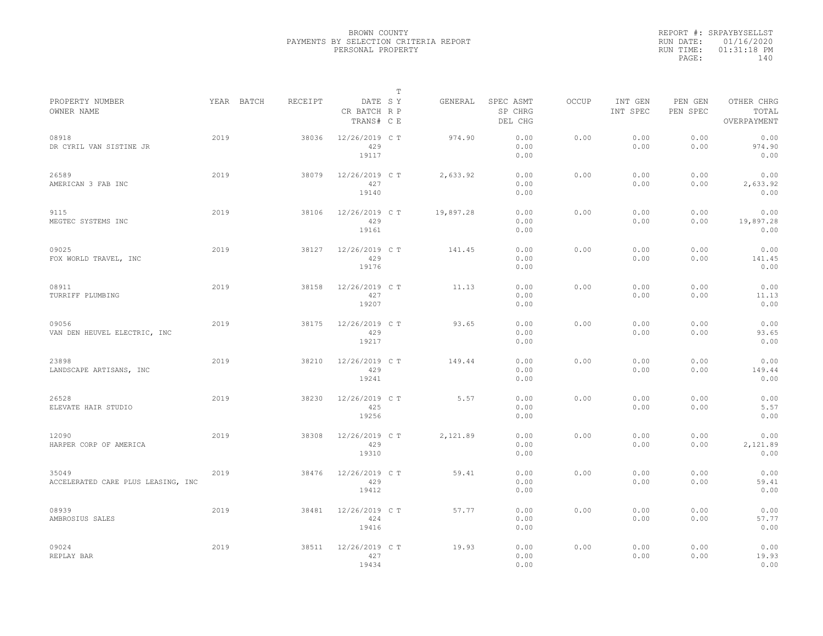|           | REPORT #: SRPAYBYSELLST |  |
|-----------|-------------------------|--|
|           | RUN DATE: 01/16/2020    |  |
| RUN TIME: | $01:31:18$ PM           |  |
| PAGE:     | 140                     |  |
|           |                         |  |

|                                             |      |            |         |                                       | $\mathbb T$ |           |                                 |              |                     |                     |                                    |
|---------------------------------------------|------|------------|---------|---------------------------------------|-------------|-----------|---------------------------------|--------------|---------------------|---------------------|------------------------------------|
| PROPERTY NUMBER<br>OWNER NAME               |      | YEAR BATCH | RECEIPT | DATE SY<br>CR BATCH R P<br>TRANS# C E |             | GENERAL   | SPEC ASMT<br>SP CHRG<br>DEL CHG | <b>OCCUP</b> | INT GEN<br>INT SPEC | PEN GEN<br>PEN SPEC | OTHER CHRG<br>TOTAL<br>OVERPAYMENT |
| 08918<br>DR CYRIL VAN SISTINE JR            | 2019 |            | 38036   | 12/26/2019 C T<br>429<br>19117        |             | 974.90    | 0.00<br>0.00<br>0.00            | 0.00         | 0.00<br>0.00        | 0.00<br>0.00        | 0.00<br>974.90<br>0.00             |
| 26589<br>AMERICAN 3 FAB INC                 | 2019 |            | 38079   | 12/26/2019 C T<br>427<br>19140        |             | 2,633.92  | 0.00<br>0.00<br>0.00            | 0.00         | 0.00<br>0.00        | 0.00<br>0.00        | 0.00<br>2,633.92<br>0.00           |
| 9115<br>MEGTEC SYSTEMS INC                  | 2019 |            | 38106   | 12/26/2019 C T<br>429<br>19161        |             | 19,897.28 | 0.00<br>0.00<br>0.00            | 0.00         | 0.00<br>0.00        | 0.00<br>0.00        | 0.00<br>19,897.28<br>0.00          |
| 09025<br>FOX WORLD TRAVEL, INC              | 2019 |            | 38127   | 12/26/2019 C T<br>429<br>19176        |             | 141.45    | 0.00<br>0.00<br>0.00            | 0.00         | 0.00<br>0.00        | 0.00<br>0.00        | 0.00<br>141.45<br>0.00             |
| 08911<br>TURRIFF PLUMBING                   | 2019 |            | 38158   | 12/26/2019 C T<br>427<br>19207        |             | 11.13     | 0.00<br>0.00<br>0.00            | 0.00         | 0.00<br>0.00        | 0.00<br>0.00        | 0.00<br>11.13<br>0.00              |
| 09056<br>VAN DEN HEUVEL ELECTRIC, INC       | 2019 |            | 38175   | 12/26/2019 C T<br>429<br>19217        |             | 93.65     | 0.00<br>0.00<br>0.00            | 0.00         | 0.00<br>0.00        | 0.00<br>0.00        | 0.00<br>93.65<br>0.00              |
| 23898<br>LANDSCAPE ARTISANS, INC            | 2019 |            | 38210   | 12/26/2019 C T<br>429<br>19241        |             | 149.44    | 0.00<br>0.00<br>0.00            | 0.00         | 0.00<br>0.00        | 0.00<br>0.00        | 0.00<br>149.44<br>0.00             |
| 26528<br>ELEVATE HAIR STUDIO                | 2019 |            | 38230   | 12/26/2019 C T<br>425<br>19256        |             | 5.57      | 0.00<br>0.00<br>0.00            | 0.00         | 0.00<br>0.00        | 0.00<br>0.00        | 0.00<br>5.57<br>0.00               |
| 12090<br>HARPER CORP OF AMERICA             | 2019 |            | 38308   | 12/26/2019 C T<br>429<br>19310        |             | 2,121.89  | 0.00<br>0.00<br>0.00            | 0.00         | 0.00<br>0.00        | 0.00<br>0.00        | 0.00<br>2,121.89<br>0.00           |
| 35049<br>ACCELERATED CARE PLUS LEASING, INC | 2019 |            | 38476   | 12/26/2019 C T<br>429<br>19412        |             | 59.41     | 0.00<br>0.00<br>0.00            | 0.00         | 0.00<br>0.00        | 0.00<br>0.00        | 0.00<br>59.41<br>0.00              |
| 08939<br>AMBROSIUS SALES                    | 2019 |            | 38481   | 12/26/2019 C T<br>424<br>19416        |             | 57.77     | 0.00<br>0.00<br>0.00            | 0.00         | 0.00<br>0.00        | 0.00<br>0.00        | 0.00<br>57.77<br>0.00              |
| 09024<br>REPLAY BAR                         | 2019 |            | 38511   | 12/26/2019 C T<br>427<br>19434        |             | 19.93     | 0.00<br>0.00<br>0.00            | 0.00         | 0.00<br>0.00        | 0.00<br>0.00        | 0.00<br>19.93<br>0.00              |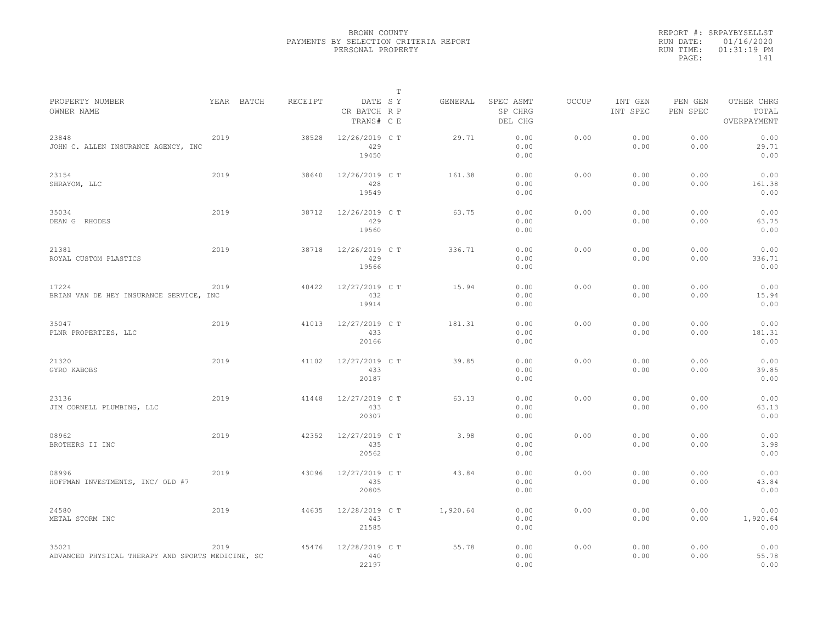|                                                            |      |            |         |                                       | Т |          |                                 |              |                     |                     |                                    |
|------------------------------------------------------------|------|------------|---------|---------------------------------------|---|----------|---------------------------------|--------------|---------------------|---------------------|------------------------------------|
| PROPERTY NUMBER<br>OWNER NAME                              |      | YEAR BATCH | RECEIPT | DATE SY<br>CR BATCH R P<br>TRANS# C E |   | GENERAL  | SPEC ASMT<br>SP CHRG<br>DEL CHG | <b>OCCUP</b> | INT GEN<br>INT SPEC | PEN GEN<br>PEN SPEC | OTHER CHRG<br>TOTAL<br>OVERPAYMENT |
| 23848<br>JOHN C. ALLEN INSURANCE AGENCY, INC               | 2019 |            | 38528   | 12/26/2019 C T<br>429<br>19450        |   | 29.71    | 0.00<br>0.00<br>0.00            | 0.00         | 0.00<br>0.00        | 0.00<br>0.00        | 0.00<br>29.71<br>0.00              |
| 23154<br>SHRAYOM, LLC                                      | 2019 |            | 38640   | 12/26/2019 C T<br>428<br>19549        |   | 161.38   | 0.00<br>0.00<br>0.00            | 0.00         | 0.00<br>0.00        | 0.00<br>0.00        | 0.00<br>161.38<br>0.00             |
| 35034<br>DEAN G RHODES                                     | 2019 |            | 38712   | 12/26/2019 C T<br>429<br>19560        |   | 63.75    | 0.00<br>0.00<br>0.00            | 0.00         | 0.00<br>0.00        | 0.00<br>0.00        | 0.00<br>63.75<br>0.00              |
| 21381<br>ROYAL CUSTOM PLASTICS                             | 2019 |            | 38718   | 12/26/2019 C T<br>429<br>19566        |   | 336.71   | 0.00<br>0.00<br>0.00            | 0.00         | 0.00<br>0.00        | 0.00<br>0.00        | 0.00<br>336.71<br>0.00             |
| 17224<br>BRIAN VAN DE HEY INSURANCE SERVICE, INC           | 2019 |            | 40422   | 12/27/2019 C T<br>432<br>19914        |   | 15.94    | 0.00<br>0.00<br>0.00            | 0.00         | 0.00<br>0.00        | 0.00<br>0.00        | 0.00<br>15.94<br>0.00              |
| 35047<br>PLNR PROPERTIES, LLC                              | 2019 |            | 41013   | 12/27/2019 C T<br>433<br>20166        |   | 181.31   | 0.00<br>0.00<br>0.00            | 0.00         | 0.00<br>0.00        | 0.00<br>0.00        | 0.00<br>181.31<br>0.00             |
| 21320<br>GYRO KABOBS                                       | 2019 |            | 41102   | 12/27/2019 C T<br>433<br>20187        |   | 39.85    | 0.00<br>0.00<br>0.00            | 0.00         | 0.00<br>0.00        | 0.00<br>0.00        | 0.00<br>39.85<br>0.00              |
| 23136<br>JIM CORNELL PLUMBING, LLC                         | 2019 |            | 41448   | 12/27/2019 C T<br>433<br>20307        |   | 63.13    | 0.00<br>0.00<br>0.00            | 0.00         | 0.00<br>0.00        | 0.00<br>0.00        | 0.00<br>63.13<br>0.00              |
| 08962<br>BROTHERS II INC                                   | 2019 |            | 42352   | 12/27/2019 C T<br>435<br>20562        |   | 3.98     | 0.00<br>0.00<br>0.00            | 0.00         | 0.00<br>0.00        | 0.00<br>0.00        | 0.00<br>3.98<br>0.00               |
| 08996<br>HOFFMAN INVESTMENTS, INC/ OLD #7                  | 2019 |            | 43096   | 12/27/2019 C T<br>435<br>20805        |   | 43.84    | 0.00<br>0.00<br>0.00            | 0.00         | 0.00<br>0.00        | 0.00<br>0.00        | 0.00<br>43.84<br>0.00              |
| 24580<br>METAL STORM INC                                   | 2019 |            | 44635   | 12/28/2019 C T<br>443<br>21585        |   | 1,920.64 | 0.00<br>0.00<br>0.00            | 0.00         | 0.00<br>0.00        | 0.00<br>0.00        | 0.00<br>1,920.64<br>0.00           |
| 35021<br>ADVANCED PHYSICAL THERAPY AND SPORTS MEDICINE, SC | 2019 |            | 45476   | 12/28/2019 C T<br>440<br>22197        |   | 55.78    | 0.00<br>0.00<br>0.00            | 0.00         | 0.00<br>0.00        | 0.00<br>0.00        | 0.00<br>55.78<br>0.00              |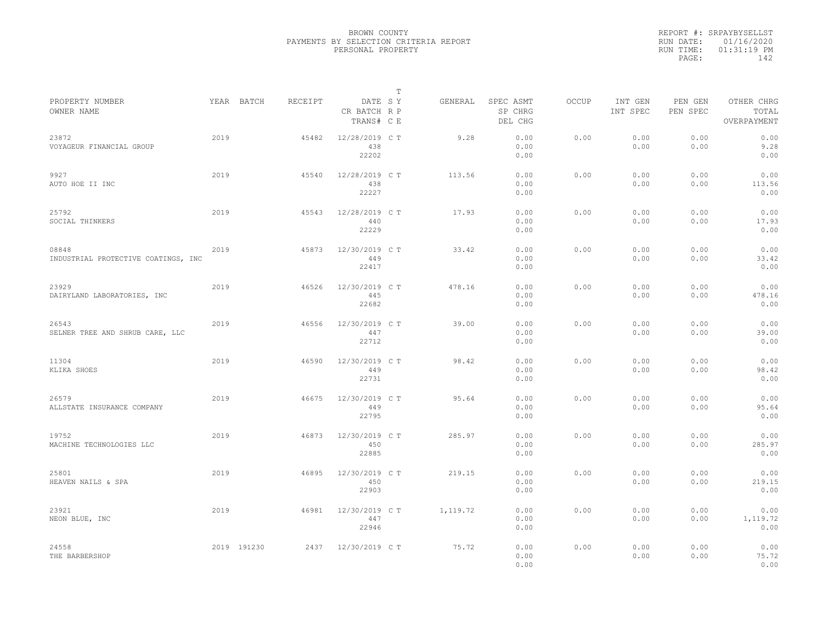|           | REPORT #: SRPAYBYSELLST |  |
|-----------|-------------------------|--|
|           | RUN DATE: 01/16/2020    |  |
| RUN TIME: | $01:31:19$ PM           |  |
| PAGE:     | 142                     |  |
|           |                         |  |

|                                              |      |             |         |                                       | Т |          |                                 |       |                     |                     |                                    |
|----------------------------------------------|------|-------------|---------|---------------------------------------|---|----------|---------------------------------|-------|---------------------|---------------------|------------------------------------|
| PROPERTY NUMBER<br>OWNER NAME                |      | YEAR BATCH  | RECEIPT | DATE SY<br>CR BATCH R P<br>TRANS# C E |   | GENERAL  | SPEC ASMT<br>SP CHRG<br>DEL CHG | OCCUP | INT GEN<br>INT SPEC | PEN GEN<br>PEN SPEC | OTHER CHRG<br>TOTAL<br>OVERPAYMENT |
| 23872<br>VOYAGEUR FINANCIAL GROUP            | 2019 |             | 45482   | 12/28/2019 C T<br>438<br>22202        |   | 9.28     | 0.00<br>0.00<br>0.00            | 0.00  | 0.00<br>0.00        | 0.00<br>0.00        | 0.00<br>9.28<br>0.00               |
| 9927<br>AUTO HOE II INC                      | 2019 |             | 45540   | 12/28/2019 C T<br>438<br>22227        |   | 113.56   | 0.00<br>0.00<br>0.00            | 0.00  | 0.00<br>0.00        | 0.00<br>0.00        | 0.00<br>113.56<br>0.00             |
| 25792<br>SOCIAL THINKERS                     | 2019 |             | 45543   | 12/28/2019 C T<br>440<br>22229        |   | 17.93    | 0.00<br>0.00<br>0.00            | 0.00  | 0.00<br>0.00        | 0.00<br>0.00        | 0.00<br>17.93<br>0.00              |
| 08848<br>INDUSTRIAL PROTECTIVE COATINGS, INC | 2019 |             | 45873   | 12/30/2019 C T<br>449<br>22417        |   | 33.42    | 0.00<br>0.00<br>0.00            | 0.00  | 0.00<br>0.00        | 0.00<br>0.00        | 0.00<br>33.42<br>0.00              |
| 23929<br>DAIRYLAND LABORATORIES, INC         | 2019 |             | 46526   | 12/30/2019 C T<br>445<br>22682        |   | 478.16   | 0.00<br>0.00<br>0.00            | 0.00  | 0.00<br>0.00        | 0.00<br>0.00        | 0.00<br>478.16<br>0.00             |
| 26543<br>SELNER TREE AND SHRUB CARE, LLC     | 2019 |             | 46556   | 12/30/2019 C T<br>447<br>22712        |   | 39.00    | 0.00<br>0.00<br>0.00            | 0.00  | 0.00<br>0.00        | 0.00<br>0.00        | 0.00<br>39.00<br>0.00              |
| 11304<br>KLIKA SHOES                         | 2019 |             | 46590   | 12/30/2019 C T<br>449<br>22731        |   | 98.42    | 0.00<br>0.00<br>0.00            | 0.00  | 0.00<br>0.00        | 0.00<br>0.00        | 0.00<br>98.42<br>0.00              |
| 26579<br>ALLSTATE INSURANCE COMPANY          | 2019 |             | 46675   | 12/30/2019 C T<br>449<br>22795        |   | 95.64    | 0.00<br>0.00<br>0.00            | 0.00  | 0.00<br>0.00        | 0.00<br>0.00        | 0.00<br>95.64<br>0.00              |
| 19752<br>MACHINE TECHNOLOGIES LLC            | 2019 |             | 46873   | 12/30/2019 C T<br>450<br>22885        |   | 285.97   | 0.00<br>0.00<br>0.00            | 0.00  | 0.00<br>0.00        | 0.00<br>0.00        | 0.00<br>285.97<br>0.00             |
| 25801<br>HEAVEN NAILS & SPA                  | 2019 |             | 46895   | 12/30/2019 C T<br>450<br>22903        |   | 219.15   | 0.00<br>0.00<br>0.00            | 0.00  | 0.00<br>0.00        | 0.00<br>0.00        | 0.00<br>219.15<br>0.00             |
| 23921<br>NEON BLUE, INC                      | 2019 |             | 46981   | 12/30/2019 C T<br>447<br>22946        |   | 1,119.72 | 0.00<br>0.00<br>0.00            | 0.00  | 0.00<br>0.00        | 0.00<br>0.00        | 0.00<br>1,119.72<br>0.00           |
| 24558<br>THE BARBERSHOP                      |      | 2019 191230 | 2437    | 12/30/2019 C T                        |   | 75.72    | 0.00<br>0.00<br>0.00            | 0.00  | 0.00<br>0.00        | 0.00<br>0.00        | 0.00<br>75.72<br>0.00              |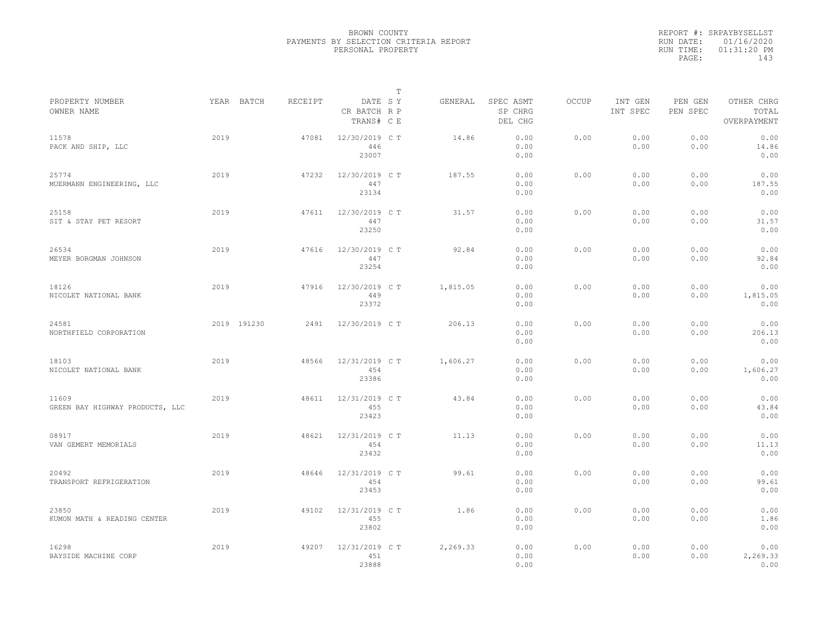|                                          |      |             |         |                                       | $\mathbb{T}$ |          |                                 |              |                     |                     |                                    |  |
|------------------------------------------|------|-------------|---------|---------------------------------------|--------------|----------|---------------------------------|--------------|---------------------|---------------------|------------------------------------|--|
| PROPERTY NUMBER<br>OWNER NAME            |      | YEAR BATCH  | RECEIPT | DATE SY<br>CR BATCH R P<br>TRANS# C E |              | GENERAL  | SPEC ASMT<br>SP CHRG<br>DEL CHG | <b>OCCUP</b> | INT GEN<br>INT SPEC | PEN GEN<br>PEN SPEC | OTHER CHRG<br>TOTAL<br>OVERPAYMENT |  |
| 11578<br>PACK AND SHIP, LLC              | 2019 |             | 47081   | 12/30/2019 C T<br>446<br>23007        |              | 14.86    | 0.00<br>0.00<br>0.00            | 0.00         | 0.00<br>0.00        | 0.00<br>0.00        | 0.00<br>14.86<br>0.00              |  |
| 25774<br>MUERMANN ENGINEERING, LLC       | 2019 |             | 47232   | 12/30/2019 C T<br>447<br>23134        |              | 187.55   | 0.00<br>0.00<br>0.00            | 0.00         | 0.00<br>0.00        | 0.00<br>0.00        | 0.00<br>187.55<br>0.00             |  |
| 25158<br>SIT & STAY PET RESORT           | 2019 |             | 47611   | 12/30/2019 C T<br>447<br>23250        |              | 31.57    | 0.00<br>0.00<br>0.00            | 0.00         | 0.00<br>0.00        | 0.00<br>0.00        | 0.00<br>31.57<br>0.00              |  |
| 26534<br>MEYER BORGMAN JOHNSON           | 2019 |             | 47616   | 12/30/2019 C T<br>447<br>23254        |              | 92.84    | 0.00<br>0.00<br>0.00            | 0.00         | 0.00<br>0.00        | 0.00<br>0.00        | 0.00<br>92.84<br>0.00              |  |
| 18126<br>NICOLET NATIONAL BANK           | 2019 |             | 47916   | 12/30/2019 C T<br>449<br>23372        |              | 1,815.05 | 0.00<br>0.00<br>0.00            | 0.00         | 0.00<br>0.00        | 0.00<br>0.00        | 0.00<br>1,815.05<br>0.00           |  |
| 24581<br>NORTHFIELD CORPORATION          |      | 2019 191230 | 2491    | 12/30/2019 C T                        |              | 206.13   | 0.00<br>0.00<br>0.00            | 0.00         | 0.00<br>0.00        | 0.00<br>0.00        | 0.00<br>206.13<br>0.00             |  |
| 18103<br>NICOLET NATIONAL BANK           | 2019 |             | 48566   | 12/31/2019 C T<br>454<br>23386        |              | 1,606.27 | 0.00<br>0.00<br>0.00            | 0.00         | 0.00<br>0.00        | 0.00<br>0.00        | 0.00<br>1,606.27<br>0.00           |  |
| 11609<br>GREEN BAY HIGHWAY PRODUCTS, LLC | 2019 |             | 48611   | 12/31/2019 C T<br>455<br>23423        |              | 43.84    | 0.00<br>0.00<br>0.00            | 0.00         | 0.00<br>0.00        | 0.00<br>0.00        | 0.00<br>43.84<br>0.00              |  |
| 08917<br>VAN GEMERT MEMORIALS            | 2019 |             | 48621   | 12/31/2019 C T<br>454<br>23432        |              | 11.13    | 0.00<br>0.00<br>0.00            | 0.00         | 0.00<br>0.00        | 0.00<br>0.00        | 0.00<br>11.13<br>0.00              |  |
| 20492<br>TRANSPORT REFRIGERATION         | 2019 |             | 48646   | 12/31/2019 C T<br>454<br>23453        |              | 99.61    | 0.00<br>0.00<br>0.00            | 0.00         | 0.00<br>0.00        | 0.00<br>0.00        | 0.00<br>99.61<br>0.00              |  |
| 23850<br>KUMON MATH & READING CENTER     | 2019 |             | 49102   | 12/31/2019 C T<br>455<br>23802        |              | 1.86     | 0.00<br>0.00<br>0.00            | 0.00         | 0.00<br>0.00        | 0.00<br>0.00        | 0.00<br>1.86<br>0.00               |  |
| 16298<br>BAYSIDE MACHINE CORP            | 2019 |             | 49207   | 12/31/2019 C T<br>451<br>23888        |              | 2,269.33 | 0.00<br>0.00<br>0.00            | 0.00         | 0.00<br>0.00        | 0.00<br>0.00        | 0.00<br>2,269.33<br>0.00           |  |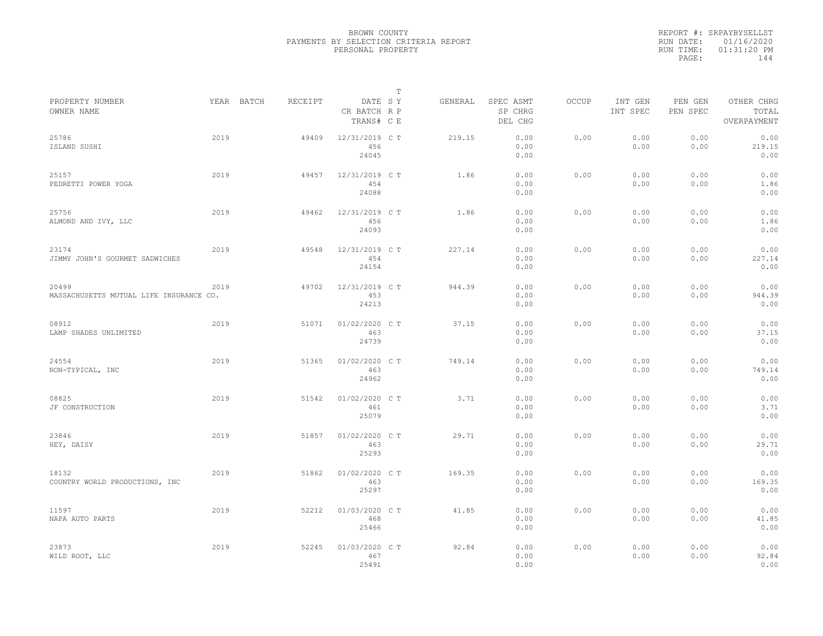|                                                  |      |            |         |                                       | $\mathbb T$ |         |                                 |              |                     |                     |                                    |
|--------------------------------------------------|------|------------|---------|---------------------------------------|-------------|---------|---------------------------------|--------------|---------------------|---------------------|------------------------------------|
| PROPERTY NUMBER<br>OWNER NAME                    |      | YEAR BATCH | RECEIPT | DATE SY<br>CR BATCH R P<br>TRANS# C E |             | GENERAL | SPEC ASMT<br>SP CHRG<br>DEL CHG | <b>OCCUP</b> | INT GEN<br>INT SPEC | PEN GEN<br>PEN SPEC | OTHER CHRG<br>TOTAL<br>OVERPAYMENT |
| 25786<br>ISLAND SUSHI                            | 2019 |            | 49409   | 12/31/2019 C T<br>456<br>24045        |             | 219.15  | 0.00<br>0.00<br>0.00            | 0.00         | 0.00<br>0.00        | 0.00<br>0.00        | 0.00<br>219.15<br>0.00             |
| 25157<br>PEDRETTI POWER YOGA                     | 2019 |            | 49457   | 12/31/2019 C T<br>454<br>24088        |             | 1.86    | 0.00<br>0.00<br>0.00            | 0.00         | 0.00<br>0.00        | 0.00<br>0.00        | 0.00<br>1.86<br>0.00               |
| 25756<br>ALMOND AND IVY, LLC                     | 2019 |            | 49462   | 12/31/2019 C T<br>456<br>24093        |             | 1.86    | 0.00<br>0.00<br>0.00            | 0.00         | 0.00<br>0.00        | 0.00<br>0.00        | 0.00<br>1.86<br>0.00               |
| 23174<br>JIMMY JOHN'S GOURMET SADWICHES          | 2019 |            | 49548   | 12/31/2019 C T<br>454<br>24154        |             | 227.14  | 0.00<br>0.00<br>0.00            | 0.00         | 0.00<br>0.00        | 0.00<br>0.00        | 0.00<br>227.14<br>0.00             |
| 20499<br>MASSACHUSETTS MUTUAL LIFE INSURANCE CO. | 2019 |            | 49702   | 12/31/2019 C T<br>453<br>24213        |             | 944.39  | 0.00<br>0.00<br>0.00            | 0.00         | 0.00<br>0.00        | 0.00<br>0.00        | 0.00<br>944.39<br>0.00             |
| 08912<br>LAMP SHADES UNLIMITED                   | 2019 |            | 51071   | 01/02/2020 C T<br>463<br>24739        |             | 37.15   | 0.00<br>0.00<br>0.00            | 0.00         | 0.00<br>0.00        | 0.00<br>0.00        | 0.00<br>37.15<br>0.00              |
| 24554<br>NON-TYPICAL, INC                        | 2019 |            | 51365   | 01/02/2020 C T<br>463<br>24962        |             | 749.14  | 0.00<br>0.00<br>0.00            | 0.00         | 0.00<br>0.00        | 0.00<br>0.00        | 0.00<br>749.14<br>0.00             |
| 08825<br>JF CONSTRUCTION                         | 2019 |            | 51542   | 01/02/2020 C T<br>461<br>25079        |             | 3.71    | 0.00<br>0.00<br>0.00            | 0.00         | 0.00<br>0.00        | 0.00<br>0.00        | 0.00<br>3.71<br>0.00               |
| 23846<br>HEY, DAISY                              | 2019 |            | 51857   | 01/02/2020 C T<br>463<br>25293        |             | 29.71   | 0.00<br>0.00<br>0.00            | 0.00         | 0.00<br>0.00        | 0.00<br>0.00        | 0.00<br>29.71<br>0.00              |
| 18132<br>COUNTRY WORLD PRODUCTIONS, INC          | 2019 |            | 51862   | 01/02/2020 C T<br>463<br>25297        |             | 169.35  | 0.00<br>0.00<br>0.00            | 0.00         | 0.00<br>0.00        | 0.00<br>0.00        | 0.00<br>169.35<br>0.00             |
| 11597<br>NAPA AUTO PARTS                         | 2019 |            | 52212   | 01/03/2020 C T<br>468<br>25466        |             | 41.85   | 0.00<br>0.00<br>0.00            | 0.00         | 0.00<br>0.00        | 0.00<br>0.00        | 0.00<br>41.85<br>0.00              |
| 23873<br>WILD ROOT, LLC                          | 2019 |            | 52245   | 01/03/2020 CT<br>467<br>25491         |             | 92.84   | 0.00<br>0.00<br>0.00            | 0.00         | 0.00<br>0.00        | 0.00<br>0.00        | 0.00<br>92.84<br>0.00              |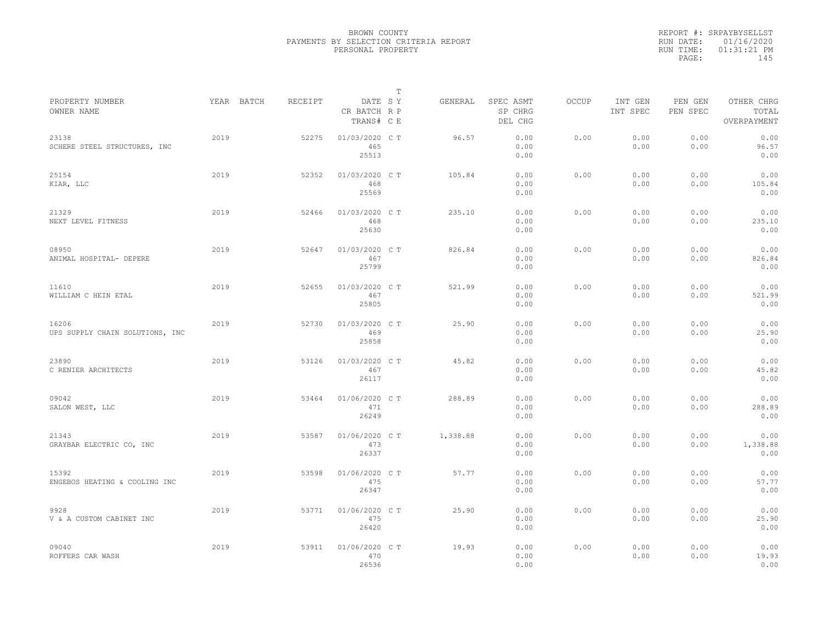|                                          |      |            |         |                                       | $\mathbb{T}$ |          |                                 |              |                     |                     |                                    |  |
|------------------------------------------|------|------------|---------|---------------------------------------|--------------|----------|---------------------------------|--------------|---------------------|---------------------|------------------------------------|--|
| PROPERTY NUMBER<br>OWNER NAME            |      | YEAR BATCH | RECEIPT | DATE SY<br>CR BATCH R P<br>TRANS# C E |              | GENERAL  | SPEC ASMT<br>SP CHRG<br>DEL CHG | <b>OCCUP</b> | INT GEN<br>INT SPEC | PEN GEN<br>PEN SPEC | OTHER CHRG<br>TOTAL<br>OVERPAYMENT |  |
| 23138<br>SCHERE STEEL STRUCTURES, INC    | 2019 |            | 52275   | 01/03/2020 C T<br>465<br>25513        |              | 96.57    | 0.00<br>0.00<br>0.00            | 0.00         | 0.00<br>0.00        | 0.00<br>0.00        | 0.00<br>96.57<br>0.00              |  |
| 25154<br>KIAR, LLC                       | 2019 |            | 52352   | 01/03/2020 C T<br>468<br>25569        |              | 105.84   | 0.00<br>0.00<br>0.00            | 0.00         | 0.00<br>0.00        | 0.00<br>0.00        | 0.00<br>105.84<br>0.00             |  |
| 21329<br>NEXT LEVEL FITNESS              | 2019 |            | 52466   | 01/03/2020 C T<br>468<br>25630        |              | 235.10   | 0.00<br>0.00<br>0.00            | 0.00         | 0.00<br>0.00        | 0.00<br>0.00        | 0.00<br>235.10<br>0.00             |  |
| 08950<br>ANIMAL HOSPITAL- DEPERE         | 2019 |            | 52647   | 01/03/2020 C T<br>467<br>25799        |              | 826.84   | 0.00<br>0.00<br>0.00            | 0.00         | 0.00<br>0.00        | 0.00<br>0.00        | 0.00<br>826.84<br>0.00             |  |
| 11610<br>WILLIAM C HEIN ETAL             | 2019 |            | 52655   | 01/03/2020 C T<br>467<br>25805        |              | 521.99   | 0.00<br>0.00<br>0.00            | 0.00         | 0.00<br>0.00        | 0.00<br>0.00        | 0.00<br>521.99<br>0.00             |  |
| 16206<br>UPS SUPPLY CHAIN SOLUTIONS, INC | 2019 |            | 52730   | 01/03/2020 C T<br>469<br>25858        |              | 25.90    | 0.00<br>0.00<br>0.00            | 0.00         | 0.00<br>0.00        | 0.00<br>0.00        | 0.00<br>25.90<br>0.00              |  |
| 23890<br>C RENIER ARCHITECTS             | 2019 |            | 53126   | 01/03/2020 C T<br>467<br>26117        |              | 45.82    | 0.00<br>0.00<br>0.00            | 0.00         | 0.00<br>0.00        | 0.00<br>0.00        | 0.00<br>45.82<br>0.00              |  |
| 09042<br>SALON WEST, LLC                 | 2019 |            | 53464   | 01/06/2020 C T<br>471<br>26249        |              | 288.89   | 0.00<br>0.00<br>0.00            | 0.00         | 0.00<br>0.00        | 0.00<br>0.00        | 0.00<br>288.89<br>0.00             |  |
| 21343<br>GRAYBAR ELECTRIC CO, INC        | 2019 |            | 53587   | 01/06/2020 C T<br>473<br>26337        |              | 1,338.88 | 0.00<br>0.00<br>0.00            | 0.00         | 0.00<br>0.00        | 0.00<br>0.00        | 0.00<br>1,338.88<br>0.00           |  |
| 15392<br>ENGEBOS HEATING & COOLING INC   | 2019 |            | 53598   | 01/06/2020 C T<br>475<br>26347        |              | 57.77    | 0.00<br>0.00<br>0.00            | 0.00         | 0.00<br>0.00        | 0.00<br>0.00        | 0.00<br>57.77<br>0.00              |  |
| 9928<br>V & A CUSTOM CABINET INC         | 2019 |            | 53771   | 01/06/2020 C T<br>475<br>26420        |              | 25.90    | 0.00<br>0.00<br>0.00            | 0.00         | 0.00<br>0.00        | 0.00<br>0.00        | 0.00<br>25.90<br>0.00              |  |
| 09040<br>ROFFERS CAR WASH                | 2019 |            | 53911   | 01/06/2020 C T<br>470<br>26536        |              | 19.93    | 0.00<br>0.00<br>0.00            | 0.00         | 0.00<br>0.00        | 0.00<br>0.00        | 0.00<br>19.93<br>0.00              |  |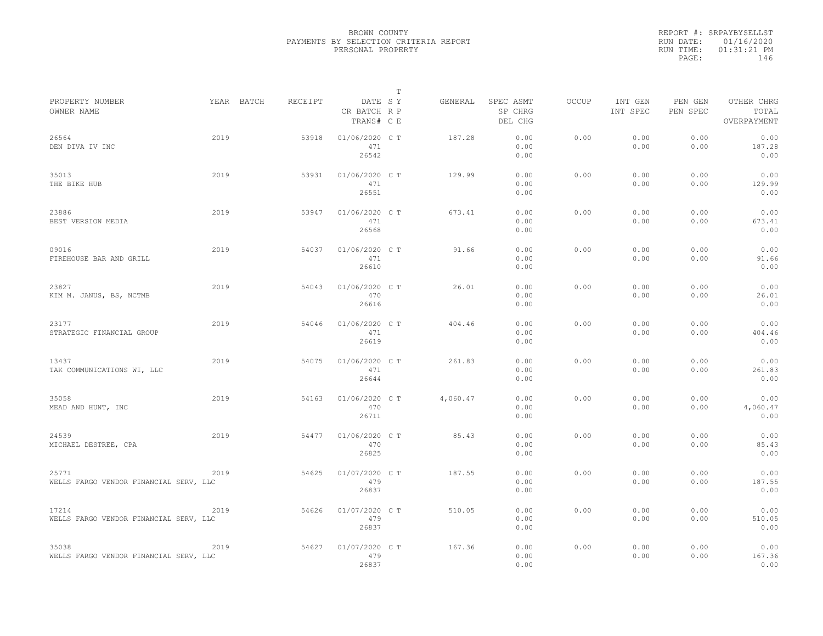|           | REPORT #: SRPAYBYSELLST |
|-----------|-------------------------|
|           | RUN DATE: 01/16/2020    |
| RUN TIME: | $01:31:21$ PM           |
| PAGE:     | 146                     |
|           |                         |

|                                                 |      |            |         |                                       | Т |          |                                 |       |                     |                     |                                    |  |
|-------------------------------------------------|------|------------|---------|---------------------------------------|---|----------|---------------------------------|-------|---------------------|---------------------|------------------------------------|--|
| PROPERTY NUMBER<br>OWNER NAME                   |      | YEAR BATCH | RECEIPT | DATE SY<br>CR BATCH R P<br>TRANS# C E |   | GENERAL  | SPEC ASMT<br>SP CHRG<br>DEL CHG | OCCUP | INT GEN<br>INT SPEC | PEN GEN<br>PEN SPEC | OTHER CHRG<br>TOTAL<br>OVERPAYMENT |  |
| 26564<br>DEN DIVA IV INC                        | 2019 |            | 53918   | 01/06/2020 C T<br>471<br>26542        |   | 187.28   | 0.00<br>0.00<br>0.00            | 0.00  | 0.00<br>0.00        | 0.00<br>0.00        | 0.00<br>187.28<br>0.00             |  |
| 35013<br>THE BIKE HUB                           | 2019 |            | 53931   | 01/06/2020 CT<br>471<br>26551         |   | 129.99   | 0.00<br>0.00<br>0.00            | 0.00  | 0.00<br>0.00        | 0.00<br>0.00        | 0.00<br>129.99<br>0.00             |  |
| 23886<br>BEST VERSION MEDIA                     | 2019 |            | 53947   | 01/06/2020 CT<br>471<br>26568         |   | 673.41   | 0.00<br>0.00<br>0.00            | 0.00  | 0.00<br>0.00        | 0.00<br>0.00        | 0.00<br>673.41<br>0.00             |  |
| 09016<br>FIREHOUSE BAR AND GRILL                | 2019 |            | 54037   | 01/06/2020 C T<br>471<br>26610        |   | 91.66    | 0.00<br>0.00<br>0.00            | 0.00  | 0.00<br>0.00        | 0.00<br>0.00        | 0.00<br>91.66<br>0.00              |  |
| 23827<br>KIM M. JANUS, BS, NCTMB                | 2019 |            | 54043   | 01/06/2020 C T<br>470<br>26616        |   | 26.01    | 0.00<br>0.00<br>0.00            | 0.00  | 0.00<br>0.00        | 0.00<br>0.00        | 0.00<br>26.01<br>0.00              |  |
| 23177<br>STRATEGIC FINANCIAL GROUP              | 2019 |            | 54046   | 01/06/2020 C T<br>471<br>26619        |   | 404.46   | 0.00<br>0.00<br>0.00            | 0.00  | 0.00<br>0.00        | 0.00<br>0.00        | 0.00<br>404.46<br>0.00             |  |
| 13437<br>TAK COMMUNICATIONS WI, LLC             | 2019 |            | 54075   | 01/06/2020 C T<br>471<br>26644        |   | 261.83   | 0.00<br>0.00<br>0.00            | 0.00  | 0.00<br>0.00        | 0.00<br>0.00        | 0.00<br>261.83<br>0.00             |  |
| 35058<br>MEAD AND HUNT, INC                     | 2019 |            | 54163   | 01/06/2020 CT<br>470<br>26711         |   | 4,060.47 | 0.00<br>0.00<br>0.00            | 0.00  | 0.00<br>0.00        | 0.00<br>0.00        | 0.00<br>4,060.47<br>0.00           |  |
| 24539<br>MICHAEL DESTREE, CPA                   | 2019 |            | 54477   | 01/06/2020 CT<br>470<br>26825         |   | 85.43    | 0.00<br>0.00<br>0.00            | 0.00  | 0.00<br>0.00        | 0.00<br>0.00        | 0.00<br>85.43<br>0.00              |  |
| 25771<br>WELLS FARGO VENDOR FINANCIAL SERV, LLC | 2019 |            | 54625   | 01/07/2020 C T<br>479<br>26837        |   | 187.55   | 0.00<br>0.00<br>0.00            | 0.00  | 0.00<br>0.00        | 0.00<br>0.00        | 0.00<br>187.55<br>0.00             |  |
| 17214<br>WELLS FARGO VENDOR FINANCIAL SERV, LLC | 2019 |            | 54626   | 01/07/2020 C T<br>479<br>26837        |   | 510.05   | 0.00<br>0.00<br>0.00            | 0.00  | 0.00<br>0.00        | 0.00<br>0.00        | 0.00<br>510.05<br>0.00             |  |
| 35038<br>WELLS FARGO VENDOR FINANCIAL SERV, LLC | 2019 |            | 54627   | 01/07/2020 C T<br>479<br>26837        |   | 167.36   | 0.00<br>0.00<br>0.00            | 0.00  | 0.00<br>0.00        | 0.00<br>0.00        | 0.00<br>167.36<br>0.00             |  |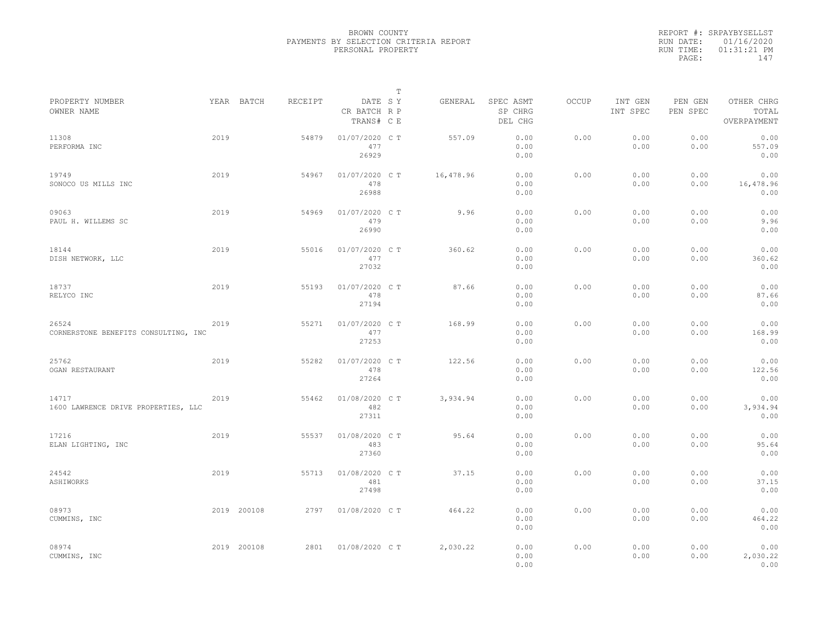|                                               |      |             |         |                                       | $\mathbb{T}$ |           |                                 |       |                     |                     |                                    |
|-----------------------------------------------|------|-------------|---------|---------------------------------------|--------------|-----------|---------------------------------|-------|---------------------|---------------------|------------------------------------|
| PROPERTY NUMBER<br>OWNER NAME                 |      | YEAR BATCH  | RECEIPT | DATE SY<br>CR BATCH R P<br>TRANS# C E |              | GENERAL   | SPEC ASMT<br>SP CHRG<br>DEL CHG | OCCUP | INT GEN<br>INT SPEC | PEN GEN<br>PEN SPEC | OTHER CHRG<br>TOTAL<br>OVERPAYMENT |
| 11308<br>PERFORMA INC                         | 2019 |             | 54879   | 01/07/2020 C T<br>477<br>26929        |              | 557.09    | 0.00<br>0.00<br>0.00            | 0.00  | 0.00<br>0.00        | 0.00<br>0.00        | 0.00<br>557.09<br>0.00             |
| 19749<br>SONOCO US MILLS INC                  | 2019 |             | 54967   | 01/07/2020 C T<br>478<br>26988        |              | 16,478.96 | 0.00<br>0.00<br>0.00            | 0.00  | 0.00<br>0.00        | 0.00<br>0.00        | 0.00<br>16,478.96<br>0.00          |
| 09063<br>PAUL H. WILLEMS SC                   | 2019 |             | 54969   | 01/07/2020 C T<br>479<br>26990        |              | 9.96      | 0.00<br>0.00<br>0.00            | 0.00  | 0.00<br>0.00        | 0.00<br>0.00        | 0.00<br>9.96<br>0.00               |
| 18144<br>DISH NETWORK, LLC                    | 2019 |             | 55016   | 01/07/2020 C T<br>477<br>27032        |              | 360.62    | 0.00<br>0.00<br>0.00            | 0.00  | 0.00<br>0.00        | 0.00<br>0.00        | 0.00<br>360.62<br>0.00             |
| 18737<br>RELYCO INC                           | 2019 |             | 55193   | 01/07/2020 C T<br>478<br>27194        |              | 87.66     | 0.00<br>0.00<br>0.00            | 0.00  | 0.00<br>0.00        | 0.00<br>0.00        | 0.00<br>87.66<br>0.00              |
| 26524<br>CORNERSTONE BENEFITS CONSULTING, INC | 2019 |             | 55271   | 01/07/2020 C T<br>477<br>27253        |              | 168.99    | 0.00<br>0.00<br>0.00            | 0.00  | 0.00<br>0.00        | 0.00<br>0.00        | 0.00<br>168.99<br>0.00             |
| 25762<br>OGAN RESTAURANT                      | 2019 |             | 55282   | 01/07/2020 C T<br>478<br>27264        |              | 122.56    | 0.00<br>0.00<br>0.00            | 0.00  | 0.00<br>0.00        | 0.00<br>0.00        | 0.00<br>122.56<br>0.00             |
| 14717<br>1600 LAWRENCE DRIVE PROPERTIES, LLC  | 2019 |             | 55462   | 01/08/2020 C T<br>482<br>27311        |              | 3,934.94  | 0.00<br>0.00<br>0.00            | 0.00  | 0.00<br>0.00        | 0.00<br>0.00        | 0.00<br>3,934.94<br>0.00           |
| 17216<br>ELAN LIGHTING, INC                   | 2019 |             | 55537   | 01/08/2020 C T<br>483<br>27360        |              | 95.64     | 0.00<br>0.00<br>0.00            | 0.00  | 0.00<br>0.00        | 0.00<br>0.00        | 0.00<br>95.64<br>0.00              |
| 24542<br>ASHIWORKS                            | 2019 |             | 55713   | 01/08/2020 C T<br>481<br>27498        |              | 37.15     | 0.00<br>0.00<br>0.00            | 0.00  | 0.00<br>0.00        | 0.00<br>0.00        | 0.00<br>37.15<br>0.00              |
| 08973<br>CUMMINS, INC                         |      | 2019 200108 | 2797    | 01/08/2020 C T                        |              | 464.22    | 0.00<br>0.00<br>0.00            | 0.00  | 0.00<br>0.00        | 0.00<br>0.00        | 0.00<br>464.22<br>0.00             |
| 08974<br>CUMMINS, INC                         |      | 2019 200108 | 2801    | 01/08/2020 C T                        |              | 2,030.22  | 0.00<br>0.00<br>0.00            | 0.00  | 0.00<br>0.00        | 0.00<br>0.00        | 0.00<br>2,030.22<br>0.00           |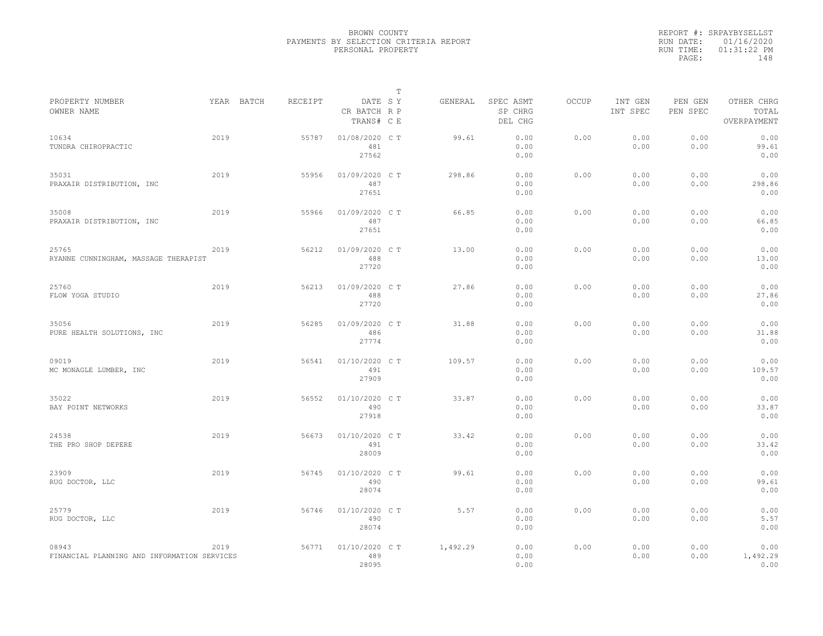|                                                      |      |            |         |                                       | $\mathbb T$ |          |                                 |              |                     |                     |                                    |
|------------------------------------------------------|------|------------|---------|---------------------------------------|-------------|----------|---------------------------------|--------------|---------------------|---------------------|------------------------------------|
| PROPERTY NUMBER<br>OWNER NAME                        |      | YEAR BATCH | RECEIPT | DATE SY<br>CR BATCH R P<br>TRANS# C E |             | GENERAL  | SPEC ASMT<br>SP CHRG<br>DEL CHG | <b>OCCUP</b> | INT GEN<br>INT SPEC | PEN GEN<br>PEN SPEC | OTHER CHRG<br>TOTAL<br>OVERPAYMENT |
| 10634<br>TUNDRA CHIROPRACTIC                         | 2019 |            | 55787   | 01/08/2020 C T<br>481<br>27562        |             | 99.61    | 0.00<br>0.00<br>0.00            | 0.00         | 0.00<br>0.00        | 0.00<br>0.00        | 0.00<br>99.61<br>0.00              |
| 35031<br>PRAXAIR DISTRIBUTION, INC                   | 2019 |            | 55956   | 01/09/2020 C T<br>487<br>27651        |             | 298.86   | 0.00<br>0.00<br>0.00            | 0.00         | 0.00<br>0.00        | 0.00<br>0.00        | 0.00<br>298.86<br>0.00             |
| 35008<br>PRAXAIR DISTRIBUTION, INC                   | 2019 |            | 55966   | 01/09/2020 C T<br>487<br>27651        |             | 66.85    | 0.00<br>0.00<br>0.00            | 0.00         | 0.00<br>0.00        | 0.00<br>0.00        | 0.00<br>66.85<br>0.00              |
| 25765<br>RYANNE CUNNINGHAM, MASSAGE THERAPIST        | 2019 |            | 56212   | 01/09/2020 C T<br>488<br>27720        |             | 13.00    | 0.00<br>0.00<br>0.00            | 0.00         | 0.00<br>0.00        | 0.00<br>0.00        | 0.00<br>13.00<br>0.00              |
| 25760<br>FLOW YOGA STUDIO                            | 2019 |            | 56213   | 01/09/2020 C T<br>488<br>27720        |             | 27.86    | 0.00<br>0.00<br>0.00            | 0.00         | 0.00<br>0.00        | 0.00<br>0.00        | 0.00<br>27.86<br>0.00              |
| 35056<br>PURE HEALTH SOLUTIONS, INC                  | 2019 |            | 56285   | 01/09/2020 C T<br>486<br>27774        |             | 31.88    | 0.00<br>0.00<br>0.00            | 0.00         | 0.00<br>0.00        | 0.00<br>0.00        | 0.00<br>31.88<br>0.00              |
| 09019<br>MC MONAGLE LUMBER, INC                      | 2019 |            | 56541   | 01/10/2020 CT<br>491<br>27909         |             | 109.57   | 0.00<br>0.00<br>0.00            | 0.00         | 0.00<br>0.00        | 0.00<br>0.00        | 0.00<br>109.57<br>0.00             |
| 35022<br>BAY POINT NETWORKS                          | 2019 |            | 56552   | 01/10/2020 C T<br>490<br>27918        |             | 33.87    | 0.00<br>0.00<br>0.00            | 0.00         | 0.00<br>0.00        | 0.00<br>0.00        | 0.00<br>33.87<br>0.00              |
| 24538<br>THE PRO SHOP DEPERE                         | 2019 |            | 56673   | 01/10/2020 C T<br>491<br>28009        |             | 33.42    | 0.00<br>0.00<br>0.00            | 0.00         | 0.00<br>0.00        | 0.00<br>0.00        | 0.00<br>33.42<br>0.00              |
| 23909<br>RUG DOCTOR, LLC                             | 2019 |            | 56745   | 01/10/2020 C T<br>490<br>28074        |             | 99.61    | 0.00<br>0.00<br>0.00            | 0.00         | 0.00<br>0.00        | 0.00<br>0.00        | 0.00<br>99.61<br>0.00              |
| 25779<br>RUG DOCTOR, LLC                             | 2019 |            | 56746   | 01/10/2020 C T<br>490<br>28074        |             | 5.57     | 0.00<br>0.00<br>0.00            | 0.00         | 0.00<br>0.00        | 0.00<br>0.00        | 0.00<br>5.57<br>0.00               |
| 08943<br>FINANCIAL PLANNING AND INFORMATION SERVICES | 2019 |            | 56771   | 01/10/2020 C T<br>489<br>28095        |             | 1,492.29 | 0.00<br>0.00<br>0.00            | 0.00         | 0.00<br>0.00        | 0.00<br>0.00        | 0.00<br>1,492.29<br>0.00           |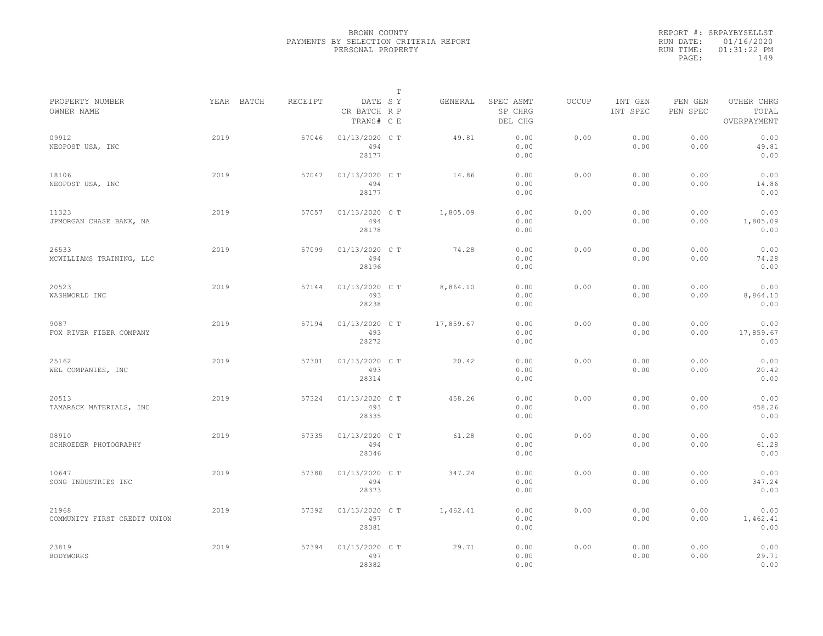|           | REPORT #: SRPAYBYSELLST |  |
|-----------|-------------------------|--|
|           | RUN DATE: 01/16/2020    |  |
| RUN TIME: | $01:31:22$ PM           |  |
| PAGE:     | 149                     |  |
|           |                         |  |

|                                       |            |         |                                       | $\mathbb T$ |           |                                 |              |                     |                     |                                    |
|---------------------------------------|------------|---------|---------------------------------------|-------------|-----------|---------------------------------|--------------|---------------------|---------------------|------------------------------------|
| PROPERTY NUMBER<br>OWNER NAME         | YEAR BATCH | RECEIPT | DATE SY<br>CR BATCH R P<br>TRANS# C E |             | GENERAL   | SPEC ASMT<br>SP CHRG<br>DEL CHG | <b>OCCUP</b> | INT GEN<br>INT SPEC | PEN GEN<br>PEN SPEC | OTHER CHRG<br>TOTAL<br>OVERPAYMENT |
| 09912<br>NEOPOST USA, INC             | 2019       | 57046   | 01/13/2020 C T<br>494<br>28177        |             | 49.81     | 0.00<br>0.00<br>0.00            | 0.00         | 0.00<br>0.00        | 0.00<br>0.00        | 0.00<br>49.81<br>0.00              |
| 18106<br>NEOPOST USA, INC             | 2019       | 57047   | 01/13/2020 C T<br>494<br>28177        |             | 14.86     | 0.00<br>0.00<br>0.00            | 0.00         | 0.00<br>0.00        | 0.00<br>0.00        | 0.00<br>14.86<br>0.00              |
| 11323<br>JPMORGAN CHASE BANK, NA      | 2019       | 57057   | 01/13/2020 C T<br>494<br>28178        |             | 1,805.09  | 0.00<br>0.00<br>0.00            | 0.00         | 0.00<br>0.00        | 0.00<br>0.00        | 0.00<br>1,805.09<br>0.00           |
| 26533<br>MCWILLIAMS TRAINING, LLC     | 2019       | 57099   | 01/13/2020 C T<br>494<br>28196        |             | 74.28     | 0.00<br>0.00<br>0.00            | 0.00         | 0.00<br>0.00        | 0.00<br>0.00        | 0.00<br>74.28<br>0.00              |
| 20523<br>WASHWORLD INC                | 2019       | 57144   | 01/13/2020 C T<br>493<br>28238        |             | 8,864.10  | 0.00<br>0.00<br>0.00            | 0.00         | 0.00<br>0.00        | 0.00<br>0.00        | 0.00<br>8,864.10<br>0.00           |
| 9087<br>FOX RIVER FIBER COMPANY       | 2019       | 57194   | 01/13/2020 C T<br>493<br>28272        |             | 17,859.67 | 0.00<br>0.00<br>0.00            | 0.00         | 0.00<br>0.00        | 0.00<br>0.00        | 0.00<br>17,859.67<br>0.00          |
| 25162<br>WEL COMPANIES, INC           | 2019       | 57301   | 01/13/2020 C T<br>493<br>28314        |             | 20.42     | 0.00<br>0.00<br>0.00            | 0.00         | 0.00<br>0.00        | 0.00<br>0.00        | 0.00<br>20.42<br>0.00              |
| 20513<br>TAMARACK MATERIALS, INC      | 2019       | 57324   | 01/13/2020 C T<br>493<br>28335        |             | 458.26    | 0.00<br>0.00<br>0.00            | 0.00         | 0.00<br>0.00        | 0.00<br>0.00        | 0.00<br>458.26<br>0.00             |
| 08910<br>SCHROEDER PHOTOGRAPHY        | 2019       | 57335   | 01/13/2020 C T<br>494<br>28346        |             | 61.28     | 0.00<br>0.00<br>0.00            | 0.00         | 0.00<br>0.00        | 0.00<br>0.00        | 0.00<br>61.28<br>0.00              |
| 10647<br>SONG INDUSTRIES INC          | 2019       | 57380   | 01/13/2020 C T<br>494<br>28373        |             | 347.24    | 0.00<br>0.00<br>0.00            | 0.00         | 0.00<br>0.00        | 0.00<br>0.00        | 0.00<br>347.24<br>0.00             |
| 21968<br>COMMUNITY FIRST CREDIT UNION | 2019       | 57392   | 01/13/2020 C T<br>497<br>28381        |             | 1,462.41  | 0.00<br>0.00<br>0.00            | 0.00         | 0.00<br>0.00        | 0.00<br>0.00        | 0.00<br>1,462.41<br>0.00           |
| 23819<br><b>BODYWORKS</b>             | 2019       | 57394   | 01/13/2020 C T<br>497<br>28382        |             | 29.71     | 0.00<br>0.00<br>0.00            | 0.00         | 0.00<br>0.00        | 0.00<br>0.00        | 0.00<br>29.71<br>0.00              |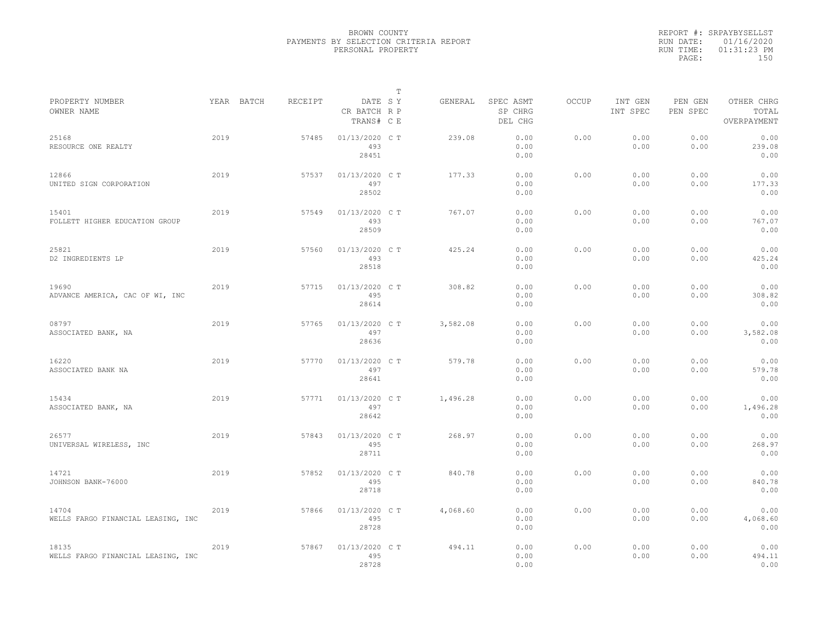|                                             |            |         |                                       | T |          |                                 |              |                     |                     |                                    |
|---------------------------------------------|------------|---------|---------------------------------------|---|----------|---------------------------------|--------------|---------------------|---------------------|------------------------------------|
| PROPERTY NUMBER<br>OWNER NAME               | YEAR BATCH | RECEIPT | DATE SY<br>CR BATCH R P<br>TRANS# C E |   | GENERAL  | SPEC ASMT<br>SP CHRG<br>DEL CHG | <b>OCCUP</b> | INT GEN<br>INT SPEC | PEN GEN<br>PEN SPEC | OTHER CHRG<br>TOTAL<br>OVERPAYMENT |
| 25168<br>RESOURCE ONE REALTY                | 2019       | 57485   | 01/13/2020 C T<br>493<br>28451        |   | 239.08   | 0.00<br>0.00<br>0.00            | 0.00         | 0.00<br>0.00        | 0.00<br>0.00        | 0.00<br>239.08<br>0.00             |
| 12866<br>UNITED SIGN CORPORATION            | 2019       | 57537   | 01/13/2020 C T<br>497<br>28502        |   | 177.33   | 0.00<br>0.00<br>0.00            | 0.00         | 0.00<br>0.00        | 0.00<br>0.00        | 0.00<br>177.33<br>0.00             |
| 15401<br>FOLLETT HIGHER EDUCATION GROUP     | 2019       | 57549   | 01/13/2020 C T<br>493<br>28509        |   | 767.07   | 0.00<br>0.00<br>0.00            | 0.00         | 0.00<br>0.00        | 0.00<br>0.00        | 0.00<br>767.07<br>0.00             |
| 25821<br>D2 INGREDIENTS LP                  | 2019       | 57560   | 01/13/2020 C T<br>493<br>28518        |   | 425.24   | 0.00<br>0.00<br>0.00            | 0.00         | 0.00<br>0.00        | 0.00<br>0.00        | 0.00<br>425.24<br>0.00             |
| 19690<br>ADVANCE AMERICA, CAC OF WI, INC    | 2019       | 57715   | 01/13/2020 C T<br>495<br>28614        |   | 308.82   | 0.00<br>0.00<br>0.00            | 0.00         | 0.00<br>0.00        | 0.00<br>0.00        | 0.00<br>308.82<br>0.00             |
| 08797<br>ASSOCIATED BANK, NA                | 2019       | 57765   | 01/13/2020 C T<br>497<br>28636        |   | 3,582.08 | 0.00<br>0.00<br>0.00            | 0.00         | 0.00<br>0.00        | 0.00<br>0.00        | 0.00<br>3,582.08<br>0.00           |
| 16220<br>ASSOCIATED BANK NA                 | 2019       | 57770   | 01/13/2020 C T<br>497<br>28641        |   | 579.78   | 0.00<br>0.00<br>0.00            | 0.00         | 0.00<br>0.00        | 0.00<br>0.00        | 0.00<br>579.78<br>0.00             |
| 15434<br>ASSOCIATED BANK, NA                | 2019       | 57771   | 01/13/2020 C T<br>497<br>28642        |   | 1,496.28 | 0.00<br>0.00<br>0.00            | 0.00         | 0.00<br>0.00        | 0.00<br>0.00        | 0.00<br>1,496.28<br>0.00           |
| 26577<br>UNIVERSAL WIRELESS, INC            | 2019       | 57843   | 01/13/2020 C T<br>495<br>28711        |   | 268.97   | 0.00<br>0.00<br>0.00            | 0.00         | 0.00<br>0.00        | 0.00<br>0.00        | 0.00<br>268.97<br>0.00             |
| 14721<br>JOHNSON BANK-76000                 | 2019       | 57852   | 01/13/2020 C T<br>495<br>28718        |   | 840.78   | 0.00<br>0.00<br>0.00            | 0.00         | 0.00<br>0.00        | 0.00<br>0.00        | 0.00<br>840.78<br>0.00             |
| 14704<br>WELLS FARGO FINANCIAL LEASING, INC | 2019       | 57866   | 01/13/2020 C T<br>495<br>28728        |   | 4,068.60 | 0.00<br>0.00<br>0.00            | 0.00         | 0.00<br>0.00        | 0.00<br>0.00        | 0.00<br>4,068.60<br>0.00           |
| 18135<br>WELLS FARGO FINANCIAL LEASING, INC | 2019       | 57867   | 01/13/2020 C T<br>495<br>28728        |   | 494.11   | 0.00<br>0.00<br>0.00            | 0.00         | 0.00<br>0.00        | 0.00<br>0.00        | 0.00<br>494.11<br>0.00             |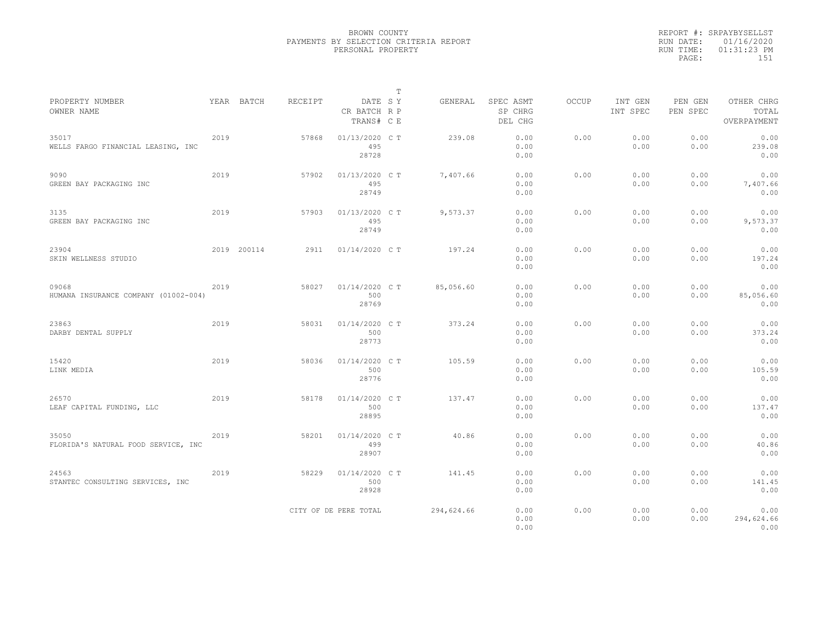|                                               |      |             |         |                                       | $\mathbb T$ |            |                                 |       |                     |                     |                                    |
|-----------------------------------------------|------|-------------|---------|---------------------------------------|-------------|------------|---------------------------------|-------|---------------------|---------------------|------------------------------------|
| PROPERTY NUMBER<br>OWNER NAME                 |      | YEAR BATCH  | RECEIPT | DATE SY<br>CR BATCH R P<br>TRANS# C E |             | GENERAL    | SPEC ASMT<br>SP CHRG<br>DEL CHG | OCCUP | INT GEN<br>INT SPEC | PEN GEN<br>PEN SPEC | OTHER CHRG<br>TOTAL<br>OVERPAYMENT |
| 35017<br>WELLS FARGO FINANCIAL LEASING, INC   | 2019 |             | 57868   | 01/13/2020 C T<br>495<br>28728        |             | 239.08     | 0.00<br>0.00<br>0.00            | 0.00  | 0.00<br>0.00        | 0.00<br>0.00        | 0.00<br>239.08<br>0.00             |
| 9090<br>GREEN BAY PACKAGING INC               | 2019 |             | 57902   | 01/13/2020 C T<br>495<br>28749        |             | 7,407.66   | 0.00<br>0.00<br>0.00            | 0.00  | 0.00<br>0.00        | 0.00<br>0.00        | 0.00<br>7,407.66<br>0.00           |
| 3135<br>GREEN BAY PACKAGING INC               | 2019 |             | 57903   | 01/13/2020 C T<br>495<br>28749        |             | 9,573.37   | 0.00<br>0.00<br>0.00            | 0.00  | 0.00<br>0.00        | 0.00<br>0.00        | 0.00<br>9,573.37<br>0.00           |
| 23904<br>SKIN WELLNESS STUDIO                 |      | 2019 200114 | 2911    | 01/14/2020 C T                        |             | 197.24     | 0.00<br>0.00<br>0.00            | 0.00  | 0.00<br>0.00        | 0.00<br>0.00        | 0.00<br>197.24<br>0.00             |
| 09068<br>HUMANA INSURANCE COMPANY (01002-004) | 2019 |             | 58027   | 01/14/2020 C T<br>500<br>28769        |             | 85,056.60  | 0.00<br>0.00<br>0.00            | 0.00  | 0.00<br>0.00        | 0.00<br>0.00        | 0.00<br>85,056.60<br>0.00          |
| 23863<br>DARBY DENTAL SUPPLY                  | 2019 |             | 58031   | 01/14/2020 C T<br>500<br>28773        |             | 373.24     | 0.00<br>0.00<br>0.00            | 0.00  | 0.00<br>0.00        | 0.00<br>0.00        | 0.00<br>373.24<br>0.00             |
| 15420<br>LINK MEDIA                           | 2019 |             | 58036   | 01/14/2020 C T<br>500<br>28776        |             | 105.59     | 0.00<br>0.00<br>0.00            | 0.00  | 0.00<br>0.00        | 0.00<br>0.00        | 0.00<br>105.59<br>0.00             |
| 26570<br>LEAF CAPITAL FUNDING, LLC            | 2019 |             | 58178   | 01/14/2020 C T<br>500<br>28895        |             | 137.47     | 0.00<br>0.00<br>0.00            | 0.00  | 0.00<br>0.00        | 0.00<br>0.00        | 0.00<br>137.47<br>0.00             |
| 35050<br>FLORIDA'S NATURAL FOOD SERVICE, INC  | 2019 |             | 58201   | 01/14/2020 C T<br>499<br>28907        |             | 40.86      | 0.00<br>0.00<br>0.00            | 0.00  | 0.00<br>0.00        | 0.00<br>0.00        | 0.00<br>40.86<br>0.00              |
| 24563<br>STANTEC CONSULTING SERVICES, INC     | 2019 |             | 58229   | 01/14/2020 C T<br>500<br>28928        |             | 141.45     | 0.00<br>0.00<br>0.00            | 0.00  | 0.00<br>0.00        | 0.00<br>0.00        | 0.00<br>141.45<br>0.00             |
|                                               |      |             |         | CITY OF DE PERE TOTAL                 |             | 294,624.66 | 0.00<br>0.00<br>0.00            | 0.00  | 0.00<br>0.00        | 0.00<br>0.00        | 0.00<br>294,624.66<br>0.00         |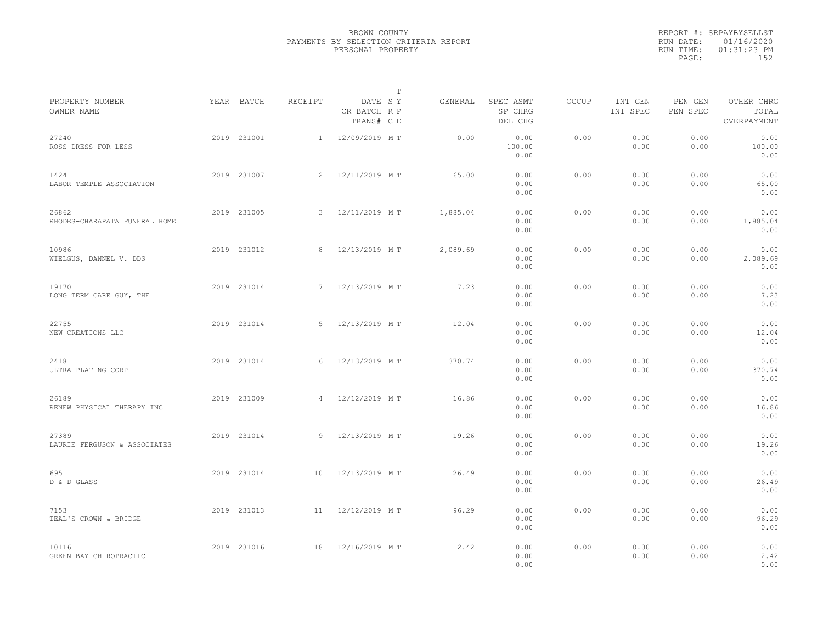|                                        |             |                |                                       | T |          |                                 |              |                     |                     |                                    |  |
|----------------------------------------|-------------|----------------|---------------------------------------|---|----------|---------------------------------|--------------|---------------------|---------------------|------------------------------------|--|
| PROPERTY NUMBER<br>OWNER NAME          | YEAR BATCH  | RECEIPT        | DATE SY<br>CR BATCH R P<br>TRANS# C E |   | GENERAL  | SPEC ASMT<br>SP CHRG<br>DEL CHG | <b>OCCUP</b> | INT GEN<br>INT SPEC | PEN GEN<br>PEN SPEC | OTHER CHRG<br>TOTAL<br>OVERPAYMENT |  |
| 27240<br>ROSS DRESS FOR LESS           | 2019 231001 | 1              | 12/09/2019 MT                         |   | 0.00     | 0.00<br>100.00<br>0.00          | 0.00         | 0.00<br>0.00        | 0.00<br>0.00        | 0.00<br>100.00<br>0.00             |  |
| 1424<br>LABOR TEMPLE ASSOCIATION       | 2019 231007 | $\overline{2}$ | 12/11/2019 MT                         |   | 65.00    | 0.00<br>0.00<br>0.00            | 0.00         | 0.00<br>0.00        | 0.00<br>0.00        | 0.00<br>65.00<br>0.00              |  |
| 26862<br>RHODES-CHARAPATA FUNERAL HOME | 2019 231005 | 3              | 12/11/2019 MT                         |   | 1,885.04 | 0.00<br>0.00<br>0.00            | 0.00         | 0.00<br>0.00        | 0.00<br>0.00        | 0.00<br>1,885.04<br>0.00           |  |
| 10986<br>WIELGUS, DANNEL V. DDS        | 2019 231012 | 8              | 12/13/2019 MT                         |   | 2,089.69 | 0.00<br>0.00<br>0.00            | 0.00         | 0.00<br>0.00        | 0.00<br>0.00        | 0.00<br>2,089.69<br>0.00           |  |
| 19170<br>LONG TERM CARE GUY, THE       | 2019 231014 | 7              | 12/13/2019 MT                         |   | 7.23     | 0.00<br>0.00<br>0.00            | 0.00         | 0.00<br>0.00        | 0.00<br>0.00        | 0.00<br>7.23<br>0.00               |  |
| 22755<br>NEW CREATIONS LLC             | 2019 231014 | -5             | 12/13/2019 MT                         |   | 12.04    | 0.00<br>0.00<br>0.00            | 0.00         | 0.00<br>0.00        | 0.00<br>0.00        | 0.00<br>12.04<br>0.00              |  |
| 2418<br>ULTRA PLATING CORP             | 2019 231014 | 6              | 12/13/2019 MT                         |   | 370.74   | 0.00<br>0.00<br>0.00            | 0.00         | 0.00<br>0.00        | 0.00<br>0.00        | 0.00<br>370.74<br>0.00             |  |
| 26189<br>RENEW PHYSICAL THERAPY INC    | 2019 231009 | $\overline{4}$ | 12/12/2019 MT                         |   | 16.86    | 0.00<br>0.00<br>0.00            | 0.00         | 0.00<br>0.00        | 0.00<br>0.00        | 0.00<br>16.86<br>0.00              |  |
| 27389<br>LAURIE FERGUSON & ASSOCIATES  | 2019 231014 | 9              | 12/13/2019 MT                         |   | 19.26    | 0.00<br>0.00<br>0.00            | 0.00         | 0.00<br>0.00        | 0.00<br>0.00        | 0.00<br>19.26<br>0.00              |  |
| 695<br>D & D GLASS                     | 2019 231014 | 10             | 12/13/2019 MT                         |   | 26.49    | 0.00<br>0.00<br>0.00            | 0.00         | 0.00<br>0.00        | 0.00<br>0.00        | 0.00<br>26.49<br>0.00              |  |
| 7153<br>TEAL'S CROWN & BRIDGE          | 2019 231013 | 11             | 12/12/2019 MT                         |   | 96.29    | 0.00<br>0.00<br>0.00            | 0.00         | 0.00<br>0.00        | 0.00<br>0.00        | 0.00<br>96.29<br>0.00              |  |
| 10116<br>GREEN BAY CHIROPRACTIC        | 2019 231016 | 18             | 12/16/2019 MT                         |   | 2.42     | 0.00<br>0.00<br>0.00            | 0.00         | 0.00<br>0.00        | 0.00<br>0.00        | 0.00<br>2.42<br>0.00               |  |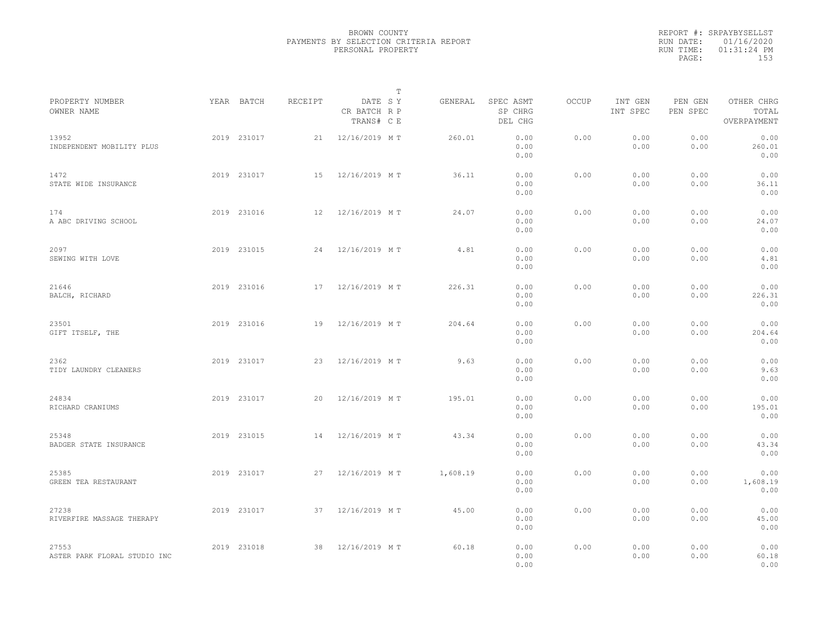|                                       |             |         | $\mathbb{T}$                          |          |                                 |       |                     |                     |                                    |  |
|---------------------------------------|-------------|---------|---------------------------------------|----------|---------------------------------|-------|---------------------|---------------------|------------------------------------|--|
| PROPERTY NUMBER<br>OWNER NAME         | YEAR BATCH  | RECEIPT | DATE SY<br>CR BATCH R P<br>TRANS# C E | GENERAL  | SPEC ASMT<br>SP CHRG<br>DEL CHG | OCCUP | INT GEN<br>INT SPEC | PEN GEN<br>PEN SPEC | OTHER CHRG<br>TOTAL<br>OVERPAYMENT |  |
| 13952<br>INDEPENDENT MOBILITY PLUS    | 2019 231017 | 21      | 12/16/2019 MT                         | 260.01   | 0.00<br>0.00<br>0.00            | 0.00  | 0.00<br>0.00        | 0.00<br>0.00        | 0.00<br>260.01<br>0.00             |  |
| 1472<br>STATE WIDE INSURANCE          | 2019 231017 | 15      | 12/16/2019 MT                         | 36.11    | 0.00<br>0.00<br>0.00            | 0.00  | 0.00<br>0.00        | 0.00<br>0.00        | 0.00<br>36.11<br>0.00              |  |
| 174<br>A ABC DRIVING SCHOOL           | 2019 231016 | 12      | 12/16/2019 MT                         | 24.07    | 0.00<br>0.00<br>0.00            | 0.00  | 0.00<br>0.00        | 0.00<br>0.00        | 0.00<br>24.07<br>0.00              |  |
| 2097<br>SEWING WITH LOVE              | 2019 231015 | 24      | 12/16/2019 MT                         | 4.81     | 0.00<br>0.00<br>0.00            | 0.00  | 0.00<br>0.00        | 0.00<br>0.00        | 0.00<br>4.81<br>0.00               |  |
| 21646<br>BALCH, RICHARD               | 2019 231016 | 17      | 12/16/2019 MT                         | 226.31   | 0.00<br>0.00<br>0.00            | 0.00  | 0.00<br>0.00        | 0.00<br>0.00        | 0.00<br>226.31<br>0.00             |  |
| 23501<br>GIFT ITSELF, THE             | 2019 231016 | 19      | 12/16/2019 MT                         | 204.64   | 0.00<br>0.00<br>0.00            | 0.00  | 0.00<br>0.00        | 0.00<br>0.00        | 0.00<br>204.64<br>0.00             |  |
| 2362<br>TIDY LAUNDRY CLEANERS         | 2019 231017 | 23      | 12/16/2019 MT                         | 9.63     | 0.00<br>0.00<br>0.00            | 0.00  | 0.00<br>0.00        | 0.00<br>0.00        | 0.00<br>9.63<br>0.00               |  |
| 24834<br>RICHARD CRANIUMS             | 2019 231017 | 20      | 12/16/2019 MT                         | 195.01   | 0.00<br>0.00<br>0.00            | 0.00  | 0.00<br>0.00        | 0.00<br>0.00        | 0.00<br>195.01<br>0.00             |  |
| 25348<br>BADGER STATE INSURANCE       | 2019 231015 | 14      | 12/16/2019 MT                         | 43.34    | 0.00<br>0.00<br>0.00            | 0.00  | 0.00<br>0.00        | 0.00<br>0.00        | 0.00<br>43.34<br>0.00              |  |
| 25385<br>GREEN TEA RESTAURANT         | 2019 231017 | 27      | 12/16/2019 MT                         | 1,608.19 | 0.00<br>0.00<br>0.00            | 0.00  | 0.00<br>0.00        | 0.00<br>0.00        | 0.00<br>1,608.19<br>0.00           |  |
| 27238<br>RIVERFIRE MASSAGE THERAPY    | 2019 231017 |         | 37 12/16/2019 MT                      | 45.00    | 0.00<br>0.00<br>0.00            | 0.00  | 0.00<br>0.00        | 0.00<br>0.00        | 0.00<br>45.00<br>0.00              |  |
| 27553<br>ASTER PARK FLORAL STUDIO INC | 2019 231018 | 38      | 12/16/2019 MT                         | 60.18    | 0.00<br>0.00<br>0.00            | 0.00  | 0.00<br>0.00        | 0.00<br>0.00        | 0.00<br>60.18<br>0.00              |  |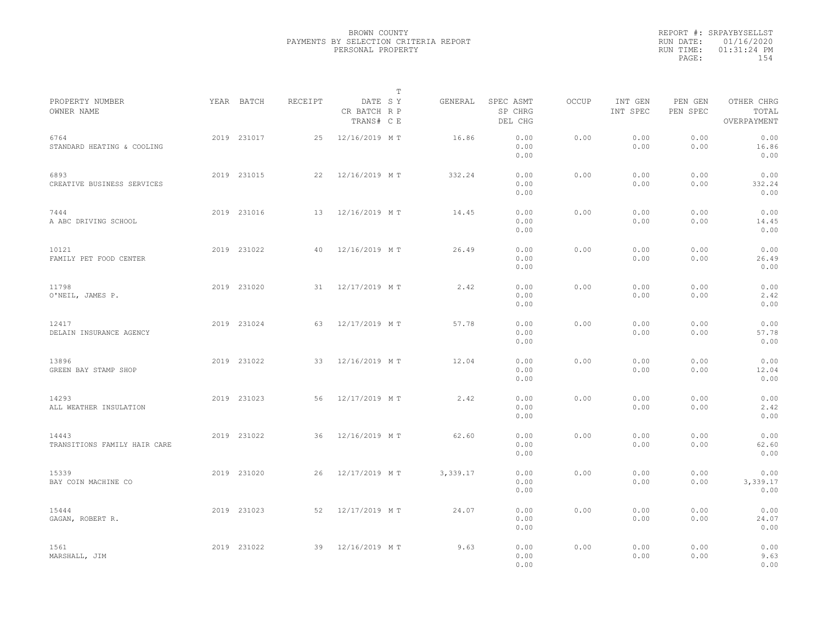|                                       |             |         |                                       | T |          |                                 |              |                     |                     |                                    |  |
|---------------------------------------|-------------|---------|---------------------------------------|---|----------|---------------------------------|--------------|---------------------|---------------------|------------------------------------|--|
| PROPERTY NUMBER<br>OWNER NAME         | YEAR BATCH  | RECEIPT | DATE SY<br>CR BATCH R P<br>TRANS# C E |   | GENERAL  | SPEC ASMT<br>SP CHRG<br>DEL CHG | <b>OCCUP</b> | INT GEN<br>INT SPEC | PEN GEN<br>PEN SPEC | OTHER CHRG<br>TOTAL<br>OVERPAYMENT |  |
| 6764<br>STANDARD HEATING & COOLING    | 2019 231017 | 25      | 12/16/2019 MT                         |   | 16.86    | 0.00<br>0.00<br>0.00            | 0.00         | 0.00<br>0.00        | 0.00<br>0.00        | 0.00<br>16.86<br>0.00              |  |
| 6893<br>CREATIVE BUSINESS SERVICES    | 2019 231015 | 22      | 12/16/2019 MT                         |   | 332.24   | 0.00<br>0.00<br>0.00            | 0.00         | 0.00<br>0.00        | 0.00<br>0.00        | 0.00<br>332.24<br>0.00             |  |
| 7444<br>A ABC DRIVING SCHOOL          | 2019 231016 | 13      | 12/16/2019 MT                         |   | 14.45    | 0.00<br>0.00<br>0.00            | 0.00         | 0.00<br>0.00        | 0.00<br>0.00        | 0.00<br>14.45<br>0.00              |  |
| 10121<br>FAMILY PET FOOD CENTER       | 2019 231022 | 40      | 12/16/2019 MT                         |   | 26.49    | 0.00<br>0.00<br>0.00            | 0.00         | 0.00<br>0.00        | 0.00<br>0.00        | 0.00<br>26.49<br>0.00              |  |
| 11798<br>O'NEIL, JAMES P.             | 2019 231020 | 31      | 12/17/2019 MT                         |   | 2.42     | 0.00<br>0.00<br>0.00            | 0.00         | 0.00<br>0.00        | 0.00<br>0.00        | 0.00<br>2.42<br>0.00               |  |
| 12417<br>DELAIN INSURANCE AGENCY      | 2019 231024 | 63      | 12/17/2019 MT                         |   | 57.78    | 0.00<br>0.00<br>0.00            | 0.00         | 0.00<br>0.00        | 0.00<br>0.00        | 0.00<br>57.78<br>0.00              |  |
| 13896<br>GREEN BAY STAMP SHOP         | 2019 231022 | 33      | 12/16/2019 MT                         |   | 12.04    | 0.00<br>0.00<br>0.00            | 0.00         | 0.00<br>0.00        | 0.00<br>0.00        | 0.00<br>12.04<br>0.00              |  |
| 14293<br>ALL WEATHER INSULATION       | 2019 231023 | 56      | 12/17/2019 MT                         |   | 2.42     | 0.00<br>0.00<br>0.00            | 0.00         | 0.00<br>0.00        | 0.00<br>0.00        | 0.00<br>2.42<br>0.00               |  |
| 14443<br>TRANSITIONS FAMILY HAIR CARE | 2019 231022 | 36      | 12/16/2019 MT                         |   | 62.60    | 0.00<br>0.00<br>0.00            | 0.00         | 0.00<br>0.00        | 0.00<br>0.00        | 0.00<br>62.60<br>0.00              |  |
| 15339<br>BAY COIN MACHINE CO          | 2019 231020 | 26      | 12/17/2019 MT                         |   | 3,339.17 | 0.00<br>0.00<br>0.00            | 0.00         | 0.00<br>0.00        | 0.00<br>0.00        | 0.00<br>3,339.17<br>0.00           |  |
| 15444<br>GAGAN, ROBERT R.             | 2019 231023 | 52      | 12/17/2019 MT                         |   | 24.07    | 0.00<br>0.00<br>0.00            | 0.00         | 0.00<br>0.00        | 0.00<br>0.00        | 0.00<br>24.07<br>0.00              |  |
| 1561<br>MARSHALL, JIM                 | 2019 231022 | 39      | 12/16/2019 MT                         |   | 9.63     | 0.00<br>0.00<br>0.00            | 0.00         | 0.00<br>0.00        | 0.00<br>0.00        | 0.00<br>9.63<br>0.00               |  |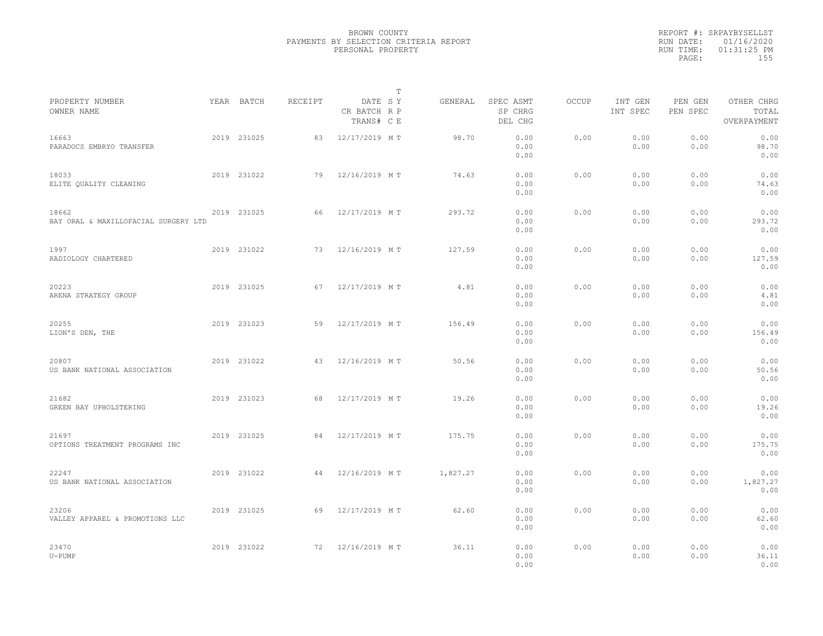|                                               |             |         |                                       | $\mathbb{T}$ |                                 |              |                     |                     |                                    |  |
|-----------------------------------------------|-------------|---------|---------------------------------------|--------------|---------------------------------|--------------|---------------------|---------------------|------------------------------------|--|
| PROPERTY NUMBER<br>OWNER NAME                 | YEAR BATCH  | RECEIPT | DATE SY<br>CR BATCH R P<br>TRANS# C E | GENERAL      | SPEC ASMT<br>SP CHRG<br>DEL CHG | <b>OCCUP</b> | INT GEN<br>INT SPEC | PEN GEN<br>PEN SPEC | OTHER CHRG<br>TOTAL<br>OVERPAYMENT |  |
| 16663<br>PARADOCS EMBRYO TRANSFER             | 2019 231025 | 83      | 12/17/2019 MT                         | 98.70        | 0.00<br>0.00<br>0.00            | 0.00         | 0.00<br>0.00        | 0.00<br>0.00        | 0.00<br>98.70<br>0.00              |  |
| 18033<br>ELITE QUALITY CLEANING               | 2019 231022 | 79      | 12/16/2019 MT                         | 74.63        | 0.00<br>0.00<br>0.00            | 0.00         | 0.00<br>0.00        | 0.00<br>0.00        | 0.00<br>74.63<br>0.00              |  |
| 18662<br>BAY ORAL & MAXILLOFACIAL SURGERY LTD | 2019 231025 | 66      | 12/17/2019 MT                         | 293.72       | 0.00<br>0.00<br>0.00            | 0.00         | 0.00<br>0.00        | 0.00<br>0.00        | 0.00<br>293.72<br>0.00             |  |
| 1997<br>RADIOLOGY CHARTERED                   | 2019 231022 | 73      | 12/16/2019 MT                         | 127.59       | 0.00<br>0.00<br>0.00            | 0.00         | 0.00<br>0.00        | 0.00<br>0.00        | 0.00<br>127.59<br>0.00             |  |
| 20223<br>ARENA STRATEGY GROUP                 | 2019 231025 | 67      | 12/17/2019 MT                         | 4.81         | 0.00<br>0.00<br>0.00            | 0.00         | 0.00<br>0.00        | 0.00<br>0.00        | 0.00<br>4.81<br>0.00               |  |
| 20255<br>LION'S DEN, THE                      | 2019 231023 | 59      | 12/17/2019 MT                         | 156.49       | 0.00<br>0.00<br>0.00            | 0.00         | 0.00<br>0.00        | 0.00<br>0.00        | 0.00<br>156.49<br>0.00             |  |
| 20807<br>US BANK NATIONAL ASSOCIATION         | 2019 231022 | 43      | 12/16/2019 MT                         | 50.56        | 0.00<br>0.00<br>0.00            | 0.00         | 0.00<br>0.00        | 0.00<br>0.00        | 0.00<br>50.56<br>0.00              |  |
| 21682<br>GREEN BAY UPHOLSTERING               | 2019 231023 | 68      | 12/17/2019 MT                         | 19.26        | 0.00<br>0.00<br>0.00            | 0.00         | 0.00<br>0.00        | 0.00<br>0.00        | 0.00<br>19.26<br>0.00              |  |
| 21697<br>OPTIONS TREATMENT PROGRAMS INC       | 2019 231025 | 84      | 12/17/2019 MT                         | 175.75       | 0.00<br>0.00<br>0.00            | 0.00         | 0.00<br>0.00        | 0.00<br>0.00        | 0.00<br>175.75<br>0.00             |  |
| 22247<br>US BANK NATIONAL ASSOCIATION         | 2019 231022 | 44      | 12/16/2019 MT                         | 1,827.27     | 0.00<br>0.00<br>0.00            | 0.00         | 0.00<br>0.00        | 0.00<br>0.00        | 0.00<br>1,827.27<br>0.00           |  |
| 23206<br>VALLEY APPAREL & PROMOTIONS LLC      | 2019 231025 | 69      | 12/17/2019 MT                         | 62.60        | 0.00<br>0.00<br>0.00            | 0.00         | 0.00<br>0.00        | 0.00<br>0.00        | 0.00<br>62.60<br>0.00              |  |
| 23470<br>$U - PUMP$                           | 2019 231022 | 72      | 12/16/2019 MT                         | 36.11        | 0.00<br>0.00<br>0.00            | 0.00         | 0.00<br>0.00        | 0.00<br>0.00        | 0.00<br>36.11<br>0.00              |  |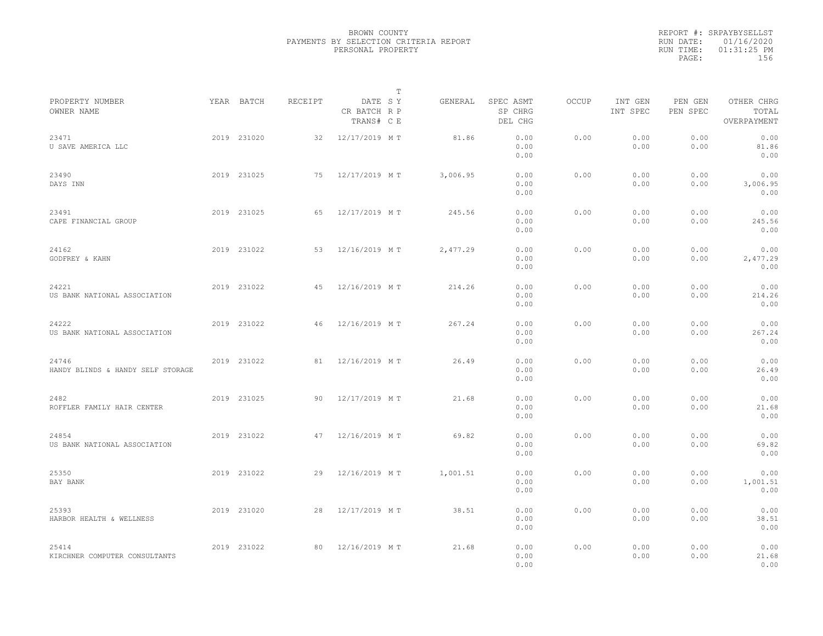|                                            |             |         | $\mathbb{T}$                          |          |                                 |              |                     |                     |                                    |  |
|--------------------------------------------|-------------|---------|---------------------------------------|----------|---------------------------------|--------------|---------------------|---------------------|------------------------------------|--|
| PROPERTY NUMBER<br>OWNER NAME              | YEAR BATCH  | RECEIPT | DATE SY<br>CR BATCH R P<br>TRANS# C E | GENERAL  | SPEC ASMT<br>SP CHRG<br>DEL CHG | <b>OCCUP</b> | INT GEN<br>INT SPEC | PEN GEN<br>PEN SPEC | OTHER CHRG<br>TOTAL<br>OVERPAYMENT |  |
| 23471<br>U SAVE AMERICA LLC                | 2019 231020 | 32      | 12/17/2019 MT                         | 81.86    | 0.00<br>0.00<br>0.00            | 0.00         | 0.00<br>0.00        | 0.00<br>0.00        | 0.00<br>81.86<br>0.00              |  |
| 23490<br>DAYS INN                          | 2019 231025 | 75      | 12/17/2019 MT                         | 3,006.95 | 0.00<br>0.00<br>0.00            | 0.00         | 0.00<br>0.00        | 0.00<br>0.00        | 0.00<br>3,006.95<br>0.00           |  |
| 23491<br>CAPE FINANCIAL GROUP              | 2019 231025 | 65      | 12/17/2019 MT                         | 245.56   | 0.00<br>0.00<br>0.00            | 0.00         | 0.00<br>0.00        | 0.00<br>0.00        | 0.00<br>245.56<br>0.00             |  |
| 24162<br>GODFREY & KAHN                    | 2019 231022 | 53      | 12/16/2019 MT                         | 2,477.29 | 0.00<br>0.00<br>0.00            | 0.00         | 0.00<br>0.00        | 0.00<br>0.00        | 0.00<br>2,477.29<br>0.00           |  |
| 24221<br>US BANK NATIONAL ASSOCIATION      | 2019 231022 | 45      | 12/16/2019 MT                         | 214.26   | 0.00<br>0.00<br>0.00            | 0.00         | 0.00<br>0.00        | 0.00<br>0.00        | 0.00<br>214.26<br>0.00             |  |
| 24222<br>US BANK NATIONAL ASSOCIATION      | 2019 231022 | 46      | 12/16/2019 MT                         | 267.24   | 0.00<br>0.00<br>0.00            | 0.00         | 0.00<br>0.00        | 0.00<br>0.00        | 0.00<br>267.24<br>0.00             |  |
| 24746<br>HANDY BLINDS & HANDY SELF STORAGE | 2019 231022 | 81      | 12/16/2019 MT                         | 26.49    | 0.00<br>0.00<br>0.00            | 0.00         | 0.00<br>0.00        | 0.00<br>0.00        | 0.00<br>26.49<br>0.00              |  |
| 2482<br>ROFFLER FAMILY HAIR CENTER         | 2019 231025 | 90      | 12/17/2019 MT                         | 21.68    | 0.00<br>0.00<br>0.00            | 0.00         | 0.00<br>0.00        | 0.00<br>0.00        | 0.00<br>21.68<br>0.00              |  |
| 24854<br>US BANK NATIONAL ASSOCIATION      | 2019 231022 | 47      | 12/16/2019 MT                         | 69.82    | 0.00<br>0.00<br>0.00            | 0.00         | 0.00<br>0.00        | 0.00<br>0.00        | 0.00<br>69.82<br>0.00              |  |
| 25350<br>BAY BANK                          | 2019 231022 | 29      | 12/16/2019 MT                         | 1,001.51 | 0.00<br>0.00<br>0.00            | 0.00         | 0.00<br>0.00        | 0.00<br>0.00        | 0.00<br>1,001.51<br>0.00           |  |
| 25393<br>HARBOR HEALTH & WELLNESS          | 2019 231020 | 28      | 12/17/2019 MT                         | 38.51    | 0.00<br>0.00<br>0.00            | 0.00         | 0.00<br>0.00        | 0.00<br>0.00        | 0.00<br>38.51<br>0.00              |  |
| 25414<br>KIRCHNER COMPUTER CONSULTANTS     | 2019 231022 | 80      | 12/16/2019 MT                         | 21.68    | 0.00<br>0.00<br>0.00            | 0.00         | 0.00<br>0.00        | 0.00<br>0.00        | 0.00<br>21.68<br>0.00              |  |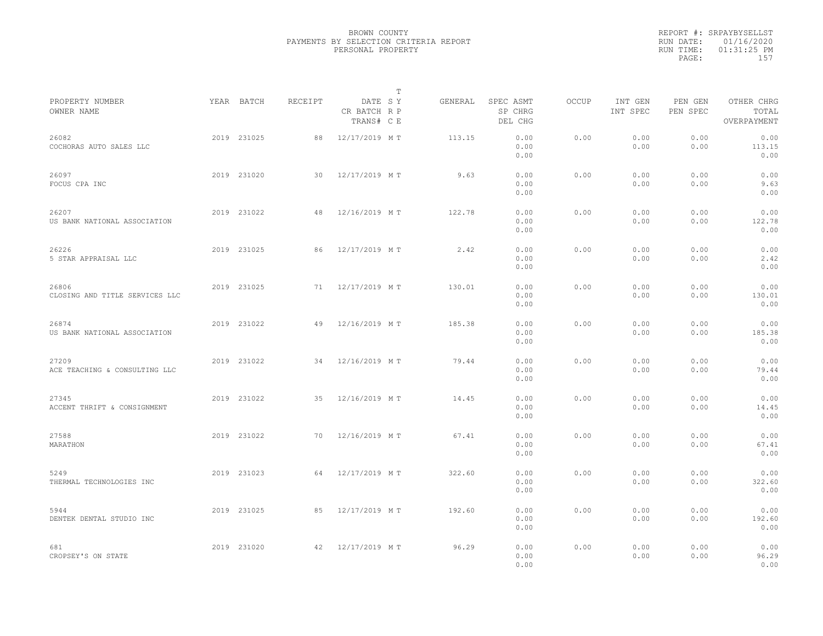|                                         |             |         |                                       | T       |                                 |              |                     |                     |                                    |  |
|-----------------------------------------|-------------|---------|---------------------------------------|---------|---------------------------------|--------------|---------------------|---------------------|------------------------------------|--|
| PROPERTY NUMBER<br>OWNER NAME           | YEAR BATCH  | RECEIPT | DATE SY<br>CR BATCH R P<br>TRANS# C E | GENERAL | SPEC ASMT<br>SP CHRG<br>DEL CHG | <b>OCCUP</b> | INT GEN<br>INT SPEC | PEN GEN<br>PEN SPEC | OTHER CHRG<br>TOTAL<br>OVERPAYMENT |  |
| 26082<br>COCHORAS AUTO SALES LLC        | 2019 231025 | 88      | 12/17/2019 MT                         | 113.15  | 0.00<br>0.00<br>0.00            | 0.00         | 0.00<br>0.00        | 0.00<br>0.00        | 0.00<br>113.15<br>0.00             |  |
| 26097<br>FOCUS CPA INC                  | 2019 231020 | 30      | 12/17/2019 MT                         | 9.63    | 0.00<br>0.00<br>0.00            | 0.00         | 0.00<br>0.00        | 0.00<br>0.00        | 0.00<br>9.63<br>0.00               |  |
| 26207<br>US BANK NATIONAL ASSOCIATION   | 2019 231022 | 48      | 12/16/2019 MT                         | 122.78  | 0.00<br>0.00<br>0.00            | 0.00         | 0.00<br>0.00        | 0.00<br>0.00        | 0.00<br>122.78<br>0.00             |  |
| 26226<br>5 STAR APPRAISAL LLC           | 2019 231025 | 86      | 12/17/2019 MT                         | 2.42    | 0.00<br>0.00<br>0.00            | 0.00         | 0.00<br>0.00        | 0.00<br>0.00        | 0.00<br>2.42<br>0.00               |  |
| 26806<br>CLOSING AND TITLE SERVICES LLC | 2019 231025 | 71      | 12/17/2019 MT                         | 130.01  | 0.00<br>0.00<br>0.00            | 0.00         | 0.00<br>0.00        | 0.00<br>0.00        | 0.00<br>130.01<br>0.00             |  |
| 26874<br>US BANK NATIONAL ASSOCIATION   | 2019 231022 | 49      | 12/16/2019 MT                         | 185.38  | 0.00<br>0.00<br>0.00            | 0.00         | 0.00<br>0.00        | 0.00<br>0.00        | 0.00<br>185.38<br>0.00             |  |
| 27209<br>ACE TEACHING & CONSULTING LLC  | 2019 231022 | 34      | 12/16/2019 MT                         | 79.44   | 0.00<br>0.00<br>0.00            | 0.00         | 0.00<br>0.00        | 0.00<br>0.00        | 0.00<br>79.44<br>0.00              |  |
| 27345<br>ACCENT THRIFT & CONSIGNMENT    | 2019 231022 | 35      | 12/16/2019 MT                         | 14.45   | 0.00<br>0.00<br>0.00            | 0.00         | 0.00<br>0.00        | 0.00<br>0.00        | 0.00<br>14.45<br>0.00              |  |
| 27588<br>MARATHON                       | 2019 231022 | 70      | 12/16/2019 MT                         | 67.41   | 0.00<br>0.00<br>0.00            | 0.00         | 0.00<br>0.00        | 0.00<br>0.00        | 0.00<br>67.41<br>0.00              |  |
| 5249<br>THERMAL TECHNOLOGIES INC        | 2019 231023 | 64      | 12/17/2019 MT                         | 322.60  | 0.00<br>0.00<br>0.00            | 0.00         | 0.00<br>0.00        | 0.00<br>0.00        | 0.00<br>322.60<br>0.00             |  |
| 5944<br>DENTEK DENTAL STUDIO INC        | 2019 231025 | 85      | 12/17/2019 MT                         | 192.60  | 0.00<br>0.00<br>0.00            | 0.00         | 0.00<br>0.00        | 0.00<br>0.00        | 0.00<br>192.60<br>0.00             |  |
| 681<br>CROPSEY'S ON STATE               | 2019 231020 | 42      | 12/17/2019 MT                         | 96.29   | 0.00<br>0.00<br>0.00            | 0.00         | 0.00<br>0.00        | 0.00<br>0.00        | 0.00<br>96.29<br>0.00              |  |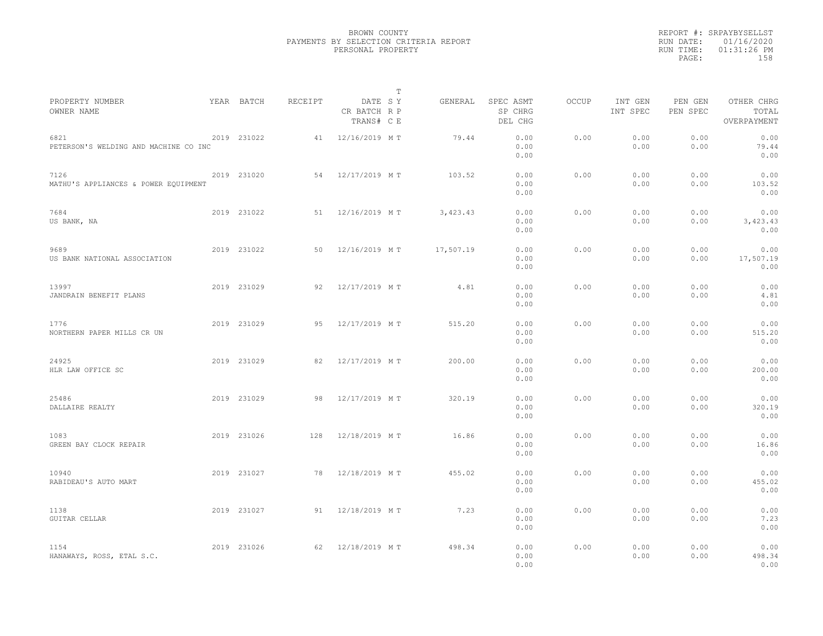|                                               |             |         |                                       | $\mathbb T$ |        |                                 |              |                     |                     |                                    |  |
|-----------------------------------------------|-------------|---------|---------------------------------------|-------------|--------|---------------------------------|--------------|---------------------|---------------------|------------------------------------|--|
| PROPERTY NUMBER<br>OWNER NAME                 | YEAR BATCH  | RECEIPT | DATE SY<br>CR BATCH R P<br>TRANS# C E | GENERAL     |        | SPEC ASMT<br>SP CHRG<br>DEL CHG | <b>OCCUP</b> | INT GEN<br>INT SPEC | PEN GEN<br>PEN SPEC | OTHER CHRG<br>TOTAL<br>OVERPAYMENT |  |
| 6821<br>PETERSON'S WELDING AND MACHINE CO INC | 2019 231022 | 41      | 12/16/2019 MT                         |             | 79.44  | 0.00<br>0.00<br>0.00            | 0.00         | 0.00<br>0.00        | 0.00<br>0.00        | 0.00<br>79.44<br>0.00              |  |
| 7126<br>MATHU'S APPLIANCES & POWER EQUIPMENT  | 2019 231020 | 54      | 12/17/2019 MT                         |             | 103.52 | 0.00<br>0.00<br>0.00            | 0.00         | 0.00<br>0.00        | 0.00<br>0.00        | 0.00<br>103.52<br>0.00             |  |
| 7684<br>US BANK, NA                           | 2019 231022 | 51      | 12/16/2019 MT                         | 3, 423.43   |        | 0.00<br>0.00<br>0.00            | 0.00         | 0.00<br>0.00        | 0.00<br>0.00        | 0.00<br>3,423.43<br>0.00           |  |
| 9689<br>US BANK NATIONAL ASSOCIATION          | 2019 231022 | 50      | 12/16/2019 MT                         | 17,507.19   |        | 0.00<br>0.00<br>0.00            | 0.00         | 0.00<br>0.00        | 0.00<br>0.00        | 0.00<br>17,507.19<br>0.00          |  |
| 13997<br>JANDRAIN BENEFIT PLANS               | 2019 231029 | 92      | 12/17/2019 MT                         |             | 4.81   | 0.00<br>0.00<br>0.00            | 0.00         | 0.00<br>0.00        | 0.00<br>0.00        | 0.00<br>4.81<br>0.00               |  |
| 1776<br>NORTHERN PAPER MILLS CR UN            | 2019 231029 | 95      | 12/17/2019 MT                         |             | 515.20 | 0.00<br>0.00<br>0.00            | 0.00         | 0.00<br>0.00        | 0.00<br>0.00        | 0.00<br>515.20<br>0.00             |  |
| 24925<br>HLR LAW OFFICE SC                    | 2019 231029 | 82      | 12/17/2019 MT                         |             | 200.00 | 0.00<br>0.00<br>0.00            | 0.00         | 0.00<br>0.00        | 0.00<br>0.00        | 0.00<br>200.00<br>0.00             |  |
| 25486<br>DALLAIRE REALTY                      | 2019 231029 | 98      | 12/17/2019 MT                         |             | 320.19 | 0.00<br>0.00<br>0.00            | 0.00         | 0.00<br>0.00        | 0.00<br>0.00        | 0.00<br>320.19<br>0.00             |  |
| 1083<br>GREEN BAY CLOCK REPAIR                | 2019 231026 | 128     | 12/18/2019 MT                         |             | 16.86  | 0.00<br>0.00<br>0.00            | 0.00         | 0.00<br>0.00        | 0.00<br>0.00        | 0.00<br>16.86<br>0.00              |  |
| 10940<br>RABIDEAU'S AUTO MART                 | 2019 231027 | 78      | 12/18/2019 MT                         |             | 455.02 | 0.00<br>0.00<br>0.00            | 0.00         | 0.00<br>0.00        | 0.00<br>0.00        | 0.00<br>455.02<br>0.00             |  |
| 1138<br><b>GUITAR CELLAR</b>                  | 2019 231027 | 91      | 12/18/2019 MT                         |             | 7.23   | 0.00<br>0.00<br>0.00            | 0.00         | 0.00<br>0.00        | 0.00<br>0.00        | 0.00<br>7.23<br>0.00               |  |
| 1154<br>HANAWAYS, ROSS, ETAL S.C.             | 2019 231026 | 62      | 12/18/2019 MT                         |             | 498.34 | 0.00<br>0.00<br>0.00            | 0.00         | 0.00<br>0.00        | 0.00<br>0.00        | 0.00<br>498.34<br>0.00             |  |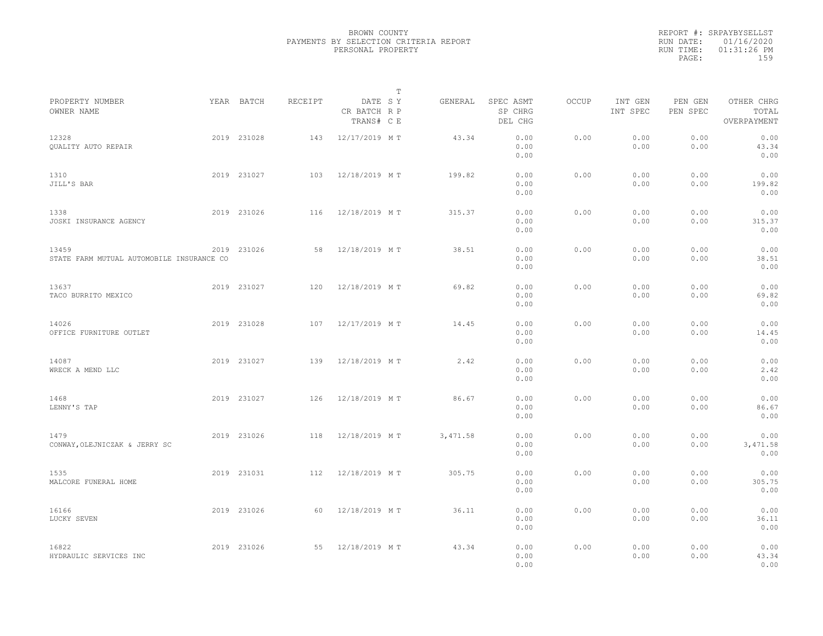|           | REPORT #: SRPAYBYSELLST |  |
|-----------|-------------------------|--|
|           | RUN DATE: 01/16/2020    |  |
| RUN TIME: | $01:31:26$ PM           |  |
| PAGE:     | 159                     |  |
|           |                         |  |

|                                                    |             |         |                                       | Т |          |                                 |       |                     |                     |                                    |  |
|----------------------------------------------------|-------------|---------|---------------------------------------|---|----------|---------------------------------|-------|---------------------|---------------------|------------------------------------|--|
| PROPERTY NUMBER<br>OWNER NAME                      | YEAR BATCH  | RECEIPT | DATE SY<br>CR BATCH R P<br>TRANS# C E |   | GENERAL  | SPEC ASMT<br>SP CHRG<br>DEL CHG | OCCUP | INT GEN<br>INT SPEC | PEN GEN<br>PEN SPEC | OTHER CHRG<br>TOTAL<br>OVERPAYMENT |  |
| 12328<br><b>OUALITY AUTO REPAIR</b>                | 2019 231028 | 143     | 12/17/2019 MT                         |   | 43.34    | 0.00<br>0.00<br>0.00            | 0.00  | 0.00<br>0.00        | 0.00<br>0.00        | 0.00<br>43.34<br>0.00              |  |
| 1310<br>JILL'S BAR                                 | 2019 231027 | 103     | 12/18/2019 MT                         |   | 199.82   | 0.00<br>0.00<br>0.00            | 0.00  | 0.00<br>0.00        | 0.00<br>0.00        | 0.00<br>199.82<br>0.00             |  |
| 1338<br>JOSKI INSURANCE AGENCY                     | 2019 231026 | 116     | 12/18/2019 MT                         |   | 315.37   | 0.00<br>0.00<br>0.00            | 0.00  | 0.00<br>0.00        | 0.00<br>0.00        | 0.00<br>315.37<br>0.00             |  |
| 13459<br>STATE FARM MUTUAL AUTOMOBILE INSURANCE CO | 2019 231026 | 58      | 12/18/2019 MT                         |   | 38.51    | 0.00<br>0.00<br>0.00            | 0.00  | 0.00<br>0.00        | 0.00<br>0.00        | 0.00<br>38.51<br>0.00              |  |
| 13637<br>TACO BURRITO MEXICO                       | 2019 231027 | 120     | 12/18/2019 MT                         |   | 69.82    | 0.00<br>0.00<br>0.00            | 0.00  | 0.00<br>0.00        | 0.00<br>0.00        | 0.00<br>69.82<br>0.00              |  |
| 14026<br>OFFICE FURNITURE OUTLET                   | 2019 231028 | 107     | 12/17/2019 MT                         |   | 14.45    | 0.00<br>0.00<br>0.00            | 0.00  | 0.00<br>0.00        | 0.00<br>0.00        | 0.00<br>14.45<br>0.00              |  |
| 14087<br>WRECK A MEND LLC                          | 2019 231027 | 139     | 12/18/2019 MT                         |   | 2.42     | 0.00<br>0.00<br>0.00            | 0.00  | 0.00<br>0.00        | 0.00<br>0.00        | 0.00<br>2.42<br>0.00               |  |
| 1468<br>LENNY'S TAP                                | 2019 231027 | 126     | 12/18/2019 MT                         |   | 86.67    | 0.00<br>0.00<br>0.00            | 0.00  | 0.00<br>0.00        | 0.00<br>0.00        | 0.00<br>86.67<br>0.00              |  |
| 1479<br>CONWAY, OLEJNICZAK & JERRY SC              | 2019 231026 | 118     | 12/18/2019 MT                         |   | 3,471.58 | 0.00<br>0.00<br>0.00            | 0.00  | 0.00<br>0.00        | 0.00<br>0.00        | 0.00<br>3,471.58<br>0.00           |  |
| 1535<br>MALCORE FUNERAL HOME                       | 2019 231031 | 112     | 12/18/2019 MT                         |   | 305.75   | 0.00<br>0.00<br>0.00            | 0.00  | 0.00<br>0.00        | 0.00<br>0.00        | 0.00<br>305.75<br>0.00             |  |
| 16166<br>LUCKY SEVEN                               | 2019 231026 | 60      | 12/18/2019 MT                         |   | 36.11    | 0.00<br>0.00<br>0.00            | 0.00  | 0.00<br>0.00        | 0.00<br>0.00        | 0.00<br>36.11<br>0.00              |  |
| 16822<br>HYDRAULIC SERVICES INC                    | 2019 231026 | 55      | 12/18/2019 MT                         |   | 43.34    | 0.00<br>0.00<br>0.00            | 0.00  | 0.00<br>0.00        | 0.00<br>0.00        | 0.00<br>43.34<br>0.00              |  |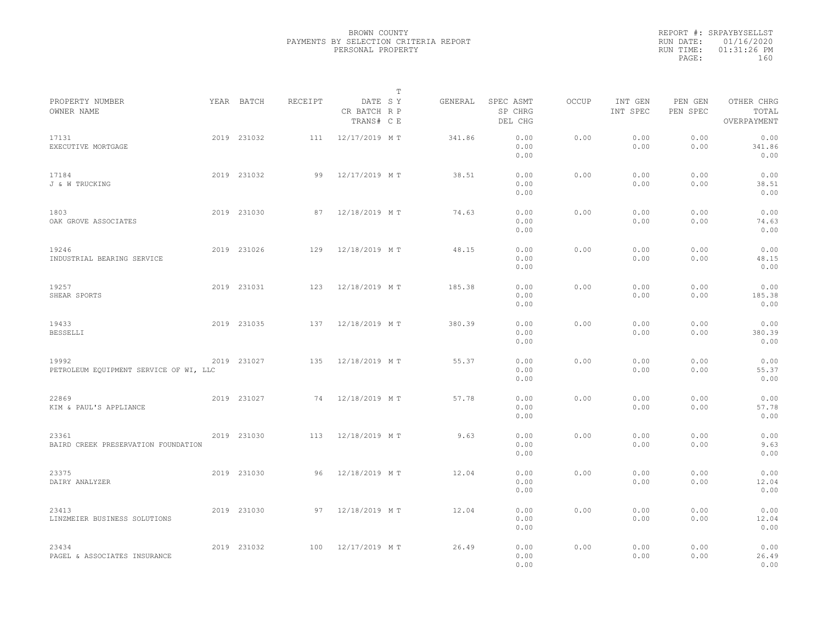|                                                 |             |         | $\mathbb{T}$                          |         |                                 |              |                     |                     |                                    |  |
|-------------------------------------------------|-------------|---------|---------------------------------------|---------|---------------------------------|--------------|---------------------|---------------------|------------------------------------|--|
| PROPERTY NUMBER<br>OWNER NAME                   | YEAR BATCH  | RECEIPT | DATE SY<br>CR BATCH R P<br>TRANS# C E | GENERAL | SPEC ASMT<br>SP CHRG<br>DEL CHG | <b>OCCUP</b> | INT GEN<br>INT SPEC | PEN GEN<br>PEN SPEC | OTHER CHRG<br>TOTAL<br>OVERPAYMENT |  |
| 17131<br>EXECUTIVE MORTGAGE                     | 2019 231032 | 111     | 12/17/2019 MT                         | 341.86  | 0.00<br>0.00<br>0.00            | 0.00         | 0.00<br>0.00        | 0.00<br>0.00        | 0.00<br>341.86<br>0.00             |  |
| 17184<br>J & W TRUCKING                         | 2019 231032 | 99      | 12/17/2019 MT                         | 38.51   | 0.00<br>0.00<br>0.00            | 0.00         | 0.00<br>0.00        | 0.00<br>0.00        | 0.00<br>38.51<br>0.00              |  |
| 1803<br>OAK GROVE ASSOCIATES                    | 2019 231030 | 87      | 12/18/2019 MT                         | 74.63   | 0.00<br>0.00<br>0.00            | 0.00         | 0.00<br>0.00        | 0.00<br>0.00        | 0.00<br>74.63<br>0.00              |  |
| 19246<br>INDUSTRIAL BEARING SERVICE             | 2019 231026 | 129     | 12/18/2019 MT                         | 48.15   | 0.00<br>0.00<br>0.00            | 0.00         | 0.00<br>0.00        | 0.00<br>0.00        | 0.00<br>48.15<br>0.00              |  |
| 19257<br>SHEAR SPORTS                           | 2019 231031 | 123     | 12/18/2019 MT                         | 185.38  | 0.00<br>0.00<br>0.00            | 0.00         | 0.00<br>0.00        | 0.00<br>0.00        | 0.00<br>185.38<br>0.00             |  |
| 19433<br><b>BESSELLI</b>                        | 2019 231035 | 137     | 12/18/2019 MT                         | 380.39  | 0.00<br>0.00<br>0.00            | 0.00         | 0.00<br>0.00        | 0.00<br>0.00        | 0.00<br>380.39<br>0.00             |  |
| 19992<br>PETROLEUM EQUIPMENT SERVICE OF WI, LLC | 2019 231027 | 135     | 12/18/2019 MT                         | 55.37   | 0.00<br>0.00<br>0.00            | 0.00         | 0.00<br>0.00        | 0.00<br>0.00        | 0.00<br>55.37<br>0.00              |  |
| 22869<br>KIM & PAUL'S APPLIANCE                 | 2019 231027 | 74      | 12/18/2019 MT                         | 57.78   | 0.00<br>0.00<br>0.00            | 0.00         | 0.00<br>0.00        | 0.00<br>0.00        | 0.00<br>57.78<br>0.00              |  |
| 23361<br>BAIRD CREEK PRESERVATION FOUNDATION    | 2019 231030 | 113     | 12/18/2019 MT                         | 9.63    | 0.00<br>0.00<br>0.00            | 0.00         | 0.00<br>0.00        | 0.00<br>0.00        | 0.00<br>9.63<br>0.00               |  |
| 23375<br>DAIRY ANALYZER                         | 2019 231030 | 96      | 12/18/2019 MT                         | 12.04   | 0.00<br>0.00<br>0.00            | 0.00         | 0.00<br>0.00        | 0.00<br>0.00        | 0.00<br>12.04<br>0.00              |  |
| 23413<br>LINZMEIER BUSINESS SOLUTIONS           | 2019 231030 | 97      | 12/18/2019 M T                        | 12.04   | 0.00<br>0.00<br>0.00            | 0.00         | 0.00<br>0.00        | 0.00<br>0.00        | 0.00<br>12.04<br>0.00              |  |
| 23434<br>PAGEL & ASSOCIATES INSURANCE           | 2019 231032 | 100     | 12/17/2019 MT                         | 26.49   | 0.00<br>0.00<br>0.00            | 0.00         | 0.00<br>0.00        | 0.00<br>0.00        | 0.00<br>26.49<br>0.00              |  |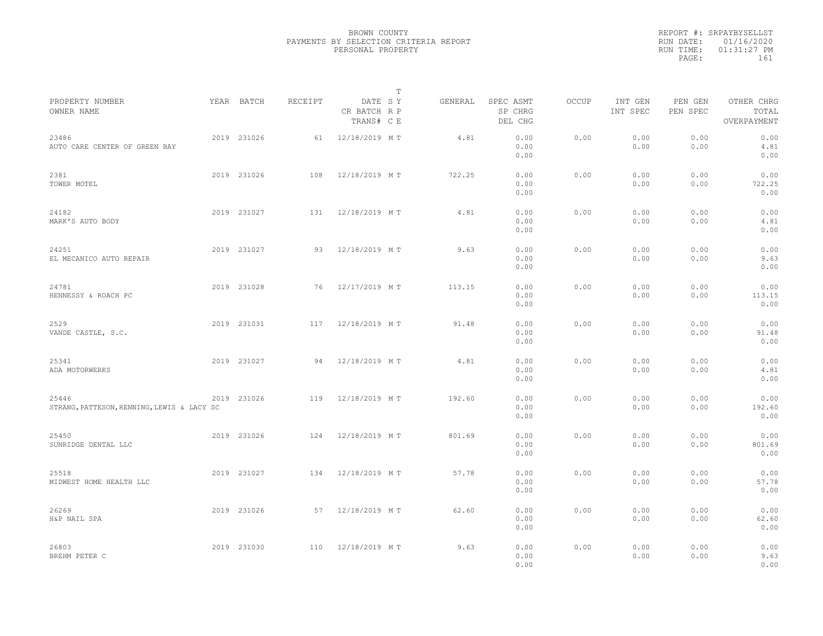|                                                     |             |         | $\mathbb T$                           |         |                                 |       |                     |                     |                                    |  |
|-----------------------------------------------------|-------------|---------|---------------------------------------|---------|---------------------------------|-------|---------------------|---------------------|------------------------------------|--|
| PROPERTY NUMBER<br>OWNER NAME                       | YEAR BATCH  | RECEIPT | DATE SY<br>CR BATCH R P<br>TRANS# C E | GENERAL | SPEC ASMT<br>SP CHRG<br>DEL CHG | OCCUP | INT GEN<br>INT SPEC | PEN GEN<br>PEN SPEC | OTHER CHRG<br>TOTAL<br>OVERPAYMENT |  |
| 23486<br>AUTO CARE CENTER OF GREEN BAY              | 2019 231026 | 61      | 12/18/2019 MT                         | 4.81    | 0.00<br>0.00<br>0.00            | 0.00  | 0.00<br>0.00        | 0.00<br>0.00        | 0.00<br>4.81<br>0.00               |  |
| 2381<br>TOWER MOTEL                                 | 2019 231026 | 108     | 12/18/2019 MT                         | 722.25  | 0.00<br>0.00<br>0.00            | 0.00  | 0.00<br>0.00        | 0.00<br>0.00        | 0.00<br>722.25<br>0.00             |  |
| 24182<br>MARK'S AUTO BODY                           | 2019 231027 | 131     | 12/18/2019 MT                         | 4.81    | 0.00<br>0.00<br>0.00            | 0.00  | 0.00<br>0.00        | 0.00<br>0.00        | 0.00<br>4.81<br>0.00               |  |
| 24251<br>EL MECANICO AUTO REPAIR                    | 2019 231027 | 93      | 12/18/2019 MT                         | 9.63    | 0.00<br>0.00<br>0.00            | 0.00  | 0.00<br>0.00        | 0.00<br>0.00        | 0.00<br>9.63<br>0.00               |  |
| 24781<br>HENNESSY & ROACH PC                        | 2019 231028 | 76      | 12/17/2019 MT                         | 113.15  | 0.00<br>0.00<br>0.00            | 0.00  | 0.00<br>0.00        | 0.00<br>0.00        | 0.00<br>113.15<br>0.00             |  |
| 2529<br>VANDE CASTLE, S.C.                          | 2019 231031 | 117     | 12/18/2019 MT                         | 91.48   | 0.00<br>0.00<br>0.00            | 0.00  | 0.00<br>0.00        | 0.00<br>0.00        | 0.00<br>91.48<br>0.00              |  |
| 25341<br>ADA MOTORWERKS                             | 2019 231027 | 94      | 12/18/2019 MT                         | 4.81    | 0.00<br>0.00<br>0.00            | 0.00  | 0.00<br>0.00        | 0.00<br>0.00        | 0.00<br>4.81<br>0.00               |  |
| 25446<br>STRANG, PATTESON, RENNING, LEWIS & LACY SC | 2019 231026 | 119     | 12/18/2019 MT                         | 192.60  | 0.00<br>0.00<br>0.00            | 0.00  | 0.00<br>0.00        | 0.00<br>0.00        | 0.00<br>192.60<br>0.00             |  |
| 25450<br>SUNRIDGE DENTAL LLC                        | 2019 231026 | 124     | 12/18/2019 MT                         | 801.69  | 0.00<br>0.00<br>0.00            | 0.00  | 0.00<br>0.00        | 0.00<br>0.00        | 0.00<br>801.69<br>0.00             |  |
| 25518<br>MIDWEST HOME HEALTH LLC                    | 2019 231027 | 134     | 12/18/2019 MT                         | 57.78   | 0.00<br>0.00<br>0.00            | 0.00  | 0.00<br>0.00        | 0.00<br>0.00        | 0.00<br>57.78<br>0.00              |  |
| 26269<br>H&P NAIL SPA                               | 2019 231026 | 57      | 12/18/2019 MT                         | 62.60   | 0.00<br>0.00<br>0.00            | 0.00  | 0.00<br>0.00        | 0.00<br>0.00        | 0.00<br>62.60<br>0.00              |  |
| 26803<br>BREHM PETER C                              | 2019 231030 | 110     | 12/18/2019 MT                         | 9.63    | 0.00<br>0.00<br>0.00            | 0.00  | 0.00<br>0.00        | 0.00<br>0.00        | 0.00<br>9.63<br>0.00               |  |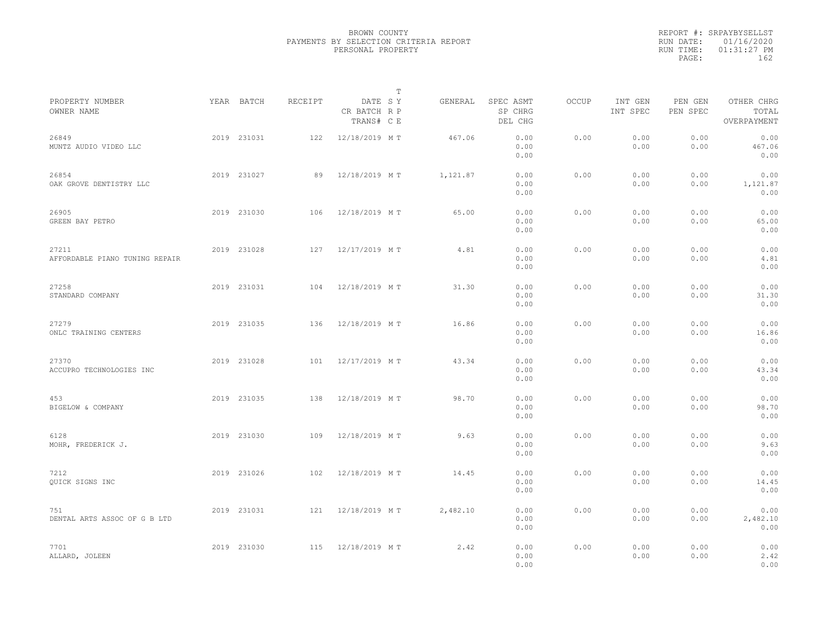|                                         |             |         | $\mathbb{T}$                          |          |                                 |              |                     |                     |                                    |  |
|-----------------------------------------|-------------|---------|---------------------------------------|----------|---------------------------------|--------------|---------------------|---------------------|------------------------------------|--|
| PROPERTY NUMBER<br>OWNER NAME           | YEAR BATCH  | RECEIPT | DATE SY<br>CR BATCH R P<br>TRANS# C E | GENERAL  | SPEC ASMT<br>SP CHRG<br>DEL CHG | <b>OCCUP</b> | INT GEN<br>INT SPEC | PEN GEN<br>PEN SPEC | OTHER CHRG<br>TOTAL<br>OVERPAYMENT |  |
| 26849<br>MUNTZ AUDIO VIDEO LLC          | 2019 231031 | 122     | 12/18/2019 MT                         | 467.06   | 0.00<br>0.00<br>0.00            | 0.00         | 0.00<br>0.00        | 0.00<br>0.00        | 0.00<br>467.06<br>0.00             |  |
| 26854<br>OAK GROVE DENTISTRY LLC        | 2019 231027 | 89      | 12/18/2019 MT                         | 1,121.87 | 0.00<br>0.00<br>0.00            | 0.00         | 0.00<br>0.00        | 0.00<br>0.00        | 0.00<br>1,121.87<br>0.00           |  |
| 26905<br>GREEN BAY PETRO                | 2019 231030 | 106     | 12/18/2019 MT                         | 65.00    | 0.00<br>0.00<br>0.00            | 0.00         | 0.00<br>0.00        | 0.00<br>0.00        | 0.00<br>65.00<br>0.00              |  |
| 27211<br>AFFORDABLE PIANO TUNING REPAIR | 2019 231028 | 127     | 12/17/2019 MT                         | 4.81     | 0.00<br>0.00<br>0.00            | 0.00         | 0.00<br>0.00        | 0.00<br>0.00        | 0.00<br>4.81<br>0.00               |  |
| 27258<br>STANDARD COMPANY               | 2019 231031 | 104     | 12/18/2019 MT                         | 31.30    | 0.00<br>0.00<br>0.00            | 0.00         | 0.00<br>0.00        | 0.00<br>0.00        | 0.00<br>31.30<br>0.00              |  |
| 27279<br>ONLC TRAINING CENTERS          | 2019 231035 | 136     | 12/18/2019 MT                         | 16.86    | 0.00<br>0.00<br>0.00            | 0.00         | 0.00<br>0.00        | 0.00<br>0.00        | 0.00<br>16.86<br>0.00              |  |
| 27370<br>ACCUPRO TECHNOLOGIES INC       | 2019 231028 | 101     | 12/17/2019 MT                         | 43.34    | 0.00<br>0.00<br>0.00            | 0.00         | 0.00<br>0.00        | 0.00<br>0.00        | 0.00<br>43.34<br>0.00              |  |
| 453<br>BIGELOW & COMPANY                | 2019 231035 | 138     | 12/18/2019 MT                         | 98.70    | 0.00<br>0.00<br>0.00            | 0.00         | 0.00<br>0.00        | 0.00<br>0.00        | 0.00<br>98.70<br>0.00              |  |
| 6128<br>MOHR, FREDERICK J.              | 2019 231030 | 109     | 12/18/2019 MT                         | 9.63     | 0.00<br>0.00<br>0.00            | 0.00         | 0.00<br>0.00        | 0.00<br>0.00        | 0.00<br>9.63<br>0.00               |  |
| 7212<br>QUICK SIGNS INC                 | 2019 231026 | 102     | 12/18/2019 MT                         | 14.45    | 0.00<br>0.00<br>0.00            | 0.00         | 0.00<br>0.00        | 0.00<br>0.00        | 0.00<br>14.45<br>0.00              |  |
| 751<br>DENTAL ARTS ASSOC OF G B LTD     | 2019 231031 | 121     | 12/18/2019 MT                         | 2,482.10 | 0.00<br>0.00<br>0.00            | 0.00         | 0.00<br>0.00        | 0.00<br>0.00        | 0.00<br>2,482.10<br>0.00           |  |
| 7701<br>ALLARD, JOLEEN                  | 2019 231030 | 115     | 12/18/2019 MT                         | 2.42     | 0.00<br>0.00<br>0.00            | 0.00         | 0.00<br>0.00        | 0.00<br>0.00        | 0.00<br>2.42<br>0.00               |  |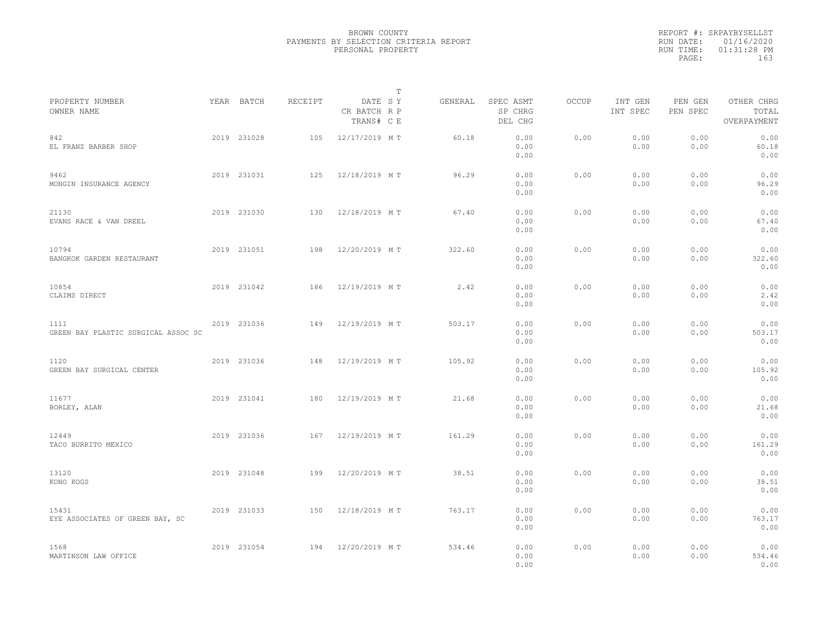|                                             |             |         |                                       | $\mathbb T$ |         |                                 |              |                     |                     |                                    |  |
|---------------------------------------------|-------------|---------|---------------------------------------|-------------|---------|---------------------------------|--------------|---------------------|---------------------|------------------------------------|--|
| PROPERTY NUMBER<br>OWNER NAME               | YEAR BATCH  | RECEIPT | DATE SY<br>CR BATCH R P<br>TRANS# C E |             | GENERAL | SPEC ASMT<br>SP CHRG<br>DEL CHG | <b>OCCUP</b> | INT GEN<br>INT SPEC | PEN GEN<br>PEN SPEC | OTHER CHRG<br>TOTAL<br>OVERPAYMENT |  |
| 842<br>EL FRANZ BARBER SHOP                 | 2019 231028 | 105     | 12/17/2019 MT                         |             | 60.18   | 0.00<br>0.00<br>0.00            | 0.00         | 0.00<br>0.00        | 0.00<br>0.00        | 0.00<br>60.18<br>0.00              |  |
| 9462<br>MONGIN INSURANCE AGENCY             | 2019 231031 | 125     | 12/18/2019 MT                         |             | 96.29   | 0.00<br>0.00<br>0.00            | 0.00         | 0.00<br>0.00        | 0.00<br>0.00        | 0.00<br>96.29<br>0.00              |  |
| 21130<br>EVANS RACE & VAN DREEL             | 2019 231030 | 130     | 12/18/2019 MT                         |             | 67.40   | 0.00<br>0.00<br>0.00            | 0.00         | 0.00<br>0.00        | 0.00<br>0.00        | 0.00<br>67.40<br>0.00              |  |
| 10794<br>BANGKOK GARDEN RESTAURANT          | 2019 231051 | 198     | 12/20/2019 MT                         |             | 322.60  | 0.00<br>0.00<br>0.00            | 0.00         | 0.00<br>0.00        | 0.00<br>0.00        | 0.00<br>322.60<br>0.00             |  |
| 10854<br>CLAIMS DIRECT                      | 2019 231042 | 186     | 12/19/2019 MT                         |             | 2.42    | 0.00<br>0.00<br>0.00            | 0.00         | 0.00<br>0.00        | 0.00<br>0.00        | 0.00<br>2.42<br>0.00               |  |
| 1111<br>GREEN BAY PLASTIC SURGICAL ASSOC SC | 2019 231036 | 149     | 12/19/2019 MT                         |             | 503.17  | 0.00<br>0.00<br>0.00            | 0.00         | 0.00<br>0.00        | 0.00<br>0.00        | 0.00<br>503.17<br>0.00             |  |
| 1120<br>GREEN BAY SURGICAL CENTER           | 2019 231036 | 148     | 12/19/2019 MT                         |             | 105.92  | 0.00<br>0.00<br>0.00            | 0.00         | 0.00<br>0.00        | 0.00<br>0.00        | 0.00<br>105.92<br>0.00             |  |
| 11677<br>BORLEY, ALAN                       | 2019 231041 | 180     | 12/19/2019 MT                         |             | 21.68   | 0.00<br>0.00<br>0.00            | 0.00         | 0.00<br>0.00        | 0.00<br>0.00        | 0.00<br>21.68<br>0.00              |  |
| 12449<br>TACO BURRITO MEXICO                | 2019 231036 | 167     | 12/19/2019 MT                         |             | 161.29  | 0.00<br>0.00<br>0.00            | 0.00         | 0.00<br>0.00        | 0.00<br>0.00        | 0.00<br>161.29<br>0.00             |  |
| 13120<br>KONO KOGS                          | 2019 231048 | 199     | 12/20/2019 MT                         |             | 38.51   | 0.00<br>0.00<br>0.00            | 0.00         | 0.00<br>0.00        | 0.00<br>0.00        | 0.00<br>38.51<br>0.00              |  |
| 15431<br>EYE ASSOCIATES OF GREEN BAY, SC    | 2019 231033 | 150     | 12/18/2019 MT                         |             | 763.17  | 0.00<br>0.00<br>0.00            | 0.00         | 0.00<br>0.00        | 0.00<br>0.00        | 0.00<br>763.17<br>0.00             |  |
| 1568<br>MARTINSON LAW OFFICE                | 2019 231054 | 194     | 12/20/2019 MT                         |             | 534.46  | 0.00<br>0.00<br>0.00            | 0.00         | 0.00<br>0.00        | 0.00<br>0.00        | 0.00<br>534.46<br>0.00             |  |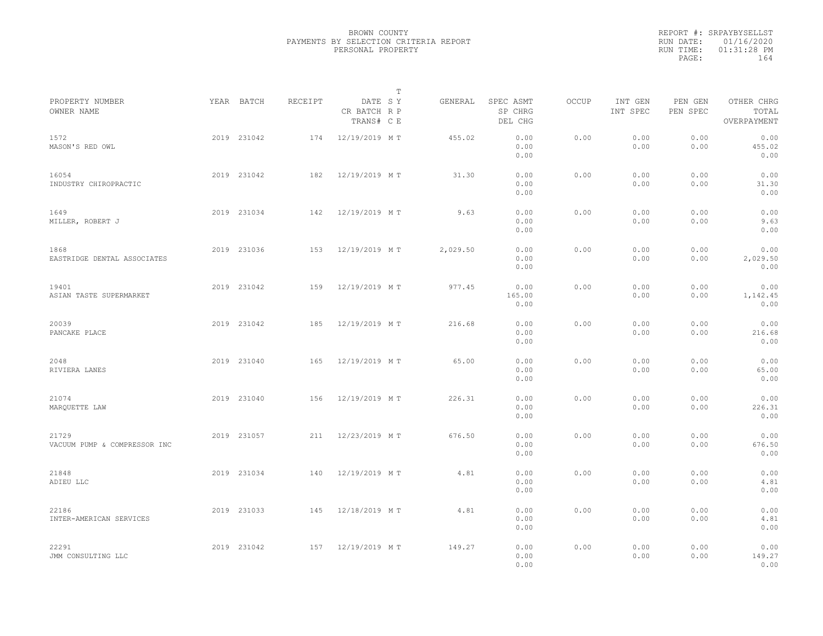|                                       |             |         | $\mathbb{T}$                          |          |                                 |              |                     |                     |                                    |
|---------------------------------------|-------------|---------|---------------------------------------|----------|---------------------------------|--------------|---------------------|---------------------|------------------------------------|
| PROPERTY NUMBER<br>OWNER NAME         | YEAR BATCH  | RECEIPT | DATE SY<br>CR BATCH R P<br>TRANS# C E | GENERAL  | SPEC ASMT<br>SP CHRG<br>DEL CHG | <b>OCCUP</b> | INT GEN<br>INT SPEC | PEN GEN<br>PEN SPEC | OTHER CHRG<br>TOTAL<br>OVERPAYMENT |
| 1572<br>MASON'S RED OWL               | 2019 231042 | 174     | 12/19/2019 MT                         | 455.02   | 0.00<br>0.00<br>0.00            | 0.00         | 0.00<br>0.00        | 0.00<br>0.00        | 0.00<br>455.02<br>0.00             |
| 16054<br>INDUSTRY CHIROPRACTIC        | 2019 231042 | 182     | 12/19/2019 MT                         | 31.30    | 0.00<br>0.00<br>0.00            | 0.00         | 0.00<br>0.00        | 0.00<br>0.00        | 0.00<br>31.30<br>0.00              |
| 1649<br>MILLER, ROBERT J              | 2019 231034 | 142     | 12/19/2019 MT                         | 9.63     | 0.00<br>0.00<br>0.00            | 0.00         | 0.00<br>0.00        | 0.00<br>0.00        | 0.00<br>9.63<br>0.00               |
| 1868<br>EASTRIDGE DENTAL ASSOCIATES   | 2019 231036 | 153     | 12/19/2019 MT                         | 2,029.50 | 0.00<br>0.00<br>0.00            | 0.00         | 0.00<br>0.00        | 0.00<br>0.00        | 0.00<br>2,029.50<br>0.00           |
| 19401<br>ASIAN TASTE SUPERMARKET      | 2019 231042 | 159     | 12/19/2019 MT                         | 977.45   | 0.00<br>165.00<br>0.00          | 0.00         | 0.00<br>0.00        | 0.00<br>0.00        | 0.00<br>1,142.45<br>0.00           |
| 20039<br>PANCAKE PLACE                | 2019 231042 | 185     | 12/19/2019 MT                         | 216.68   | 0.00<br>0.00<br>0.00            | 0.00         | 0.00<br>0.00        | 0.00<br>0.00        | 0.00<br>216.68<br>0.00             |
| 2048<br>RIVIERA LANES                 | 2019 231040 | 165     | 12/19/2019 MT                         | 65.00    | 0.00<br>0.00<br>0.00            | 0.00         | 0.00<br>0.00        | 0.00<br>0.00        | 0.00<br>65.00<br>0.00              |
| 21074<br>MARQUETTE LAW                | 2019 231040 | 156     | 12/19/2019 MT                         | 226.31   | 0.00<br>0.00<br>0.00            | 0.00         | 0.00<br>0.00        | 0.00<br>0.00        | 0.00<br>226.31<br>0.00             |
| 21729<br>VACUUM PUMP & COMPRESSOR INC | 2019 231057 | 211     | 12/23/2019 MT                         | 676.50   | 0.00<br>0.00<br>0.00            | 0.00         | 0.00<br>0.00        | 0.00<br>0.00        | 0.00<br>676.50<br>0.00             |
| 21848<br>ADIEU LLC                    | 2019 231034 | 140     | 12/19/2019 MT                         | 4.81     | 0.00<br>0.00<br>0.00            | 0.00         | 0.00<br>0.00        | 0.00<br>0.00        | 0.00<br>4.81<br>0.00               |
| 22186<br>INTER-AMERICAN SERVICES      | 2019 231033 | 145     | 12/18/2019 MT                         | 4.81     | 0.00<br>0.00<br>0.00            | 0.00         | 0.00<br>0.00        | 0.00<br>0.00        | 0.00<br>4.81<br>0.00               |
| 22291<br>JMM CONSULTING LLC           | 2019 231042 | 157     | 12/19/2019 MT                         | 149.27   | 0.00<br>0.00<br>0.00            | 0.00         | 0.00<br>0.00        | 0.00<br>0.00        | 0.00<br>149.27<br>0.00             |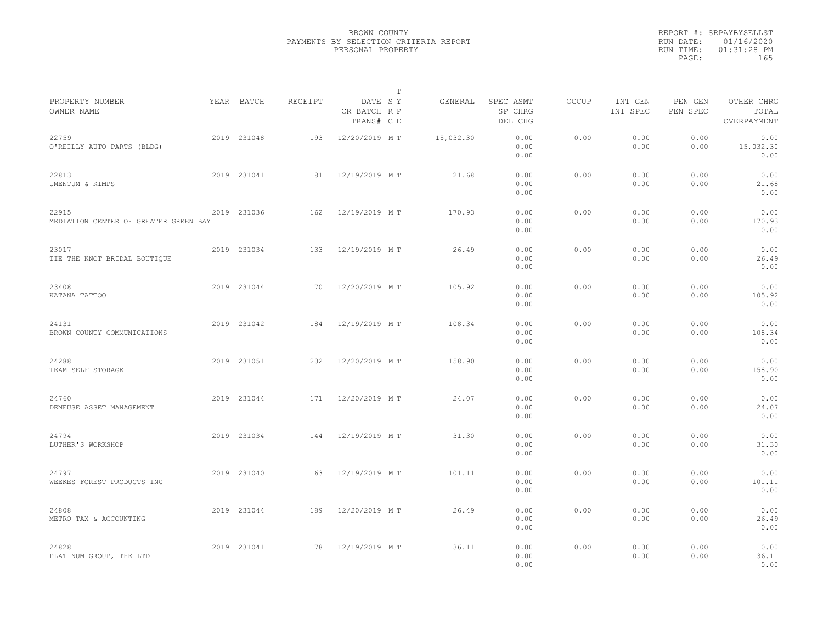|                                                |             |         | $\mathbb{T}$                          |           |                                 |              |                     |                     |                                    |  |
|------------------------------------------------|-------------|---------|---------------------------------------|-----------|---------------------------------|--------------|---------------------|---------------------|------------------------------------|--|
| PROPERTY NUMBER<br>OWNER NAME                  | YEAR BATCH  | RECEIPT | DATE SY<br>CR BATCH R P<br>TRANS# C E | GENERAL   | SPEC ASMT<br>SP CHRG<br>DEL CHG | <b>OCCUP</b> | INT GEN<br>INT SPEC | PEN GEN<br>PEN SPEC | OTHER CHRG<br>TOTAL<br>OVERPAYMENT |  |
| 22759<br>O'REILLY AUTO PARTS (BLDG)            | 2019 231048 | 193     | 12/20/2019 MT                         | 15,032.30 | 0.00<br>0.00<br>0.00            | 0.00         | 0.00<br>0.00        | 0.00<br>0.00        | 0.00<br>15,032.30<br>0.00          |  |
| 22813<br>UMENTUM & KIMPS                       | 2019 231041 | 181     | 12/19/2019 MT                         | 21.68     | 0.00<br>0.00<br>0.00            | 0.00         | 0.00<br>0.00        | 0.00<br>0.00        | 0.00<br>21.68<br>0.00              |  |
| 22915<br>MEDIATION CENTER OF GREATER GREEN BAY | 2019 231036 | 162     | 12/19/2019 MT                         | 170.93    | 0.00<br>0.00<br>0.00            | 0.00         | 0.00<br>0.00        | 0.00<br>0.00        | 0.00<br>170.93<br>0.00             |  |
| 23017<br>TIE THE KNOT BRIDAL BOUTIQUE          | 2019 231034 | 133     | 12/19/2019 MT                         | 26.49     | 0.00<br>0.00<br>0.00            | 0.00         | 0.00<br>0.00        | 0.00<br>0.00        | 0.00<br>26.49<br>0.00              |  |
| 23408<br>KATANA TATTOO                         | 2019 231044 | 170     | 12/20/2019 MT                         | 105.92    | 0.00<br>0.00<br>0.00            | 0.00         | 0.00<br>0.00        | 0.00<br>0.00        | 0.00<br>105.92<br>0.00             |  |
| 24131<br>BROWN COUNTY COMMUNICATIONS           | 2019 231042 | 184     | 12/19/2019 MT                         | 108.34    | 0.00<br>0.00<br>0.00            | 0.00         | 0.00<br>0.00        | 0.00<br>0.00        | 0.00<br>108.34<br>0.00             |  |
| 24288<br>TEAM SELF STORAGE                     | 2019 231051 | 202     | 12/20/2019 MT                         | 158.90    | 0.00<br>0.00<br>0.00            | 0.00         | 0.00<br>0.00        | 0.00<br>0.00        | 0.00<br>158.90<br>0.00             |  |
| 24760<br>DEMEUSE ASSET MANAGEMENT              | 2019 231044 | 171     | 12/20/2019 MT                         | 24.07     | 0.00<br>0.00<br>0.00            | 0.00         | 0.00<br>0.00        | 0.00<br>0.00        | 0.00<br>24.07<br>0.00              |  |
| 24794<br>LUTHER'S WORKSHOP                     | 2019 231034 | 144     | 12/19/2019 MT                         | 31.30     | 0.00<br>0.00<br>0.00            | 0.00         | 0.00<br>0.00        | 0.00<br>0.00        | 0.00<br>31.30<br>0.00              |  |
| 24797<br>WEEKES FOREST PRODUCTS INC            | 2019 231040 | 163     | 12/19/2019 MT                         | 101.11    | 0.00<br>0.00<br>0.00            | 0.00         | 0.00<br>0.00        | 0.00<br>0.00        | 0.00<br>101.11<br>0.00             |  |
| 24808<br>METRO TAX & ACCOUNTING                | 2019 231044 | 189     | 12/20/2019 MT                         | 26.49     | 0.00<br>0.00<br>0.00            | 0.00         | 0.00<br>0.00        | 0.00<br>0.00        | 0.00<br>26.49<br>0.00              |  |
| 24828<br>PLATINUM GROUP, THE LTD               | 2019 231041 | 178     | 12/19/2019 MT                         | 36.11     | 0.00<br>0.00<br>0.00            | 0.00         | 0.00<br>0.00        | 0.00<br>0.00        | 0.00<br>36.11<br>0.00              |  |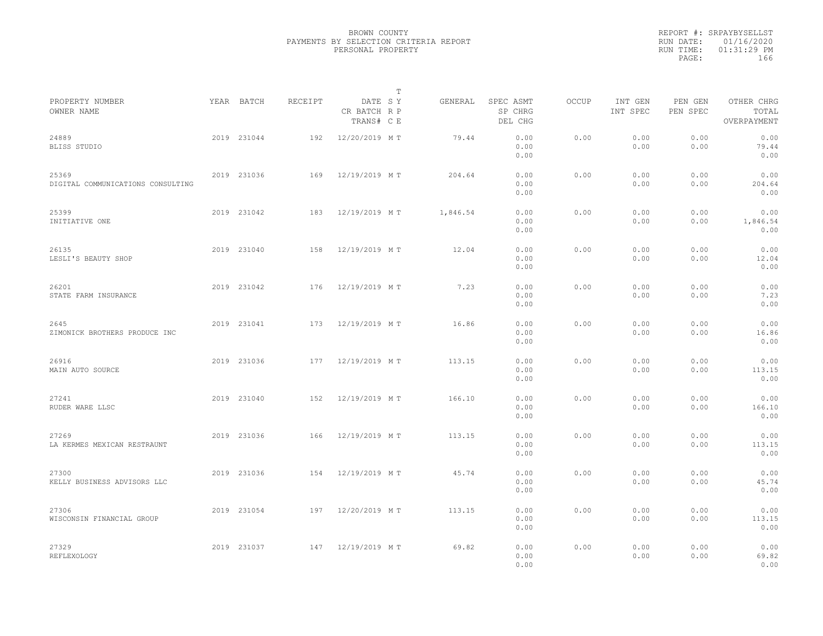|                                            |             |         | $\mathbb{T}$                          |          |                                 |              |                     |                     |                                    |
|--------------------------------------------|-------------|---------|---------------------------------------|----------|---------------------------------|--------------|---------------------|---------------------|------------------------------------|
| PROPERTY NUMBER<br>OWNER NAME              | YEAR BATCH  | RECEIPT | DATE SY<br>CR BATCH R P<br>TRANS# C E | GENERAL  | SPEC ASMT<br>SP CHRG<br>DEL CHG | <b>OCCUP</b> | INT GEN<br>INT SPEC | PEN GEN<br>PEN SPEC | OTHER CHRG<br>TOTAL<br>OVERPAYMENT |
| 24889<br>BLISS STUDIO                      | 2019 231044 | 192     | 12/20/2019 MT                         | 79.44    | 0.00<br>0.00<br>0.00            | 0.00         | 0.00<br>0.00        | 0.00<br>0.00        | 0.00<br>79.44<br>0.00              |
| 25369<br>DIGITAL COMMUNICATIONS CONSULTING | 2019 231036 | 169     | 12/19/2019 MT                         | 204.64   | 0.00<br>0.00<br>0.00            | 0.00         | 0.00<br>0.00        | 0.00<br>0.00        | 0.00<br>204.64<br>0.00             |
| 25399<br>INITIATIVE ONE                    | 2019 231042 | 183     | 12/19/2019 MT                         | 1,846.54 | 0.00<br>0.00<br>0.00            | 0.00         | 0.00<br>0.00        | 0.00<br>0.00        | 0.00<br>1,846.54<br>0.00           |
| 26135<br>LESLI'S BEAUTY SHOP               | 2019 231040 | 158     | 12/19/2019 MT                         | 12.04    | 0.00<br>0.00<br>0.00            | 0.00         | 0.00<br>0.00        | 0.00<br>0.00        | 0.00<br>12.04<br>0.00              |
| 26201<br>STATE FARM INSURANCE              | 2019 231042 | 176     | 12/19/2019 MT                         | 7.23     | 0.00<br>0.00<br>0.00            | 0.00         | 0.00<br>0.00        | 0.00<br>0.00        | 0.00<br>7.23<br>0.00               |
| 2645<br>ZIMONICK BROTHERS PRODUCE INC      | 2019 231041 | 173     | 12/19/2019 MT                         | 16.86    | 0.00<br>0.00<br>0.00            | 0.00         | 0.00<br>0.00        | 0.00<br>0.00        | 0.00<br>16.86<br>0.00              |
| 26916<br>MAIN AUTO SOURCE                  | 2019 231036 | 177     | 12/19/2019 MT                         | 113.15   | 0.00<br>0.00<br>0.00            | 0.00         | 0.00<br>0.00        | 0.00<br>0.00        | 0.00<br>113.15<br>0.00             |
| 27241<br>RUDER WARE LLSC                   | 2019 231040 | 152     | 12/19/2019 MT                         | 166.10   | 0.00<br>0.00<br>0.00            | 0.00         | 0.00<br>0.00        | 0.00<br>0.00        | 0.00<br>166.10<br>0.00             |
| 27269<br>LA KERMES MEXICAN RESTRAUNT       | 2019 231036 | 166     | 12/19/2019 MT                         | 113.15   | 0.00<br>0.00<br>0.00            | 0.00         | 0.00<br>0.00        | 0.00<br>0.00        | 0.00<br>113.15<br>0.00             |
| 27300<br>KELLY BUSINESS ADVISORS LLC       | 2019 231036 | 154     | 12/19/2019 MT                         | 45.74    | 0.00<br>0.00<br>0.00            | 0.00         | 0.00<br>0.00        | 0.00<br>0.00        | 0.00<br>45.74<br>0.00              |
| 27306<br>WISCONSIN FINANCIAL GROUP         | 2019 231054 | 197     | 12/20/2019 MT                         | 113.15   | 0.00<br>0.00<br>0.00            | 0.00         | 0.00<br>0.00        | 0.00<br>0.00        | 0.00<br>113.15<br>0.00             |
| 27329<br>REFLEXOLOGY                       | 2019 231037 | 147     | 12/19/2019 MT                         | 69.82    | 0.00<br>0.00<br>0.00            | 0.00         | 0.00<br>0.00        | 0.00<br>0.00        | 0.00<br>69.82<br>0.00              |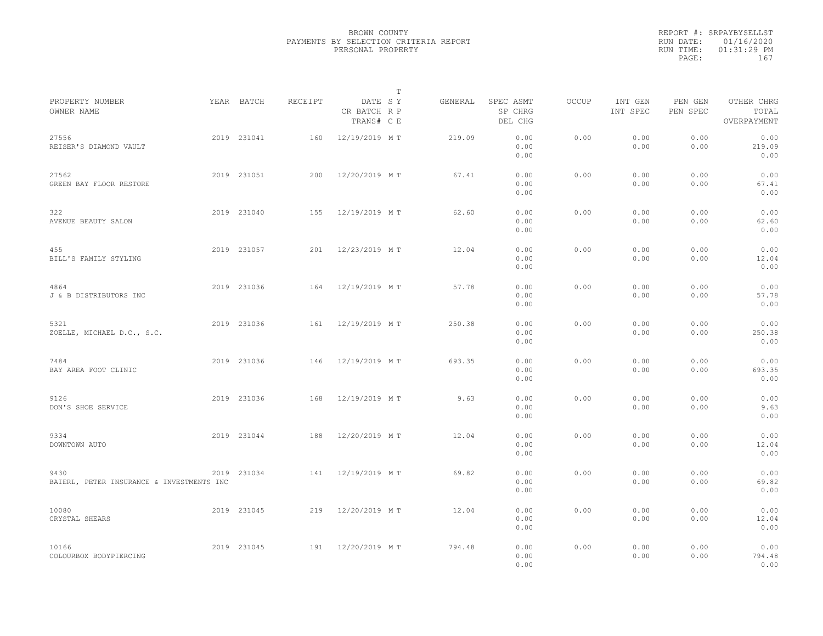|                                                   |             |         |                                       | $\mathbb T$ |         |                                 |              |                     |                     |                                    |  |
|---------------------------------------------------|-------------|---------|---------------------------------------|-------------|---------|---------------------------------|--------------|---------------------|---------------------|------------------------------------|--|
| PROPERTY NUMBER<br>OWNER NAME                     | YEAR BATCH  | RECEIPT | DATE SY<br>CR BATCH R P<br>TRANS# C E |             | GENERAL | SPEC ASMT<br>SP CHRG<br>DEL CHG | <b>OCCUP</b> | INT GEN<br>INT SPEC | PEN GEN<br>PEN SPEC | OTHER CHRG<br>TOTAL<br>OVERPAYMENT |  |
| 27556<br>REISER'S DIAMOND VAULT                   | 2019 231041 | 160     | 12/19/2019 MT                         |             | 219.09  | 0.00<br>0.00<br>0.00            | 0.00         | 0.00<br>0.00        | 0.00<br>0.00        | 0.00<br>219.09<br>0.00             |  |
| 27562<br>GREEN BAY FLOOR RESTORE                  | 2019 231051 | 200     | 12/20/2019 MT                         |             | 67.41   | 0.00<br>0.00<br>0.00            | 0.00         | 0.00<br>0.00        | 0.00<br>0.00        | 0.00<br>67.41<br>0.00              |  |
| 322<br>AVENUE BEAUTY SALON                        | 2019 231040 | 155     | 12/19/2019 MT                         |             | 62.60   | 0.00<br>0.00<br>0.00            | 0.00         | 0.00<br>0.00        | 0.00<br>0.00        | 0.00<br>62.60<br>0.00              |  |
| 455<br>BILL'S FAMILY STYLING                      | 2019 231057 | 201     | 12/23/2019 MT                         |             | 12.04   | 0.00<br>0.00<br>0.00            | 0.00         | 0.00<br>0.00        | 0.00<br>0.00        | 0.00<br>12.04<br>0.00              |  |
| 4864<br>J & B DISTRIBUTORS INC                    | 2019 231036 | 164     | 12/19/2019 MT                         |             | 57.78   | 0.00<br>0.00<br>0.00            | 0.00         | 0.00<br>0.00        | 0.00<br>0.00        | 0.00<br>57.78<br>0.00              |  |
| 5321<br>ZOELLE, MICHAEL D.C., S.C.                | 2019 231036 | 161     | 12/19/2019 MT                         |             | 250.38  | 0.00<br>0.00<br>0.00            | 0.00         | 0.00<br>0.00        | 0.00<br>0.00        | 0.00<br>250.38<br>0.00             |  |
| 7484<br>BAY AREA FOOT CLINIC                      | 2019 231036 | 146     | 12/19/2019 MT                         |             | 693.35  | 0.00<br>0.00<br>0.00            | 0.00         | 0.00<br>0.00        | 0.00<br>0.00        | 0.00<br>693.35<br>0.00             |  |
| 9126<br>DON'S SHOE SERVICE                        | 2019 231036 | 168     | 12/19/2019 MT                         |             | 9.63    | 0.00<br>0.00<br>0.00            | 0.00         | 0.00<br>0.00        | 0.00<br>0.00        | 0.00<br>9.63<br>0.00               |  |
| 9334<br>DOWNTOWN AUTO                             | 2019 231044 | 188     | 12/20/2019 MT                         |             | 12.04   | 0.00<br>0.00<br>0.00            | 0.00         | 0.00<br>0.00        | 0.00<br>0.00        | 0.00<br>12.04<br>0.00              |  |
| 9430<br>BAIERL, PETER INSURANCE & INVESTMENTS INC | 2019 231034 | 141     | 12/19/2019 MT                         |             | 69.82   | 0.00<br>0.00<br>0.00            | 0.00         | 0.00<br>0.00        | 0.00<br>0.00        | 0.00<br>69.82<br>0.00              |  |
| 10080<br>CRYSTAL SHEARS                           | 2019 231045 | 219     | 12/20/2019 MT                         |             | 12.04   | 0.00<br>0.00<br>0.00            | 0.00         | 0.00<br>0.00        | 0.00<br>0.00        | 0.00<br>12.04<br>0.00              |  |
| 10166<br>COLOURBOX BODYPIERCING                   | 2019 231045 | 191     | 12/20/2019 MT                         |             | 794.48  | 0.00<br>0.00<br>0.00            | 0.00         | 0.00<br>0.00        | 0.00<br>0.00        | 0.00<br>794.48<br>0.00             |  |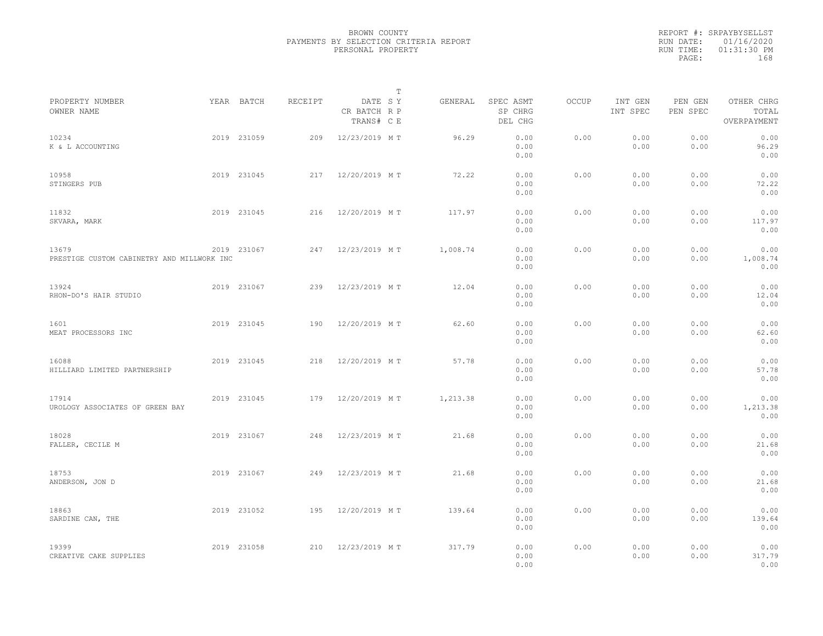|                                                     |             |         |                                       | $\mathbb{T}$ |                                 |       |                     |                     |                                    |  |
|-----------------------------------------------------|-------------|---------|---------------------------------------|--------------|---------------------------------|-------|---------------------|---------------------|------------------------------------|--|
| PROPERTY NUMBER<br>OWNER NAME                       | YEAR BATCH  | RECEIPT | DATE SY<br>CR BATCH R P<br>TRANS# C E | GENERAL      | SPEC ASMT<br>SP CHRG<br>DEL CHG | OCCUP | INT GEN<br>INT SPEC | PEN GEN<br>PEN SPEC | OTHER CHRG<br>TOTAL<br>OVERPAYMENT |  |
| 10234<br>K & L ACCOUNTING                           | 2019 231059 | 209     | 12/23/2019 MT                         | 96.29        | 0.00<br>0.00<br>0.00            | 0.00  | 0.00<br>0.00        | 0.00<br>0.00        | 0.00<br>96.29<br>0.00              |  |
| 10958<br>STINGERS PUB                               | 2019 231045 | 217     | 12/20/2019 MT                         | 72.22        | 0.00<br>0.00<br>0.00            | 0.00  | 0.00<br>0.00        | 0.00<br>0.00        | 0.00<br>72.22<br>0.00              |  |
| 11832<br>SKVARA, MARK                               | 2019 231045 | 216     | 12/20/2019 MT                         | 117.97       | 0.00<br>0.00<br>0.00            | 0.00  | 0.00<br>0.00        | 0.00<br>0.00        | 0.00<br>117.97<br>0.00             |  |
| 13679<br>PRESTIGE CUSTOM CABINETRY AND MILLWORK INC | 2019 231067 | 247     | 12/23/2019 MT                         | 1,008.74     | 0.00<br>0.00<br>0.00            | 0.00  | 0.00<br>0.00        | 0.00<br>0.00        | 0.00<br>1,008.74<br>0.00           |  |
| 13924<br>RHON-DO'S HAIR STUDIO                      | 2019 231067 | 239     | 12/23/2019 MT                         | 12.04        | 0.00<br>0.00<br>0.00            | 0.00  | 0.00<br>0.00        | 0.00<br>0.00        | 0.00<br>12.04<br>0.00              |  |
| 1601<br>MEAT PROCESSORS INC                         | 2019 231045 | 190     | 12/20/2019 MT                         | 62.60        | 0.00<br>0.00<br>0.00            | 0.00  | 0.00<br>0.00        | 0.00<br>0.00        | 0.00<br>62.60<br>0.00              |  |
| 16088<br>HILLIARD LIMITED PARTNERSHIP               | 2019 231045 | 218     | 12/20/2019 MT                         | 57.78        | 0.00<br>0.00<br>0.00            | 0.00  | 0.00<br>0.00        | 0.00<br>0.00        | 0.00<br>57.78<br>0.00              |  |
| 17914<br>UROLOGY ASSOCIATES OF GREEN BAY            | 2019 231045 | 179     | 12/20/2019 MT                         | 1,213.38     | 0.00<br>0.00<br>0.00            | 0.00  | 0.00<br>0.00        | 0.00<br>0.00        | 0.00<br>1,213.38<br>0.00           |  |
| 18028<br>FALLER, CECILE M                           | 2019 231067 | 248     | 12/23/2019 MT                         | 21.68        | 0.00<br>0.00<br>0.00            | 0.00  | 0.00<br>0.00        | 0.00<br>0.00        | 0.00<br>21.68<br>0.00              |  |
| 18753<br>ANDERSON, JON D                            | 2019 231067 | 249     | 12/23/2019 MT                         | 21.68        | 0.00<br>0.00<br>0.00            | 0.00  | 0.00<br>0.00        | 0.00<br>0.00        | 0.00<br>21.68<br>0.00              |  |
| 18863<br>SARDINE CAN, THE                           | 2019 231052 | 195     | 12/20/2019 MT                         | 139.64       | 0.00<br>0.00<br>0.00            | 0.00  | 0.00<br>0.00        | 0.00<br>0.00        | 0.00<br>139.64<br>0.00             |  |
| 19399<br>CREATIVE CAKE SUPPLIES                     | 2019 231058 | 210     | 12/23/2019 MT                         | 317.79       | 0.00<br>0.00<br>0.00            | 0.00  | 0.00<br>0.00        | 0.00<br>0.00        | 0.00<br>317.79<br>0.00             |  |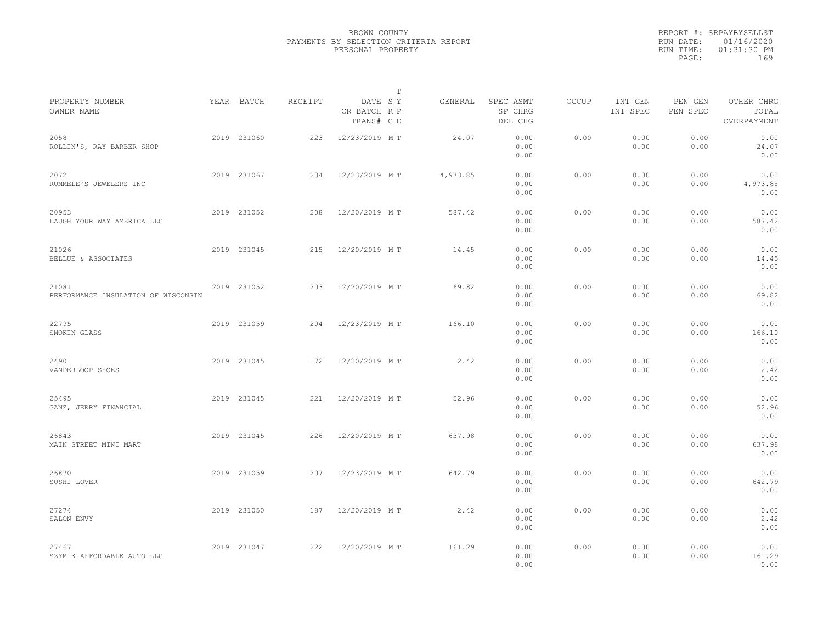|                                              |             |         |                                       | T |          |                                 |              |                     |                     |                                    |  |
|----------------------------------------------|-------------|---------|---------------------------------------|---|----------|---------------------------------|--------------|---------------------|---------------------|------------------------------------|--|
| PROPERTY NUMBER<br>OWNER NAME                | YEAR BATCH  | RECEIPT | DATE SY<br>CR BATCH R P<br>TRANS# C E |   | GENERAL  | SPEC ASMT<br>SP CHRG<br>DEL CHG | <b>OCCUP</b> | INT GEN<br>INT SPEC | PEN GEN<br>PEN SPEC | OTHER CHRG<br>TOTAL<br>OVERPAYMENT |  |
| 2058<br>ROLLIN'S, RAY BARBER SHOP            | 2019 231060 | 223     | 12/23/2019 MT                         |   | 24.07    | 0.00<br>0.00<br>0.00            | 0.00         | 0.00<br>0.00        | 0.00<br>0.00        | 0.00<br>24.07<br>0.00              |  |
| 2072<br>RUMMELE'S JEWELERS INC               | 2019 231067 | 234     | 12/23/2019 MT                         |   | 4,973.85 | 0.00<br>0.00<br>0.00            | 0.00         | 0.00<br>0.00        | 0.00<br>0.00        | 0.00<br>4,973.85<br>0.00           |  |
| 20953<br>LAUGH YOUR WAY AMERICA LLC          | 2019 231052 | 208     | 12/20/2019 MT                         |   | 587.42   | 0.00<br>0.00<br>0.00            | 0.00         | 0.00<br>0.00        | 0.00<br>0.00        | 0.00<br>587.42<br>0.00             |  |
| 21026<br>BELLUE & ASSOCIATES                 | 2019 231045 | 215     | 12/20/2019 MT                         |   | 14.45    | 0.00<br>0.00<br>0.00            | 0.00         | 0.00<br>0.00        | 0.00<br>0.00        | 0.00<br>14.45<br>0.00              |  |
| 21081<br>PERFORMANCE INSULATION OF WISCONSIN | 2019 231052 | 203     | 12/20/2019 MT                         |   | 69.82    | 0.00<br>0.00<br>0.00            | 0.00         | 0.00<br>0.00        | 0.00<br>0.00        | 0.00<br>69.82<br>0.00              |  |
| 22795<br>SMOKIN GLASS                        | 2019 231059 | 204     | 12/23/2019 MT                         |   | 166.10   | 0.00<br>0.00<br>0.00            | 0.00         | 0.00<br>0.00        | 0.00<br>0.00        | 0.00<br>166.10<br>0.00             |  |
| 2490<br>VANDERLOOP SHOES                     | 2019 231045 | 172     | 12/20/2019 MT                         |   | 2.42     | 0.00<br>0.00<br>0.00            | 0.00         | 0.00<br>0.00        | 0.00<br>0.00        | 0.00<br>2.42<br>0.00               |  |
| 25495<br>GANZ, JERRY FINANCIAL               | 2019 231045 | 221     | 12/20/2019 MT                         |   | 52.96    | 0.00<br>0.00<br>0.00            | 0.00         | 0.00<br>0.00        | 0.00<br>0.00        | 0.00<br>52.96<br>0.00              |  |
| 26843<br>MAIN STREET MINI MART               | 2019 231045 | 226     | 12/20/2019 MT                         |   | 637.98   | 0.00<br>0.00<br>0.00            | 0.00         | 0.00<br>0.00        | 0.00<br>0.00        | 0.00<br>637.98<br>0.00             |  |
| 26870<br>SUSHI LOVER                         | 2019 231059 | 207     | 12/23/2019 MT                         |   | 642.79   | 0.00<br>0.00<br>0.00            | 0.00         | 0.00<br>0.00        | 0.00<br>0.00        | 0.00<br>642.79<br>0.00             |  |
| 27274<br>SALON ENVY                          | 2019 231050 | 187     | 12/20/2019 MT                         |   | 2.42     | 0.00<br>0.00<br>0.00            | 0.00         | 0.00<br>0.00        | 0.00<br>0.00        | 0.00<br>2.42<br>0.00               |  |
| 27467<br>SZYMIK AFFORDABLE AUTO LLC          | 2019 231047 | 222     | 12/20/2019 MT                         |   | 161.29   | 0.00<br>0.00<br>0.00            | 0.00         | 0.00<br>0.00        | 0.00<br>0.00        | 0.00<br>161.29<br>0.00             |  |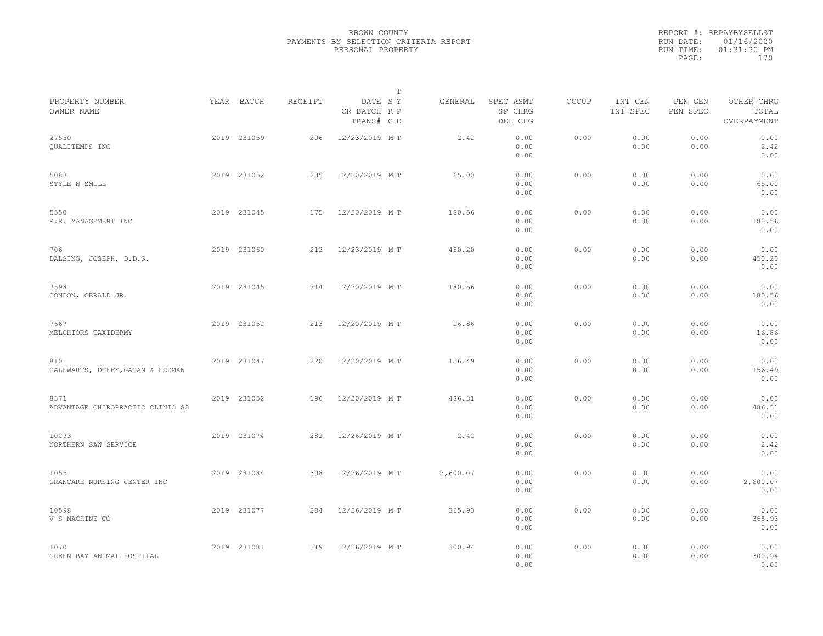|                                          |             |         |                                       | $\mathbb T$ |          |                                 |       |                     |                     |                                    |  |
|------------------------------------------|-------------|---------|---------------------------------------|-------------|----------|---------------------------------|-------|---------------------|---------------------|------------------------------------|--|
| PROPERTY NUMBER<br>OWNER NAME            | YEAR BATCH  | RECEIPT | DATE SY<br>CR BATCH R P<br>TRANS# C E |             | GENERAL  | SPEC ASMT<br>SP CHRG<br>DEL CHG | OCCUP | INT GEN<br>INT SPEC | PEN GEN<br>PEN SPEC | OTHER CHRG<br>TOTAL<br>OVERPAYMENT |  |
| 27550<br>QUALITEMPS INC                  | 2019 231059 | 206     | 12/23/2019 MT                         |             | 2.42     | 0.00<br>0.00<br>0.00            | 0.00  | 0.00<br>0.00        | 0.00<br>0.00        | 0.00<br>2.42<br>0.00               |  |
| 5083<br>STYLE N SMILE                    | 2019 231052 | 205     | 12/20/2019 MT                         |             | 65.00    | 0.00<br>0.00<br>0.00            | 0.00  | 0.00<br>0.00        | 0.00<br>0.00        | 0.00<br>65.00<br>0.00              |  |
| 5550<br>R.E. MANAGEMENT INC              | 2019 231045 | 175     | 12/20/2019 MT                         |             | 180.56   | 0.00<br>0.00<br>0.00            | 0.00  | 0.00<br>0.00        | 0.00<br>0.00        | 0.00<br>180.56<br>0.00             |  |
| 706<br>DALSING, JOSEPH, D.D.S.           | 2019 231060 | 212     | 12/23/2019 MT                         |             | 450.20   | 0.00<br>0.00<br>0.00            | 0.00  | 0.00<br>0.00        | 0.00<br>0.00        | 0.00<br>450.20<br>0.00             |  |
| 7598<br>CONDON, GERALD JR.               | 2019 231045 | 214     | 12/20/2019 MT                         |             | 180.56   | 0.00<br>0.00<br>0.00            | 0.00  | 0.00<br>0.00        | 0.00<br>0.00        | 0.00<br>180.56<br>0.00             |  |
| 7667<br>MELCHIORS TAXIDERMY              | 2019 231052 | 213     | 12/20/2019 MT                         |             | 16.86    | 0.00<br>0.00<br>0.00            | 0.00  | 0.00<br>0.00        | 0.00<br>0.00        | 0.00<br>16.86<br>0.00              |  |
| 810<br>CALEWARTS, DUFFY, GAGAN & ERDMAN  | 2019 231047 | 220     | 12/20/2019 MT                         |             | 156.49   | 0.00<br>0.00<br>0.00            | 0.00  | 0.00<br>0.00        | 0.00<br>0.00        | 0.00<br>156.49<br>0.00             |  |
| 8371<br>ADVANTAGE CHIROPRACTIC CLINIC SC | 2019 231052 | 196     | 12/20/2019 MT                         |             | 486.31   | 0.00<br>0.00<br>0.00            | 0.00  | 0.00<br>0.00        | 0.00<br>0.00        | 0.00<br>486.31<br>0.00             |  |
| 10293<br>NORTHERN SAW SERVICE            | 2019 231074 | 282     | 12/26/2019 MT                         |             | 2.42     | 0.00<br>0.00<br>0.00            | 0.00  | 0.00<br>0.00        | 0.00<br>0.00        | 0.00<br>2.42<br>0.00               |  |
| 1055<br>GRANCARE NURSING CENTER INC      | 2019 231084 | 308     | 12/26/2019 MT                         |             | 2,600.07 | 0.00<br>0.00<br>0.00            | 0.00  | 0.00<br>0.00        | 0.00<br>0.00        | 0.00<br>2,600.07<br>0.00           |  |
| 10598<br>V S MACHINE CO                  | 2019 231077 | 284     | 12/26/2019 MT                         |             | 365.93   | 0.00<br>0.00<br>0.00            | 0.00  | 0.00<br>0.00        | 0.00<br>0.00        | 0.00<br>365.93<br>0.00             |  |
| 1070<br>GREEN BAY ANIMAL HOSPITAL        | 2019 231081 | 319     | 12/26/2019 MT                         |             | 300.94   | 0.00<br>0.00<br>0.00            | 0.00  | 0.00<br>0.00        | 0.00<br>0.00        | 0.00<br>300.94<br>0.00             |  |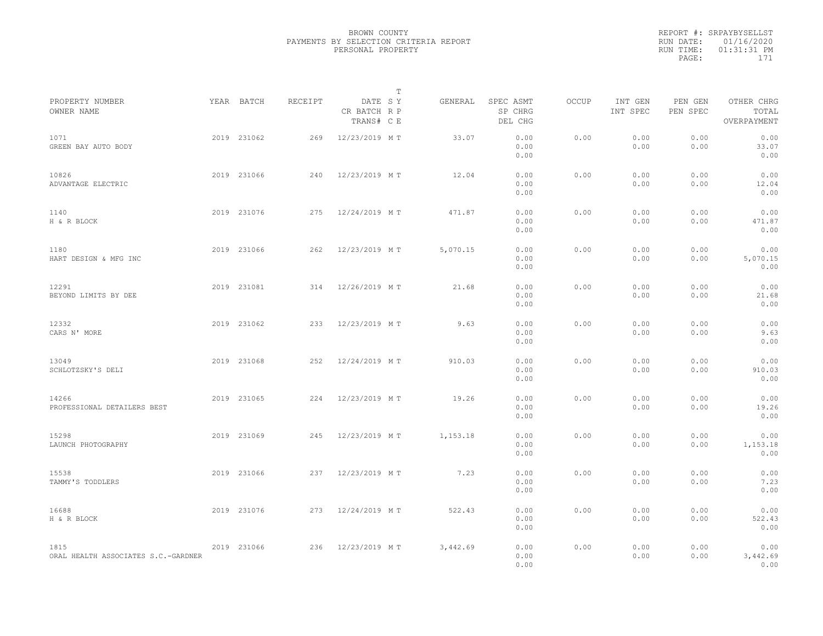|                                             |             |         |                                       | T        |                                 |       |                     |                     |                                    |  |
|---------------------------------------------|-------------|---------|---------------------------------------|----------|---------------------------------|-------|---------------------|---------------------|------------------------------------|--|
| PROPERTY NUMBER<br>OWNER NAME               | YEAR BATCH  | RECEIPT | DATE SY<br>CR BATCH R P<br>TRANS# C E | GENERAL  | SPEC ASMT<br>SP CHRG<br>DEL CHG | OCCUP | INT GEN<br>INT SPEC | PEN GEN<br>PEN SPEC | OTHER CHRG<br>TOTAL<br>OVERPAYMENT |  |
| 1071<br>GREEN BAY AUTO BODY                 | 2019 231062 | 269     | 12/23/2019 MT                         | 33.07    | 0.00<br>0.00<br>0.00            | 0.00  | 0.00<br>0.00        | 0.00<br>0.00        | 0.00<br>33.07<br>0.00              |  |
| 10826<br>ADVANTAGE ELECTRIC                 | 2019 231066 | 240     | 12/23/2019 MT                         | 12.04    | 0.00<br>0.00<br>0.00            | 0.00  | 0.00<br>0.00        | 0.00<br>0.00        | 0.00<br>12.04<br>0.00              |  |
| 1140<br>H & R BLOCK                         | 2019 231076 | 275     | 12/24/2019 MT                         | 471.87   | 0.00<br>0.00<br>0.00            | 0.00  | 0.00<br>0.00        | 0.00<br>0.00        | 0.00<br>471.87<br>0.00             |  |
| 1180<br>HART DESIGN & MFG INC               | 2019 231066 | 262     | 12/23/2019 MT                         | 5,070.15 | 0.00<br>0.00<br>0.00            | 0.00  | 0.00<br>0.00        | 0.00<br>0.00        | 0.00<br>5,070.15<br>0.00           |  |
| 12291<br>BEYOND LIMITS BY DEE               | 2019 231081 | 314     | 12/26/2019 MT                         | 21.68    | 0.00<br>0.00<br>0.00            | 0.00  | 0.00<br>0.00        | 0.00<br>0.00        | 0.00<br>21.68<br>0.00              |  |
| 12332<br>CARS N' MORE                       | 2019 231062 | 233     | 12/23/2019 MT                         | 9.63     | 0.00<br>0.00<br>0.00            | 0.00  | 0.00<br>0.00        | 0.00<br>0.00        | 0.00<br>9.63<br>0.00               |  |
| 13049<br>SCHLOTZSKY'S DELI                  | 2019 231068 | 252     | 12/24/2019 MT                         | 910.03   | 0.00<br>0.00<br>0.00            | 0.00  | 0.00<br>0.00        | 0.00<br>0.00        | 0.00<br>910.03<br>0.00             |  |
| 14266<br>PROFESSIONAL DETAILERS BEST        | 2019 231065 | 224     | 12/23/2019 MT                         | 19.26    | 0.00<br>0.00<br>0.00            | 0.00  | 0.00<br>0.00        | 0.00<br>0.00        | 0.00<br>19.26<br>0.00              |  |
| 15298<br>LAUNCH PHOTOGRAPHY                 | 2019 231069 | 245     | 12/23/2019 MT                         | 1,153.18 | 0.00<br>0.00<br>0.00            | 0.00  | 0.00<br>0.00        | 0.00<br>0.00        | 0.00<br>1,153.18<br>0.00           |  |
| 15538<br>TAMMY'S TODDLERS                   | 2019 231066 | 237     | 12/23/2019 MT                         | 7.23     | 0.00<br>0.00<br>0.00            | 0.00  | 0.00<br>0.00        | 0.00<br>0.00        | 0.00<br>7.23<br>0.00               |  |
| 16688<br>H & R BLOCK                        | 2019 231076 | 273     | 12/24/2019 MT                         | 522.43   | 0.00<br>0.00<br>0.00            | 0.00  | 0.00<br>0.00        | 0.00<br>0.00        | 0.00<br>522.43<br>0.00             |  |
| 1815<br>ORAL HEALTH ASSOCIATES S.C.-GARDNER | 2019 231066 | 236     | 12/23/2019 MT                         | 3,442.69 | 0.00<br>0.00<br>0.00            | 0.00  | 0.00<br>0.00        | 0.00<br>0.00        | 0.00<br>3,442.69<br>0.00           |  |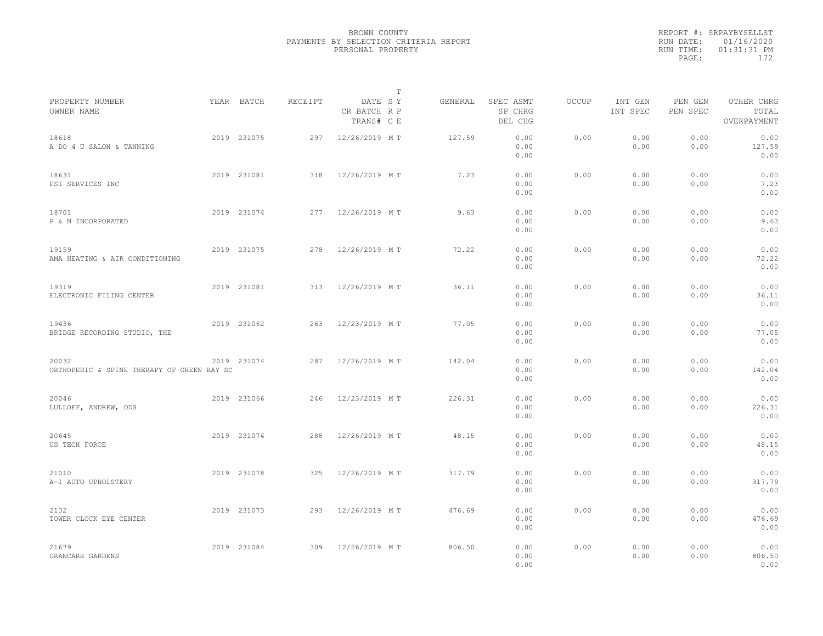|                                                     |             |         |                                       | T       |                                 |              |                     |                     |                                    |
|-----------------------------------------------------|-------------|---------|---------------------------------------|---------|---------------------------------|--------------|---------------------|---------------------|------------------------------------|
| PROPERTY NUMBER<br>OWNER NAME                       | YEAR BATCH  | RECEIPT | DATE SY<br>CR BATCH R P<br>TRANS# C E | GENERAL | SPEC ASMT<br>SP CHRG<br>DEL CHG | <b>OCCUP</b> | INT GEN<br>INT SPEC | PEN GEN<br>PEN SPEC | OTHER CHRG<br>TOTAL<br>OVERPAYMENT |
| 18618<br>A DO 4 U SALON & TANNING                   | 2019 231075 | 297     | 12/26/2019 MT                         | 127.59  | 0.00<br>0.00<br>0.00            | 0.00         | 0.00<br>0.00        | 0.00<br>0.00        | 0.00<br>127.59<br>0.00             |
| 18631<br>PSI SERVICES INC                           | 2019 231081 | 318     | 12/26/2019 MT                         | 7.23    | 0.00<br>0.00<br>0.00            | 0.00         | 0.00<br>0.00        | 0.00<br>0.00        | 0.00<br>7.23<br>0.00               |
| 18701<br>P & N INCORPORATED                         | 2019 231074 | 277     | 12/26/2019 MT                         | 9.63    | 0.00<br>0.00<br>0.00            | 0.00         | 0.00<br>0.00        | 0.00<br>0.00        | 0.00<br>9.63<br>0.00               |
| 19159<br>AMA HEATING & AIR CONDITIONING             | 2019 231075 | 278     | 12/26/2019 MT                         | 72.22   | 0.00<br>0.00<br>0.00            | 0.00         | 0.00<br>0.00        | 0.00<br>0.00        | 0.00<br>72.22<br>0.00              |
| 19319<br>ELECTRONIC FILING CENTER                   | 2019 231081 | 313     | 12/26/2019 MT                         | 36.11   | 0.00<br>0.00<br>0.00            | 0.00         | 0.00<br>0.00        | 0.00<br>0.00        | 0.00<br>36.11<br>0.00              |
| 19436<br>BRIDGE RECORDING STUDIO, THE               | 2019 231062 | 263     | 12/23/2019 MT                         | 77.05   | 0.00<br>0.00<br>0.00            | 0.00         | 0.00<br>0.00        | 0.00<br>0.00        | 0.00<br>77.05<br>0.00              |
| 20032<br>ORTHOPEDIC & SPINE THERAPY OF GREEN BAY SC | 2019 231074 | 287     | 12/26/2019 MT                         | 142.04  | 0.00<br>0.00<br>0.00            | 0.00         | 0.00<br>0.00        | 0.00<br>0.00        | 0.00<br>142.04<br>0.00             |
| 20046<br>LULLOFF, ANDREW, DDS                       | 2019 231066 | 246     | 12/23/2019 MT                         | 226.31  | 0.00<br>0.00<br>0.00            | 0.00         | 0.00<br>0.00        | 0.00<br>0.00        | 0.00<br>226.31<br>0.00             |
| 20645<br>US TECH FORCE                              | 2019 231074 | 288     | 12/26/2019 MT                         | 48.15   | 0.00<br>0.00<br>0.00            | 0.00         | 0.00<br>0.00        | 0.00<br>0.00        | 0.00<br>48.15<br>0.00              |
| 21010<br>A-1 AUTO UPHOLSTERY                        | 2019 231078 | 325     | 12/26/2019 MT                         | 317.79  | 0.00<br>0.00<br>0.00            | 0.00         | 0.00<br>0.00        | 0.00<br>0.00        | 0.00<br>317.79<br>0.00             |
| 2132<br>TOWER CLOCK EYE CENTER                      | 2019 231073 | 293     | 12/26/2019 MT                         | 476.69  | 0.00<br>0.00<br>0.00            | 0.00         | 0.00<br>0.00        | 0.00<br>0.00        | 0.00<br>476.69<br>0.00             |
| 21679<br>GRANCARE GARDENS                           | 2019 231084 | 309     | 12/26/2019 MT                         | 806.50  | 0.00<br>0.00<br>0.00            | 0.00         | 0.00<br>0.00        | 0.00<br>0.00        | 0.00<br>806.50<br>0.00             |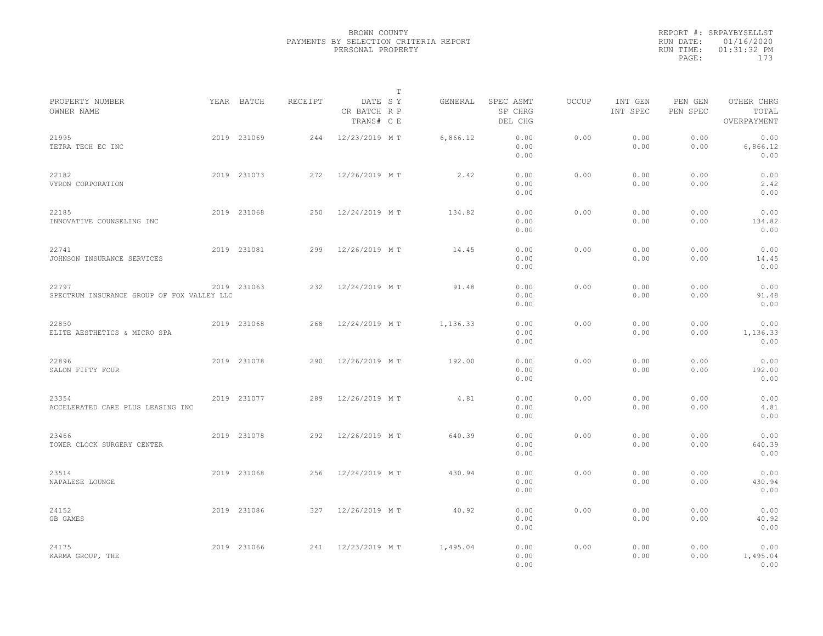|                                                     |             |         |                                       | $\mathbb T$ |          |                                 |              |                     |                     |                                    |  |
|-----------------------------------------------------|-------------|---------|---------------------------------------|-------------|----------|---------------------------------|--------------|---------------------|---------------------|------------------------------------|--|
| PROPERTY NUMBER<br>OWNER NAME                       | YEAR BATCH  | RECEIPT | DATE SY<br>CR BATCH R P<br>TRANS# C E |             | GENERAL  | SPEC ASMT<br>SP CHRG<br>DEL CHG | <b>OCCUP</b> | INT GEN<br>INT SPEC | PEN GEN<br>PEN SPEC | OTHER CHRG<br>TOTAL<br>OVERPAYMENT |  |
| 21995<br>TETRA TECH EC INC                          | 2019 231069 | 244     | 12/23/2019 MT                         |             | 6,866.12 | 0.00<br>0.00<br>0.00            | 0.00         | 0.00<br>0.00        | 0.00<br>0.00        | 0.00<br>6,866.12<br>0.00           |  |
| 22182<br>VYRON CORPORATION                          | 2019 231073 | 272     | 12/26/2019 MT                         |             | 2.42     | 0.00<br>0.00<br>0.00            | 0.00         | 0.00<br>0.00        | 0.00<br>0.00        | 0.00<br>2.42<br>0.00               |  |
| 22185<br>INNOVATIVE COUNSELING INC                  | 2019 231068 | 250     | 12/24/2019 MT                         |             | 134.82   | 0.00<br>0.00<br>0.00            | 0.00         | 0.00<br>0.00        | 0.00<br>0.00        | 0.00<br>134.82<br>0.00             |  |
| 22741<br>JOHNSON INSURANCE SERVICES                 | 2019 231081 | 299     | 12/26/2019 MT                         |             | 14.45    | 0.00<br>0.00<br>0.00            | 0.00         | 0.00<br>0.00        | 0.00<br>0.00        | 0.00<br>14.45<br>0.00              |  |
| 22797<br>SPECTRUM INSURANCE GROUP OF FOX VALLEY LLC | 2019 231063 | 232     | 12/24/2019 MT                         |             | 91.48    | 0.00<br>0.00<br>0.00            | 0.00         | 0.00<br>0.00        | 0.00<br>0.00        | 0.00<br>91.48<br>0.00              |  |
| 22850<br>ELITE AESTHETICS & MICRO SPA               | 2019 231068 | 268     | 12/24/2019 MT                         |             | 1,136.33 | 0.00<br>0.00<br>0.00            | 0.00         | 0.00<br>0.00        | 0.00<br>0.00        | 0.00<br>1,136.33<br>0.00           |  |
| 22896<br>SALON FIFTY FOUR                           | 2019 231078 | 290     | 12/26/2019 MT                         |             | 192.00   | 0.00<br>0.00<br>0.00            | 0.00         | 0.00<br>0.00        | 0.00<br>0.00        | 0.00<br>192.00<br>0.00             |  |
| 23354<br>ACCELERATED CARE PLUS LEASING INC          | 2019 231077 | 289     | 12/26/2019 MT                         |             | 4.81     | 0.00<br>0.00<br>0.00            | 0.00         | 0.00<br>0.00        | 0.00<br>0.00        | 0.00<br>4.81<br>0.00               |  |
| 23466<br>TOWER CLOCK SURGERY CENTER                 | 2019 231078 | 292     | 12/26/2019 MT                         |             | 640.39   | 0.00<br>0.00<br>0.00            | 0.00         | 0.00<br>0.00        | 0.00<br>0.00        | 0.00<br>640.39<br>0.00             |  |
| 23514<br>NAPALESE LOUNGE                            | 2019 231068 | 256     | 12/24/2019 MT                         |             | 430.94   | 0.00<br>0.00<br>0.00            | 0.00         | 0.00<br>0.00        | 0.00<br>0.00        | 0.00<br>430.94<br>0.00             |  |
| 24152<br>GB GAMES                                   | 2019 231086 | 327     | 12/26/2019 MT                         |             | 40.92    | 0.00<br>0.00<br>0.00            | 0.00         | 0.00<br>0.00        | 0.00<br>0.00        | 0.00<br>40.92<br>0.00              |  |
| 24175<br>KARMA GROUP, THE                           | 2019 231066 | 241     | 12/23/2019 MT                         |             | 1,495.04 | 0.00<br>0.00<br>0.00            | 0.00         | 0.00<br>0.00        | 0.00<br>0.00        | 0.00<br>1,495.04<br>0.00           |  |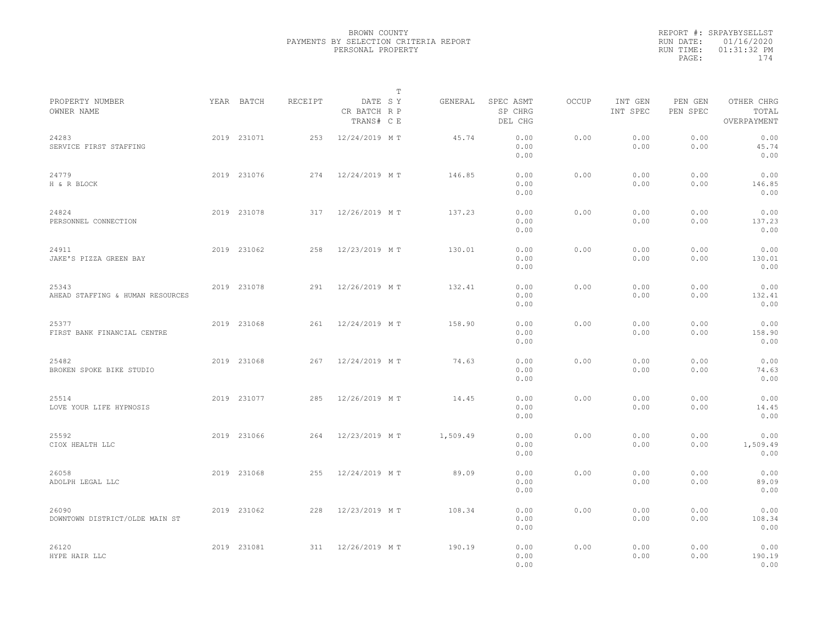|                                           |             |         |                                       | $\mathbb T$ |          |                                 |              |                     |                     |                                    |  |
|-------------------------------------------|-------------|---------|---------------------------------------|-------------|----------|---------------------------------|--------------|---------------------|---------------------|------------------------------------|--|
| PROPERTY NUMBER<br>OWNER NAME             | YEAR BATCH  | RECEIPT | DATE SY<br>CR BATCH R P<br>TRANS# C E |             | GENERAL  | SPEC ASMT<br>SP CHRG<br>DEL CHG | <b>OCCUP</b> | INT GEN<br>INT SPEC | PEN GEN<br>PEN SPEC | OTHER CHRG<br>TOTAL<br>OVERPAYMENT |  |
| 24283<br>SERVICE FIRST STAFFING           | 2019 231071 | 253     | 12/24/2019 MT                         |             | 45.74    | 0.00<br>0.00<br>0.00            | 0.00         | 0.00<br>0.00        | 0.00<br>0.00        | 0.00<br>45.74<br>0.00              |  |
| 24779<br>H & R BLOCK                      | 2019 231076 | 274     | 12/24/2019 MT                         |             | 146.85   | 0.00<br>0.00<br>0.00            | 0.00         | 0.00<br>0.00        | 0.00<br>0.00        | 0.00<br>146.85<br>0.00             |  |
| 24824<br>PERSONNEL CONNECTION             | 2019 231078 | 317     | 12/26/2019 MT                         |             | 137.23   | 0.00<br>0.00<br>0.00            | 0.00         | 0.00<br>0.00        | 0.00<br>0.00        | 0.00<br>137.23<br>0.00             |  |
| 24911<br>JAKE'S PIZZA GREEN BAY           | 2019 231062 | 258     | 12/23/2019 MT                         |             | 130.01   | 0.00<br>0.00<br>0.00            | 0.00         | 0.00<br>0.00        | 0.00<br>0.00        | 0.00<br>130.01<br>0.00             |  |
| 25343<br>AHEAD STAFFING & HUMAN RESOURCES | 2019 231078 | 291     | 12/26/2019 MT                         |             | 132.41   | 0.00<br>0.00<br>0.00            | 0.00         | 0.00<br>0.00        | 0.00<br>0.00        | 0.00<br>132.41<br>0.00             |  |
| 25377<br>FIRST BANK FINANCIAL CENTRE      | 2019 231068 | 261     | 12/24/2019 MT                         |             | 158.90   | 0.00<br>0.00<br>0.00            | 0.00         | 0.00<br>0.00        | 0.00<br>0.00        | 0.00<br>158.90<br>0.00             |  |
| 25482<br>BROKEN SPOKE BIKE STUDIO         | 2019 231068 | 267     | 12/24/2019 MT                         |             | 74.63    | 0.00<br>0.00<br>0.00            | 0.00         | 0.00<br>0.00        | 0.00<br>0.00        | 0.00<br>74.63<br>0.00              |  |
| 25514<br>LOVE YOUR LIFE HYPNOSIS          | 2019 231077 | 285     | 12/26/2019 MT                         |             | 14.45    | 0.00<br>0.00<br>0.00            | 0.00         | 0.00<br>0.00        | 0.00<br>0.00        | 0.00<br>14.45<br>0.00              |  |
| 25592<br>CIOX HEALTH LLC                  | 2019 231066 | 264     | 12/23/2019 MT                         |             | 1,509.49 | 0.00<br>0.00<br>0.00            | 0.00         | 0.00<br>0.00        | 0.00<br>0.00        | 0.00<br>1,509.49<br>0.00           |  |
| 26058<br>ADOLPH LEGAL LLC                 | 2019 231068 | 255     | 12/24/2019 MT                         |             | 89.09    | 0.00<br>0.00<br>0.00            | 0.00         | 0.00<br>0.00        | 0.00<br>0.00        | 0.00<br>89.09<br>0.00              |  |
| 26090<br>DOWNTOWN DISTRICT/OLDE MAIN ST   | 2019 231062 | 228     | 12/23/2019 MT                         |             | 108.34   | 0.00<br>0.00<br>0.00            | 0.00         | 0.00<br>0.00        | 0.00<br>0.00        | 0.00<br>108.34<br>0.00             |  |
| 26120<br>HYPE HAIR LLC                    | 2019 231081 | 311     | 12/26/2019 MT                         |             | 190.19   | 0.00<br>0.00<br>0.00            | 0.00         | 0.00<br>0.00        | 0.00<br>0.00        | 0.00<br>190.19<br>0.00             |  |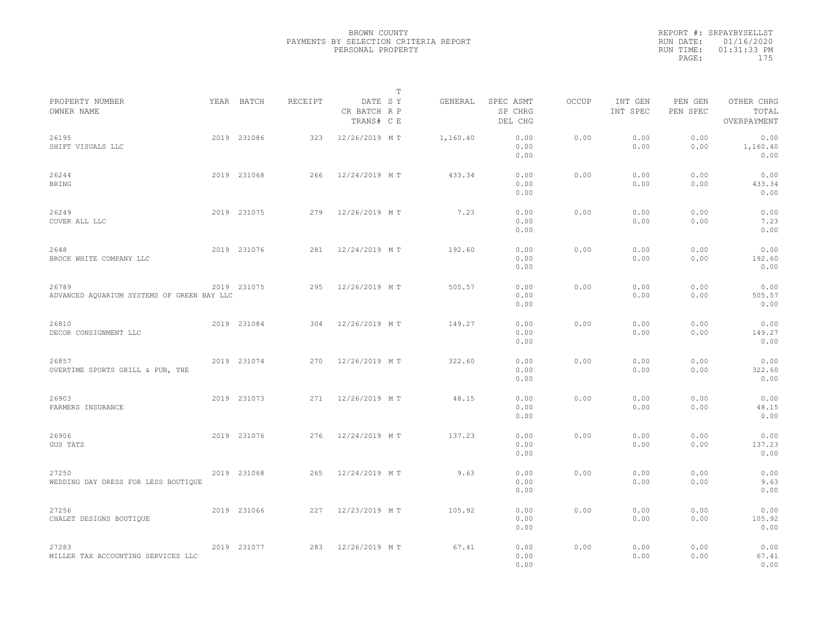|                                                     |             |         |                                       | $\mathbb{T}$ |                                 |       |                     |                     |                                    |
|-----------------------------------------------------|-------------|---------|---------------------------------------|--------------|---------------------------------|-------|---------------------|---------------------|------------------------------------|
| PROPERTY NUMBER<br>OWNER NAME                       | YEAR BATCH  | RECEIPT | DATE SY<br>CR BATCH R P<br>TRANS# C E | GENERAL      | SPEC ASMT<br>SP CHRG<br>DEL CHG | OCCUP | INT GEN<br>INT SPEC | PEN GEN<br>PEN SPEC | OTHER CHRG<br>TOTAL<br>OVERPAYMENT |
| 26195<br>SHIFT VISUALS LLC                          | 2019 231086 | 323     | 12/26/2019 MT                         | 1,160.40     | 0.00<br>0.00<br>0.00            | 0.00  | 0.00<br>0.00        | 0.00<br>0.00        | 0.00<br>1,160.40<br>0.00           |
| 26244<br><b>BRING</b>                               | 2019 231068 | 266     | 12/24/2019 MT                         | 433.34       | 0.00<br>0.00<br>0.00            | 0.00  | 0.00<br>0.00        | 0.00<br>0.00        | 0.00<br>433.34<br>0.00             |
| 26249<br>COVER ALL LLC                              | 2019 231075 | 279     | 12/26/2019 MT                         | 7.23         | 0.00<br>0.00<br>0.00            | 0.00  | 0.00<br>0.00        | 0.00<br>0.00        | 0.00<br>7.23<br>0.00               |
| 2648<br>BROCK WHITE COMPANY LLC                     | 2019 231076 | 281     | 12/24/2019 MT                         | 192.60       | 0.00<br>0.00<br>0.00            | 0.00  | 0.00<br>0.00        | 0.00<br>0.00        | 0.00<br>192.60<br>0.00             |
| 26789<br>ADVANCED AQUARIUM SYSTEMS OF GREEN BAY LLC | 2019 231075 | 295     | 12/26/2019 MT                         | 505.57       | 0.00<br>0.00<br>0.00            | 0.00  | 0.00<br>0.00        | 0.00<br>0.00        | 0.00<br>505.57<br>0.00             |
| 26810<br>DECOR CONSIGNMENT LLC                      | 2019 231084 | 304     | 12/26/2019 MT                         | 149.27       | 0.00<br>0.00<br>0.00            | 0.00  | 0.00<br>0.00        | 0.00<br>0.00        | 0.00<br>149.27<br>0.00             |
| 26857<br>OVERTIME SPORTS GRILL & PUB, THE           | 2019 231074 | 270     | 12/26/2019 MT                         | 322.60       | 0.00<br>0.00<br>0.00            | 0.00  | 0.00<br>0.00        | 0.00<br>0.00        | 0.00<br>322.60<br>0.00             |
| 26903<br>FARMERS INSURANCE                          | 2019 231073 | 271     | 12/26/2019 MT                         | 48.15        | 0.00<br>0.00<br>0.00            | 0.00  | 0.00<br>0.00        | 0.00<br>0.00        | 0.00<br>48.15<br>0.00              |
| 26906<br>GUS TATS                                   | 2019 231076 | 276     | 12/24/2019 MT                         | 137.23       | 0.00<br>0.00<br>0.00            | 0.00  | 0.00<br>0.00        | 0.00<br>0.00        | 0.00<br>137.23<br>0.00             |
| 27250<br>WEDDING DAY DRESS FOR LESS BOUTIQUE        | 2019 231068 | 265     | 12/24/2019 MT                         | 9.63         | 0.00<br>0.00<br>0.00            | 0.00  | 0.00<br>0.00        | 0.00<br>0.00        | 0.00<br>9.63<br>0.00               |
| 27256<br>CHALET DESIGNS BOUTIQUE                    | 2019 231066 | 227     | 12/23/2019 MT                         | 105.92       | 0.00<br>0.00<br>0.00            | 0.00  | 0.00<br>0.00        | 0.00<br>0.00        | 0.00<br>105.92<br>0.00             |
| 27283<br>MILLER TAX ACCOUNTING SERVICES LLC         | 2019 231077 | 283     | 12/26/2019 MT                         | 67.41        | 0.00<br>0.00<br>0.00            | 0.00  | 0.00<br>0.00        | 0.00<br>0.00        | 0.00<br>67.41<br>0.00              |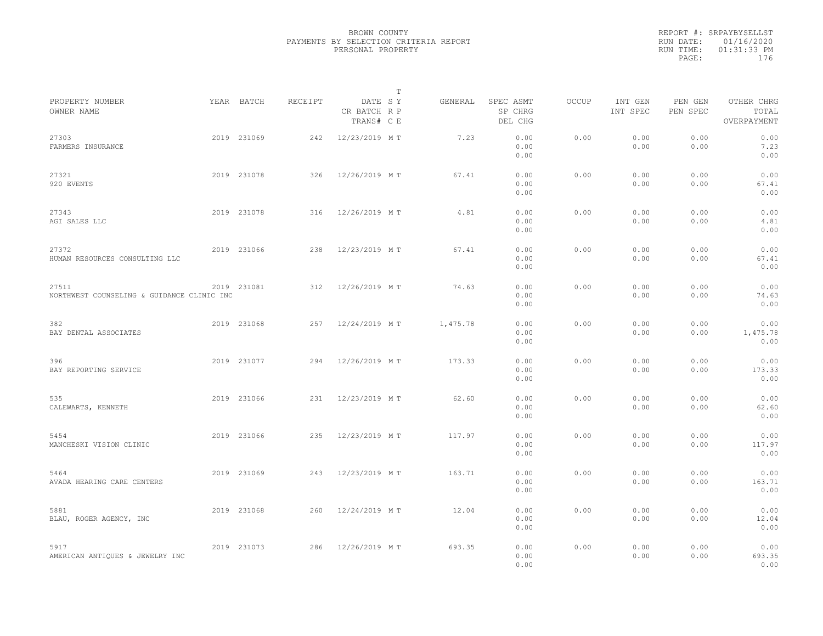|                                                     |             |         | $\mathbb{T}$                          |          |                                 |       |                     |                     |                                    |  |
|-----------------------------------------------------|-------------|---------|---------------------------------------|----------|---------------------------------|-------|---------------------|---------------------|------------------------------------|--|
| PROPERTY NUMBER<br>OWNER NAME                       | YEAR BATCH  | RECEIPT | DATE SY<br>CR BATCH R P<br>TRANS# C E | GENERAL  | SPEC ASMT<br>SP CHRG<br>DEL CHG | OCCUP | INT GEN<br>INT SPEC | PEN GEN<br>PEN SPEC | OTHER CHRG<br>TOTAL<br>OVERPAYMENT |  |
| 27303<br>FARMERS INSURANCE                          | 2019 231069 | 242     | 12/23/2019 MT                         | 7.23     | 0.00<br>0.00<br>0.00            | 0.00  | 0.00<br>0.00        | 0.00<br>0.00        | 0.00<br>7.23<br>0.00               |  |
| 27321<br>920 EVENTS                                 | 2019 231078 | 326     | 12/26/2019 MT                         | 67.41    | 0.00<br>0.00<br>0.00            | 0.00  | 0.00<br>0.00        | 0.00<br>0.00        | 0.00<br>67.41<br>0.00              |  |
| 27343<br>AGI SALES LLC                              | 2019 231078 | 316     | 12/26/2019 MT                         | 4.81     | 0.00<br>0.00<br>0.00            | 0.00  | 0.00<br>0.00        | 0.00<br>0.00        | 0.00<br>4.81<br>0.00               |  |
| 27372<br>HUMAN RESOURCES CONSULTING LLC             | 2019 231066 | 238     | 12/23/2019 MT                         | 67.41    | 0.00<br>0.00<br>0.00            | 0.00  | 0.00<br>0.00        | 0.00<br>0.00        | 0.00<br>67.41<br>0.00              |  |
| 27511<br>NORTHWEST COUNSELING & GUIDANCE CLINIC INC | 2019 231081 | 312     | 12/26/2019 MT                         | 74.63    | 0.00<br>0.00<br>0.00            | 0.00  | 0.00<br>0.00        | 0.00<br>0.00        | 0.00<br>74.63<br>0.00              |  |
| 382<br>BAY DENTAL ASSOCIATES                        | 2019 231068 | 257     | 12/24/2019 MT                         | 1,475.78 | 0.00<br>0.00<br>0.00            | 0.00  | 0.00<br>0.00        | 0.00<br>0.00        | 0.00<br>1,475.78<br>0.00           |  |
| 396<br>BAY REPORTING SERVICE                        | 2019 231077 | 294     | 12/26/2019 MT                         | 173.33   | 0.00<br>0.00<br>0.00            | 0.00  | 0.00<br>0.00        | 0.00<br>0.00        | 0.00<br>173.33<br>0.00             |  |
| 535<br>CALEWARTS, KENNETH                           | 2019 231066 | 231     | 12/23/2019 MT                         | 62.60    | 0.00<br>0.00<br>0.00            | 0.00  | 0.00<br>0.00        | 0.00<br>0.00        | 0.00<br>62.60<br>0.00              |  |
| 5454<br>MANCHESKI VISION CLINIC                     | 2019 231066 | 235     | 12/23/2019 MT                         | 117.97   | 0.00<br>0.00<br>0.00            | 0.00  | 0.00<br>0.00        | 0.00<br>0.00        | 0.00<br>117.97<br>0.00             |  |
| 5464<br>AVADA HEARING CARE CENTERS                  | 2019 231069 | 243     | 12/23/2019 MT                         | 163.71   | 0.00<br>0.00<br>0.00            | 0.00  | 0.00<br>0.00        | 0.00<br>0.00        | 0.00<br>163.71<br>0.00             |  |
| 5881<br>BLAU, ROGER AGENCY, INC                     | 2019 231068 | 260     | 12/24/2019 MT                         | 12.04    | 0.00<br>0.00<br>0.00            | 0.00  | 0.00<br>0.00        | 0.00<br>0.00        | 0.00<br>12.04<br>0.00              |  |
| 5917<br>AMERICAN ANTIQUES & JEWELRY INC             | 2019 231073 | 286     | 12/26/2019 MT                         | 693.35   | 0.00<br>0.00<br>0.00            | 0.00  | 0.00<br>0.00        | 0.00<br>0.00        | 0.00<br>693.35<br>0.00             |  |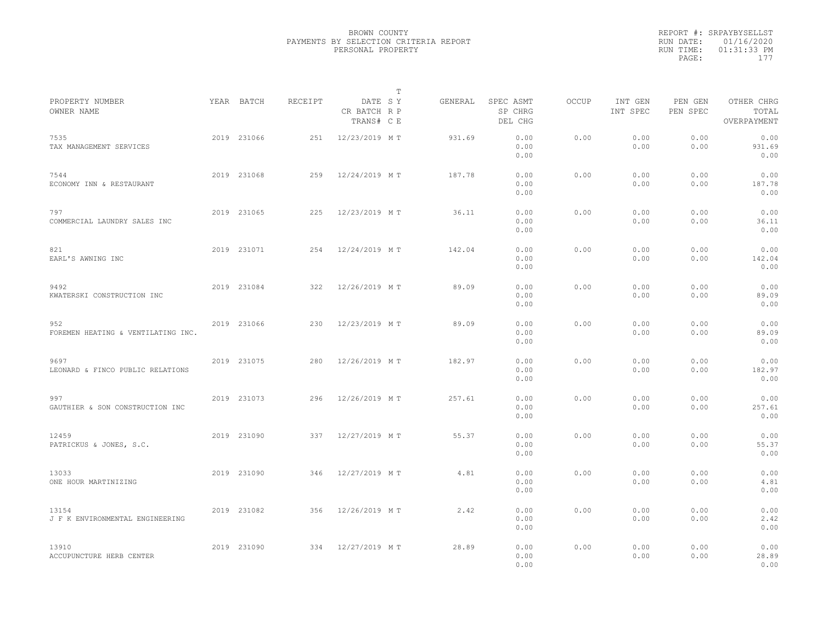|                                           |             |         |                                       | $\mathbb T$ |         |                                 |              |                     |                     |                                    |  |
|-------------------------------------------|-------------|---------|---------------------------------------|-------------|---------|---------------------------------|--------------|---------------------|---------------------|------------------------------------|--|
| PROPERTY NUMBER<br>OWNER NAME             | YEAR BATCH  | RECEIPT | DATE SY<br>CR BATCH R P<br>TRANS# C E |             | GENERAL | SPEC ASMT<br>SP CHRG<br>DEL CHG | <b>OCCUP</b> | INT GEN<br>INT SPEC | PEN GEN<br>PEN SPEC | OTHER CHRG<br>TOTAL<br>OVERPAYMENT |  |
| 7535<br>TAX MANAGEMENT SERVICES           | 2019 231066 | 251     | 12/23/2019 MT                         |             | 931.69  | 0.00<br>0.00<br>0.00            | 0.00         | 0.00<br>0.00        | 0.00<br>0.00        | 0.00<br>931.69<br>0.00             |  |
| 7544<br>ECONOMY INN & RESTAURANT          | 2019 231068 | 259     | 12/24/2019 MT                         |             | 187.78  | 0.00<br>0.00<br>0.00            | 0.00         | 0.00<br>0.00        | 0.00<br>0.00        | 0.00<br>187.78<br>0.00             |  |
| 797<br>COMMERCIAL LAUNDRY SALES INC       | 2019 231065 | 225     | 12/23/2019 MT                         |             | 36.11   | 0.00<br>0.00<br>0.00            | 0.00         | 0.00<br>0.00        | 0.00<br>0.00        | 0.00<br>36.11<br>0.00              |  |
| 821<br>EARL'S AWNING INC                  | 2019 231071 | 254     | 12/24/2019 MT                         |             | 142.04  | 0.00<br>0.00<br>0.00            | 0.00         | 0.00<br>0.00        | 0.00<br>0.00        | 0.00<br>142.04<br>0.00             |  |
| 9492<br>KWATERSKI CONSTRUCTION INC        | 2019 231084 | 322     | 12/26/2019 MT                         |             | 89.09   | 0.00<br>0.00<br>0.00            | 0.00         | 0.00<br>0.00        | 0.00<br>0.00        | 0.00<br>89.09<br>0.00              |  |
| 952<br>FOREMEN HEATING & VENTILATING INC. | 2019 231066 | 230     | 12/23/2019 MT                         |             | 89.09   | 0.00<br>0.00<br>0.00            | 0.00         | 0.00<br>0.00        | 0.00<br>0.00        | 0.00<br>89.09<br>0.00              |  |
| 9697<br>LEONARD & FINCO PUBLIC RELATIONS  | 2019 231075 | 280     | 12/26/2019 MT                         |             | 182.97  | 0.00<br>0.00<br>0.00            | 0.00         | 0.00<br>0.00        | 0.00<br>0.00        | 0.00<br>182.97<br>0.00             |  |
| 997<br>GAUTHIER & SON CONSTRUCTION INC    | 2019 231073 | 296     | 12/26/2019 MT                         |             | 257.61  | 0.00<br>0.00<br>0.00            | 0.00         | 0.00<br>0.00        | 0.00<br>0.00        | 0.00<br>257.61<br>0.00             |  |
| 12459<br>PATRICKUS & JONES, S.C.          | 2019 231090 | 337     | 12/27/2019 MT                         |             | 55.37   | 0.00<br>0.00<br>0.00            | 0.00         | 0.00<br>0.00        | 0.00<br>0.00        | 0.00<br>55.37<br>0.00              |  |
| 13033<br>ONE HOUR MARTINIZING             | 2019 231090 | 346     | 12/27/2019 MT                         |             | 4.81    | 0.00<br>0.00<br>0.00            | 0.00         | 0.00<br>0.00        | 0.00<br>0.00        | 0.00<br>4.81<br>0.00               |  |
| 13154<br>J F K ENVIRONMENTAL ENGINEERING  | 2019 231082 | 356     | 12/26/2019 MT                         |             | 2.42    | 0.00<br>0.00<br>0.00            | 0.00         | 0.00<br>0.00        | 0.00<br>0.00        | 0.00<br>2.42<br>0.00               |  |
| 13910<br>ACCUPUNCTURE HERB CENTER         | 2019 231090 | 334     | 12/27/2019 MT                         |             | 28.89   | 0.00<br>0.00<br>0.00            | 0.00         | 0.00<br>0.00        | 0.00<br>0.00        | 0.00<br>28.89<br>0.00              |  |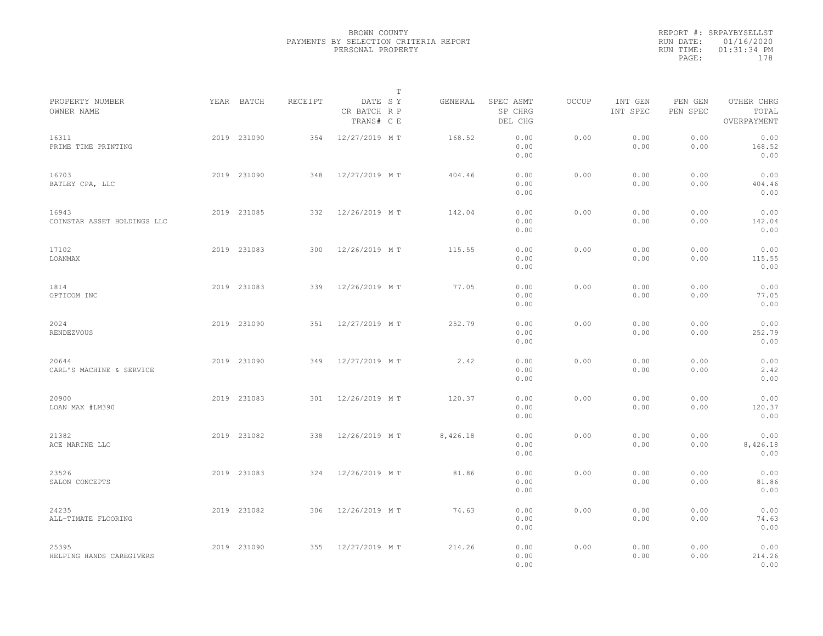|                                      |             |         |                                       | $\mathbb T$ |                                 |              |                     |                     |                                    |  |
|--------------------------------------|-------------|---------|---------------------------------------|-------------|---------------------------------|--------------|---------------------|---------------------|------------------------------------|--|
| PROPERTY NUMBER<br>OWNER NAME        | YEAR BATCH  | RECEIPT | DATE SY<br>CR BATCH R P<br>TRANS# C E | GENERAL     | SPEC ASMT<br>SP CHRG<br>DEL CHG | <b>OCCUP</b> | INT GEN<br>INT SPEC | PEN GEN<br>PEN SPEC | OTHER CHRG<br>TOTAL<br>OVERPAYMENT |  |
| 16311<br>PRIME TIME PRINTING         | 2019 231090 | 354     | 12/27/2019 MT                         | 168.52      | 0.00<br>0.00<br>0.00            | 0.00         | 0.00<br>0.00        | 0.00<br>0.00        | 0.00<br>168.52<br>0.00             |  |
| 16703<br>BATLEY CPA, LLC             | 2019 231090 | 348     | 12/27/2019 MT                         | 404.46      | 0.00<br>0.00<br>0.00            | 0.00         | 0.00<br>0.00        | 0.00<br>0.00        | 0.00<br>404.46<br>0.00             |  |
| 16943<br>COINSTAR ASSET HOLDINGS LLC | 2019 231085 | 332     | 12/26/2019 MT                         | 142.04      | 0.00<br>0.00<br>0.00            | 0.00         | 0.00<br>0.00        | 0.00<br>0.00        | 0.00<br>142.04<br>0.00             |  |
| 17102<br>LOANMAX                     | 2019 231083 | 300     | 12/26/2019 MT                         | 115.55      | 0.00<br>0.00<br>0.00            | 0.00         | 0.00<br>0.00        | 0.00<br>0.00        | 0.00<br>115.55<br>0.00             |  |
| 1814<br>OPTICOM INC                  | 2019 231083 | 339     | 12/26/2019 MT                         | 77.05       | 0.00<br>0.00<br>0.00            | 0.00         | 0.00<br>0.00        | 0.00<br>0.00        | 0.00<br>77.05<br>0.00              |  |
| 2024<br>RENDEZVOUS                   | 2019 231090 | 351     | 12/27/2019 MT                         | 252.79      | 0.00<br>0.00<br>0.00            | 0.00         | 0.00<br>0.00        | 0.00<br>0.00        | 0.00<br>252.79<br>0.00             |  |
| 20644<br>CARL'S MACHINE & SERVICE    | 2019 231090 | 349     | 12/27/2019 MT                         | 2.42        | 0.00<br>0.00<br>0.00            | 0.00         | 0.00<br>0.00        | 0.00<br>0.00        | 0.00<br>2.42<br>0.00               |  |
| 20900<br>LOAN MAX #LM390             | 2019 231083 | 301     | 12/26/2019 MT                         | 120.37      | 0.00<br>0.00<br>0.00            | 0.00         | 0.00<br>0.00        | 0.00<br>0.00        | 0.00<br>120.37<br>0.00             |  |
| 21382<br>ACE MARINE LLC              | 2019 231082 | 338     | 12/26/2019 MT                         | 8,426.18    | 0.00<br>0.00<br>0.00            | 0.00         | 0.00<br>0.00        | 0.00<br>0.00        | 0.00<br>8,426.18<br>0.00           |  |
| 23526<br>SALON CONCEPTS              | 2019 231083 | 324     | 12/26/2019 MT                         | 81.86       | 0.00<br>0.00<br>0.00            | 0.00         | 0.00<br>0.00        | 0.00<br>0.00        | 0.00<br>81.86<br>0.00              |  |
| 24235<br>ALL-TIMATE FLOORING         | 2019 231082 | 306     | 12/26/2019 MT                         | 74.63       | 0.00<br>0.00<br>0.00            | 0.00         | 0.00<br>0.00        | 0.00<br>0.00        | 0.00<br>74.63<br>0.00              |  |
| 25395<br>HELPING HANDS CAREGIVERS    | 2019 231090 | 355     | 12/27/2019 MT                         | 214.26      | 0.00<br>0.00<br>0.00            | 0.00         | 0.00<br>0.00        | 0.00<br>0.00        | 0.00<br>214.26<br>0.00             |  |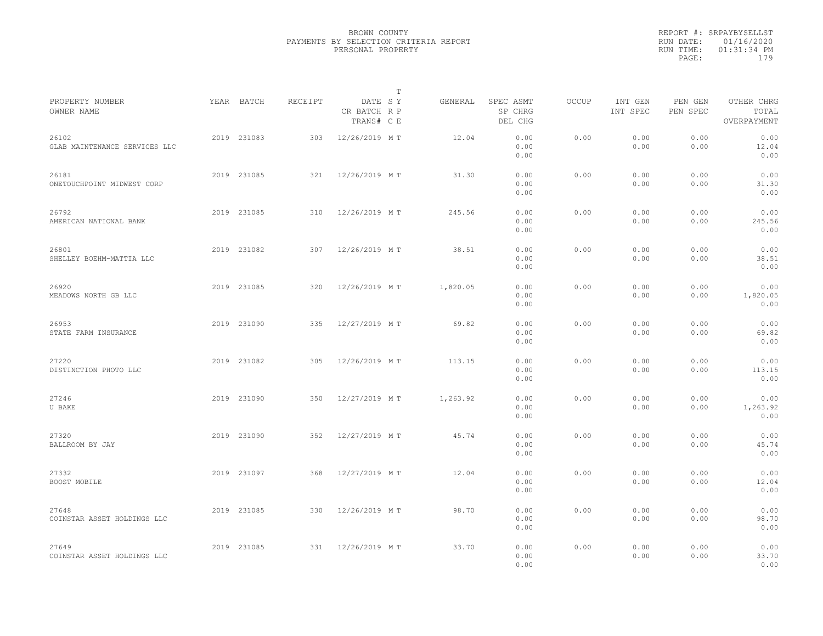|                                        |             |         | $\mathbb T$                           |          |                                 |       |                     |                     |                                    |  |
|----------------------------------------|-------------|---------|---------------------------------------|----------|---------------------------------|-------|---------------------|---------------------|------------------------------------|--|
| PROPERTY NUMBER<br>OWNER NAME          | YEAR BATCH  | RECEIPT | DATE SY<br>CR BATCH R P<br>TRANS# C E | GENERAL  | SPEC ASMT<br>SP CHRG<br>DEL CHG | OCCUP | INT GEN<br>INT SPEC | PEN GEN<br>PEN SPEC | OTHER CHRG<br>TOTAL<br>OVERPAYMENT |  |
| 26102<br>GLAB MAINTENANCE SERVICES LLC | 2019 231083 | 303     | 12/26/2019 MT                         | 12.04    | 0.00<br>0.00<br>0.00            | 0.00  | 0.00<br>0.00        | 0.00<br>0.00        | 0.00<br>12.04<br>0.00              |  |
| 26181<br>ONETOUCHPOINT MIDWEST CORP    | 2019 231085 | 321     | 12/26/2019 MT                         | 31.30    | 0.00<br>0.00<br>0.00            | 0.00  | 0.00<br>0.00        | 0.00<br>0.00        | 0.00<br>31.30<br>0.00              |  |
| 26792<br>AMERICAN NATIONAL BANK        | 2019 231085 | 310     | 12/26/2019 MT                         | 245.56   | 0.00<br>0.00<br>0.00            | 0.00  | 0.00<br>0.00        | 0.00<br>0.00        | 0.00<br>245.56<br>0.00             |  |
| 26801<br>SHELLEY BOEHM-MATTIA LLC      | 2019 231082 | 307     | 12/26/2019 MT                         | 38.51    | 0.00<br>0.00<br>0.00            | 0.00  | 0.00<br>0.00        | 0.00<br>0.00        | 0.00<br>38.51<br>0.00              |  |
| 26920<br>MEADOWS NORTH GB LLC          | 2019 231085 | 320     | 12/26/2019 MT                         | 1,820.05 | 0.00<br>0.00<br>0.00            | 0.00  | 0.00<br>0.00        | 0.00<br>0.00        | 0.00<br>1,820.05<br>0.00           |  |
| 26953<br>STATE FARM INSURANCE          | 2019 231090 | 335     | 12/27/2019 MT                         | 69.82    | 0.00<br>0.00<br>0.00            | 0.00  | 0.00<br>0.00        | 0.00<br>0.00        | 0.00<br>69.82<br>0.00              |  |
| 27220<br>DISTINCTION PHOTO LLC         | 2019 231082 | 305     | 12/26/2019 MT                         | 113.15   | 0.00<br>0.00<br>0.00            | 0.00  | 0.00<br>0.00        | 0.00<br>0.00        | 0.00<br>113.15<br>0.00             |  |
| 27246<br>U BAKE                        | 2019 231090 | 350     | 12/27/2019 MT                         | 1,263.92 | 0.00<br>0.00<br>0.00            | 0.00  | 0.00<br>0.00        | 0.00<br>0.00        | 0.00<br>1,263.92<br>0.00           |  |
| 27320<br>BALLROOM BY JAY               | 2019 231090 | 352     | 12/27/2019 MT                         | 45.74    | 0.00<br>0.00<br>0.00            | 0.00  | 0.00<br>0.00        | 0.00<br>0.00        | 0.00<br>45.74<br>0.00              |  |
| 27332<br>BOOST MOBILE                  | 2019 231097 | 368     | 12/27/2019 MT                         | 12.04    | 0.00<br>0.00<br>0.00            | 0.00  | 0.00<br>0.00        | 0.00<br>0.00        | 0.00<br>12.04<br>0.00              |  |
| 27648<br>COINSTAR ASSET HOLDINGS LLC   | 2019 231085 | 330     | 12/26/2019 MT                         | 98.70    | 0.00<br>0.00<br>0.00            | 0.00  | 0.00<br>0.00        | 0.00<br>0.00        | 0.00<br>98.70<br>0.00              |  |
| 27649<br>COINSTAR ASSET HOLDINGS LLC   | 2019 231085 | 331     | 12/26/2019 MT                         | 33.70    | 0.00<br>0.00<br>0.00            | 0.00  | 0.00<br>0.00        | 0.00<br>0.00        | 0.00<br>33.70<br>0.00              |  |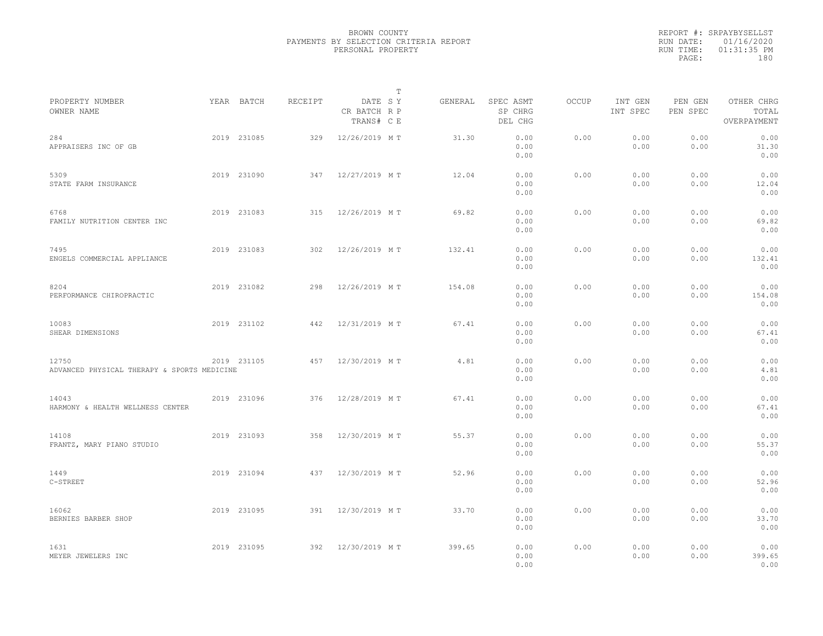|                                                      |             |         |                                       | $\mathbb T$ |         |                                 |              |                     |                     |                                    |  |
|------------------------------------------------------|-------------|---------|---------------------------------------|-------------|---------|---------------------------------|--------------|---------------------|---------------------|------------------------------------|--|
| PROPERTY NUMBER<br>OWNER NAME                        | YEAR BATCH  | RECEIPT | DATE SY<br>CR BATCH R P<br>TRANS# C E |             | GENERAL | SPEC ASMT<br>SP CHRG<br>DEL CHG | <b>OCCUP</b> | INT GEN<br>INT SPEC | PEN GEN<br>PEN SPEC | OTHER CHRG<br>TOTAL<br>OVERPAYMENT |  |
| 284<br>APPRAISERS INC OF GB                          | 2019 231085 | 329     | 12/26/2019 MT                         |             | 31.30   | 0.00<br>0.00<br>0.00            | 0.00         | 0.00<br>0.00        | 0.00<br>0.00        | 0.00<br>31.30<br>0.00              |  |
| 5309<br>STATE FARM INSURANCE                         | 2019 231090 | 347     | 12/27/2019 MT                         |             | 12.04   | 0.00<br>0.00<br>0.00            | 0.00         | 0.00<br>0.00        | 0.00<br>0.00        | 0.00<br>12.04<br>0.00              |  |
| 6768<br>FAMILY NUTRITION CENTER INC                  | 2019 231083 | 315     | 12/26/2019 MT                         |             | 69.82   | 0.00<br>0.00<br>0.00            | 0.00         | 0.00<br>0.00        | 0.00<br>0.00        | 0.00<br>69.82<br>0.00              |  |
| 7495<br>ENGELS COMMERCIAL APPLIANCE                  | 2019 231083 | 302     | 12/26/2019 MT                         |             | 132.41  | 0.00<br>0.00<br>0.00            | 0.00         | 0.00<br>0.00        | 0.00<br>0.00        | 0.00<br>132.41<br>0.00             |  |
| 8204<br>PERFORMANCE CHIROPRACTIC                     | 2019 231082 | 298     | 12/26/2019 MT                         |             | 154.08  | 0.00<br>0.00<br>0.00            | 0.00         | 0.00<br>0.00        | 0.00<br>0.00        | 0.00<br>154.08<br>0.00             |  |
| 10083<br>SHEAR DIMENSIONS                            | 2019 231102 | 442     | 12/31/2019 MT                         |             | 67.41   | 0.00<br>0.00<br>0.00            | 0.00         | 0.00<br>0.00        | 0.00<br>0.00        | 0.00<br>67.41<br>0.00              |  |
| 12750<br>ADVANCED PHYSICAL THERAPY & SPORTS MEDICINE | 2019 231105 | 457     | 12/30/2019 MT                         |             | 4.81    | 0.00<br>0.00<br>0.00            | 0.00         | 0.00<br>0.00        | 0.00<br>0.00        | 0.00<br>4.81<br>0.00               |  |
| 14043<br>HARMONY & HEALTH WELLNESS CENTER            | 2019 231096 | 376     | 12/28/2019 MT                         |             | 67.41   | 0.00<br>0.00<br>0.00            | 0.00         | 0.00<br>0.00        | 0.00<br>0.00        | 0.00<br>67.41<br>0.00              |  |
| 14108<br>FRANTZ, MARY PIANO STUDIO                   | 2019 231093 | 358     | 12/30/2019 MT                         |             | 55.37   | 0.00<br>0.00<br>0.00            | 0.00         | 0.00<br>0.00        | 0.00<br>0.00        | 0.00<br>55.37<br>0.00              |  |
| 1449<br>C-STREET                                     | 2019 231094 | 437     | 12/30/2019 MT                         |             | 52.96   | 0.00<br>0.00<br>0.00            | 0.00         | 0.00<br>0.00        | 0.00<br>0.00        | 0.00<br>52.96<br>0.00              |  |
| 16062<br>BERNIES BARBER SHOP                         | 2019 231095 | 391     | 12/30/2019 MT                         |             | 33.70   | 0.00<br>0.00<br>0.00            | 0.00         | 0.00<br>0.00        | 0.00<br>0.00        | 0.00<br>33.70<br>0.00              |  |
| 1631<br>MEYER JEWELERS INC                           | 2019 231095 | 392     | 12/30/2019 MT                         |             | 399.65  | 0.00<br>0.00<br>0.00            | 0.00         | 0.00<br>0.00        | 0.00<br>0.00        | 0.00<br>399.65<br>0.00             |  |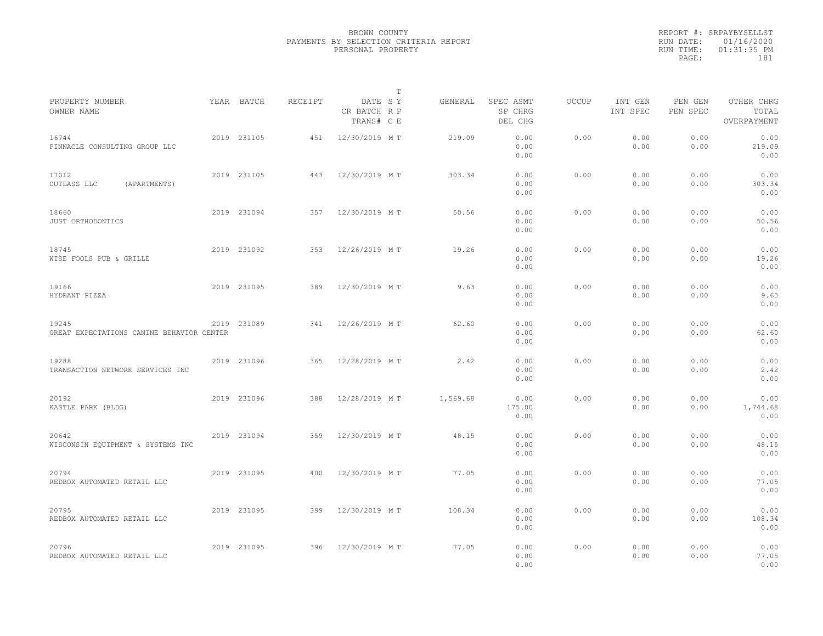|                                                    |             |         | $\mathbb T$                           |          |                                 |              |                     |                     |                                    |  |
|----------------------------------------------------|-------------|---------|---------------------------------------|----------|---------------------------------|--------------|---------------------|---------------------|------------------------------------|--|
| PROPERTY NUMBER<br>OWNER NAME                      | YEAR BATCH  | RECEIPT | DATE SY<br>CR BATCH R P<br>TRANS# C E | GENERAL  | SPEC ASMT<br>SP CHRG<br>DEL CHG | <b>OCCUP</b> | INT GEN<br>INT SPEC | PEN GEN<br>PEN SPEC | OTHER CHRG<br>TOTAL<br>OVERPAYMENT |  |
| 16744<br>PINNACLE CONSULTING GROUP LLC             | 2019 231105 | 451     | 12/30/2019 MT                         | 219.09   | 0.00<br>0.00<br>0.00            | 0.00         | 0.00<br>0.00        | 0.00<br>0.00        | 0.00<br>219.09<br>0.00             |  |
| 17012<br>CUTLASS LLC<br>(APARTMENTS)               | 2019 231105 | 443     | 12/30/2019 MT                         | 303.34   | 0.00<br>0.00<br>0.00            | 0.00         | 0.00<br>0.00        | 0.00<br>0.00        | 0.00<br>303.34<br>0.00             |  |
| 18660<br>JUST ORTHODONTICS                         | 2019 231094 | 357     | 12/30/2019 MT                         | 50.56    | 0.00<br>0.00<br>0.00            | 0.00         | 0.00<br>0.00        | 0.00<br>0.00        | 0.00<br>50.56<br>0.00              |  |
| 18745<br>WISE FOOLS PUB & GRILLE                   | 2019 231092 | 353     | 12/26/2019 MT                         | 19.26    | 0.00<br>0.00<br>0.00            | 0.00         | 0.00<br>0.00        | 0.00<br>0.00        | 0.00<br>19.26<br>0.00              |  |
| 19166<br>HYDRANT PIZZA                             | 2019 231095 | 389     | 12/30/2019 MT                         | 9.63     | 0.00<br>0.00<br>0.00            | 0.00         | 0.00<br>0.00        | 0.00<br>0.00        | 0.00<br>9.63<br>0.00               |  |
| 19245<br>GREAT EXPECTATIONS CANINE BEHAVIOR CENTER | 2019 231089 | 341     | 12/26/2019 MT                         | 62.60    | 0.00<br>0.00<br>0.00            | 0.00         | 0.00<br>0.00        | 0.00<br>0.00        | 0.00<br>62.60<br>0.00              |  |
| 19288<br>TRANSACTION NETWORK SERVICES INC          | 2019 231096 | 365     | 12/28/2019 MT                         | 2.42     | 0.00<br>0.00<br>0.00            | 0.00         | 0.00<br>0.00        | 0.00<br>0.00        | 0.00<br>2.42<br>0.00               |  |
| 20192<br>KASTLE PARK (BLDG)                        | 2019 231096 | 388     | 12/28/2019 MT                         | 1,569.68 | 0.00<br>175.00<br>0.00          | 0.00         | 0.00<br>0.00        | 0.00<br>0.00        | 0.00<br>1,744.68<br>0.00           |  |
| 20642<br>WISCONSIN EQUIPMENT & SYSTEMS INC         | 2019 231094 | 359     | 12/30/2019 MT                         | 48.15    | 0.00<br>0.00<br>0.00            | 0.00         | 0.00<br>0.00        | 0.00<br>0.00        | 0.00<br>48.15<br>0.00              |  |
| 20794<br>REDBOX AUTOMATED RETAIL LLC               | 2019 231095 | 400     | 12/30/2019 MT                         | 77.05    | 0.00<br>0.00<br>0.00            | 0.00         | 0.00<br>0.00        | 0.00<br>0.00        | 0.00<br>77.05<br>0.00              |  |
| 20795<br>REDBOX AUTOMATED RETAIL LLC               | 2019 231095 | 399     | 12/30/2019 MT                         | 108.34   | 0.00<br>0.00<br>0.00            | 0.00         | 0.00<br>0.00        | 0.00<br>0.00        | 0.00<br>108.34<br>0.00             |  |
| 20796<br>REDBOX AUTOMATED RETAIL LLC               | 2019 231095 | 396     | 12/30/2019 MT                         | 77.05    | 0.00<br>0.00<br>0.00            | 0.00         | 0.00<br>0.00        | 0.00<br>0.00        | 0.00<br>77.05<br>0.00              |  |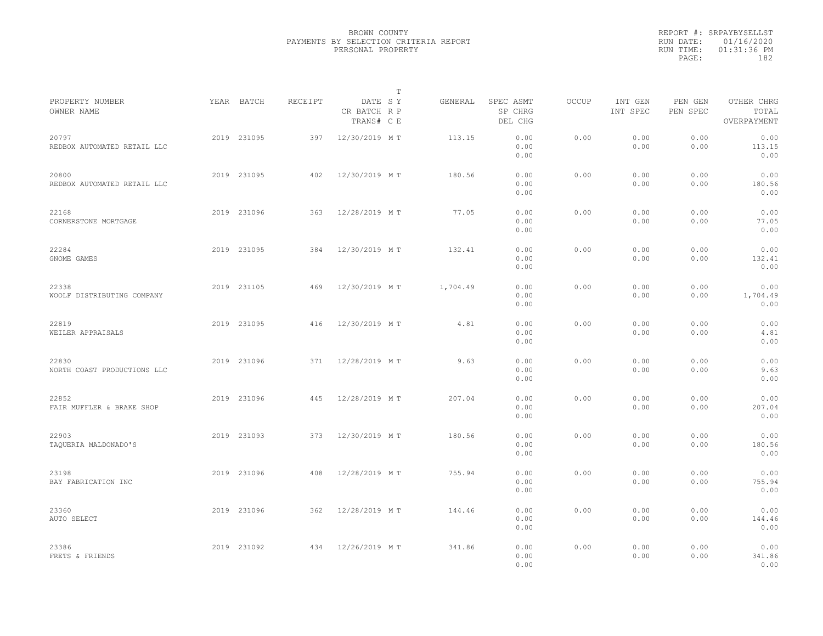|                                      |             |         |                                       | $\mathbb T$ |          |                                 |              |                     |                     |                                    |  |
|--------------------------------------|-------------|---------|---------------------------------------|-------------|----------|---------------------------------|--------------|---------------------|---------------------|------------------------------------|--|
| PROPERTY NUMBER<br>OWNER NAME        | YEAR BATCH  | RECEIPT | DATE SY<br>CR BATCH R P<br>TRANS# C E |             | GENERAL  | SPEC ASMT<br>SP CHRG<br>DEL CHG | <b>OCCUP</b> | INT GEN<br>INT SPEC | PEN GEN<br>PEN SPEC | OTHER CHRG<br>TOTAL<br>OVERPAYMENT |  |
| 20797<br>REDBOX AUTOMATED RETAIL LLC | 2019 231095 | 397     | 12/30/2019 MT                         |             | 113.15   | 0.00<br>0.00<br>0.00            | 0.00         | 0.00<br>0.00        | 0.00<br>0.00        | 0.00<br>113.15<br>0.00             |  |
| 20800<br>REDBOX AUTOMATED RETAIL LLC | 2019 231095 | 402     | 12/30/2019 MT                         |             | 180.56   | 0.00<br>0.00<br>0.00            | 0.00         | 0.00<br>0.00        | 0.00<br>0.00        | 0.00<br>180.56<br>0.00             |  |
| 22168<br>CORNERSTONE MORTGAGE        | 2019 231096 | 363     | 12/28/2019 MT                         |             | 77.05    | 0.00<br>0.00<br>0.00            | 0.00         | 0.00<br>0.00        | 0.00<br>0.00        | 0.00<br>77.05<br>0.00              |  |
| 22284<br>GNOME GAMES                 | 2019 231095 | 384     | 12/30/2019 MT                         |             | 132.41   | 0.00<br>0.00<br>0.00            | 0.00         | 0.00<br>0.00        | 0.00<br>0.00        | 0.00<br>132.41<br>0.00             |  |
| 22338<br>WOOLF DISTRIBUTING COMPANY  | 2019 231105 | 469     | 12/30/2019 MT                         |             | 1,704.49 | 0.00<br>0.00<br>0.00            | 0.00         | 0.00<br>0.00        | 0.00<br>0.00        | 0.00<br>1,704.49<br>0.00           |  |
| 22819<br>WEILER APPRAISALS           | 2019 231095 | 416     | 12/30/2019 MT                         |             | 4.81     | 0.00<br>0.00<br>0.00            | 0.00         | 0.00<br>0.00        | 0.00<br>0.00        | 0.00<br>4.81<br>0.00               |  |
| 22830<br>NORTH COAST PRODUCTIONS LLC | 2019 231096 | 371     | 12/28/2019 MT                         |             | 9.63     | 0.00<br>0.00<br>0.00            | 0.00         | 0.00<br>0.00        | 0.00<br>0.00        | 0.00<br>9.63<br>0.00               |  |
| 22852<br>FAIR MUFFLER & BRAKE SHOP   | 2019 231096 | 445     | 12/28/2019 MT                         |             | 207.04   | 0.00<br>0.00<br>0.00            | 0.00         | 0.00<br>0.00        | 0.00<br>0.00        | 0.00<br>207.04<br>0.00             |  |
| 22903<br>TAQUERIA MALDONADO'S        | 2019 231093 | 373     | 12/30/2019 MT                         |             | 180.56   | 0.00<br>0.00<br>0.00            | 0.00         | 0.00<br>0.00        | 0.00<br>0.00        | 0.00<br>180.56<br>0.00             |  |
| 23198<br>BAY FABRICATION INC         | 2019 231096 | 408     | 12/28/2019 MT                         |             | 755.94   | 0.00<br>0.00<br>0.00            | 0.00         | 0.00<br>0.00        | 0.00<br>0.00        | 0.00<br>755.94<br>0.00             |  |
| 23360<br>AUTO SELECT                 | 2019 231096 | 362     | 12/28/2019 MT                         |             | 144.46   | 0.00<br>0.00<br>0.00            | 0.00         | 0.00<br>0.00        | 0.00<br>0.00        | 0.00<br>144.46<br>0.00             |  |
| 23386<br>FRETS & FRIENDS             | 2019 231092 | 434     | 12/26/2019 MT                         |             | 341.86   | 0.00<br>0.00<br>0.00            | 0.00         | 0.00<br>0.00        | 0.00<br>0.00        | 0.00<br>341.86<br>0.00             |  |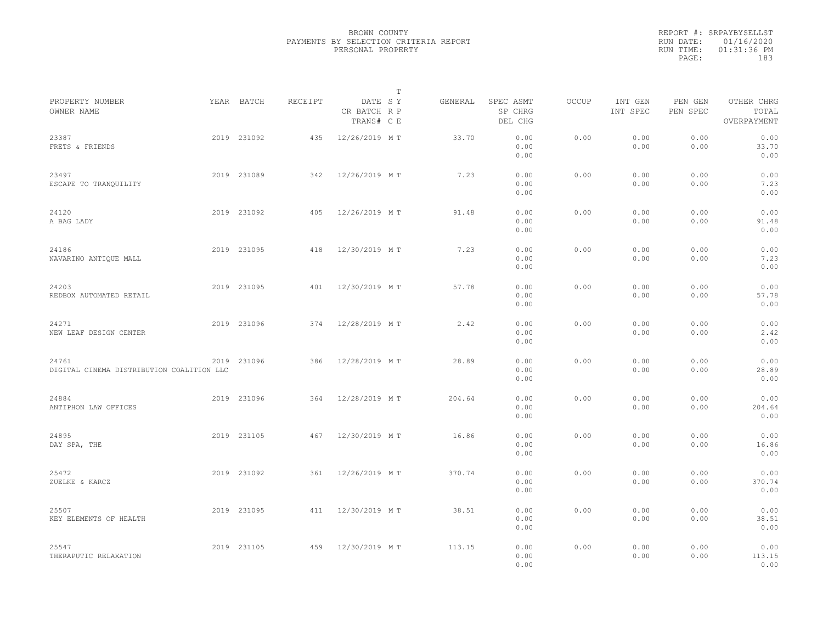|                                                    |             |         |                                       | $\mathbb T$ |                                 |       |                     |                     |                                    |  |
|----------------------------------------------------|-------------|---------|---------------------------------------|-------------|---------------------------------|-------|---------------------|---------------------|------------------------------------|--|
| PROPERTY NUMBER<br>OWNER NAME                      | YEAR BATCH  | RECEIPT | DATE SY<br>CR BATCH R P<br>TRANS# C E | GENERAL     | SPEC ASMT<br>SP CHRG<br>DEL CHG | OCCUP | INT GEN<br>INT SPEC | PEN GEN<br>PEN SPEC | OTHER CHRG<br>TOTAL<br>OVERPAYMENT |  |
| 23387<br>FRETS & FRIENDS                           | 2019 231092 | 435     | 12/26/2019 MT                         | 33.70       | 0.00<br>0.00<br>0.00            | 0.00  | 0.00<br>0.00        | 0.00<br>0.00        | 0.00<br>33.70<br>0.00              |  |
| 23497<br>ESCAPE TO TRANQUILITY                     | 2019 231089 | 342     | 12/26/2019 MT                         | 7.23        | 0.00<br>0.00<br>0.00            | 0.00  | 0.00<br>0.00        | 0.00<br>0.00        | 0.00<br>7.23<br>0.00               |  |
| 24120<br>A BAG LADY                                | 2019 231092 | 405     | 12/26/2019 MT                         | 91.48       | 0.00<br>0.00<br>0.00            | 0.00  | 0.00<br>0.00        | 0.00<br>0.00        | 0.00<br>91.48<br>0.00              |  |
| 24186<br>NAVARINO ANTIQUE MALL                     | 2019 231095 | 418     | 12/30/2019 MT                         | 7.23        | 0.00<br>0.00<br>0.00            | 0.00  | 0.00<br>0.00        | 0.00<br>0.00        | 0.00<br>7.23<br>0.00               |  |
| 24203<br>REDBOX AUTOMATED RETAIL                   | 2019 231095 | 401     | 12/30/2019 MT                         | 57.78       | 0.00<br>0.00<br>0.00            | 0.00  | 0.00<br>0.00        | 0.00<br>0.00        | 0.00<br>57.78<br>0.00              |  |
| 24271<br>NEW LEAF DESIGN CENTER                    | 2019 231096 | 374     | 12/28/2019 MT                         | 2.42        | 0.00<br>0.00<br>0.00            | 0.00  | 0.00<br>0.00        | 0.00<br>0.00        | 0.00<br>2.42<br>0.00               |  |
| 24761<br>DIGITAL CINEMA DISTRIBUTION COALITION LLC | 2019 231096 | 386     | 12/28/2019 MT                         | 28.89       | 0.00<br>0.00<br>0.00            | 0.00  | 0.00<br>0.00        | 0.00<br>0.00        | 0.00<br>28.89<br>0.00              |  |
| 24884<br>ANTIPHON LAW OFFICES                      | 2019 231096 | 364     | 12/28/2019 MT                         | 204.64      | 0.00<br>0.00<br>0.00            | 0.00  | 0.00<br>0.00        | 0.00<br>0.00        | 0.00<br>204.64<br>0.00             |  |
| 24895<br>DAY SPA, THE                              | 2019 231105 | 467     | 12/30/2019 MT                         | 16.86       | 0.00<br>0.00<br>0.00            | 0.00  | 0.00<br>0.00        | 0.00<br>0.00        | 0.00<br>16.86<br>0.00              |  |
| 25472<br>ZUELKE & KARCZ                            | 2019 231092 | 361     | 12/26/2019 MT                         | 370.74      | 0.00<br>0.00<br>0.00            | 0.00  | 0.00<br>0.00        | 0.00<br>0.00        | 0.00<br>370.74<br>0.00             |  |
| 25507<br>KEY ELEMENTS OF HEALTH                    | 2019 231095 | 411     | 12/30/2019 MT                         | 38.51       | 0.00<br>0.00<br>0.00            | 0.00  | 0.00<br>0.00        | 0.00<br>0.00        | 0.00<br>38.51<br>0.00              |  |
| 25547<br>THERAPUTIC RELAXATION                     | 2019 231105 | 459     | 12/30/2019 MT                         | 113.15      | 0.00<br>0.00<br>0.00            | 0.00  | 0.00<br>0.00        | 0.00<br>0.00        | 0.00<br>113.15<br>0.00             |  |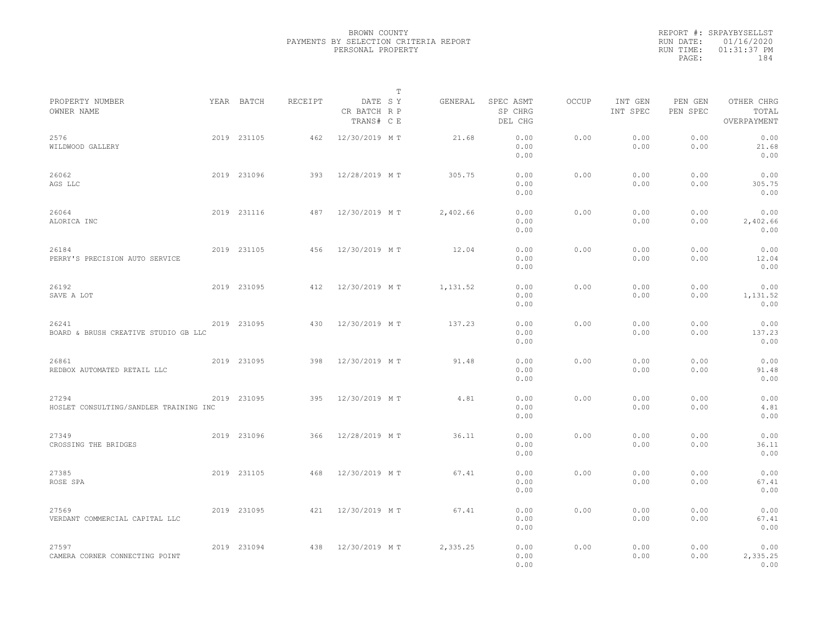|                                                 |             |         |                                       | T        |                                 |              |                     |                     |                                    |  |
|-------------------------------------------------|-------------|---------|---------------------------------------|----------|---------------------------------|--------------|---------------------|---------------------|------------------------------------|--|
| PROPERTY NUMBER<br>OWNER NAME                   | YEAR BATCH  | RECEIPT | DATE SY<br>CR BATCH R P<br>TRANS# C E | GENERAL  | SPEC ASMT<br>SP CHRG<br>DEL CHG | <b>OCCUP</b> | INT GEN<br>INT SPEC | PEN GEN<br>PEN SPEC | OTHER CHRG<br>TOTAL<br>OVERPAYMENT |  |
| 2576<br>WILDWOOD GALLERY                        | 2019 231105 | 462     | 12/30/2019 MT                         | 21.68    | 0.00<br>0.00<br>0.00            | 0.00         | 0.00<br>0.00        | 0.00<br>0.00        | 0.00<br>21.68<br>0.00              |  |
| 26062<br>AGS LLC                                | 2019 231096 | 393     | 12/28/2019 MT                         | 305.75   | 0.00<br>0.00<br>0.00            | 0.00         | 0.00<br>0.00        | 0.00<br>0.00        | 0.00<br>305.75<br>0.00             |  |
| 26064<br>ALORICA INC                            | 2019 231116 | 487     | 12/30/2019 MT                         | 2,402.66 | 0.00<br>0.00<br>0.00            | 0.00         | 0.00<br>0.00        | 0.00<br>0.00        | 0.00<br>2,402.66<br>0.00           |  |
| 26184<br>PERRY'S PRECISION AUTO SERVICE         | 2019 231105 | 456     | 12/30/2019 MT                         | 12.04    | 0.00<br>0.00<br>0.00            | 0.00         | 0.00<br>0.00        | 0.00<br>0.00        | 0.00<br>12.04<br>0.00              |  |
| 26192<br>SAVE A LOT                             | 2019 231095 | 412     | 12/30/2019 MT                         | 1,131.52 | 0.00<br>0.00<br>0.00            | 0.00         | 0.00<br>0.00        | 0.00<br>0.00        | 0.00<br>1,131.52<br>0.00           |  |
| 26241<br>BOARD & BRUSH CREATIVE STUDIO GB LLC   | 2019 231095 | 430     | 12/30/2019 MT                         | 137.23   | 0.00<br>0.00<br>0.00            | 0.00         | 0.00<br>0.00        | 0.00<br>0.00        | 0.00<br>137.23<br>0.00             |  |
| 26861<br>REDBOX AUTOMATED RETAIL LLC            | 2019 231095 | 398     | 12/30/2019 MT                         | 91.48    | 0.00<br>0.00<br>0.00            | 0.00         | 0.00<br>0.00        | 0.00<br>0.00        | 0.00<br>91.48<br>0.00              |  |
| 27294<br>HOSLET CONSULTING/SANDLER TRAINING INC | 2019 231095 | 395     | 12/30/2019 MT                         | 4.81     | 0.00<br>0.00<br>0.00            | 0.00         | 0.00<br>0.00        | 0.00<br>0.00        | 0.00<br>4.81<br>0.00               |  |
| 27349<br>CROSSING THE BRIDGES                   | 2019 231096 | 366     | 12/28/2019 MT                         | 36.11    | 0.00<br>0.00<br>0.00            | 0.00         | 0.00<br>0.00        | 0.00<br>0.00        | 0.00<br>36.11<br>0.00              |  |
| 27385<br>ROSE SPA                               | 2019 231105 | 468     | 12/30/2019 MT                         | 67.41    | 0.00<br>0.00<br>0.00            | 0.00         | 0.00<br>0.00        | 0.00<br>0.00        | 0.00<br>67.41<br>0.00              |  |
| 27569<br>VERDANT COMMERCIAL CAPITAL LLC         | 2019 231095 | 421     | 12/30/2019 MT                         | 67.41    | 0.00<br>0.00<br>0.00            | 0.00         | 0.00<br>0.00        | 0.00<br>0.00        | 0.00<br>67.41<br>0.00              |  |
| 27597<br>CAMERA CORNER CONNECTING POINT         | 2019 231094 | 438     | 12/30/2019 MT                         | 2,335.25 | 0.00<br>0.00<br>0.00            | 0.00         | 0.00<br>0.00        | 0.00<br>0.00        | 0.00<br>2,335.25<br>0.00           |  |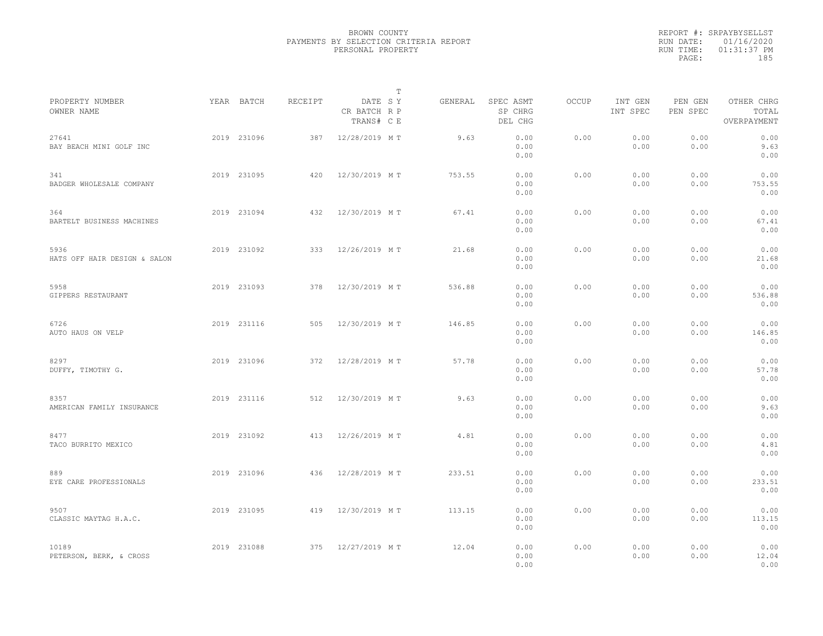|                                      |             |         | $\mathbb{T}$                          |         |                                 |              |                     |                     |                                    |  |
|--------------------------------------|-------------|---------|---------------------------------------|---------|---------------------------------|--------------|---------------------|---------------------|------------------------------------|--|
| PROPERTY NUMBER<br>OWNER NAME        | YEAR BATCH  | RECEIPT | DATE SY<br>CR BATCH R P<br>TRANS# C E | GENERAL | SPEC ASMT<br>SP CHRG<br>DEL CHG | <b>OCCUP</b> | INT GEN<br>INT SPEC | PEN GEN<br>PEN SPEC | OTHER CHRG<br>TOTAL<br>OVERPAYMENT |  |
| 27641<br>BAY BEACH MINI GOLF INC     | 2019 231096 | 387     | 12/28/2019 MT                         | 9.63    | 0.00<br>0.00<br>0.00            | 0.00         | 0.00<br>0.00        | 0.00<br>0.00        | 0.00<br>9.63<br>0.00               |  |
| 341<br>BADGER WHOLESALE COMPANY      | 2019 231095 | 420     | 12/30/2019 MT                         | 753.55  | 0.00<br>0.00<br>0.00            | 0.00         | 0.00<br>0.00        | 0.00<br>0.00        | 0.00<br>753.55<br>0.00             |  |
| 364<br>BARTELT BUSINESS MACHINES     | 2019 231094 | 432     | 12/30/2019 MT                         | 67.41   | 0.00<br>0.00<br>0.00            | 0.00         | 0.00<br>0.00        | 0.00<br>0.00        | 0.00<br>67.41<br>0.00              |  |
| 5936<br>HATS OFF HAIR DESIGN & SALON | 2019 231092 | 333     | 12/26/2019 MT                         | 21.68   | 0.00<br>0.00<br>0.00            | 0.00         | 0.00<br>0.00        | 0.00<br>0.00        | 0.00<br>21.68<br>0.00              |  |
| 5958<br>GIPPERS RESTAURANT           | 2019 231093 | 378     | 12/30/2019 MT                         | 536.88  | 0.00<br>0.00<br>0.00            | 0.00         | 0.00<br>0.00        | 0.00<br>0.00        | 0.00<br>536.88<br>0.00             |  |
| 6726<br>AUTO HAUS ON VELP            | 2019 231116 | 505     | 12/30/2019 MT                         | 146.85  | 0.00<br>0.00<br>0.00            | 0.00         | 0.00<br>0.00        | 0.00<br>0.00        | 0.00<br>146.85<br>0.00             |  |
| 8297<br>DUFFY, TIMOTHY G.            | 2019 231096 | 372     | 12/28/2019 MT                         | 57.78   | 0.00<br>0.00<br>0.00            | 0.00         | 0.00<br>0.00        | 0.00<br>0.00        | 0.00<br>57.78<br>0.00              |  |
| 8357<br>AMERICAN FAMILY INSURANCE    | 2019 231116 | 512     | 12/30/2019 MT                         | 9.63    | 0.00<br>0.00<br>0.00            | 0.00         | 0.00<br>0.00        | 0.00<br>0.00        | 0.00<br>9.63<br>0.00               |  |
| 8477<br>TACO BURRITO MEXICO          | 2019 231092 | 413     | 12/26/2019 MT                         | 4.81    | 0.00<br>0.00<br>0.00            | 0.00         | 0.00<br>0.00        | 0.00<br>0.00        | 0.00<br>4.81<br>0.00               |  |
| 889<br>EYE CARE PROFESSIONALS        | 2019 231096 | 436     | 12/28/2019 MT                         | 233.51  | 0.00<br>0.00<br>0.00            | 0.00         | 0.00<br>0.00        | 0.00<br>0.00        | 0.00<br>233.51<br>0.00             |  |
| 9507<br>CLASSIC MAYTAG H.A.C.        | 2019 231095 | 419     | 12/30/2019 MT                         | 113.15  | 0.00<br>0.00<br>0.00            | 0.00         | 0.00<br>0.00        | 0.00<br>0.00        | 0.00<br>113.15<br>0.00             |  |
| 10189<br>PETERSON, BERK, & CROSS     | 2019 231088 | 375     | 12/27/2019 MT                         | 12.04   | 0.00<br>0.00<br>0.00            | 0.00         | 0.00<br>0.00        | 0.00<br>0.00        | 0.00<br>12.04<br>0.00              |  |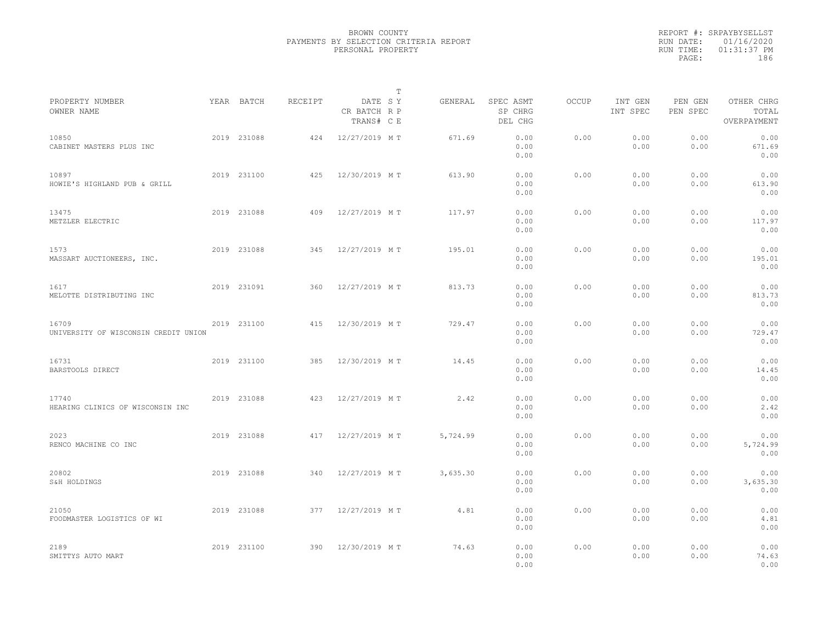|                                               |             |         |                                       | $\mathbb{T}$ |                                 |              |                     |                     |                                    |
|-----------------------------------------------|-------------|---------|---------------------------------------|--------------|---------------------------------|--------------|---------------------|---------------------|------------------------------------|
| PROPERTY NUMBER<br>OWNER NAME                 | YEAR BATCH  | RECEIPT | DATE SY<br>CR BATCH R P<br>TRANS# C E | GENERAL      | SPEC ASMT<br>SP CHRG<br>DEL CHG | <b>OCCUP</b> | INT GEN<br>INT SPEC | PEN GEN<br>PEN SPEC | OTHER CHRG<br>TOTAL<br>OVERPAYMENT |
| 10850<br>CABINET MASTERS PLUS INC             | 2019 231088 | 424     | 12/27/2019 MT                         | 671.69       | 0.00<br>0.00<br>0.00            | 0.00         | 0.00<br>0.00        | 0.00<br>0.00        | 0.00<br>671.69<br>0.00             |
| 10897<br>HOWIE'S HIGHLAND PUB & GRILL         | 2019 231100 | 425     | 12/30/2019 MT                         | 613.90       | 0.00<br>0.00<br>0.00            | 0.00         | 0.00<br>0.00        | 0.00<br>0.00        | 0.00<br>613.90<br>0.00             |
| 13475<br>METZLER ELECTRIC                     | 2019 231088 | 409     | 12/27/2019 MT                         | 117.97       | 0.00<br>0.00<br>0.00            | 0.00         | 0.00<br>0.00        | 0.00<br>0.00        | 0.00<br>117.97<br>0.00             |
| 1573<br>MASSART AUCTIONEERS, INC.             | 2019 231088 | 345     | 12/27/2019 MT                         | 195.01       | 0.00<br>0.00<br>0.00            | 0.00         | 0.00<br>0.00        | 0.00<br>0.00        | 0.00<br>195.01<br>0.00             |
| 1617<br>MELOTTE DISTRIBUTING INC              | 2019 231091 | 360     | 12/27/2019 MT                         | 813.73       | 0.00<br>0.00<br>0.00            | 0.00         | 0.00<br>0.00        | 0.00<br>0.00        | 0.00<br>813.73<br>0.00             |
| 16709<br>UNIVERSITY OF WISCONSIN CREDIT UNION | 2019 231100 | 415     | 12/30/2019 MT                         | 729.47       | 0.00<br>0.00<br>0.00            | 0.00         | 0.00<br>0.00        | 0.00<br>0.00        | 0.00<br>729.47<br>0.00             |
| 16731<br>BARSTOOLS DIRECT                     | 2019 231100 | 385     | 12/30/2019 MT                         | 14.45        | 0.00<br>0.00<br>0.00            | 0.00         | 0.00<br>0.00        | 0.00<br>0.00        | 0.00<br>14.45<br>0.00              |
| 17740<br>HEARING CLINICS OF WISCONSIN INC     | 2019 231088 | 423     | 12/27/2019 MT                         | 2.42         | 0.00<br>0.00<br>0.00            | 0.00         | 0.00<br>0.00        | 0.00<br>0.00        | 0.00<br>2.42<br>0.00               |
| 2023<br>RENCO MACHINE CO INC                  | 2019 231088 | 417     | 12/27/2019 MT                         | 5,724.99     | 0.00<br>0.00<br>0.00            | 0.00         | 0.00<br>0.00        | 0.00<br>0.00        | 0.00<br>5,724.99<br>0.00           |
| 20802<br>S&H HOLDINGS                         | 2019 231088 | 340     | 12/27/2019 MT                         | 3,635.30     | 0.00<br>0.00<br>0.00            | 0.00         | 0.00<br>0.00        | 0.00<br>0.00        | 0.00<br>3,635.30<br>0.00           |
| 21050<br>FOODMASTER LOGISTICS OF WI           | 2019 231088 | 377     | 12/27/2019 MT                         | 4.81         | 0.00<br>0.00<br>0.00            | 0.00         | 0.00<br>0.00        | 0.00<br>0.00        | 0.00<br>4.81<br>0.00               |
| 2189<br>SMITTYS AUTO MART                     | 2019 231100 | 390     | 12/30/2019 MT                         | 74.63        | 0.00<br>0.00<br>0.00            | 0.00         | 0.00<br>0.00        | 0.00<br>0.00        | 0.00<br>74.63<br>0.00              |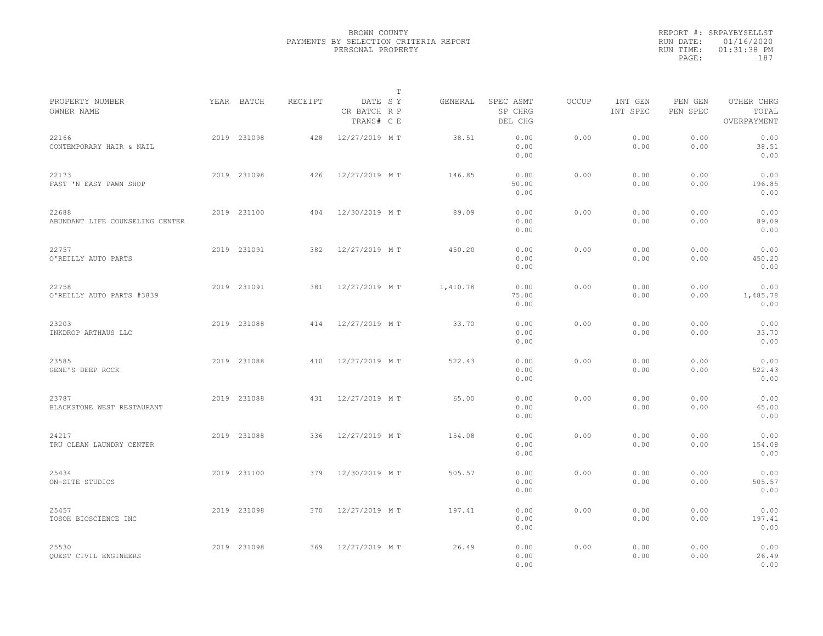|                                          |             |         |                                       | $\mathbb{T}$ |                                 |              |                     |                     |                                    |  |
|------------------------------------------|-------------|---------|---------------------------------------|--------------|---------------------------------|--------------|---------------------|---------------------|------------------------------------|--|
| PROPERTY NUMBER<br>OWNER NAME            | YEAR BATCH  | RECEIPT | DATE SY<br>CR BATCH R P<br>TRANS# C E | GENERAL      | SPEC ASMT<br>SP CHRG<br>DEL CHG | <b>OCCUP</b> | INT GEN<br>INT SPEC | PEN GEN<br>PEN SPEC | OTHER CHRG<br>TOTAL<br>OVERPAYMENT |  |
| 22166<br>CONTEMPORARY HAIR & NAIL        | 2019 231098 | 428     | 12/27/2019 MT                         | 38.51        | 0.00<br>0.00<br>0.00            | 0.00         | 0.00<br>0.00        | 0.00<br>0.00        | 0.00<br>38.51<br>0.00              |  |
| 22173<br>FAST 'N EASY PAWN SHOP          | 2019 231098 | 426     | 12/27/2019 MT                         | 146.85       | 0.00<br>50.00<br>0.00           | 0.00         | 0.00<br>0.00        | 0.00<br>0.00        | 0.00<br>196.85<br>0.00             |  |
| 22688<br>ABUNDANT LIFE COUNSELING CENTER | 2019 231100 | 404     | 12/30/2019 MT                         | 89.09        | 0.00<br>0.00<br>0.00            | 0.00         | 0.00<br>0.00        | 0.00<br>0.00        | 0.00<br>89.09<br>0.00              |  |
| 22757<br>O'REILLY AUTO PARTS             | 2019 231091 | 382     | 12/27/2019 MT                         | 450.20       | 0.00<br>0.00<br>0.00            | 0.00         | 0.00<br>0.00        | 0.00<br>0.00        | 0.00<br>450.20<br>0.00             |  |
| 22758<br>O'REILLY AUTO PARTS #3839       | 2019 231091 | 381     | 12/27/2019 MT                         | 1,410.78     | 0.00<br>75.00<br>0.00           | 0.00         | 0.00<br>0.00        | 0.00<br>0.00        | 0.00<br>1,485.78<br>0.00           |  |
| 23203<br>INKDROP ARTHAUS LLC             | 2019 231088 | 414     | 12/27/2019 MT                         | 33.70        | 0.00<br>0.00<br>0.00            | 0.00         | 0.00<br>0.00        | 0.00<br>0.00        | 0.00<br>33.70<br>0.00              |  |
| 23585<br>GENE'S DEEP ROCK                | 2019 231088 | 410     | 12/27/2019 MT                         | 522.43       | 0.00<br>0.00<br>0.00            | 0.00         | 0.00<br>0.00        | 0.00<br>0.00        | 0.00<br>522.43<br>0.00             |  |
| 23787<br>BLACKSTONE WEST RESTAURANT      | 2019 231088 | 431     | 12/27/2019 MT                         | 65.00        | 0.00<br>0.00<br>0.00            | 0.00         | 0.00<br>0.00        | 0.00<br>0.00        | 0.00<br>65.00<br>0.00              |  |
| 24217<br>TRU CLEAN LAUNDRY CENTER        | 2019 231088 | 336     | 12/27/2019 MT                         | 154.08       | 0.00<br>0.00<br>0.00            | 0.00         | 0.00<br>0.00        | 0.00<br>0.00        | 0.00<br>154.08<br>0.00             |  |
| 25434<br>ON-SITE STUDIOS                 | 2019 231100 | 379     | 12/30/2019 MT                         | 505.57       | 0.00<br>0.00<br>0.00            | 0.00         | 0.00<br>0.00        | 0.00<br>0.00        | 0.00<br>505.57<br>0.00             |  |
| 25457<br>TOSOH BIOSCIENCE INC            | 2019 231098 | 370     | 12/27/2019 MT                         | 197.41       | 0.00<br>0.00<br>0.00            | 0.00         | 0.00<br>0.00        | 0.00<br>0.00        | 0.00<br>197.41<br>0.00             |  |
| 25530<br>QUEST CIVIL ENGINEERS           | 2019 231098 | 369     | 12/27/2019 MT                         | 26.49        | 0.00<br>0.00<br>0.00            | 0.00         | 0.00<br>0.00        | 0.00<br>0.00        | 0.00<br>26.49<br>0.00              |  |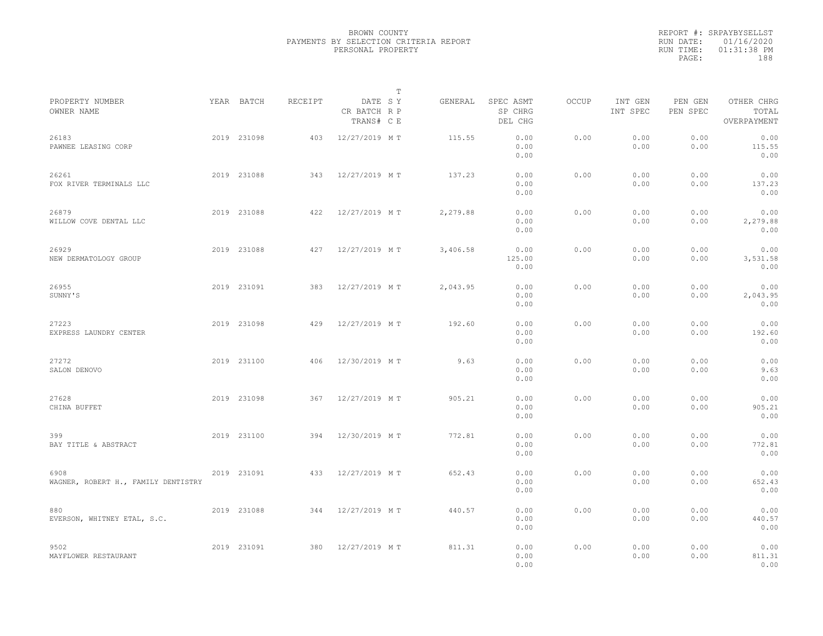|                                             |             |         |                                       | $\mathbb{T}$ |                                 |       |                     |                     |                                    |  |
|---------------------------------------------|-------------|---------|---------------------------------------|--------------|---------------------------------|-------|---------------------|---------------------|------------------------------------|--|
| PROPERTY NUMBER<br>OWNER NAME               | YEAR BATCH  | RECEIPT | DATE SY<br>CR BATCH R P<br>TRANS# C E | GENERAL      | SPEC ASMT<br>SP CHRG<br>DEL CHG | OCCUP | INT GEN<br>INT SPEC | PEN GEN<br>PEN SPEC | OTHER CHRG<br>TOTAL<br>OVERPAYMENT |  |
| 26183<br>PAWNEE LEASING CORP                | 2019 231098 | 403     | 12/27/2019 MT                         | 115.55       | 0.00<br>0.00<br>0.00            | 0.00  | 0.00<br>0.00        | 0.00<br>0.00        | 0.00<br>115.55<br>0.00             |  |
| 26261<br>FOX RIVER TERMINALS LLC            | 2019 231088 | 343     | 12/27/2019 MT                         | 137.23       | 0.00<br>0.00<br>0.00            | 0.00  | 0.00<br>0.00        | 0.00<br>0.00        | 0.00<br>137.23<br>0.00             |  |
| 26879<br>WILLOW COVE DENTAL LLC             | 2019 231088 | 422     | 12/27/2019 MT                         | 2,279.88     | 0.00<br>0.00<br>0.00            | 0.00  | 0.00<br>0.00        | 0.00<br>0.00        | 0.00<br>2,279.88<br>0.00           |  |
| 26929<br>NEW DERMATOLOGY GROUP              | 2019 231088 | 427     | 12/27/2019 MT                         | 3,406.58     | 0.00<br>125.00<br>0.00          | 0.00  | 0.00<br>0.00        | 0.00<br>0.00        | 0.00<br>3,531.58<br>0.00           |  |
| 26955<br>SUNNY'S                            | 2019 231091 | 383     | 12/27/2019 MT                         | 2,043.95     | 0.00<br>0.00<br>0.00            | 0.00  | 0.00<br>0.00        | 0.00<br>0.00        | 0.00<br>2,043.95<br>0.00           |  |
| 27223<br>EXPRESS LAUNDRY CENTER             | 2019 231098 | 429     | 12/27/2019 MT                         | 192.60       | 0.00<br>0.00<br>0.00            | 0.00  | 0.00<br>0.00        | 0.00<br>0.00        | 0.00<br>192.60<br>0.00             |  |
| 27272<br>SALON DENOVO                       | 2019 231100 | 406     | 12/30/2019 MT                         | 9.63         | 0.00<br>0.00<br>0.00            | 0.00  | 0.00<br>0.00        | 0.00<br>0.00        | 0.00<br>9.63<br>0.00               |  |
| 27628<br>CHINA BUFFET                       | 2019 231098 | 367     | 12/27/2019 MT                         | 905.21       | 0.00<br>0.00<br>0.00            | 0.00  | 0.00<br>0.00        | 0.00<br>0.00        | 0.00<br>905.21<br>0.00             |  |
| 399<br>BAY TITLE & ABSTRACT                 | 2019 231100 | 394     | 12/30/2019 MT                         | 772.81       | 0.00<br>0.00<br>0.00            | 0.00  | 0.00<br>0.00        | 0.00<br>0.00        | 0.00<br>772.81<br>0.00             |  |
| 6908<br>WAGNER, ROBERT H., FAMILY DENTISTRY | 2019 231091 | 433     | 12/27/2019 MT                         | 652.43       | 0.00<br>0.00<br>0.00            | 0.00  | 0.00<br>0.00        | 0.00<br>0.00        | 0.00<br>652.43<br>0.00             |  |
| 880<br>EVERSON, WHITNEY ETAL, S.C.          | 2019 231088 | 344     | 12/27/2019 MT                         | 440.57       | 0.00<br>0.00<br>0.00            | 0.00  | 0.00<br>0.00        | 0.00<br>0.00        | 0.00<br>440.57<br>0.00             |  |
| 9502<br>MAYFLOWER RESTAURANT                | 2019 231091 | 380     | 12/27/2019 MT                         | 811.31       | 0.00<br>0.00<br>0.00            | 0.00  | 0.00<br>0.00        | 0.00<br>0.00        | 0.00<br>811.31<br>0.00             |  |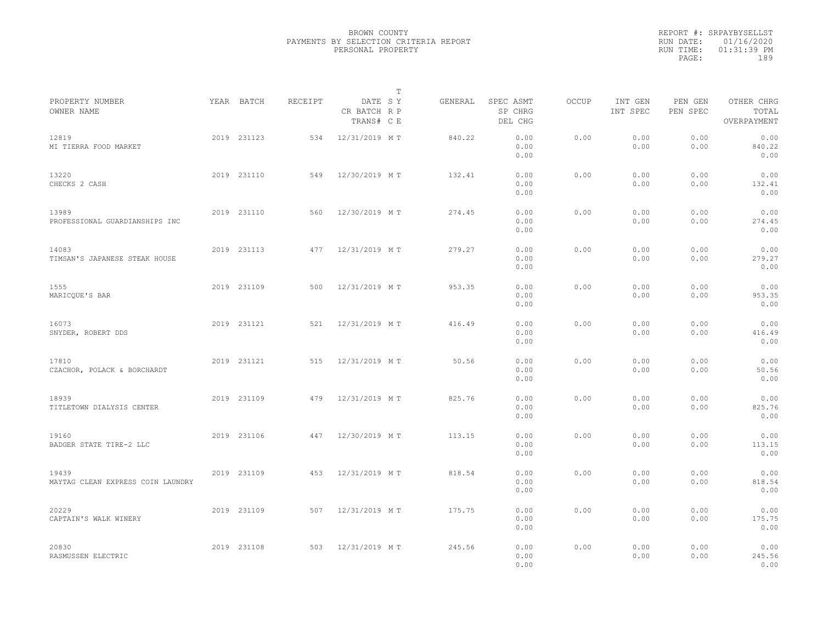|                                            |             |         | $\mathbb{T}$                          |         |                                 |              |                     |                     |                                    |  |
|--------------------------------------------|-------------|---------|---------------------------------------|---------|---------------------------------|--------------|---------------------|---------------------|------------------------------------|--|
| PROPERTY NUMBER<br>OWNER NAME              | YEAR BATCH  | RECEIPT | DATE SY<br>CR BATCH R P<br>TRANS# C E | GENERAL | SPEC ASMT<br>SP CHRG<br>DEL CHG | <b>OCCUP</b> | INT GEN<br>INT SPEC | PEN GEN<br>PEN SPEC | OTHER CHRG<br>TOTAL<br>OVERPAYMENT |  |
| 12819<br>MI TIERRA FOOD MARKET             | 2019 231123 | 534     | 12/31/2019 MT                         | 840.22  | 0.00<br>0.00<br>0.00            | 0.00         | 0.00<br>0.00        | 0.00<br>0.00        | 0.00<br>840.22<br>0.00             |  |
| 13220<br>CHECKS 2 CASH                     | 2019 231110 | 549     | 12/30/2019 MT                         | 132.41  | 0.00<br>0.00<br>0.00            | 0.00         | 0.00<br>0.00        | 0.00<br>0.00        | 0.00<br>132.41<br>0.00             |  |
| 13989<br>PROFESSIONAL GUARDIANSHIPS INC    | 2019 231110 | 560     | 12/30/2019 MT                         | 274.45  | 0.00<br>0.00<br>0.00            | 0.00         | 0.00<br>0.00        | 0.00<br>0.00        | 0.00<br>274.45<br>0.00             |  |
| 14083<br>TIMSAN'S JAPANESE STEAK HOUSE     | 2019 231113 | 477     | 12/31/2019 MT                         | 279.27  | 0.00<br>0.00<br>0.00            | 0.00         | 0.00<br>0.00        | 0.00<br>0.00        | 0.00<br>279.27<br>0.00             |  |
| 1555<br>MARICQUE'S BAR                     | 2019 231109 | 500     | 12/31/2019 MT                         | 953.35  | 0.00<br>0.00<br>0.00            | 0.00         | 0.00<br>0.00        | 0.00<br>0.00        | 0.00<br>953.35<br>0.00             |  |
| 16073<br>SNYDER, ROBERT DDS                | 2019 231121 | 521     | 12/31/2019 MT                         | 416.49  | 0.00<br>0.00<br>0.00            | 0.00         | 0.00<br>0.00        | 0.00<br>0.00        | 0.00<br>416.49<br>0.00             |  |
| 17810<br>CZACHOR, POLACK & BORCHARDT       | 2019 231121 | 515     | 12/31/2019 MT                         | 50.56   | 0.00<br>0.00<br>0.00            | 0.00         | 0.00<br>0.00        | 0.00<br>0.00        | 0.00<br>50.56<br>0.00              |  |
| 18939<br>TITLETOWN DIALYSIS CENTER         | 2019 231109 | 479     | 12/31/2019 MT                         | 825.76  | 0.00<br>0.00<br>0.00            | 0.00         | 0.00<br>0.00        | 0.00<br>0.00        | 0.00<br>825.76<br>0.00             |  |
| 19160<br>BADGER STATE TIRE-2 LLC           | 2019 231106 | 447     | 12/30/2019 MT                         | 113.15  | 0.00<br>0.00<br>0.00            | 0.00         | 0.00<br>0.00        | 0.00<br>0.00        | 0.00<br>113.15<br>0.00             |  |
| 19439<br>MAYTAG CLEAN EXPRESS COIN LAUNDRY | 2019 231109 | 453     | 12/31/2019 MT                         | 818.54  | 0.00<br>0.00<br>0.00            | 0.00         | 0.00<br>0.00        | 0.00<br>0.00        | 0.00<br>818.54<br>0.00             |  |
| 20229<br>CAPTAIN'S WALK WINERY             | 2019 231109 | 507     | 12/31/2019 MT                         | 175.75  | 0.00<br>0.00<br>0.00            | 0.00         | 0.00<br>0.00        | 0.00<br>0.00        | 0.00<br>175.75<br>0.00             |  |
| 20830<br>RASMUSSEN ELECTRIC                | 2019 231108 | 503     | 12/31/2019 MT                         | 245.56  | 0.00<br>0.00<br>0.00            | 0.00         | 0.00<br>0.00        | 0.00<br>0.00        | 0.00<br>245.56<br>0.00             |  |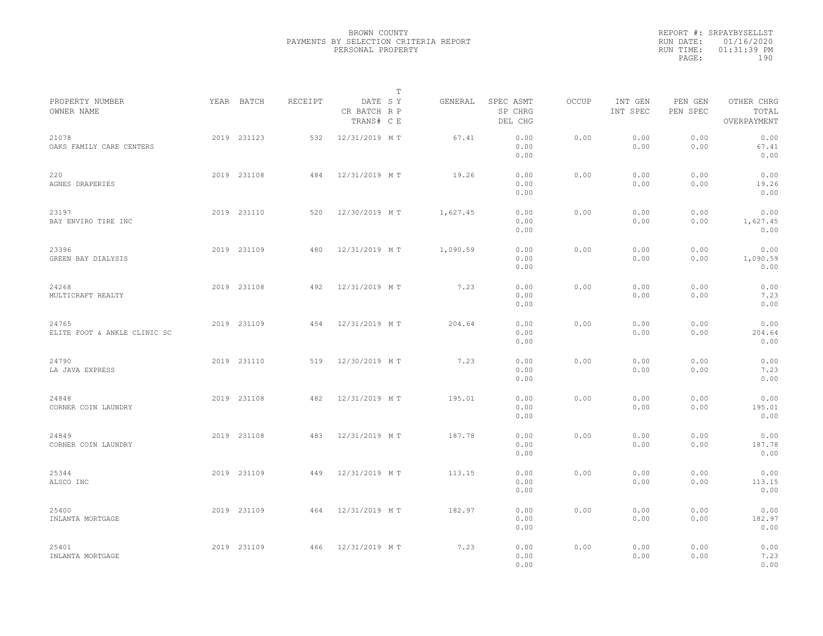|                                       |             |         |                                       | $\mathbb T$ |                                 |              |                     |                     |                                    |  |
|---------------------------------------|-------------|---------|---------------------------------------|-------------|---------------------------------|--------------|---------------------|---------------------|------------------------------------|--|
| PROPERTY NUMBER<br>OWNER NAME         | YEAR BATCH  | RECEIPT | DATE SY<br>CR BATCH R P<br>TRANS# C E | GENERAL     | SPEC ASMT<br>SP CHRG<br>DEL CHG | <b>OCCUP</b> | INT GEN<br>INT SPEC | PEN GEN<br>PEN SPEC | OTHER CHRG<br>TOTAL<br>OVERPAYMENT |  |
| 21078<br>OAKS FAMILY CARE CENTERS     | 2019 231123 | 532     | 12/31/2019 MT                         | 67.41       | 0.00<br>0.00<br>0.00            | 0.00         | 0.00<br>0.00        | 0.00<br>0.00        | 0.00<br>67.41<br>0.00              |  |
| 220<br>AGNES DRAPERIES                | 2019 231108 | 484     | 12/31/2019 MT                         | 19.26       | 0.00<br>0.00<br>0.00            | 0.00         | 0.00<br>0.00        | 0.00<br>0.00        | 0.00<br>19.26<br>0.00              |  |
| 23197<br>BAY ENVIRO TIRE INC          | 2019 231110 | 520     | 12/30/2019 MT                         | 1,627.45    | 0.00<br>0.00<br>0.00            | 0.00         | 0.00<br>0.00        | 0.00<br>0.00        | 0.00<br>1,627.45<br>0.00           |  |
| 23396<br>GREEN BAY DIALYSIS           | 2019 231109 | 480     | 12/31/2019 MT                         | 1,090.59    | 0.00<br>0.00<br>0.00            | 0.00         | 0.00<br>0.00        | 0.00<br>0.00        | 0.00<br>1,090.59<br>0.00           |  |
| 24268<br>MULTICRAFT REALTY            | 2019 231108 | 492     | 12/31/2019 MT                         | 7.23        | 0.00<br>0.00<br>0.00            | 0.00         | 0.00<br>0.00        | 0.00<br>0.00        | 0.00<br>7.23<br>0.00               |  |
| 24765<br>ELITE FOOT & ANKLE CLINIC SC | 2019 231109 | 454     | 12/31/2019 MT                         | 204.64      | 0.00<br>0.00<br>0.00            | 0.00         | 0.00<br>0.00        | 0.00<br>0.00        | 0.00<br>204.64<br>0.00             |  |
| 24790<br>LA JAVA EXPRESS              | 2019 231110 | 519     | 12/30/2019 MT                         | 7.23        | 0.00<br>0.00<br>0.00            | 0.00         | 0.00<br>0.00        | 0.00<br>0.00        | 0.00<br>7.23<br>0.00               |  |
| 24848<br>CORNER COIN LAUNDRY          | 2019 231108 | 482     | 12/31/2019 MT                         | 195.01      | 0.00<br>0.00<br>0.00            | 0.00         | 0.00<br>0.00        | 0.00<br>0.00        | 0.00<br>195.01<br>0.00             |  |
| 24849<br>CORNER COIN LAUNDRY          | 2019 231108 | 483     | 12/31/2019 MT                         | 187.78      | 0.00<br>0.00<br>0.00            | 0.00         | 0.00<br>0.00        | 0.00<br>0.00        | 0.00<br>187.78<br>0.00             |  |
| 25344<br>ALSCO INC                    | 2019 231109 | 449     | 12/31/2019 MT                         | 113.15      | 0.00<br>0.00<br>0.00            | 0.00         | 0.00<br>0.00        | 0.00<br>0.00        | 0.00<br>113.15<br>0.00             |  |
| 25400<br>INLANTA MORTGAGE             | 2019 231109 | 464     | 12/31/2019 MT                         | 182.97      | 0.00<br>0.00<br>0.00            | 0.00         | 0.00<br>0.00        | 0.00<br>0.00        | 0.00<br>182.97<br>0.00             |  |
| 25401<br>INLANTA MORTGAGE             | 2019 231109 | 466     | 12/31/2019 MT                         | 7.23        | 0.00<br>0.00<br>0.00            | 0.00         | 0.00<br>0.00        | 0.00<br>0.00        | 0.00<br>7.23<br>0.00               |  |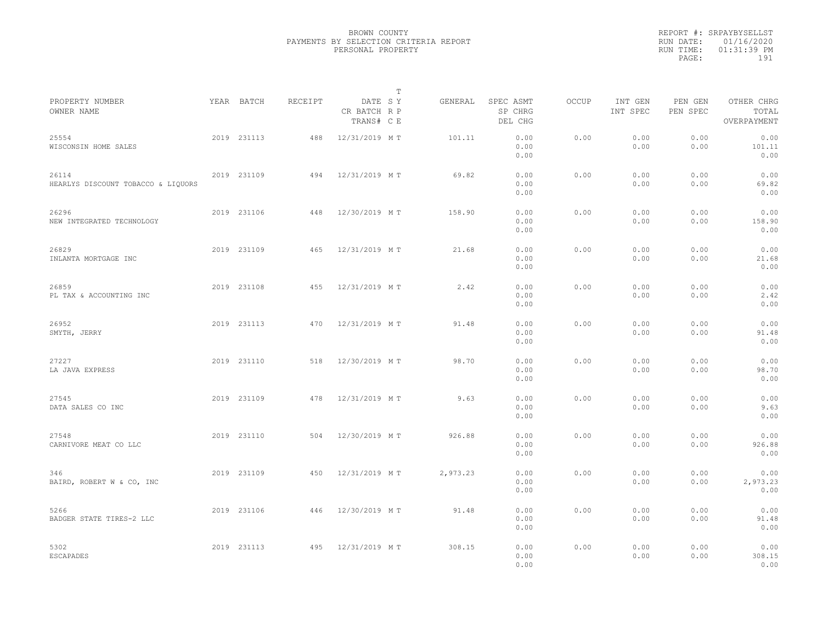|                                             |             |         |                                       | $\mathbb T$ |                                 |              |                     |                     |                                    |  |
|---------------------------------------------|-------------|---------|---------------------------------------|-------------|---------------------------------|--------------|---------------------|---------------------|------------------------------------|--|
| PROPERTY NUMBER<br>OWNER NAME               | YEAR BATCH  | RECEIPT | DATE SY<br>CR BATCH R P<br>TRANS# C E | GENERAL     | SPEC ASMT<br>SP CHRG<br>DEL CHG | <b>OCCUP</b> | INT GEN<br>INT SPEC | PEN GEN<br>PEN SPEC | OTHER CHRG<br>TOTAL<br>OVERPAYMENT |  |
| 25554<br>WISCONSIN HOME SALES               | 2019 231113 | 488     | 12/31/2019 MT                         | 101.11      | 0.00<br>0.00<br>0.00            | 0.00         | 0.00<br>0.00        | 0.00<br>0.00        | 0.00<br>101.11<br>0.00             |  |
| 26114<br>HEARLYS DISCOUNT TOBACCO & LIQUORS | 2019 231109 | 494     | 12/31/2019 MT                         | 69.82       | 0.00<br>0.00<br>0.00            | 0.00         | 0.00<br>0.00        | 0.00<br>0.00        | 0.00<br>69.82<br>0.00              |  |
| 26296<br>NEW INTEGRATED TECHNOLOGY          | 2019 231106 | 448     | 12/30/2019 MT                         | 158.90      | 0.00<br>0.00<br>0.00            | 0.00         | 0.00<br>0.00        | 0.00<br>0.00        | 0.00<br>158.90<br>0.00             |  |
| 26829<br>INLANTA MORTGAGE INC               | 2019 231109 | 465     | 12/31/2019 MT                         | 21.68       | 0.00<br>0.00<br>0.00            | 0.00         | 0.00<br>0.00        | 0.00<br>0.00        | 0.00<br>21.68<br>0.00              |  |
| 26859<br>PL TAX & ACCOUNTING INC            | 2019 231108 | 455     | 12/31/2019 MT                         | 2.42        | 0.00<br>0.00<br>0.00            | 0.00         | 0.00<br>0.00        | 0.00<br>0.00        | 0.00<br>2.42<br>0.00               |  |
| 26952<br>SMYTH, JERRY                       | 2019 231113 | 470     | 12/31/2019 MT                         | 91.48       | 0.00<br>0.00<br>0.00            | 0.00         | 0.00<br>0.00        | 0.00<br>0.00        | 0.00<br>91.48<br>0.00              |  |
| 27227<br>LA JAVA EXPRESS                    | 2019 231110 | 518     | 12/30/2019 MT                         | 98.70       | 0.00<br>0.00<br>0.00            | 0.00         | 0.00<br>0.00        | 0.00<br>0.00        | 0.00<br>98.70<br>0.00              |  |
| 27545<br>DATA SALES CO INC                  | 2019 231109 | 478     | 12/31/2019 MT                         | 9.63        | 0.00<br>0.00<br>0.00            | 0.00         | 0.00<br>0.00        | 0.00<br>0.00        | 0.00<br>9.63<br>0.00               |  |
| 27548<br>CARNIVORE MEAT CO LLC              | 2019 231110 | 504     | 12/30/2019 MT                         | 926.88      | 0.00<br>0.00<br>0.00            | 0.00         | 0.00<br>0.00        | 0.00<br>0.00        | 0.00<br>926.88<br>0.00             |  |
| 346<br>BAIRD, ROBERT W & CO, INC            | 2019 231109 | 450     | 12/31/2019 MT                         | 2,973.23    | 0.00<br>0.00<br>0.00            | 0.00         | 0.00<br>0.00        | 0.00<br>0.00        | 0.00<br>2,973.23<br>0.00           |  |
| 5266<br>BADGER STATE TIRES-2 LLC            | 2019 231106 | 446     | 12/30/2019 MT                         | 91.48       | 0.00<br>0.00<br>0.00            | 0.00         | 0.00<br>0.00        | 0.00<br>0.00        | 0.00<br>91.48<br>0.00              |  |
| 5302<br>ESCAPADES                           | 2019 231113 | 495     | 12/31/2019 MT                         | 308.15      | 0.00<br>0.00<br>0.00            | 0.00         | 0.00<br>0.00        | 0.00<br>0.00        | 0.00<br>308.15<br>0.00             |  |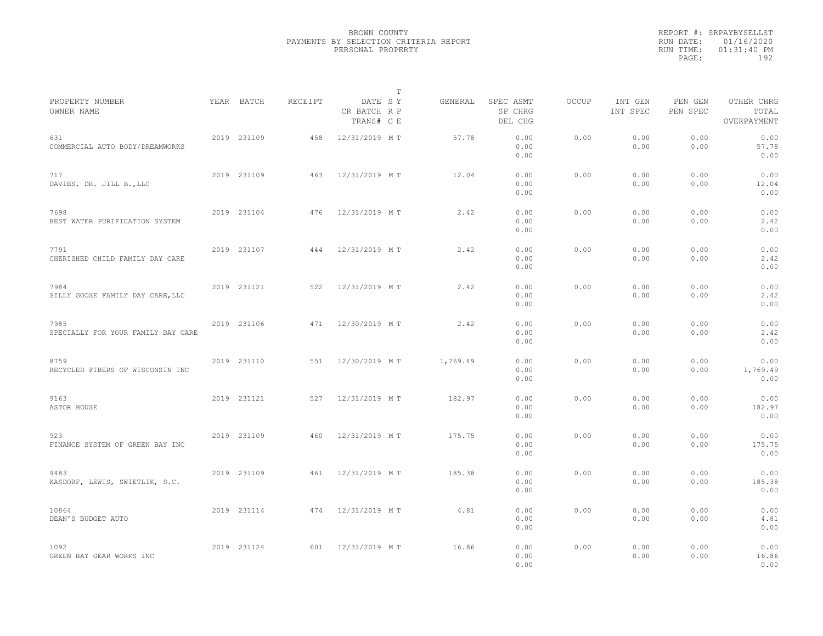|                                            |             |         | $\mathbb T$                           |          |                                 |              |                     |                     |                                    |  |
|--------------------------------------------|-------------|---------|---------------------------------------|----------|---------------------------------|--------------|---------------------|---------------------|------------------------------------|--|
| PROPERTY NUMBER<br>OWNER NAME              | YEAR BATCH  | RECEIPT | DATE SY<br>CR BATCH R P<br>TRANS# C E | GENERAL  | SPEC ASMT<br>SP CHRG<br>DEL CHG | <b>OCCUP</b> | INT GEN<br>INT SPEC | PEN GEN<br>PEN SPEC | OTHER CHRG<br>TOTAL<br>OVERPAYMENT |  |
| 631<br>COMMERCIAL AUTO BODY/DREAMWORKS     | 2019 231109 | 458     | 12/31/2019 MT                         | 57.78    | 0.00<br>0.00<br>0.00            | 0.00         | 0.00<br>0.00        | 0.00<br>0.00        | 0.00<br>57.78<br>0.00              |  |
| 717<br>DAVIES, DR. JILL B., LLC            | 2019 231109 | 463     | 12/31/2019 MT                         | 12.04    | 0.00<br>0.00<br>0.00            | 0.00         | 0.00<br>0.00        | 0.00<br>0.00        | 0.00<br>12.04<br>0.00              |  |
| 7698<br>BEST WATER PURIFICATION SYSTEM     | 2019 231104 | 476     | 12/31/2019 MT                         | 2.42     | 0.00<br>0.00<br>0.00            | 0.00         | 0.00<br>0.00        | 0.00<br>0.00        | 0.00<br>2.42<br>0.00               |  |
| 7791<br>CHERISHED CHILD FAMILY DAY CARE    | 2019 231107 | 444     | 12/31/2019 MT                         | 2.42     | 0.00<br>0.00<br>0.00            | 0.00         | 0.00<br>0.00        | 0.00<br>0.00        | 0.00<br>2.42<br>0.00               |  |
| 7984<br>SILLY GOOSE FAMILY DAY CARE, LLC   | 2019 231121 | 522     | 12/31/2019 MT                         | 2.42     | 0.00<br>0.00<br>0.00            | 0.00         | 0.00<br>0.00        | 0.00<br>0.00        | 0.00<br>2.42<br>0.00               |  |
| 7985<br>SPECIALLY FOR YOUR FAMILY DAY CARE | 2019 231106 | 471     | 12/30/2019 MT                         | 2.42     | 0.00<br>0.00<br>0.00            | 0.00         | 0.00<br>0.00        | 0.00<br>0.00        | 0.00<br>2.42<br>0.00               |  |
| 8759<br>RECYCLED FIBERS OF WISCONSIN INC   | 2019 231110 | 551     | 12/30/2019 MT                         | 1,769.49 | 0.00<br>0.00<br>0.00            | 0.00         | 0.00<br>0.00        | 0.00<br>0.00        | 0.00<br>1,769.49<br>0.00           |  |
| 9163<br>ASTOR HOUSE                        | 2019 231121 | 527     | 12/31/2019 MT                         | 182.97   | 0.00<br>0.00<br>0.00            | 0.00         | 0.00<br>0.00        | 0.00<br>0.00        | 0.00<br>182.97<br>0.00             |  |
| 923<br>FINANCE SYSTEM OF GREEN BAY INC     | 2019 231109 | 460     | 12/31/2019 MT                         | 175.75   | 0.00<br>0.00<br>0.00            | 0.00         | 0.00<br>0.00        | 0.00<br>0.00        | 0.00<br>175.75<br>0.00             |  |
| 9483<br>KASDORF, LEWIS, SWIETLIK, S.C.     | 2019 231109 | 461     | 12/31/2019 MT                         | 185.38   | 0.00<br>0.00<br>0.00            | 0.00         | 0.00<br>0.00        | 0.00<br>0.00        | 0.00<br>185.38<br>0.00             |  |
| 10864<br>DEAN'S BUDGET AUTO                | 2019 231114 | 474     | 12/31/2019 MT                         | 4.81     | 0.00<br>0.00<br>0.00            | 0.00         | 0.00<br>0.00        | 0.00<br>0.00        | 0.00<br>4.81<br>0.00               |  |
| 1092<br>GREEN BAY GEAR WORKS INC           | 2019 231124 | 601     | 12/31/2019 MT                         | 16.86    | 0.00<br>0.00<br>0.00            | 0.00         | 0.00<br>0.00        | 0.00<br>0.00        | 0.00<br>16.86<br>0.00              |  |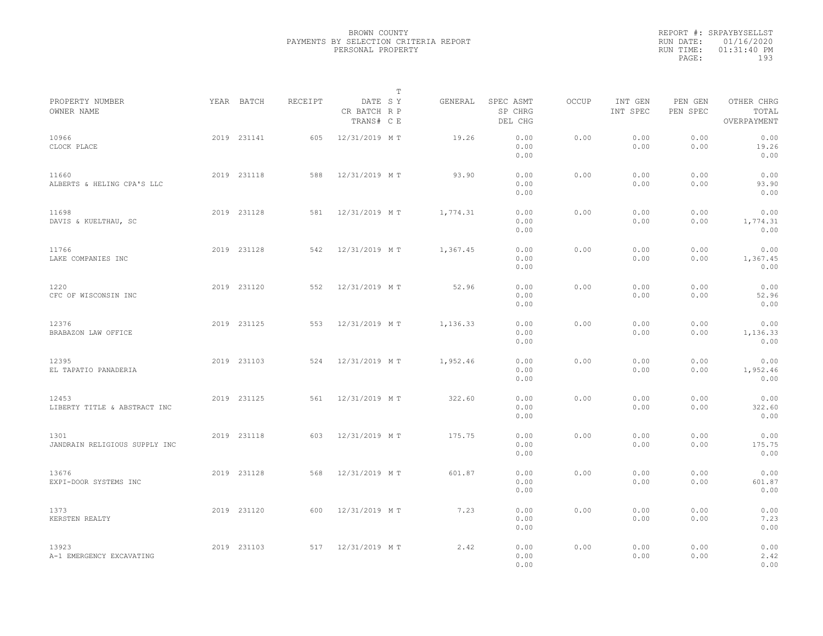|                                       |             |         | $\mathbb{T}$                          |          |                                 |              |                     |                     |                                    |  |
|---------------------------------------|-------------|---------|---------------------------------------|----------|---------------------------------|--------------|---------------------|---------------------|------------------------------------|--|
| PROPERTY NUMBER<br>OWNER NAME         | YEAR BATCH  | RECEIPT | DATE SY<br>CR BATCH R P<br>TRANS# C E | GENERAL  | SPEC ASMT<br>SP CHRG<br>DEL CHG | <b>OCCUP</b> | INT GEN<br>INT SPEC | PEN GEN<br>PEN SPEC | OTHER CHRG<br>TOTAL<br>OVERPAYMENT |  |
| 10966<br>CLOCK PLACE                  | 2019 231141 | 605     | 12/31/2019 MT                         | 19.26    | 0.00<br>0.00<br>0.00            | 0.00         | 0.00<br>0.00        | 0.00<br>0.00        | 0.00<br>19.26<br>0.00              |  |
| 11660<br>ALBERTS & HELING CPA'S LLC   | 2019 231118 | 588     | 12/31/2019 MT                         | 93.90    | 0.00<br>0.00<br>0.00            | 0.00         | 0.00<br>0.00        | 0.00<br>0.00        | 0.00<br>93.90<br>0.00              |  |
| 11698<br>DAVIS & KUELTHAU, SC         | 2019 231128 | 581     | 12/31/2019 MT                         | 1,774.31 | 0.00<br>0.00<br>0.00            | 0.00         | 0.00<br>0.00        | 0.00<br>0.00        | 0.00<br>1,774.31<br>0.00           |  |
| 11766<br>LAKE COMPANIES INC           | 2019 231128 | 542     | 12/31/2019 MT                         | 1,367.45 | 0.00<br>0.00<br>0.00            | 0.00         | 0.00<br>0.00        | 0.00<br>0.00        | 0.00<br>1,367.45<br>0.00           |  |
| 1220<br>CFC OF WISCONSIN INC          | 2019 231120 | 552     | 12/31/2019 MT                         | 52.96    | 0.00<br>0.00<br>0.00            | 0.00         | 0.00<br>0.00        | 0.00<br>0.00        | 0.00<br>52.96<br>0.00              |  |
| 12376<br>BRABAZON LAW OFFICE          | 2019 231125 | 553     | 12/31/2019 MT                         | 1,136.33 | 0.00<br>0.00<br>0.00            | 0.00         | 0.00<br>0.00        | 0.00<br>0.00        | 0.00<br>1,136.33<br>0.00           |  |
| 12395<br>EL TAPATIO PANADERIA         | 2019 231103 | 524     | 12/31/2019 MT                         | 1,952.46 | 0.00<br>0.00<br>0.00            | 0.00         | 0.00<br>0.00        | 0.00<br>0.00        | 0.00<br>1,952.46<br>0.00           |  |
| 12453<br>LIBERTY TITLE & ABSTRACT INC | 2019 231125 | 561     | 12/31/2019 MT                         | 322.60   | 0.00<br>0.00<br>0.00            | 0.00         | 0.00<br>0.00        | 0.00<br>0.00        | 0.00<br>322.60<br>0.00             |  |
| 1301<br>JANDRAIN RELIGIOUS SUPPLY INC | 2019 231118 | 603     | 12/31/2019 MT                         | 175.75   | 0.00<br>0.00<br>0.00            | 0.00         | 0.00<br>0.00        | 0.00<br>0.00        | 0.00<br>175.75<br>0.00             |  |
| 13676<br>EXPI-DOOR SYSTEMS INC        | 2019 231128 | 568     | 12/31/2019 MT                         | 601.87   | 0.00<br>0.00<br>0.00            | 0.00         | 0.00<br>0.00        | 0.00<br>0.00        | 0.00<br>601.87<br>0.00             |  |
| 1373<br>KERSTEN REALTY                | 2019 231120 | 600     | 12/31/2019 MT                         | 7.23     | 0.00<br>0.00<br>0.00            | 0.00         | 0.00<br>0.00        | 0.00<br>0.00        | 0.00<br>7.23<br>0.00               |  |
| 13923<br>A-1 EMERGENCY EXCAVATING     | 2019 231103 | 517     | 12/31/2019 MT                         | 2.42     | 0.00<br>0.00<br>0.00            | 0.00         | 0.00<br>0.00        | 0.00<br>0.00        | 0.00<br>2.42<br>0.00               |  |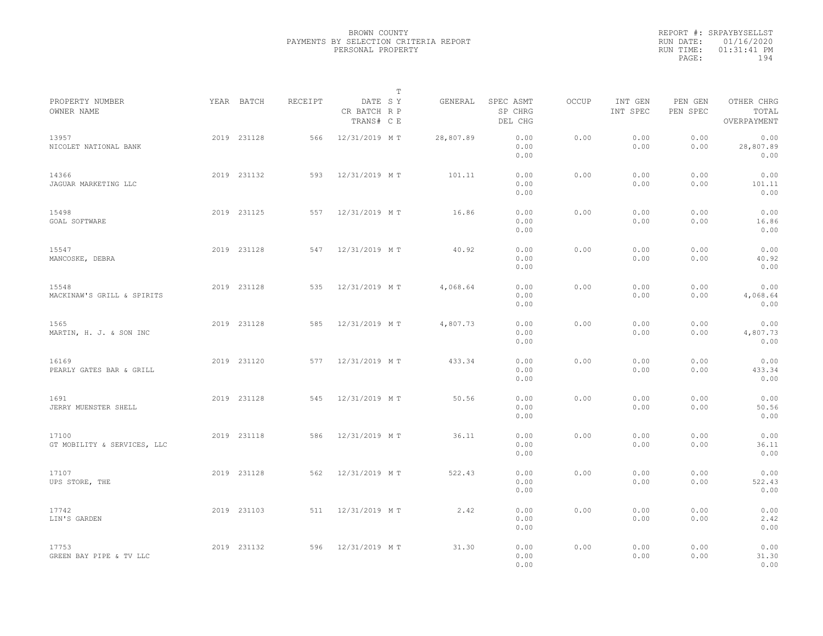|                                      |             |         | $\mathbb{T}$                          |           |                                 |       |                     |                     |                                    |  |
|--------------------------------------|-------------|---------|---------------------------------------|-----------|---------------------------------|-------|---------------------|---------------------|------------------------------------|--|
| PROPERTY NUMBER<br>OWNER NAME        | YEAR BATCH  | RECEIPT | DATE SY<br>CR BATCH R P<br>TRANS# C E | GENERAL   | SPEC ASMT<br>SP CHRG<br>DEL CHG | OCCUP | INT GEN<br>INT SPEC | PEN GEN<br>PEN SPEC | OTHER CHRG<br>TOTAL<br>OVERPAYMENT |  |
| 13957<br>NICOLET NATIONAL BANK       | 2019 231128 | 566     | 12/31/2019 MT                         | 28,807.89 | 0.00<br>0.00<br>0.00            | 0.00  | 0.00<br>0.00        | 0.00<br>0.00        | 0.00<br>28,807.89<br>0.00          |  |
| 14366<br>JAGUAR MARKETING LLC        | 2019 231132 | 593     | 12/31/2019 MT                         | 101.11    | 0.00<br>0.00<br>0.00            | 0.00  | 0.00<br>0.00        | 0.00<br>0.00        | 0.00<br>101.11<br>0.00             |  |
| 15498<br>GOAL SOFTWARE               | 2019 231125 | 557     | 12/31/2019 MT                         | 16.86     | 0.00<br>0.00<br>0.00            | 0.00  | 0.00<br>0.00        | 0.00<br>0.00        | 0.00<br>16.86<br>0.00              |  |
| 15547<br>MANCOSKE, DEBRA             | 2019 231128 | 547     | 12/31/2019 MT                         | 40.92     | 0.00<br>0.00<br>0.00            | 0.00  | 0.00<br>0.00        | 0.00<br>0.00        | 0.00<br>40.92<br>0.00              |  |
| 15548<br>MACKINAW'S GRILL & SPIRITS  | 2019 231128 | 535     | 12/31/2019 MT                         | 4,068.64  | 0.00<br>0.00<br>0.00            | 0.00  | 0.00<br>0.00        | 0.00<br>0.00        | 0.00<br>4,068.64<br>0.00           |  |
| 1565<br>MARTIN, H. J. & SON INC      | 2019 231128 | 585     | 12/31/2019 MT                         | 4,807.73  | 0.00<br>0.00<br>0.00            | 0.00  | 0.00<br>0.00        | 0.00<br>0.00        | 0.00<br>4,807.73<br>0.00           |  |
| 16169<br>PEARLY GATES BAR & GRILL    | 2019 231120 | 577     | 12/31/2019 MT                         | 433.34    | 0.00<br>0.00<br>0.00            | 0.00  | 0.00<br>0.00        | 0.00<br>0.00        | 0.00<br>433.34<br>0.00             |  |
| 1691<br>JERRY MUENSTER SHELL         | 2019 231128 | 545     | 12/31/2019 MT                         | 50.56     | 0.00<br>0.00<br>0.00            | 0.00  | 0.00<br>0.00        | 0.00<br>0.00        | 0.00<br>50.56<br>0.00              |  |
| 17100<br>GT MOBILITY & SERVICES, LLC | 2019 231118 | 586     | 12/31/2019 MT                         | 36.11     | 0.00<br>0.00<br>0.00            | 0.00  | 0.00<br>0.00        | 0.00<br>0.00        | 0.00<br>36.11<br>0.00              |  |
| 17107<br>UPS STORE, THE              | 2019 231128 | 562     | 12/31/2019 MT                         | 522.43    | 0.00<br>0.00<br>0.00            | 0.00  | 0.00<br>0.00        | 0.00<br>0.00        | 0.00<br>522.43<br>0.00             |  |
| 17742<br>LIN'S GARDEN                | 2019 231103 | 511     | 12/31/2019 MT                         | 2.42      | 0.00<br>0.00<br>0.00            | 0.00  | 0.00<br>0.00        | 0.00<br>0.00        | 0.00<br>2.42<br>0.00               |  |
| 17753<br>GREEN BAY PIPE & TV LLC     | 2019 231132 | 596     | 12/31/2019 MT                         | 31.30     | 0.00<br>0.00<br>0.00            | 0.00  | 0.00<br>0.00        | 0.00<br>0.00        | 0.00<br>31.30<br>0.00              |  |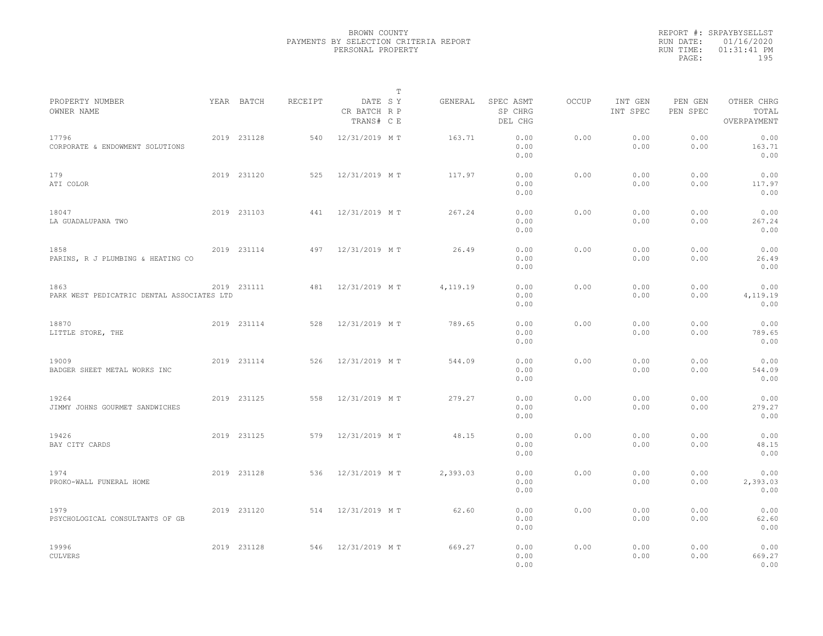|                                                    |             |         | T                                     |          |                                 |              |                     |                     |                                    |  |
|----------------------------------------------------|-------------|---------|---------------------------------------|----------|---------------------------------|--------------|---------------------|---------------------|------------------------------------|--|
| PROPERTY NUMBER<br>OWNER NAME                      | YEAR BATCH  | RECEIPT | DATE SY<br>CR BATCH R P<br>TRANS# C E | GENERAL  | SPEC ASMT<br>SP CHRG<br>DEL CHG | <b>OCCUP</b> | INT GEN<br>INT SPEC | PEN GEN<br>PEN SPEC | OTHER CHRG<br>TOTAL<br>OVERPAYMENT |  |
| 17796<br>CORPORATE & ENDOWMENT SOLUTIONS           | 2019 231128 | 540     | 12/31/2019 MT                         | 163.71   | 0.00<br>0.00<br>0.00            | 0.00         | 0.00<br>0.00        | 0.00<br>0.00        | 0.00<br>163.71<br>0.00             |  |
| 179<br>ATI COLOR                                   | 2019 231120 | 525     | 12/31/2019 MT                         | 117.97   | 0.00<br>0.00<br>0.00            | 0.00         | 0.00<br>0.00        | 0.00<br>0.00        | 0.00<br>117.97<br>0.00             |  |
| 18047<br>LA GUADALUPANA TWO                        | 2019 231103 | 441     | 12/31/2019 MT                         | 267.24   | 0.00<br>0.00<br>0.00            | 0.00         | 0.00<br>0.00        | 0.00<br>0.00        | 0.00<br>267.24<br>0.00             |  |
| 1858<br>PARINS, R J PLUMBING & HEATING CO          | 2019 231114 | 497     | 12/31/2019 MT                         | 26.49    | 0.00<br>0.00<br>0.00            | 0.00         | 0.00<br>0.00        | 0.00<br>0.00        | 0.00<br>26.49<br>0.00              |  |
| 1863<br>PARK WEST PEDICATRIC DENTAL ASSOCIATES LTD | 2019 231111 | 481     | 12/31/2019 MT                         | 4,119.19 | 0.00<br>0.00<br>0.00            | 0.00         | 0.00<br>0.00        | 0.00<br>0.00        | 0.00<br>4,119.19<br>0.00           |  |
| 18870<br>LITTLE STORE, THE                         | 2019 231114 | 528     | 12/31/2019 MT                         | 789.65   | 0.00<br>0.00<br>0.00            | 0.00         | 0.00<br>0.00        | 0.00<br>0.00        | 0.00<br>789.65<br>0.00             |  |
| 19009<br>BADGER SHEET METAL WORKS INC              | 2019 231114 | 526     | 12/31/2019 MT                         | 544.09   | 0.00<br>0.00<br>0.00            | 0.00         | 0.00<br>0.00        | 0.00<br>0.00        | 0.00<br>544.09<br>0.00             |  |
| 19264<br>JIMMY JOHNS GOURMET SANDWICHES            | 2019 231125 | 558     | 12/31/2019 MT                         | 279.27   | 0.00<br>0.00<br>0.00            | 0.00         | 0.00<br>0.00        | 0.00<br>0.00        | 0.00<br>279.27<br>0.00             |  |
| 19426<br>BAY CITY CARDS                            | 2019 231125 | 579     | 12/31/2019 MT                         | 48.15    | 0.00<br>0.00<br>0.00            | 0.00         | 0.00<br>0.00        | 0.00<br>0.00        | 0.00<br>48.15<br>0.00              |  |
| 1974<br>PROKO-WALL FUNERAL HOME                    | 2019 231128 | 536     | 12/31/2019 MT                         | 2,393.03 | 0.00<br>0.00<br>0.00            | 0.00         | 0.00<br>0.00        | 0.00<br>0.00        | 0.00<br>2,393.03<br>0.00           |  |
| 1979<br>PSYCHOLOGICAL CONSULTANTS OF GB            | 2019 231120 | 514     | 12/31/2019 MT                         | 62.60    | 0.00<br>0.00<br>0.00            | 0.00         | 0.00<br>0.00        | 0.00<br>0.00        | 0.00<br>62.60<br>0.00              |  |
| 19996<br><b>CULVERS</b>                            | 2019 231128 | 546     | 12/31/2019 MT                         | 669.27   | 0.00<br>0.00<br>0.00            | 0.00         | 0.00<br>0.00        | 0.00<br>0.00        | 0.00<br>669.27<br>0.00             |  |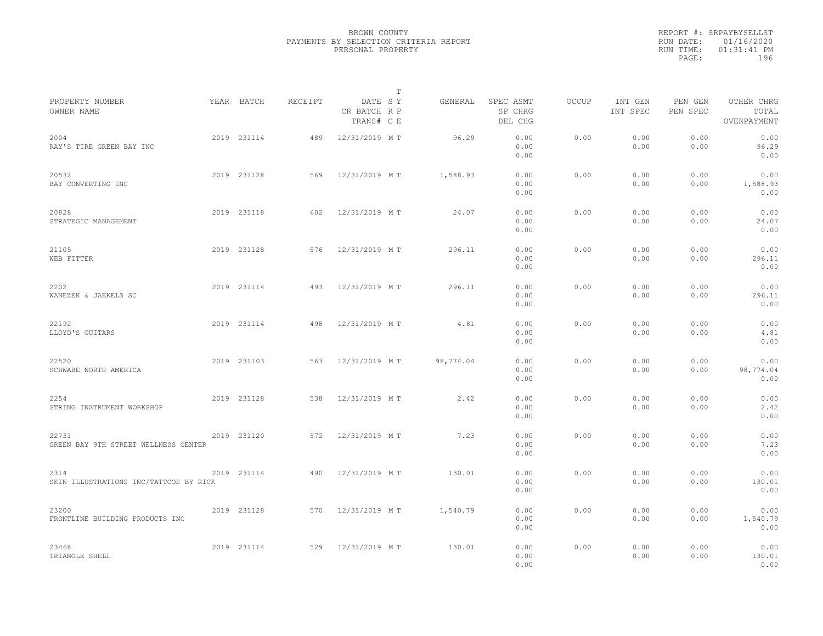|                                                |             |         |                                       | $\mathbb T$ |                                 |              |                     |                     |                                    |  |
|------------------------------------------------|-------------|---------|---------------------------------------|-------------|---------------------------------|--------------|---------------------|---------------------|------------------------------------|--|
| PROPERTY NUMBER<br>OWNER NAME                  | YEAR BATCH  | RECEIPT | DATE SY<br>CR BATCH R P<br>TRANS# C E | GENERAL     | SPEC ASMT<br>SP CHRG<br>DEL CHG | <b>OCCUP</b> | INT GEN<br>INT SPEC | PEN GEN<br>PEN SPEC | OTHER CHRG<br>TOTAL<br>OVERPAYMENT |  |
| 2004<br>RAY'S TIRE GREEN BAY INC               | 2019 231114 | 489     | 12/31/2019 MT                         | 96.29       | 0.00<br>0.00<br>0.00            | 0.00         | 0.00<br>0.00        | 0.00<br>0.00        | 0.00<br>96.29<br>0.00              |  |
| 20532<br>BAY CONVERTING INC                    | 2019 231128 | 569     | 12/31/2019 MT                         | 1,588.93    | 0.00<br>0.00<br>0.00            | 0.00         | 0.00<br>0.00        | 0.00<br>0.00        | 0.00<br>1,588.93<br>0.00           |  |
| 20828<br>STRATEGIC MANAGEMENT                  | 2019 231118 | 602     | 12/31/2019 MT                         | 24.07       | 0.00<br>0.00<br>0.00            | 0.00         | 0.00<br>0.00        | 0.00<br>0.00        | 0.00<br>24.07<br>0.00              |  |
| 21105<br>WEB FITTER                            | 2019 231128 | 576     | 12/31/2019 MT                         | 296.11      | 0.00<br>0.00<br>0.00            | 0.00         | 0.00<br>0.00        | 0.00<br>0.00        | 0.00<br>296.11<br>0.00             |  |
| 2202<br>WANEZEK & JAEKELS SC                   | 2019 231114 | 493     | 12/31/2019 MT                         | 296.11      | 0.00<br>0.00<br>0.00            | 0.00         | 0.00<br>0.00        | 0.00<br>0.00        | 0.00<br>296.11<br>0.00             |  |
| 22192<br>LLOYD'S GUITARS                       | 2019 231114 | 498     | 12/31/2019 MT                         | 4.81        | 0.00<br>0.00<br>0.00            | 0.00         | 0.00<br>0.00        | 0.00<br>0.00        | 0.00<br>4.81<br>0.00               |  |
| 22520<br>SCHWABE NORTH AMERICA                 | 2019 231103 | 563     | 12/31/2019 MT                         | 98,774.04   | 0.00<br>0.00<br>0.00            | 0.00         | 0.00<br>0.00        | 0.00<br>0.00        | 0.00<br>98,774.04<br>0.00          |  |
| 2254<br>STRING INSTRUMENT WORKSHOP             | 2019 231128 | 538     | 12/31/2019 MT                         | 2.42        | 0.00<br>0.00<br>0.00            | 0.00         | 0.00<br>0.00        | 0.00<br>0.00        | 0.00<br>2.42<br>0.00               |  |
| 22731<br>GREEN BAY 9TH STREET WELLNESS CENTER  | 2019 231120 | 572     | 12/31/2019 MT                         | 7.23        | 0.00<br>0.00<br>0.00            | 0.00         | 0.00<br>0.00        | 0.00<br>0.00        | 0.00<br>7.23<br>0.00               |  |
| 2314<br>SKIN ILLUSTRATIONS INC/TATTOOS BY RICK | 2019 231114 | 490     | 12/31/2019 MT                         | 130.01      | 0.00<br>0.00<br>0.00            | 0.00         | 0.00<br>0.00        | 0.00<br>0.00        | 0.00<br>130.01<br>0.00             |  |
| 23200<br>FRONTLINE BUILDING PRODUCTS INC       | 2019 231128 | 570     | 12/31/2019 MT                         | 1,540.79    | 0.00<br>0.00<br>0.00            | 0.00         | 0.00<br>0.00        | 0.00<br>0.00        | 0.00<br>1,540.79<br>0.00           |  |
| 23468<br>TRIANGLE SHELL                        | 2019 231114 | 529     | 12/31/2019 MT                         | 130.01      | 0.00<br>0.00<br>0.00            | 0.00         | 0.00<br>0.00        | 0.00<br>0.00        | 0.00<br>130.01<br>0.00             |  |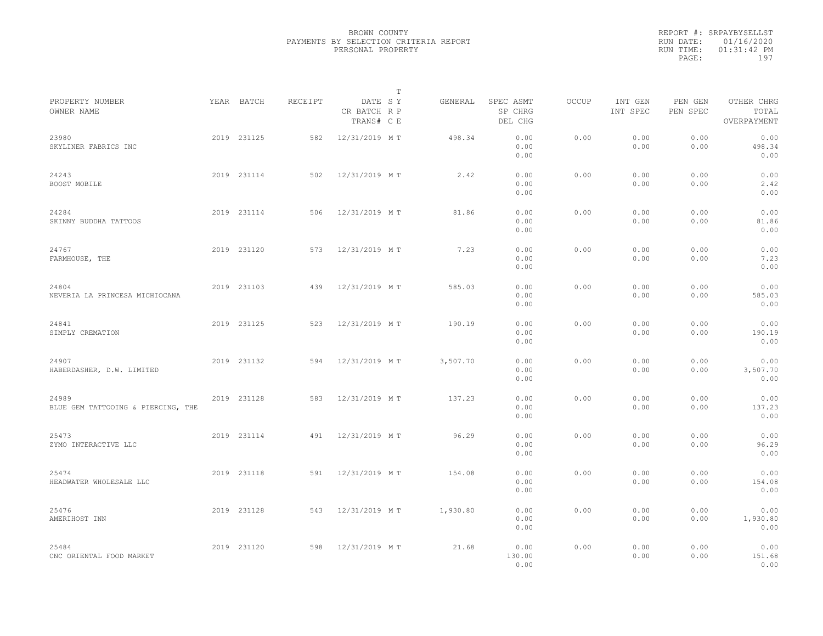|                                             |             |         |                                       | $\mathbb T$ |          |                                 |              |                     |                     |                                    |  |
|---------------------------------------------|-------------|---------|---------------------------------------|-------------|----------|---------------------------------|--------------|---------------------|---------------------|------------------------------------|--|
| PROPERTY NUMBER<br>OWNER NAME               | YEAR BATCH  | RECEIPT | DATE SY<br>CR BATCH R P<br>TRANS# C E |             | GENERAL  | SPEC ASMT<br>SP CHRG<br>DEL CHG | <b>OCCUP</b> | INT GEN<br>INT SPEC | PEN GEN<br>PEN SPEC | OTHER CHRG<br>TOTAL<br>OVERPAYMENT |  |
| 23980<br>SKYLINER FABRICS INC               | 2019 231125 | 582     | 12/31/2019 MT                         |             | 498.34   | 0.00<br>0.00<br>0.00            | 0.00         | 0.00<br>0.00        | 0.00<br>0.00        | 0.00<br>498.34<br>0.00             |  |
| 24243<br>BOOST MOBILE                       | 2019 231114 | 502     | 12/31/2019 MT                         |             | 2.42     | 0.00<br>0.00<br>0.00            | 0.00         | 0.00<br>0.00        | 0.00<br>0.00        | 0.00<br>2.42<br>0.00               |  |
| 24284<br>SKINNY BUDDHA TATTOOS              | 2019 231114 | 506     | 12/31/2019 MT                         |             | 81.86    | 0.00<br>0.00<br>0.00            | 0.00         | 0.00<br>0.00        | 0.00<br>0.00        | 0.00<br>81.86<br>0.00              |  |
| 24767<br>FARMHOUSE, THE                     | 2019 231120 | 573     | 12/31/2019 MT                         |             | 7.23     | 0.00<br>0.00<br>0.00            | 0.00         | 0.00<br>0.00        | 0.00<br>0.00        | 0.00<br>7.23<br>0.00               |  |
| 24804<br>NEVERIA LA PRINCESA MICHIOCANA     | 2019 231103 | 439     | 12/31/2019 MT                         |             | 585.03   | 0.00<br>0.00<br>0.00            | 0.00         | 0.00<br>0.00        | 0.00<br>0.00        | 0.00<br>585.03<br>0.00             |  |
| 24841<br>SIMPLY CREMATION                   | 2019 231125 | 523     | 12/31/2019 MT                         |             | 190.19   | 0.00<br>0.00<br>0.00            | 0.00         | 0.00<br>0.00        | 0.00<br>0.00        | 0.00<br>190.19<br>0.00             |  |
| 24907<br>HABERDASHER, D.W. LIMITED          | 2019 231132 | 594     | 12/31/2019 MT                         |             | 3,507.70 | 0.00<br>0.00<br>0.00            | 0.00         | 0.00<br>0.00        | 0.00<br>0.00        | 0.00<br>3,507.70<br>0.00           |  |
| 24989<br>BLUE GEM TATTOOING & PIERCING, THE | 2019 231128 | 583     | 12/31/2019 MT                         |             | 137.23   | 0.00<br>0.00<br>0.00            | 0.00         | 0.00<br>0.00        | 0.00<br>0.00        | 0.00<br>137.23<br>0.00             |  |
| 25473<br>ZYMO INTERACTIVE LLC               | 2019 231114 | 491     | 12/31/2019 MT                         |             | 96.29    | 0.00<br>0.00<br>0.00            | 0.00         | 0.00<br>0.00        | 0.00<br>0.00        | 0.00<br>96.29<br>0.00              |  |
| 25474<br>HEADWATER WHOLESALE LLC            | 2019 231118 | 591     | 12/31/2019 MT                         |             | 154.08   | 0.00<br>0.00<br>0.00            | 0.00         | 0.00<br>0.00        | 0.00<br>0.00        | 0.00<br>154.08<br>0.00             |  |
| 25476<br>AMERIHOST INN                      | 2019 231128 | 543     | 12/31/2019 MT                         |             | 1,930.80 | 0.00<br>0.00<br>0.00            | 0.00         | 0.00<br>0.00        | 0.00<br>0.00        | 0.00<br>1,930.80<br>0.00           |  |
| 25484<br>CNC ORIENTAL FOOD MARKET           | 2019 231120 | 598     | 12/31/2019 MT                         |             | 21.68    | 0.00<br>130.00<br>0.00          | 0.00         | 0.00<br>0.00        | 0.00<br>0.00        | 0.00<br>151.68<br>0.00             |  |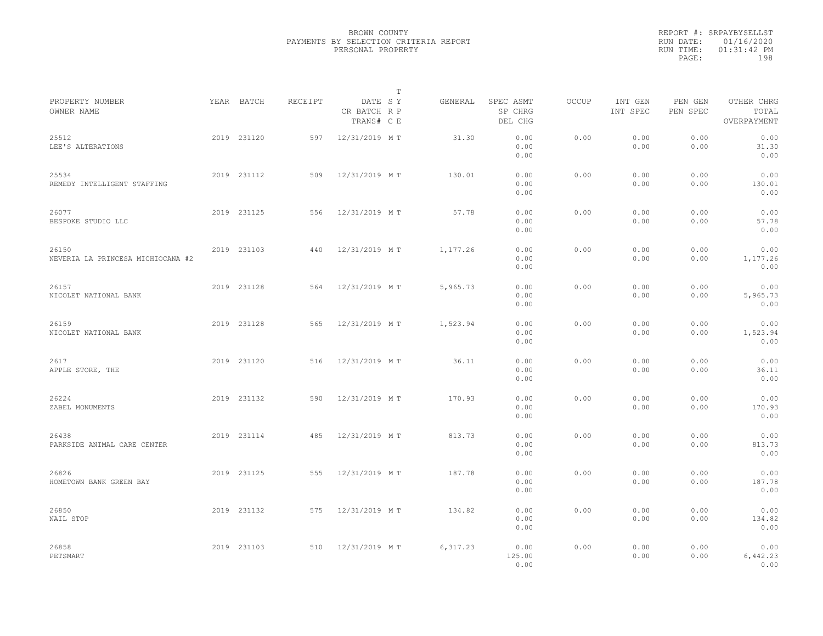|                                            |             |         |                                       | T |           |                                 |              |                     |                     |                                    |  |
|--------------------------------------------|-------------|---------|---------------------------------------|---|-----------|---------------------------------|--------------|---------------------|---------------------|------------------------------------|--|
| PROPERTY NUMBER<br>OWNER NAME              | YEAR BATCH  | RECEIPT | DATE SY<br>CR BATCH R P<br>TRANS# C E |   | GENERAL   | SPEC ASMT<br>SP CHRG<br>DEL CHG | <b>OCCUP</b> | INT GEN<br>INT SPEC | PEN GEN<br>PEN SPEC | OTHER CHRG<br>TOTAL<br>OVERPAYMENT |  |
| 25512<br>LEE'S ALTERATIONS                 | 2019 231120 | 597     | 12/31/2019 MT                         |   | 31.30     | 0.00<br>0.00<br>0.00            | 0.00         | 0.00<br>0.00        | 0.00<br>0.00        | 0.00<br>31.30<br>0.00              |  |
| 25534<br>REMEDY INTELLIGENT STAFFING       | 2019 231112 | 509     | 12/31/2019 MT                         |   | 130.01    | 0.00<br>0.00<br>0.00            | 0.00         | 0.00<br>0.00        | 0.00<br>0.00        | 0.00<br>130.01<br>0.00             |  |
| 26077<br>BESPOKE STUDIO LLC                | 2019 231125 | 556     | 12/31/2019 MT                         |   | 57.78     | 0.00<br>0.00<br>0.00            | 0.00         | 0.00<br>0.00        | 0.00<br>0.00        | 0.00<br>57.78<br>0.00              |  |
| 26150<br>NEVERIA LA PRINCESA MICHIOCANA #2 | 2019 231103 | 440     | 12/31/2019 MT                         |   | 1,177.26  | 0.00<br>0.00<br>0.00            | 0.00         | 0.00<br>0.00        | 0.00<br>0.00        | 0.00<br>1,177.26<br>0.00           |  |
| 26157<br>NICOLET NATIONAL BANK             | 2019 231128 | 564     | 12/31/2019 MT                         |   | 5,965.73  | 0.00<br>0.00<br>0.00            | 0.00         | 0.00<br>0.00        | 0.00<br>0.00        | 0.00<br>5,965.73<br>0.00           |  |
| 26159<br>NICOLET NATIONAL BANK             | 2019 231128 | 565     | 12/31/2019 MT                         |   | 1,523.94  | 0.00<br>0.00<br>0.00            | 0.00         | 0.00<br>0.00        | 0.00<br>0.00        | 0.00<br>1,523.94<br>0.00           |  |
| 2617<br>APPLE STORE, THE                   | 2019 231120 | 516     | 12/31/2019 MT                         |   | 36.11     | 0.00<br>0.00<br>0.00            | 0.00         | 0.00<br>0.00        | 0.00<br>0.00        | 0.00<br>36.11<br>0.00              |  |
| 26224<br>ZABEL MONUMENTS                   | 2019 231132 | 590     | 12/31/2019 MT                         |   | 170.93    | 0.00<br>0.00<br>0.00            | 0.00         | 0.00<br>0.00        | 0.00<br>0.00        | 0.00<br>170.93<br>0.00             |  |
| 26438<br>PARKSIDE ANIMAL CARE CENTER       | 2019 231114 | 485     | 12/31/2019 MT                         |   | 813.73    | 0.00<br>0.00<br>0.00            | 0.00         | 0.00<br>0.00        | 0.00<br>0.00        | 0.00<br>813.73<br>0.00             |  |
| 26826<br>HOMETOWN BANK GREEN BAY           | 2019 231125 | 555     | 12/31/2019 MT                         |   | 187.78    | 0.00<br>0.00<br>0.00            | 0.00         | 0.00<br>0.00        | 0.00<br>0.00        | 0.00<br>187.78<br>0.00             |  |
| 26850<br>NAIL STOP                         | 2019 231132 | 575     | 12/31/2019 MT                         |   | 134.82    | 0.00<br>0.00<br>0.00            | 0.00         | 0.00<br>0.00        | 0.00<br>0.00        | 0.00<br>134.82<br>0.00             |  |
| 26858<br>PETSMART                          | 2019 231103 | 510     | 12/31/2019 MT                         |   | 6, 317.23 | 0.00<br>125.00<br>0.00          | 0.00         | 0.00<br>0.00        | 0.00<br>0.00        | 0.00<br>6,442.23<br>0.00           |  |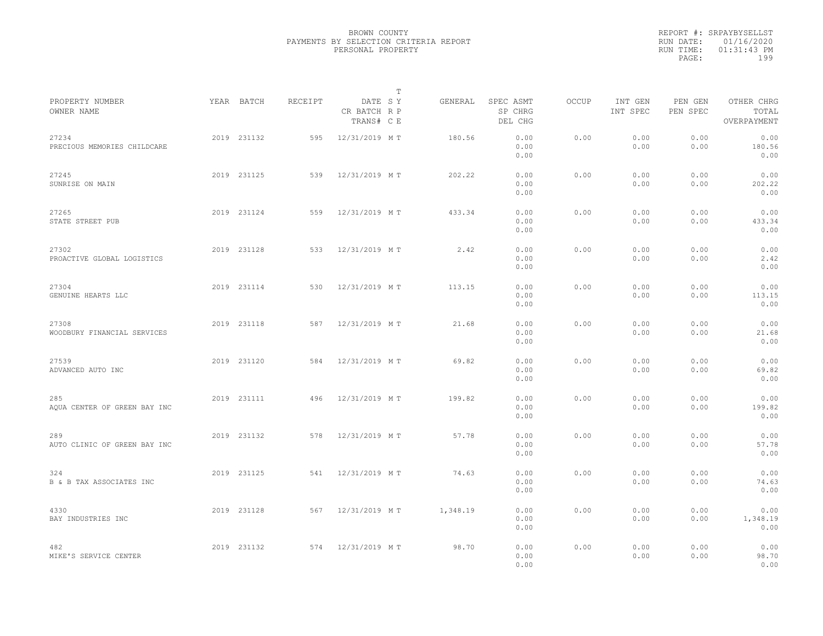|                                      |             |         |                                       | $\mathbb T$ |                                 |              |                     |                     |                                    |  |
|--------------------------------------|-------------|---------|---------------------------------------|-------------|---------------------------------|--------------|---------------------|---------------------|------------------------------------|--|
| PROPERTY NUMBER<br>OWNER NAME        | YEAR BATCH  | RECEIPT | DATE SY<br>CR BATCH R P<br>TRANS# C E | GENERAL     | SPEC ASMT<br>SP CHRG<br>DEL CHG | <b>OCCUP</b> | INT GEN<br>INT SPEC | PEN GEN<br>PEN SPEC | OTHER CHRG<br>TOTAL<br>OVERPAYMENT |  |
| 27234<br>PRECIOUS MEMORIES CHILDCARE | 2019 231132 | 595     | 12/31/2019 MT                         | 180.56      | 0.00<br>0.00<br>0.00            | 0.00         | 0.00<br>0.00        | 0.00<br>0.00        | 0.00<br>180.56<br>0.00             |  |
| 27245<br>SUNRISE ON MAIN             | 2019 231125 | 539     | 12/31/2019 MT                         | 202.22      | 0.00<br>0.00<br>0.00            | 0.00         | 0.00<br>0.00        | 0.00<br>0.00        | 0.00<br>202.22<br>0.00             |  |
| 27265<br>STATE STREET PUB            | 2019 231124 | 559     | 12/31/2019 MT                         | 433.34      | 0.00<br>0.00<br>0.00            | 0.00         | 0.00<br>0.00        | 0.00<br>0.00        | 0.00<br>433.34<br>0.00             |  |
| 27302<br>PROACTIVE GLOBAL LOGISTICS  | 2019 231128 | 533     | 12/31/2019 MT                         | 2.42        | 0.00<br>0.00<br>0.00            | 0.00         | 0.00<br>0.00        | 0.00<br>0.00        | 0.00<br>2.42<br>0.00               |  |
| 27304<br>GENUINE HEARTS LLC          | 2019 231114 | 530     | 12/31/2019 MT                         | 113.15      | 0.00<br>0.00<br>0.00            | 0.00         | 0.00<br>0.00        | 0.00<br>0.00        | 0.00<br>113.15<br>0.00             |  |
| 27308<br>WOODBURY FINANCIAL SERVICES | 2019 231118 | 587     | 12/31/2019 MT                         | 21.68       | 0.00<br>0.00<br>0.00            | 0.00         | 0.00<br>0.00        | 0.00<br>0.00        | 0.00<br>21.68<br>0.00              |  |
| 27539<br>ADVANCED AUTO INC           | 2019 231120 | 584     | 12/31/2019 MT                         | 69.82       | 0.00<br>0.00<br>0.00            | 0.00         | 0.00<br>0.00        | 0.00<br>0.00        | 0.00<br>69.82<br>0.00              |  |
| 285<br>AQUA CENTER OF GREEN BAY INC  | 2019 231111 | 496     | 12/31/2019 MT                         | 199.82      | 0.00<br>0.00<br>0.00            | 0.00         | 0.00<br>0.00        | 0.00<br>0.00        | 0.00<br>199.82<br>0.00             |  |
| 289<br>AUTO CLINIC OF GREEN BAY INC  | 2019 231132 | 578     | 12/31/2019 MT                         | 57.78       | 0.00<br>0.00<br>0.00            | 0.00         | 0.00<br>0.00        | 0.00<br>0.00        | 0.00<br>57.78<br>0.00              |  |
| 324<br>B & B TAX ASSOCIATES INC      | 2019 231125 | 541     | 12/31/2019 MT                         | 74.63       | 0.00<br>0.00<br>0.00            | 0.00         | 0.00<br>0.00        | 0.00<br>0.00        | 0.00<br>74.63<br>0.00              |  |
| 4330<br>BAY INDUSTRIES INC           | 2019 231128 | 567     | 12/31/2019 MT                         | 1,348.19    | 0.00<br>0.00<br>0.00            | 0.00         | 0.00<br>0.00        | 0.00<br>0.00        | 0.00<br>1,348.19<br>0.00           |  |
| 482<br>MIKE'S SERVICE CENTER         | 2019 231132 | 574     | 12/31/2019 MT                         | 98.70       | 0.00<br>0.00<br>0.00            | 0.00         | 0.00<br>0.00        | 0.00<br>0.00        | 0.00<br>98.70<br>0.00              |  |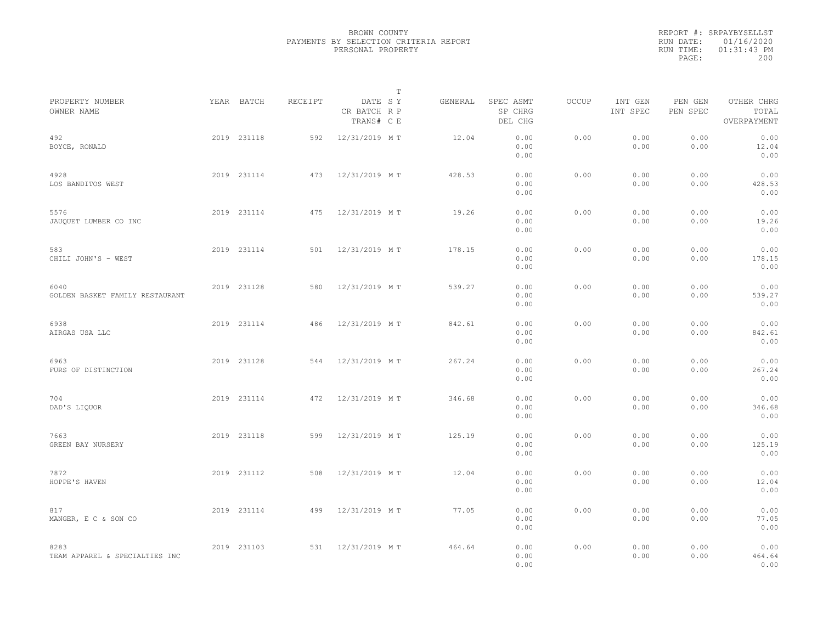|                                         |             |         | $\mathbb T$                           |         |                                 |       |                     |                     |                                    |  |
|-----------------------------------------|-------------|---------|---------------------------------------|---------|---------------------------------|-------|---------------------|---------------------|------------------------------------|--|
| PROPERTY NUMBER<br>OWNER NAME           | YEAR BATCH  | RECEIPT | DATE SY<br>CR BATCH R P<br>TRANS# C E | GENERAL | SPEC ASMT<br>SP CHRG<br>DEL CHG | OCCUP | INT GEN<br>INT SPEC | PEN GEN<br>PEN SPEC | OTHER CHRG<br>TOTAL<br>OVERPAYMENT |  |
| 492<br>BOYCE, RONALD                    | 2019 231118 | 592     | 12/31/2019 MT                         | 12.04   | 0.00<br>0.00<br>0.00            | 0.00  | 0.00<br>0.00        | 0.00<br>0.00        | 0.00<br>12.04<br>0.00              |  |
| 4928<br>LOS BANDITOS WEST               | 2019 231114 | 473     | 12/31/2019 MT                         | 428.53  | 0.00<br>0.00<br>0.00            | 0.00  | 0.00<br>0.00        | 0.00<br>0.00        | 0.00<br>428.53<br>0.00             |  |
| 5576<br>JAUQUET LUMBER CO INC           | 2019 231114 | 475     | 12/31/2019 MT                         | 19.26   | 0.00<br>0.00<br>0.00            | 0.00  | 0.00<br>0.00        | 0.00<br>0.00        | 0.00<br>19.26<br>0.00              |  |
| 583<br>CHILI JOHN'S - WEST              | 2019 231114 | 501     | 12/31/2019 MT                         | 178.15  | 0.00<br>0.00<br>0.00            | 0.00  | 0.00<br>0.00        | 0.00<br>0.00        | 0.00<br>178.15<br>0.00             |  |
| 6040<br>GOLDEN BASKET FAMILY RESTAURANT | 2019 231128 | 580     | 12/31/2019 MT                         | 539.27  | 0.00<br>0.00<br>0.00            | 0.00  | 0.00<br>0.00        | 0.00<br>0.00        | 0.00<br>539.27<br>0.00             |  |
| 6938<br>AIRGAS USA LLC                  | 2019 231114 | 486     | 12/31/2019 MT                         | 842.61  | 0.00<br>0.00<br>0.00            | 0.00  | 0.00<br>0.00        | 0.00<br>0.00        | 0.00<br>842.61<br>0.00             |  |
| 6963<br>FURS OF DISTINCTION             | 2019 231128 | 544     | 12/31/2019 MT                         | 267.24  | 0.00<br>0.00<br>0.00            | 0.00  | 0.00<br>0.00        | 0.00<br>0.00        | 0.00<br>267.24<br>0.00             |  |
| 704<br>DAD'S LIQUOR                     | 2019 231114 | 472     | 12/31/2019 MT                         | 346.68  | 0.00<br>0.00<br>0.00            | 0.00  | 0.00<br>0.00        | 0.00<br>0.00        | 0.00<br>346.68<br>0.00             |  |
| 7663<br>GREEN BAY NURSERY               | 2019 231118 | 599     | 12/31/2019 MT                         | 125.19  | 0.00<br>0.00<br>0.00            | 0.00  | 0.00<br>0.00        | 0.00<br>0.00        | 0.00<br>125.19<br>0.00             |  |
| 7872<br>HOPPE'S HAVEN                   | 2019 231112 | 508     | 12/31/2019 MT                         | 12.04   | 0.00<br>0.00<br>0.00            | 0.00  | 0.00<br>0.00        | 0.00<br>0.00        | 0.00<br>12.04<br>0.00              |  |
| 817<br>MANGER, E C & SON CO             | 2019 231114 | 499     | 12/31/2019 MT                         | 77.05   | 0.00<br>0.00<br>0.00            | 0.00  | 0.00<br>0.00        | 0.00<br>0.00        | 0.00<br>77.05<br>0.00              |  |
| 8283<br>TEAM APPAREL & SPECIALTIES INC  | 2019 231103 | 531     | 12/31/2019 MT                         | 464.64  | 0.00<br>0.00<br>0.00            | 0.00  | 0.00<br>0.00        | 0.00<br>0.00        | 0.00<br>464.64<br>0.00             |  |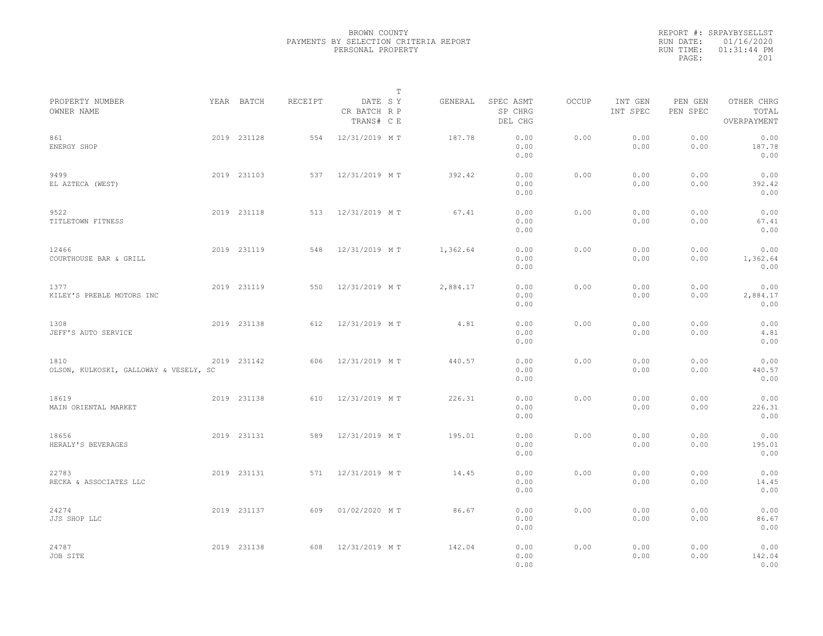|                                                |             |         |                                       | T        |                                 |              |                     |                     |                                    |
|------------------------------------------------|-------------|---------|---------------------------------------|----------|---------------------------------|--------------|---------------------|---------------------|------------------------------------|
| PROPERTY NUMBER<br>OWNER NAME                  | YEAR BATCH  | RECEIPT | DATE SY<br>CR BATCH R P<br>TRANS# C E | GENERAL  | SPEC ASMT<br>SP CHRG<br>DEL CHG | <b>OCCUP</b> | INT GEN<br>INT SPEC | PEN GEN<br>PEN SPEC | OTHER CHRG<br>TOTAL<br>OVERPAYMENT |
| 861<br>ENERGY SHOP                             | 2019 231128 | 554     | 12/31/2019 MT                         | 187.78   | 0.00<br>0.00<br>0.00            | 0.00         | 0.00<br>0.00        | 0.00<br>0.00        | 0.00<br>187.78<br>0.00             |
| 9499<br>EL AZTECA (WEST)                       | 2019 231103 | 537     | 12/31/2019 MT                         | 392.42   | 0.00<br>0.00<br>0.00            | 0.00         | 0.00<br>0.00        | 0.00<br>0.00        | 0.00<br>392.42<br>0.00             |
| 9522<br>TITLETOWN FITNESS                      | 2019 231118 | 513     | 12/31/2019 MT                         | 67.41    | 0.00<br>0.00<br>0.00            | 0.00         | 0.00<br>0.00        | 0.00<br>0.00        | 0.00<br>67.41<br>0.00              |
| 12466<br>COURTHOUSE BAR & GRILL                | 2019 231119 | 548     | 12/31/2019 MT                         | 1,362.64 | 0.00<br>0.00<br>0.00            | 0.00         | 0.00<br>0.00        | 0.00<br>0.00        | 0.00<br>1,362.64<br>0.00           |
| 1377<br>KILEY'S PREBLE MOTORS INC              | 2019 231119 | 550     | 12/31/2019 MT                         | 2,884.17 | 0.00<br>0.00<br>0.00            | 0.00         | 0.00<br>0.00        | 0.00<br>0.00        | 0.00<br>2,884.17<br>0.00           |
| 1308<br>JEFF'S AUTO SERVICE                    | 2019 231138 | 612     | 12/31/2019 MT                         | 4.81     | 0.00<br>0.00<br>0.00            | 0.00         | 0.00<br>0.00        | 0.00<br>0.00        | 0.00<br>4.81<br>0.00               |
| 1810<br>OLSON, KULKOSKI, GALLOWAY & VESELY, SC | 2019 231142 | 606     | 12/31/2019 MT                         | 440.57   | 0.00<br>0.00<br>0.00            | 0.00         | 0.00<br>0.00        | 0.00<br>0.00        | 0.00<br>440.57<br>0.00             |
| 18619<br>MAIN ORIENTAL MARKET                  | 2019 231138 | 610     | 12/31/2019 MT                         | 226.31   | 0.00<br>0.00<br>0.00            | 0.00         | 0.00<br>0.00        | 0.00<br>0.00        | 0.00<br>226.31<br>0.00             |
| 18656<br>HERALY'S BEVERAGES                    | 2019 231131 | 589     | 12/31/2019 MT                         | 195.01   | 0.00<br>0.00<br>0.00            | 0.00         | 0.00<br>0.00        | 0.00<br>0.00        | 0.00<br>195.01<br>0.00             |
| 22783<br>RECKA & ASSOCIATES LLC                | 2019 231131 | 571     | 12/31/2019 MT                         | 14.45    | 0.00<br>0.00<br>0.00            | 0.00         | 0.00<br>0.00        | 0.00<br>0.00        | 0.00<br>14.45<br>0.00              |
| 24274<br>JJS SHOP LLC                          | 2019 231137 | 609     | 01/02/2020 MT                         | 86.67    | 0.00<br>0.00<br>0.00            | 0.00         | 0.00<br>0.00        | 0.00<br>0.00        | 0.00<br>86.67<br>0.00              |
| 24787<br>JOB SITE                              | 2019 231138 | 608     | 12/31/2019 MT                         | 142.04   | 0.00<br>0.00<br>0.00            | 0.00         | 0.00<br>0.00        | 0.00<br>0.00        | 0.00<br>142.04<br>0.00             |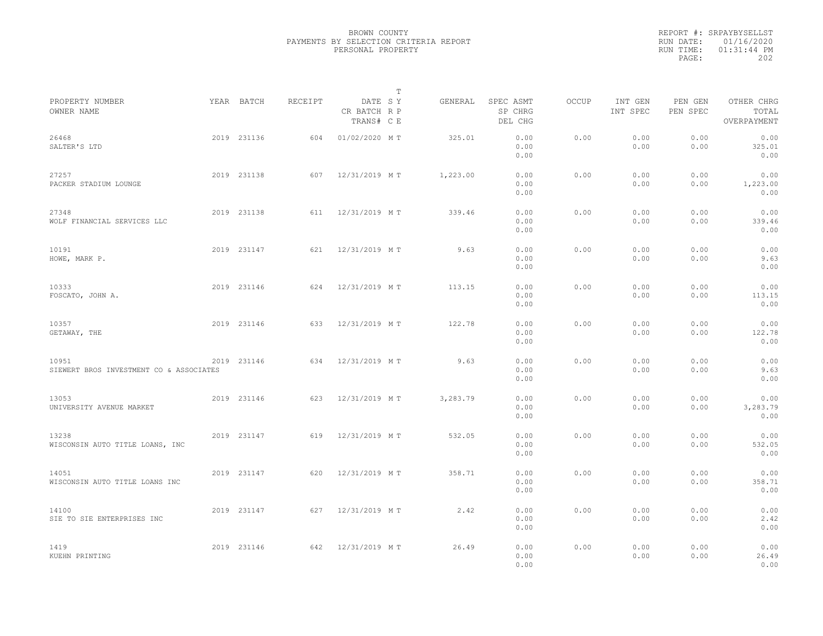|                                                  |             |         | $\mathbb{T}$                          |          |                                 |              |                     |                     |                                    |  |
|--------------------------------------------------|-------------|---------|---------------------------------------|----------|---------------------------------|--------------|---------------------|---------------------|------------------------------------|--|
| PROPERTY NUMBER<br>OWNER NAME                    | YEAR BATCH  | RECEIPT | DATE SY<br>CR BATCH R P<br>TRANS# C E | GENERAL  | SPEC ASMT<br>SP CHRG<br>DEL CHG | <b>OCCUP</b> | INT GEN<br>INT SPEC | PEN GEN<br>PEN SPEC | OTHER CHRG<br>TOTAL<br>OVERPAYMENT |  |
| 26468<br>SALTER'S LTD                            | 2019 231136 | 604     | 01/02/2020 MT                         | 325.01   | 0.00<br>0.00<br>0.00            | 0.00         | 0.00<br>0.00        | 0.00<br>0.00        | 0.00<br>325.01<br>0.00             |  |
| 27257<br>PACKER STADIUM LOUNGE                   | 2019 231138 | 607     | 12/31/2019 MT                         | 1,223.00 | 0.00<br>0.00<br>0.00            | 0.00         | 0.00<br>0.00        | 0.00<br>0.00        | 0.00<br>1,223.00<br>0.00           |  |
| 27348<br>WOLF FINANCIAL SERVICES LLC             | 2019 231138 | 611     | 12/31/2019 MT                         | 339.46   | 0.00<br>0.00<br>0.00            | 0.00         | 0.00<br>0.00        | 0.00<br>0.00        | 0.00<br>339.46<br>0.00             |  |
| 10191<br>HOWE, MARK P.                           | 2019 231147 | 621     | 12/31/2019 MT                         | 9.63     | 0.00<br>0.00<br>0.00            | 0.00         | 0.00<br>0.00        | 0.00<br>0.00        | 0.00<br>9.63<br>0.00               |  |
| 10333<br>FOSCATO, JOHN A.                        | 2019 231146 | 624     | 12/31/2019 MT                         | 113.15   | 0.00<br>0.00<br>0.00            | 0.00         | 0.00<br>0.00        | 0.00<br>0.00        | 0.00<br>113.15<br>0.00             |  |
| 10357<br>GETAWAY, THE                            | 2019 231146 | 633     | 12/31/2019 MT                         | 122.78   | 0.00<br>0.00<br>0.00            | 0.00         | 0.00<br>0.00        | 0.00<br>0.00        | 0.00<br>122.78<br>0.00             |  |
| 10951<br>SIEWERT BROS INVESTMENT CO & ASSOCIATES | 2019 231146 | 634     | 12/31/2019 MT                         | 9.63     | 0.00<br>0.00<br>0.00            | 0.00         | 0.00<br>0.00        | 0.00<br>0.00        | 0.00<br>9.63<br>0.00               |  |
| 13053<br>UNIVERSITY AVENUE MARKET                | 2019 231146 | 623     | 12/31/2019 MT                         | 3,283.79 | 0.00<br>0.00<br>0.00            | 0.00         | 0.00<br>0.00        | 0.00<br>0.00        | 0.00<br>3,283.79<br>0.00           |  |
| 13238<br>WISCONSIN AUTO TITLE LOANS, INC         | 2019 231147 | 619     | 12/31/2019 MT                         | 532.05   | 0.00<br>0.00<br>0.00            | 0.00         | 0.00<br>0.00        | 0.00<br>0.00        | 0.00<br>532.05<br>0.00             |  |
| 14051<br>WISCONSIN AUTO TITLE LOANS INC          | 2019 231147 | 620     | 12/31/2019 MT                         | 358.71   | 0.00<br>0.00<br>0.00            | 0.00         | 0.00<br>0.00        | 0.00<br>0.00        | 0.00<br>358.71<br>0.00             |  |
| 14100<br>SIE TO SIE ENTERPRISES INC              | 2019 231147 | 627     | 12/31/2019 MT                         | 2.42     | 0.00<br>0.00<br>0.00            | 0.00         | 0.00<br>0.00        | 0.00<br>0.00        | 0.00<br>2.42<br>0.00               |  |
| 1419<br>KUEHN PRINTING                           | 2019 231146 | 642     | 12/31/2019 MT                         | 26.49    | 0.00<br>0.00<br>0.00            | 0.00         | 0.00<br>0.00        | 0.00<br>0.00        | 0.00<br>26.49<br>0.00              |  |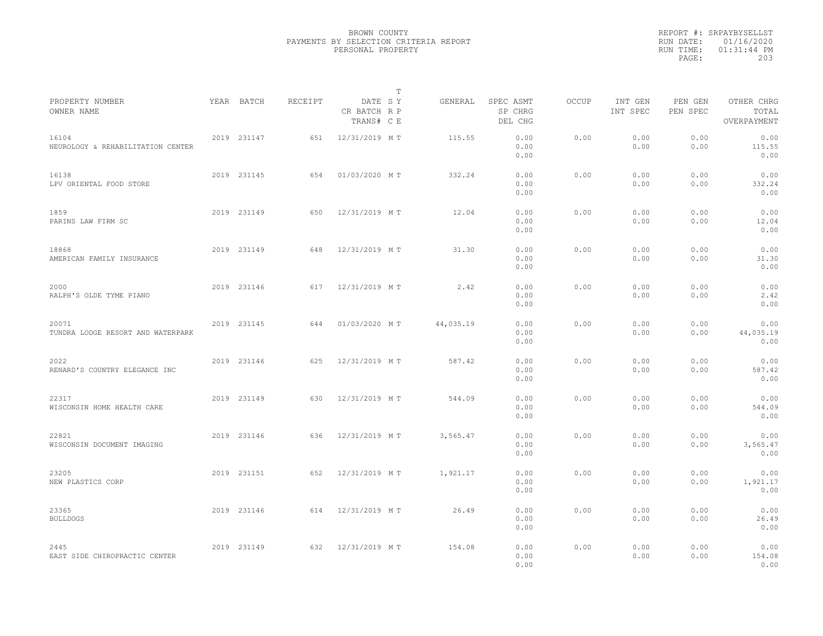|                                            |             |         |                                       | T |           |                                 |       |                     |                     |                                    |  |
|--------------------------------------------|-------------|---------|---------------------------------------|---|-----------|---------------------------------|-------|---------------------|---------------------|------------------------------------|--|
| PROPERTY NUMBER<br>OWNER NAME              | YEAR BATCH  | RECEIPT | DATE SY<br>CR BATCH R P<br>TRANS# C E |   | GENERAL   | SPEC ASMT<br>SP CHRG<br>DEL CHG | OCCUP | INT GEN<br>INT SPEC | PEN GEN<br>PEN SPEC | OTHER CHRG<br>TOTAL<br>OVERPAYMENT |  |
| 16104<br>NEUROLOGY & REHABILITATION CENTER | 2019 231147 | 651     | 12/31/2019 MT                         |   | 115.55    | 0.00<br>0.00<br>0.00            | 0.00  | 0.00<br>0.00        | 0.00<br>0.00        | 0.00<br>115.55<br>0.00             |  |
| 16138<br>LPV ORIENTAL FOOD STORE           | 2019 231145 | 654     | 01/03/2020 MT                         |   | 332.24    | 0.00<br>0.00<br>0.00            | 0.00  | 0.00<br>0.00        | 0.00<br>0.00        | 0.00<br>332.24<br>0.00             |  |
| 1859<br>PARINS LAW FIRM SC                 | 2019 231149 | 650     | 12/31/2019 MT                         |   | 12.04     | 0.00<br>0.00<br>0.00            | 0.00  | 0.00<br>0.00        | 0.00<br>0.00        | 0.00<br>12.04<br>0.00              |  |
| 18868<br>AMERICAN FAMILY INSURANCE         | 2019 231149 | 648     | 12/31/2019 MT                         |   | 31.30     | 0.00<br>0.00<br>0.00            | 0.00  | 0.00<br>0.00        | 0.00<br>0.00        | 0.00<br>31.30<br>0.00              |  |
| 2000<br>RALPH'S OLDE TYME PIANO            | 2019 231146 | 617     | 12/31/2019 MT                         |   | 2.42      | 0.00<br>0.00<br>0.00            | 0.00  | 0.00<br>0.00        | 0.00<br>0.00        | 0.00<br>2.42<br>0.00               |  |
| 20071<br>TUNDRA LODGE RESORT AND WATERPARK | 2019 231145 | 644     | 01/03/2020 MT                         |   | 44,035.19 | 0.00<br>0.00<br>0.00            | 0.00  | 0.00<br>0.00        | 0.00<br>0.00        | 0.00<br>44,035.19<br>0.00          |  |
| 2022<br>RENARD'S COUNTRY ELEGANCE INC      | 2019 231146 | 625     | 12/31/2019 MT                         |   | 587.42    | 0.00<br>0.00<br>0.00            | 0.00  | 0.00<br>0.00        | 0.00<br>0.00        | 0.00<br>587.42<br>0.00             |  |
| 22317<br>WISCONSIN HOME HEALTH CARE        | 2019 231149 | 630     | 12/31/2019 MT                         |   | 544.09    | 0.00<br>0.00<br>0.00            | 0.00  | 0.00<br>0.00        | 0.00<br>0.00        | 0.00<br>544.09<br>0.00             |  |
| 22821<br>WISCONSIN DOCUMENT IMAGING        | 2019 231146 | 636     | 12/31/2019 MT                         |   | 3,565.47  | 0.00<br>0.00<br>0.00            | 0.00  | 0.00<br>0.00        | 0.00<br>0.00        | 0.00<br>3,565.47<br>0.00           |  |
| 23205<br>NEW PLASTICS CORP                 | 2019 231151 | 652     | 12/31/2019 MT                         |   | 1,921.17  | 0.00<br>0.00<br>0.00            | 0.00  | 0.00<br>0.00        | 0.00<br>0.00        | 0.00<br>1,921.17<br>0.00           |  |
| 23365<br><b>BULLDOGS</b>                   | 2019 231146 | 614     | 12/31/2019 MT                         |   | 26.49     | 0.00<br>0.00<br>0.00            | 0.00  | 0.00<br>0.00        | 0.00<br>0.00        | 0.00<br>26.49<br>0.00              |  |
| 2445<br>EAST SIDE CHIROPRACTIC CENTER      | 2019 231149 | 632     | 12/31/2019 MT                         |   | 154.08    | 0.00<br>0.00<br>0.00            | 0.00  | 0.00<br>0.00        | 0.00<br>0.00        | 0.00<br>154.08<br>0.00             |  |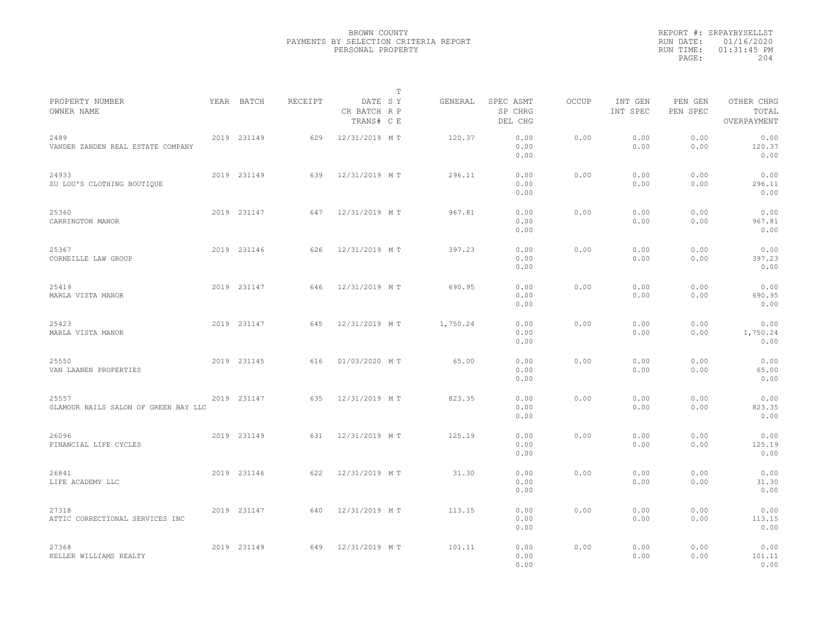|                                               |             |         | $\mathbb{T}$                          |          |                                 |              |                     |                     |                                    |  |
|-----------------------------------------------|-------------|---------|---------------------------------------|----------|---------------------------------|--------------|---------------------|---------------------|------------------------------------|--|
| PROPERTY NUMBER<br>OWNER NAME                 | YEAR BATCH  | RECEIPT | DATE SY<br>CR BATCH R P<br>TRANS# C E | GENERAL  | SPEC ASMT<br>SP CHRG<br>DEL CHG | <b>OCCUP</b> | INT GEN<br>INT SPEC | PEN GEN<br>PEN SPEC | OTHER CHRG<br>TOTAL<br>OVERPAYMENT |  |
| 2489<br>VANDER ZANDEN REAL ESTATE COMPANY     | 2019 231149 | 629     | 12/31/2019 MT                         | 120.37   | 0.00<br>0.00<br>0.00            | 0.00         | 0.00<br>0.00        | 0.00<br>0.00        | 0.00<br>120.37<br>0.00             |  |
| 24933<br>ZU LOU'S CLOTHING BOUTIQUE           | 2019 231149 | 639     | 12/31/2019 MT                         | 296.11   | 0.00<br>0.00<br>0.00            | 0.00         | 0.00<br>0.00        | 0.00<br>0.00        | 0.00<br>296.11<br>0.00             |  |
| 25360<br>CARRINGTON MANOR                     | 2019 231147 | 647     | 12/31/2019 MT                         | 967.81   | 0.00<br>0.00<br>0.00            | 0.00         | 0.00<br>0.00        | 0.00<br>0.00        | 0.00<br>967.81<br>0.00             |  |
| 25367<br>CORNEILLE LAW GROUP                  | 2019 231146 | 626     | 12/31/2019 MT                         | 397.23   | 0.00<br>0.00<br>0.00            | 0.00         | 0.00<br>0.00        | 0.00<br>0.00        | 0.00<br>397.23<br>0.00             |  |
| 25419<br>MARLA VISTA MANOR                    | 2019 231147 | 646     | 12/31/2019 MT                         | 690.95   | 0.00<br>0.00<br>0.00            | 0.00         | 0.00<br>0.00        | 0.00<br>0.00        | 0.00<br>690.95<br>0.00             |  |
| 25423<br>MARLA VISTA MANOR                    | 2019 231147 | 645     | 12/31/2019 MT                         | 1,750.24 | 0.00<br>0.00<br>0.00            | 0.00         | 0.00<br>0.00        | 0.00<br>0.00        | 0.00<br>1,750.24<br>0.00           |  |
| 25550<br>VAN LAANEN PROPERTIES                | 2019 231145 | 616     | 01/03/2020 MT                         | 65.00    | 0.00<br>0.00<br>0.00            | 0.00         | 0.00<br>0.00        | 0.00<br>0.00        | 0.00<br>65.00<br>0.00              |  |
| 25557<br>GLAMOUR NAILS SALON OF GREEN BAY LLC | 2019 231147 | 635     | 12/31/2019 MT                         | 823.35   | 0.00<br>0.00<br>0.00            | 0.00         | 0.00<br>0.00        | 0.00<br>0.00        | 0.00<br>823.35<br>0.00             |  |
| 26096<br>FINANCIAL LIFE CYCLES                | 2019 231149 | 631     | 12/31/2019 MT                         | 125.19   | 0.00<br>0.00<br>0.00            | 0.00         | 0.00<br>0.00        | 0.00<br>0.00        | 0.00<br>125.19<br>0.00             |  |
| 26841<br>LIFE ACADEMY LLC                     | 2019 231146 | 622     | 12/31/2019 MT                         | 31.30    | 0.00<br>0.00<br>0.00            | 0.00         | 0.00<br>0.00        | 0.00<br>0.00        | 0.00<br>31.30<br>0.00              |  |
| 27318<br>ATTIC CORRECTIONAL SERVICES INC      | 2019 231147 | 640     | 12/31/2019 MT                         | 113.15   | 0.00<br>0.00<br>0.00            | 0.00         | 0.00<br>0.00        | 0.00<br>0.00        | 0.00<br>113.15<br>0.00             |  |
| 27368<br>KELLER WILLIAMS REALTY               | 2019 231149 | 649     | 12/31/2019 MT                         | 101.11   | 0.00<br>0.00<br>0.00            | 0.00         | 0.00<br>0.00        | 0.00<br>0.00        | 0.00<br>101.11<br>0.00             |  |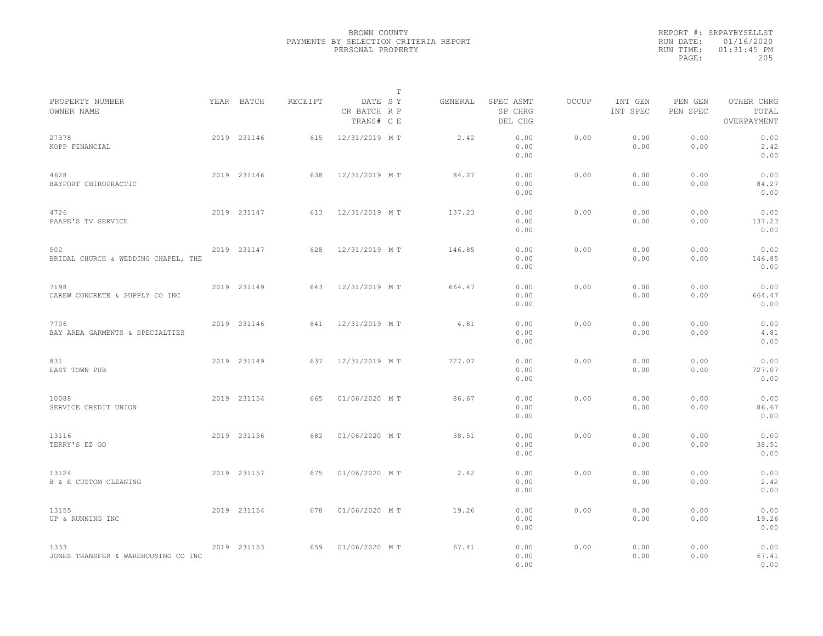|                                             |             |         | T                                     |         |                                 |       |                     |                     |                                    |  |
|---------------------------------------------|-------------|---------|---------------------------------------|---------|---------------------------------|-------|---------------------|---------------------|------------------------------------|--|
| PROPERTY NUMBER<br>OWNER NAME               | YEAR BATCH  | RECEIPT | DATE SY<br>CR BATCH R P<br>TRANS# C E | GENERAL | SPEC ASMT<br>SP CHRG<br>DEL CHG | OCCUP | INT GEN<br>INT SPEC | PEN GEN<br>PEN SPEC | OTHER CHRG<br>TOTAL<br>OVERPAYMENT |  |
| 27378<br>KOPP FINANCIAL                     | 2019 231146 | 615     | 12/31/2019 MT                         | 2.42    | 0.00<br>0.00<br>0.00            | 0.00  | 0.00<br>0.00        | 0.00<br>0.00        | 0.00<br>2.42<br>0.00               |  |
| 4628<br>BAYPORT CHIROPRACTIC                | 2019 231146 | 638     | 12/31/2019 MT                         | 84.27   | 0.00<br>0.00<br>0.00            | 0.00  | 0.00<br>0.00        | 0.00<br>0.00        | 0.00<br>84.27<br>0.00              |  |
| 4726<br>PAAPE'S TV SERVICE                  | 2019 231147 | 613     | 12/31/2019 MT                         | 137.23  | 0.00<br>0.00<br>0.00            | 0.00  | 0.00<br>0.00        | 0.00<br>0.00        | 0.00<br>137.23<br>0.00             |  |
| 502<br>BRIDAL CHURCH & WEDDING CHAPEL, THE  | 2019 231147 | 628     | 12/31/2019 MT                         | 146.85  | 0.00<br>0.00<br>0.00            | 0.00  | 0.00<br>0.00        | 0.00<br>0.00        | 0.00<br>146.85<br>0.00             |  |
| 7198<br>CAREW CONCRETE & SUPPLY CO INC      | 2019 231149 | 643     | 12/31/2019 MT                         | 664.47  | 0.00<br>0.00<br>0.00            | 0.00  | 0.00<br>0.00        | 0.00<br>0.00        | 0.00<br>664.47<br>0.00             |  |
| 7706<br>BAY AREA GARMENTS & SPECIALTIES     | 2019 231146 | 641     | 12/31/2019 MT                         | 4.81    | 0.00<br>0.00<br>0.00            | 0.00  | 0.00<br>0.00        | 0.00<br>0.00        | 0.00<br>4.81<br>0.00               |  |
| 831<br>EAST TOWN PUB                        | 2019 231149 | 637     | 12/31/2019 MT                         | 727.07  | 0.00<br>0.00<br>0.00            | 0.00  | 0.00<br>0.00        | 0.00<br>0.00        | 0.00<br>727.07<br>0.00             |  |
| 10088<br>SERVICE CREDIT UNION               | 2019 231154 | 665     | 01/06/2020 MT                         | 86.67   | 0.00<br>0.00<br>0.00            | 0.00  | 0.00<br>0.00        | 0.00<br>0.00        | 0.00<br>86.67<br>0.00              |  |
| 13116<br>TERRY'S EZ GO                      | 2019 231156 | 682     | 01/06/2020 MT                         | 38.51   | 0.00<br>0.00<br>0.00            | 0.00  | 0.00<br>0.00        | 0.00<br>0.00        | 0.00<br>38.51<br>0.00              |  |
| 13124<br>B & K CUSTOM CLEANING              | 2019 231157 | 675     | 01/06/2020 MT                         | 2.42    | 0.00<br>0.00<br>0.00            | 0.00  | 0.00<br>0.00        | 0.00<br>0.00        | 0.00<br>2.42<br>0.00               |  |
| 13155<br>UP & RUNNING INC                   | 2019 231154 | 678     | 01/06/2020 MT                         | 19.26   | 0.00<br>0.00<br>0.00            | 0.00  | 0.00<br>0.00        | 0.00<br>0.00        | 0.00<br>19.26<br>0.00              |  |
| 1333<br>JONES TRANSFER & WAREHOUSING CO INC | 2019 231153 | 659     | 01/06/2020 MT                         | 67.41   | 0.00<br>0.00<br>0.00            | 0.00  | 0.00<br>0.00        | 0.00<br>0.00        | 0.00<br>67.41<br>0.00              |  |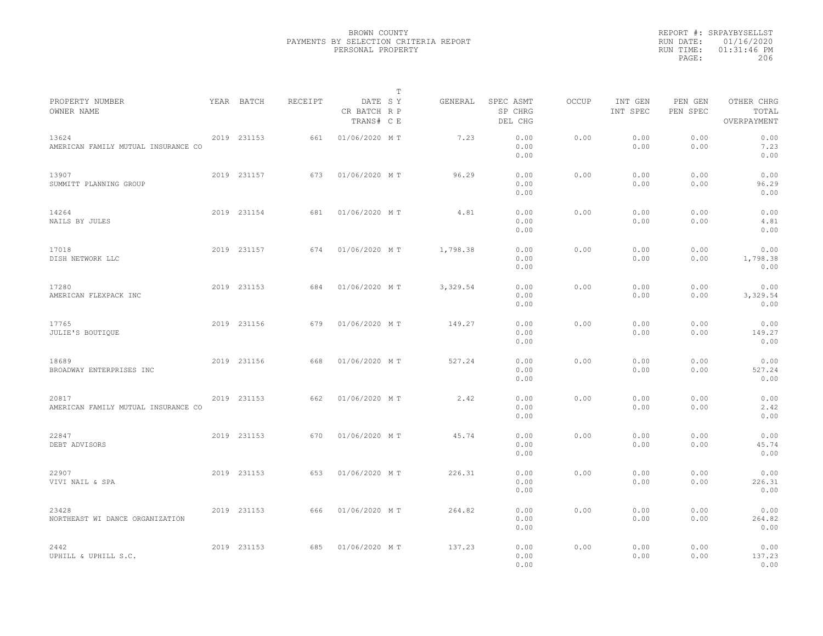|                                              |             |         |                                       | $\mathbb T$ |          |                                 |       |                     |                     |                                    |  |
|----------------------------------------------|-------------|---------|---------------------------------------|-------------|----------|---------------------------------|-------|---------------------|---------------------|------------------------------------|--|
| PROPERTY NUMBER<br>OWNER NAME                | YEAR BATCH  | RECEIPT | DATE SY<br>CR BATCH R P<br>TRANS# C E |             | GENERAL  | SPEC ASMT<br>SP CHRG<br>DEL CHG | OCCUP | INT GEN<br>INT SPEC | PEN GEN<br>PEN SPEC | OTHER CHRG<br>TOTAL<br>OVERPAYMENT |  |
| 13624<br>AMERICAN FAMILY MUTUAL INSURANCE CO | 2019 231153 | 661     | 01/06/2020 MT                         |             | 7.23     | 0.00<br>0.00<br>0.00            | 0.00  | 0.00<br>0.00        | 0.00<br>0.00        | 0.00<br>7.23<br>0.00               |  |
| 13907<br>SUMMITT PLANNING GROUP              | 2019 231157 | 673     | 01/06/2020 MT                         |             | 96.29    | 0.00<br>0.00<br>0.00            | 0.00  | 0.00<br>0.00        | 0.00<br>0.00        | 0.00<br>96.29<br>0.00              |  |
| 14264<br>NAILS BY JULES                      | 2019 231154 | 681     | 01/06/2020 MT                         |             | 4.81     | 0.00<br>0.00<br>0.00            | 0.00  | 0.00<br>0.00        | 0.00<br>0.00        | 0.00<br>4.81<br>0.00               |  |
| 17018<br>DISH NETWORK LLC                    | 2019 231157 | 674     | 01/06/2020 MT                         |             | 1,798.38 | 0.00<br>0.00<br>0.00            | 0.00  | 0.00<br>0.00        | 0.00<br>0.00        | 0.00<br>1,798.38<br>0.00           |  |
| 17280<br>AMERICAN FLEXPACK INC               | 2019 231153 | 684     | 01/06/2020 MT                         |             | 3,329.54 | 0.00<br>0.00<br>0.00            | 0.00  | 0.00<br>0.00        | 0.00<br>0.00        | 0.00<br>3,329.54<br>0.00           |  |
| 17765<br>JULIE'S BOUTIQUE                    | 2019 231156 | 679     | 01/06/2020 MT                         |             | 149.27   | 0.00<br>0.00<br>0.00            | 0.00  | 0.00<br>0.00        | 0.00<br>0.00        | 0.00<br>149.27<br>0.00             |  |
| 18689<br>BROADWAY ENTERPRISES INC            | 2019 231156 | 668     | 01/06/2020 MT                         |             | 527.24   | 0.00<br>0.00<br>0.00            | 0.00  | 0.00<br>0.00        | 0.00<br>0.00        | 0.00<br>527.24<br>0.00             |  |
| 20817<br>AMERICAN FAMILY MUTUAL INSURANCE CO | 2019 231153 | 662     | 01/06/2020 MT                         |             | 2.42     | 0.00<br>0.00<br>0.00            | 0.00  | 0.00<br>0.00        | 0.00<br>0.00        | 0.00<br>2.42<br>0.00               |  |
| 22847<br>DEBT ADVISORS                       | 2019 231153 | 670     | 01/06/2020 MT                         |             | 45.74    | 0.00<br>0.00<br>0.00            | 0.00  | 0.00<br>0.00        | 0.00<br>0.00        | 0.00<br>45.74<br>0.00              |  |
| 22907<br>VIVI NAIL & SPA                     | 2019 231153 | 653     | 01/06/2020 MT                         |             | 226.31   | 0.00<br>0.00<br>0.00            | 0.00  | 0.00<br>0.00        | 0.00<br>0.00        | 0.00<br>226.31<br>0.00             |  |
| 23428<br>NORTHEAST WI DANCE ORGANIZATION     | 2019 231153 | 666     | 01/06/2020 MT                         |             | 264.82   | 0.00<br>0.00<br>0.00            | 0.00  | 0.00<br>0.00        | 0.00<br>0.00        | 0.00<br>264.82<br>0.00             |  |
| 2442<br>UPHILL & UPHILL S.C.                 | 2019 231153 | 685     | 01/06/2020 MT                         |             | 137.23   | 0.00<br>0.00<br>0.00            | 0.00  | 0.00<br>0.00        | 0.00<br>0.00        | 0.00<br>137.23<br>0.00             |  |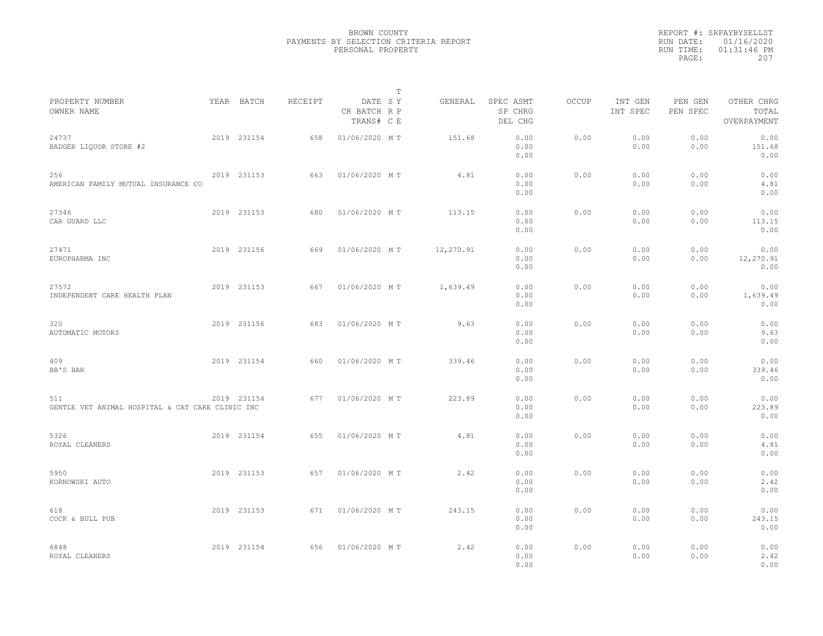|                                                         |             |         |                                       | T |           |                                 |              |                     |                     |                                    |
|---------------------------------------------------------|-------------|---------|---------------------------------------|---|-----------|---------------------------------|--------------|---------------------|---------------------|------------------------------------|
| PROPERTY NUMBER<br>OWNER NAME                           | YEAR BATCH  | RECEIPT | DATE SY<br>CR BATCH R P<br>TRANS# C E |   | GENERAL   | SPEC ASMT<br>SP CHRG<br>DEL CHG | <b>OCCUP</b> | INT GEN<br>INT SPEC | PEN GEN<br>PEN SPEC | OTHER CHRG<br>TOTAL<br>OVERPAYMENT |
| 24737<br>BADGER LIQUOR STORE #2                         | 2019 231154 | 658     | 01/06/2020 MT                         |   | 151.68    | 0.00<br>0.00<br>0.00            | 0.00         | 0.00<br>0.00        | 0.00<br>0.00        | 0.00<br>151.68<br>0.00             |
| 256<br>AMERICAN FAMILY MUTUAL INSURANCE CO              | 2019 231153 | 663     | 01/06/2020 MT                         |   | 4.81      | 0.00<br>0.00<br>0.00            | 0.00         | 0.00<br>0.00        | 0.00<br>0.00        | 0.00<br>4.81<br>0.00               |
| 27346<br>CAR GUARD LLC                                  | 2019 231153 | 680     | 01/06/2020 MT                         |   | 113.15    | 0.00<br>0.00<br>0.00            | 0.00         | 0.00<br>0.00        | 0.00<br>0.00        | 0.00<br>113.15<br>0.00             |
| 27471<br>EUROPHARMA INC                                 | 2019 231156 | 669     | 01/06/2020 MT                         |   | 12,270.91 | 0.00<br>0.00<br>0.00            | 0.00         | 0.00<br>0.00        | 0.00<br>0.00        | 0.00<br>12,270.91<br>0.00          |
| 27572<br>INDEPENDENT CARE HEALTH PLAN                   | 2019 231153 | 667     | 01/06/2020 MT                         |   | 1,639.49  | 0.00<br>0.00<br>0.00            | 0.00         | 0.00<br>0.00        | 0.00<br>0.00        | 0.00<br>1,639.49<br>0.00           |
| 320<br>AUTOMATIC MOTORS                                 | 2019 231156 | 683     | 01/06/2020 MT                         |   | 9.63      | 0.00<br>0.00<br>0.00            | 0.00         | 0.00<br>0.00        | 0.00<br>0.00        | 0.00<br>9.63<br>0.00               |
| 409<br>BB'S BAR                                         | 2019 231154 | 660     | 01/06/2020 MT                         |   | 339.46    | 0.00<br>0.00<br>0.00            | 0.00         | 0.00<br>0.00        | 0.00<br>0.00        | 0.00<br>339.46<br>0.00             |
| 511<br>GENTLE VET ANIMAL HOSPITAL & CAT CARE CLINIC INC | 2019 231154 | 677     | 01/06/2020 MT                         |   | 223.89    | 0.00<br>0.00<br>0.00            | 0.00         | 0.00<br>0.00        | 0.00<br>0.00        | 0.00<br>223.89<br>0.00             |
| 5326<br>ROYAL CLEANERS                                  | 2019 231154 | 655     | 01/06/2020 MT                         |   | 4.81      | 0.00<br>0.00<br>0.00            | 0.00         | 0.00<br>0.00        | 0.00<br>0.00        | 0.00<br>4.81<br>0.00               |
| 5950<br>KORNOWSKI AUTO                                  | 2019 231153 | 657     | 01/06/2020 MT                         |   | 2.42      | 0.00<br>0.00<br>0.00            | 0.00         | 0.00<br>0.00        | 0.00<br>0.00        | 0.00<br>2.42<br>0.00               |
| 618<br>COCK & BULL PUB                                  | 2019 231153 | 671     | 01/06/2020 MT                         |   | 243.15    | 0.00<br>0.00<br>0.00            | 0.00         | 0.00<br>0.00        | 0.00<br>0.00        | 0.00<br>243.15<br>0.00             |
| 6848<br>ROYAL CLEANERS                                  | 2019 231154 | 656     | 01/06/2020 MT                         |   | 2.42      | 0.00<br>0.00<br>0.00            | 0.00         | 0.00<br>0.00        | 0.00<br>0.00        | 0.00<br>2.42<br>0.00               |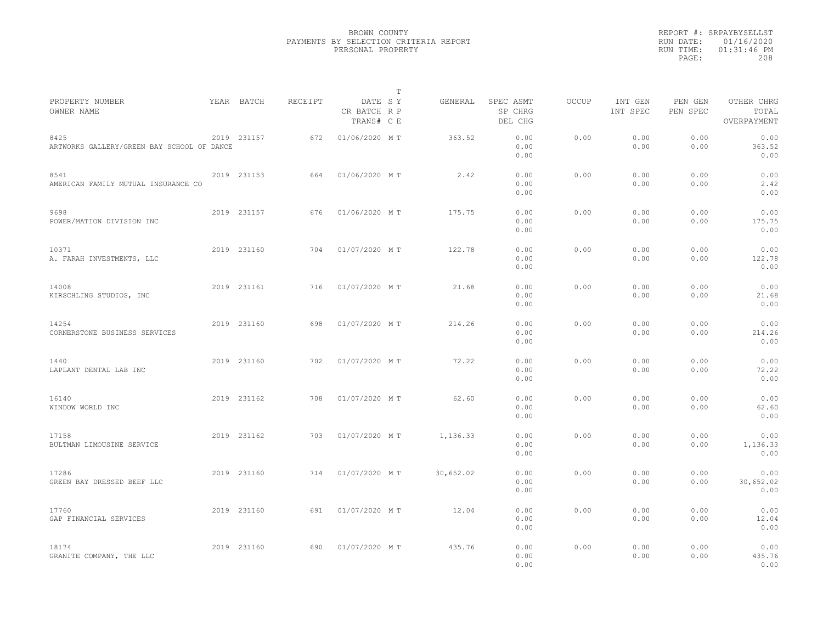|                                                    |             |         |                                       | T |           |                                 |              |                     |                     |                                    |  |
|----------------------------------------------------|-------------|---------|---------------------------------------|---|-----------|---------------------------------|--------------|---------------------|---------------------|------------------------------------|--|
| PROPERTY NUMBER<br>OWNER NAME                      | YEAR BATCH  | RECEIPT | DATE SY<br>CR BATCH R P<br>TRANS# C E |   | GENERAL   | SPEC ASMT<br>SP CHRG<br>DEL CHG | <b>OCCUP</b> | INT GEN<br>INT SPEC | PEN GEN<br>PEN SPEC | OTHER CHRG<br>TOTAL<br>OVERPAYMENT |  |
| 8425<br>ARTWORKS GALLERY/GREEN BAY SCHOOL OF DANCE | 2019 231157 | 672     | 01/06/2020 MT                         |   | 363.52    | 0.00<br>0.00<br>0.00            | 0.00         | 0.00<br>0.00        | 0.00<br>0.00        | 0.00<br>363.52<br>0.00             |  |
| 8541<br>AMERICAN FAMILY MUTUAL INSURANCE CO        | 2019 231153 | 664     | 01/06/2020 MT                         |   | 2.42      | 0.00<br>0.00<br>0.00            | 0.00         | 0.00<br>0.00        | 0.00<br>0.00        | 0.00<br>2.42<br>0.00               |  |
| 9698<br>POWER/MATION DIVISION INC                  | 2019 231157 | 676     | 01/06/2020 MT                         |   | 175.75    | 0.00<br>0.00<br>0.00            | 0.00         | 0.00<br>0.00        | 0.00<br>0.00        | 0.00<br>175.75<br>0.00             |  |
| 10371<br>A. FARAH INVESTMENTS, LLC                 | 2019 231160 | 704     | 01/07/2020 MT                         |   | 122.78    | 0.00<br>0.00<br>0.00            | 0.00         | 0.00<br>0.00        | 0.00<br>0.00        | 0.00<br>122.78<br>0.00             |  |
| 14008<br>KIRSCHLING STUDIOS, INC                   | 2019 231161 | 716     | 01/07/2020 MT                         |   | 21.68     | 0.00<br>0.00<br>0.00            | 0.00         | 0.00<br>0.00        | 0.00<br>0.00        | 0.00<br>21.68<br>0.00              |  |
| 14254<br>CORNERSTONE BUSINESS SERVICES             | 2019 231160 | 698     | 01/07/2020 MT                         |   | 214.26    | 0.00<br>0.00<br>0.00            | 0.00         | 0.00<br>0.00        | 0.00<br>0.00        | 0.00<br>214.26<br>0.00             |  |
| 1440<br>LAPLANT DENTAL LAB INC                     | 2019 231160 | 702     | 01/07/2020 MT                         |   | 72.22     | 0.00<br>0.00<br>0.00            | 0.00         | 0.00<br>0.00        | 0.00<br>0.00        | 0.00<br>72.22<br>0.00              |  |
| 16140<br>WINDOW WORLD INC                          | 2019 231162 | 708     | 01/07/2020 MT                         |   | 62.60     | 0.00<br>0.00<br>0.00            | 0.00         | 0.00<br>0.00        | 0.00<br>0.00        | 0.00<br>62.60<br>0.00              |  |
| 17158<br>BULTMAN LIMOUSINE SERVICE                 | 2019 231162 | 703     | 01/07/2020 MT                         |   | 1,136.33  | 0.00<br>0.00<br>0.00            | 0.00         | 0.00<br>0.00        | 0.00<br>0.00        | 0.00<br>1,136.33<br>0.00           |  |
| 17286<br>GREEN BAY DRESSED BEEF LLC                | 2019 231160 | 714     | 01/07/2020 MT                         |   | 30,652.02 | 0.00<br>0.00<br>0.00            | 0.00         | 0.00<br>0.00        | 0.00<br>0.00        | 0.00<br>30,652.02<br>0.00          |  |
| 17760<br>GAP FINANCIAL SERVICES                    | 2019 231160 | 691     | 01/07/2020 MT                         |   | 12.04     | 0.00<br>0.00<br>0.00            | 0.00         | 0.00<br>0.00        | 0.00<br>0.00        | 0.00<br>12.04<br>0.00              |  |
| 18174<br>GRANITE COMPANY, THE LLC                  | 2019 231160 | 690     | 01/07/2020 MT                         |   | 435.76    | 0.00<br>0.00<br>0.00            | 0.00         | 0.00<br>0.00        | 0.00<br>0.00        | 0.00<br>435.76<br>0.00             |  |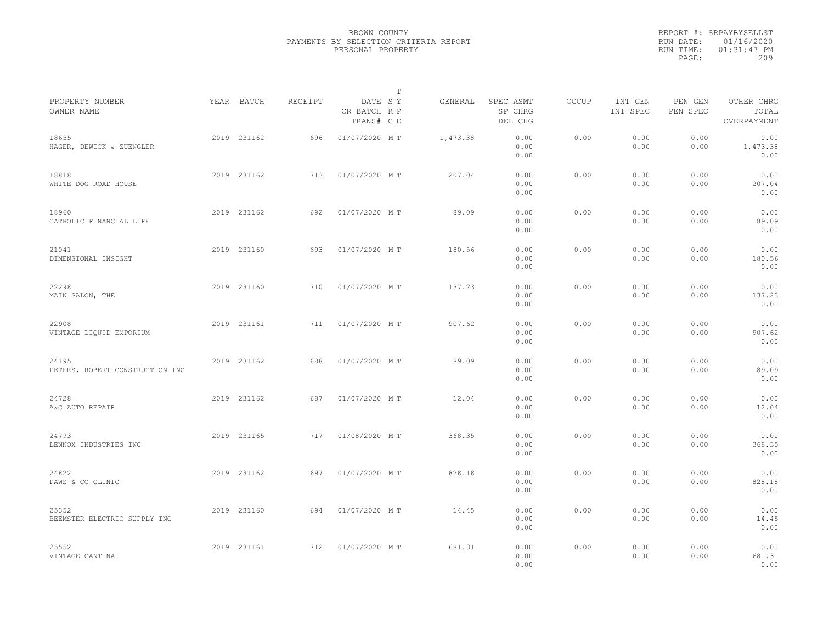|                                          |             |         |                                       | $\mathbb{T}$ |          |                                 |       |                     |                     |                                    |  |
|------------------------------------------|-------------|---------|---------------------------------------|--------------|----------|---------------------------------|-------|---------------------|---------------------|------------------------------------|--|
| PROPERTY NUMBER<br>OWNER NAME            | YEAR BATCH  | RECEIPT | DATE SY<br>CR BATCH R P<br>TRANS# C E |              | GENERAL  | SPEC ASMT<br>SP CHRG<br>DEL CHG | OCCUP | INT GEN<br>INT SPEC | PEN GEN<br>PEN SPEC | OTHER CHRG<br>TOTAL<br>OVERPAYMENT |  |
| 18655<br>HAGER, DEWICK & ZUENGLER        | 2019 231162 | 696     | 01/07/2020 MT                         |              | 1,473.38 | 0.00<br>0.00<br>0.00            | 0.00  | 0.00<br>0.00        | 0.00<br>0.00        | 0.00<br>1,473.38<br>0.00           |  |
| 18818<br>WHITE DOG ROAD HOUSE            | 2019 231162 | 713     | 01/07/2020 MT                         |              | 207.04   | 0.00<br>0.00<br>0.00            | 0.00  | 0.00<br>0.00        | 0.00<br>0.00        | 0.00<br>207.04<br>0.00             |  |
| 18960<br>CATHOLIC FINANCIAL LIFE         | 2019 231162 | 692     | 01/07/2020 MT                         |              | 89.09    | 0.00<br>0.00<br>0.00            | 0.00  | 0.00<br>0.00        | 0.00<br>0.00        | 0.00<br>89.09<br>0.00              |  |
| 21041<br>DIMENSIONAL INSIGHT             | 2019 231160 | 693     | 01/07/2020 MT                         |              | 180.56   | 0.00<br>0.00<br>0.00            | 0.00  | 0.00<br>0.00        | 0.00<br>0.00        | 0.00<br>180.56<br>0.00             |  |
| 22298<br>MAIN SALON, THE                 | 2019 231160 | 710     | 01/07/2020 MT                         |              | 137.23   | 0.00<br>0.00<br>0.00            | 0.00  | 0.00<br>0.00        | 0.00<br>0.00        | 0.00<br>137.23<br>0.00             |  |
| 22908<br>VINTAGE LIQUID EMPORIUM         | 2019 231161 | 711     | 01/07/2020 MT                         |              | 907.62   | 0.00<br>0.00<br>0.00            | 0.00  | 0.00<br>0.00        | 0.00<br>0.00        | 0.00<br>907.62<br>0.00             |  |
| 24195<br>PETERS, ROBERT CONSTRUCTION INC | 2019 231162 | 688     | 01/07/2020 MT                         |              | 89.09    | 0.00<br>0.00<br>0.00            | 0.00  | 0.00<br>0.00        | 0.00<br>0.00        | 0.00<br>89.09<br>0.00              |  |
| 24728<br>A&C AUTO REPAIR                 | 2019 231162 | 687     | 01/07/2020 MT                         |              | 12.04    | 0.00<br>0.00<br>0.00            | 0.00  | 0.00<br>0.00        | 0.00<br>0.00        | 0.00<br>12.04<br>0.00              |  |
| 24793<br>LENNOX INDUSTRIES INC           | 2019 231165 | 717     | 01/08/2020 MT                         |              | 368.35   | 0.00<br>0.00<br>0.00            | 0.00  | 0.00<br>0.00        | 0.00<br>0.00        | 0.00<br>368.35<br>0.00             |  |
| 24822<br>PAWS & CO CLINIC                | 2019 231162 | 697     | 01/07/2020 MT                         |              | 828.18   | 0.00<br>0.00<br>0.00            | 0.00  | 0.00<br>0.00        | 0.00<br>0.00        | 0.00<br>828.18<br>0.00             |  |
| 25352<br>BEEMSTER ELECTRIC SUPPLY INC    | 2019 231160 | 694     | 01/07/2020 MT                         |              | 14.45    | 0.00<br>0.00<br>0.00            | 0.00  | 0.00<br>0.00        | 0.00<br>0.00        | 0.00<br>14.45<br>0.00              |  |
| 25552<br>VINTAGE CANTINA                 | 2019 231161 | 712     | 01/07/2020 MT                         |              | 681.31   | 0.00<br>0.00<br>0.00            | 0.00  | 0.00<br>0.00        | 0.00<br>0.00        | 0.00<br>681.31<br>0.00             |  |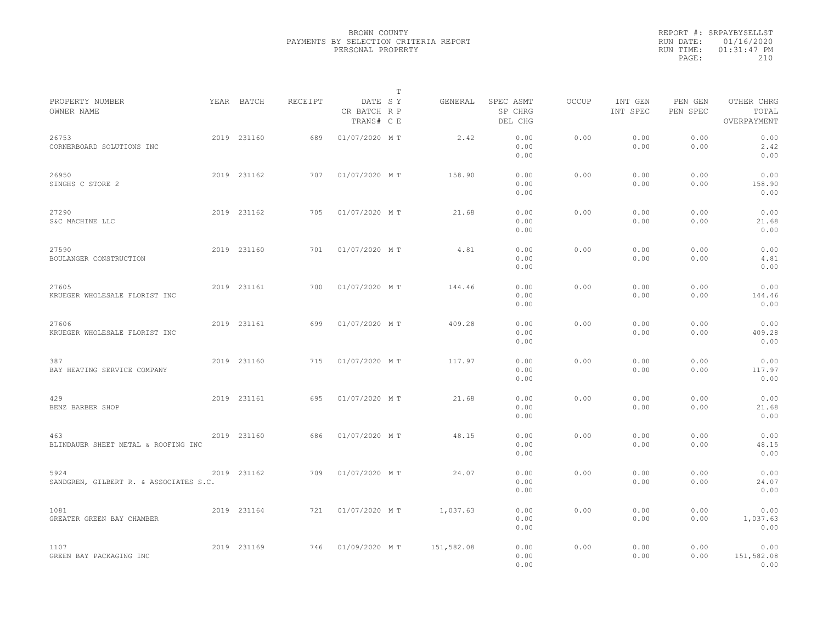|                                                |             |         |                                       | $\mathbb{T}$ |                                 |              |                     |                     |                                    |  |
|------------------------------------------------|-------------|---------|---------------------------------------|--------------|---------------------------------|--------------|---------------------|---------------------|------------------------------------|--|
| PROPERTY NUMBER<br>OWNER NAME                  | YEAR BATCH  | RECEIPT | DATE SY<br>CR BATCH R P<br>TRANS# C E | GENERAL      | SPEC ASMT<br>SP CHRG<br>DEL CHG | <b>OCCUP</b> | INT GEN<br>INT SPEC | PEN GEN<br>PEN SPEC | OTHER CHRG<br>TOTAL<br>OVERPAYMENT |  |
| 26753<br>CORNERBOARD SOLUTIONS INC             | 2019 231160 | 689     | 01/07/2020 MT                         | 2.42         | 0.00<br>0.00<br>0.00            | 0.00         | 0.00<br>0.00        | 0.00<br>0.00        | 0.00<br>2.42<br>0.00               |  |
| 26950<br>SINGHS C STORE 2                      | 2019 231162 | 707     | 01/07/2020 MT                         | 158.90       | 0.00<br>0.00<br>0.00            | 0.00         | 0.00<br>0.00        | 0.00<br>0.00        | 0.00<br>158.90<br>0.00             |  |
| 27290<br>S&C MACHINE LLC                       | 2019 231162 | 705     | 01/07/2020 MT                         | 21.68        | 0.00<br>0.00<br>0.00            | 0.00         | 0.00<br>0.00        | 0.00<br>0.00        | 0.00<br>21.68<br>0.00              |  |
| 27590<br>BOULANGER CONSTRUCTION                | 2019 231160 | 701     | 01/07/2020 MT                         | 4.81         | 0.00<br>0.00<br>0.00            | 0.00         | 0.00<br>0.00        | 0.00<br>0.00        | 0.00<br>4.81<br>0.00               |  |
| 27605<br>KRUEGER WHOLESALE FLORIST INC         | 2019 231161 | 700     | 01/07/2020 MT                         | 144.46       | 0.00<br>0.00<br>0.00            | 0.00         | 0.00<br>0.00        | 0.00<br>0.00        | 0.00<br>144.46<br>0.00             |  |
| 27606<br>KRUEGER WHOLESALE FLORIST INC         | 2019 231161 | 699     | 01/07/2020 MT                         | 409.28       | 0.00<br>0.00<br>0.00            | 0.00         | 0.00<br>0.00        | 0.00<br>0.00        | 0.00<br>409.28<br>0.00             |  |
| 387<br>BAY HEATING SERVICE COMPANY             | 2019 231160 | 715     | 01/07/2020 MT                         | 117.97       | 0.00<br>0.00<br>0.00            | 0.00         | 0.00<br>0.00        | 0.00<br>0.00        | 0.00<br>117.97<br>0.00             |  |
| 429<br>BENZ BARBER SHOP                        | 2019 231161 | 695     | 01/07/2020 MT                         | 21.68        | 0.00<br>0.00<br>0.00            | 0.00         | 0.00<br>0.00        | 0.00<br>0.00        | 0.00<br>21.68<br>0.00              |  |
| 463<br>BLINDAUER SHEET METAL & ROOFING INC     | 2019 231160 | 686     | 01/07/2020 MT                         | 48.15        | 0.00<br>0.00<br>0.00            | 0.00         | 0.00<br>0.00        | 0.00<br>0.00        | 0.00<br>48.15<br>0.00              |  |
| 5924<br>SANDGREN, GILBERT R. & ASSOCIATES S.C. | 2019 231162 | 709     | 01/07/2020 MT                         | 24.07        | 0.00<br>0.00<br>0.00            | 0.00         | 0.00<br>0.00        | 0.00<br>0.00        | 0.00<br>24.07<br>0.00              |  |
| 1081<br>GREATER GREEN BAY CHAMBER              | 2019 231164 | 721     | 01/07/2020 MT                         | 1,037.63     | 0.00<br>0.00<br>0.00            | 0.00         | 0.00<br>0.00        | 0.00<br>0.00        | 0.00<br>1,037.63<br>0.00           |  |
| 1107<br>GREEN BAY PACKAGING INC                | 2019 231169 | 746     | 01/09/2020 MT                         | 151,582.08   | 0.00<br>0.00<br>0.00            | 0.00         | 0.00<br>0.00        | 0.00<br>0.00        | 0.00<br>151,582.08<br>0.00         |  |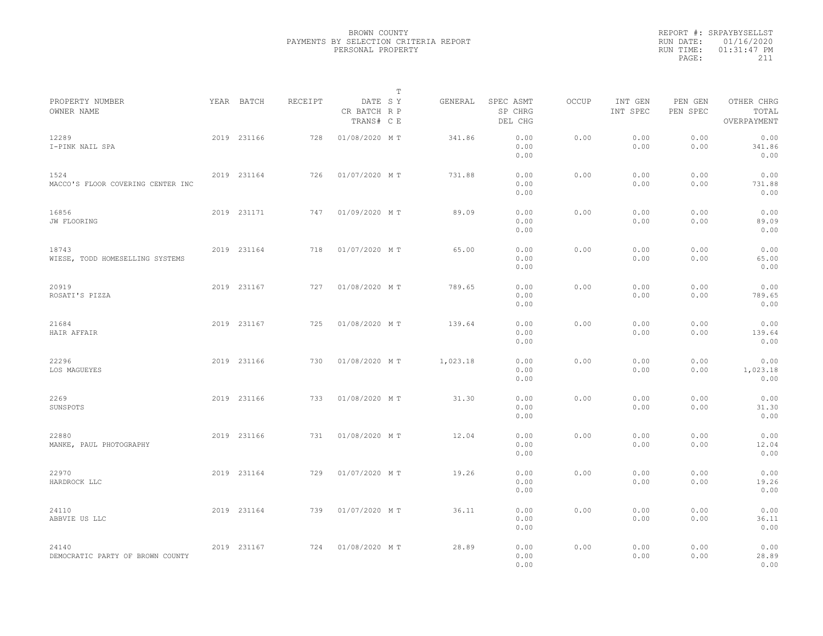|                                           |             |         |                                       | $\mathbb T$ |          |                                 |       |                     |                     |                                    |  |
|-------------------------------------------|-------------|---------|---------------------------------------|-------------|----------|---------------------------------|-------|---------------------|---------------------|------------------------------------|--|
| PROPERTY NUMBER<br>OWNER NAME             | YEAR BATCH  | RECEIPT | DATE SY<br>CR BATCH R P<br>TRANS# C E |             | GENERAL  | SPEC ASMT<br>SP CHRG<br>DEL CHG | OCCUP | INT GEN<br>INT SPEC | PEN GEN<br>PEN SPEC | OTHER CHRG<br>TOTAL<br>OVERPAYMENT |  |
| 12289<br>I-PINK NAIL SPA                  | 2019 231166 | 728     | 01/08/2020 MT                         |             | 341.86   | 0.00<br>0.00<br>0.00            | 0.00  | 0.00<br>0.00        | 0.00<br>0.00        | 0.00<br>341.86<br>0.00             |  |
| 1524<br>MACCO'S FLOOR COVERING CENTER INC | 2019 231164 | 726     | 01/07/2020 MT                         |             | 731.88   | 0.00<br>0.00<br>0.00            | 0.00  | 0.00<br>0.00        | 0.00<br>0.00        | 0.00<br>731.88<br>0.00             |  |
| 16856<br>JW FLOORING                      | 2019 231171 | 747     | 01/09/2020 MT                         |             | 89.09    | 0.00<br>0.00<br>0.00            | 0.00  | 0.00<br>0.00        | 0.00<br>0.00        | 0.00<br>89.09<br>0.00              |  |
| 18743<br>WIESE, TODD HOMESELLING SYSTEMS  | 2019 231164 | 718     | 01/07/2020 MT                         |             | 65.00    | 0.00<br>0.00<br>0.00            | 0.00  | 0.00<br>0.00        | 0.00<br>0.00        | 0.00<br>65.00<br>0.00              |  |
| 20919<br>ROSATI'S PIZZA                   | 2019 231167 | 727     | 01/08/2020 MT                         |             | 789.65   | 0.00<br>0.00<br>0.00            | 0.00  | 0.00<br>0.00        | 0.00<br>0.00        | 0.00<br>789.65<br>0.00             |  |
| 21684<br>HAIR AFFAIR                      | 2019 231167 | 725     | 01/08/2020 MT                         |             | 139.64   | 0.00<br>0.00<br>0.00            | 0.00  | 0.00<br>0.00        | 0.00<br>0.00        | 0.00<br>139.64<br>0.00             |  |
| 22296<br>LOS MAGUEYES                     | 2019 231166 | 730     | 01/08/2020 MT                         |             | 1,023.18 | 0.00<br>0.00<br>0.00            | 0.00  | 0.00<br>0.00        | 0.00<br>0.00        | 0.00<br>1,023.18<br>0.00           |  |
| 2269<br>SUNSPOTS                          | 2019 231166 | 733     | 01/08/2020 MT                         |             | 31.30    | 0.00<br>0.00<br>0.00            | 0.00  | 0.00<br>0.00        | 0.00<br>0.00        | 0.00<br>31.30<br>0.00              |  |
| 22880<br>MANKE, PAUL PHOTOGRAPHY          | 2019 231166 | 731     | 01/08/2020 MT                         |             | 12.04    | 0.00<br>0.00<br>0.00            | 0.00  | 0.00<br>0.00        | 0.00<br>0.00        | 0.00<br>12.04<br>0.00              |  |
| 22970<br>HARDROCK LLC                     | 2019 231164 | 729     | 01/07/2020 MT                         |             | 19.26    | 0.00<br>0.00<br>0.00            | 0.00  | 0.00<br>0.00        | 0.00<br>0.00        | 0.00<br>19.26<br>0.00              |  |
| 24110<br>ABBVIE US LLC                    | 2019 231164 | 739     | 01/07/2020 MT                         |             | 36.11    | 0.00<br>0.00<br>0.00            | 0.00  | 0.00<br>0.00        | 0.00<br>0.00        | 0.00<br>36.11<br>0.00              |  |
| 24140<br>DEMOCRATIC PARTY OF BROWN COUNTY | 2019 231167 | 724     | 01/08/2020 MT                         |             | 28.89    | 0.00<br>0.00<br>0.00            | 0.00  | 0.00<br>0.00        | 0.00<br>0.00        | 0.00<br>28.89<br>0.00              |  |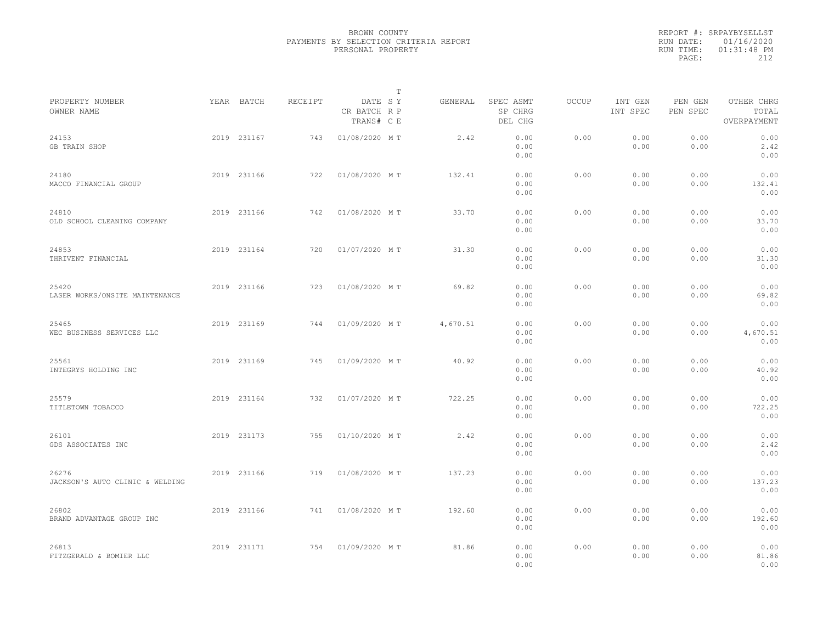|                                          |             |         | $\mathbb T$                           |          |                                 |       |                     |                     |                                    |  |
|------------------------------------------|-------------|---------|---------------------------------------|----------|---------------------------------|-------|---------------------|---------------------|------------------------------------|--|
| PROPERTY NUMBER<br>OWNER NAME            | YEAR BATCH  | RECEIPT | DATE SY<br>CR BATCH R P<br>TRANS# C E | GENERAL  | SPEC ASMT<br>SP CHRG<br>DEL CHG | OCCUP | INT GEN<br>INT SPEC | PEN GEN<br>PEN SPEC | OTHER CHRG<br>TOTAL<br>OVERPAYMENT |  |
| 24153<br>GB TRAIN SHOP                   | 2019 231167 | 743     | 01/08/2020 MT                         | 2.42     | 0.00<br>0.00<br>0.00            | 0.00  | 0.00<br>0.00        | 0.00<br>0.00        | 0.00<br>2.42<br>0.00               |  |
| 24180<br>MACCO FINANCIAL GROUP           | 2019 231166 | 722     | 01/08/2020 MT                         | 132.41   | 0.00<br>0.00<br>0.00            | 0.00  | 0.00<br>0.00        | 0.00<br>0.00        | 0.00<br>132.41<br>0.00             |  |
| 24810<br>OLD SCHOOL CLEANING COMPANY     | 2019 231166 | 742     | 01/08/2020 MT                         | 33.70    | 0.00<br>0.00<br>0.00            | 0.00  | 0.00<br>0.00        | 0.00<br>0.00        | 0.00<br>33.70<br>0.00              |  |
| 24853<br>THRIVENT FINANCIAL              | 2019 231164 | 720     | 01/07/2020 MT                         | 31.30    | 0.00<br>0.00<br>0.00            | 0.00  | 0.00<br>0.00        | 0.00<br>0.00        | 0.00<br>31.30<br>0.00              |  |
| 25420<br>LASER WORKS/ONSITE MAINTENANCE  | 2019 231166 | 723     | 01/08/2020 MT                         | 69.82    | 0.00<br>0.00<br>0.00            | 0.00  | 0.00<br>0.00        | 0.00<br>0.00        | 0.00<br>69.82<br>0.00              |  |
| 25465<br>WEC BUSINESS SERVICES LLC       | 2019 231169 | 744     | 01/09/2020 MT                         | 4,670.51 | 0.00<br>0.00<br>0.00            | 0.00  | 0.00<br>0.00        | 0.00<br>0.00        | 0.00<br>4,670.51<br>0.00           |  |
| 25561<br>INTEGRYS HOLDING INC            | 2019 231169 | 745     | 01/09/2020 MT                         | 40.92    | 0.00<br>0.00<br>0.00            | 0.00  | 0.00<br>0.00        | 0.00<br>0.00        | 0.00<br>40.92<br>0.00              |  |
| 25579<br>TITLETOWN TOBACCO               | 2019 231164 | 732     | 01/07/2020 MT                         | 722.25   | 0.00<br>0.00<br>0.00            | 0.00  | 0.00<br>0.00        | 0.00<br>0.00        | 0.00<br>722.25<br>0.00             |  |
| 26101<br>GDS ASSOCIATES INC              | 2019 231173 | 755     | 01/10/2020 MT                         | 2.42     | 0.00<br>0.00<br>0.00            | 0.00  | 0.00<br>0.00        | 0.00<br>0.00        | 0.00<br>2.42<br>0.00               |  |
| 26276<br>JACKSON'S AUTO CLINIC & WELDING | 2019 231166 | 719     | 01/08/2020 MT                         | 137.23   | 0.00<br>0.00<br>0.00            | 0.00  | 0.00<br>0.00        | 0.00<br>0.00        | 0.00<br>137.23<br>0.00             |  |
| 26802<br>BRAND ADVANTAGE GROUP INC       | 2019 231166 | 741     | 01/08/2020 MT                         | 192.60   | 0.00<br>0.00<br>0.00            | 0.00  | 0.00<br>0.00        | 0.00<br>0.00        | 0.00<br>192.60<br>0.00             |  |
| 26813<br>FITZGERALD & BOMIER LLC         | 2019 231171 | 754     | 01/09/2020 MT                         | 81.86    | 0.00<br>0.00<br>0.00            | 0.00  | 0.00<br>0.00        | 0.00<br>0.00        | 0.00<br>81.86<br>0.00              |  |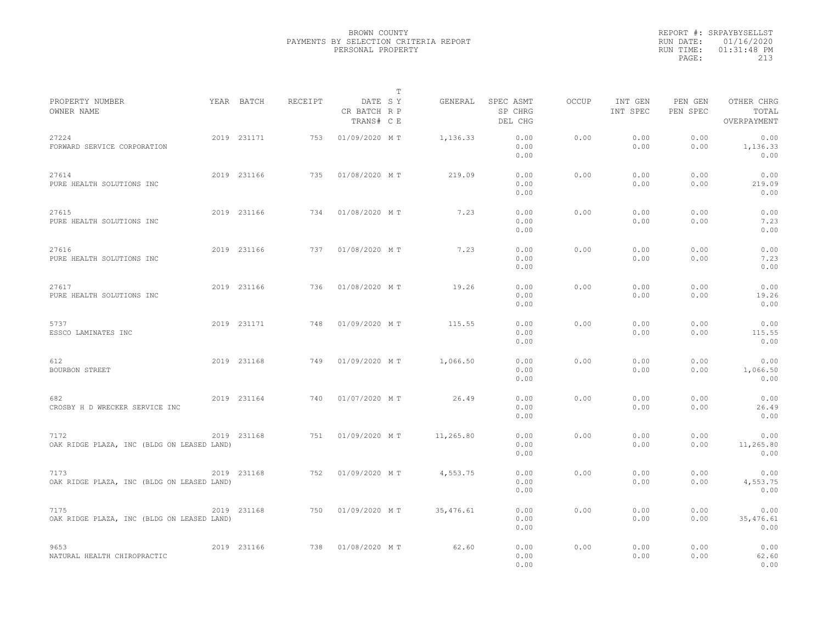|                                                    |             |         |                                       | $\mathbb T$ |       |                                 |              |                     |                     |                                    |  |
|----------------------------------------------------|-------------|---------|---------------------------------------|-------------|-------|---------------------------------|--------------|---------------------|---------------------|------------------------------------|--|
| PROPERTY NUMBER<br>OWNER NAME                      | YEAR BATCH  | RECEIPT | DATE SY<br>CR BATCH R P<br>TRANS# C E | GENERAL     |       | SPEC ASMT<br>SP CHRG<br>DEL CHG | <b>OCCUP</b> | INT GEN<br>INT SPEC | PEN GEN<br>PEN SPEC | OTHER CHRG<br>TOTAL<br>OVERPAYMENT |  |
| 27224<br>FORWARD SERVICE CORPORATION               | 2019 231171 | 753     | 01/09/2020 MT                         | 1,136.33    |       | 0.00<br>0.00<br>0.00            | 0.00         | 0.00<br>0.00        | 0.00<br>0.00        | 0.00<br>1,136.33<br>0.00           |  |
| 27614<br>PURE HEALTH SOLUTIONS INC                 | 2019 231166 | 735     | 01/08/2020 MT                         | 219.09      |       | 0.00<br>0.00<br>0.00            | 0.00         | 0.00<br>0.00        | 0.00<br>0.00        | 0.00<br>219.09<br>0.00             |  |
| 27615<br>PURE HEALTH SOLUTIONS INC                 | 2019 231166 | 734     | 01/08/2020 MT                         |             | 7.23  | 0.00<br>0.00<br>0.00            | 0.00         | 0.00<br>0.00        | 0.00<br>0.00        | 0.00<br>7.23<br>0.00               |  |
| 27616<br>PURE HEALTH SOLUTIONS INC                 | 2019 231166 | 737     | 01/08/2020 MT                         |             | 7.23  | 0.00<br>0.00<br>0.00            | 0.00         | 0.00<br>0.00        | 0.00<br>0.00        | 0.00<br>7.23<br>0.00               |  |
| 27617<br>PURE HEALTH SOLUTIONS INC                 | 2019 231166 | 736     | 01/08/2020 MT                         |             | 19.26 | 0.00<br>0.00<br>0.00            | 0.00         | 0.00<br>0.00        | 0.00<br>0.00        | 0.00<br>19.26<br>0.00              |  |
| 5737<br>ESSCO LAMINATES INC                        | 2019 231171 | 748     | 01/09/2020 MT                         | 115.55      |       | 0.00<br>0.00<br>0.00            | 0.00         | 0.00<br>0.00        | 0.00<br>0.00        | 0.00<br>115.55<br>0.00             |  |
| 612<br><b>BOURBON STREET</b>                       | 2019 231168 | 749     | 01/09/2020 MT                         | 1,066.50    |       | 0.00<br>0.00<br>0.00            | 0.00         | 0.00<br>0.00        | 0.00<br>0.00        | 0.00<br>1,066.50<br>0.00           |  |
| 682<br>CROSBY H D WRECKER SERVICE INC              | 2019 231164 | 740     | 01/07/2020 MT                         |             | 26.49 | 0.00<br>0.00<br>0.00            | 0.00         | 0.00<br>0.00        | 0.00<br>0.00        | 0.00<br>26.49<br>0.00              |  |
| 7172<br>OAK RIDGE PLAZA, INC (BLDG ON LEASED LAND) | 2019 231168 | 751     | 01/09/2020 MT                         | 11,265.80   |       | 0.00<br>0.00<br>0.00            | 0.00         | 0.00<br>0.00        | 0.00<br>0.00        | 0.00<br>11,265.80<br>0.00          |  |
| 7173<br>OAK RIDGE PLAZA, INC (BLDG ON LEASED LAND) | 2019 231168 | 752     | 01/09/2020 MT                         | 4,553.75    |       | 0.00<br>0.00<br>0.00            | 0.00         | 0.00<br>0.00        | 0.00<br>0.00        | 0.00<br>4,553.75<br>0.00           |  |
| 7175<br>OAK RIDGE PLAZA, INC (BLDG ON LEASED LAND) | 2019 231168 | 750     | 01/09/2020 MT                         | 35, 476.61  |       | 0.00<br>0.00<br>0.00            | 0.00         | 0.00<br>0.00        | 0.00<br>0.00        | 0.00<br>35,476.61<br>0.00          |  |
| 9653<br>NATURAL HEALTH CHIROPRACTIC                | 2019 231166 | 738     | 01/08/2020 MT                         |             | 62.60 | 0.00<br>0.00<br>0.00            | 0.00         | 0.00<br>0.00        | 0.00<br>0.00        | 0.00<br>62.60<br>0.00              |  |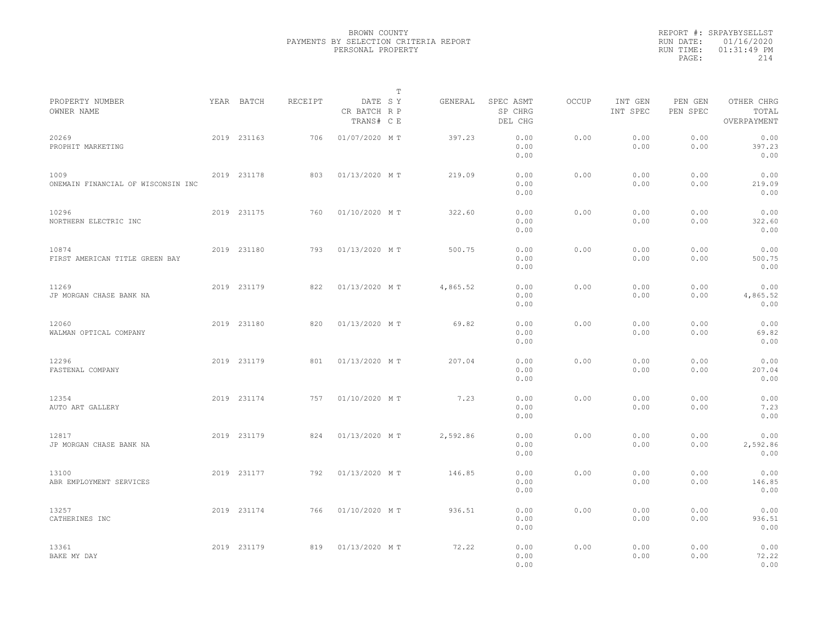|                                            |             |         |                                       | $\mathbb{T}$ |                                 |              |                     |                     |                                    |  |
|--------------------------------------------|-------------|---------|---------------------------------------|--------------|---------------------------------|--------------|---------------------|---------------------|------------------------------------|--|
| PROPERTY NUMBER<br>OWNER NAME              | YEAR BATCH  | RECEIPT | DATE SY<br>CR BATCH R P<br>TRANS# C E | GENERAL      | SPEC ASMT<br>SP CHRG<br>DEL CHG | <b>OCCUP</b> | INT GEN<br>INT SPEC | PEN GEN<br>PEN SPEC | OTHER CHRG<br>TOTAL<br>OVERPAYMENT |  |
| 20269<br>PROPHIT MARKETING                 | 2019 231163 | 706     | 01/07/2020 MT                         | 397.23       | 0.00<br>0.00<br>0.00            | 0.00         | 0.00<br>0.00        | 0.00<br>0.00        | 0.00<br>397.23<br>0.00             |  |
| 1009<br>ONEMAIN FINANCIAL OF WISCONSIN INC | 2019 231178 | 803     | 01/13/2020 MT                         | 219.09       | 0.00<br>0.00<br>0.00            | 0.00         | 0.00<br>0.00        | 0.00<br>0.00        | 0.00<br>219.09<br>0.00             |  |
| 10296<br>NORTHERN ELECTRIC INC             | 2019 231175 | 760     | 01/10/2020 MT                         | 322.60       | 0.00<br>0.00<br>0.00            | 0.00         | 0.00<br>0.00        | 0.00<br>0.00        | 0.00<br>322.60<br>0.00             |  |
| 10874<br>FIRST AMERICAN TITLE GREEN BAY    | 2019 231180 | 793     | 01/13/2020 MT                         | 500.75       | 0.00<br>0.00<br>0.00            | 0.00         | 0.00<br>0.00        | 0.00<br>0.00        | 0.00<br>500.75<br>0.00             |  |
| 11269<br>JP MORGAN CHASE BANK NA           | 2019 231179 | 822     | 01/13/2020 MT                         | 4,865.52     | 0.00<br>0.00<br>0.00            | 0.00         | 0.00<br>0.00        | 0.00<br>0.00        | 0.00<br>4,865.52<br>0.00           |  |
| 12060<br>WALMAN OPTICAL COMPANY            | 2019 231180 | 820     | 01/13/2020 MT                         | 69.82        | 0.00<br>0.00<br>0.00            | 0.00         | 0.00<br>0.00        | 0.00<br>0.00        | 0.00<br>69.82<br>0.00              |  |
| 12296<br>FASTENAL COMPANY                  | 2019 231179 | 801     | 01/13/2020 MT                         | 207.04       | 0.00<br>0.00<br>0.00            | 0.00         | 0.00<br>0.00        | 0.00<br>0.00        | 0.00<br>207.04<br>0.00             |  |
| 12354<br>AUTO ART GALLERY                  | 2019 231174 | 757     | 01/10/2020 MT                         |              | 7.23<br>0.00<br>0.00<br>0.00    | 0.00         | 0.00<br>0.00        | 0.00<br>0.00        | 0.00<br>7.23<br>0.00               |  |
| 12817<br>JP MORGAN CHASE BANK NA           | 2019 231179 | 824     | 01/13/2020 MT                         | 2,592.86     | 0.00<br>0.00<br>0.00            | 0.00         | 0.00<br>0.00        | 0.00<br>0.00        | 0.00<br>2,592.86<br>0.00           |  |
| 13100<br>ABR EMPLOYMENT SERVICES           | 2019 231177 | 792     | 01/13/2020 MT                         | 146.85       | 0.00<br>0.00<br>0.00            | 0.00         | 0.00<br>0.00        | 0.00<br>0.00        | 0.00<br>146.85<br>0.00             |  |
| 13257<br>CATHERINES INC                    | 2019 231174 | 766     | 01/10/2020 MT                         | 936.51       | 0.00<br>0.00<br>0.00            | 0.00         | 0.00<br>0.00        | 0.00<br>0.00        | 0.00<br>936.51<br>0.00             |  |
| 13361<br>BAKE MY DAY                       | 2019 231179 | 819     | 01/13/2020 MT                         | 72.22        | 0.00<br>0.00<br>0.00            | 0.00         | 0.00<br>0.00        | 0.00<br>0.00        | 0.00<br>72.22<br>0.00              |  |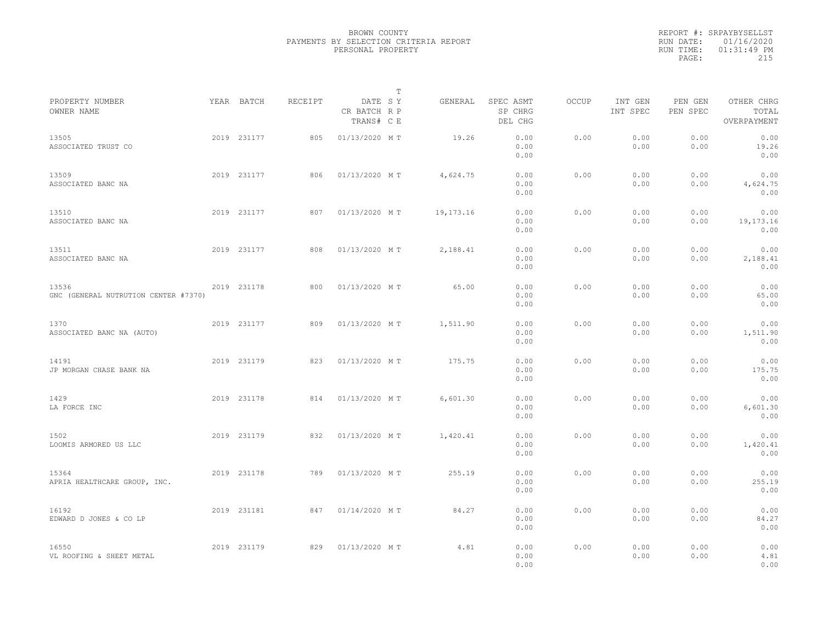|                                               |             |         | $\mathbb{T}$                          |             |                                 |              |                     |                     |                                    |
|-----------------------------------------------|-------------|---------|---------------------------------------|-------------|---------------------------------|--------------|---------------------|---------------------|------------------------------------|
| PROPERTY NUMBER<br>OWNER NAME                 | YEAR BATCH  | RECEIPT | DATE SY<br>CR BATCH R P<br>TRANS# C E | GENERAL     | SPEC ASMT<br>SP CHRG<br>DEL CHG | <b>OCCUP</b> | INT GEN<br>INT SPEC | PEN GEN<br>PEN SPEC | OTHER CHRG<br>TOTAL<br>OVERPAYMENT |
| 13505<br>ASSOCIATED TRUST CO                  | 2019 231177 | 805     | 01/13/2020 MT                         | 19.26       | 0.00<br>0.00<br>0.00            | 0.00         | 0.00<br>0.00        | 0.00<br>0.00        | 0.00<br>19.26<br>0.00              |
| 13509<br>ASSOCIATED BANC NA                   | 2019 231177 | 806     | 01/13/2020 MT                         | 4,624.75    | 0.00<br>0.00<br>0.00            | 0.00         | 0.00<br>0.00        | 0.00<br>0.00        | 0.00<br>4,624.75<br>0.00           |
| 13510<br>ASSOCIATED BANC NA                   | 2019 231177 | 807     | 01/13/2020 MT                         | 19, 173. 16 | 0.00<br>0.00<br>0.00            | 0.00         | 0.00<br>0.00        | 0.00<br>0.00        | 0.00<br>19, 173. 16<br>0.00        |
| 13511<br>ASSOCIATED BANC NA                   | 2019 231177 | 808     | 01/13/2020 MT                         | 2,188.41    | 0.00<br>0.00<br>0.00            | 0.00         | 0.00<br>0.00        | 0.00<br>0.00        | 0.00<br>2,188.41<br>0.00           |
| 13536<br>GNC (GENERAL NUTRUTION CENTER #7370) | 2019 231178 | 800     | 01/13/2020 MT                         | 65.00       | 0.00<br>0.00<br>0.00            | 0.00         | 0.00<br>0.00        | 0.00<br>0.00        | 0.00<br>65.00<br>0.00              |
| 1370<br>ASSOCIATED BANC NA (AUTO)             | 2019 231177 | 809     | 01/13/2020 MT                         | 1,511.90    | 0.00<br>0.00<br>0.00            | 0.00         | 0.00<br>0.00        | 0.00<br>0.00        | 0.00<br>1,511.90<br>0.00           |
| 14191<br>JP MORGAN CHASE BANK NA              | 2019 231179 | 823     | 01/13/2020 MT                         | 175.75      | 0.00<br>0.00<br>0.00            | 0.00         | 0.00<br>0.00        | 0.00<br>0.00        | 0.00<br>175.75<br>0.00             |
| 1429<br>LA FORCE INC                          | 2019 231178 | 814     | 01/13/2020 MT                         | 6,601.30    | 0.00<br>0.00<br>0.00            | 0.00         | 0.00<br>0.00        | 0.00<br>0.00        | 0.00<br>6,601.30<br>0.00           |
| 1502<br>LOOMIS ARMORED US LLC                 | 2019 231179 | 832     | 01/13/2020 MT                         | 1,420.41    | 0.00<br>0.00<br>0.00            | 0.00         | 0.00<br>0.00        | 0.00<br>0.00        | 0.00<br>1,420.41<br>0.00           |
| 15364<br>APRIA HEALTHCARE GROUP, INC.         | 2019 231178 | 789     | 01/13/2020 MT                         | 255.19      | 0.00<br>0.00<br>0.00            | 0.00         | 0.00<br>0.00        | 0.00<br>0.00        | 0.00<br>255.19<br>0.00             |
| 16192<br>EDWARD D JONES & CO LP               | 2019 231181 | 847     | 01/14/2020 MT                         | 84.27       | 0.00<br>0.00<br>0.00            | 0.00         | 0.00<br>0.00        | 0.00<br>0.00        | 0.00<br>84.27<br>0.00              |
| 16550<br>VL ROOFING & SHEET METAL             | 2019 231179 | 829     | 01/13/2020 MT                         | 4.81        | 0.00<br>0.00<br>0.00            | 0.00         | 0.00<br>0.00        | 0.00<br>0.00        | 0.00<br>4.81<br>0.00               |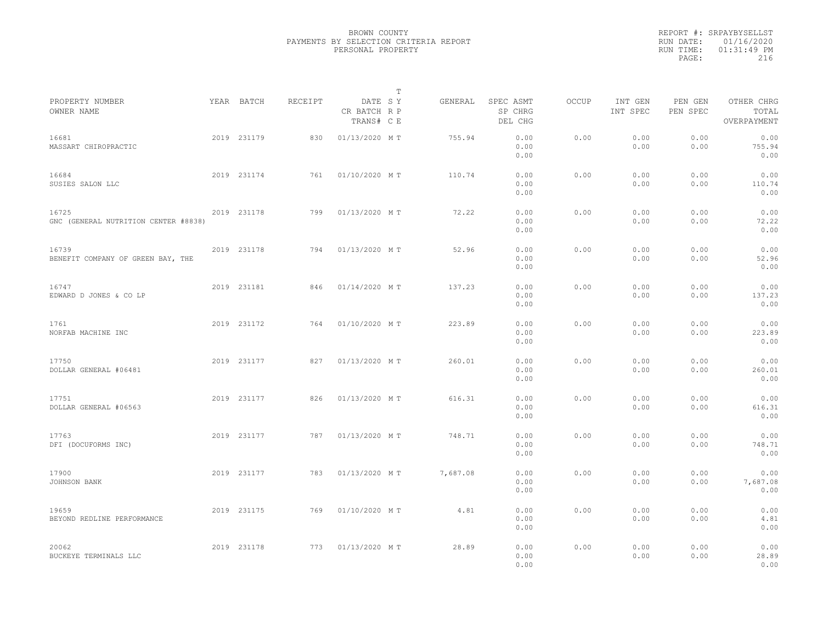|                                               |             |         |                                       | $\mathbb{T}$ |          |                                 |       |                     |                     |                                    |  |
|-----------------------------------------------|-------------|---------|---------------------------------------|--------------|----------|---------------------------------|-------|---------------------|---------------------|------------------------------------|--|
| PROPERTY NUMBER<br>OWNER NAME                 | YEAR BATCH  | RECEIPT | DATE SY<br>CR BATCH R P<br>TRANS# C E |              | GENERAL  | SPEC ASMT<br>SP CHRG<br>DEL CHG | OCCUP | INT GEN<br>INT SPEC | PEN GEN<br>PEN SPEC | OTHER CHRG<br>TOTAL<br>OVERPAYMENT |  |
| 16681<br>MASSART CHIROPRACTIC                 | 2019 231179 | 830     | 01/13/2020 MT                         |              | 755.94   | 0.00<br>0.00<br>0.00            | 0.00  | 0.00<br>0.00        | 0.00<br>0.00        | 0.00<br>755.94<br>0.00             |  |
| 16684<br>SUSIES SALON LLC                     | 2019 231174 | 761     | 01/10/2020 MT                         |              | 110.74   | 0.00<br>0.00<br>0.00            | 0.00  | 0.00<br>0.00        | 0.00<br>0.00        | 0.00<br>110.74<br>0.00             |  |
| 16725<br>GNC (GENERAL NUTRITION CENTER #8838) | 2019 231178 | 799     | 01/13/2020 MT                         |              | 72.22    | 0.00<br>0.00<br>0.00            | 0.00  | 0.00<br>0.00        | 0.00<br>0.00        | 0.00<br>72.22<br>0.00              |  |
| 16739<br>BENEFIT COMPANY OF GREEN BAY, THE    | 2019 231178 | 794     | 01/13/2020 MT                         |              | 52.96    | 0.00<br>0.00<br>0.00            | 0.00  | 0.00<br>0.00        | 0.00<br>0.00        | 0.00<br>52.96<br>0.00              |  |
| 16747<br>EDWARD D JONES & CO LP               | 2019 231181 | 846     | 01/14/2020 MT                         |              | 137.23   | 0.00<br>0.00<br>0.00            | 0.00  | 0.00<br>0.00        | 0.00<br>0.00        | 0.00<br>137.23<br>0.00             |  |
| 1761<br>NORFAB MACHINE INC                    | 2019 231172 | 764     | 01/10/2020 MT                         |              | 223.89   | 0.00<br>0.00<br>0.00            | 0.00  | 0.00<br>0.00        | 0.00<br>0.00        | 0.00<br>223.89<br>0.00             |  |
| 17750<br>DOLLAR GENERAL #06481                | 2019 231177 | 827     | 01/13/2020 MT                         |              | 260.01   | 0.00<br>0.00<br>0.00            | 0.00  | 0.00<br>0.00        | 0.00<br>0.00        | 0.00<br>260.01<br>0.00             |  |
| 17751<br>DOLLAR GENERAL #06563                | 2019 231177 | 826     | 01/13/2020 MT                         |              | 616.31   | 0.00<br>0.00<br>0.00            | 0.00  | 0.00<br>0.00        | 0.00<br>0.00        | 0.00<br>616.31<br>0.00             |  |
| 17763<br>DFI (DOCUFORMS INC)                  | 2019 231177 | 787     | 01/13/2020 MT                         |              | 748.71   | 0.00<br>0.00<br>0.00            | 0.00  | 0.00<br>0.00        | 0.00<br>0.00        | 0.00<br>748.71<br>0.00             |  |
| 17900<br>JOHNSON BANK                         | 2019 231177 | 783     | 01/13/2020 MT                         |              | 7,687.08 | 0.00<br>0.00<br>0.00            | 0.00  | 0.00<br>0.00        | 0.00<br>0.00        | 0.00<br>7,687.08<br>0.00           |  |
| 19659<br>BEYOND REDLINE PERFORMANCE           | 2019 231175 | 769     | 01/10/2020 MT                         |              | 4.81     | 0.00<br>0.00<br>0.00            | 0.00  | 0.00<br>0.00        | 0.00<br>0.00        | 0.00<br>4.81<br>0.00               |  |
| 20062<br>BUCKEYE TERMINALS LLC                | 2019 231178 | 773     | 01/13/2020 MT                         |              | 28.89    | 0.00<br>0.00<br>0.00            | 0.00  | 0.00<br>0.00        | 0.00<br>0.00        | 0.00<br>28.89<br>0.00              |  |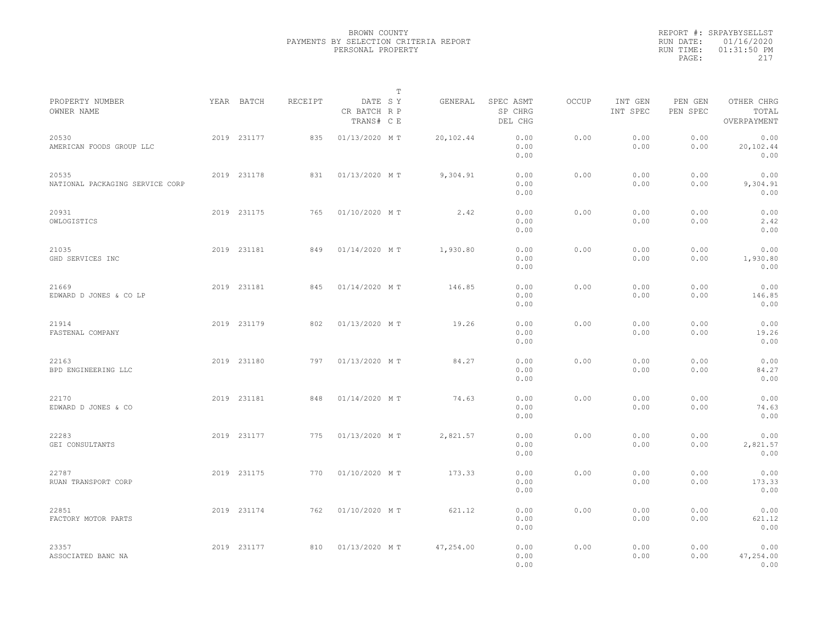|                                          |             |         |                                       | $\mathbb T$ |           |                                 |              |                     |                     |                                    |  |
|------------------------------------------|-------------|---------|---------------------------------------|-------------|-----------|---------------------------------|--------------|---------------------|---------------------|------------------------------------|--|
| PROPERTY NUMBER<br>OWNER NAME            | YEAR BATCH  | RECEIPT | DATE SY<br>CR BATCH R P<br>TRANS# C E |             | GENERAL   | SPEC ASMT<br>SP CHRG<br>DEL CHG | <b>OCCUP</b> | INT GEN<br>INT SPEC | PEN GEN<br>PEN SPEC | OTHER CHRG<br>TOTAL<br>OVERPAYMENT |  |
| 20530<br>AMERICAN FOODS GROUP LLC        | 2019 231177 | 835     | 01/13/2020 MT                         |             | 20,102.44 | 0.00<br>0.00<br>0.00            | 0.00         | 0.00<br>0.00        | 0.00<br>0.00        | 0.00<br>20,102.44<br>0.00          |  |
| 20535<br>NATIONAL PACKAGING SERVICE CORP | 2019 231178 | 831     | 01/13/2020 MT                         |             | 9,304.91  | 0.00<br>0.00<br>0.00            | 0.00         | 0.00<br>0.00        | 0.00<br>0.00        | 0.00<br>9,304.91<br>0.00           |  |
| 20931<br>OWLOGISTICS                     | 2019 231175 | 765     | 01/10/2020 MT                         |             | 2.42      | 0.00<br>0.00<br>0.00            | 0.00         | 0.00<br>0.00        | 0.00<br>0.00        | 0.00<br>2.42<br>0.00               |  |
| 21035<br>GHD SERVICES INC                | 2019 231181 | 849     | 01/14/2020 MT                         |             | 1,930.80  | 0.00<br>0.00<br>0.00            | 0.00         | 0.00<br>0.00        | 0.00<br>0.00        | 0.00<br>1,930.80<br>0.00           |  |
| 21669<br>EDWARD D JONES & CO LP          | 2019 231181 | 845     | 01/14/2020 MT                         |             | 146.85    | 0.00<br>0.00<br>0.00            | 0.00         | 0.00<br>0.00        | 0.00<br>0.00        | 0.00<br>146.85<br>0.00             |  |
| 21914<br>FASTENAL COMPANY                | 2019 231179 | 802     | 01/13/2020 MT                         |             | 19.26     | 0.00<br>0.00<br>0.00            | 0.00         | 0.00<br>0.00        | 0.00<br>0.00        | 0.00<br>19.26<br>0.00              |  |
| 22163<br>BPD ENGINEERING LLC             | 2019 231180 | 797     | 01/13/2020 MT                         |             | 84.27     | 0.00<br>0.00<br>0.00            | 0.00         | 0.00<br>0.00        | 0.00<br>0.00        | 0.00<br>84.27<br>0.00              |  |
| 22170<br>EDWARD D JONES & CO             | 2019 231181 | 848     | 01/14/2020 MT                         |             | 74.63     | 0.00<br>0.00<br>0.00            | 0.00         | 0.00<br>0.00        | 0.00<br>0.00        | 0.00<br>74.63<br>0.00              |  |
| 22283<br>GEI CONSULTANTS                 | 2019 231177 | 775     | 01/13/2020 MT                         |             | 2,821.57  | 0.00<br>0.00<br>0.00            | 0.00         | 0.00<br>0.00        | 0.00<br>0.00        | 0.00<br>2,821.57<br>0.00           |  |
| 22787<br>RUAN TRANSPORT CORP             | 2019 231175 | 770     | 01/10/2020 MT                         |             | 173.33    | 0.00<br>0.00<br>0.00            | 0.00         | 0.00<br>0.00        | 0.00<br>0.00        | 0.00<br>173.33<br>0.00             |  |
| 22851<br>FACTORY MOTOR PARTS             | 2019 231174 | 762     | 01/10/2020 MT                         |             | 621.12    | 0.00<br>0.00<br>0.00            | 0.00         | 0.00<br>0.00        | 0.00<br>0.00        | 0.00<br>621.12<br>0.00             |  |
| 23357<br>ASSOCIATED BANC NA              | 2019 231177 | 810     | 01/13/2020 MT                         |             | 47,254.00 | 0.00<br>0.00<br>0.00            | 0.00         | 0.00<br>0.00        | 0.00<br>0.00        | 0.00<br>47,254.00<br>0.00          |  |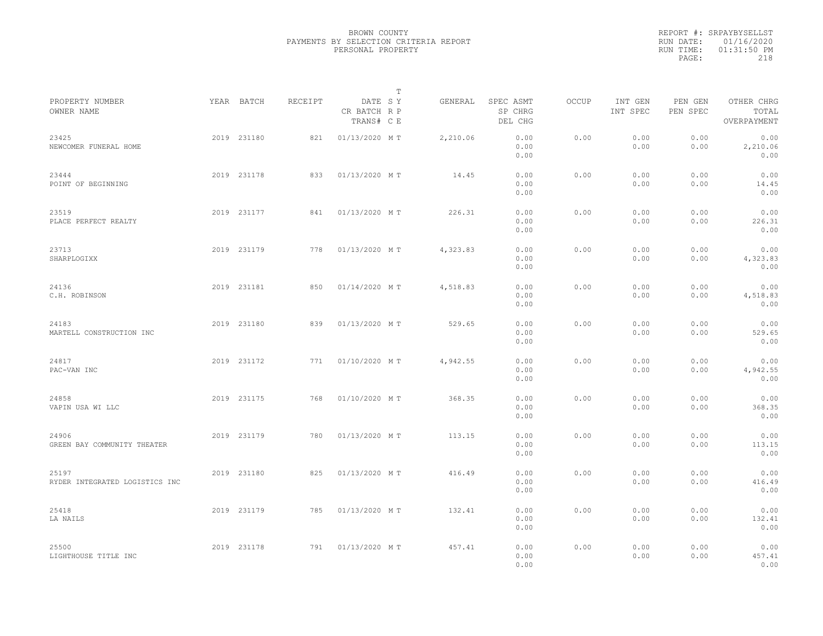|                                         |             |         |                                       | $\mathbb T$ |          |                                 |              |                     |                     |                                    |  |
|-----------------------------------------|-------------|---------|---------------------------------------|-------------|----------|---------------------------------|--------------|---------------------|---------------------|------------------------------------|--|
| PROPERTY NUMBER<br>OWNER NAME           | YEAR BATCH  | RECEIPT | DATE SY<br>CR BATCH R P<br>TRANS# C E |             | GENERAL  | SPEC ASMT<br>SP CHRG<br>DEL CHG | <b>OCCUP</b> | INT GEN<br>INT SPEC | PEN GEN<br>PEN SPEC | OTHER CHRG<br>TOTAL<br>OVERPAYMENT |  |
| 23425<br>NEWCOMER FUNERAL HOME          | 2019 231180 | 821     | 01/13/2020 MT                         |             | 2,210.06 | 0.00<br>0.00<br>0.00            | 0.00         | 0.00<br>0.00        | 0.00<br>0.00        | 0.00<br>2,210.06<br>0.00           |  |
| 23444<br>POINT OF BEGINNING             | 2019 231178 | 833     | 01/13/2020 MT                         |             | 14.45    | 0.00<br>0.00<br>0.00            | 0.00         | 0.00<br>0.00        | 0.00<br>0.00        | 0.00<br>14.45<br>0.00              |  |
| 23519<br>PLACE PERFECT REALTY           | 2019 231177 | 841     | 01/13/2020 MT                         |             | 226.31   | 0.00<br>0.00<br>0.00            | 0.00         | 0.00<br>0.00        | 0.00<br>0.00        | 0.00<br>226.31<br>0.00             |  |
| 23713<br>SHARPLOGIXX                    | 2019 231179 | 778     | 01/13/2020 MT                         |             | 4,323.83 | 0.00<br>0.00<br>0.00            | 0.00         | 0.00<br>0.00        | 0.00<br>0.00        | 0.00<br>4,323.83<br>0.00           |  |
| 24136<br>C.H. ROBINSON                  | 2019 231181 | 850     | 01/14/2020 MT                         |             | 4,518.83 | 0.00<br>0.00<br>0.00            | 0.00         | 0.00<br>0.00        | 0.00<br>0.00        | 0.00<br>4,518.83<br>0.00           |  |
| 24183<br>MARTELL CONSTRUCTION INC       | 2019 231180 | 839     | 01/13/2020 MT                         |             | 529.65   | 0.00<br>0.00<br>0.00            | 0.00         | 0.00<br>0.00        | 0.00<br>0.00        | 0.00<br>529.65<br>0.00             |  |
| 24817<br>PAC-VAN INC                    | 2019 231172 | 771     | 01/10/2020 MT                         |             | 4,942.55 | 0.00<br>0.00<br>0.00            | 0.00         | 0.00<br>0.00        | 0.00<br>0.00        | 0.00<br>4,942.55<br>0.00           |  |
| 24858<br>VAPIN USA WI LLC               | 2019 231175 | 768     | 01/10/2020 MT                         |             | 368.35   | 0.00<br>0.00<br>0.00            | 0.00         | 0.00<br>0.00        | 0.00<br>0.00        | 0.00<br>368.35<br>0.00             |  |
| 24906<br>GREEN BAY COMMUNITY THEATER    | 2019 231179 | 780     | 01/13/2020 MT                         |             | 113.15   | 0.00<br>0.00<br>0.00            | 0.00         | 0.00<br>0.00        | 0.00<br>0.00        | 0.00<br>113.15<br>0.00             |  |
| 25197<br>RYDER INTEGRATED LOGISTICS INC | 2019 231180 | 825     | 01/13/2020 MT                         |             | 416.49   | 0.00<br>0.00<br>0.00            | 0.00         | 0.00<br>0.00        | 0.00<br>0.00        | 0.00<br>416.49<br>0.00             |  |
| 25418<br>LA NAILS                       | 2019 231179 | 785     | 01/13/2020 MT                         |             | 132.41   | 0.00<br>0.00<br>0.00            | 0.00         | 0.00<br>0.00        | 0.00<br>0.00        | 0.00<br>132.41<br>0.00             |  |
| 25500<br>LIGHTHOUSE TITLE INC           | 2019 231178 | 791     | 01/13/2020 MT                         |             | 457.41   | 0.00<br>0.00<br>0.00            | 0.00         | 0.00<br>0.00        | 0.00<br>0.00        | 0.00<br>457.41<br>0.00             |  |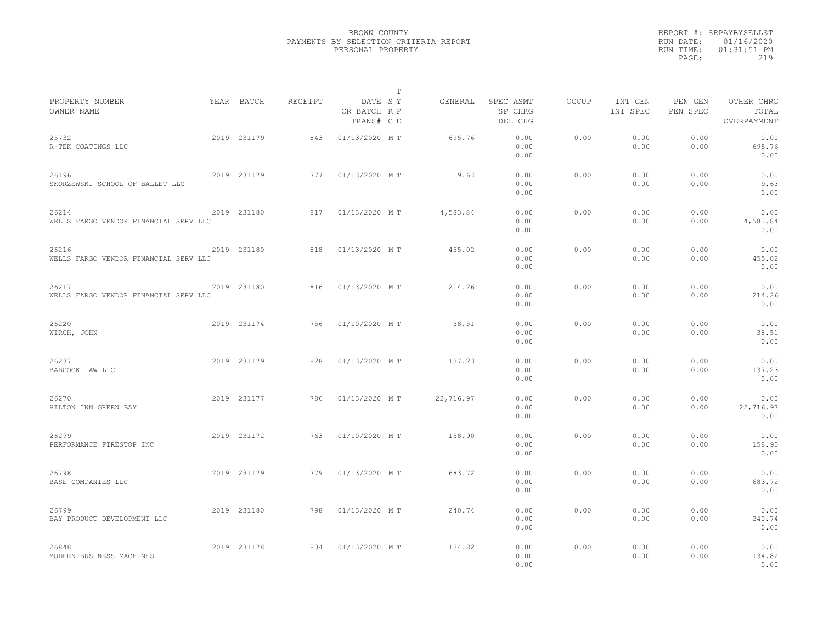|                                                |             |         |                                       | T |           |                                 |              |                     |                     |                                    |
|------------------------------------------------|-------------|---------|---------------------------------------|---|-----------|---------------------------------|--------------|---------------------|---------------------|------------------------------------|
| PROPERTY NUMBER<br>OWNER NAME                  | YEAR BATCH  | RECEIPT | DATE SY<br>CR BATCH R P<br>TRANS# C E |   | GENERAL   | SPEC ASMT<br>SP CHRG<br>DEL CHG | <b>OCCUP</b> | INT GEN<br>INT SPEC | PEN GEN<br>PEN SPEC | OTHER CHRG<br>TOTAL<br>OVERPAYMENT |
| 25732<br>R-TEK COATINGS LLC                    | 2019 231179 | 843     | 01/13/2020 MT                         |   | 695.76    | 0.00<br>0.00<br>0.00            | 0.00         | 0.00<br>0.00        | 0.00<br>0.00        | 0.00<br>695.76<br>0.00             |
| 26196<br>SKORZEWSKI SCHOOL OF BALLET LLC       | 2019 231179 | 777     | 01/13/2020 MT                         |   | 9.63      | 0.00<br>0.00<br>0.00            | 0.00         | 0.00<br>0.00        | 0.00<br>0.00        | 0.00<br>9.63<br>0.00               |
| 26214<br>WELLS FARGO VENDOR FINANCIAL SERV LLC | 2019 231180 | 817     | 01/13/2020 MT                         |   | 4,583.84  | 0.00<br>0.00<br>0.00            | 0.00         | 0.00<br>0.00        | 0.00<br>0.00        | 0.00<br>4,583.84<br>0.00           |
| 26216<br>WELLS FARGO VENDOR FINANCIAL SERV LLC | 2019 231180 | 818     | 01/13/2020 MT                         |   | 455.02    | 0.00<br>0.00<br>0.00            | 0.00         | 0.00<br>0.00        | 0.00<br>0.00        | 0.00<br>455.02<br>0.00             |
| 26217<br>WELLS FARGO VENDOR FINANCIAL SERV LLC | 2019 231180 | 816     | 01/13/2020 MT                         |   | 214.26    | 0.00<br>0.00<br>0.00            | 0.00         | 0.00<br>0.00        | 0.00<br>0.00        | 0.00<br>214.26<br>0.00             |
| 26220<br>WIRCH, JOHN                           | 2019 231174 | 756     | 01/10/2020 MT                         |   | 38.51     | 0.00<br>0.00<br>0.00            | 0.00         | 0.00<br>0.00        | 0.00<br>0.00        | 0.00<br>38.51<br>0.00              |
| 26237<br>BABCOCK LAW LLC                       | 2019 231179 | 828     | 01/13/2020 MT                         |   | 137.23    | 0.00<br>0.00<br>0.00            | 0.00         | 0.00<br>0.00        | 0.00<br>0.00        | 0.00<br>137.23<br>0.00             |
| 26270<br>HILTON INN GREEN BAY                  | 2019 231177 | 786     | 01/13/2020 MT                         |   | 22,716.97 | 0.00<br>0.00<br>0.00            | 0.00         | 0.00<br>0.00        | 0.00<br>0.00        | 0.00<br>22,716.97<br>0.00          |
| 26299<br>PERFORMANCE FIRESTOP INC              | 2019 231172 | 763     | 01/10/2020 MT                         |   | 158.90    | 0.00<br>0.00<br>0.00            | 0.00         | 0.00<br>0.00        | 0.00<br>0.00        | 0.00<br>158.90<br>0.00             |
| 26798<br>BASE COMPANIES LLC                    | 2019 231179 | 779     | 01/13/2020 MT                         |   | 683.72    | 0.00<br>0.00<br>0.00            | 0.00         | 0.00<br>0.00        | 0.00<br>0.00        | 0.00<br>683.72<br>0.00             |
| 26799<br>BAY PRODUCT DEVELOPMENT LLC           | 2019 231180 | 798     | 01/13/2020 MT                         |   | 240.74    | 0.00<br>0.00<br>0.00            | 0.00         | 0.00<br>0.00        | 0.00<br>0.00        | 0.00<br>240.74<br>0.00             |
| 26848<br>MODERN BUSINESS MACHINES              | 2019 231178 | 804     | 01/13/2020 MT                         |   | 134.82    | 0.00<br>0.00<br>0.00            | 0.00         | 0.00<br>0.00        | 0.00<br>0.00        | 0.00<br>134.82<br>0.00             |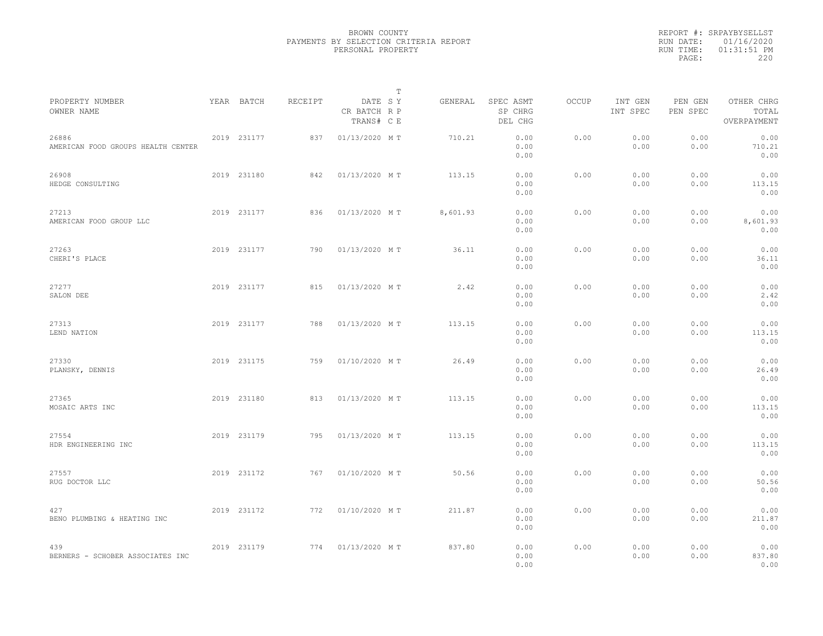|                                             |             |         |                                       | $\mathbb T$ |          |                                 |       |                     |                     |                                    |  |
|---------------------------------------------|-------------|---------|---------------------------------------|-------------|----------|---------------------------------|-------|---------------------|---------------------|------------------------------------|--|
| PROPERTY NUMBER<br>OWNER NAME               | YEAR BATCH  | RECEIPT | DATE SY<br>CR BATCH R P<br>TRANS# C E |             | GENERAL  | SPEC ASMT<br>SP CHRG<br>DEL CHG | OCCUP | INT GEN<br>INT SPEC | PEN GEN<br>PEN SPEC | OTHER CHRG<br>TOTAL<br>OVERPAYMENT |  |
| 26886<br>AMERICAN FOOD GROUPS HEALTH CENTER | 2019 231177 | 837     | 01/13/2020 MT                         |             | 710.21   | 0.00<br>0.00<br>0.00            | 0.00  | 0.00<br>0.00        | 0.00<br>0.00        | 0.00<br>710.21<br>0.00             |  |
| 26908<br>HEDGE CONSULTING                   | 2019 231180 | 842     | 01/13/2020 MT                         |             | 113.15   | 0.00<br>0.00<br>0.00            | 0.00  | 0.00<br>0.00        | 0.00<br>0.00        | 0.00<br>113.15<br>0.00             |  |
| 27213<br>AMERICAN FOOD GROUP LLC            | 2019 231177 | 836     | 01/13/2020 MT                         |             | 8,601.93 | 0.00<br>0.00<br>0.00            | 0.00  | 0.00<br>0.00        | 0.00<br>0.00        | 0.00<br>8,601.93<br>0.00           |  |
| 27263<br>CHERI'S PLACE                      | 2019 231177 | 790     | 01/13/2020 MT                         |             | 36.11    | 0.00<br>0.00<br>0.00            | 0.00  | 0.00<br>0.00        | 0.00<br>0.00        | 0.00<br>36.11<br>0.00              |  |
| 27277<br>SALON DEE                          | 2019 231177 | 815     | 01/13/2020 MT                         |             | 2.42     | 0.00<br>0.00<br>0.00            | 0.00  | 0.00<br>0.00        | 0.00<br>0.00        | 0.00<br>2.42<br>0.00               |  |
| 27313<br>LEND NATION                        | 2019 231177 | 788     | 01/13/2020 MT                         |             | 113.15   | 0.00<br>0.00<br>0.00            | 0.00  | 0.00<br>0.00        | 0.00<br>0.00        | 0.00<br>113.15<br>0.00             |  |
| 27330<br>PLANSKY, DENNIS                    | 2019 231175 | 759     | 01/10/2020 MT                         |             | 26.49    | 0.00<br>0.00<br>0.00            | 0.00  | 0.00<br>0.00        | 0.00<br>0.00        | 0.00<br>26.49<br>0.00              |  |
| 27365<br>MOSAIC ARTS INC                    | 2019 231180 | 813     | 01/13/2020 MT                         |             | 113.15   | 0.00<br>0.00<br>0.00            | 0.00  | 0.00<br>0.00        | 0.00<br>0.00        | 0.00<br>113.15<br>0.00             |  |
| 27554<br>HDR ENGINEERING INC                | 2019 231179 | 795     | 01/13/2020 MT                         |             | 113.15   | 0.00<br>0.00<br>0.00            | 0.00  | 0.00<br>0.00        | 0.00<br>0.00        | 0.00<br>113.15<br>0.00             |  |
| 27557<br>RUG DOCTOR LLC                     | 2019 231172 | 767     | 01/10/2020 MT                         |             | 50.56    | 0.00<br>0.00<br>0.00            | 0.00  | 0.00<br>0.00        | 0.00<br>0.00        | 0.00<br>50.56<br>0.00              |  |
| 427<br>BENO PLUMBING & HEATING INC          | 2019 231172 | 772     | 01/10/2020 MT                         |             | 211.87   | 0.00<br>0.00<br>0.00            | 0.00  | 0.00<br>0.00        | 0.00<br>0.00        | 0.00<br>211.87<br>0.00             |  |
| 439<br>BERNERS - SCHOBER ASSOCIATES INC     | 2019 231179 | 774     | 01/13/2020 MT                         |             | 837.80   | 0.00<br>0.00<br>0.00            | 0.00  | 0.00<br>0.00        | 0.00<br>0.00        | 0.00<br>837.80<br>0.00             |  |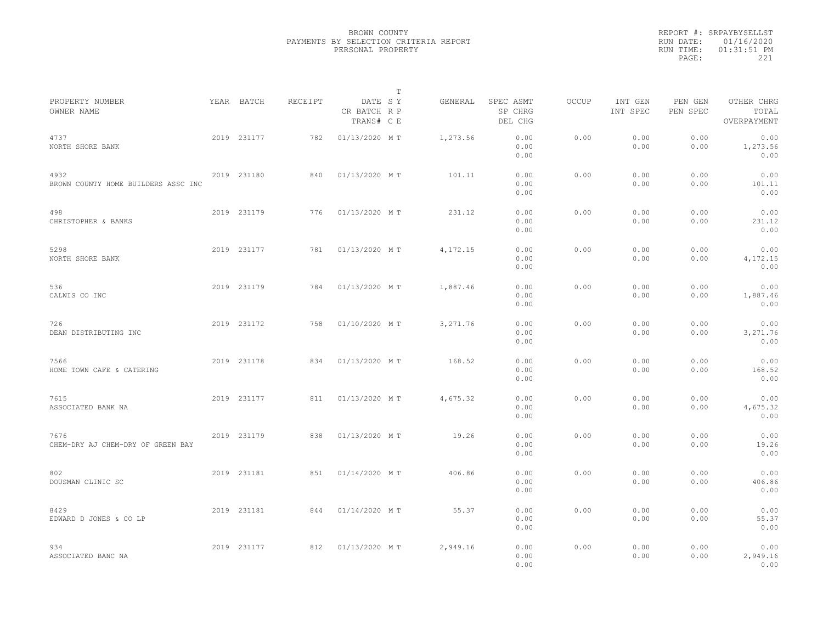|                                             |             |         |                                       | T |          |                                 |              |                     |                     |                                    |  |
|---------------------------------------------|-------------|---------|---------------------------------------|---|----------|---------------------------------|--------------|---------------------|---------------------|------------------------------------|--|
| PROPERTY NUMBER<br>OWNER NAME               | YEAR BATCH  | RECEIPT | DATE SY<br>CR BATCH R P<br>TRANS# C E |   | GENERAL  | SPEC ASMT<br>SP CHRG<br>DEL CHG | <b>OCCUP</b> | INT GEN<br>INT SPEC | PEN GEN<br>PEN SPEC | OTHER CHRG<br>TOTAL<br>OVERPAYMENT |  |
| 4737<br>NORTH SHORE BANK                    | 2019 231177 | 782     | 01/13/2020 MT                         |   | 1,273.56 | 0.00<br>0.00<br>0.00            | 0.00         | 0.00<br>0.00        | 0.00<br>0.00        | 0.00<br>1,273.56<br>0.00           |  |
| 4932<br>BROWN COUNTY HOME BUILDERS ASSC INC | 2019 231180 | 840     | 01/13/2020 MT                         |   | 101.11   | 0.00<br>0.00<br>0.00            | 0.00         | 0.00<br>0.00        | 0.00<br>0.00        | 0.00<br>101.11<br>0.00             |  |
| 498<br>CHRISTOPHER & BANKS                  | 2019 231179 | 776     | 01/13/2020 MT                         |   | 231.12   | 0.00<br>0.00<br>0.00            | 0.00         | 0.00<br>0.00        | 0.00<br>0.00        | 0.00<br>231.12<br>0.00             |  |
| 5298<br>NORTH SHORE BANK                    | 2019 231177 | 781     | 01/13/2020 MT                         |   | 4,172.15 | 0.00<br>0.00<br>0.00            | 0.00         | 0.00<br>0.00        | 0.00<br>0.00        | 0.00<br>4,172.15<br>0.00           |  |
| 536<br>CALWIS CO INC                        | 2019 231179 | 784     | 01/13/2020 MT                         |   | 1,887.46 | 0.00<br>0.00<br>0.00            | 0.00         | 0.00<br>0.00        | 0.00<br>0.00        | 0.00<br>1,887.46<br>0.00           |  |
| 726<br>DEAN DISTRIBUTING INC                | 2019 231172 | 758     | 01/10/2020 MT                         |   | 3,271.76 | 0.00<br>0.00<br>0.00            | 0.00         | 0.00<br>0.00        | 0.00<br>0.00        | 0.00<br>3,271.76<br>0.00           |  |
| 7566<br>HOME TOWN CAFE & CATERING           | 2019 231178 | 834     | 01/13/2020 MT                         |   | 168.52   | 0.00<br>0.00<br>0.00            | 0.00         | 0.00<br>0.00        | 0.00<br>0.00        | 0.00<br>168.52<br>0.00             |  |
| 7615<br>ASSOCIATED BANK NA                  | 2019 231177 | 811     | 01/13/2020 MT                         |   | 4,675.32 | 0.00<br>0.00<br>0.00            | 0.00         | 0.00<br>0.00        | 0.00<br>0.00        | 0.00<br>4,675.32<br>0.00           |  |
| 7676<br>CHEM-DRY AJ CHEM-DRY OF GREEN BAY   | 2019 231179 | 838     | 01/13/2020 MT                         |   | 19.26    | 0.00<br>0.00<br>0.00            | 0.00         | 0.00<br>0.00        | 0.00<br>0.00        | 0.00<br>19.26<br>0.00              |  |
| 802<br>DOUSMAN CLINIC SC                    | 2019 231181 | 851     | 01/14/2020 MT                         |   | 406.86   | 0.00<br>0.00<br>0.00            | 0.00         | 0.00<br>0.00        | 0.00<br>0.00        | 0.00<br>406.86<br>0.00             |  |
| 8429<br>EDWARD D JONES & CO LP              | 2019 231181 | 844     | 01/14/2020 MT                         |   | 55.37    | 0.00<br>0.00<br>0.00            | 0.00         | 0.00<br>0.00        | 0.00<br>0.00        | 0.00<br>55.37<br>0.00              |  |
| 934<br>ASSOCIATED BANC NA                   | 2019 231177 | 812     | 01/13/2020 MT                         |   | 2,949.16 | 0.00<br>0.00<br>0.00            | 0.00         | 0.00<br>0.00        | 0.00<br>0.00        | 0.00<br>2,949.16<br>0.00           |  |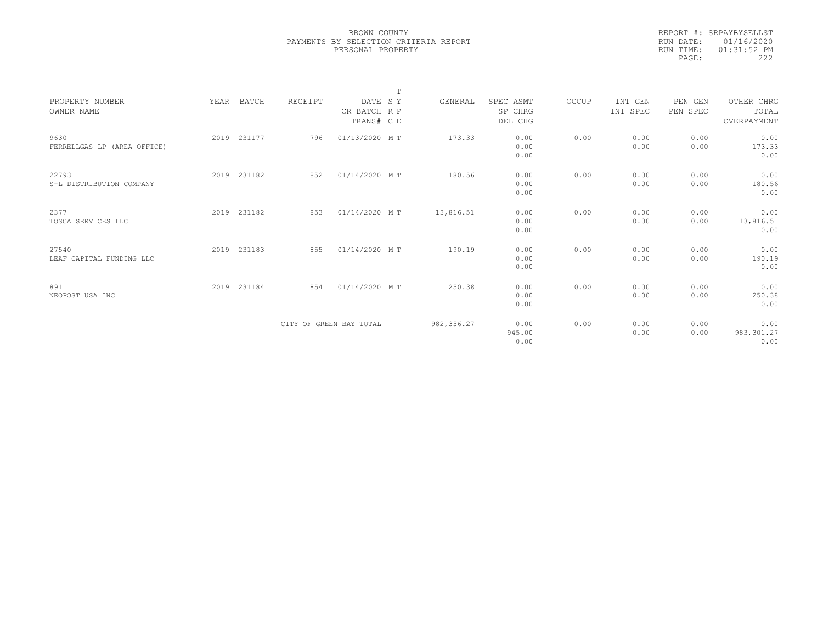|           | REPORT #: SRPAYBYSELLST |  |
|-----------|-------------------------|--|
|           | RUN DATE: 01/16/2020    |  |
| RUN TIME: | $01:31:52$ PM           |  |
| PAGE:     | 222                     |  |
|           |                         |  |

|                             |             |                         |               | T |            |           |       |          |          |             |  |
|-----------------------------|-------------|-------------------------|---------------|---|------------|-----------|-------|----------|----------|-------------|--|
| PROPERTY NUMBER             | YEAR BATCH  | RECEIPT                 | DATE SY       |   | GENERAL    | SPEC ASMT | OCCUP | INT GEN  | PEN GEN  | OTHER CHRG  |  |
| OWNER NAME                  |             |                         | CR BATCH R P  |   |            | SP CHRG   |       | INT SPEC | PEN SPEC | TOTAL       |  |
|                             |             |                         | TRANS# C E    |   |            | DEL CHG   |       |          |          | OVERPAYMENT |  |
|                             |             |                         |               |   |            |           |       |          |          |             |  |
| 9630                        | 2019 231177 | 796                     | 01/13/2020 MT |   | 173.33     | 0.00      | 0.00  | 0.00     | 0.00     | 0.00        |  |
| FERRELLGAS LP (AREA OFFICE) |             |                         |               |   |            | 0.00      |       | 0.00     | 0.00     | 173.33      |  |
|                             |             |                         |               |   |            | 0.00      |       |          |          | 0.00        |  |
|                             |             |                         |               |   |            |           |       |          |          |             |  |
| 22793                       | 2019 231182 | 852                     | 01/14/2020 MT |   | 180.56     | 0.00      | 0.00  | 0.00     | 0.00     | 0.00        |  |
| S-L DISTRIBUTION COMPANY    |             |                         |               |   |            | 0.00      |       | 0.00     | 0.00     | 180.56      |  |
|                             |             |                         |               |   |            | 0.00      |       |          |          | 0.00        |  |
|                             |             |                         |               |   |            |           |       |          |          |             |  |
| 2377                        | 2019 231182 | 853                     | 01/14/2020 MT |   | 13,816.51  | 0.00      | 0.00  | 0.00     | 0.00     | 0.00        |  |
| TOSCA SERVICES LLC          |             |                         |               |   |            | 0.00      |       | 0.00     | 0.00     | 13,816.51   |  |
|                             |             |                         |               |   |            | 0.00      |       |          |          | 0.00        |  |
|                             |             |                         |               |   |            |           |       |          |          |             |  |
| 27540                       | 2019 231183 | 855                     | 01/14/2020 MT |   | 190.19     | 0.00      | 0.00  | 0.00     | 0.00     | 0.00        |  |
| LEAF CAPITAL FUNDING LLC    |             |                         |               |   |            | 0.00      |       | 0.00     | 0.00     | 190.19      |  |
|                             |             |                         |               |   |            | 0.00      |       |          |          | 0.00        |  |
|                             |             |                         |               |   |            |           |       |          |          |             |  |
| 891                         | 2019 231184 | 854                     | 01/14/2020 MT |   | 250.38     | 0.00      | 0.00  | 0.00     | 0.00     | 0.00        |  |
| NEOPOST USA INC             |             |                         |               |   |            | 0.00      |       | 0.00     | 0.00     | 250.38      |  |
|                             |             |                         |               |   |            | 0.00      |       |          |          | 0.00        |  |
|                             |             |                         |               |   |            |           |       |          |          |             |  |
|                             |             | CITY OF GREEN BAY TOTAL |               |   | 982,356.27 | 0.00      | 0.00  | 0.00     | 0.00     | 0.00        |  |
|                             |             |                         |               |   |            | 945.00    |       | 0.00     | 0.00     | 983,301.27  |  |
|                             |             |                         |               |   |            | 0.00      |       |          |          | 0.00        |  |
|                             |             |                         |               |   |            |           |       |          |          |             |  |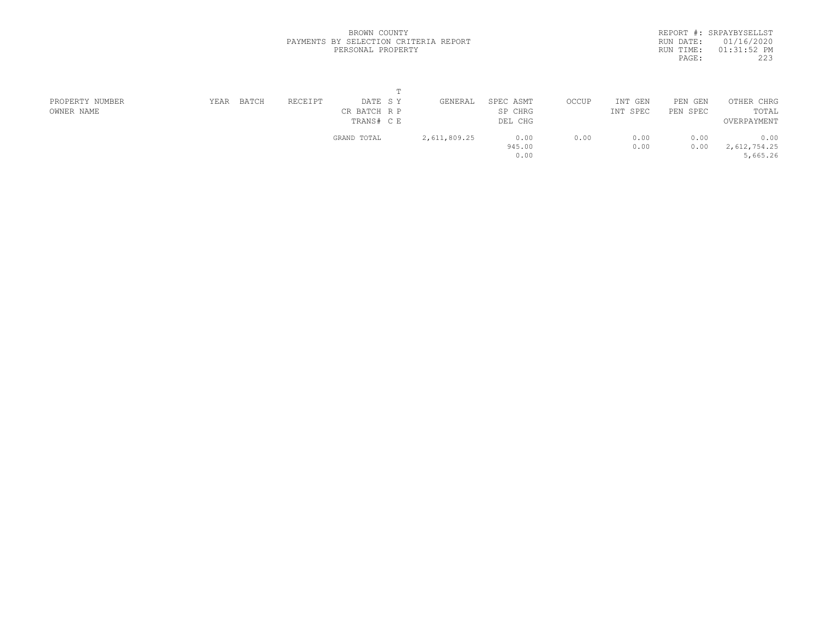|           | REPORT #: SRPAYBYSELLST |
|-----------|-------------------------|
|           | RUN DATE: 01/16/2020    |
| RUN TIME: | $01:31:52$ PM           |
| PAGE:     | 223                     |
|           |                         |

| PROPERTY NUMBER | YEAR | BATCH | RECEIPT | DATE SY      | GENERAL      | SPEC ASMT | OCCUP | INT GEN  | PEN GEN  | OTHER CHRG   |
|-----------------|------|-------|---------|--------------|--------------|-----------|-------|----------|----------|--------------|
| OWNER NAME      |      |       |         | CR BATCH R P |              | SP CHRG   |       | INT SPEC | PEN SPEC | TOTAL        |
|                 |      |       |         | TRANS# C E   |              | DEL CHG   |       |          |          | OVERPAYMENT  |
|                 |      |       |         | GRAND TOTAL  | 2,611,809.25 | 0.00      | 0.00  | 0.00     | 0.00     | 0.00         |
|                 |      |       |         |              |              | 945.00    |       | 0.00     | 0.00     | 2,612,754.25 |
|                 |      |       |         |              |              | 0.00      |       |          |          | 5,665.26     |